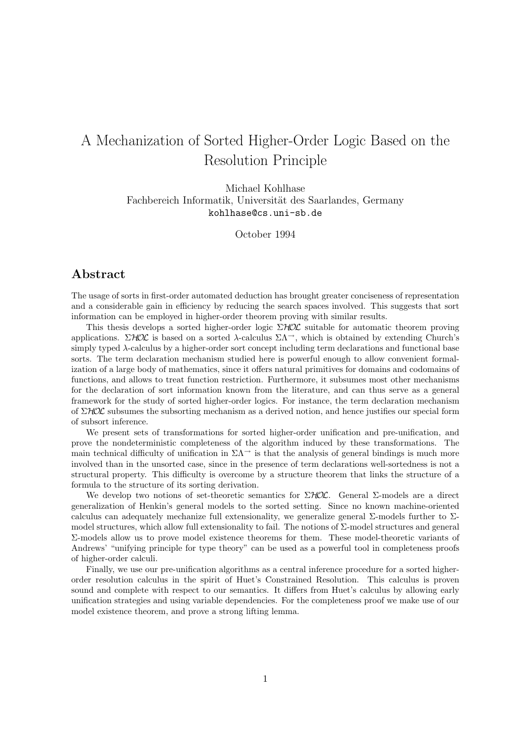# A Mechanization of Sorted Higher-Order Logic Based on the Resolution Principle

Michael Kohlhase Fachbereich Informatik, Universität des Saarlandes, Germany kohlhase@cs.uni-sb.de

October 1994

## Abstract

The usage of sorts in first-order automated deduction has brought greater conciseness of representation and a considerable gain in efficiency by reducing the search spaces involved. This suggests that sort information can be employed in higher-order theorem proving with similar results.

This thesis develops a sorted higher-order logic  $\Sigma HOL$  suitable for automatic theorem proving applications.  $\Sigma HOL$  is based on a sorted  $\lambda$ -calculus  $\Sigma \Lambda^{-}$ , which is obtained by extending Church's simply typed  $\lambda$ -calculus by a higher-order sort concept including term declarations and functional base sorts. The term declaration mechanism studied here is powerful enough to allow convenient formalization of a large body of mathematics, since it offers natural primitives for domains and codomains of functions, and allows to treat function restriction. Furthermore, it subsumes most other mechanisms for the declaration of sort information known from the literature, and can thus serve as a general framework for the study of sorted higher-order logics. For instance, the term declaration mechanism of  $\Sigma HOL$  subsumes the subsorting mechanism as a derived notion, and hence justifies our special form of subsort inference.

We present sets of transformations for sorted higher-order unification and pre-unification, and prove the nondeterministic completeness of the algorithm induced by these transformations. The main technical difficulty of unification in  $\Sigma\Lambda$ <sup>→</sup> is that the analysis of general bindings is much more involved than in the unsorted case, since in the presence of term declarations well-sortedness is not a structural property. This difficulty is overcome by a structure theorem that links the structure of a formula to the structure of its sorting derivation.

We develop two notions of set-theoretic semantics for  $\Sigma HOL$ . General  $\Sigma$ -models are a direct generalization of Henkin's general models to the sorted setting. Since no known machine-oriented calculus can adequately mechanize full extensionality, we generalize general  $\Sigma$ -models further to  $\Sigma$ model structures, which allow full extensionality to fail. The notions of Σ-model structures and general Σ-models allow us to prove model existence theorems for them. These model-theoretic variants of Andrews' "unifying principle for type theory" can be used as a powerful tool in completeness proofs of higher-order calculi.

Finally, we use our pre-unification algorithms as a central inference procedure for a sorted higherorder resolution calculus in the spirit of Huet's Constrained Resolution. This calculus is proven sound and complete with respect to our semantics. It differs from Huet's calculus by allowing early unification strategies and using variable dependencies. For the completeness proof we make use of our model existence theorem, and prove a strong lifting lemma.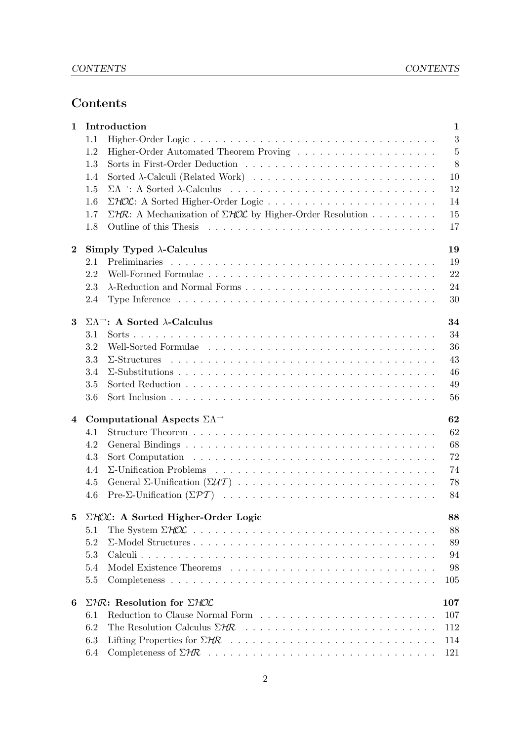## Contents

| $\mathbf{1}$     | Introduction                                                                    |                                                                                                                                |                |  |
|------------------|---------------------------------------------------------------------------------|--------------------------------------------------------------------------------------------------------------------------------|----------------|--|
|                  | 1.1                                                                             |                                                                                                                                | $\mathbf{3}$   |  |
|                  | 1.2                                                                             |                                                                                                                                | $\overline{5}$ |  |
|                  | 1.3                                                                             |                                                                                                                                | 8              |  |
|                  | 1.4                                                                             |                                                                                                                                | 10             |  |
|                  | 1.5                                                                             |                                                                                                                                | 12             |  |
|                  | 1.6                                                                             |                                                                                                                                | 14             |  |
|                  | 1.7                                                                             | $\Sigma$ HR: A Mechanization of $\Sigma$ HOL by Higher-Order Resolution                                                        | 15             |  |
|                  | 1.8                                                                             |                                                                                                                                | 17             |  |
| $\boldsymbol{2}$ | Simply Typed $\lambda$ -Calculus<br>19                                          |                                                                                                                                |                |  |
|                  | 2.1                                                                             |                                                                                                                                | 19             |  |
|                  | 2.2                                                                             |                                                                                                                                | 22             |  |
|                  | 2.3                                                                             |                                                                                                                                | 24             |  |
|                  | 2.4                                                                             | Type Inference $\ldots \ldots \ldots \ldots \ldots \ldots \ldots \ldots \ldots \ldots \ldots \ldots$                           | 30             |  |
| 3                | $\Sigma\Lambda$ <sup>-</sup> : A Sorted $\lambda$ -Calculus<br>34               |                                                                                                                                |                |  |
|                  | 3.1                                                                             |                                                                                                                                | 34             |  |
|                  | 3.2                                                                             |                                                                                                                                | 36             |  |
|                  | 3.3                                                                             |                                                                                                                                | 43             |  |
|                  | 3.4                                                                             |                                                                                                                                | 46             |  |
|                  | 3.5                                                                             |                                                                                                                                | 49             |  |
|                  |                                                                                 |                                                                                                                                | 56             |  |
|                  | 3.6                                                                             |                                                                                                                                |                |  |
| 4                | Computational Aspects $\Sigma\Lambda$ <sup><math>\rightarrow</math></sup><br>62 |                                                                                                                                |                |  |
|                  | 4.1                                                                             |                                                                                                                                | 62             |  |
|                  | 4.2                                                                             |                                                                                                                                | 68             |  |
|                  | 4.3                                                                             |                                                                                                                                | 72             |  |
|                  | 4.4                                                                             |                                                                                                                                | 74             |  |
|                  | 4.5                                                                             |                                                                                                                                | 78             |  |
|                  | 4.6                                                                             |                                                                                                                                | 84             |  |
| $\bf{5}$         | $\Sigma$ HOL: A Sorted Higher-Order Logic<br>88                                 |                                                                                                                                |                |  |
|                  | 5.1                                                                             |                                                                                                                                | 88             |  |
|                  | 5.2                                                                             |                                                                                                                                | 89             |  |
|                  | 5.3                                                                             |                                                                                                                                | 94             |  |
|                  | 5.4                                                                             |                                                                                                                                | 98             |  |
|                  | 5.5                                                                             |                                                                                                                                | 105            |  |
| 6                | $\Sigma H \mathbb{R}$ : Resolution for $\Sigma H \mathbb{O} \mathcal{L}$<br>107 |                                                                                                                                |                |  |
|                  | 6.1                                                                             | Reduction to Clause Normal Form                                                                                                | 107            |  |
|                  | 6.2                                                                             |                                                                                                                                | 112            |  |
|                  | 6.3                                                                             |                                                                                                                                | 114            |  |
|                  | 6.4                                                                             | Completeness of $\Sigma$ HR $\ldots$ $\ldots$ $\ldots$ $\ldots$ $\ldots$ $\ldots$ $\ldots$ $\ldots$ $\ldots$ $\ldots$ $\ldots$ | 121            |  |
|                  |                                                                                 |                                                                                                                                |                |  |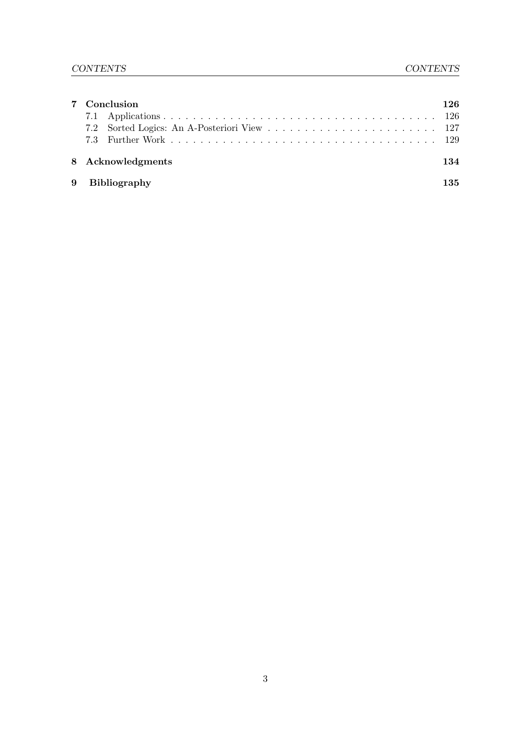| 8 Acknowledgments | 126.        |
|-------------------|-------------|
| 9 Bibliography    | 134<br>135. |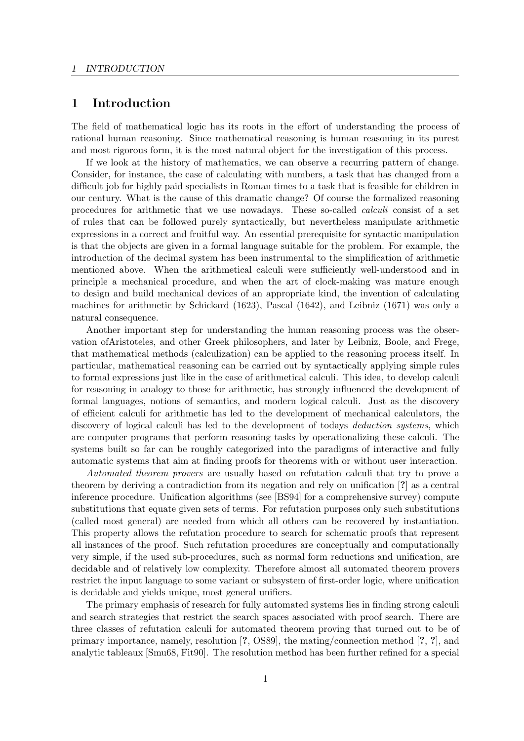## 1 Introduction

The field of mathematical logic has its roots in the effort of understanding the process of rational human reasoning. Since mathematical reasoning is human reasoning in its purest and most rigorous form, it is the most natural object for the investigation of this process.

If we look at the history of mathematics, we can observe a recurring pattern of change. Consider, for instance, the case of calculating with numbers, a task that has changed from a difficult job for highly paid specialists in Roman times to a task that is feasible for children in our century. What is the cause of this dramatic change? Of course the formalized reasoning procedures for arithmetic that we use nowadays. These so-called calculi consist of a set of rules that can be followed purely syntactically, but nevertheless manipulate arithmetic expressions in a correct and fruitful way. An essential prerequisite for syntactic manipulation is that the objects are given in a formal language suitable for the problem. For example, the introduction of the decimal system has been instrumental to the simplification of arithmetic mentioned above. When the arithmetical calculi were sufficiently well-understood and in principle a mechanical procedure, and when the art of clock-making was mature enough to design and build mechanical devices of an appropriate kind, the invention of calculating machines for arithmetic by Schickard (1623), Pascal (1642), and Leibniz (1671) was only a natural consequence.

Another important step for understanding the human reasoning process was the observation ofAristoteles, and other Greek philosophers, and later by Leibniz, Boole, and Frege, that mathematical methods (calculization) can be applied to the reasoning process itself. In particular, mathematical reasoning can be carried out by syntactically applying simple rules to formal expressions just like in the case of arithmetical calculi. This idea, to develop calculi for reasoning in analogy to those for arithmetic, has strongly influenced the development of formal languages, notions of semantics, and modern logical calculi. Just as the discovery of efficient calculi for arithmetic has led to the development of mechanical calculators, the discovery of logical calculi has led to the development of todays *deduction systems*, which are computer programs that perform reasoning tasks by operationalizing these calculi. The systems built so far can be roughly categorized into the paradigms of interactive and fully automatic systems that aim at finding proofs for theorems with or without user interaction.

Automated theorem provers are usually based on refutation calculi that try to prove a theorem by deriving a contradiction from its negation and rely on unification [?] as a central inference procedure. Unification algorithms (see [BS94] for a comprehensive survey) compute substitutions that equate given sets of terms. For refutation purposes only such substitutions (called most general) are needed from which all others can be recovered by instantiation. This property allows the refutation procedure to search for schematic proofs that represent all instances of the proof. Such refutation procedures are conceptually and computationally very simple, if the used sub-procedures, such as normal form reductions and unification, are decidable and of relatively low complexity. Therefore almost all automated theorem provers restrict the input language to some variant or subsystem of first-order logic, where unification is decidable and yields unique, most general unifiers.

The primary emphasis of research for fully automated systems lies in finding strong calculi and search strategies that restrict the search spaces associated with proof search. There are three classes of refutation calculi for automated theorem proving that turned out to be of primary importance, namely, resolution [?, OS89], the mating/connection method [?, ?], and analytic tableaux [Smu68, Fit90]. The resolution method has been further refined for a special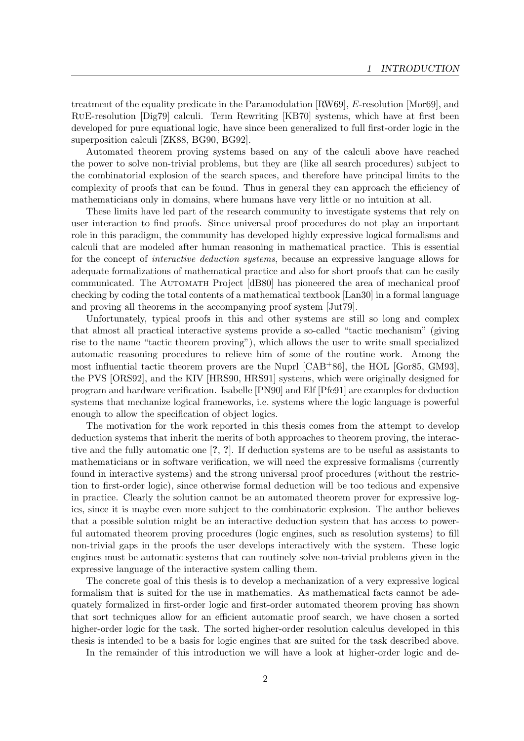treatment of the equality predicate in the Paramodulation [RW69], E-resolution [Mor69], and RuE-resolution [Dig79] calculi. Term Rewriting [KB70] systems, which have at first been developed for pure equational logic, have since been generalized to full first-order logic in the superposition calculi [ZK88, BG90, BG92].

Automated theorem proving systems based on any of the calculi above have reached the power to solve non-trivial problems, but they are (like all search procedures) subject to the combinatorial explosion of the search spaces, and therefore have principal limits to the complexity of proofs that can be found. Thus in general they can approach the efficiency of mathematicians only in domains, where humans have very little or no intuition at all.

These limits have led part of the research community to investigate systems that rely on user interaction to find proofs. Since universal proof procedures do not play an important role in this paradigm, the community has developed highly expressive logical formalisms and calculi that are modeled after human reasoning in mathematical practice. This is essential for the concept of interactive deduction systems, because an expressive language allows for adequate formalizations of mathematical practice and also for short proofs that can be easily communicated. The Automath Project [dB80] has pioneered the area of mechanical proof checking by coding the total contents of a mathematical textbook [Lan30] in a formal language and proving all theorems in the accompanying proof system [Jut79].

Unfortunately, typical proofs in this and other systems are still so long and complex that almost all practical interactive systems provide a so-called "tactic mechanism" (giving rise to the name "tactic theorem proving"), which allows the user to write small specialized automatic reasoning procedures to relieve him of some of the routine work. Among the most influential tactic theorem provers are the Nuprl [CAB+86], the HOL [Gor85, GM93], the PVS [ORS92], and the KIV [HRS90, HRS91] systems, which were originally designed for program and hardware verification. Isabelle [PN90] and Elf [Pfe91] are examples for deduction systems that mechanize logical frameworks, i.e. systems where the logic language is powerful enough to allow the specification of object logics.

The motivation for the work reported in this thesis comes from the attempt to develop deduction systems that inherit the merits of both approaches to theorem proving, the interactive and the fully automatic one [?, ?]. If deduction systems are to be useful as assistants to mathematicians or in software verification, we will need the expressive formalisms (currently found in interactive systems) and the strong universal proof procedures (without the restriction to first-order logic), since otherwise formal deduction will be too tedious and expensive in practice. Clearly the solution cannot be an automated theorem prover for expressive logics, since it is maybe even more subject to the combinatoric explosion. The author believes that a possible solution might be an interactive deduction system that has access to powerful automated theorem proving procedures (logic engines, such as resolution systems) to fill non-trivial gaps in the proofs the user develops interactively with the system. These logic engines must be automatic systems that can routinely solve non-trivial problems given in the expressive language of the interactive system calling them.

The concrete goal of this thesis is to develop a mechanization of a very expressive logical formalism that is suited for the use in mathematics. As mathematical facts cannot be adequately formalized in first-order logic and first-order automated theorem proving has shown that sort techniques allow for an efficient automatic proof search, we have chosen a sorted higher-order logic for the task. The sorted higher-order resolution calculus developed in this thesis is intended to be a basis for logic engines that are suited for the task described above.

In the remainder of this introduction we will have a look at higher-order logic and de-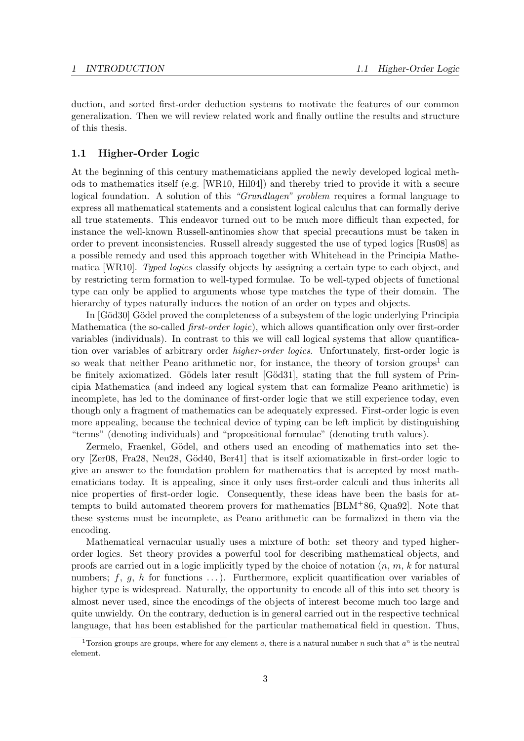duction, and sorted first-order deduction systems to motivate the features of our common generalization. Then we will review related work and finally outline the results and structure of this thesis.

## 1.1 Higher-Order Logic

At the beginning of this century mathematicians applied the newly developed logical methods to mathematics itself (e.g. [WR10, Hil04]) and thereby tried to provide it with a secure logical foundation. A solution of this "Grundlagen" problem requires a formal language to express all mathematical statements and a consistent logical calculus that can formally derive all true statements. This endeavor turned out to be much more difficult than expected, for instance the well-known Russell-antinomies show that special precautions must be taken in order to prevent inconsistencies. Russell already suggested the use of typed logics [Rus08] as a possible remedy and used this approach together with Whitehead in the Principia Mathematica [WR10]. Typed logics classify objects by assigning a certain type to each object, and by restricting term formation to well-typed formulae. To be well-typed objects of functional type can only be applied to arguments whose type matches the type of their domain. The hierarchy of types naturally induces the notion of an order on types and objects.

In [Göd30] Gödel proved the completeness of a subsystem of the logic underlying Principia Mathematica (the so-called *first-order logic*), which allows quantification only over first-order variables (individuals). In contrast to this we will call logical systems that allow quantification over variables of arbitrary order *higher-order logics*. Unfortunately, first-order logic is so weak that neither Peano arithmetic nor, for instance, the theory of torsion groups<sup>1</sup> can be finitely axiomatized. Gödels later result [Göd31], stating that the full system of Principia Mathematica (and indeed any logical system that can formalize Peano arithmetic) is incomplete, has led to the dominance of first-order logic that we still experience today, even though only a fragment of mathematics can be adequately expressed. First-order logic is even more appealing, because the technical device of typing can be left implicit by distinguishing "terms" (denoting individuals) and "propositional formulae" (denoting truth values).

Zermelo, Fraenkel, Gödel, and others used an encoding of mathematics into set theory [Zer08, Fra28, Neu28, G¨od40, Ber41] that is itself axiomatizable in first-order logic to give an answer to the foundation problem for mathematics that is accepted by most mathematicians today. It is appealing, since it only uses first-order calculi and thus inherits all nice properties of first-order logic. Consequently, these ideas have been the basis for attempts to build automated theorem provers for mathematics [BLM+86, Qua92]. Note that these systems must be incomplete, as Peano arithmetic can be formalized in them via the encoding.

Mathematical vernacular usually uses a mixture of both: set theory and typed higherorder logics. Set theory provides a powerful tool for describing mathematical objects, and proofs are carried out in a logic implicitly typed by the choice of notation  $(n, m, k$  for natural numbers;  $f, g, h$  for functions ...). Furthermore, explicit quantification over variables of higher type is widespread. Naturally, the opportunity to encode all of this into set theory is almost never used, since the encodings of the objects of interest become much too large and quite unwieldy. On the contrary, deduction is in general carried out in the respective technical language, that has been established for the particular mathematical field in question. Thus,

<sup>&</sup>lt;sup>1</sup>Torsion groups are groups, where for any element a, there is a natural number n such that  $a^n$  is the neutral element.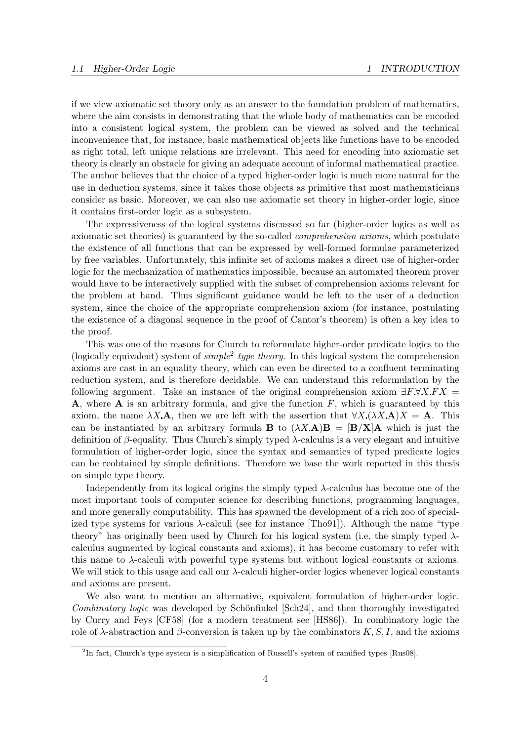if we view axiomatic set theory only as an answer to the foundation problem of mathematics, where the aim consists in demonstrating that the whole body of mathematics can be encoded into a consistent logical system, the problem can be viewed as solved and the technical inconvenience that, for instance, basic mathematical objects like functions have to be encoded as right total, left unique relations are irrelevant. This need for encoding into axiomatic set theory is clearly an obstacle for giving an adequate account of informal mathematical practice. The author believes that the choice of a typed higher-order logic is much more natural for the use in deduction systems, since it takes those objects as primitive that most mathematicians consider as basic. Moreover, we can also use axiomatic set theory in higher-order logic, since it contains first-order logic as a subsystem.

The expressiveness of the logical systems discussed so far (higher-order logics as well as axiomatic set theories) is guaranteed by the so-called comprehension axioms, which postulate the existence of all functions that can be expressed by well-formed formulae parameterized by free variables. Unfortunately, this infinite set of axioms makes a direct use of higher-order logic for the mechanization of mathematics impossible, because an automated theorem prover would have to be interactively supplied with the subset of comprehension axioms relevant for the problem at hand. Thus significant guidance would be left to the user of a deduction system, since the choice of the appropriate comprehension axiom (for instance, postulating the existence of a diagonal sequence in the proof of Cantor's theorem) is often a key idea to the proof.

This was one of the reasons for Church to reformulate higher-order predicate logics to the (logically equivalent) system of  $simple^2$  type theory. In this logical system the comprehension axioms are cast in an equality theory, which can even be directed to a confluent terminating reduction system, and is therefore decidable. We can understand this reformulation by the following argument. Take an instance of the original comprehension axiom  $\exists F \forall X F X =$ **A**, where **A** is an arbitrary formula, and give the function  $F$ , which is guaranteed by this axiom, the name  $\lambda X \mathbf{A}$ , then we are left with the assertion that  $\forall X (\lambda X \mathbf{A})X = \mathbf{A}$ . This can be instantiated by an arbitrary formula **B** to  $(\lambda X \mathbf{A}) \mathbf{B} = [\mathbf{B}/\mathbf{X}] \mathbf{A}$  which is just the definition of  $\beta$ -equality. Thus Church's simply typed  $\lambda$ -calculus is a very elegant and intuitive formulation of higher-order logic, since the syntax and semantics of typed predicate logics can be reobtained by simple definitions. Therefore we base the work reported in this thesis on simple type theory.

Independently from its logical origins the simply typed  $\lambda$ -calculus has become one of the most important tools of computer science for describing functions, programming languages, and more generally computability. This has spawned the development of a rich zoo of specialized type systems for various  $\lambda$ -calculi (see for instance [Tho91]). Although the name "type theory" has originally been used by Church for his logical system (i.e. the simply typed  $\lambda$ calculus augmented by logical constants and axioms), it has become customary to refer with this name to  $\lambda$ -calculi with powerful type systems but without logical constants or axioms. We will stick to this usage and call our  $\lambda$ -calculi higher-order logics whenever logical constants and axioms are present.

We also want to mention an alternative, equivalent formulation of higher-order logic. Combinatory logic was developed by Schönfinkel [Sch24], and then thoroughly investigated by Curry and Feys [CF58] (for a modern treatment see [HS86]). In combinatory logic the role of  $\lambda$ -abstraction and  $\beta$ -conversion is taken up by the combinators K, S, I, and the axioms

<sup>2</sup> In fact, Church's type system is a simplification of Russell's system of ramified types [Rus08].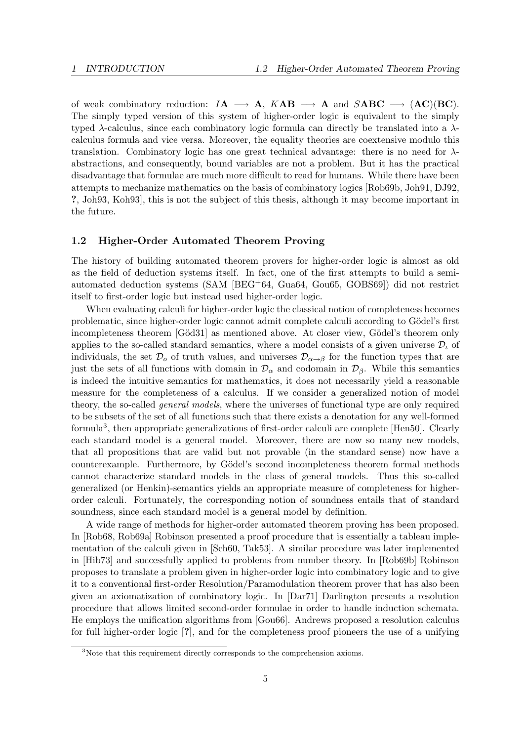of weak combinatory reduction:  $I\mathbf{A} \longrightarrow \mathbf{A}$ ,  $K\mathbf{A}\mathbf{B} \longrightarrow \mathbf{A}$  and  $S\mathbf{A}\mathbf{B}\mathbf{C} \longrightarrow (\mathbf{A}\mathbf{C})(\mathbf{B}\mathbf{C})$ . The simply typed version of this system of higher-order logic is equivalent to the simply typed  $\lambda$ -calculus, since each combinatory logic formula can directly be translated into a  $\lambda$ calculus formula and vice versa. Moreover, the equality theories are coextensive modulo this translation. Combinatory logic has one great technical advantage: there is no need for  $\lambda$ abstractions, and consequently, bound variables are not a problem. But it has the practical disadvantage that formulae are much more difficult to read for humans. While there have been attempts to mechanize mathematics on the basis of combinatory logics [Rob69b, Joh91, DJ92, ?, Joh93, Koh93], this is not the subject of this thesis, although it may become important in the future.

## 1.2 Higher-Order Automated Theorem Proving

The history of building automated theorem provers for higher-order logic is almost as old as the field of deduction systems itself. In fact, one of the first attempts to build a semiautomated deduction systems (SAM [BEG+64, Gua64, Gou65, GOBS69]) did not restrict itself to first-order logic but instead used higher-order logic.

When evaluating calculi for higher-order logic the classical notion of completeness becomes problematic, since higher-order logic cannot admit complete calculi according to Gödel's first incompleteness theorem [Göd31] as mentioned above. At closer view, Gödel's theorem only applies to the so-called standard semantics, where a model consists of a given universe  $\mathcal{D}_{\iota}$  of individuals, the set  $\mathcal{D}_{o}$  of truth values, and universes  $\mathcal{D}_{\alpha\to\beta}$  for the function types that are just the sets of all functions with domain in  $\mathcal{D}_{\alpha}$  and codomain in  $\mathcal{D}_{\beta}$ . While this semantics is indeed the intuitive semantics for mathematics, it does not necessarily yield a reasonable measure for the completeness of a calculus. If we consider a generalized notion of model theory, the so-called *general models*, where the universes of functional type are only required to be subsets of the set of all functions such that there exists a denotation for any well-formed formula<sup>3</sup>, then appropriate generalizations of first-order calculi are complete [Hen50]. Clearly each standard model is a general model. Moreover, there are now so many new models, that all propositions that are valid but not provable (in the standard sense) now have a counterexample. Furthermore, by Gödel's second incompleteness theorem formal methods cannot characterize standard models in the class of general models. Thus this so-called generalized (or Henkin)-semantics yields an appropriate measure of completeness for higherorder calculi. Fortunately, the corresponding notion of soundness entails that of standard soundness, since each standard model is a general model by definition.

A wide range of methods for higher-order automated theorem proving has been proposed. In [Rob68, Rob69a] Robinson presented a proof procedure that is essentially a tableau implementation of the calculi given in [Sch60, Tak53]. A similar procedure was later implemented in [Hib73] and successfully applied to problems from number theory. In [Rob69b] Robinson proposes to translate a problem given in higher-order logic into combinatory logic and to give it to a conventional first-order Resolution/Paramodulation theorem prover that has also been given an axiomatization of combinatory logic. In [Dar71] Darlington presents a resolution procedure that allows limited second-order formulae in order to handle induction schemata. He employs the unification algorithms from [Gou66]. Andrews proposed a resolution calculus for full higher-order logic [?], and for the completeness proof pioneers the use of a unifying

<sup>&</sup>lt;sup>3</sup>Note that this requirement directly corresponds to the comprehension axioms.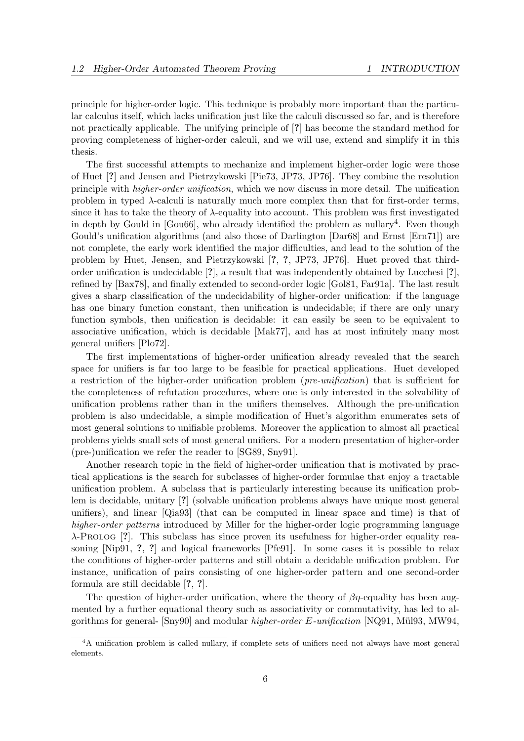principle for higher-order logic. This technique is probably more important than the particular calculus itself, which lacks unification just like the calculi discussed so far, and is therefore not practically applicable. The unifying principle of [?] has become the standard method for proving completeness of higher-order calculi, and we will use, extend and simplify it in this thesis.

The first successful attempts to mechanize and implement higher-order logic were those of Huet [?] and Jensen and Pietrzykowski [Pie73, JP73, JP76]. They combine the resolution principle with higher-order unification, which we now discuss in more detail. The unification problem in typed  $\lambda$ -calculi is naturally much more complex than that for first-order terms, since it has to take the theory of  $\lambda$ -equality into account. This problem was first investigated in depth by Gould in  $[Gou66]$ , who already identified the problem as nullary<sup>4</sup>. Even though Gould's unification algorithms (and also those of Darlington [Dar68] and Ernst [Ern71]) are not complete, the early work identified the major difficulties, and lead to the solution of the problem by Huet, Jensen, and Pietrzykowski [?, ?, JP73, JP76]. Huet proved that thirdorder unification is undecidable [?], a result that was independently obtained by Lucchesi [?], refined by [Bax78], and finally extended to second-order logic [Gol81, Far91a]. The last result gives a sharp classification of the undecidability of higher-order unification: if the language has one binary function constant, then unification is undecidable; if there are only unary function symbols, then unification is decidable: it can easily be seen to be equivalent to associative unification, which is decidable [Mak77], and has at most infinitely many most general unifiers [Plo72].

The first implementations of higher-order unification already revealed that the search space for unifiers is far too large to be feasible for practical applications. Huet developed a restriction of the higher-order unification problem (pre-unification) that is sufficient for the completeness of refutation procedures, where one is only interested in the solvability of unification problems rather than in the unifiers themselves. Although the pre-unification problem is also undecidable, a simple modification of Huet's algorithm enumerates sets of most general solutions to unifiable problems. Moreover the application to almost all practical problems yields small sets of most general unifiers. For a modern presentation of higher-order (pre-)unification we refer the reader to [SG89, Sny91].

Another research topic in the field of higher-order unification that is motivated by practical applications is the search for subclasses of higher-order formulae that enjoy a tractable unification problem. A subclass that is particularly interesting because its unification problem is decidable, unitary [?] (solvable unification problems always have unique most general unifiers), and linear [Qia93] (that can be computed in linear space and time) is that of higher-order patterns introduced by Miller for the higher-order logic programming language λ-Prolog [?]. This subclass has since proven its usefulness for higher-order equality reasoning [Nip91, ?, ?] and logical frameworks [Pfe91]. In some cases it is possible to relax the conditions of higher-order patterns and still obtain a decidable unification problem. For instance, unification of pairs consisting of one higher-order pattern and one second-order formula are still decidable [?, ?].

The question of higher-order unification, where the theory of  $\beta\eta$ -equality has been augmented by a further equational theory such as associativity or commutativity, has led to algorithms for general- [Sny90] and modular *higher-order E-unification* [NQ91, Mül93, MW94,

<sup>4</sup>A unification problem is called nullary, if complete sets of unifiers need not always have most general elements.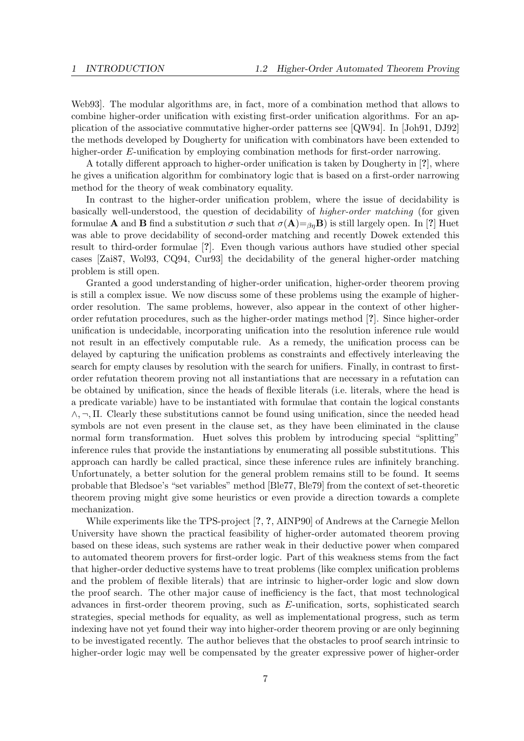Web93]. The modular algorithms are, in fact, more of a combination method that allows to combine higher-order unification with existing first-order unification algorithms. For an application of the associative commutative higher-order patterns see [QW94]. In [Joh91, DJ92] the methods developed by Dougherty for unification with combinators have been extended to higher-order E-unification by employing combination methods for first-order narrowing.

A totally different approach to higher-order unification is taken by Dougherty in [?], where he gives a unification algorithm for combinatory logic that is based on a first-order narrowing method for the theory of weak combinatory equality.

In contrast to the higher-order unification problem, where the issue of decidability is basically well-understood, the question of decidability of higher-order matching (for given formulae **A** and **B** find a substitution  $\sigma$  such that  $\sigma(A)=g_nB$ ) is still largely open. In [?] Huet was able to prove decidability of second-order matching and recently Dowek extended this result to third-order formulae [?]. Even though various authors have studied other special cases [Zai87, Wol93, CQ94, Cur93] the decidability of the general higher-order matching problem is still open.

Granted a good understanding of higher-order unification, higher-order theorem proving is still a complex issue. We now discuss some of these problems using the example of higherorder resolution. The same problems, however, also appear in the context of other higherorder refutation procedures, such as the higher-order matings method [?]. Since higher-order unification is undecidable, incorporating unification into the resolution inference rule would not result in an effectively computable rule. As a remedy, the unification process can be delayed by capturing the unification problems as constraints and effectively interleaving the search for empty clauses by resolution with the search for unifiers. Finally, in contrast to firstorder refutation theorem proving not all instantiations that are necessary in a refutation can be obtained by unification, since the heads of flexible literals (i.e. literals, where the head is a predicate variable) have to be instantiated with formulae that contain the logical constants  $\wedge$ ,  $\neg$ ,  $\Pi$ . Clearly these substitutions cannot be found using unification, since the needed head symbols are not even present in the clause set, as they have been eliminated in the clause normal form transformation. Huet solves this problem by introducing special "splitting" inference rules that provide the instantiations by enumerating all possible substitutions. This approach can hardly be called practical, since these inference rules are infinitely branching. Unfortunately, a better solution for the general problem remains still to be found. It seems probable that Bledsoe's "set variables" method [Ble77, Ble79] from the context of set-theoretic theorem proving might give some heuristics or even provide a direction towards a complete mechanization.

While experiments like the TPS-project [?, ?, AINP90] of Andrews at the Carnegie Mellon University have shown the practical feasibility of higher-order automated theorem proving based on these ideas, such systems are rather weak in their deductive power when compared to automated theorem provers for first-order logic. Part of this weakness stems from the fact that higher-order deductive systems have to treat problems (like complex unification problems and the problem of flexible literals) that are intrinsic to higher-order logic and slow down the proof search. The other major cause of inefficiency is the fact, that most technological advances in first-order theorem proving, such as E-unification, sorts, sophisticated search strategies, special methods for equality, as well as implementational progress, such as term indexing have not yet found their way into higher-order theorem proving or are only beginning to be investigated recently. The author believes that the obstacles to proof search intrinsic to higher-order logic may well be compensated by the greater expressive power of higher-order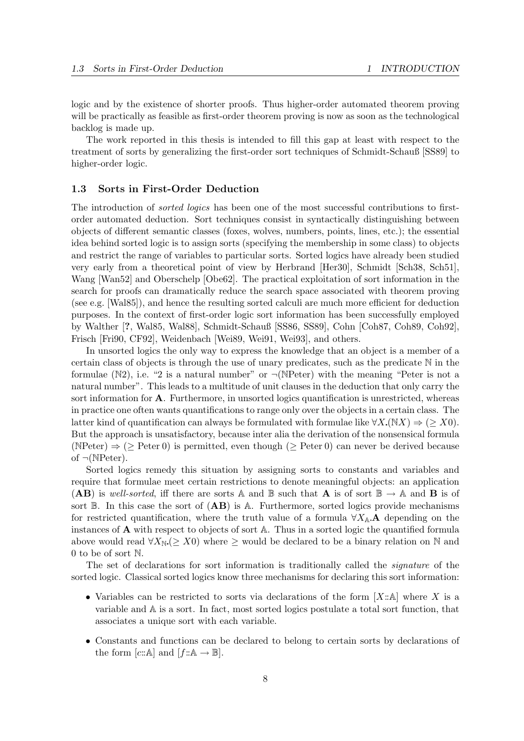logic and by the existence of shorter proofs. Thus higher-order automated theorem proving will be practically as feasible as first-order theorem proving is now as soon as the technological backlog is made up.

The work reported in this thesis is intended to fill this gap at least with respect to the treatment of sorts by generalizing the first-order sort techniques of Schmidt-Schauß [SS89] to higher-order logic.

### 1.3 Sorts in First-Order Deduction

The introduction of *sorted logics* has been one of the most successful contributions to firstorder automated deduction. Sort techniques consist in syntactically distinguishing between objects of different semantic classes (foxes, wolves, numbers, points, lines, etc.); the essential idea behind sorted logic is to assign sorts (specifying the membership in some class) to objects and restrict the range of variables to particular sorts. Sorted logics have already been studied very early from a theoretical point of view by Herbrand [Her30], Schmidt [Sch38, Sch51], Wang [Wan52] and Oberschelp [Obe62]. The practical exploitation of sort information in the search for proofs can dramatically reduce the search space associated with theorem proving (see e.g. [Wal85]), and hence the resulting sorted calculi are much more efficient for deduction purposes. In the context of first-order logic sort information has been successfully employed by Walther [?, Wal85, Wal88], Schmidt-Schauß [SS86, SS89], Cohn [Coh87, Coh89, Coh92], Frisch [Fri90, CF92], Weidenbach [Wei89, Wei91, Wei93], and others.

In unsorted logics the only way to express the knowledge that an object is a member of a certain class of objects is through the use of unary predicates, such as the predicate  $\mathbb N$  in the formulae (N2), i.e. "2 is a natural number" or  $\neg(NPeter)$  with the meaning "Peter is not a natural number". This leads to a multitude of unit clauses in the deduction that only carry the sort information for A. Furthermore, in unsorted logics quantification is unrestricted, whereas in practice one often wants quantifications to range only over the objects in a certain class. The latter kind of quantification can always be formulated with formulae like  $\forall X . (\mathbb{N}X) \Rightarrow (\geq X0)$ . But the approach is unsatisfactory, because inter alia the derivation of the nonsensical formula (NPeter)  $\Rightarrow$  ( $\geq$  Peter 0) is permitted, even though ( $\geq$  Peter 0) can never be derived because of  $\neg(\text{NPeter})$ .

Sorted logics remedy this situation by assigning sorts to constants and variables and require that formulae meet certain restrictions to denote meaningful objects: an application (AB) is well-sorted, iff there are sorts A and B such that A is of sort  $\mathbb{B} \to \mathbb{A}$  and B is of sort  $\mathbb B$ . In this case the sort of  $(AB)$  is A. Furthermore, sorted logics provide mechanisms for restricted quantification, where the truth value of a formula  $\forall X_{\mathbb{A}}$  A depending on the instances of A with respect to objects of sort A. Thus in a sorted logic the quantified formula above would read  $\forall X_{\mathbb{N}} \geq X0$  where  $\geq$  would be declared to be a binary relation on N and 0 to be of sort N.

The set of declarations for sort information is traditionally called the *signature* of the sorted logic. Classical sorted logics know three mechanisms for declaring this sort information:

- Variables can be restricted to sorts via declarations of the form  $[X:\mathbb{A}]$  where X is a variable and A is a sort. In fact, most sorted logics postulate a total sort function, that associates a unique sort with each variable.
- Constants and functions can be declared to belong to certain sorts by declarations of the form [c:: A] and  $[f::A \rightarrow \mathbb{B}]$ .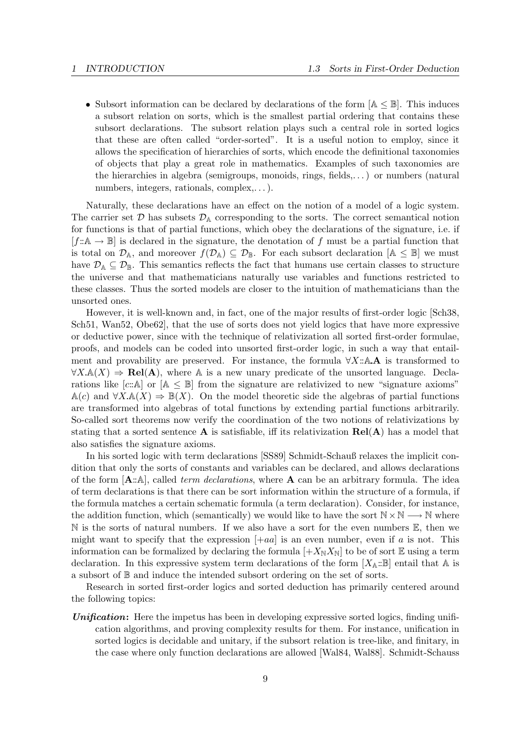• Subsort information can be declared by declarations of the form  $[A \leq B]$ . This induces a subsort relation on sorts, which is the smallest partial ordering that contains these subsort declarations. The subsort relation plays such a central role in sorted logics that these are often called "order-sorted". It is a useful notion to employ, since it allows the specification of hierarchies of sorts, which encode the definitional taxonomies of objects that play a great role in mathematics. Examples of such taxonomies are the hierarchies in algebra (semigroups, monoids, rings, fields,. . . ) or numbers (natural numbers, integers, rationals, complex,...).

Naturally, these declarations have an effect on the notion of a model of a logic system. The carrier set  $\mathcal D$  has subsets  $\mathcal D_A$  corresponding to the sorts. The correct semantical notion for functions is that of partial functions, which obey the declarations of the signature, i.e. if  $[f:\mathbb{A}\to\mathbb{B}]$  is declared in the signature, the denotation of f must be a partial function that is total on  $\mathcal{D}_A$ , and moreover  $f(\mathcal{D}_A) \subseteq \mathcal{D}_B$ . For each subsort declaration  $[A \leq B]$  we must have  $\mathcal{D}_A \subseteq \mathcal{D}_{\mathbb{B}}$ . This semantics reflects the fact that humans use certain classes to structure the universe and that mathematicians naturally use variables and functions restricted to these classes. Thus the sorted models are closer to the intuition of mathematicians than the unsorted ones.

However, it is well-known and, in fact, one of the major results of first-order logic [Sch38, Sch51, Wan52, Obe62], that the use of sorts does not yield logics that have more expressive or deductive power, since with the technique of relativization all sorted first-order formulae, proofs, and models can be coded into unsorted first-order logic, in such a way that entailment and provability are preserved. For instance, the formula  $\forall X$ ::A.A is transformed to  $\forall X \mathbb{A}(X) \Rightarrow \text{Rel}(\mathbf{A})$ , where  $\mathbb{A}$  is a new unary predicate of the unsorted language. Declarations like  $[c:\mathbb{A}]$  or  $[\mathbb{A} \leq \mathbb{B}]$  from the signature are relativized to new "signature axioms"  $\mathbb{A}(c)$  and  $\forall X \mathbb{A}(X) \Rightarrow \mathbb{B}(X)$ . On the model theoretic side the algebras of partial functions are transformed into algebras of total functions by extending partial functions arbitrarily. So-called sort theorems now verify the coordination of the two notions of relativizations by stating that a sorted sentence **A** is satisfiable, iff its relativization  $\text{Rel}(A)$  has a model that also satisfies the signature axioms.

In his sorted logic with term declarations [SS89] Schmidt-Schauß relaxes the implicit condition that only the sorts of constants and variables can be declared, and allows declarations of the form  $[A::A]$ , called *term declarations*, where **A** can be an arbitrary formula. The idea of term declarations is that there can be sort information within the structure of a formula, if the formula matches a certain schematic formula (a term declaration). Consider, for instance, the addition function, which (semantically) we would like to have the sort  $N \times N \longrightarrow N$  where  $\mathbb N$  is the sorts of natural numbers. If we also have a sort for the even numbers  $\mathbb E$ , then we might want to specify that the expression  $[+aa]$  is an even number, even if a is not. This information can be formalized by declaring the formula  $[+X_{\mathbb{N}}X_{\mathbb{N}}]$  to be of sort  $\mathbb E$  using a term declaration. In this expressive system term declarations of the form  $[X_A::B]$  entail that A is a subsort of B and induce the intended subsort ordering on the set of sorts.

Research in sorted first-order logics and sorted deduction has primarily centered around the following topics:

Unification: Here the impetus has been in developing expressive sorted logics, finding unification algorithms, and proving complexity results for them. For instance, unification in sorted logics is decidable and unitary, if the subsort relation is tree-like, and finitary, in the case where only function declarations are allowed [Wal84, Wal88]. Schmidt-Schauss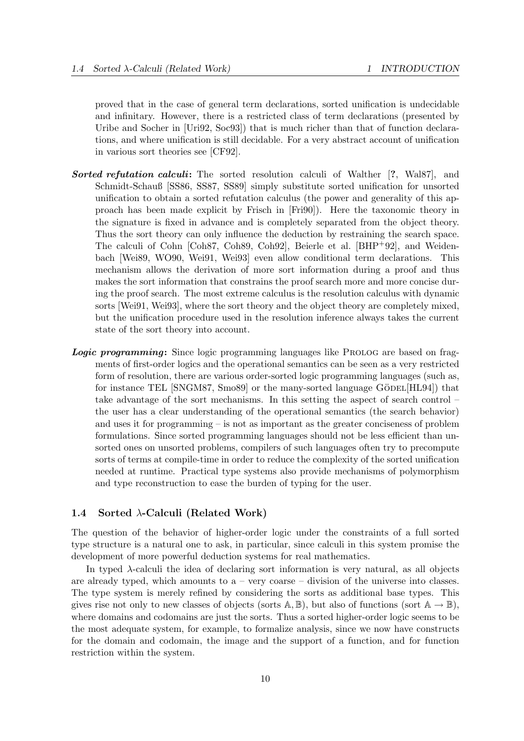proved that in the case of general term declarations, sorted unification is undecidable and infinitary. However, there is a restricted class of term declarations (presented by Uribe and Socher in [Uri92, Soc93]) that is much richer than that of function declarations, and where unification is still decidable. For a very abstract account of unification in various sort theories see [CF92].

- Sorted refutation calculi: The sorted resolution calculi of Walther [?, Wal87], and Schmidt-Schauß [SS86, SS87, SS89] simply substitute sorted unification for unsorted unification to obtain a sorted refutation calculus (the power and generality of this approach has been made explicit by Frisch in [Fri90]). Here the taxonomic theory in the signature is fixed in advance and is completely separated from the object theory. Thus the sort theory can only influence the deduction by restraining the search space. The calculi of Cohn [Coh87, Coh89, Coh92], Beierle et al. [BHP+92], and Weidenbach [Wei89, WO90, Wei91, Wei93] even allow conditional term declarations. This mechanism allows the derivation of more sort information during a proof and thus makes the sort information that constrains the proof search more and more concise during the proof search. The most extreme calculus is the resolution calculus with dynamic sorts [Wei91, Wei93], where the sort theory and the object theory are completely mixed, but the unification procedure used in the resolution inference always takes the current state of the sort theory into account.
- Logic programming: Since logic programming languages like PROLOG are based on fragments of first-order logics and the operational semantics can be seen as a very restricted form of resolution, there are various order-sorted logic programming languages (such as, for instance TEL  $\text{SNGMS7}, \text{Smo89}$  or the many-sorted language GÖDEL [HL94]) that take advantage of the sort mechanisms. In this setting the aspect of search control – the user has a clear understanding of the operational semantics (the search behavior) and uses it for programming – is not as important as the greater conciseness of problem formulations. Since sorted programming languages should not be less efficient than unsorted ones on unsorted problems, compilers of such languages often try to precompute sorts of terms at compile-time in order to reduce the complexity of the sorted unification needed at runtime. Practical type systems also provide mechanisms of polymorphism and type reconstruction to ease the burden of typing for the user.

## 1.4 Sorted  $\lambda$ -Calculi (Related Work)

The question of the behavior of higher-order logic under the constraints of a full sorted type structure is a natural one to ask, in particular, since calculi in this system promise the development of more powerful deduction systems for real mathematics.

In typed λ-calculi the idea of declaring sort information is very natural, as all objects are already typed, which amounts to  $a - \text{very coarse } -$  division of the universe into classes. The type system is merely refined by considering the sorts as additional base types. This gives rise not only to new classes of objects (sorts  $\mathbb{A}, \mathbb{B}$ ), but also of functions (sort  $\mathbb{A} \to \mathbb{B}$ ), where domains and codomains are just the sorts. Thus a sorted higher-order logic seems to be the most adequate system, for example, to formalize analysis, since we now have constructs for the domain and codomain, the image and the support of a function, and for function restriction within the system.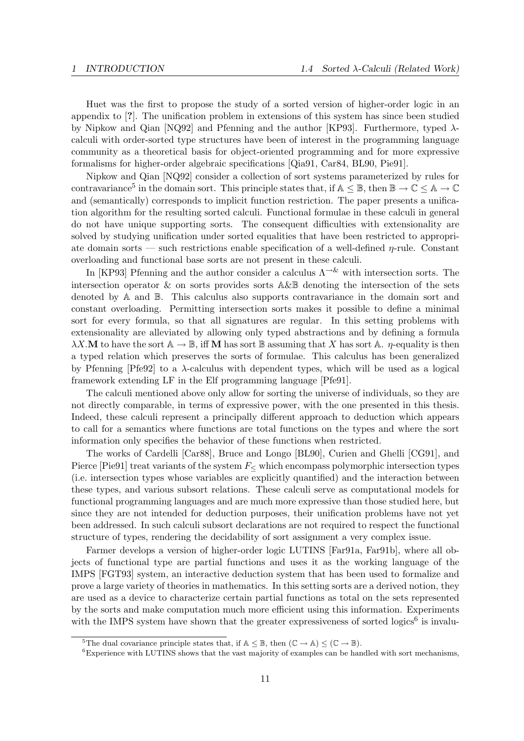Huet was the first to propose the study of a sorted version of higher-order logic in an appendix to [?]. The unification problem in extensions of this system has since been studied by Nipkow and Qian [NQ92] and Pfenning and the author [KP93]. Furthermore, typed  $\lambda$ calculi with order-sorted type structures have been of interest in the programming language community as a theoretical basis for object-oriented programming and for more expressive formalisms for higher-order algebraic specifications [Qia91, Car84, BL90, Pie91].

Nipkow and Qian [NQ92] consider a collection of sort systems parameterized by rules for contravariance<sup>5</sup> in the domain sort. This principle states that, if  $A \leq \mathbb{B}$ , then  $\mathbb{B} \to \mathbb{C} \leq A \to \mathbb{C}$ and (semantically) corresponds to implicit function restriction. The paper presents a unification algorithm for the resulting sorted calculi. Functional formulae in these calculi in general do not have unique supporting sorts. The consequent difficulties with extensionality are solved by studying unification under sorted equalities that have been restricted to appropriate domain sorts — such restrictions enable specification of a well-defined  $\eta$ -rule. Constant overloading and functional base sorts are not present in these calculi.

In [KP93] Pfenning and the author consider a calculus  $\Lambda^{-\&}$  with intersection sorts. The intersection operator & on sorts provides sorts A&B denoting the intersection of the sets denoted by A and B. This calculus also supports contravariance in the domain sort and constant overloading. Permitting intersection sorts makes it possible to define a minimal sort for every formula, so that all signatures are regular. In this setting problems with extensionality are alleviated by allowing only typed abstractions and by defining a formula  $\lambda X.\mathbf{M}$  to have the sort  $\mathbb{A} \to \mathbb{B}$ , iff **M** has sort  $\mathbb{B}$  assuming that X has sort  $\mathbb{A}$ .  $\eta$ -equality is then a typed relation which preserves the sorts of formulae. This calculus has been generalized by Pfenning  $[Pf e 92]$  to a  $\lambda$ -calculus with dependent types, which will be used as a logical framework extending LF in the Elf programming language [Pfe91].

The calculi mentioned above only allow for sorting the universe of individuals, so they are not directly comparable, in terms of expressive power, with the one presented in this thesis. Indeed, these calculi represent a principally different approach to deduction which appears to call for a semantics where functions are total functions on the types and where the sort information only specifies the behavior of these functions when restricted.

The works of Cardelli [Car88], Bruce and Longo [BL90], Curien and Ghelli [CG91], and Pierce [Pie91] treat variants of the system  $F<$  which encompass polymorphic intersection types (i.e. intersection types whose variables are explicitly quantified) and the interaction between these types, and various subsort relations. These calculi serve as computational models for functional programming languages and are much more expressive than those studied here, but since they are not intended for deduction purposes, their unification problems have not yet been addressed. In such calculi subsort declarations are not required to respect the functional structure of types, rendering the decidability of sort assignment a very complex issue.

Farmer develops a version of higher-order logic LUTINS [Far91a, Far91b], where all objects of functional type are partial functions and uses it as the working language of the IMPS [FGT93] system, an interactive deduction system that has been used to formalize and prove a large variety of theories in mathematics. In this setting sorts are a derived notion, they are used as a device to characterize certain partial functions as total on the sets represented by the sorts and make computation much more efficient using this information. Experiments with the IMPS system have shown that the greater expressiveness of sorted logics<sup>6</sup> is invalu-

<sup>&</sup>lt;sup>5</sup>The dual covariance principle states that, if  $A \leq \mathbb{B}$ , then  $(\mathbb{C} \to A) \leq (\mathbb{C} \to \mathbb{B})$ .

<sup>&</sup>lt;sup>6</sup>Experience with LUTINS shows that the vast majority of examples can be handled with sort mechanisms,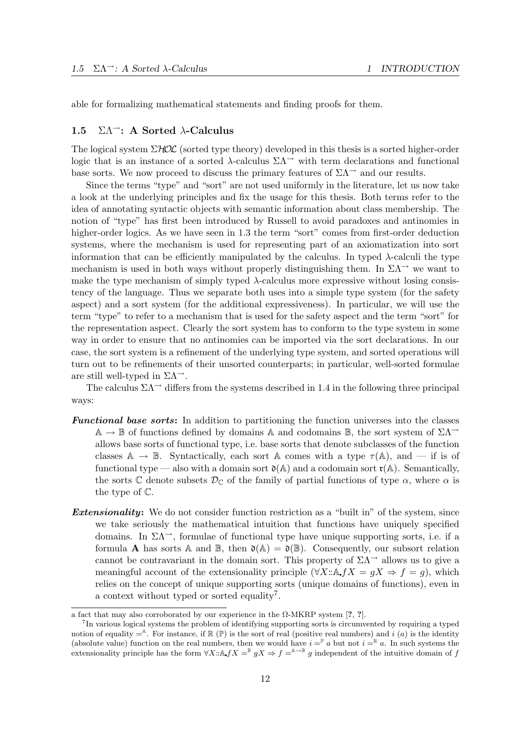able for formalizing mathematical statements and finding proofs for them.

### 1.5  $\Sigma \Lambda$ <sup>-</sup>: A Sorted  $\lambda$ -Calculus

The logical system  $\Sigma HOL$  (sorted type theory) developed in this thesis is a sorted higher-order logic that is an instance of a sorted  $\lambda$ -calculus  $\Sigma\Lambda$ <sup> $\rightarrow$ </sup> with term declarations and functional base sorts. We now proceed to discuss the primary features of  $\Sigma\Lambda$ <sup> $\rightarrow$ </sup> and our results.

Since the terms "type" and "sort" are not used uniformly in the literature, let us now take a look at the underlying principles and fix the usage for this thesis. Both terms refer to the idea of annotating syntactic objects with semantic information about class membership. The notion of "type" has first been introduced by Russell to avoid paradoxes and antinomies in higher-order logics. As we have seen in 1.3 the term "sort" comes from first-order deduction systems, where the mechanism is used for representing part of an axiomatization into sort information that can be efficiently manipulated by the calculus. In typed  $\lambda$ -calculi the type mechanism is used in both ways without properly distinguishing them. In  $\Sigma\Lambda^{\rightarrow}$  we want to make the type mechanism of simply typed  $\lambda$ -calculus more expressive without losing consistency of the language. Thus we separate both uses into a simple type system (for the safety aspect) and a sort system (for the additional expressiveness). In particular, we will use the term "type" to refer to a mechanism that is used for the safety aspect and the term "sort" for the representation aspect. Clearly the sort system has to conform to the type system in some way in order to ensure that no antinomies can be imported via the sort declarations. In our case, the sort system is a refinement of the underlying type system, and sorted operations will turn out to be refinements of their unsorted counterparts; in particular, well-sorted formulae are still well-typed in  $\Sigma \Lambda^{-1}$ .

The calculus  $\Sigma\Lambda$ <sup> $\rightarrow$ </sup> differs from the systems described in 1.4 in the following three principal ways:

- Functional base sorts: In addition to partitioning the function universes into the classes  $\mathbb{A} \to \mathbb{B}$  of functions defined by domains  $\mathbb{A}$  and codomains  $\mathbb{B}$ , the sort system of  $\Sigma\Lambda^{\rightarrow}$ allows base sorts of functional type, i.e. base sorts that denote subclasses of the function classes  $\mathbb{A} \to \mathbb{B}$ . Syntactically, each sort  $\mathbb{A}$  comes with a type  $\tau(\mathbb{A})$ , and — if is of functional type — also with a domain sort  $\mathfrak{d}(A)$  and a codomain sort  $\mathfrak{r}(A)$ . Semantically, the sorts C denote subsets  $\mathcal{D}_{\mathbb{C}}$  of the family of partial functions of type  $\alpha$ , where  $\alpha$  is the type of C.
- **Extensionality:** We do not consider function restriction as a "built in" of the system, since we take seriously the mathematical intuition that functions have uniquely specified domains. In  $\Sigma\Lambda$ , formulae of functional type have unique supporting sorts, i.e. if a formula **A** has sorts A and B, then  $\mathfrak{d}(\mathbb{A}) = \mathfrak{d}(\mathbb{B})$ . Consequently, our subsort relation cannot be contravariant in the domain sort. This property of  $\Sigma\Lambda$ <sup>→</sup> allows us to give a meaningful account of the extensionality principle  $(\forall X : \land fX = gX \Rightarrow f = g)$ , which relies on the concept of unique supporting sorts (unique domains of functions), even in a context without typed or sorted equality<sup>7</sup>.

a fact that may also corroborated by our experience in the  $\Omega$ -MKRP system [?, ?].

<sup>&</sup>lt;sup>7</sup>In various logical systems the problem of identifying supporting sorts is circumvented by requiring a typed notion of equality  $=$ <sup>A</sup>. For instance, if  $\mathbb{R}(\mathbb{P})$  is the sort of real (positive real numbers) and i (a) is the identity (absolute value) function on the real numbers, then we would have  $i = \nightharpoonup a$  but not  $i = \nightharpoonup a$ . In such systems the extensionality principle has the form  $\forall X: A f X =^{\mathbb{B}} g X \Rightarrow f =^{A \to B} g$  independent of the intuitive domain of f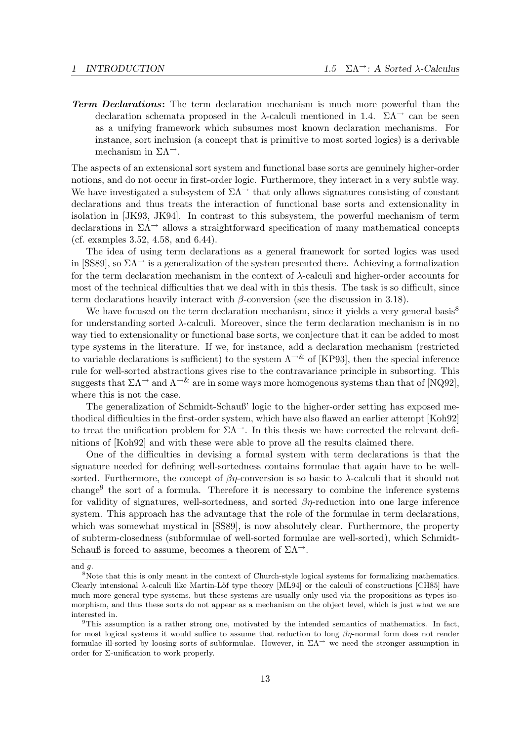**Term Declarations:** The term declaration mechanism is much more powerful than the declaration schemata proposed in the  $\lambda$ -calculi mentioned in 1.4.  $\Sigma \Lambda$ <sup>- $\lambda$ </sup> can be seen as a unifying framework which subsumes most known declaration mechanisms. For instance, sort inclusion (a concept that is primitive to most sorted logics) is a derivable mechanism in  $\Sigma \Lambda^{-1}$ .

The aspects of an extensional sort system and functional base sorts are genuinely higher-order notions, and do not occur in first-order logic. Furthermore, they interact in a very subtle way. We have investigated a subsystem of  $\Sigma\Lambda$ <sup> $\rightarrow$ </sup> that only allows signatures consisting of constant declarations and thus treats the interaction of functional base sorts and extensionality in isolation in [JK93, JK94]. In contrast to this subsystem, the powerful mechanism of term declarations in  $\Sigma\Lambda$ <sup>→</sup> allows a straightforward specification of many mathematical concepts (cf. examples 3.52, 4.58, and 6.44).

The idea of using term declarations as a general framework for sorted logics was used in [SS89], so  $\Sigma\Lambda$ <sup> $\rightarrow$ </sup> is a generalization of the system presented there. Achieving a formalization for the term declaration mechanism in the context of  $\lambda$ -calculi and higher-order accounts for most of the technical difficulties that we deal with in this thesis. The task is so difficult, since term declarations heavily interact with  $\beta$ -conversion (see the discussion in 3.18).

We have focused on the term declaration mechanism, since it yields a very general basis<sup>8</sup> for understanding sorted  $\lambda$ -calculi. Moreover, since the term declaration mechanism is in no way tied to extensionality or functional base sorts, we conjecture that it can be added to most type systems in the literature. If we, for instance, add a declaration mechanism (restricted to variable declarations is sufficient) to the system  $\Lambda^{-\&}$  of [KP93], then the special inference rule for well-sorted abstractions gives rise to the contravariance principle in subsorting. This suggests that  $\Sigma\Lambda$ <sup> $\rightarrow$ </sup> and  $\Lambda$ <sup> $\rightarrow$ &</sup> are in some ways more homogenous systems than that of [NQ92], where this is not the case.

The generalization of Schmidt-Schauß' logic to the higher-order setting has exposed methodical difficulties in the first-order system, which have also flawed an earlier attempt [Koh92] to treat the unification problem for  $\Sigma\Lambda^{\rightarrow}$ . In this thesis we have corrected the relevant definitions of [Koh92] and with these were able to prove all the results claimed there.

One of the difficulties in devising a formal system with term declarations is that the signature needed for defining well-sortedness contains formulae that again have to be wellsorted. Furthermore, the concept of  $\beta\eta$ -conversion is so basic to  $\lambda$ -calculi that it should not change<sup>9</sup> the sort of a formula. Therefore it is necessary to combine the inference systems for validity of signatures, well-sortedness, and sorted  $\beta\eta$ -reduction into one large inference system. This approach has the advantage that the role of the formulae in term declarations, which was somewhat mystical in [SS89], is now absolutely clear. Furthermore, the property of subterm-closedness (subformulae of well-sorted formulae are well-sorted), which Schmidt-Schauß is forced to assume, becomes a theorem of  $\Sigma\Lambda^{-1}$ .

and  $q$ .

<sup>&</sup>lt;sup>8</sup>Note that this is only meant in the context of Church-style logical systems for formalizing mathematics. Clearly intensional λ-calculi like Martin-Löf type theory [ML94] or the calculi of constructions [CH85] have much more general type systems, but these systems are usually only used via the propositions as types isomorphism, and thus these sorts do not appear as a mechanism on the object level, which is just what we are interested in.

<sup>9</sup>This assumption is a rather strong one, motivated by the intended semantics of mathematics. In fact, for most logical systems it would suffice to assume that reduction to long  $\beta\eta$ -normal form does not render formulae ill-sorted by loosing sorts of subformulae. However, in  $\Sigma\Lambda^{\rightarrow}$  we need the stronger assumption in order for Σ-unification to work properly.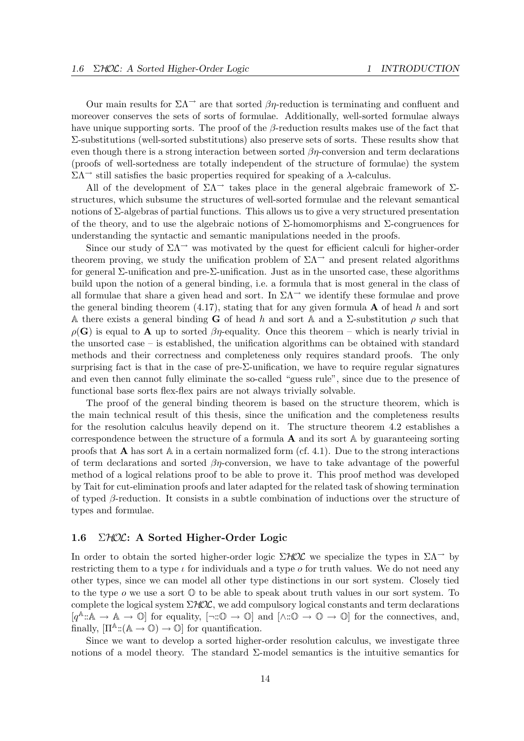Our main results for  $\Sigma\Lambda$ <sup>→</sup> are that sorted  $\beta\eta$ -reduction is terminating and confluent and moreover conserves the sets of sorts of formulae. Additionally, well-sorted formulae always have unique supporting sorts. The proof of the  $\beta$ -reduction results makes use of the fact that Σ-substitutions (well-sorted substitutions) also preserve sets of sorts. These results show that even though there is a strong interaction between sorted  $\beta\eta$ -conversion and term declarations (proofs of well-sortedness are totally independent of the structure of formulae) the system  $\Sigma Λ$  still satisfies the basic properties required for speaking of a λ-calculus.

All of the development of  $\Sigma\Lambda$ <sup>→</sup> takes place in the general algebraic framework of  $\Sigma$ structures, which subsume the structures of well-sorted formulae and the relevant semantical notions of  $\Sigma$ -algebras of partial functions. This allows us to give a very structured presentation of the theory, and to use the algebraic notions of  $\Sigma$ -homomorphisms and  $\Sigma$ -congruences for understanding the syntactic and semantic manipulations needed in the proofs.

Since our study of  $\Sigma\Lambda$ <sup>→</sup> was motivated by the quest for efficient calculi for higher-order theorem proving, we study the unification problem of  $\Sigma\Lambda$ <sup>→</sup> and present related algorithms for general  $\Sigma$ -unification and pre- $\Sigma$ -unification. Just as in the unsorted case, these algorithms build upon the notion of a general binding, i.e. a formula that is most general in the class of all formulae that share a given head and sort. In  $\Sigma\Lambda^{\rightarrow}$  we identify these formulae and prove the general binding theorem (4.17), stating that for any given formula  $\bf{A}$  of head h and sort A there exists a general binding **G** of head h and sort A and a  $\Sigma$ -substitution  $\rho$  such that  $\rho(G)$  is equal to **A** up to sorted  $\beta\eta$ -equality. Once this theorem – which is nearly trivial in the unsorted case – is established, the unification algorithms can be obtained with standard methods and their correctness and completeness only requires standard proofs. The only surprising fact is that in the case of pre- $\Sigma$ -unification, we have to require regular signatures and even then cannot fully eliminate the so-called "guess rule", since due to the presence of functional base sorts flex-flex pairs are not always trivially solvable.

The proof of the general binding theorem is based on the structure theorem, which is the main technical result of this thesis, since the unification and the completeness results for the resolution calculus heavily depend on it. The structure theorem 4.2 establishes a correspondence between the structure of a formula  $\bf{A}$  and its sort  $\mathbb{A}$  by guaranteeing sorting proofs that **A** has sort  $\mathbb A$  in a certain normalized form (cf. 4.1). Due to the strong interactions of term declarations and sorted  $\beta\eta$ -conversion, we have to take advantage of the powerful method of a logical relations proof to be able to prove it. This proof method was developed by Tait for cut-elimination proofs and later adapted for the related task of showing termination of typed  $\beta$ -reduction. It consists in a subtle combination of inductions over the structure of types and formulae.

## 1.6 ΣHOL: A Sorted Higher-Order Logic

In order to obtain the sorted higher-order logic  $\Sigma$ HOL we specialize the types in  $\Sigma\Lambda$ <sup>→</sup> by restricting them to a type  $\iota$  for individuals and a type  $\iota$  for truth values. We do not need any other types, since we can model all other type distinctions in our sort system. Closely tied to the type  $o$  we use a sort  $\mathbb O$  to be able to speak about truth values in our sort system. To complete the logical system  $\Sigma HOL$ , we add compulsory logical constants and term declarations  $[q^{\mathbb{A}}:\mathbb{A}\to\mathbb{A}\to\mathbb{O}]$  for equality,  $[\neg:\mathbb{O}\to\mathbb{O}]$  and  $[\wedge:\mathbb{O}\to\mathbb{O}\to\mathbb{O}]$  for the connectives, and, finally,  $[\Pi^{\mathbb{A}}:(\mathbb{A}\to\mathbb{O})\to\mathbb{O}]$  for quantification.

Since we want to develop a sorted higher-order resolution calculus, we investigate three notions of a model theory. The standard  $\Sigma$ -model semantics is the intuitive semantics for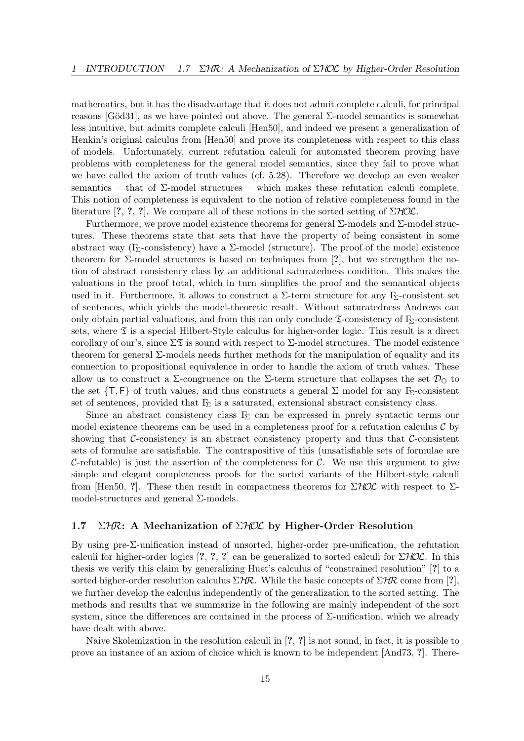mathematics, but it has the disadvantage that it does not admit complete calculi, for principal reasons [Göd31], as we have pointed out above. The general  $\Sigma$ -model semantics is somewhat less intuitive, but admits complete calculi [Hen50], and indeed we present a generalization of Henkin's original calculus from [Hen50] and prove its completeness with respect to this class of models. Unfortunately, current refutation calculi for automated theorem proving have problems with completeness for the general model semantics, since they fail to prove what we have called the axiom of truth values (cf. 5.28). Therefore we develop an even weaker semantics – that of Σ-model structures – which makes these refutation calculi complete. This notion of completeness is equivalent to the notion of relative completeness found in the literature [?, ?, ?]. We compare all of these notions in the sorted setting of  $\Sigma HOL$ .

Furthermore, we prove model existence theorems for general  $\Sigma$ -models and  $\Sigma$ -model structures. These theorems state that sets that have the property of being consistent in some abstract way (Γ<sub>Σ</sub>-consistency) have a  $\Sigma$ -model (structure). The proof of the model existence theorem for  $\Sigma$ -model structures is based on techniques from [?], but we strengthen the notion of abstract consistency class by an additional saturatedness condition. This makes the valuations in the proof total, which in turn simplifies the proof and the semantical objects used in it. Furthermore, it allows to construct a  $\Sigma$ -term structure for any Γ<sub>Σ</sub>-consistent set of sentences, which yields the model-theoretic result. Without saturatedness Andrews can only obtain partial valuations, and from this can only conclude  $\mathfrak{I}$ -consistency of Γ<sub>Σ</sub>-consistent sets, where  $\mathfrak T$  is a special Hilbert-Style calculus for higher-order logic. This result is a direct corollary of our's, since  $\Sigma \mathfrak{X}$  is sound with respect to  $\Sigma$ -model structures. The model existence theorem for general  $\Sigma$ -models needs further methods for the manipulation of equality and its connection to propositional equivalence in order to handle the axiom of truth values. These allow us to construct a  $\Sigma$ -congruence on the  $\Sigma$ -term structure that collapses the set  $\mathcal{D}_{\mathbb{O}}$  to the set  $\{T, F\}$  of truth values, and thus constructs a general  $\Sigma$  model for any  $\Gamma_{\!\Sigma}$ -consistent set of sentences, provided that  $\Gamma_{\!\Sigma}$  is a saturated, extensional abstract consistency class.

Since an abstract consistency class  $\Gamma_{\!\Sigma}$  can be expressed in purely syntactic terms our model existence theorems can be used in a completeness proof for a refutation calculus  $\mathcal C$  by showing that C-consistency is an abstract consistency property and thus that C-consistent sets of formulae are satisfiable. The contrapositive of this (unsatisfiable sets of formulae are C-refutable) is just the assertion of the completeness for  $\mathcal{C}$ . We use this argument to give simple and elegant completeness proofs for the sorted variants of the Hilbert-style calculi from [Hen50, ?]. These then result in compactness theorems for  $\Sigma$ HOL with respect to  $\Sigma$ model-structures and general Σ-models.

## 1.7 ΣΗR: A Mechanization of ΣΗΟΣ by Higher-Order Resolution

By using pre-Σ-unification instead of unsorted, higher-order pre-unification, the refutation calculi for higher-order logics  $[?,?,?]$  can be generalized to sorted calculi for  $\Sigma HOL$ . In this thesis we verify this claim by generalizing Huet's calculus of "constrained resolution" [?] to a sorted higher-order resolution calculus  $\Sigma$ HR. While the basic concepts of  $\Sigma$ HR come from [?], we further develop the calculus independently of the generalization to the sorted setting. The methods and results that we summarize in the following are mainly independent of the sort system, since the differences are contained in the process of  $\Sigma$ -unification, which we already have dealt with above.

Naive Skolemization in the resolution calculi in [?, ?] is not sound, in fact, it is possible to prove an instance of an axiom of choice which is known to be independent [And73, ?]. There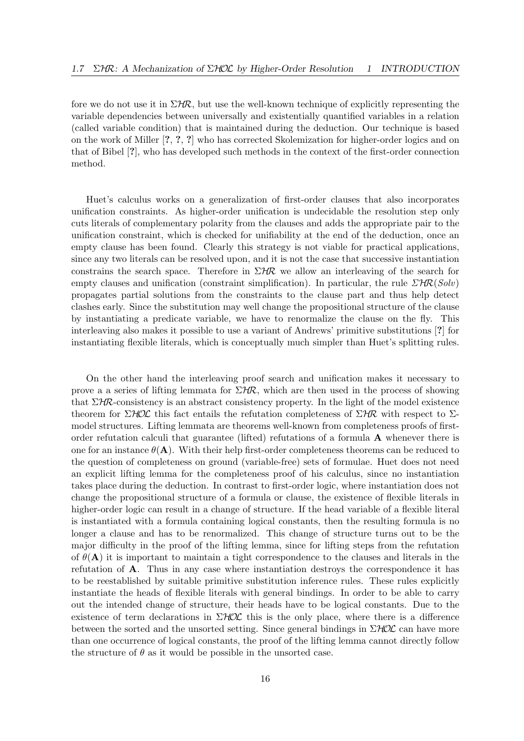fore we do not use it in  $\Sigma H\mathcal{R}$ , but use the well-known technique of explicitly representing the variable dependencies between universally and existentially quantified variables in a relation (called variable condition) that is maintained during the deduction. Our technique is based on the work of Miller [?, ?, ?] who has corrected Skolemization for higher-order logics and on that of Bibel [?], who has developed such methods in the context of the first-order connection method.

Huet's calculus works on a generalization of first-order clauses that also incorporates unification constraints. As higher-order unification is undecidable the resolution step only cuts literals of complementary polarity from the clauses and adds the appropriate pair to the unification constraint, which is checked for unifiability at the end of the deduction, once an empty clause has been found. Clearly this strategy is not viable for practical applications, since any two literals can be resolved upon, and it is not the case that successive instantiation constrains the search space. Therefore in  $\Sigma$ HR we allow an interleaving of the search for empty clauses and unification (constraint simplification). In particular, the rule  $\mathcal{LHR}(Solv)$ propagates partial solutions from the constraints to the clause part and thus help detect clashes early. Since the substitution may well change the propositional structure of the clause by instantiating a predicate variable, we have to renormalize the clause on the fly. This interleaving also makes it possible to use a variant of Andrews' primitive substitutions [?] for instantiating flexible literals, which is conceptually much simpler than Huet's splitting rules.

On the other hand the interleaving proof search and unification makes it necessary to prove a a series of lifting lemmata for  $\Sigma$ HR, which are then used in the process of showing that  $\Sigma H\mathcal{R}$ -consistency is an abstract consistency property. In the light of the model existence theorem for  $\Sigma HOL$  this fact entails the refutation completeness of  $\Sigma HR$  with respect to  $\Sigma$ model structures. Lifting lemmata are theorems well-known from completeness proofs of firstorder refutation calculi that guarantee (lifted) refutations of a formula A whenever there is one for an instance  $\theta(\mathbf{A})$ . With their help first-order completeness theorems can be reduced to the question of completeness on ground (variable-free) sets of formulae. Huet does not need an explicit lifting lemma for the completeness proof of his calculus, since no instantiation takes place during the deduction. In contrast to first-order logic, where instantiation does not change the propositional structure of a formula or clause, the existence of flexible literals in higher-order logic can result in a change of structure. If the head variable of a flexible literal is instantiated with a formula containing logical constants, then the resulting formula is no longer a clause and has to be renormalized. This change of structure turns out to be the major difficulty in the proof of the lifting lemma, since for lifting steps from the refutation of  $\theta(A)$  it is important to maintain a tight correspondence to the clauses and literals in the refutation of A. Thus in any case where instantiation destroys the correspondence it has to be reestablished by suitable primitive substitution inference rules. These rules explicitly instantiate the heads of flexible literals with general bindings. In order to be able to carry out the intended change of structure, their heads have to be logical constants. Due to the existence of term declarations in  $\Sigma HOL$  this is the only place, where there is a difference between the sorted and the unsorted setting. Since general bindings in  $\Sigma HOL$  can have more than one occurrence of logical constants, the proof of the lifting lemma cannot directly follow the structure of  $\theta$  as it would be possible in the unsorted case.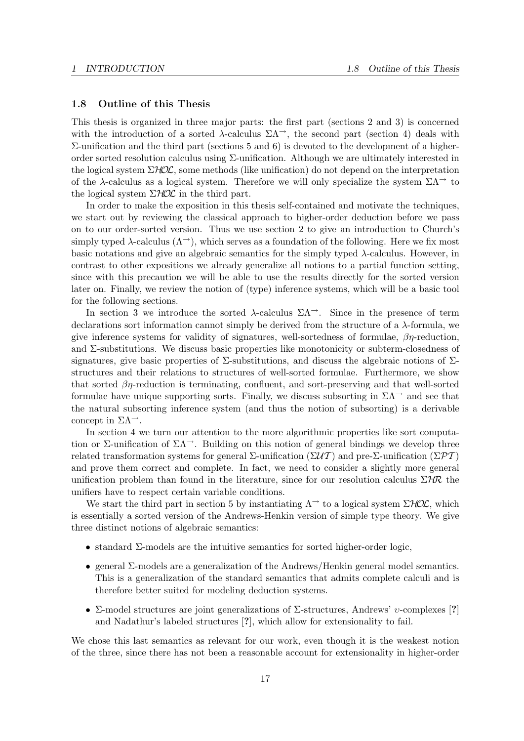### 1.8 Outline of this Thesis

This thesis is organized in three major parts: the first part (sections 2 and 3) is concerned with the introduction of a sorted  $\lambda$ -calculus  $\Sigma\Lambda^{-}$ , the second part (section 4) deals with  $Σ$ -unification and the third part (sections 5 and 6) is devoted to the development of a higherorder sorted resolution calculus using Σ-unification. Although we are ultimately interested in the logical system  $\Sigma HOL$ , some methods (like unification) do not depend on the interpretation of the  $\lambda$ -calculus as a logical system. Therefore we will only specialize the system  $\Sigma\Lambda$ <sup> $\rightarrow$ </sup> to the logical system  $\Sigma HOL$  in the third part.

In order to make the exposition in this thesis self-contained and motivate the techniques, we start out by reviewing the classical approach to higher-order deduction before we pass on to our order-sorted version. Thus we use section 2 to give an introduction to Church's simply typed  $\lambda$ -calculus  $(\Lambda^{\rightarrow})$ , which serves as a foundation of the following. Here we fix most basic notations and give an algebraic semantics for the simply typed  $\lambda$ -calculus. However, in contrast to other expositions we already generalize all notions to a partial function setting, since with this precaution we will be able to use the results directly for the sorted version later on. Finally, we review the notion of (type) inference systems, which will be a basic tool for the following sections.

In section 3 we introduce the sorted  $\lambda$ -calculus  $\Sigma\Lambda$ <sup>- $\lambda$ </sup>. Since in the presence of term declarations sort information cannot simply be derived from the structure of a λ-formula, we give inference systems for validity of signatures, well-sortedness of formulae,  $\beta\eta$ -reduction, and  $\Sigma$ -substitutions. We discuss basic properties like monotonicity or subterm-closedness of signatures, give basic properties of  $\Sigma$ -substitutions, and discuss the algebraic notions of  $\Sigma$ structures and their relations to structures of well-sorted formulae. Furthermore, we show that sorted  $\beta\eta$ -reduction is terminating, confluent, and sort-preserving and that well-sorted formulae have unique supporting sorts. Finally, we discuss subsorting in  $\Sigma\Lambda^{\rightarrow}$  and see that the natural subsorting inference system (and thus the notion of subsorting) is a derivable concept in  $\Sigma \Lambda^{-1}$ .

In section 4 we turn our attention to the more algorithmic properties like sort computation or Σ-unification of  $\Sigma\Lambda^{-}$ . Building on this notion of general bindings we develop three related transformation systems for general Σ-unification (Σ $\mathcal{U}\mathcal{T}$ ) and pre-Σ-unification (Σ $\mathcal{PT}$ ) and prove them correct and complete. In fact, we need to consider a slightly more general unification problem than found in the literature, since for our resolution calculus  $\Sigma H\mathcal{R}$  the unifiers have to respect certain variable conditions.

We start the third part in section 5 by instantiating  $\Lambda^{-}$  to a logical system  $\Sigma HOL$ , which is essentially a sorted version of the Andrews-Henkin version of simple type theory. We give three distinct notions of algebraic semantics:

- standard  $\Sigma$ -models are the intuitive semantics for sorted higher-order logic,
- general Σ-models are a generalization of the Andrews/Henkin general model semantics. This is a generalization of the standard semantics that admits complete calculi and is therefore better suited for modeling deduction systems.
- Σ-model structures are joint generalizations of  $\Sigma$ -structures, Andrews' *v*-complexes [?] and Nadathur's labeled structures [?], which allow for extensionality to fail.

We chose this last semantics as relevant for our work, even though it is the weakest notion of the three, since there has not been a reasonable account for extensionality in higher-order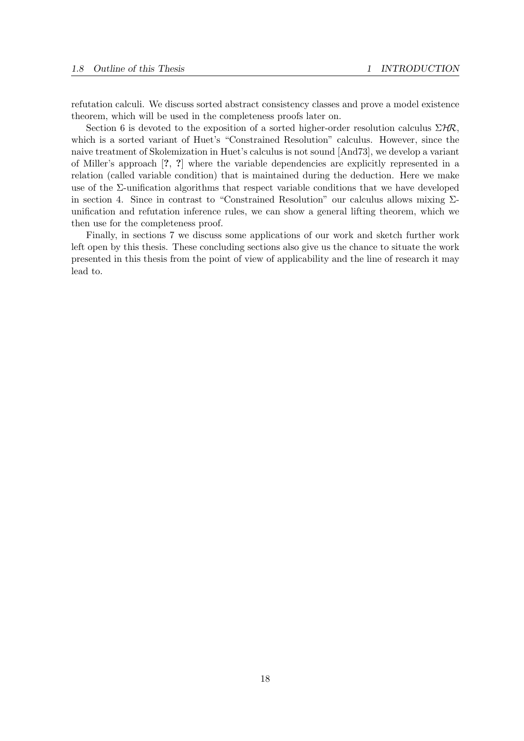refutation calculi. We discuss sorted abstract consistency classes and prove a model existence theorem, which will be used in the completeness proofs later on.

Section 6 is devoted to the exposition of a sorted higher-order resolution calculus  $\Sigma$ HR, which is a sorted variant of Huet's "Constrained Resolution" calculus. However, since the naive treatment of Skolemization in Huet's calculus is not sound [And73], we develop a variant of Miller's approach [?, ?] where the variable dependencies are explicitly represented in a relation (called variable condition) that is maintained during the deduction. Here we make use of the  $\Sigma$ -unification algorithms that respect variable conditions that we have developed in section 4. Since in contrast to "Constrained Resolution" our calculus allows mixing  $\Sigma$ unification and refutation inference rules, we can show a general lifting theorem, which we then use for the completeness proof.

Finally, in sections 7 we discuss some applications of our work and sketch further work left open by this thesis. These concluding sections also give us the chance to situate the work presented in this thesis from the point of view of applicability and the line of research it may lead to.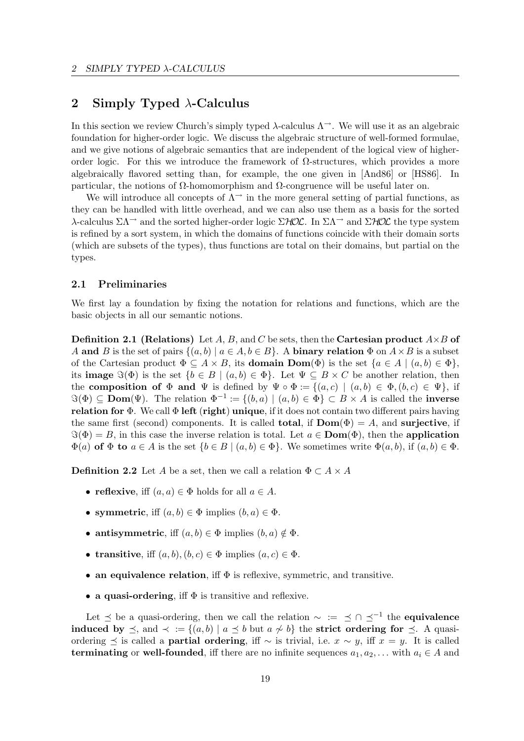## 2 Simply Typed  $\lambda$ -Calculus

In this section we review Church's simply typed  $\lambda$ -calculus  $\Lambda^{\rightarrow}$ . We will use it as an algebraic foundation for higher-order logic. We discuss the algebraic structure of well-formed formulae, and we give notions of algebraic semantics that are independent of the logical view of higherorder logic. For this we introduce the framework of Ω-structures, which provides a more algebraically flavored setting than, for example, the one given in [And86] or [HS86]. In particular, the notions of Ω-homomorphism and Ω-congruence will be useful later on.

We will introduce all concepts of  $\Lambda^{\rightarrow}$  in the more general setting of partial functions, as they can be handled with little overhead, and we can also use them as a basis for the sorted λ-calculus  $\Sigma\Lambda$ <sup>→</sup> and the sorted higher-order logic  $\Sigma$ *HOL*. In  $\Sigma\Lambda$ <sup>→</sup> and  $\Sigma$ *HOL* the type system is refined by a sort system, in which the domains of functions coincide with their domain sorts (which are subsets of the types), thus functions are total on their domains, but partial on the types.

## 2.1 Preliminaries

We first lay a foundation by fixing the notation for relations and functions, which are the basic objects in all our semantic notions.

**Definition 2.1 (Relations)** Let A, B, and C be sets, then the Cartesian product  $A \times B$  of A and B is the set of pairs  $\{(a, b) | a \in A, b \in B\}$ . A binary relation  $\Phi$  on  $A \times B$  is a subset of the Cartesian product  $\Phi \subseteq A \times B$ , its **domain Dom**( $\Phi$ ) is the set  $\{a \in A \mid (a, b) \in \Phi\}$ , its **image**  $\Im(\Phi)$  is the set  $\{b \in B \mid (a, b) \in \Phi\}$ . Let  $\Psi \subseteq B \times C$  be another relation, then the composition of  $\Phi$  and  $\Psi$  is defined by  $\Psi \circ \Phi := \{(a, c) \mid (a, b) \in \Phi, (b, c) \in \Psi\}$ , if  $\Im(\Phi) \subseteq \textbf{Dom}(\Psi)$ . The relation  $\Phi^{-1} := \{(b, a) \mid (a, b) \in \Phi\} \subset B \times A$  is called the **inverse** relation for  $\Phi$ . We call  $\Phi$  left (right) unique, if it does not contain two different pairs having the same first (second) components. It is called **total**, if  $\text{Dom}(\Phi) = A$ , and surjective, if  $\Im(\Phi) = B$ , in this case the inverse relation is total. Let  $a \in \text{Dom}(\Phi)$ , then the application  $\Phi(a)$  of  $\Phi$  to  $a \in A$  is the set  $\{b \in B \mid (a, b) \in \Phi\}$ . We sometimes write  $\Phi(a, b)$ , if  $(a, b) \in \Phi$ .

**Definition 2.2** Let A be a set, then we call a relation  $\Phi \subset A \times A$ 

- reflexive, iff  $(a, a) \in \Phi$  holds for all  $a \in A$ .
- symmetric, iff  $(a, b) \in \Phi$  implies  $(b, a) \in \Phi$ .
- antisymmetric, iff  $(a, b) \in \Phi$  implies  $(b, a) \notin \Phi$ .
- transitive, iff  $(a, b), (b, c) \in \Phi$  implies  $(a, c) \in \Phi$ .
- an equivalence relation, iff  $\Phi$  is reflexive, symmetric, and transitive.
- a quasi-ordering, iff  $\Phi$  is transitive and reflexive.

Let  $\leq$  be a quasi-ordering, then we call the relation  $\sim$  :=  $\leq$  ∩  $\leq^{-1}$  the **equivalence** induced by  $\preceq$ , and  $\prec := \{(a, b) | a \preceq b \text{ but } a \not\sim b\}$  the strict ordering for  $\preceq$ . A quasiordering  $\leq$  is called a **partial ordering**, iff  $\sim$  is trivial, i.e.  $x \sim y$ , iff  $x = y$ . It is called terminating or well-founded, iff there are no infinite sequences  $a_1, a_2, \ldots$  with  $a_i \in A$  and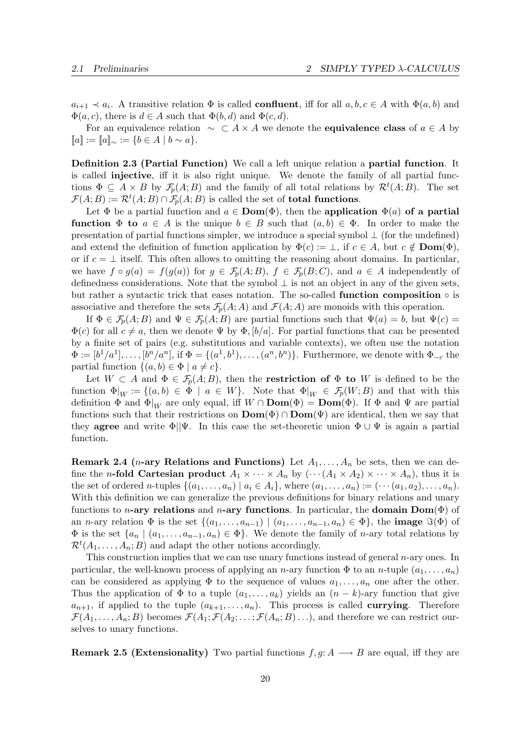$a_{i+1} \prec a_i$ . A transitive relation  $\Phi$  is called **confluent**, iff for all  $a, b, c \in A$  with  $\Phi(a, b)$  and  $\Phi(a, c)$ , there is  $d \in A$  such that  $\Phi(b, d)$  and  $\Phi(c, d)$ .

For an equivalence relation  $\sim \subset A \times A$  we denote the **equivalence class** of  $a \in A$  by  $[a] := [a]_{\sim} := \{b \in A \mid b \sim a\}.$ 

Definition 2.3 (Partial Function) We call a left unique relation a partial function. It is called injective, iff it is also right unique. We denote the family of all partial functions  $\Phi \subseteq A \times B$  by  $\mathcal{F}_p(A;B)$  and the family of all total relations by  $\mathcal{R}^t(A;B)$ . The set  $\mathcal{F}(A;B) := \mathcal{R}^t(A;B) \cap \mathcal{F}_p(A;B)$  is called the set of **total functions**.

Let  $\Phi$  be a partial function and  $a \in \text{Dom}(\Phi)$ , then the application  $\Phi(a)$  of a partial **function**  $\Phi$  to  $a \in A$  is the unique  $b \in B$  such that  $(a, b) \in \Phi$ . In order to make the presentation of partial functions simpler, we introduce a special symbol ⊥ (for the undefined) and extend the definition of function application by  $\Phi(c) := \bot$ , if  $c \in A$ , but  $c \notin \textbf{Dom}(\Phi)$ , or if  $c = \perp$  itself. This often allows to omitting the reasoning about domains. In particular, we have  $f \circ g(a) = f(g(a))$  for  $g \in \mathcal{F}_p(A;B)$ ,  $f \in \mathcal{F}_p(B;C)$ , and  $a \in A$  independently of definedness considerations. Note that the symbol  $\perp$  is not an object in any of the given sets, but rather a syntactic trick that eases notation. The so-called function composition  $\circ$  is associative and therefore the sets  $\mathcal{F}_p(A; A)$  and  $\mathcal{F}(A; A)$  are monoids with this operation.

If  $\Phi \in \mathcal{F}_p(A;B)$  and  $\Psi \in \mathcal{F}_p(A;B)$  are partial functions such that  $\Psi(a) = b$ , but  $\Psi(c) =$  $\Phi(c)$  for all  $c \neq a$ , then we denote  $\Psi$  by  $\Phi$ ,  $[b/a]$ . For partial functions that can be presented by a finite set of pairs (e.g. substitutions and variable contexts), we often use the notation  $\Phi := [b^1/a^1], \ldots, [b^n/a^n],$  if  $\Phi = \{(a^1, b^1), \ldots, (a^n, b^n)\}.$  Furthermore, we denote with  $\Phi_{-c}$  the partial function  $\{(a, b) \in \Phi \mid a \neq c\}.$ 

Let  $W \subset A$  and  $\Phi \in \mathcal{F}_p(A;B)$ , then the **restriction of**  $\Phi$  to W is defined to be the function  $\Phi|_W := \{(a, b) \in \Phi \mid a \in W\}$ . Note that  $\Phi|_W \in \mathcal{F}_p(W; B)$  and that with this definition  $\Phi$  and  $\Phi|_W$  are only equal, iff  $W \cap \textbf{Dom}(\Phi) = \textbf{Dom}(\Phi)$ . If  $\Phi$  and  $\Psi$  are partial functions such that their restrictions on  $\text{Dom}(\Phi) \cap \text{Dom}(\Psi)$  are identical, then we say that they **agree** and write  $\Phi||\Psi$ . In this case the set-theoretic union  $\Phi \cup \Psi$  is again a partial function.

**Remark 2.4** (*n*-ary Relations and Functions) Let  $A_1, \ldots, A_n$  be sets, then we can define the *n*-fold Cartesian product  $A_1 \times \cdots \times A_n$  by  $(\cdots (A_1 \times A_2) \times \cdots \times A_n)$ , thus it is the set of ordered n-tuples  $\{(a_1, \ldots, a_n) \mid a_i \in A_i\}$ , where  $(a_1, \ldots, a_n) := (\cdots (a_1, a_2), \ldots, a_n).$ With this definition we can generalize the previous definitions for binary relations and unary functions to *n*-ary relations and *n*-ary functions. In particular, the domain Dom( $\Phi$ ) of an *n*-ary relation  $\Phi$  is the set  $\{(a_1, \ldots, a_{n-1}) \mid (a_1, \ldots, a_{n-1}, a_n) \in \Phi\}$ , the **image**  $\Im(\Phi)$  of  $\Phi$  is the set  $\{a_n \mid (a_1, \ldots, a_{n-1}, a_n) \in \Phi\}$ . We denote the family of *n*-ary total relations by  $\mathcal{R}^t(A_1,\ldots,A_n;B)$  and adapt the other notions accordingly.

This construction implies that we can use unary functions instead of general n-ary ones. In particular, the well-known process of applying an n-ary function  $\Phi$  to an n-tuple  $(a_1, \ldots, a_n)$ can be considered as applying  $\Phi$  to the sequence of values  $a_1, \ldots, a_n$  one after the other. Thus the application of  $\Phi$  to a tuple  $(a_1, \ldots, a_k)$  yields an  $(n-k)$ -ary function that give  $a_{n+1}$ , if applied to the tuple  $(a_{k+1}, \ldots, a_n)$ . This process is called **currying**. Therefore  $\mathcal{F}(A_1,\ldots,A_n;B)$  becomes  $\mathcal{F}(A_1;\mathcal{F}(A_2;\ldots;\mathcal{F}(A_n;B)\ldots)$ , and therefore we can restrict ourselves to unary functions.

**Remark 2.5 (Extensionality)** Two partial functions  $f, g: A \longrightarrow B$  are equal, iff they are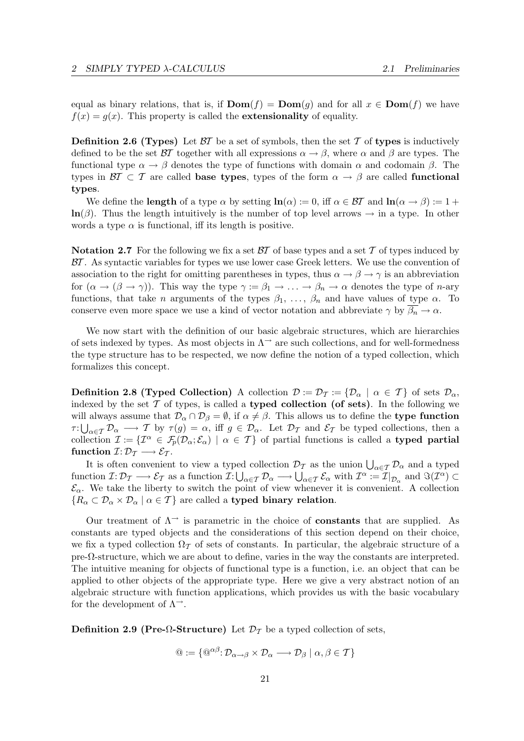equal as binary relations, that is, if  $\text{Dom}(f) = \text{Dom}(q)$  and for all  $x \in \text{Dom}(f)$  we have  $f(x) = g(x)$ . This property is called the **extensionality** of equality.

**Definition 2.6 (Types)** Let  $\beta T$  be a set of symbols, then the set T of types is inductively defined to be the set  $\beta\mathcal{T}$  together with all expressions  $\alpha \rightarrow \beta$ , where  $\alpha$  and  $\beta$  are types. The functional type  $\alpha \to \beta$  denotes the type of functions with domain  $\alpha$  and codomain  $\beta$ . The types in  $\mathcal{B}I \subset \mathcal{T}$  are called **base types**, types of the form  $\alpha \to \beta$  are called **functional** types.

We define the **length** of a type  $\alpha$  by setting  $\ln(\alpha) := 0$ , iff  $\alpha \in \mathcal{BT}$  and  $\ln(\alpha \to \beta) := 1 + \alpha$  $\ln(\beta)$ . Thus the length intuitively is the number of top level arrows  $\rightarrow$  in a type. In other words a type  $\alpha$  is functional, iff its length is positive.

**Notation 2.7** For the following we fix a set  $\beta\mathcal{T}$  of base types and a set  $\mathcal{T}$  of types induced by  $\beta\mathcal{T}$ . As syntactic variables for types we use lower case Greek letters. We use the convention of association to the right for omitting parentheses in types, thus  $\alpha \to \beta \to \gamma$  is an abbreviation for  $(\alpha \to (\beta \to \gamma))$ . This way the type  $\gamma := \beta_1 \to \ldots \to \beta_n \to \alpha$  denotes the type of *n*-ary functions, that take *n* arguments of the types  $\beta_1, \ldots, \beta_n$  and have values of type  $\alpha$ . To conserve even more space we use a kind of vector notation and abbreviate  $\gamma$  by  $\beta_n \to \alpha$ .

We now start with the definition of our basic algebraic structures, which are hierarchies of sets indexed by types. As most objects in  $\Lambda^{\rightarrow}$  are such collections, and for well-formedness the type structure has to be respected, we now define the notion of a typed collection, which formalizes this concept.

**Definition 2.8 (Typed Collection)** A collection  $\mathcal{D} := \mathcal{D}_{\mathcal{T}} := {\mathcal{D}_{\alpha} \mid \alpha \in \mathcal{T}}$  of sets  $\mathcal{D}_{\alpha}$ , indexed by the set  $\mathcal T$  of types, is called a **typed collection (of sets)**. In the following we will always assume that  $\mathcal{D}_{\alpha} \cap \mathcal{D}_{\beta} = \emptyset$ , if  $\alpha \neq \beta$ . This allows us to define the type function  $\tau: \bigcup_{\alpha \in \mathcal{T}} \mathcal{D}_{\alpha} \longrightarrow \mathcal{T}$  by  $\tau(g) = \alpha$ , iff  $g \in \mathcal{D}_{\alpha}$ . Let  $\mathcal{D}_{\mathcal{T}}$  and  $\mathcal{E}_{\mathcal{T}}$  be typed collections, then a collection  $\mathcal{I} := \{ \mathcal{I}^{\alpha} \in \mathcal{F}_p(\mathcal{D}_{\alpha}; \mathcal{E}_{\alpha}) \mid \alpha \in \mathcal{T} \}$  of partial functions is called a typed partial function  $\mathcal{I}: \mathcal{D}_{\mathcal{T}} \longrightarrow \mathcal{E}_{\mathcal{T}}$ .

It is often convenient to view a typed collection  $\mathcal{D}_{\mathcal{T}}$  as the union  $\bigcup_{\alpha \in \mathcal{T}} \mathcal{D}_{\alpha}$  and a typed function  $\mathcal{I}: \mathcal{D}_{\mathcal{T}} \longrightarrow \mathcal{E}_{\mathcal{T}}$  as a function  $\mathcal{I}: \bigcup_{\alpha \in \mathcal{T}} \mathcal{D}_{\alpha} \longrightarrow \bigcup_{\alpha \in \mathcal{T}} \mathcal{E}_{\alpha}$  with  $\mathcal{I}^{\alpha} := \mathcal{I}|_{\mathcal{D}_{\alpha}}$  and  $\Im(\mathcal{I}^{\alpha}) \subset$  $\mathcal{E}_{\alpha}$ . We take the liberty to switch the point of view whenever it is convenient. A collection  ${R_{\alpha} \subset \mathcal{D}_{\alpha} \times \mathcal{D}_{\alpha} \mid \alpha \in \mathcal{T}}$  are called a typed binary relation.

Our treatment of  $\Lambda^{\rightarrow}$  is parametric in the choice of **constants** that are supplied. As constants are typed objects and the considerations of this section depend on their choice, we fix a typed collection  $\Omega_{\mathcal{T}}$  of sets of constants. In particular, the algebraic structure of a  $pre-\Omega$ -structure, which we are about to define, varies in the way the constants are interpreted. The intuitive meaning for objects of functional type is a function, i.e. an object that can be applied to other objects of the appropriate type. Here we give a very abstract notion of an algebraic structure with function applications, which provides us with the basic vocabulary for the development of  $\Lambda^{\rightarrow}$ .

Definition 2.9 (Pre- $\Omega$ -Structure) Let  $\mathcal{D}_{\mathcal{T}}$  be a typed collection of sets,

$$
\mathbf{Q} := \{ \mathbf{Q}^{\alpha\beta} \colon \mathcal{D}_{\alpha \to \beta} \times \mathcal{D}_{\alpha} \longrightarrow \mathcal{D}_{\beta} \mid \alpha, \beta \in \mathcal{T} \}
$$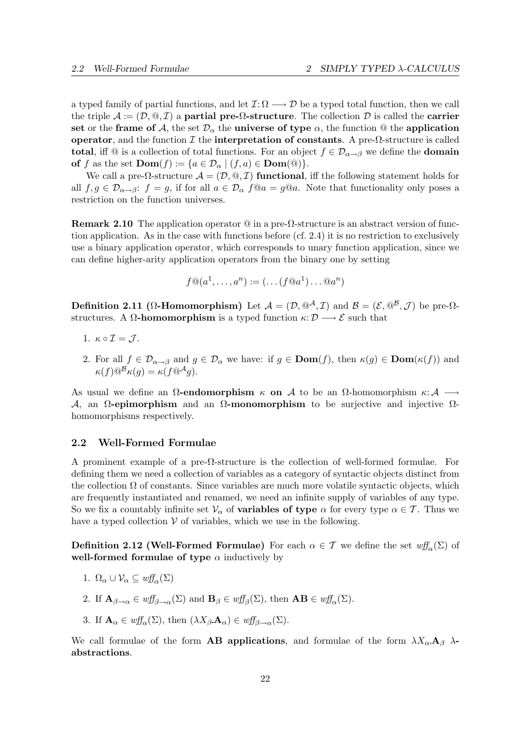a typed family of partial functions, and let  $\mathcal{I}: \Omega \longrightarrow \mathcal{D}$  be a typed total function, then we call the triple  $\mathcal{A} := (\mathcal{D}, \mathcal{Q}, \mathcal{I})$  a partial pre- $\Omega$ -structure. The collection  $\mathcal{D}$  is called the carrier set or the frame of A, the set  $\mathcal{D}_{\alpha}$  the universe of type  $\alpha$ , the function @ the application operator, and the function  $\mathcal I$  the interpretation of constants. A pre- $\Omega$ -structure is called total, iff  $\mathbb{Q}$  is a collection of total functions. For an object  $f \in \mathcal{D}_{\alpha \to \beta}$  we define the **domain** of f as the set  $\text{Dom}(f) := \{a \in \mathcal{D}_{\alpha} \mid (f, a) \in \text{Dom}(\mathbb{Q})\}.$ 

We call a pre- $\Omega$ -structure  $\mathcal{A} = (\mathcal{D}, \mathbb{Q}, \mathcal{I})$  functional, iff the following statement holds for all  $f, g \in \mathcal{D}_{\alpha \to \beta}$ :  $f = g$ , if for all  $a \in \mathcal{D}_{\alpha}$   $f @ a = g @ a$ . Note that functionality only poses a restriction on the function universes.

**Remark 2.10** The application operator  $\mathcal{Q}$  in a pre- $\Omega$ -structure is an abstract version of function application. As in the case with functions before (cf. 2.4) it is no restriction to exclusively use a binary application operator, which corresponds to unary function application, since we can define higher-arity application operators from the binary one by setting

$$
f \mathbb{Q}(a^1, \dots, a^n) := (\dots (f \mathbb{Q}a^1) \dots \mathbb{Q}a^n)
$$

Definition 2.11 ( $\Omega$ -Homomorphism) Let  $\mathcal{A} = (\mathcal{D}, \mathbb{Q}^{\mathcal{A}}, \mathcal{I})$  and  $\mathcal{B} = (\mathcal{E}, \mathbb{Q}^{\mathcal{B}}, \mathcal{J})$  be pre- $\Omega$ structures. A  $\Omega$ -homomorphism is a typed function  $\kappa: \mathcal{D} \longrightarrow \mathcal{E}$  such that

- 1.  $\kappa \circ \mathcal{I} = \mathcal{J}$ .
- 2. For all  $f \in \mathcal{D}_{\alpha \to \beta}$  and  $g \in \mathcal{D}_{\alpha}$  we have: if  $g \in \text{Dom}(f)$ , then  $\kappa(g) \in \text{Dom}(\kappa(f))$  and  $\kappa(f) \mathbb{Q}^{\mathcal{B}} \kappa(q) = \kappa(f \mathbb{Q}^{\mathcal{A}} q).$

As usual we define an  $\Omega$ -endomorphism  $\kappa$  on A to be an  $\Omega$ -homomorphism  $\kappa : A \longrightarrow$  $\mathcal{A}$ , an Ω-epimorphism and an Ω-monomorphism to be surjective and injective  $\Omega$ homomorphisms respectively.

#### 2.2 Well-Formed Formulae

A prominent example of a pre-Ω-structure is the collection of well-formed formulae. For defining them we need a collection of variables as a category of syntactic objects distinct from the collection  $\Omega$  of constants. Since variables are much more volatile syntactic objects, which are frequently instantiated and renamed, we need an infinite supply of variables of any type. So we fix a countably infinite set  $\mathcal{V}_{\alpha}$  of **variables of type**  $\alpha$  for every type  $\alpha \in \mathcal{T}$ . Thus we have a typed collection  $V$  of variables, which we use in the following.

**Definition 2.12 (Well-Formed Formulae)** For each  $\alpha \in \mathcal{T}$  we define the set  $\text{wff}_{\alpha}(\Sigma)$  of well-formed formulae of type  $\alpha$  inductively by

- 1.  $\Omega_{\alpha} \cup \mathcal{V}_{\alpha} \subseteq \omega f f_{\alpha}(\Sigma)$
- 2. If  $\mathbf{A}_{\beta\to\alpha}\in \mathit{wff}_{\beta\to\alpha}(\Sigma)$  and  $\mathbf{B}_{\beta}\in \mathit{wff}_{\beta}(\Sigma)$ , then  $\mathbf{AB}\in \mathit{wff}_{\alpha}(\Sigma)$ .
- 3. If  $\mathbf{A}_{\alpha} \in \mathit{wff}_{\alpha}(\Sigma)$ , then  $(\lambda X_{\beta} \mathbf{A}_{\alpha}) \in \mathit{wff}_{\beta \rightarrow \alpha}(\Sigma)$ .

We call formulae of the form **AB applications**, and formulae of the form  $\lambda X_{\alpha} \mathbf{A}_{\beta} \lambda$ abstractions.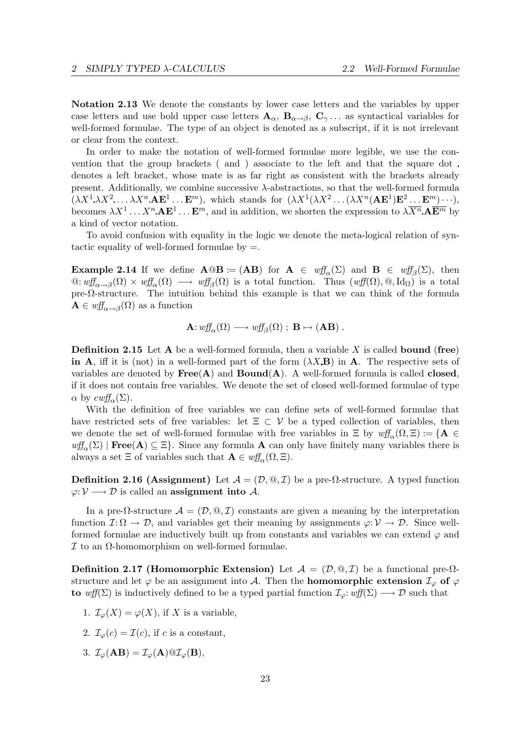Notation 2.13 We denote the constants by lower case letters and the variables by upper case letters and use bold upper case letters  $A_{\alpha}$ ,  $B_{\alpha\rightarrow\beta}$ ,  $C_{\gamma}$ ... as syntactical variables for well-formed formulae. The type of an object is denoted as a subscript, if it is not irrelevant or clear from the context.

In order to make the notation of well-formed formulae more legible, we use the convention that the group brackets ( and ) associate to the left and that the square dot denotes a left bracket, whose mate is as far right as consistent with the brackets already present. Additionally, we combine successive  $\lambda$ -abstractions, so that the well-formed formula  $(\lambda X^1 \lambda X^2 \ldots \lambda X^n A \mathbf{E}^1 \ldots \mathbf{E}^m)$ , which stands for  $(\lambda X^1 (\lambda X^2 \ldots (\lambda X^n (A \mathbf{E}^1) \mathbf{E}^2 \ldots \mathbf{E}^m) \cdots)$ , becomes  $\lambda X^1 \ldots X^n$ .  $\mathbf{AE}^1 \ldots \mathbf{E}^m$ , and in addition, we shorten the expression to  $\lambda \overline{X^n}$ .  $\mathbf{A} \overline{\mathbf{E}^m}$  by a kind of vector notation.

To avoid confusion with equality in the logic we denote the meta-logical relation of syntactic equality of well-formed formulae by  $=$ .

**Example 2.14** If we define  $\mathbf{A} @ \mathbf{B} := (\mathbf{A}\mathbf{B})$  for  $\mathbf{A} \in \text{wf}_{\alpha}(\Sigma)$  and  $\mathbf{B} \in \text{wf}_{\beta}(\Sigma)$ , then  $\mathcal{Q}: \text{wff}_{\alpha \to \beta}(\Omega) \times \text{wff}_{\alpha}(\Omega) \longrightarrow \text{wff}_{\beta}(\Omega)$  is a total function. Thus  $(\text{wff}(\Omega), \mathcal{Q}, \text{Id}_{\Omega})$  is a total pre- $\Omega$ -structure. The intuition behind this example is that we can think of the formula  $\mathbf{A} \in \textit{wff}_{\alpha \to \beta}(\Omega)$  as a function

$$
\mathbf{A}: w\!f\!f_{\alpha}(\Omega) \longrightarrow w\!f\!f_{\beta}(\Omega) ; \mathbf{B} \mapsto (\mathbf{A}\mathbf{B}) .
$$

**Definition 2.15** Let  $A$  be a well-formed formula, then a variable X is called **bound** (free) in A, iff it is (not) in a well-formed part of the form  $(\lambda X \mathbf{B})$  in A. The respective sets of variables are denoted by  $Free(A)$  and  $Bound(A)$ . A well-formed formula is called **closed**, if it does not contain free variables. We denote the set of closed well-formed formulae of type  $\alpha$  by  $\mathit{c wff}_{\alpha}(\Sigma)$ .

With the definition of free variables we can define sets of well-formed formulae that have restricted sets of free variables: let  $\Xi \subset V$  be a typed collection of variables, then we denote the set of well-formed formulae with free variables in  $\Xi$  by  $\mathit{wff}_{\alpha}(\Omega,\Xi) := \{A \in$  $wff_\alpha(\Sigma)$  | Free(A)  $\subseteq \Xi$ . Since any formula A can only have finitely many variables there is always a set  $\Xi$  of variables such that  $\mathbf{A} \in \text{wff}_{\alpha}(\Omega, \Xi)$ .

**Definition 2.16 (Assignment)** Let  $\mathcal{A} = (\mathcal{D}, \mathbb{Q}, \mathcal{I})$  be a pre- $\Omega$ -structure. A typed function  $\varphi: \mathcal{V} \longrightarrow \mathcal{D}$  is called an **assignment into** A.

In a pre- $\Omega$ -structure  $\mathcal{A} = (\mathcal{D}, \mathbb{Q}, \mathcal{I})$  constants are given a meaning by the interpretation function  $\mathcal{I}: \Omega \to \mathcal{D}$ , and variables get their meaning by assignments  $\varphi: \mathcal{V} \to \mathcal{D}$ . Since wellformed formulae are inductively built up from constants and variables we can extend  $\varphi$  and I to an Ω-homomorphism on well-formed formulae.

Definition 2.17 (Homomorphic Extension) Let  $\mathcal{A} = (\mathcal{D}, \mathbb{Q}, \mathcal{I})$  be a functional pre- $\Omega$ structure and let  $\varphi$  be an assignment into A. Then the **homomorphic extension**  $\mathcal{I}_{\varphi}$  of  $\varphi$ to wff(Σ) is inductively defined to be a typed partial function  $\mathcal{I}_{\varphi}: \omega f f(\Sigma) \longrightarrow \mathcal{D}$  such that

- 1.  $\mathcal{I}_{\varphi}(X) = \varphi(X)$ , if X is a variable,
- 2.  $\mathcal{I}_{\varphi}(c) = \mathcal{I}(c)$ , if c is a constant,
- 3.  $\mathcal{I}_{\varphi}(\mathbf{AB}) = \mathcal{I}_{\varphi}(\mathbf{A}) \mathbf{Q} \mathcal{I}_{\varphi}(\mathbf{B}),$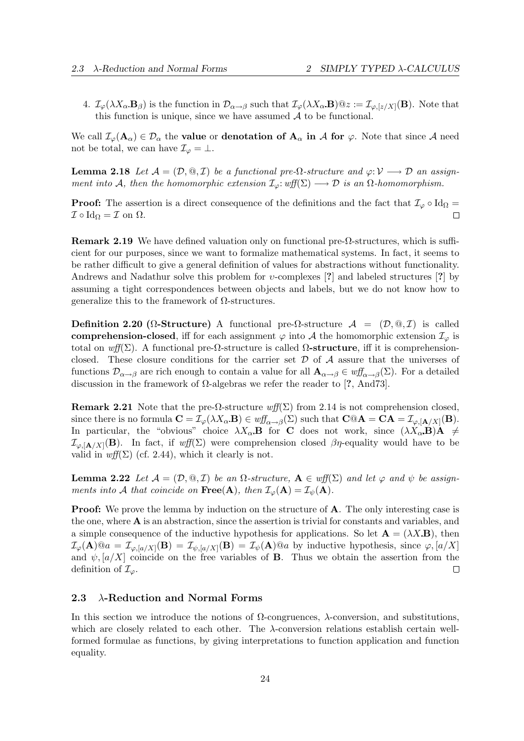4.  $\mathcal{I}_{\varphi}(\lambda X_{\alpha} \mathbf{B}_{\beta})$  is the function in  $\mathcal{D}_{\alpha \to \beta}$  such that  $\mathcal{I}_{\varphi}(\lambda X_{\alpha} \mathbf{B}) @z := \mathcal{I}_{\varphi, [z/X]}(\mathbf{B})$ . Note that this function is unique, since we have assumed  $A$  to be functional.

We call  $\mathcal{I}_{\varphi}(\mathbf{A}_{\alpha}) \in \mathcal{D}_{\alpha}$  the **value** or **denotation of**  $\mathbf{A}_{\alpha}$  **in A for**  $\varphi$ . Note that since A need not be total, we can have  $\mathcal{I}_{\varphi} = \bot$ .

**Lemma 2.18** Let  $\mathcal{A} = (\mathcal{D}, \mathbb{Q}, \mathcal{I})$  be a functional pre- $\Omega$ -structure and  $\varphi: \mathcal{V} \longrightarrow \mathcal{D}$  an assignment into A, then the homomorphic extension  $\mathcal{I}_{\varphi}: \text{wff}(\Sigma) \longrightarrow \mathcal{D}$  is an  $\Omega$ -homomorphism.

**Proof:** The assertion is a direct consequence of the definitions and the fact that  $\mathcal{I}_{\varphi} \circ \text{Id}_{\Omega} =$  $\mathcal{I} \circ \mathrm{Id}_{\Omega} = \mathcal{I}$  on  $\Omega$ .  $\Box$ 

**Remark 2.19** We have defined valuation only on functional pre- $\Omega$ -structures, which is sufficient for our purposes, since we want to formalize mathematical systems. In fact, it seems to be rather difficult to give a general definition of values for abstractions without functionality. Andrews and Nadathur solve this problem for  $v$ -complexes [?] and labeled structures [?] by assuming a tight correspondences between objects and labels, but we do not know how to generalize this to the framework of Ω-structures.

Definition 2.20 ( $\Omega$ -Structure) A functional pre- $\Omega$ -structure  $\mathcal{A} = (\mathcal{D}, \mathcal{Q}, \mathcal{I})$  is called comprehension-closed, iff for each assignment  $\varphi$  into A the homomorphic extension  $\mathcal{I}_{\varphi}$  is total on wff(Σ). A functional pre- $\Omega$ -structure is called  $\Omega$ -structure, iff it is comprehensionclosed. These closure conditions for the carrier set  $\mathcal D$  of  $\mathcal A$  assure that the universes of functions  $\mathcal{D}_{\alpha\to\beta}$  are rich enough to contain a value for all  $\mathbf{A}_{\alpha\to\beta}\in \omega f_{\alpha\to\beta}(\Sigma)$ . For a detailed discussion in the framework of Ω-algebras we refer the reader to [?, And73].

**Remark 2.21** Note that the pre- $\Omega$ -structure wff( $\Sigma$ ) from 2.14 is not comprehension closed, since there is no formula  $\mathbf{C} = \mathcal{I}_{\varphi}(\lambda X_{\alpha} \mathbf{B}) \in \mathit{wff}_{\alpha \to \beta}(\Sigma)$  such that  $\mathbf{C} @ \mathbf{A} = \mathbf{C} \mathbf{A} = \mathcal{I}_{\varphi, [\mathbf{A}/X]}(\mathbf{B}).$ In particular, the "obvious" choice  $\lambda X_{\alpha} \mathbf{B}$  for **C** does not work, since  $(\lambda X_{\alpha} \mathbf{B})\mathbf{A} \neq$  $\mathcal{I}_{\varphi,\mathbf{[A/X]}}(\mathbf{B})$ . In fact, if  $\mathit{wff}(\Sigma)$  were comprehension closed  $\beta\eta$ -equality would have to be valid in  $\mathit{wff}(\Sigma)$  (cf. 2.44), which it clearly is not.

**Lemma 2.22** Let  $\mathcal{A} = (\mathcal{D}, \mathbb{Q}, \mathcal{I})$  be an  $\Omega$ -structure,  $\mathbf{A} \in \mathit{wff}(\Sigma)$  and let  $\varphi$  and  $\psi$  be assignments into A that coincide on  $\text{Free}(A)$ , then  $\mathcal{I}_{\varphi}(A) = \mathcal{I}_{\psi}(A)$ .

**Proof:** We prove the lemma by induction on the structure of **A**. The only interesting case is the one, where  $\bf{A}$  is an abstraction, since the assertion is trivial for constants and variables, and a simple consequence of the inductive hypothesis for applications. So let  $\mathbf{A} = (\lambda X \mathbf{B})$ , then  $\mathcal{I}_{\varphi}(\mathbf{A}) @ a = \mathcal{I}_{\varphi,[a/X]}(\mathbf{B}) = \mathcal{I}_{\psi,[a/X]}(\mathbf{B}) = \mathcal{I}_{\psi}(\mathbf{A}) @ a$  by inductive hypothesis, since  $\varphi,[a/X]$ and  $\psi$ ,  $[a/X]$  coincide on the free variables of **B**. Thus we obtain the assertion from the definition of  $\mathcal{I}_{\varphi}$ .  $\Box$ 

#### 2.3  $\lambda$ -Reduction and Normal Forms

In this section we introduce the notions of  $\Omega$ -congruences,  $\lambda$ -conversion, and substitutions, which are closely related to each other. The  $\lambda$ -conversion relations establish certain wellformed formulae as functions, by giving interpretations to function application and function equality.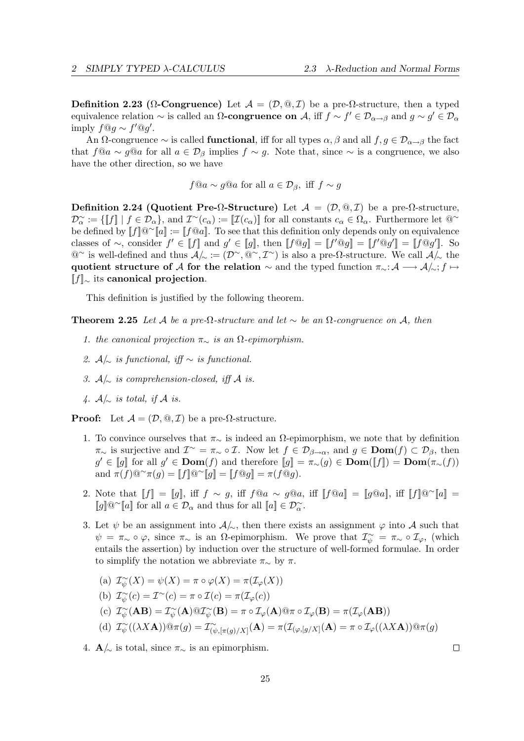Definition 2.23 ( $\Omega$ -Congruence) Let  $\mathcal{A} = (\mathcal{D}, \mathbb{Q}, \mathcal{I})$  be a pre- $\Omega$ -structure, then a typed equivalence relation  $\sim$  is called an  $\Omega$ -congruence on A, iff  $f \sim f' \in \mathcal{D}_{\alpha \to \beta}$  and  $g \sim g' \in \mathcal{D}_{\alpha}$ imply  $f@g \sim f'@g'.$ 

An  $\Omega$ -congruence  $\sim$  is called **functional**, iff for all types  $\alpha, \beta$  and all  $f, g \in \mathcal{D}_{\alpha \to \beta}$  the fact that  $f@a \sim g@a$  for all  $a \in \mathcal{D}_\beta$  implies  $f \sim g$ . Note that, since  $\sim$  is a congruence, we also have the other direction, so we have

 $f@a \sim g@a$  for all  $a \in \mathcal{D}_{\beta}$ , iff  $f \sim g$ 

Definition 2.24 (Quotient Pre- $\Omega$ -Structure) Let  $\mathcal{A} = (\mathcal{D}, \mathbb{Q}, \mathcal{I})$  be a pre- $\Omega$ -structure,  $\mathcal{D}_{\alpha}^{\sim} := \{ [f] \mid f \in \mathcal{D}_{\alpha} \}$ , and  $\mathcal{I}^{\sim}(c_{\alpha}) := [ \mathcal{I}(c_{\alpha}) ]$  for all constants  $c_{\alpha} \in \Omega_{\alpha}$ . Furthermore let  $@^{\sim}$ be defined by  $[[f]]@^\sim[[a]] := [[f@a]]$ . To see that this definition only depends only on equivalence classes of  $\sim$ , consider  $f' \in [f]$  and  $g' \in [g]$ , then  $[f \circledcirc g] = [f' \circledcirc g'] = [f \circledcirc g']$ . So  $@`$  is well-defined and thus  $A/∼ := (D^{\sim}, @^{\sim}, \mathcal{I}^{\sim})$  is also a pre-Ω-structure. We call  $A/∼$  the quotient structure of A for the relation  $\sim$  and the typed function  $\pi_{\sim}: A \longrightarrow A/\sim; f \mapsto$  $[[f]_\sim$  its canonical projection.

This definition is justified by the following theorem.

**Theorem 2.25** Let A be a pre-Ω-structure and let  $\sim$  be an  $\Omega$ -congruence on A, then

- 1. the canonical projection  $\pi_{\sim}$  is an  $\Omega$ -epimorphism.
- 2.  $A/\sim$  is functional, iff  $\sim$  is functional.
- 3.  $A/\sim$  is comprehension-closed, iff A is.
- 4.  $A/\sim$  is total, if A is.

**Proof:** Let  $\mathcal{A} = (\mathcal{D}, \mathbb{Q}, \mathcal{I})$  be a pre- $\Omega$ -structure.

- 1. To convince ourselves that  $\pi_{\sim}$  is indeed an  $\Omega$ -epimorphism, we note that by definition  $\pi_{\sim}$  is surjective and  $\mathcal{I}^{\sim} = \pi_{\sim} \circ \mathcal{I}$ . Now let  $f \in \mathcal{D}_{\beta \to \alpha}$ , and  $g \in \textbf{Dom}(f) \subset \mathcal{D}_{\beta}$ , then  $g' \in [g]$  for all  $g' \in \text{Dom}(f)$  and therefore  $[g] = \pi_{\sim}(g) \in \text{Dom}([f]) = \text{Dom}(\pi_{\sim}(f))$ and  $\pi(f) @^\sim \pi(g) = [[f]] @^\sim [[g]] = [[f@g]] = \pi(f@g)$ .
- 2. Note that  $[[f]] = [[g]]$ , iff  $f \sim g$ , iff  $f@a \sim g@a$ , iff  $[[f@a]] = [[g@a]]$ , iff  $[[f]]@^\sim[[a]] =$ [g]@<sup>∼</sup>[a] for all  $a \in \mathcal{D}_\alpha$  and thus for all  $[\![a]\!] \in \mathcal{D}_\alpha^\sim$ .
- 3. Let  $\psi$  be an assignment into  $\mathcal{A}/_{\!\sim}$ , then there exists an assignment  $\varphi$  into  $\mathcal A$  such that  $\psi = \pi_{\sim} \circ \varphi$ , since  $\pi_{\sim}$  is an  $\Omega$ -epimorphism. We prove that  $\mathcal{I}_{\psi}^{\sim} = \pi_{\sim} \circ \mathcal{I}_{\varphi}$ , (which entails the assertion) by induction over the structure of well-formed formulae. In order to simplify the notation we abbreviate  $\pi_{\sim}$  by  $\pi$ .
	- (a)  $\mathcal{I}_{\psi}^{\sim}(X) = \psi(X) = \pi \circ \varphi(X) = \pi(\mathcal{I}_{\varphi}(X))$
	- (b)  $\mathcal{I}_{\psi}^{\sim}(c) = \mathcal{I}^{\sim}(c) = \pi \circ \mathcal{I}(c) = \pi(\mathcal{I}_{\varphi}(c))$
	- (c)  $\mathcal{I}_{\psi}^{\sim}(\mathbf{A}\mathbf{B}) = \mathcal{I}_{\psi}^{\sim}(\mathbf{A}) @ \mathcal{I}_{\psi}^{\sim}(\mathbf{B}) = \pi \circ \mathcal{I}_{\varphi}(\mathbf{A}) @ \pi \circ \mathcal{I}_{\varphi}(\mathbf{B}) = \pi(\mathcal{I}_{\varphi}(\mathbf{A}\mathbf{B}))$

(d) 
$$
\mathcal{I}_{\psi}^{\sim}((\lambda X\mathbf{A}))\circledcirc \pi(g) = \mathcal{I}_{(\psi, [\pi(g)/X]}^{\sim}(\mathbf{A})) = \pi(\mathcal{I}_{(\varphi, [g/X]}(\mathbf{A})) = \pi \circ \mathcal{I}_{\varphi}((\lambda X\mathbf{A}))\circledcirc \pi(g)
$$

4.  $\mathbf{A}/\!\!\sim$  is total, since  $\pi_{\sim}$  is an epimorphism.

 $\Box$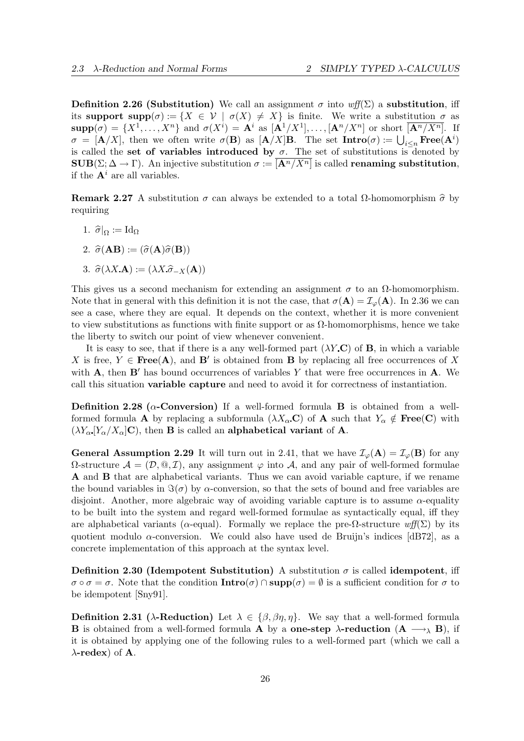**Definition 2.26 (Substitution)** We call an assignment  $\sigma$  into wff(Σ) a **substitution**, iff its support  $\text{supp}(\sigma) := \{ X \in \mathcal{V} \mid \sigma(X) \neq X \}$  is finite. We write a substitution  $\sigma$  as  $\text{supp}(\sigma) = \{X^1, \ldots, X^n\}$  and  $\sigma(X^i) = \mathbf{A}^i$  as  $[\mathbf{A}^1/X^1], \ldots, [\mathbf{A}^n/X^n]$  or short  $[\mathbf{A}^n/X^n]$ . If  $\sigma = [\mathbf{A}/X]$ , then we often write  $\sigma(\mathbf{B})$  as  $[\mathbf{A}/X]\mathbf{B}$ . The set  $\mathbf{Intro}(\sigma) := \bigcup_{i \leq n} \mathbf{Free}(\mathbf{A}^i)$ is called the set of variables introduced by  $\sigma$ . The set of substitutions is denoted by  $\text{SUB}(\Sigma; \Delta \to \Gamma)$ . An injective substitution  $\sigma := [\mathbf{A}^n / X^n]$  is called **renaming substitution**, if the  $A^i$  are all variables.

Remark 2.27 A substitution  $\sigma$  can always be extended to a total  $\Omega$ -homomorphism  $\hat{\sigma}$  by requiring

- 1.  $\hat{\sigma}|_{\Omega} := \text{Id}_{\Omega}$
- 2.  $\hat{\sigma}(\mathbf{AB}) := (\hat{\sigma}(\mathbf{A})\hat{\sigma}(\mathbf{B}))$
- 3.  $\hat{\sigma}(\lambda X \mathbf{A}) := (\lambda X \hat{\sigma}_{-X}(\mathbf{A}))$

This gives us a second mechanism for extending an assignment  $\sigma$  to an  $\Omega$ -homomorphism. Note that in general with this definition it is not the case, that  $\sigma(\mathbf{A}) = \mathcal{I}_{\varphi}(\mathbf{A})$ . In 2.36 we can see a case, where they are equal. It depends on the context, whether it is more convenient to view substitutions as functions with finite support or as  $\Omega$ -homomorphisms, hence we take the liberty to switch our point of view whenever convenient.

It is easy to see, that if there is a any well-formed part  $(\lambda Y \mathbf{C})$  of **B**, in which a variable X is free,  $Y \in \text{Free}(A)$ , and B' is obtained from B by replacing all free occurrences of X with  $\bf{A}$ , then  $\bf{B}'$  has bound occurrences of variables Y that were free occurrences in  $\bf{A}$ . We call this situation variable capture and need to avoid it for correctness of instantiation.

**Definition 2.28** ( $\alpha$ -**Conversion**) If a well-formed formula **B** is obtained from a wellformed formula **A** by replacing a subformula  $(\lambda X_{\alpha} \mathbf{C})$  of **A** such that  $Y_{\alpha} \notin \text{Free}(\mathbf{C})$  with  $(\lambda Y_{\alpha} | Y_{\alpha}/X_{\alpha}|C)$ , then **B** is called an **alphabetical variant** of **A**.

**General Assumption 2.29** It will turn out in 2.41, that we have  $\mathcal{I}_{\varphi}(\mathbf{A}) = \mathcal{I}_{\varphi}(\mathbf{B})$  for any  $Ω$ -structure  $A = (D, @, I)$ , any assignment  $φ$  into A, and any pair of well-formed formulae A and B that are alphabetical variants. Thus we can avoid variable capture, if we rename the bound variables in  $\Im(\sigma)$  by  $\alpha$ -conversion, so that the sets of bound and free variables are disjoint. Another, more algebraic way of avoiding variable capture is to assume  $\alpha$ -equality to be built into the system and regard well-formed formulae as syntactically equal, iff they are alphabetical variants ( $\alpha$ -equal). Formally we replace the pre- $\Omega$ -structure wff( $\Sigma$ ) by its quotient modulo  $\alpha$ -conversion. We could also have used de Bruijn's indices [dB72], as a concrete implementation of this approach at the syntax level.

Definition 2.30 (Idempotent Substitution) A substitution  $\sigma$  is called idempotent, iff  $\sigma \circ \sigma = \sigma$ . Note that the condition  $\textbf{Intro}(\sigma) \cap \textbf{supp}(\sigma) = \emptyset$  is a sufficient condition for  $\sigma$  to be idempotent [Sny91].

**Definition 2.31** ( $\lambda$ -Reduction) Let  $\lambda \in \{\beta, \beta\eta, \eta\}$ . We say that a well-formed formula **B** is obtained from a well-formed formula **A** by a **one-step**  $\lambda$ -**reduction** (**A**  $\longrightarrow$ <sub> $\lambda$ </sub> **B**), if it is obtained by applying one of the following rules to a well-formed part (which we call a  $\lambda$ -redex) of **A**.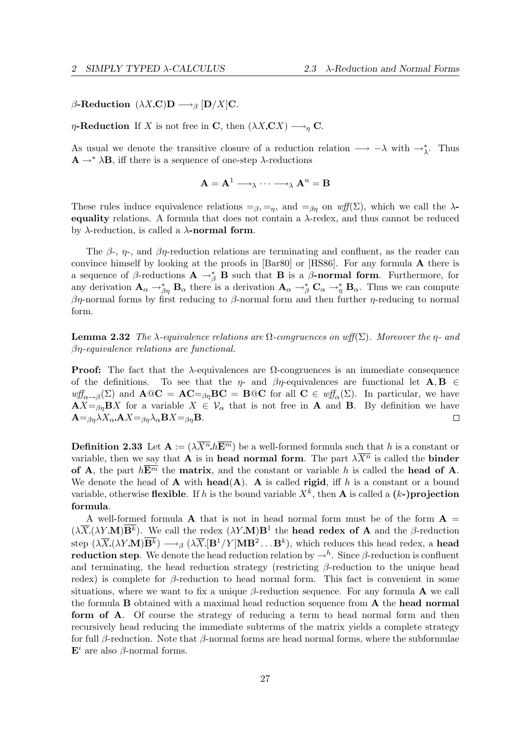$\beta$ -Reduction  $(\lambda X.\mathbf{C})\mathbf{D} \longrightarrow_{\beta} [\mathbf{D}/X]\mathbf{C}.$ 

 $\eta$ -Reduction If X is not free in C, then  $(\lambda X \mathbf{C} X) \longrightarrow_{\eta} \mathbf{C}$ .

As usual we denote the transitive closure of a reduction relation  $\longrightarrow -\lambda$  with  $\rightarrow_{\lambda}^*$ . Thus  $\mathbf{A} \rightarrow^* \lambda \mathbf{B}$ , iff there is a sequence of one-step  $\lambda$ -reductions

$$
\mathbf{A}=\mathbf{A}^1 \longrightarrow_{\lambda} \cdots \longrightarrow_{\lambda} \mathbf{A}^n=\mathbf{B}
$$

These rules induce equivalence relations  $=_{\beta}$ ,  $=_{n}$ , and  $=_{\beta}$  on wff(Σ), which we call the  $\lambda$ equality relations. A formula that does not contain a  $λ$ -redex, and thus cannot be reduced by  $\lambda$ -reduction, is called a  $\lambda$ -normal form.

The  $\beta$ -,  $\eta$ -, and  $\beta\eta$ -reduction relations are terminating and confluent, as the reader can convince himself by looking at the proofs in [Bar80] or [HS86]. For any formula A there is a sequence of  $\beta$ -reductions  $\mathbf{A} \to_{\beta}^* \mathbf{B}$  such that **B** is a  $\beta$ -**normal form**. Furthermore, for any derivation  $\mathbf{A}_{\alpha} \rightarrow_{\beta\eta}^* \mathbf{B}_{\alpha}$  there is a derivation  $\mathbf{A}_{\alpha} \rightarrow_{\beta}^* \mathbf{C}_{\alpha} \rightarrow_{\eta}^* \mathbf{B}_{\alpha}$ . Thus we can compute  $βη$ -normal forms by first reducing to  $β$ -normal form and then further  $η$ -reducing to normal form.

**Lemma 2.32** The  $\lambda$ -equivalence relations are  $\Omega$ -congruences on wff( $\Sigma$ ). Moreover the  $\eta$ - and βη-equivalence relations are functional.

**Proof:** The fact that the  $\lambda$ -equivalences are  $\Omega$ -congruences is an immediate consequence of the definitions. To see that the  $\eta$ - and  $\beta\eta$ -equivalences are functional let  $\mathbf{A}, \mathbf{B} \in$  $\partial w f_{\alpha \to \beta}(\Sigma)$  and  $\mathbf{A} @ \mathbf{C} = \mathbf{A} \mathbf{C} = \beta \eta \mathbf{B} \mathbf{C} = \mathbf{B} @ \mathbf{C}$  for all  $\mathbf{C} \in w f_{\alpha}(\Sigma)$ . In particular, we have  $AX = \beta \eta BX$  for a variable  $X \in V_\alpha$  that is not free in **A** and **B**. By definition we have  ${\bf A} = \beta \eta \lambda X_{\alpha}$   ${\bf A}X = \beta \eta \lambda_{\alpha} {\bf B}X = \beta \eta {\bf B}.$  $\Box$ 

**Definition 2.33** Let  $\mathbf{A} := (\lambda \overline{X}^n, h\overline{E}^m)$  be a well-formed formula such that h is a constant or variable, then we say that **A** is in head normal form. The part  $\lambda \overline{X}$ <sup>n</sup> is called the **binder** of A, the part  $h\overline{E^m}$  the matrix, and the constant or variable h is called the head of A. We denote the head of  $A$  with **head(A).** A is called **rigid**, iff h is a constant or a bound variable, otherwise flexible. If h is the bound variable  $X^k$ , then **A** is called a  $(k-)$ **projection** formula.

A well-formed formula A that is not in head normal form must be of the form  $A =$  $(\lambda \overline{X} \cdot (\lambda Y \cdot \mathbf{M}) \overline{\mathbf{B}^k})$ . We call the redex  $(\lambda Y \cdot \mathbf{M}) \mathbf{B}^1$  the **head redex of A** and the  $\beta$ -reduction step  $(\lambda \overline{X} (\lambda Y \mathbf{M}) \overline{\mathbf{B}^k}) \longrightarrow_\beta (\lambda \overline{X} [\mathbf{B}^1/Y] \mathbf{M} \mathbf{B}^2 \dots \mathbf{B}^k)$ , which reduces this head redex, a head **reduction step**. We denote the head reduction relation by  $\rightarrow^h$ . Since  $\beta$ -reduction is confluent and terminating, the head reduction strategy (restricting  $\beta$ -reduction to the unique head redex) is complete for  $\beta$ -reduction to head normal form. This fact is convenient in some situations, where we want to fix a unique  $\beta$ -reduction sequence. For any formula **A** we call the formula B obtained with a maximal head reduction sequence from A the head normal form of A. Of course the strategy of reducing a term to head normal form and then recursively head reducing the immediate subterms of the matrix yields a complete strategy for full  $\beta$ -reduction. Note that  $\beta$ -normal forms are head normal forms, where the subformulae  $\mathbf{E}^i$  are also  $\beta$ -normal forms.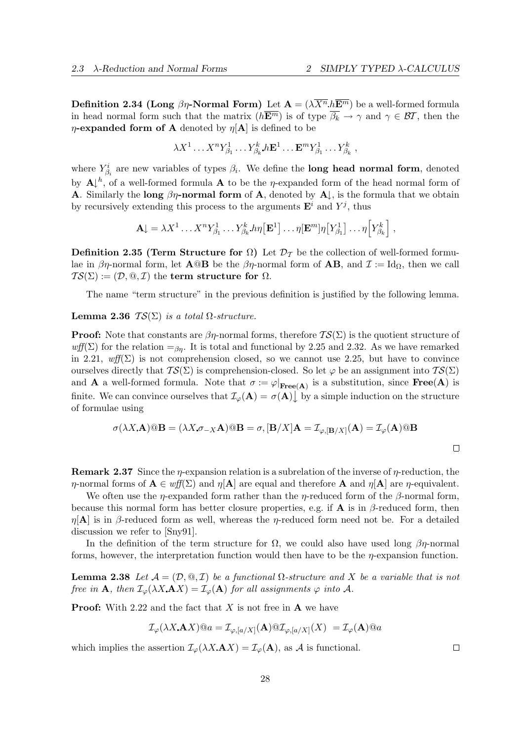**Definition 2.34 (Long**  $\beta\eta$ **-Normal Form)** Let  $\mathbf{A} = (\lambda \overline{X}^n, h\overline{E}^m)$  be a well-formed formula in head normal form such that the matrix  $(h\overline{\mathbf{E}^m})$  is of type  $\overline{\beta_k} \to \gamma$  and  $\gamma \in \mathcal{BT}$ , then the  $\eta$ -expanded form of A denoted by  $\eta[A]$  is defined to be

$$
\lambda X^1 \dots X^n Y^1_{\beta_1} \dots Y^k_{\beta_k} h \mathbf{E}^1 \dots \mathbf{E}^m Y^1_{\beta_1} \dots Y^k_{\beta_k} ,
$$

where  $Y_{\beta_i}^i$  are new variables of types  $\beta_i$ . We define the **long head normal form**, denoted by  $\mathbf{A} \downarrow^h$ , of a well-formed formula A to be the *η*-expanded form of the head normal form of **A.** Similarly the long  $\beta\eta$ -normal form of **A**, denoted by **A** $\downarrow$ , is the formula that we obtain by recursively extending this process to the arguments  $\mathbf{E}^i$  and  $Y^j$ , thus

$$
\mathbf{A}\!\!\downarrow = \lambda X^1 \dots X^n Y^1_{\beta_1} \dots Y^k_{\beta_k} \ln[\mathbf{E}^1] \dots \eta[\mathbf{E}^m] \eta[Y^1_{\beta_1}] \dots \eta[Y^k_{\beta_k}],
$$

**Definition 2.35 (Term Structure for**  $\Omega$ **)** Let  $\mathcal{D}_{\mathcal{T}}$  be the collection of well-formed formulae in  $\beta\eta$ -normal form, let  $\mathbf{A}\mathfrak{Q}\mathbf{B}$  be the  $\beta\eta$ -normal form of  $\mathbf{AB}$ , and  $\mathcal{I} := \mathrm{Id}_{\Omega}$ , then we call  $TS(\Sigma) := (D, \mathbb{Q}, \mathcal{I})$  the term structure for  $\Omega$ .

The name "term structure" in the previous definition is justified by the following lemma.

## Lemma 2.36  $TS(\Sigma)$  is a total  $\Omega$ -structure.

**Proof:** Note that constants are  $\beta\eta$ -normal forms, therefore  $TS(\Sigma)$  is the quotient structure of  $wff(\Sigma)$  for the relation  $=g_n$ . It is total and functional by 2.25 and 2.32. As we have remarked in 2.21,  $\omega f(\Sigma)$  is not comprehension closed, so we cannot use 2.25, but have to convince ourselves directly that  $TS(\Sigma)$  is comprehension-closed. So let  $\varphi$  be an assignment into  $TS(\Sigma)$ and **A** a well-formed formula. Note that  $\sigma := \varphi|_{\text{Free}(A)}$  is a substitution, since  $\text{Free}(A)$  is finite. We can convince ourselves that  $\mathcal{I}_{\varphi}(\mathbf{A}) = \sigma(\mathbf{A}) \downarrow$  by a simple induction on the structure of formulae using

$$
\sigma(\lambda X. \mathbf{A}) \circledcirc \mathbf{B} = (\lambda X. \sigma_{-X} \mathbf{A}) \circledcirc \mathbf{B} = \sigma, [\mathbf{B}/X] \mathbf{A} = \mathcal{I}_{\varphi, [\mathbf{B}/X]}(\mathbf{A}) = \mathcal{I}_{\varphi}(\mathbf{A}) \circledcirc \mathbf{B}
$$

**Remark 2.37** Since the *η*-expansion relation is a subrelation of the inverse of *η*-reduction, the  $\eta$ -normal forms of  $\mathbf{A} \in \mathit{wff}(\Sigma)$  and  $\eta[\mathbf{A}]$  are equal and therefore  $\mathbf{A}$  and  $\eta[\mathbf{A}]$  are  $\eta$ -equivalent.

We often use the  $\eta$ -expanded form rather than the  $\eta$ -reduced form of the  $\beta$ -normal form, because this normal form has better closure properties, e.g. if **A** is in  $\beta$ -reduced form, then  $\eta[A]$  is in β-reduced form as well, whereas the *η*-reduced form need not be. For a detailed discussion we refer to [Sny91].

In the definition of the term structure for  $\Omega$ , we could also have used long  $\beta\eta$ -normal forms, however, the interpretation function would then have to be the  $\eta$ -expansion function.

**Lemma 2.38** Let  $\mathcal{A} = (\mathcal{D}, \mathcal{Q}, \mathcal{I})$  be a functional  $\Omega$ -structure and X be a variable that is not free in **A**, then  $\mathcal{I}_{\varphi}(\lambda X. \mathbf{A}X) = \mathcal{I}_{\varphi}(\mathbf{A})$  for all assignments  $\varphi$  into A.

**Proof:** With 2.22 and the fact that X is not free in  $\bf{A}$  we have

$$
\mathcal{I}_{\varphi}(\lambda X. \mathbf{A} X) @ a = \mathcal{I}_{\varphi,[a/X]}(\mathbf{A}) @ \mathcal{I}_{\varphi,[a/X]}(X) = \mathcal{I}_{\varphi}(\mathbf{A}) @ a
$$

which implies the assertion  $\mathcal{I}_{\varphi}(\lambda X \cdot \mathbf{A} X) = \mathcal{I}_{\varphi}(\mathbf{A}),$  as A is functional.

 $\Box$ 

 $\Box$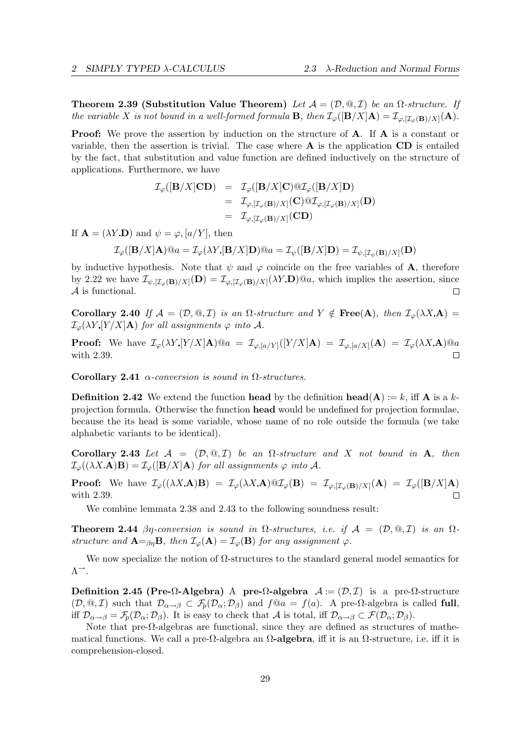Theorem 2.39 (Substitution Value Theorem) Let  $\mathcal{A} = (\mathcal{D}, \mathcal{Q}, \mathcal{I})$  be an  $\Omega$ -structure. If the variable X is not bound in a well-formed formula **B**, then  $\mathcal{I}_{\varphi}([\mathbf{B}/X]\mathbf{A}) = \mathcal{I}_{\varphi,[\mathcal{I}_{\varphi}(\mathbf{B})/X]}(\mathbf{A}).$ 

**Proof:** We prove the assertion by induction on the structure of **A**. If **A** is a constant or variable, then the assertion is trivial. The case where  $A$  is the application  $CD$  is entailed by the fact, that substitution and value function are defined inductively on the structure of applications. Furthermore, we have

$$
\mathcal{I}_{\varphi}([\mathbf{B}/X]\mathbf{CD}) = \mathcal{I}_{\varphi}([\mathbf{B}/X]\mathbf{C}) \otimes \mathcal{I}_{\varphi}([\mathbf{B}/X]\mathbf{D})
$$
  
\n
$$
= \mathcal{I}_{\varphi,[\mathcal{I}_{\varphi}(\mathbf{B})/X]}(\mathbf{C}) \otimes \mathcal{I}_{\varphi,[\mathcal{I}_{\varphi}(\mathbf{B})/X]}(\mathbf{D})
$$
  
\n
$$
= \mathcal{I}_{\varphi,[\mathcal{I}_{\varphi}(\mathbf{B})/X]}(\mathbf{CD})
$$

If  $\mathbf{A} = (\lambda Y \mathbf{D})$  and  $\psi = \varphi, [a/Y]$ , then

$$
\mathcal{I}_{\varphi}([\mathbf{B}/X]\mathbf{A}) @ a = \mathcal{I}_{\varphi}(\lambda Y [\mathbf{B}/X]\mathbf{D}) @ a = \mathcal{I}_{\psi}([\mathbf{B}/X]\mathbf{D}) = \mathcal{I}_{\psi,[\mathcal{I}_{\psi}(\mathbf{B})/X]}(\mathbf{D})
$$

by inductive hypothesis. Note that  $\psi$  and  $\varphi$  coincide on the free variables of **A**, therefore by 2.22 we have  $\mathcal{I}_{\psi,[\mathcal{I}_{\varphi}(\mathbf{B})/X]}(\mathbf{D}) = \mathcal{I}_{\varphi,[\mathcal{I}_{\varphi}(\mathbf{B})/X]}(\lambda Y \mathbf{D})@a$ , which implies the assertion, since A is functional.  $\Box$ 

Corollary 2.40 If  $\mathcal{A} = (\mathcal{D}, \mathbb{Q}, \mathcal{I})$  is an  $\Omega$ -structure and  $Y \notin \text{Free}(A)$ , then  $\mathcal{I}_{\omega}(\lambda X \cdot A) =$  $\mathcal{I}_{\varphi}(\lambda Y | Y/X | \mathbf{A})$  for all assignments  $\varphi$  into A.

**Proof:** We have  $\mathcal{I}_{\varphi}(\lambda Y [Y/X] \mathbf{A}) @ a = \mathcal{I}_{\varphi,[a/Y]}([Y/X] \mathbf{A}) = \mathcal{I}_{\varphi,[a/X]}(\mathbf{A}) = \mathcal{I}_{\varphi}(\lambda X \mathbf{A}) @ a$ with 2.39.  $\Box$ 

Corollary 2.41  $\alpha$ -conversion is sound in  $\Omega$ -structures.

**Definition 2.42** We extend the function head by the definition head(A) := k, iff A is a kprojection formula. Otherwise the function head would be undefined for projection formulae, because the its head is some variable, whose name of no role outside the formula (we take alphabetic variants to be identical).

Corollary 2.43 Let  $\mathcal{A} = (\mathcal{D}, \mathcal{Q}, \mathcal{I})$  be an  $\Omega$ -structure and X not bound in A, then  $\mathcal{I}_{\varphi}((\lambda X \mathbf{A}) \mathbf{B}) = \mathcal{I}_{\varphi}([\mathbf{B}/X] \mathbf{A})$  for all assignments  $\varphi$  into  $\mathcal{A}$ .

**Proof:** We have  $\mathcal{I}_{\varphi}((\lambda X. \mathbf{A})\mathbf{B}) = \mathcal{I}_{\varphi}(\lambda X. \mathbf{A}) \mathfrak{Q} \mathcal{I}_{\varphi}(\mathbf{B}) = \mathcal{I}_{\varphi, [\mathcal{I}_{\varphi}(\mathbf{B})/X]}(\mathbf{A}) = \mathcal{I}_{\varphi}([\mathbf{B}/X]\mathbf{A})$ with 2.39.  $\Box$ 

We combine lemmata 2.38 and 2.43 to the following soundness result:

**Theorem 2.44** βη-conversion is sound in  $\Omega$ -structures, i.e. if  $\mathcal{A} = (\mathcal{D}, \mathcal{Q}, \mathcal{I})$  is an  $\Omega$ structure and  $\mathbf{A} =_{\beta\eta} \mathbf{B}$ , then  $\mathcal{I}_{\varphi}(\mathbf{A}) = \mathcal{I}_{\varphi}(\mathbf{B})$  for any assignment  $\varphi$ .

We now specialize the notion of  $\Omega$ -structures to the standard general model semantics for  $\Lambda^{\rightarrow}$ .

Definition 2.45 (Pre- $\Omega$ -Algebra) A pre- $\Omega$ -algebra  $\mathcal{A} := (\mathcal{D}, \mathcal{I})$  is a pre- $\Omega$ -structure  $(\mathcal{D}, \mathbb{Q}, \mathcal{I})$  such that  $\mathcal{D}_{\alpha \to \beta} \subset \mathcal{F}_p(\mathcal{D}_{\alpha}; \mathcal{D}_{\beta})$  and  $f \mathbb{Q}a = f(a)$ . A pre- $\Omega$ -algebra is called full, iff  $\mathcal{D}_{\alpha\to\beta} = \mathcal{F}_p(\mathcal{D}_{\alpha}; \mathcal{D}_{\beta})$ . It is easy to check that A is total, iff  $\mathcal{D}_{\alpha\to\beta} \subset \mathcal{F}(\mathcal{D}_{\alpha}; \mathcal{D}_{\beta})$ .

Note that pre- $\Omega$ -algebras are functional, since they are defined as structures of mathematical functions. We call a pre- $\Omega$ -algebra an  $\Omega$ -algebra, iff it is an  $\Omega$ -structure, i.e. iff it is comprehension-closed.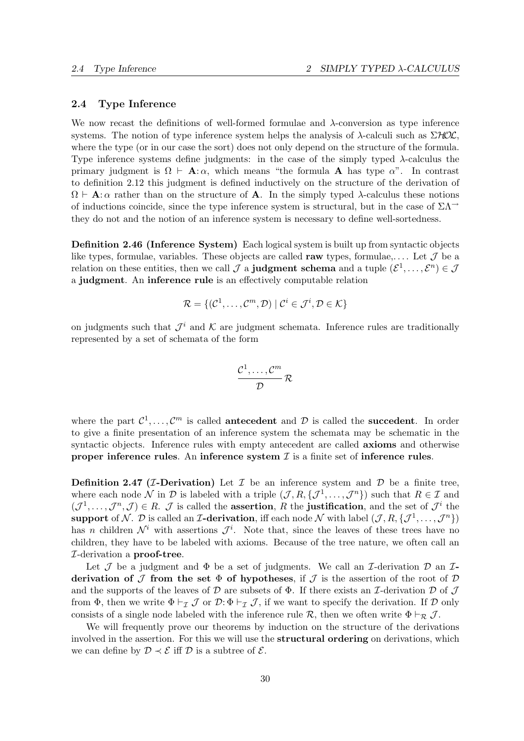## 2.4 Type Inference

We now recast the definitions of well-formed formulae and λ-conversion as type inference systems. The notion of type inference system helps the analysis of  $\lambda$ -calculi such as  $\Sigma HOL$ , where the type (or in our case the sort) does not only depend on the structure of the formula. Type inference systems define judgments: in the case of the simply typed  $\lambda$ -calculus the primary judgment is  $\Omega \vdash A : \alpha$ , which means "the formula A has type  $\alpha$ ". In contrast to definition 2.12 this judgment is defined inductively on the structure of the derivation of  $\Omega \vdash A:\alpha$  rather than on the structure of A. In the simply typed  $\lambda$ -calculus these notions of inductions coincide, since the type inference system is structural, but in the case of  $\Sigma\Lambda$ <sup>→</sup> they do not and the notion of an inference system is necessary to define well-sortedness.

Definition 2.46 (Inference System) Each logical system is built up from syntactic objects like types, formulae, variables. These objects are called raw types, formulae,.... Let  $\mathcal J$  be a relation on these entities, then we call  $\mathcal J$  a **judgment schema** and a tuple  $(\mathcal E^1,\ldots,\mathcal E^n)\in\mathcal J$ a judgment. An inference rule is an effectively computable relation

$$
\mathcal{R} = \{(\mathcal{C}^1, \dots, \mathcal{C}^m, \mathcal{D}) \mid \mathcal{C}^i \in \mathcal{J}^i, \mathcal{D} \in \mathcal{K}\}
$$

on judgments such that  $\mathcal{J}^i$  and K are judgment schemata. Inference rules are traditionally represented by a set of schemata of the form

$$
\frac{\mathcal{C}^1,\ldots,\mathcal{C}^m}{\mathcal{D}}\,\mathcal{R}
$$

where the part  $\mathcal{C}^1, \ldots, \mathcal{C}^m$  is called antecedent and  $\mathcal D$  is called the succedent. In order to give a finite presentation of an inference system the schemata may be schematic in the syntactic objects. Inference rules with empty antecedent are called **axioms** and otherwise proper inference rules. An inference system  $\mathcal I$  is a finite set of inference rules.

**Definition 2.47 (***T***-Derivation**) Let  $\mathcal I$  be an inference system and  $\mathcal D$  be a finite tree, where each node N in D is labeled with a triple  $(\mathcal{J}, R, \{\mathcal{J}^1, \ldots, \mathcal{J}^n\})$  such that  $R \in \mathcal{I}$  and  $(\mathcal{J}^1,\ldots,\mathcal{J}^n,\mathcal{J})\in R$ .  $\mathcal{J}$  is called the **assertion**, R the **justification**, and the set of  $\mathcal{J}^i$  the support of N. D is called an I-derivation, iff each node N with label  $(\mathcal{J}, R, \{\mathcal{J}^1, \ldots, \mathcal{J}^n\})$ has n children  $\mathcal{N}^i$  with assertions  $\mathcal{J}^i$ . Note that, since the leaves of these trees have no children, they have to be labeled with axioms. Because of the tree nature, we often call an I-derivation a proof-tree.

Let J be a judgment and  $\Phi$  be a set of judgments. We call an I-derivation D an Iderivation of  $\mathcal J$  from the set  $\Phi$  of hypotheses, if  $\mathcal J$  is the assertion of the root of  $\mathcal D$ and the supports of the leaves of  $\mathcal D$  are subsets of  $\Phi$ . If there exists an *I*-derivation  $\mathcal D$  of  $\mathcal J$ from  $\Phi$ , then we write  $\Phi \vdash_{\mathcal{I}} \mathcal{J}$  or  $\mathcal{D}:\Phi \vdash_{\mathcal{I}} \mathcal{J}$ , if we want to specify the derivation. If  $\mathcal{D}$  only consists of a single node labeled with the inference rule  $\mathcal{R}$ , then we often write  $\Phi \vdash_{\mathcal{R}} \mathcal{J}$ .

We will frequently prove our theorems by induction on the structure of the derivations involved in the assertion. For this we will use the **structural ordering** on derivations, which we can define by  $\mathcal{D} \prec \mathcal{E}$  iff  $\mathcal{D}$  is a subtree of  $\mathcal{E}$ .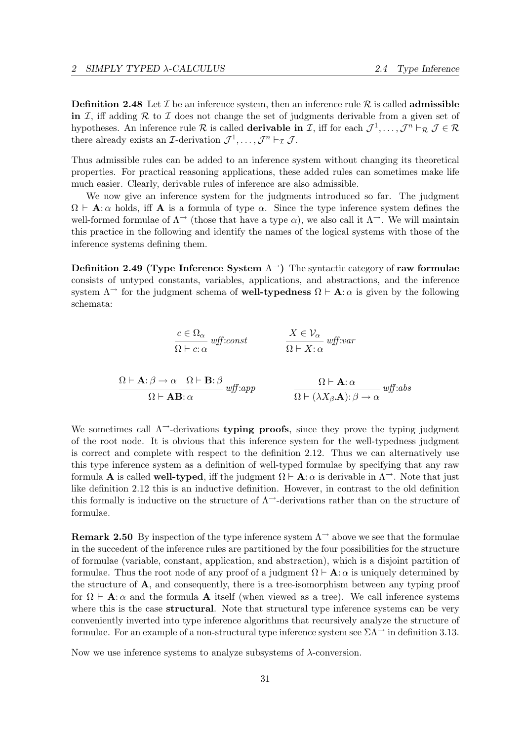**Definition 2.48** Let  $\mathcal I$  be an inference system, then an inference rule  $\mathcal R$  is called **admissible** in I, iff adding R to I does not change the set of judgments derivable from a given set of hypotheses. An inference rule R is called **derivable in** I, iff for each  $\mathcal{J}^1, \ldots, \mathcal{J}^n \vdash_R \mathcal{J} \in \mathcal{R}$ there already exists an *I*-derivation  $\mathcal{J}^1, \ldots, \mathcal{J}^n \vdash_{\mathcal{I}} \mathcal{J}$ .

Thus admissible rules can be added to an inference system without changing its theoretical properties. For practical reasoning applications, these added rules can sometimes make life much easier. Clearly, derivable rules of inference are also admissible.

We now give an inference system for the judgments introduced so far. The judgment  $\Omega \vdash A:\alpha$  holds, iff A is a formula of type  $\alpha$ . Since the type inference system defines the well-formed formulae of  $\Lambda^{\rightarrow}$  (those that have a type  $\alpha$ ), we also call it  $\Lambda^{\rightarrow}$ . We will maintain this practice in the following and identify the names of the logical systems with those of the inference systems defining them.

Definition 2.49 (Type Inference System  $\Lambda^{\rightarrow}$ ) The syntactic category of raw formulae consists of untyped constants, variables, applications, and abstractions, and the inference system  $\Lambda^{\rightarrow}$  for the judgment schema of **well-typedness**  $\Omega \vdash A$ :  $\alpha$  is given by the following schemata:

$$
\frac{c \in \Omega_{\alpha}}{\Omega \vdash c : \alpha} \text{ wff:} const \qquad \frac{X \in \mathcal{V}_{\alpha}}{\Omega \vdash X : \alpha} \text{ wff:} var
$$
\n
$$
\frac{\Omega \vdash \mathbf{A} : \beta \to \alpha \quad \Omega \vdash \mathbf{B} : \beta}{\Omega \vdash \mathbf{A}\mathbf{B} : \alpha} \text{ wff:} app \qquad \frac{\Omega \vdash \mathbf{A} : \alpha}{\Omega \vdash (\lambda X_{\beta} \mathbf{A}) : \beta \to \alpha} \text{ wff:} abs
$$

 $\overline{\phantom{a}}$ 

We sometimes call  $\Lambda$ <sup>-</sup>-derivations **typing proofs**, since they prove the typing judgment of the root node. It is obvious that this inference system for the well-typedness judgment is correct and complete with respect to the definition 2.12. Thus we can alternatively use this type inference system as a definition of well-typed formulae by specifying that any raw formula **A** is called **well-typed**, iff the judgment  $\Omega \vdash A: \alpha$  is derivable in  $\Lambda^{-1}$ . Note that just like definition 2.12 this is an inductive definition. However, in contrast to the old definition this formally is inductive on the structure of  $\Lambda$ <sup>-</sup>-derivations rather than on the structure of formulae.

**Remark 2.50** By inspection of the type inference system  $\Lambda$ <sup>→</sup> above we see that the formulae in the succedent of the inference rules are partitioned by the four possibilities for the structure of formulae (variable, constant, application, and abstraction), which is a disjoint partition of formulae. Thus the root node of any proof of a judgment  $\Omega \vdash A:\alpha$  is uniquely determined by the structure of  $\bf{A}$ , and consequently, there is a tree-isomorphism between any typing proof for  $\Omega \vdash A$ :  $\alpha$  and the formula A itself (when viewed as a tree). We call inference systems where this is the case **structural**. Note that structural type inference systems can be very conveniently inverted into type inference algorithms that recursively analyze the structure of formulae. For an example of a non-structural type inference system see  $\Sigma\Lambda$ <sup> $\rightarrow$ </sup> in definition 3.13.

Now we use inference systems to analyze subsystems of  $\lambda$ -conversion.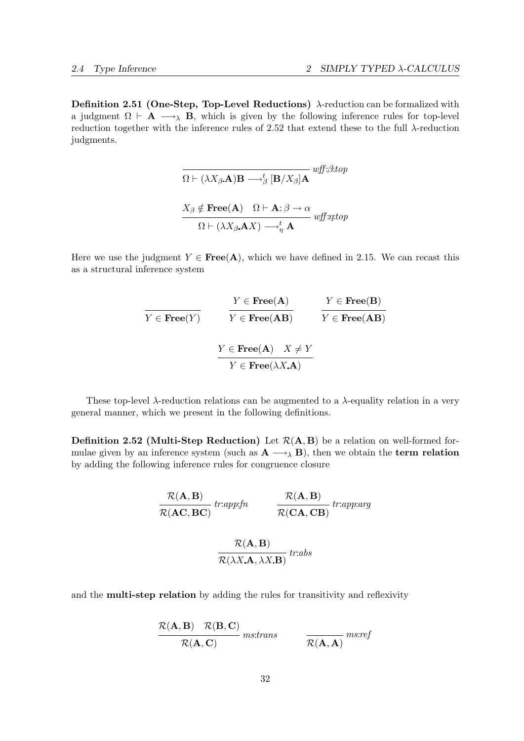Definition 2.51 (One-Step, Top-Level Reductions)  $\lambda$ -reduction can be formalized with a judgment  $\Omega \vdash A \longrightarrow_{\lambda} B$ , which is given by the following inference rules for top-level reduction together with the inference rules of 2.52 that extend these to the full λ-reduction judgments.

$$
\overline{\Omega \vdash (\lambda X_{\beta}.\mathbf{A})\mathbf{B} \longrightarrow_{\beta}^{t} [\mathbf{B}/X_{\beta}]\mathbf{A}} \text{wff:}\beta \text{:top}
$$
\n
$$
\frac{X_{\beta} \notin \text{Free}(\mathbf{A}) \quad \Omega \vdash \mathbf{A} : \beta \to \alpha}{\Omega \vdash (\lambda X_{\beta}.\mathbf{A}X) \longrightarrow_{\eta}^{t} \mathbf{A}} \text{wff:}\eta \text{:top}
$$

Here we use the judgment  $Y \in \text{Free}(A)$ , which we have defined in 2.15. We can recast this as a structural inference system

$$
\cfrac{Y \in \text{Free}(A)}{Y \in \text{Free}(Y)} \qquad \cfrac{Y \in \text{Free}(A)}{Y \in \text{Free}(AB)} \qquad \cfrac{Y \in \text{Free}(B)}{Y \in \text{Free}(AB)}
$$
\n
$$
\cfrac{Y \in \text{Free}(A) \quad X \neq Y}{Y \in \text{Free}(\lambda X.A)}
$$

These top-level  $\lambda$ -reduction relations can be augmented to a  $\lambda$ -equality relation in a very general manner, which we present in the following definitions.

**Definition 2.52 (Multi-Step Reduction)** Let  $\mathcal{R}(A, B)$  be a relation on well-formed formulae given by an inference system (such as  $\mathbf{A} \longrightarrow_{\lambda} \mathbf{B}$ ), then we obtain the **term relation** by adding the following inference rules for congruence closure

$$
\frac{\mathcal{R}(\mathbf{A}, \mathbf{B})}{\mathcal{R}(\mathbf{A}\mathbf{C}, \mathbf{B}\mathbf{C})} tr: app:fn \qquad \frac{\mathcal{R}(\mathbf{A}, \mathbf{B})}{\mathcal{R}(\mathbf{C}\mathbf{A}, \mathbf{C}\mathbf{B})} tr:app:arg
$$

$$
\frac{\mathcal{R}(\mathbf{A}, \mathbf{B})}{\mathcal{R}(\lambda X. \mathbf{A}, \lambda X. \mathbf{B})} tr:abs
$$

and the multi-step relation by adding the rules for transitivity and reflexivity

$$
\frac{\mathcal{R}(\mathbf{A}, \mathbf{B}) - \mathcal{R}(\mathbf{B}, \mathbf{C})}{\mathcal{R}(\mathbf{A}, \mathbf{C})}
$$
ms:trans
$$
\frac{}{\mathcal{R}(\mathbf{A}, \mathbf{A})}
$$
ms:ref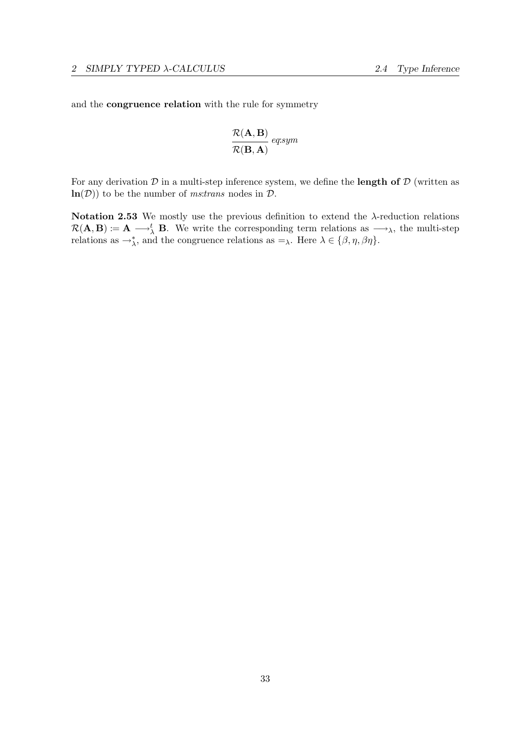and the congruence relation with the rule for symmetry

$$
\frac{\mathcal{R}(\textbf{A},\textbf{B})}{\mathcal{R}(\textbf{B},\textbf{A})} \, \textit{eq:sym}
$$

For any derivation  $D$  in a multi-step inference system, we define the **length of**  $D$  (written as  $\ln(D)$  to be the number of *ms:trans* nodes in  $D$ .

Notation 2.53 We mostly use the previous definition to extend the  $\lambda$ -reduction relations  $\mathcal{R}(\mathbf{A}, \mathbf{B}) := \mathbf{A} \longrightarrow_{\lambda}^t \mathbf{B}$ . We write the corresponding term relations as  $\longrightarrow_{\lambda}$ , the multi-step relations as  $\rightarrow_{\lambda}^*$ , and the congruence relations as  $=\lambda$ . Here  $\lambda \in \{\beta, \eta, \beta\eta\}$ .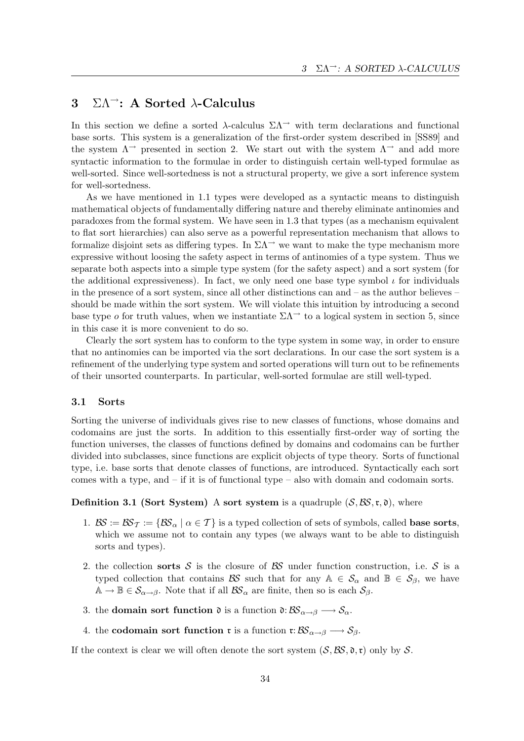# 3  $\Sigma \Lambda$ <sup>-</sup>: A Sorted  $\lambda$ -Calculus

In this section we define a sorted  $\lambda$ -calculus  $\Sigma\Lambda$ <sup>- $\lambda$ </sup> with term declarations and functional base sorts. This system is a generalization of the first-order system described in [SS89] and the system  $\Lambda^{\rightarrow}$  presented in section 2. We start out with the system  $\Lambda^{\rightarrow}$  and add more syntactic information to the formulae in order to distinguish certain well-typed formulae as well-sorted. Since well-sortedness is not a structural property, we give a sort inference system for well-sortedness.

As we have mentioned in 1.1 types were developed as a syntactic means to distinguish mathematical objects of fundamentally differing nature and thereby eliminate antinomies and paradoxes from the formal system. We have seen in 1.3 that types (as a mechanism equivalent to flat sort hierarchies) can also serve as a powerful representation mechanism that allows to formalize disjoint sets as differing types. In  $\Sigma\Lambda^{\rightarrow}$  we want to make the type mechanism more expressive without loosing the safety aspect in terms of antinomies of a type system. Thus we separate both aspects into a simple type system (for the safety aspect) and a sort system (for the additional expressiveness). In fact, we only need one base type symbol  $\iota$  for individuals in the presence of a sort system, since all other distinctions can and – as the author believes – should be made within the sort system. We will violate this intuition by introducing a second base type *o* for truth values, when we instantiate  $\Sigma\Lambda$ <sup> $\rightarrow$ </sup> to a logical system in section 5, since in this case it is more convenient to do so.

Clearly the sort system has to conform to the type system in some way, in order to ensure that no antinomies can be imported via the sort declarations. In our case the sort system is a refinement of the underlying type system and sorted operations will turn out to be refinements of their unsorted counterparts. In particular, well-sorted formulae are still well-typed.

## 3.1 Sorts

Sorting the universe of individuals gives rise to new classes of functions, whose domains and codomains are just the sorts. In addition to this essentially first-order way of sorting the function universes, the classes of functions defined by domains and codomains can be further divided into subclasses, since functions are explicit objects of type theory. Sorts of functional type, i.e. base sorts that denote classes of functions, are introduced. Syntactically each sort comes with a type, and – if it is of functional type – also with domain and codomain sorts.

## **Definition 3.1 (Sort System)** A sort system is a quadruple  $(S, \mathcal{BS}, \mathfrak{r}, \mathfrak{d})$ , where

- 1.  $\mathcal{BS} := \mathcal{BS}_{\mathcal{T}} := \{\mathcal{BS}_{\alpha} \mid \alpha \in \mathcal{T}\}\$ is a typed collection of sets of symbols, called **base sorts**, which we assume not to contain any types (we always want to be able to distinguish sorts and types).
- 2. the collection sorts S is the closure of BS under function construction, i.e. S is a typed collection that contains BS such that for any  $A \in S_\alpha$  and  $B \in S_\beta$ , we have  $\mathbb{A} \to \mathbb{B} \in \mathcal{S}_{\alpha \to \beta}$ . Note that if all  $\mathcal{BS}_{\alpha}$  are finite, then so is each  $\mathcal{S}_{\beta}$ .
- 3. the **domain sort function**  $\mathfrak{d}$  is a function  $\mathfrak{d}: \mathcal{BS}_{\alpha \to \beta} \longrightarrow \mathcal{S}_{\alpha}$ .
- 4. the codomain sort function r is a function r:  $\mathcal{BS}_{\alpha \to \beta} \longrightarrow \mathcal{S}_{\beta}$ .

If the context is clear we will often denote the sort system  $(S, \mathcal{BS}, \mathfrak{d}, \mathfrak{r})$  only by S.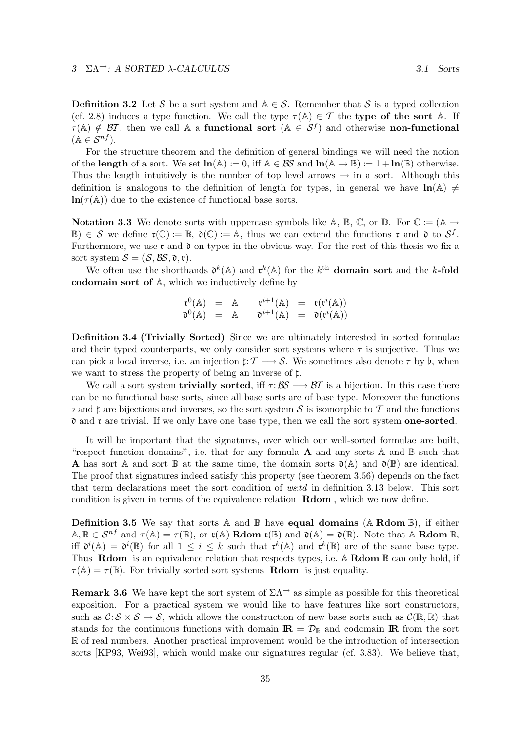**Definition 3.2** Let S be a sort system and  $A \in S$ . Remember that S is a typed collection

(cf. 2.8) induces a type function. We call the type  $\tau(A) \in \mathcal{T}$  the type of the sort A. If  $\tau(A) \notin \mathcal{BT}$ , then we call A a functional sort  $(A \in \mathcal{S}^f)$  and otherwise non-functional  $(\mathbb{A} \in \mathcal{S}^{nf}).$ 

For the structure theorem and the definition of general bindings we will need the notion of the length of a sort. We set  $\ln(A) := 0$ , iff  $A \in \mathcal{BS}$  and  $\ln(A \to \mathbb{B}) := 1 + \ln(\mathbb{B})$  otherwise. Thus the length intuitively is the number of top level arrows  $\rightarrow$  in a sort. Although this definition is analogous to the definition of length for types, in general we have  $\ln(A) \neq$  $\ln(\tau(A))$  due to the existence of functional base sorts.

**Notation 3.3** We denote sorts with uppercase symbols like A, B, C, or D. For  $\mathbb{C} := (\mathbb{A} \to$  $\mathbb{B}) \in \mathcal{S}$  we define  $\mathfrak{r}(\mathbb{C}) := \mathbb{B}$ ,  $\mathfrak{d}(\mathbb{C}) := \mathbb{A}$ , thus we can extend the functions  $\mathfrak{r}$  and  $\mathfrak{d}$  to  $\mathcal{S}^f$ . Furthermore, we use  $\mathfrak r$  and  $\mathfrak d$  on types in the obvious way. For the rest of this thesis we fix a sort system  $S = (S, \mathcal{BS}, \mathfrak{d}, \mathfrak{r}).$ 

We often use the shorthands  $\mathfrak{d}^k(\mathbb{A})$  and  $\mathfrak{r}^k(\mathbb{A})$  for the k<sup>th</sup> domain sort and the k-fold codomain sort of A, which we inductively define by

$$
\begin{array}{rcl}\n\mathfrak{r}^0(\mathbb{A}) & = & \mathbb{A} & \mathfrak{r}^{i+1}(\mathbb{A}) & = & \mathfrak{r}(\mathfrak{r}^i(\mathbb{A})) \\
\mathfrak{d}^0(\mathbb{A}) & = & \mathbb{A} & \mathfrak{d}^{i+1}(\mathbb{A}) & = & \mathfrak{d}(\mathfrak{r}^i(\mathbb{A}))\n\end{array}
$$

Definition 3.4 (Trivially Sorted) Since we are ultimately interested in sorted formulae and their typed counterparts, we only consider sort systems where  $\tau$  is surjective. Thus we can pick a local inverse, i.e. an injection  $\sharp: \mathcal{T} \longrightarrow \mathcal{S}$ . We sometimes also denote  $\tau$  by  $\flat$ , when we want to stress the property of being an inverse of  $\sharp$ .

We call a sort system **trivially sorted**, iff  $\tau : \mathcal{BS} \longrightarrow \mathcal{BT}$  is a bijection. In this case there can be no functional base sorts, since all base sorts are of base type. Moreover the functions  $\flat$  and  $\sharp$  are bijections and inverses, so the sort system S is isomorphic to T and the functions  $\mathfrak d$  and  $\mathfrak r$  are trivial. If we only have one base type, then we call the sort system one-sorted.

It will be important that the signatures, over which our well-sorted formulae are built, "respect function domains", i.e. that for any formula **A** and any sorts  $\mathbb A$  and  $\mathbb B$  such that **A** has sort A and sort B at the same time, the domain sorts  $\mathfrak{d}(\mathbb{A})$  and  $\mathfrak{d}(\mathbb{B})$  are identical. The proof that signatures indeed satisfy this property (see theorem 3.56) depends on the fact that term declarations meet the sort condition of ws:td in definition 3.13 below. This sort condition is given in terms of the equivalence relation Rdom , which we now define.

**Definition 3.5** We say that sorts A and B have **equal domains** (A Rdom B), if either  $A, B \in S^{nf}$  and  $\tau(A) = \tau(B)$ , or  $\tau(A)$  **Rdom**  $\tau(B)$  and  $\mathfrak{d}(A) = \mathfrak{d}(B)$ . Note that A **Rdom** B, iff  $\mathfrak{d}^i(\mathbb{A}) = \mathfrak{d}^i(\mathbb{B})$  for all  $1 \leq i \leq k$  such that  $\mathfrak{r}^k(\mathbb{A})$  and  $\mathfrak{r}^k(\mathbb{B})$  are of the same base type. Thus **Rdom** is an equivalence relation that respects types, i.e.  $\mathbb{A}$  **Rdom**  $\mathbb{B}$  can only hold, if  $\tau(A) = \tau(B)$ . For trivially sorted sort systems **Rdom** is just equality.

**Remark 3.6** We have kept the sort system of  $\Sigma\Lambda$ <sup> $\rightarrow$ </sup> as simple as possible for this theoretical exposition. For a practical system we would like to have features like sort constructors, such as  $\mathcal{C}: \mathcal{S} \times \mathcal{S} \to \mathcal{S}$ , which allows the construction of new base sorts such as  $\mathcal{C}(\mathbb{R}, \mathbb{R})$  that stands for the continuous functions with domain  $\mathbf{R} = \mathcal{D}_{\mathbb{R}}$  and codomain  $\mathbf{R}$  from the sort R of real numbers. Another practical improvement would be the introduction of intersection sorts [KP93, Wei93], which would make our signatures regular (cf. 3.83). We believe that,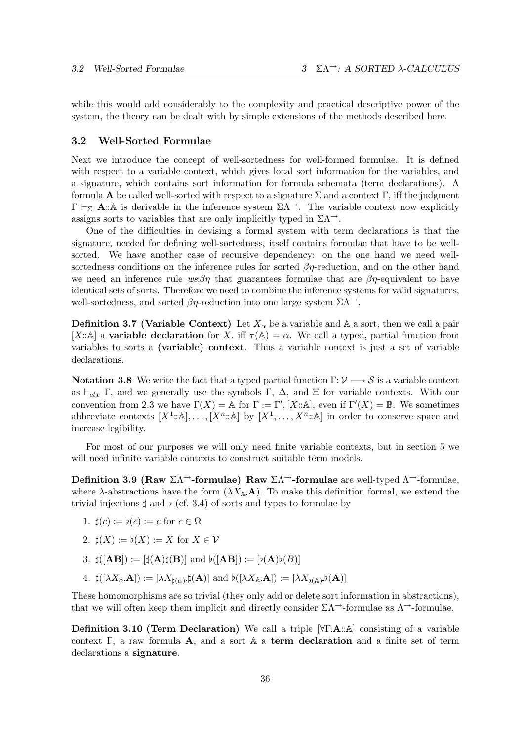while this would add considerably to the complexity and practical descriptive power of the system, the theory can be dealt with by simple extensions of the methods described here.

## 3.2 Well-Sorted Formulae

Next we introduce the concept of well-sortedness for well-formed formulae. It is defined with respect to a variable context, which gives local sort information for the variables, and a signature, which contains sort information for formula schemata (term declarations). A formula **A** be called well-sorted with respect to a signature  $\Sigma$  and a context  $\Gamma$ , iff the judgment  $\Gamma \vdash_{\Sigma} \mathbf{A} : A$  is derivable in the inference system  $\Sigma \Lambda^{-1}$ . The variable context now explicitly assigns sorts to variables that are only implicitly typed in  $\Sigma\Lambda^{\rightarrow}$ .

One of the difficulties in devising a formal system with term declarations is that the signature, needed for defining well-sortedness, itself contains formulae that have to be wellsorted. We have another case of recursive dependency: on the one hand we need wellsortedness conditions on the inference rules for sorted  $\beta\eta$ -reduction, and on the other hand we need an inference rule  $ws \beta \eta$  that guarantees formulae that are  $\beta \eta$ -equivalent to have identical sets of sorts. Therefore we need to combine the inference systems for valid signatures, well-sortedness, and sorted  $\beta\eta$ -reduction into one large system  $\Sigma\Lambda^{\rightarrow}$ .

**Definition 3.7 (Variable Context)** Let  $X_{\alpha}$  be a variable and A a sort, then we call a pair [X::A] a variable declaration for X, iff  $\tau(A) = \alpha$ . We call a typed, partial function from variables to sorts a (variable) context. Thus a variable context is just a set of variable declarations.

Notation 3.8 We write the fact that a typed partial function  $\Gamma: \mathcal{V} \longrightarrow \mathcal{S}$  is a variable context as  $\vdash_{ctx} \Gamma$ , and we generally use the symbols  $\Gamma$ ,  $\Delta$ , and  $\Xi$  for variable contexts. With our convention from 2.3 we have  $\Gamma(X) = \mathbb{A}$  for  $\Gamma := \Gamma', [X : \mathbb{A}],$  even if  $\Gamma'(X) = \mathbb{B}$ . We sometimes abbreviate contexts  $[X^1:\mathbb{A}], \ldots, [X^n:\mathbb{A}]$  by  $[X^1,\ldots,X^n:\mathbb{A}]$  in order to conserve space and increase legibility.

For most of our purposes we will only need finite variable contexts, but in section 5 we will need infinite variable contexts to construct suitable term models.

Definition 3.9 (Raw  $\Sigma\Lambda$ <sup>-</sup>-formulae) Raw  $\Sigma\Lambda$ <sup>--</sup>-formulae are well-typed  $\Lambda$ <sup>--</sup>-formulae, where  $\lambda$ -abstractions have the form  $(\lambda X_A \mathbf{A})$ . To make this definition formal, we extend the trivial injections  $\sharp$  and  $\flat$  (cf. 3.4) of sorts and types to formulae by

1.  $\sharp(c) := \flat(c) := c$  for  $c \in \Omega$ 

2. 
$$
\sharp(X) := \flat(X) := X \text{ for } X \in \mathcal{V}
$$

- 3.  $\sharp([\mathbf{AB}]) := [\sharp(\mathbf{A})\sharp(\mathbf{B})]$  and  $\flat([\mathbf{AB}]) := [\flat(\mathbf{A})\flat(\mathbf{B})]$
- $4. \ \ \sharp([\lambda X_{\alpha} \, \mathbf{A}]) := [\lambda X_{\sharp(\alpha)} \, \sharp(\mathbf{A})] \ \, \text{and} \ \, \flat([\lambda X_{\mathbb{A}} \, \mathbf{A}]) := [\lambda X_{\flat(\mathbb{A})} \, \flat(\mathbf{A})]$

These homomorphisms are so trivial (they only add or delete sort information in abstractions), that we will often keep them implicit and directly consider  $\Sigma \Lambda$ <sup> $\rightarrow$ </sup>-formulae as  $\Lambda$ <sup> $\rightarrow$ </sup>-formulae.

**Definition 3.10 (Term Declaration)** We call a triple  $[\forall \Gamma \cdot \mathbf{A} : \&mathbb{A}]$  consisting of a variable context  $\Gamma$ , a raw formula  $\mathbf{A}$ , and a sort  $\mathbb{A}$  a term declaration and a finite set of term declarations a signature.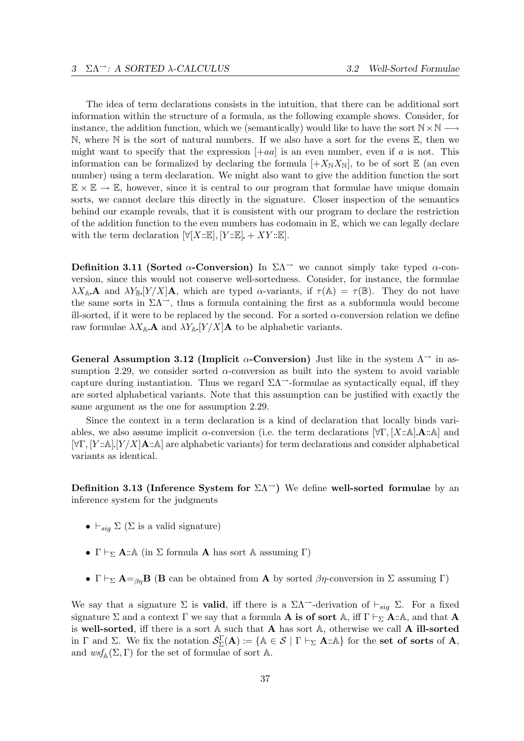The idea of term declarations consists in the intuition, that there can be additional sort information within the structure of a formula, as the following example shows. Consider, for instance, the addition function, which we (semantically) would like to have the sort  $N \times N -$ N, where N is the sort of natural numbers. If we also have a sort for the evens  $\mathbb{E}$ , then we might want to specify that the expression  $[+aa]$  is an even number, even if a is not. This information can be formalized by declaring the formula  $[+X_{\rm N}X_{\rm N}]$ , to be of sort  $\mathbb E$  (an even number) using a term declaration. We might also want to give the addition function the sort  $\mathbb{E} \times \mathbb{E} \to \mathbb{E}$ , however, since it is central to our program that formulae have unique domain sorts, we cannot declare this directly in the signature. Closer inspection of the semantics behind our example reveals, that it is consistent with our program to declare the restriction of the addition function to the even numbers has codomain in  $E$ , which we can legally declare with the term declaration  $[\forall [X::\mathbb{E}], [Y::\mathbb{E}] + XY::\mathbb{E}].$ 

Definition 3.11 (Sorted  $\alpha$ -Conversion) In  $\Sigma\Lambda$ <sup> $\rightarrow$ </sup> we cannot simply take typed  $\alpha$ -conversion, since this would not conserve well-sortedness. Consider, for instance, the formulae  $\lambda X_{\mathbb{A}}$  A and  $\lambda Y_{\mathbb{B}}[Y/X]$  A, which are typed  $\alpha$ -variants, if  $\tau(\mathbb{A}) = \tau(\mathbb{B})$ . They do not have the same sorts in  $\Sigma\Lambda^{-}$ , thus a formula containing the first as a subformula would become ill-sorted, if it were to be replaced by the second. For a sorted  $\alpha$ -conversion relation we define raw formulae  $\lambda X_{\mathbb{A}}$  and  $\lambda Y_{\mathbb{A}}$  [Y/X] A to be alphabetic variants.

General Assumption 3.12 (Implicit  $\alpha$ -Conversion) Just like in the system  $\Lambda^{\rightarrow}$  in assumption 2.29, we consider sorted  $\alpha$ -conversion as built into the system to avoid variable capture during instantiation. Thus we regard  $\Sigma\Lambda$ <sup>--</sup>-formulae as syntactically equal, iff they are sorted alphabetical variants. Note that this assumption can be justified with exactly the same argument as the one for assumption 2.29.

Since the context in a term declaration is a kind of declaration that locally binds variables, we also assume implicit  $\alpha$ -conversion (i.e. the term declarations  $[\forall \Gamma, [X : \mathbb{A}] \cdot \mathbf{A} : \mathbb{A}]$  and  $[\forall \Gamma, [Y:\mathbb{A}][Y/X]\mathbf{A}:\mathbb{A}]$  are alphabetic variants) for term declarations and consider alphabetical variants as identical.

Definition 3.13 (Inference System for  $\Sigma\Lambda^{-}$ ) We define well-sorted formulae by an inference system for the judgments

- $\vdash_{\mathit{sig}} \Sigma (\Sigma \text{ is a valid signature})$
- $\Gamma \vdash_{\Sigma} \mathbf{A} : A$  (in  $\Sigma$  formula **A** has sort A assuming  $\Gamma$ )
- Γ  $\vdash_{\Sigma}$  **A**=<sub>βη</sub>**B** (**B** can be obtained from **A** by sorted  $\beta\eta$ -conversion in  $\Sigma$  assuming Γ)

We say that a signature  $\Sigma$  is **valid**, iff there is a  $\Sigma\Lambda$ <sup> $\rightarrow$ </sup>-derivation of  $\vdash_{sig} \Sigma$ . For a fixed signature  $\Sigma$  and a context  $\Gamma$  we say that a formula **A** is of sort A, iff  $\Gamma \vdash_{\Sigma} \mathbf{A} : A$ , and that **A** is well-sorted, iff there is a sort  $A$  such that  $A$  has sort  $A$ , otherwise we call  $A$  ill-sorted in  $\Gamma$  and  $\Sigma$ . We fix the notation  $\mathcal{S}_{\Sigma}^{\Gamma}(\mathbf{A}) := \{ \mathbb{A} \in \mathcal{S} \mid \Gamma \vdash_{\Sigma} \mathbf{A} : \mathbb{A} \}$  for the set of sorts of A, and  $wsf_{\mathbb{A}}(\Sigma,\Gamma)$  for the set of formulae of sort A.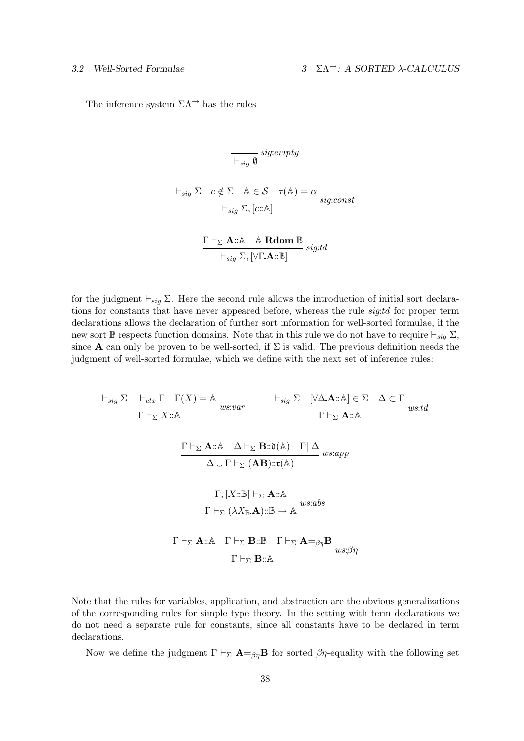The inference system  $\Sigma\Lambda$ <sup> $\rightarrow$ </sup> has the rules

$$
\overline{\vdash_{sig} \emptyset} \text{ sig:empty}
$$
\n
$$
\begin{array}{c}\n\vdash_{sig} \Sigma \quad c \notin \Sigma \quad \mathbb{A} \in \mathcal{S} \quad \tau(\mathbb{A}) = \alpha \\
\vdash_{sig} \Sigma, [c::\mathbb{A}] \quad \text{sig:const} \\
\Gamma \vdash_{\Sigma} \mathbf{A::\mathbb{A}} \quad \mathbb{A} \text{ Rdom } \mathbb{B} \text{ sig:td}\n\end{array}
$$

$$
\frac{\leftarrow}{\leftarrow} \frac{\sum \text{1mm} \cdot \text{1} \cdot \text{1} \cdot \text{1} \cdot \text{1} \cdot \text{1} \cdot \text{1}}{\leftarrow} \text{sig:} t
$$

for the judgment  $\vdash_{sig} \Sigma$ . Here the second rule allows the introduction of initial sort declarations for constants that have never appeared before, whereas the rule *sig:td* for proper term declarations allows the declaration of further sort information for well-sorted formulae, if the new sort B respects function domains. Note that in this rule we do not have to require  $\vdash_{sig} \Sigma$ , since **A** can only be proven to be well-sorted, if  $\Sigma$  is valid. The previous definition needs the judgment of well-sorted formulae, which we define with the next set of inference rules:

$$
\frac{\vdash_{sig} \Sigma \quad \vdash_{ctx} \Gamma \quad \Gamma(X) = \mathbb{A} \quad \qquad \qquad \vdash_{sig} \Sigma \quad [\forall \Delta \mathbf{A} :: \mathbb{A}] \in \Sigma \quad \Delta \subset \Gamma \quad \text{and} \quad \Gamma \vdash_{\Sigma} X :: \mathbb{A} \qquad \qquad \Gamma \vdash_{\Sigma} \mathbf{A} :: \mathbb{A} \qquad \Delta \vdash_{\Sigma} \mathbf{B} :: \mathfrak{d}(\mathbb{A}) \quad \Gamma || \Delta \quad \text{we:app}
$$
\n
$$
\Delta \cup \Gamma \vdash_{\Sigma} (\mathbf{A} \mathbf{B}) :: \mathfrak{r}(\mathbb{A}) \qquad \qquad \text{we:app}
$$
\n
$$
\frac{\Gamma, [X :: \mathbb{B}] \vdash_{\Sigma} \mathbf{A} :: \mathbb{A} \quad \text{we:abs}}{\Gamma \vdash_{\Sigma} (\lambda X_{\mathbb{B}}.\mathbf{A}) :: \mathbb{B} \to \mathbb{A} \quad \text{we:abs}}
$$
\n
$$
\frac{\Gamma \vdash_{\Sigma} \mathbf{A} :: \mathbb{A} \quad \Gamma \vdash_{\Sigma} \mathbf{B} :: \mathbb{B} \quad \Gamma \vdash_{\Sigma} \mathbf{A} =_{\beta \eta} \mathbf{B} \quad \text{we:}\beta \eta}{\Gamma \vdash_{\Sigma} \mathbf{B} :: \mathbb{A} \quad \text{we:ab}}
$$

Note that the rules for variables, application, and abstraction are the obvious generalizations of the corresponding rules for simple type theory. In the setting with term declarations we do not need a separate rule for constants, since all constants have to be declared in term declarations.

Now we define the judgment  $\Gamma \vdash_{\Sigma} \mathbf{A} =_{\beta\eta} \mathbf{B}$  for sorted  $\beta\eta$ -equality with the following set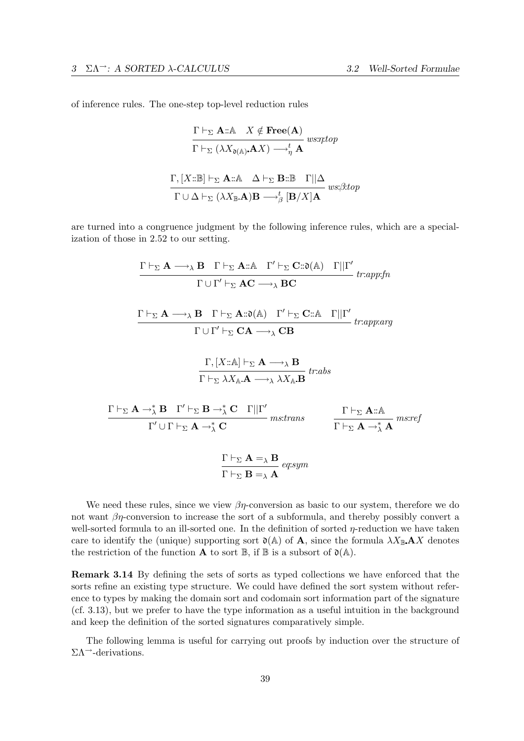$\Gamma$ 

of inference rules. The one-step top-level reduction rules

$$
\frac{\Gamma \vdash_{\Sigma} \mathbf{A} : \mathbb{A} \quad X \notin \mathbf{Free(A)}}{\Gamma \vdash_{\Sigma} (\lambda X_{\mathfrak{d}(\mathbb{A})}. \mathbf{A}X) \longrightarrow_{\eta}^{t} \mathbf{A}} \text{ wsnttop}
$$
\n
$$
\frac{\Gamma, [X : \mathbb{B}] \vdash_{\Sigma} \mathbf{A} : \mathbb{A} \quad \Delta \vdash_{\Sigma} \mathbf{B} : \mathbb{B} \quad \Gamma || \Delta}{\Gamma \cup \Delta \vdash_{\Sigma} (\lambda X_{\mathbb{B}}. \mathbf{A}) \mathbf{B} \longrightarrow_{\beta}^{t} [\mathbf{B}/X] \mathbf{A}} \text{ wsc;3.top}
$$

are turned into a congruence judgment by the following inference rules, which are a specialization of those in 2.52 to our setting.

$$
\frac{\Gamma \vdash_{\Sigma} \mathbf{A} \longrightarrow_{\lambda} \mathbf{B} \quad \Gamma \vdash_{\Sigma} \mathbf{A}::\mathbb{A} \quad \Gamma' \vdash_{\Sigma} \mathbf{C}::\mathfrak{d}(\mathbb{A}) \quad \Gamma||\Gamma'}{\Gamma \cup \Gamma' \vdash_{\Sigma} \mathbf{A} \mathbf{C} \longrightarrow_{\lambda} \mathbf{B} \mathbf{C}}
$$
\n
$$
\frac{\Gamma \vdash_{\Sigma} \mathbf{A} \longrightarrow_{\lambda} \mathbf{B} \quad \Gamma \vdash_{\Sigma} \mathbf{A}::\mathfrak{d}(\mathbb{A}) \quad \Gamma' \vdash_{\Sigma} \mathbf{C}::\mathbb{A} \quad \Gamma||\Gamma'}{\Gamma \cup \Gamma' \vdash_{\Sigma} \mathbf{C} \mathbf{A} \longrightarrow_{\lambda} \mathbf{C} \mathbf{B}}
$$
\n
$$
\frac{\Gamma, [X::\mathbb{A}] \vdash_{\Sigma} \mathbf{A} \longrightarrow_{\lambda} \mathbf{B}}{\Gamma \vdash_{\Sigma} \lambda X_{\mathbb{A}}.\mathbf{A} \longrightarrow_{\lambda} \lambda X_{\mathbb{A}}.\mathbf{B}}
$$
\n
$$
\frac{\Gamma, [\mathbf{X}::\mathbb{A}] \vdash_{\Sigma} \mathbf{A} \longrightarrow_{\lambda} \lambda X_{\mathbb{A}}.\mathbf{B}}{\Gamma' \cup \Gamma \vdash_{\Sigma} \mathbf{A} \longrightarrow_{\lambda}^* \mathbf{C} \quad \Gamma||\Gamma'} \quad \text{mstrans}
$$
\n
$$
\frac{\Gamma \vdash_{\Sigma} \mathbf{A} \rightarrow_{\lambda}^* \mathbf{A}}{\Gamma \vdash_{\Sigma} \mathbf{A} \rightarrow_{\lambda}^* \mathbf{A}}
$$
\n
$$
\frac{\Gamma \vdash_{\Sigma} \mathbf{A} =_{\lambda} \mathbf{B}}{\Gamma \vdash_{\Sigma} \mathbf{B} =_{\lambda} \mathbf{A}} \quad \text{eq:sym}
$$

We need these rules, since we view  $\beta\eta$ -conversion as basic to our system, therefore we do not want  $\beta\eta$ -conversion to increase the sort of a subformula, and thereby possibly convert a well-sorted formula to an ill-sorted one. In the definition of sorted  $\eta$ -reduction we have taken care to identify the (unique) supporting sort  $\mathfrak{d}(\mathbb{A})$  of **A**, since the formula  $\lambda X_{\mathbb{B}}$  **A**X denotes the restriction of the function **A** to sort  $\mathbb{B}$ , if  $\mathbb{B}$  is a subsort of  $\mathfrak{d}(\mathbb{A})$ .

Remark 3.14 By defining the sets of sorts as typed collections we have enforced that the sorts refine an existing type structure. We could have defined the sort system without reference to types by making the domain sort and codomain sort information part of the signature (cf. 3.13), but we prefer to have the type information as a useful intuition in the background and keep the definition of the sorted signatures comparatively simple.

The following lemma is useful for carrying out proofs by induction over the structure of  $\Sigma \Lambda$ <sup>--</sup>-derivations.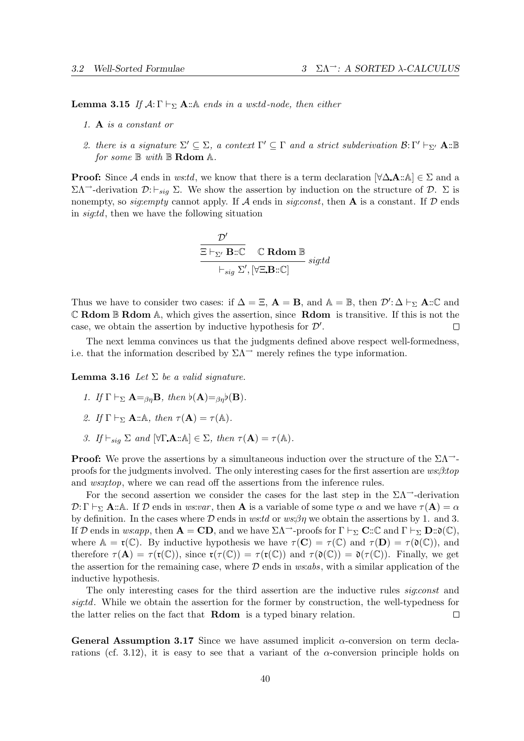**Lemma 3.15** If  $A: \Gamma \vdash_{\Sigma} A: A$  ends in a ws:td-node, then either

- 1. A is a constant or
- 2. there is a signature  $\Sigma' \subseteq \Sigma$ , a context  $\Gamma' \subseteq \Gamma$  and a strict subderivation  $\mathcal{B}: \Gamma' \vdash_{\Sigma'} \mathbf{A} : \mathbb{B}$ for some  $\mathbb B$  with  $\mathbb B$  Rdom  $\mathbb A$ .

**Proof:** Since A ends in ws:td, we know that there is a term declaration  $[\forall \Delta \mathbf{A} : \mathbb{A}] \in \Sigma$  and a  $\Sigma \Lambda$ <sup>→</sup>-derivation  $\mathcal{D}: \vdash_{\text{sig}} \Sigma$ . We show the assertion by induction on the structure of  $\mathcal{D}. \Sigma$  is nonempty, so *sig:empty* cannot apply. If A ends in *sig:const*, then A is a constant. If D ends in sig:td, then we have the following situation

$$
\frac{\mathcal{D}'}{\Xi\vdash_{\Sigma'}\mathbf{B}::\mathbb{C}} \quad \mathbb{C} \text{ Rdom }\mathbb{B}
$$
  

$$
\vdash_{sig} \Sigma', [\forall \Xi.\mathbf{B}::\mathbb{C}]
$$

Thus we have to consider two cases: if  $\Delta = \Xi$ ,  $\mathbf{A} = \mathbf{B}$ , and  $\mathbb{A} = \mathbb{B}$ , then  $\mathcal{D}' : \Delta \vdash_{\Sigma} \mathbf{A} :: \mathbb{C}$  and  $\mathbb C$  Rdom  $\mathbb B$  Rdom  $\mathbb A$ , which gives the assertion, since Rdom is transitive. If this is not the case, we obtain the assertion by inductive hypothesis for  $\mathcal{D}'$ . П

The next lemma convinces us that the judgments defined above respect well-formedness, i.e. that the information described by  $\Sigma\Lambda$ <sup>→</sup> merely refines the type information.

**Lemma 3.16** Let  $\Sigma$  be a valid signature.

- 1. If  $\Gamma \vdash_{\Sigma} \mathbf{A} =_{\beta n} \mathbf{B}$ , then  $\flat(\mathbf{A}) =_{\beta n} \flat(\mathbf{B})$ .
- 2. If  $\Gamma \vdash_{\Sigma} \mathbf{A} : A$ , then  $\tau(\mathbf{A}) = \tau(A)$ .
- 3. If  $\vdash_{\textit{sig}} \Sigma$  and  $[\forall \Gamma \cdot \mathbf{A} : \mathbb{A}] \in \Sigma$ , then  $\tau(\mathbf{A}) = \tau(\mathbb{A})$ .

**Proof:** We prove the assertions by a simultaneous induction over the structure of the  $\Sigma \Lambda^{-1}$ proofs for the judgments involved. The only interesting cases for the first assertion are  $ws:\beta:top$ and *ws:n:top*, where we can read off the assertions from the inference rules.

For the second assertion we consider the cases for the last step in the  $\Sigma\Lambda$ <sup>--</sup>-derivation  $\mathcal{D}: \Gamma \vdash_{\Sigma} \mathbf{A} : \mathbf{A}.$  If D ends in ws:var, then **A** is a variable of some type  $\alpha$  and we have  $\tau(\mathbf{A}) = \alpha$ by definition. In the cases where  $\mathcal D$  ends in ws:td or ws: $\beta\eta$  we obtain the assertions by 1. and 3. If D ends in ws:app, then  $\mathbf{A} = \mathbf{CD}$ , and we have  $\Sigma \Lambda^{-1}$ -proofs for  $\Gamma \vdash_{\Sigma} \mathbf{C} :: \mathbb{C}$  and  $\Gamma \vdash_{\Sigma} \mathbf{D} :: \mathfrak{d}(\mathbb{C}),$ where  $\mathbb{A} = \mathfrak{r}(\mathbb{C})$ . By inductive hypothesis we have  $\tau(\mathbf{C}) = \tau(\mathbb{C})$  and  $\tau(\mathbf{D}) = \tau(\mathfrak{d}(\mathbb{C}))$ , and therefore  $\tau(A) = \tau(\mathfrak{r}(\mathbb{C}))$ , since  $\mathfrak{r}(\tau(\mathbb{C})) = \tau(\mathfrak{r}(\mathbb{C}))$  and  $\tau(\mathfrak{d}(\mathbb{C})) = \mathfrak{d}(\tau(\mathbb{C}))$ . Finally, we get the assertion for the remaining case, where  $\mathcal D$  ends in  $ws:abs$ , with a similar application of the inductive hypothesis.

The only interesting cases for the third assertion are the inductive rules sig:const and sig:td. While we obtain the assertion for the former by construction, the well-typedness for the latter relies on the fact that Rdom is a typed binary relation.  $\Box$ 

General Assumption 3.17 Since we have assumed implicit  $\alpha$ -conversion on term declarations (cf. 3.12), it is easy to see that a variant of the  $\alpha$ -conversion principle holds on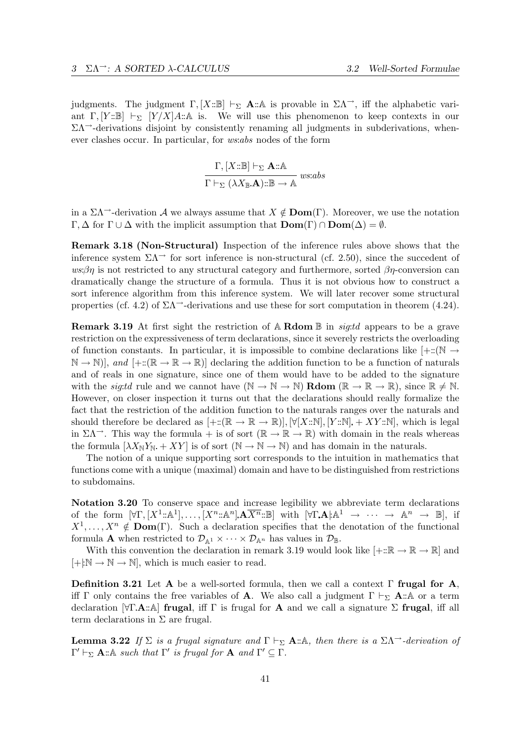judgments. The judgment  $\Gamma$ ,  $[X:\mathbb{B}] \vdash_{\Sigma} \mathbf{A}:\mathbb{A}$  is provable in  $\Sigma\Lambda^{-}$ , iff the alphabetic variant  $\Gamma$ ,  $[Y:\mathbb{B}] \vdash_{\Sigma} [Y/X]A:\mathbb{A}$  is. We will use this phenomenon to keep contexts in our  $\Sigma\Lambda$ <sup>-</sup>-derivations disjoint by consistently renaming all judgments in subderivations, whenever clashes occur. In particular, for ws:abs nodes of the form

$$
\frac{\Gamma,[X:\mathbb{B}]\vdash_\Sigma \mathbf{A} :: \mathbb{A} }{\Gamma \vdash_\Sigma (\lambda X_\mathbb{B}.\mathbf{A}) :: \mathbb{B} \to \mathbb{A}}\ us:abs
$$

in a  $\Sigma\Lambda$ <sup>→</sup>-derivation A we always assume that  $X \notin \text{Dom}(\Gamma)$ . Moreover, we use the notation  $\Gamma, \Delta$  for  $\Gamma \cup \Delta$  with the implicit assumption that  $\text{Dom}(\Gamma) \cap \text{Dom}(\Delta) = \emptyset$ .

Remark 3.18 (Non-Structural) Inspection of the inference rules above shows that the inference system  $\Sigma\Lambda$ <sup> $\rightarrow$ </sup> for sort inference is non-structural (cf. 2.50), since the succedent of  $ws\beta\eta$  is not restricted to any structural category and furthermore, sorted  $\beta\eta$ -conversion can dramatically change the structure of a formula. Thus it is not obvious how to construct a sort inference algorithm from this inference system. We will later recover some structural properties (cf. 4.2) of  $\Sigma\Lambda$ <sup>→</sup>-derivations and use these for sort computation in theorem (4.24).

**Remark 3.19** At first sight the restriction of A **Rdom**  $\mathbb{B}$  in *sigtul* appears to be a grave restriction on the expressiveness of term declarations, since it severely restricts the overloading of function constants. In particular, it is impossible to combine declarations like  $[+::(\mathbb{N} \rightarrow$  $\mathbb{N} \to \mathbb{N}$ , and  $[+::(\mathbb{R} \to \mathbb{R} \to \mathbb{R})]$  declaring the addition function to be a function of naturals and of reals in one signature, since one of them would have to be added to the signature with the *sig:td* rule and we cannot have  $(N \to N \to N)$  **Rdom**  $(\mathbb{R} \to \mathbb{R} \to \mathbb{R})$ , since  $\mathbb{R} \neq \mathbb{N}$ . However, on closer inspection it turns out that the declarations should really formalize the fact that the restriction of the addition function to the naturals ranges over the naturals and should therefore be declared as  $[+::(\mathbb{R}\to\mathbb{R}\to\mathbb{R})], \forall [X::\mathbb{N}], [Y::\mathbb{N}] + XY::\mathbb{N}],$  which is legal in  $\Sigma\Lambda$ <sup>→</sup>. This way the formula + is of sort ( $\mathbb{R} \to \mathbb{R}$ ) with domain in the reals whereas the formula  $[\lambda X_N Y_N + XY]$  is of sort  $(N \to N \to N)$  and has domain in the naturals.

The notion of a unique supporting sort corresponds to the intuition in mathematics that functions come with a unique (maximal) domain and have to be distinguished from restrictions to subdomains.

Notation 3.20 To conserve space and increase legibility we abbreviate term declarations of the form  $[\forall \Gamma, [X^1:\mathbb{A}^1], \ldots, [X^n:\mathbb{A}^n]$ **.**  $\mathbf{A}\overline{X^n}:\mathbb{B}]$  with  $[\forall \Gamma \mathbf{A} | \mathbb{A}^1 \rightarrow \cdots \rightarrow \mathbb{A}^n \rightarrow \mathbb{B}]$ , if  $X^1, \ldots, X^n \notin \text{Dom}(\Gamma)$ . Such a declaration specifies that the denotation of the functional formula **A** when restricted to  $\mathcal{D}_{\mathbb{A}^1} \times \cdots \times \mathcal{D}_{\mathbb{A}^n}$  has values in  $\mathcal{D}_{\mathbb{B}}$ .

With this convention the declaration in remark 3.19 would look like  $[+::\mathbb{R} \to \mathbb{R} \to \mathbb{R}]$  and  $[+]:\mathbb{N} \to \mathbb{N} \to \mathbb{N}$ , which is much easier to read.

Definition 3.21 Let A be a well-sorted formula, then we call a context  $\Gamma$  frugal for A, iff Γ only contains the free variables of **A**. We also call a judgment  $\Gamma \vdash_{\Sigma} \mathbf{A} : \mathbf{A}$  or a term declaration  $[\forall \Gamma \mathbf{A} : \mathbb{A}]$  frugal, iff  $\Gamma$  is frugal for **A** and we call a signature  $\Sigma$  frugal, iff all term declarations in  $\Sigma$  are frugal.

**Lemma 3.22** If  $\Sigma$  is a frugal signature and  $\Gamma \vdash_{\Sigma} \mathbf{A} : \mathbb{A}$ , then there is a  $\Sigma \Lambda^{-}$ -derivation of  $\Gamma' \vdash_{\Sigma} \mathbf{A} : A \text{ such that } \Gamma' \text{ is } frugal \text{ for } \mathbf{A} \text{ and } \Gamma' \subseteq \Gamma.$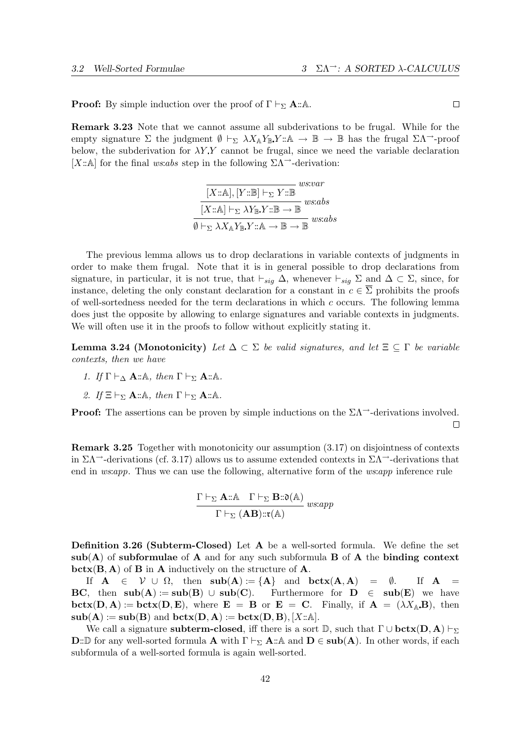**Proof:** By simple induction over the proof of  $\Gamma \vdash_{\Sigma} \mathbf{A} : A$ .

Remark 3.23 Note that we cannot assume all subderivations to be frugal. While for the empty signature Σ the judgment  $\emptyset \vdash_{\Sigma} \lambda X_{\mathbb{A}} Y_{\mathbb{B}} Y : \mathbb{A} \to \mathbb{B} \to \mathbb{B}$  has the frugal  $\Sigma \Lambda^{\rightarrow}$ -proof below, the subderivation for  $\lambda Y Y$  cannot be frugal, since we need the variable declaration [X::A] for the final ws:abs step in the following  $\Sigma\Lambda$ <sup>-3</sup>-derivation:

$$
\frac{\boxed{[X::\mathbb{A}],[Y::\mathbb{B}] \vdash_{\Sigma} Y::\mathbb{B}}}{\boxed{[X::\mathbb{A}] \vdash_{\Sigma} \lambda Y_{\mathbb{B}}. Y::\mathbb{B} \rightarrow \mathbb{B}} \text{ws:abs}} \text{ws:abs}
$$

$$
\emptyset \vdash_{\Sigma} \lambda X_{\mathbb{A}} Y_{\mathbb{B}}. Y::\mathbb{A} \rightarrow \mathbb{B} \rightarrow \mathbb{B} \text{ws:abs}
$$

The previous lemma allows us to drop declarations in variable contexts of judgments in order to make them frugal. Note that it is in general possible to drop declarations from signature, in particular, it is not true, that  $\vdash_{sig} \Delta$ , whenever  $\vdash_{sig} \Sigma$  and  $\Delta \subset \Sigma$ , since, for instance, deleting the only constant declaration for a constant in  $c \in \overline{\Sigma}$  prohibits the proofs of well-sortedness needed for the term declarations in which  $c$  occurs. The following lemma does just the opposite by allowing to enlarge signatures and variable contexts in judgments. We will often use it in the proofs to follow without explicitly stating it.

**Lemma 3.24 (Monotonicity)** Let  $\Delta \subset \Sigma$  be valid signatures, and let  $\Xi \subseteq \Gamma$  be variable contexts, then we have

- 1. If  $\Gamma \vdash_{\Delta} \mathbf{A} : A$ , then  $\Gamma \vdash_{\Sigma} \mathbf{A} : A$ .
- 2. If  $\Xi \vdash_{\Sigma} \mathbf{A} : \mathbb{A}, \text{ then } \Gamma \vdash_{\Sigma} \mathbf{A} : \mathbb{A}.$

**Proof:** The assertions can be proven by simple inductions on the  $\Sigma\Lambda$ <sup>-</sup>-derivations involved.  $\Box$ 

Remark 3.25 Together with monotonicity our assumption (3.17) on disjointness of contexts in  $\Sigma\Lambda$ <sup>--</sup>-derivations (cf. 3.17) allows us to assume extended contexts in  $\Sigma\Lambda$ <sup>--</sup>-derivations that end in *ws:app*. Thus we can use the following, alternative form of the *ws:app* inference rule

$$
\frac{\Gamma \vdash_{\Sigma} \mathbf{A} :: \mathbb{A} \quad \Gamma \vdash_{\Sigma} \mathbf{B} :: \mathfrak{d}(\mathbb{A})}{\Gamma \vdash_{\Sigma} (\mathbf{A}\mathbf{B}) :: \mathfrak{r}(\mathbb{A})} \, \mathit{ws:app}
$$

Definition 3.26 (Subterm-Closed) Let A be a well-sorted formula. We define the set  $sub(A)$  of subformulae of A and for any such subformula B of A the binding context  $\textbf{bctx}(B, A)$  of  $B$  in  $A$  inductively on the structure of  $A$ .

If  $A \in \mathcal{V} \cup \Omega$ , then  $sub(A) := \{A\}$  and  $,b\ctx(A, A) = \emptyset$ . If  $A =$ **BC**, then  $sub(A) := sub(B) \cup sub(C)$ . Furthermore for  $D \in sub(E)$  we have  $\textbf{bctx}(D, A) := \textbf{bctx}(D, E)$ , where  $E = B$  or  $E = C$ . Finally, if  $A = (\lambda X_A, B)$ , then  $\text{sub}(A) := \text{sub}(B)$  and  $\text{bctx}(D, A) := \text{bctx}(D, B), [X : A].$ 

We call a signature **subterm-closed**, iff there is a sort  $\mathbb{D}$ , such that  $\Gamma \cup \textbf{bctx}(D, A) \vdash_{\Sigma}$  $\mathbf{D}:\mathbb{D}$  for any well-sorted formula **A** with  $\Gamma \vdash_{\Sigma} \mathbf{A}:\mathbb{A}$  and  $\mathbf{D} \in \mathbf{sub}(\mathbf{A})$ . In other words, if each subformula of a well-sorted formula is again well-sorted.

 $\Box$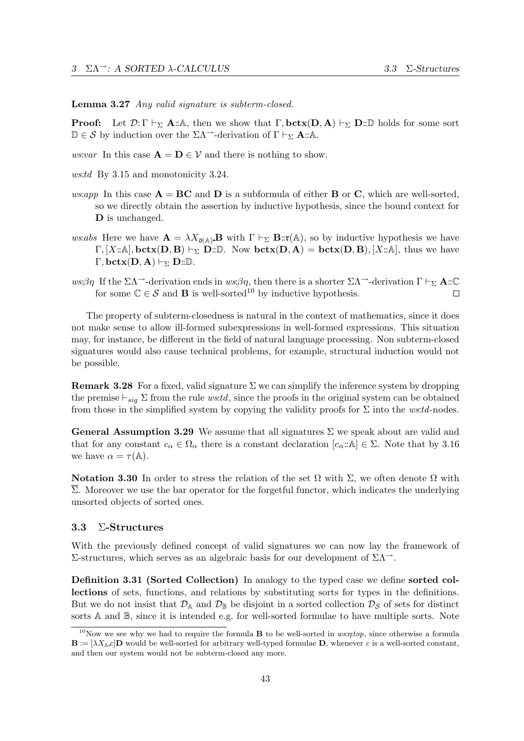Lemma 3.27 Any valid signature is subterm-closed.

**Proof:** Let  $\mathcal{D}:\Gamma \vdash_{\Sigma} \mathbf{A}:\mathbb{A}$ , then we show that  $\Gamma$ ,  $\mathbf{bctx}(\mathbf{D}, \mathbf{A}) \vdash_{\Sigma} \mathbf{D}:\mathbb{D}$  holds for some sort  $\mathbb{D} \in \mathcal{S}$  by induction over the  $\Sigma \Lambda^{-1}$ -derivation of  $\Gamma \vdash_{\Sigma} \mathbf{A} : \mathbb{A}.$ 

ws:var In this case  $\mathbf{A} = \mathbf{D} \in \mathcal{V}$  and there is nothing to show.

ws:td By 3.15 and monotonicity 3.24.

- ws:app In this case  $\mathbf{A} = \mathbf{B}\mathbf{C}$  and  $\mathbf{D}$  is a subformula of either  $\mathbf{B}$  or  $\mathbf{C}$ , which are well-sorted, so we directly obtain the assertion by inductive hypothesis, since the bound context for D is unchanged.
- ws:abs Here we have  $\mathbf{A} = \lambda X_{\mathfrak{d}(\mathbb{A})} \mathbf{B}$  with  $\Gamma \vdash_{\Sigma} \mathbf{B} : \mathfrak{r}(\mathbb{A})$ , so by inductive hypothesis we have  $\Gamma, [X:\mathbb{A}], \text{bctx}(D, B) \vdash_{\Sigma} D: \mathbb{D}.$  Now  $\text{bctx}(D, A) = \text{bctx}(D, B), [X: \mathbb{A}],$  thus we have  $\Gamma, \text{bctx}(D, A) \vdash_{\Sigma} D: \mathbb{D}.$
- ws:βη If the  $\Sigma \Lambda$ <sup>--</sup>-derivation ends in ws:βη, then there is a shorter  $\Sigma \Lambda$ <sup>--</sup>-derivation  $\Gamma \vdash_{\Sigma} \mathbf{A} : \mathbb{C}$ for some  $\mathbb{C} \in \mathcal{S}$  and **B** is well-sorted<sup>10</sup> by inductive hypothesis.  $\Box$

The property of subterm-closedness is natural in the context of mathematics, since it does not make sense to allow ill-formed subexpressions in well-formed expressions. This situation may, for instance, be different in the field of natural language processing. Non subterm-closed signatures would also cause technical problems, for example, structural induction would not be possible.

**Remark 3.28** For a fixed, valid signature  $\Sigma$  we can simplify the inference system by dropping the premise  $\vdash_{sig} \Sigma$  from the rule ws:td, since the proofs in the original system can be obtained from those in the simplified system by copying the validity proofs for  $\Sigma$  into the ws:td-nodes.

**General Assumption 3.29** We assume that all signatures  $\Sigma$  we speak about are valid and that for any constant  $c_{\alpha} \in \Omega_{\alpha}$  there is a constant declaration  $[c_{\alpha}:\mathbb{A}] \in \Sigma$ . Note that by 3.16 we have  $\alpha = \tau(\mathbb{A})$ .

Notation 3.30 In order to stress the relation of the set  $\Omega$  with  $\Sigma$ , we often denote  $\Omega$  with  $\Sigma$ . Moreover we use the bar operator for the forgetful functor, which indicates the underlying unsorted objects of sorted ones.

## 3.3 Σ-Structures

With the previously defined concept of valid signatures we can now lay the framework of Σ-structures, which serves as an algebraic basis for our development of ΣΛ→.

Definition 3.31 (Sorted Collection) In analogy to the typed case we define sorted collections of sets, functions, and relations by substituting sorts for types in the definitions. But we do not insist that  $\mathcal{D}_A$  and  $\mathcal{D}_B$  be disjoint in a sorted collection  $\mathcal{D}_S$  of sets for distinct sorts A and  $\mathbb{B}$ , since it is intended e.g. for well-sorted formulae to have multiple sorts. Note

<sup>&</sup>lt;sup>10</sup>Now we see why we had to require the formula **B** to be well-sorted in  $ws$ ; since otherwise a formula  $\mathbf{B} := [\lambda X_{\mathbb{A}} c] \mathbf{D}$  would be well-sorted for arbitrary well-typed formulae  $\mathbf{D}$ , whenever c is a well-sorted constant, and then our system would not be subterm-closed any more.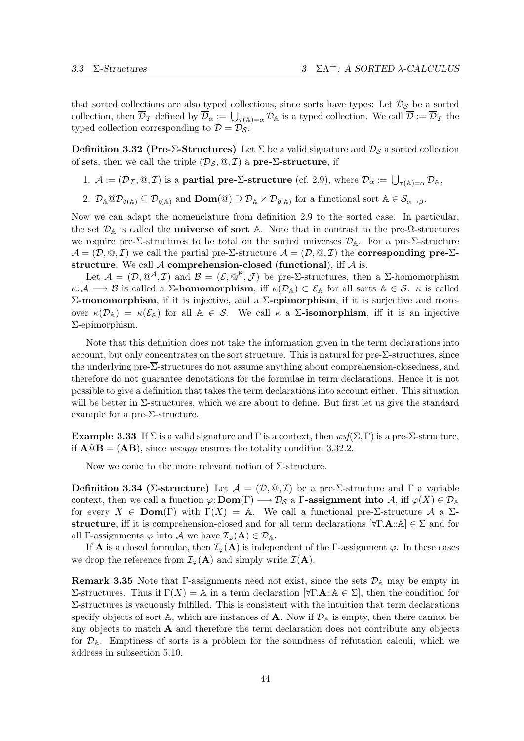that sorted collections are also typed collections, since sorts have types: Let  $\mathcal{D}_{\mathcal{S}}$  be a sorted collection, then  $\overline{\mathcal{D}}_{\mathcal{T}}$  defined by  $\overline{\mathcal{D}}_{\alpha} := \bigcup_{\tau(\mathbb{A})=\alpha} \mathcal{D}_{\mathbb{A}}$  is a typed collection. We call  $\overline{\mathcal{D}} := \overline{\mathcal{D}}_{\mathcal{T}}$  the typed collection corresponding to  $\mathcal{D} = \mathcal{D}_{\mathcal{S}}$ .

**Definition 3.32 (Pre-Σ-Structures)** Let  $\Sigma$  be a valid signature and  $\mathcal{D}_S$  a sorted collection of sets, then we call the triple  $(\mathcal{D}_\mathcal{S}, \mathcal{Q}, \mathcal{I})$  a pre- $\Sigma$ -structure, if

- 1.  $\mathcal{A} := (\overline{\mathcal{D}}_{\mathcal{T}}, \mathbb{Q}, \mathcal{I})$  is a **partial pre-** $\overline{\Sigma}$ -structure (cf. 2.9), where  $\overline{\mathcal{D}}_{\alpha} := \bigcup_{\tau(\mathbb{A})=\alpha} \mathcal{D}_{\mathbb{A}}$ ,
- 2.  $\mathcal{D}_{\mathbb{A}} @ \mathcal{D}_{\mathfrak{d}}(\mathbb{A}) \subseteq \mathcal{D}_{\mathfrak{r}}(\mathbb{A}) \text{ and } \textbf{Dom}(\mathbb{Q}) \supseteq \mathcal{D}_{\mathbb{A}} \times \mathcal{D}_{\mathfrak{d}}(\mathbb{A}) \text{ for a functional sort } \mathbb{A} \in \mathcal{S}_{\alpha \to \beta}.$

Now we can adapt the nomenclature from definition 2.9 to the sorted case. In particular, the set  $\mathcal{D}_A$  is called the **universe of sort** A. Note that in contrast to the pre- $\Omega$ -structures we require pre-Σ-structures to be total on the sorted universes  $\mathcal{D}_{A}$ . For a pre-Σ-structure  $\mathcal{A} = (\mathcal{D}, \mathbb{Q}, \mathcal{I})$  we call the partial pre- $\overline{\Sigma}$ -structure  $\overline{\mathcal{A}} = (\overline{\mathcal{D}}, \mathbb{Q}, \mathcal{I})$  the **corresponding pre-** $\overline{\Sigma}$ structure. We call A comprehension-closed (functional), iff  $\overline{A}$  is.

Let  $\mathcal{A} = (\mathcal{D}, \mathbb{Q}^{\mathcal{A}}, \mathcal{I})$  and  $\mathcal{B} = (\mathcal{E}, \mathbb{Q}^{\mathcal{B}}, \mathcal{J})$  be pre- $\Sigma$ -structures, then a  $\overline{\Sigma}$ -homomorphism  $\kappa: \overline{\mathcal{A}} \longrightarrow \overline{\mathcal{B}}$  is called a  $\Sigma$ -homomorphism, iff  $\kappa(\mathcal{D}_A) \subset \mathcal{E}_A$  for all sorts  $A \in \mathcal{S}$ .  $\kappa$  is called Σ-monomorphism, if it is injective, and a  $\Sigma$ -epimorphism, if it is surjective and moreover  $\kappa(\mathcal{D}_A) = \kappa(\mathcal{E}_A)$  for all  $A \in \mathcal{S}$ . We call  $\kappa$  a  $\Sigma$ -isomorphism, iff it is an injective Σ-epimorphism.

Note that this definition does not take the information given in the term declarations into account, but only concentrates on the sort structure. This is natural for pre-Σ-structures, since the underlying pre-Σ-structures do not assume anything about comprehension-closedness, and therefore do not guarantee denotations for the formulae in term declarations. Hence it is not possible to give a definition that takes the term declarations into account either. This situation will be better in Σ-structures, which we are about to define. But first let us give the standard example for a pre- $\Sigma$ -structure.

**Example 3.33** If  $\Sigma$  is a valid signature and  $\Gamma$  is a context, then  $wsf(\Sigma,\Gamma)$  is a pre- $\Sigma$ -structure, if  $\mathbf{A} \mathbb{Q} \mathbf{B} = (\mathbf{A} \mathbf{B})$ , since ws:app ensures the totality condition 3.32.2.

Now we come to the more relevant notion of  $\Sigma$ -structure.

Definition 3.34 (Σ-structure) Let  $\mathcal{A} = (\mathcal{D}, \mathbb{Q}, \mathcal{I})$  be a pre-Σ-structure and  $\Gamma$  a variable context, then we call a function  $\varphi: \mathbf{Dom}(\Gamma) \longrightarrow \mathcal{D}_{\mathcal{S}}$  a  $\Gamma$ -assignment into  $\mathcal{A}$ , iff  $\varphi(X) \in \mathcal{D}_{\mathbb{A}}$ for every  $X \in \text{Dom}(\Gamma)$  with  $\Gamma(X) = A$ . We call a functional pre-Σ-structure A a Σstructure, iff it is comprehension-closed and for all term declarations  $[\forall \Gamma \cdot A : A] \in \Sigma$  and for all Γ-assignments  $\varphi$  into A we have  $\mathcal{I}_{\varphi}(\mathbf{A}) \in \mathcal{D}_{\mathbb{A}}$ .

If **A** is a closed formulae, then  $\mathcal{I}_{\varphi}(\mathbf{A})$  is independent of the Γ-assignment  $\varphi$ . In these cases we drop the reference from  $\mathcal{I}_{\varphi}(\mathbf{A})$  and simply write  $\mathcal{I}(\mathbf{A})$ .

**Remark 3.35** Note that  $\Gamma$ -assignments need not exist, since the sets  $\mathcal{D}_A$  may be empty in Σ-structures. Thus if Γ(X) = A in a term declaration  $[∀Γ.A::A ∈ Σ]$ , then the condition for Σ-structures is vacuously fulfilled. This is consistent with the intuition that term declarations specify objects of sort A, which are instances of A. Now if  $\mathcal{D}_A$  is empty, then there cannot be any objects to match  $A$  and therefore the term declaration does not contribute any objects for  $\mathcal{D}_A$ . Emptiness of sorts is a problem for the soundness of refutation calculi, which we address in subsection 5.10.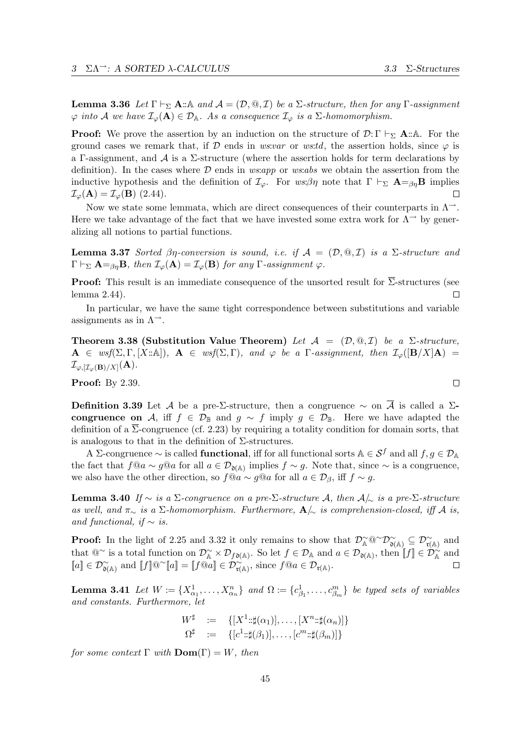**Lemma 3.36** Let  $\Gamma \vdash_{\Sigma} \mathbf{A} : \mathbb{A}$  and  $\mathcal{A} = (\mathcal{D}, \mathbb{Q}, \mathcal{I})$  be a  $\Sigma$ -structure, then for any  $\Gamma$ -assignment  $\varphi$  into A we have  $\mathcal{I}_{\varphi}(\mathbf{A}) \in \mathcal{D}_{\mathbb{A}}$ . As a consequence  $\mathcal{I}_{\varphi}$  is a  $\Sigma$ -homomorphism.

**Proof:** We prove the assertion by an induction on the structure of  $\mathcal{D}:\Gamma \vdash_{\Sigma} \mathbf{A}:\mathbb{A}$ . For the ground cases we remark that, if D ends in ws:var or ws:td, the assertion holds, since  $\varphi$  is a Γ-assignment, and A is a Σ-structure (where the assertion holds for term declarations by definition). In the cases where  $\mathcal D$  ends in ws:app or ws:abs we obtain the assertion from the inductive hypothesis and the definition of  $\mathcal{I}_{\varphi}$ . For  $ws:\beta\eta$  note that  $\Gamma \vdash_{\Sigma} \mathbf{A} =_{\beta\eta} \mathbf{B}$  implies  $\mathcal{I}_{\varphi}(\mathbf{A}) = \mathcal{I}_{\varphi}(\mathbf{B})$  (2.44).  $\Box$ 

Now we state some lemmata, which are direct consequences of their counterparts in  $\Lambda^{\rightarrow}$ . Here we take advantage of the fact that we have invested some extra work for  $\Lambda^{\rightarrow}$  by generalizing all notions to partial functions.

**Lemma 3.37** Sorted βη-conversion is sound, i.e. if  $A = (D, \mathcal{Q}, \mathcal{I})$  is a  $\Sigma$ -structure and  $\Gamma \vdash_{\Sigma} \mathbf{A} =_{\beta n} \mathbf{B}$ , then  $\mathcal{I}_{\varphi}(\mathbf{A}) = \mathcal{I}_{\varphi}(\mathbf{B})$  for any  $\Gamma$ -assignment  $\varphi$ .

**Proof:** This result is an immediate consequence of the unsorted result for  $\overline{\Sigma}$ -structures (see lemma 2.44). П

In particular, we have the same tight correspondence between substitutions and variable assignments as in  $\Lambda^{\rightarrow}$ .

Theorem 3.38 (Substitution Value Theorem) Let  $\mathcal{A} = (\mathcal{D}, \mathbb{Q}, \mathcal{I})$  be a  $\Sigma\text{-}structure$ ,  $\mathbf{A} \in \text{wsf}(\Sigma, \Gamma, [X : \mathbb{A}]), \ \mathbf{A} \in \text{wsf}(\Sigma, \Gamma), \text{ and } \varphi \text{ be a } \Gamma\text{-assignment, then } \mathcal{I}_{\varphi}(|\mathbf{B}/X|\mathbf{A}) =$  $\mathcal{I}_{\varphi, [\mathcal{I}_{\varphi}(\mathbf{B})/X]}(\mathbf{A}).$ 

Proof: By 2.39.

Definition 3.39 Let A be a pre-Σ-structure, then a congruence  $\sim$  on  $\overline{A}$  is called a Σcongruence on A, iff  $f \in \mathcal{D}_{\mathbb{B}}$  and  $g \sim f$  imply  $g \in \mathcal{D}_{\mathbb{B}}$ . Here we have adapted the definition of a  $\Sigma$ -congruence (cf. 2.23) by requiring a totality condition for domain sorts, that is analogous to that in the definition of  $\Sigma$ -structures.

A ∑-congruence  $\sim$  is called **functional**, iff for all functional sorts  $A \in S^f$  and all  $f, g \in \mathcal{D}_A$ the fact that  $f@a \sim g@a$  for all  $a \in \mathcal{D}_{\mathfrak{d}(\mathbb{A})}$  implies  $f \sim g$ . Note that, since  $\sim$  is a congruence, we also have the other direction, so  $f@a \sim g@a$  for all  $a \in \mathcal{D}_{\beta}$ , iff  $f \sim g$ .

Lemma 3.40 If ∼ is a Σ-congruence on a pre-Σ-structure A, then  $A/\sim$  is a pre-Σ-structure as well, and  $\pi_{\sim}$  is a  $\Sigma$ -homomorphism. Furthermore,  $\mathbf{A}/\sim$  is comprehension-closed, iff A is, and functional, if  $\sim$  is.

**Proof:** In the light of 2.25 and 3.32 it only remains to show that  $\mathcal{D}_{\mathbb{A}}^{\sim}$   $\mathbb{Q}^{\sim} \mathcal{D}_{\mathfrak{d}(\mathbb{A})}^{\sim} \subseteq \mathcal{D}_{\mathfrak{r}(\mathbb{A})}^{\sim}$  and that  $@^{\sim}$  is a total function on  $\mathcal{D}_{\mathbb{A}}^{\sim} \times \mathcal{D}_{f \mathfrak{d}(\mathbb{A})}$ . So let  $f \in \mathcal{D}_{\mathbb{A}}$  and  $a \in \mathcal{D}_{\mathfrak{d}(\mathbb{A})}$ , then  $[[f]] \in \mathcal{D}_{\mathbb{A}}^{\sim}$  and  $[a] \in \mathcal{D}^{\sim}_{\mathfrak{d}(\mathbb{A})}$  and  $[[f]]@^{\sim}[a] = [[f@a] \in \mathcal{D}^{\sim}_{\mathfrak{r}(\mathbb{A})},$  since  $f@a \in \mathcal{D}_{\mathfrak{r}(\mathbb{A})}.$ 

**Lemma 3.41** Let  $W := \{X_{\alpha_1}^1, \ldots, X_{\alpha_n}^n\}$  and  $\Omega := \{c_{\beta_1}^1, \ldots, c_{\beta_m}^m\}$  be typed sets of variables and constants. Furthermore, let

$$
W^{\sharp} := \{ [X^1::\sharp(\alpha_1)], \dots, [X^n::\sharp(\alpha_n)] \}
$$
  

$$
\Omega^{\sharp} := \{ [c^1::\sharp(\beta_1)], \dots, [c^m::\sharp(\beta_m)] \}
$$

for some context  $\Gamma$  with  $\mathbf{Dom}(\Gamma) = W$ , then

 $\Box$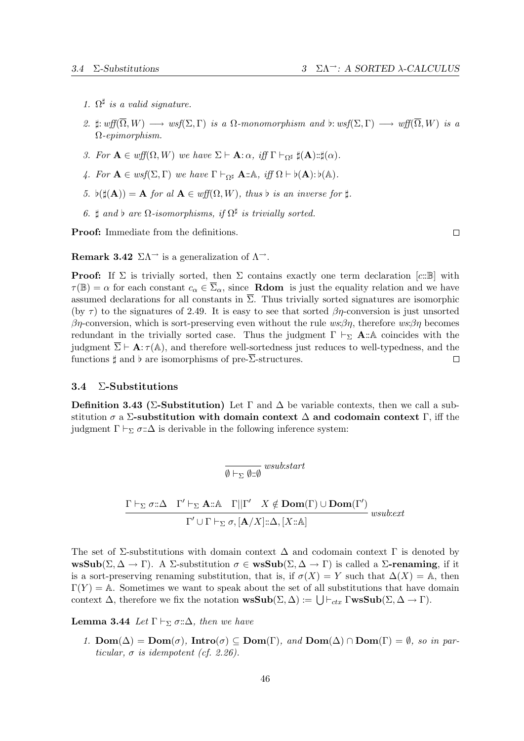- 1.  $\Omega^{\sharp}$  is a valid signature.
- 2.  $\sharp: wff(\overline{\Omega}, W) \longrightarrow wsf(\Sigma, \Gamma)$  is a  $\Omega$ -monomorphism and  $b: wsf(\Sigma, \Gamma) \longrightarrow wf(\overline{\Omega}, W)$  is a Ω-epimorphism.
- 3. For  $\mathbf{A} \in \text{wff}(\Omega, W)$  we have  $\Sigma \vdash \mathbf{A}: \alpha$ , iff  $\Gamma \vdash_{\Omega^{\sharp}} \sharp(\mathbf{A}): \sharp(\alpha)$ .
- 4. For  $\mathbf{A} \in \text{wsf}(\Sigma, \Gamma)$  we have  $\Gamma \vdash_{\Omega^{\sharp}} \mathbf{A} : A$ , iff  $\Omega \vdash \flat(\mathbf{A}) : \flat(\mathbb{A})$ .
- 5.  $\flat(\sharp(\mathbf{A})) = \mathbf{A}$  for al  $\mathbf{A} \in \text{wff}(\Omega, W)$ , thus b is an inverse for  $\sharp$ .
- 6.  $\sharp$  and  $\flat$  are  $\Omega$ -isomorphisms, if  $\Omega^{\sharp}$  is trivially sorted.

Proof: Immediate from the definitions.

 $\Box$ 

**Remark 3.42**  $\Sigma \Lambda^{\rightarrow}$  is a generalization of  $\Lambda^{\rightarrow}$ .

**Proof:** If  $\Sigma$  is trivially sorted, then  $\Sigma$  contains exactly one term declaration [c::B] with  $\tau(\mathbb{B}) = \alpha$  for each constant  $c_{\alpha} \in \overline{\Sigma}_{\alpha}$ , since **Rdom** is just the equality relation and we have assumed declarations for all constants in  $\overline{\Sigma}$ . Thus trivially sorted signatures are isomorphic (by  $\tau$ ) to the signatures of 2.49. It is easy to see that sorted  $\beta\eta$ -conversion is just unsorted βη-conversion, which is sort-preserving even without the rule  $ws:\beta\eta$ , therefore  $ws:\beta\eta$  becomes redundant in the trivially sorted case. Thus the judgment  $\Gamma \vdash_{\Sigma} A : A$  coincides with the judgment  $\overline{\Sigma} \vdash A : \tau(A)$ , and therefore well-sortedness just reduces to well-typedness, and the functions  $\sharp$  and  $\flat$  are isomorphisms of pre- $\overline{\Sigma}$ -structures.  $\Box$ 

## 3.4 Σ-Substitutions

Definition 3.43 (Σ-Substitution) Let  $\Gamma$  and  $\Delta$  be variable contexts, then we call a substitution  $\sigma$  a  $\Sigma$ -substitution with domain context  $\Delta$  and codomain context  $\Gamma$ , iff the judgment  $\Gamma \vdash_{\Sigma} \sigma : \Delta$  is derivable in the following inference system:

$$
\overline{\emptyset\vdash_\Sigma\emptyset:\emptyset}\ wsubstart
$$

$$
\frac{\Gamma\vdash_{\Sigma}\sigma::\Delta\quad \Gamma'\vdash_{\Sigma}\mathbf{A}::\mathbb{A}\quad \Gamma||\Gamma'\quad X\notin \mathbf{Dom}(\Gamma)\cup \mathbf{Dom}(\Gamma')}{\Gamma'\cup\Gamma\vdash_{\Sigma}\sigma,[\mathbf{A}/X]::\Delta,[X::\mathbb{A}]} \text{ wsub.ext}
$$

The set of  $\Sigma$ -substitutions with domain context  $\Delta$  and codomain context  $\Gamma$  is denoted by  $\text{wsSub}(\Sigma, \Delta \to \Gamma)$ . A  $\Sigma$ -substitution  $\sigma \in \text{wsSub}(\Sigma, \Delta \to \Gamma)$  is called a  $\Sigma$ -renaming, if it is a sort-preserving renaming substitution, that is, if  $\sigma(X) = Y$  such that  $\Delta(X) = \mathbb{A}$ , then  $\Gamma(Y) = A$ . Sometimes we want to speak about the set of all substitutions that have domain context  $\Delta$ , therefore we fix the notation  $\mathbf{wsSub}(\Sigma, \Delta) := \bigcup \vdash_{ctx} \Gamma \mathbf{wsSub}(\Sigma, \Delta \to \Gamma)$ .

**Lemma 3.44** Let  $\Gamma \vdash_{\Sigma} \sigma : \Delta$ , then we have

1.  $\text{Dom}(\Delta) = \text{Dom}(\sigma)$ ,  $\text{Intro}(\sigma) \subseteq \text{Dom}(\Gamma)$ , and  $\text{Dom}(\Delta) \cap \text{Dom}(\Gamma) = \emptyset$ , so in particular,  $\sigma$  is idempotent (cf. 2.26).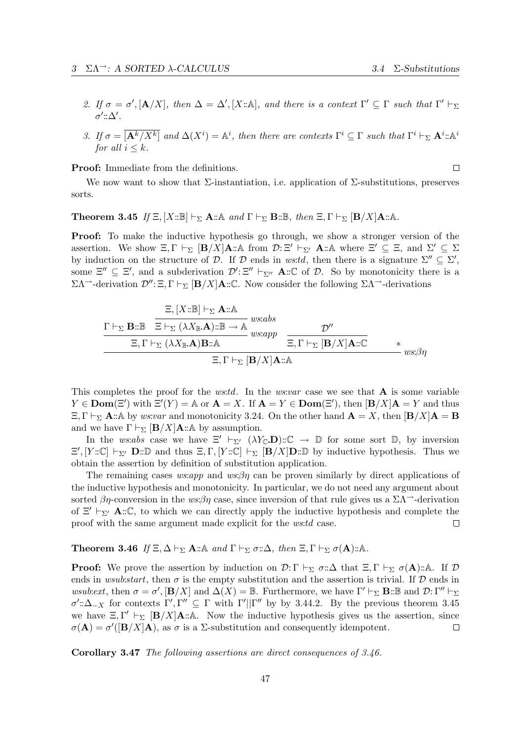- 2. If  $\sigma = \sigma'$ ,  $[\mathbf{A}/X]$ , then  $\Delta = \Delta'$ ,  $[X : \mathbb{A}]$ , and there is a context  $\Gamma' \subseteq \Gamma$  such that  $\Gamma' \vdash_{\Sigma}$  $\sigma'$ :: $\Delta'$ .
- 3. If  $\sigma = \overline{[{\bf A}^k/X^k]}$  and  $\Delta(X^i) = \mathbb{A}^i$ , then there are contexts  $\Gamma^i \subseteq \Gamma$  such that  $\Gamma^i \vdash_{\Sigma} {\bf A}^i$ :: $\mathbb{A}^i$ for all  $i \leq k$ .

Proof: Immediate from the definitions.

 $\Box$ 

We now want to show that  $\Sigma$ -instantiation, i.e. application of  $\Sigma$ -substitutions, preserves sorts.

## **Theorem 3.45** If  $\Xi$ ,  $[X:\mathbb{B}] \vdash_{\Sigma} \mathbf{A}:\mathbb{A}$  and  $\Gamma \vdash_{\Sigma} \mathbf{B}:\mathbb{B}$ , then  $\Xi$ ,  $\Gamma \vdash_{\Sigma} [\mathbf{B}/X] \mathbf{A}:\mathbb{A}$ .

Proof: To make the inductive hypothesis go through, we show a stronger version of the assertion. We show  $\Xi, \Gamma \vdash_{\Sigma} [\mathbf{B}/X] \mathbf{A} : A$  from  $\mathcal{D} : \Xi' \vdash_{\Sigma'} \mathbf{A} : A$  where  $\Xi' \subseteq \Xi$ , and  $\Sigma' \subseteq \Sigma$ by induction on the structure of D. If D ends in ws:td, then there is a signature  $\Sigma'' \subseteq \Sigma'$ , some  $\Xi'' \subseteq \Xi'$ , and a subderivation  $\mathcal{D}' : \Xi'' \vdash_{\Sigma''} \mathbf{A} : \mathbb{C}$  of  $\mathcal{D}$ . So by monotonicity there is a  $\Sigma Λ$ <sup>→</sup>-derivation  $\mathcal{D}''$ : Ξ, Γ  $\vdash_{\Sigma}$  [**B**/X]**A**:: C. Now consider the following  $\Sigma Λ$ <sup>→</sup>-derivations

$$
\frac{\Xi, [X::\mathbb{B}] \vdash_{\Sigma} \mathbf{A}::\mathbb{A}}{\Xi \vdash_{\Sigma} (\lambda X_{\mathbb{B}}.\mathbf{A})::\mathbb{B} \to \mathbb{A}} \text{ws:abs}
$$
\n
$$
\frac{\Sigma, \Gamma \vdash_{\Sigma} (\lambda X_{\mathbb{B}}.\mathbf{A})::\mathbb{B} \to \mathbb{A}}{\Xi, \Gamma \vdash_{\Sigma} (\lambda X_{\mathbb{B}}.\mathbf{A})\mathbf{B}::\mathbb{A}} \frac{\mathcal{D}''}{\Xi, \Gamma \vdash_{\Sigma} [\mathbf{B}/X]\mathbf{A}::\mathbb{C}}}{\Xi, \Gamma \vdash_{\Sigma} [\mathbf{B}/X]\mathbf{A}::\mathbb{A}} \text{ws:ab}
$$

This completes the proof for the *ws:td*. In the *ws:var* case we see that  $\bf{A}$  is some variable  $Y \in \text{Dom}(\Xi')$  with  $\Xi'(Y) = \mathbb{A}$  or  $\mathbf{A} = X$ . If  $\mathbf{A} = Y \in \text{Dom}(\Xi')$ , then  $[\mathbf{B}/X]\mathbf{A} = Y$  and thus  $\Xi, \Gamma \vdash_{\Sigma} \mathbf{A} : A$  by ws:var and monotonicity 3.24. On the other hand  $\mathbf{A} = X$ , then  $[\mathbf{B}/X]\mathbf{A} = \mathbf{B}$ and we have  $\Gamma \vdash_{\Sigma} [\mathbf{B}/X] \mathbf{A} : A$  by assumption.

In the ws:abs case we have  $\Xi' \vdash_{\Sigma'} (\lambda Y_{\mathbb{C}} \mathbf{D}) : \mathbb{C} \to \mathbb{D}$  for some sort  $\mathbb{D}$ , by inversion  $\Xi', [Y:\mathbb{C}] \vdash_{\Sigma'} \mathbf{D}:\mathbb{D}$  and thus  $\Xi, \Gamma, [Y:\mathbb{C}] \vdash_{\Sigma} [\mathbf{B}/X] \mathbf{D}:\mathbb{D}$  by inductive hypothesis. Thus we obtain the assertion by definition of substitution application.

The remaining cases ws:app and ws: $\beta\eta$  can be proven similarly by direct applications of the inductive hypothesis and monotonicity. In particular, we do not need any argument about sorted  $\beta\eta$ -conversion in the ws: $\beta\eta$  case, since inversion of that rule gives us a  $\Sigma\Lambda^{-}$ -derivation of  $\Xi' \vdash_{\Sigma'} \mathbf{A} : \mathbb{C}$ , to which we can directly apply the inductive hypothesis and complete the proof with the same argument made explicit for the ws:td case.  $\Box$ 

**Theorem 3.46** If  $\Xi, \Delta \vdash_{\Sigma} \mathbf{A} : \mathbb{A}$  and  $\Gamma \vdash_{\Sigma} \sigma : \Delta$ , then  $\Xi, \Gamma \vdash_{\Sigma} \sigma(\mathbf{A}) : \mathbb{A}$ .

**Proof:** We prove the assertion by induction on  $\mathcal{D}:\Gamma \vdash_{\Sigma} \sigma:\Delta$  that  $\Xi, \Gamma \vdash_{\Sigma} \sigma(\mathbf{A}) : A$ . If  $\mathcal{D}$ ends in wsub:start, then  $\sigma$  is the empty substitution and the assertion is trivial. If D ends in wsub:ext, then  $\sigma = \sigma'$ ,  $[\mathbf{B}/X]$  and  $\Delta(X) = \mathbb{B}$ . Furthermore, we have  $\Gamma' \vdash_{\Sigma} \mathbf{B} : \mathbb{B}$  and  $\mathcal{D}: \Gamma'' \vdash_{\Sigma}$  $\sigma'$ ::  $\Delta_{-X}$  for contexts Γ', Γ"  $\subseteq$  Γ with Γ'||Γ" by by 3.44.2. By the previous theorem 3.45 we have  $\Xi, \Gamma' \vdash_{\Sigma} [\mathbf{B}/X] \mathbf{A} : A$ . Now the inductive hypothesis gives us the assertion, since  $\sigma(\mathbf{A}) = \sigma'([\mathbf{B}/X]\mathbf{A})$ , as  $\sigma$  is a  $\Sigma$ -substitution and consequently idempotent.  $\Box$ 

Corollary 3.47 The following assertions are direct consequences of 3.46.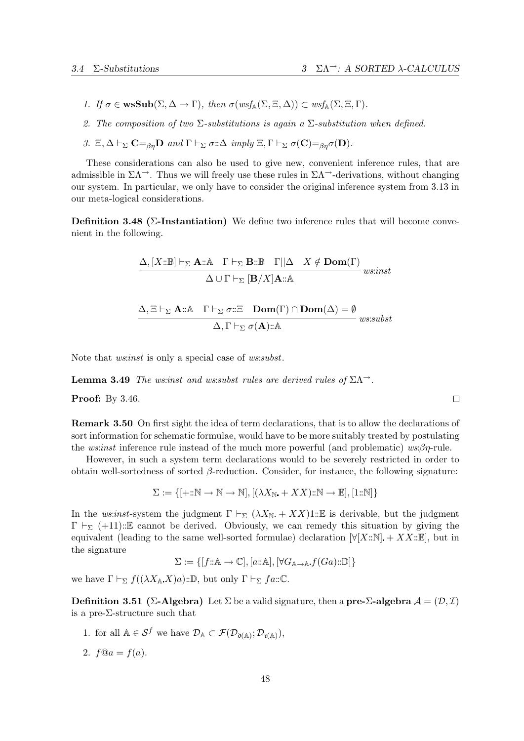- 1. If  $\sigma \in \mathbf{wsSub}(\Sigma, \Delta \to \Gamma)$ , then  $\sigma(wsf_{\mathbb{A}}(\Sigma, \Xi, \Delta)) \subset wsf_{\mathbb{A}}(\Sigma, \Xi, \Gamma)$ .
- 2. The composition of two  $\Sigma$ -substitutions is again a  $\Sigma$ -substitution when defined.
- 3. Ξ,  $\Delta \vdash_{\Sigma} \mathbf{C} =_{\beta n} \mathbf{D}$  and  $\Gamma \vdash_{\Sigma} \sigma : \Delta \text{ imply } \Xi, \Gamma \vdash_{\Sigma} \sigma(\mathbf{C}) =_{\beta n} \sigma(\mathbf{D}).$

These considerations can also be used to give new, convenient inference rules, that are admissible in  $\Sigma\Lambda^{-}$ . Thus we will freely use these rules in  $\Sigma\Lambda^{-}$ -derivations, without changing our system. In particular, we only have to consider the original inference system from 3.13 in our meta-logical considerations.

Definition 3.48 ( $\Sigma$ -Instantiation) We define two inference rules that will become convenient in the following.

$$
\frac{\Delta, [X:\mathbb{B}] \vdash_{\Sigma} \mathbf{A}:\mathbb{A} \quad \Gamma \vdash_{\Sigma} \mathbf{B}:\mathbb{B} \quad \Gamma||\Delta \quad X \notin \mathbf{Dom}(\Gamma)}{\Delta \cup \Gamma \vdash_{\Sigma} [\mathbf{B}/X]\mathbf{A}:\mathbb{A}} \quad \text{we that}
$$
\n
$$
\frac{\Delta, \Xi \vdash_{\Sigma} \mathbf{A}:\mathbb{A} \quad \Gamma \vdash_{\Sigma} \sigma:\Xi \quad \mathbf{Dom}(\Gamma) \cap \mathbf{Dom}(\Delta) = \emptyset}{\Delta, \Gamma \vdash_{\Sigma} \sigma(\mathbf{A}):\mathbb{A}} \quad \text{we must}
$$

Note that *ws:inst* is only a special case of *ws:subst.* 

**Lemma 3.49** The ws:inst and ws:subst rules are derived rules of  $\Sigma \Lambda^{-1}$ .

Proof: By 3.46.

Remark 3.50 On first sight the idea of term declarations, that is to allow the declarations of sort information for schematic formulae, would have to be more suitably treated by postulating the ws: $inst$  inference rule instead of the much more powerful (and problematic) ws: $\beta\eta$ -rule.

However, in such a system term declarations would to be severely restricted in order to obtain well-sortedness of sorted β-reduction. Consider, for instance, the following signature:

$$
\Sigma := \{ [\div : \mathbb{N} \to \mathbb{N} \to \mathbb{N}], [(\lambda X_{\mathbb{N}} + XX) : \mathbb{N} \to \mathbb{E}], [1 : \mathbb{N}] \}
$$

In the ws:inst-system the judgment  $\Gamma \vdash_{\Sigma} (\lambda X_{\mathbb{N}} + XX)1:\mathbb{E}$  is derivable, but the judgment  $\Gamma \vdash_{\Sigma} (+11)$ ::E cannot be derived. Obviously, we can remedy this situation by giving the equivalent (leading to the same well-sorted formulae) declaration  $\forall [X::\mathbb{N}]$  +  $XX::\mathbb{E}$ , but in the signature

$$
\Sigma := \{ [f : \mathbb{A} \to \mathbb{C}], [a : \mathbb{A}], [\forall G_{\mathbb{A} \to \mathbb{A}} f(Ga) : \mathbb{D}] \}
$$

we have  $\Gamma \vdash_{\Sigma} f((\lambda X_{\mathbb{A}} X)a): \mathbb{D}$ , but only  $\Gamma \vdash_{\Sigma} fa: \mathbb{C}$ .

**Definition 3.51** (Σ-Algebra) Let  $\Sigma$  be a valid signature, then a pre- $\Sigma$ -algebra  $\mathcal{A} = (\mathcal{D}, \mathcal{I})$ is a pre-Σ-structure such that

- 1. for all  $\mathbb{A} \in \mathcal{S}^f$  we have  $\mathcal{D}_{\mathbb{A}} \subset \mathcal{F}(\mathcal{D}_{\mathfrak{d}(\mathbb{A})}; \mathcal{D}_{\mathfrak{r}(\mathbb{A})}),$
- 2.  $f@a = f(a)$ .

 $\Box$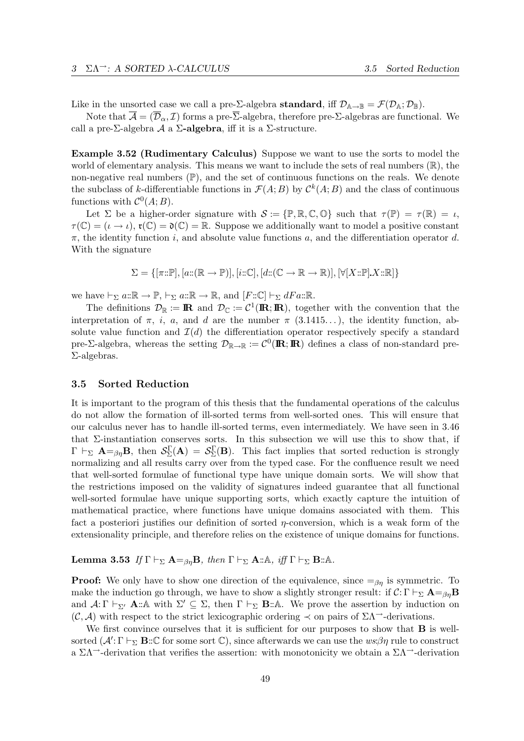Like in the unsorted case we call a pre- $\Sigma$ -algebra **standard**, iff  $\mathcal{D}_{\mathbb{A}\to\mathbb{B}} = \mathcal{F}(\mathcal{D}_{\mathbb{A}}; \mathcal{D}_{\mathbb{B}})$ .

Note that  $\overline{\mathcal{A}} = (\overline{\mathcal{D}}_{\alpha}, \mathcal{I})$  forms a pre- $\overline{\Sigma}$ -algebra, therefore pre- $\Sigma$ -algebras are functional. We call a pre-Σ-algebra  $\mathcal A$  a  $\Sigma$ -algebra, iff it is a Σ-structure.

Example 3.52 (Rudimentary Calculus) Suppose we want to use the sorts to model the world of elementary analysis. This means we want to include the sets of real numbers  $(\mathbb{R})$ , the non-negative real numbers  $(\mathbb{P})$ , and the set of continuous functions on the reals. We denote the subclass of k-differentiable functions in  $\mathcal{F}(A;B)$  by  $\mathcal{C}^k(A;B)$  and the class of continuous functions with  $\mathcal{C}^0(A;B)$ .

Let  $\Sigma$  be a higher-order signature with  $\mathcal{S} := \{ \mathbb{P}, \mathbb{R}, \mathbb{C}, \mathbb{O} \}$  such that  $\tau(\mathbb{P}) = \tau(\mathbb{R}) = \iota$ ,  $\tau(\mathbb{C}) = (\iota \to \iota), \tau(\mathbb{C}) = \mathfrak{d}(\mathbb{C}) = \mathbb{R}$ . Suppose we additionally want to model a positive constant  $\pi$ , the identity function i, and absolute value functions a, and the differentiation operator d. With the signature

$$
\Sigma = \{ [\pi : \mathbb{P}], [a : (\mathbb{R} \to \mathbb{P})], [i : \mathbb{C}], [d : (\mathbb{C} \to \mathbb{R} \to \mathbb{R})], [\forall [X : \mathbb{P}].X : \mathbb{R}] \}
$$

we have  $\vdash_{\Sigma} a:\mathbb{R} \to \mathbb{P}, \vdash_{\Sigma} a:\mathbb{R} \to \mathbb{R},$  and  $[F:\mathbb{C}] \vdash_{\Sigma} dFa:\mathbb{R}.$ 

The definitions  $\mathcal{D}_{\mathbb{R}} := \mathbb{R}$  and  $\mathcal{D}_{\mathbb{C}} := \mathcal{C}^1(\mathbb{R}; \mathbb{R})$ , together with the convention that the interpretation of  $\pi$ , *i*, *a*, and *d* are the number  $\pi$  (3.1415...), the identity function, absolute value function and  $\mathcal{I}(d)$  the differentiation operator respectively specify a standard pre-Σ-algebra, whereas the setting  $\mathcal{D}_{\mathbb{R}\to\mathbb{R}}:=\mathcal{C}^0(\mathbb{R};\mathbb{R})$  defines a class of non-standard pre-Σ-algebras.

## 3.5 Sorted Reduction

It is important to the program of this thesis that the fundamental operations of the calculus do not allow the formation of ill-sorted terms from well-sorted ones. This will ensure that our calculus never has to handle ill-sorted terms, even intermediately. We have seen in 3.46 that  $\Sigma$ -instantiation conserves sorts. In this subsection we will use this to show that, if  $\Gamma \vdash_{\Sigma} \mathbf{A} =_{\beta\eta} \mathbf{B}$ , then  $\mathcal{S}_{\Sigma}^{\Gamma}(\mathbf{A}) = \mathcal{S}_{\Sigma}^{\Gamma}(\mathbf{B})$ . This fact implies that sorted reduction is strongly normalizing and all results carry over from the typed case. For the confluence result we need that well-sorted formulae of functional type have unique domain sorts. We will show that the restrictions imposed on the validity of signatures indeed guarantee that all functional well-sorted formulae have unique supporting sorts, which exactly capture the intuition of mathematical practice, where functions have unique domains associated with them. This fact a posteriori justifies our definition of sorted  $\eta$ -conversion, which is a weak form of the extensionality principle, and therefore relies on the existence of unique domains for functions.

**Lemma 3.53** If  $\Gamma \vdash_{\Sigma} A =_{\beta \eta} B$ , then  $\Gamma \vdash_{\Sigma} A : A$ , iff  $\Gamma \vdash_{\Sigma} B : A$ .

**Proof:** We only have to show one direction of the equivalence, since  $=\beta_{\eta}$  is symmetric. To make the induction go through, we have to show a slightly stronger result: if  $C: \Gamma \vdash_{\Sigma} \mathbf{A} =_{\beta_{\eta}} \mathbf{B}$ and  $\mathcal{A}: \Gamma \vdash_{\Sigma'} \mathbf{A} : \mathbb{A}$  with  $\Sigma' \subseteq \Sigma$ , then  $\Gamma \vdash_{\Sigma} \mathbf{B} : \mathbb{A}$ . We prove the assertion by induction on  $(\mathcal{C}, \mathcal{A})$  with respect to the strict lexicographic ordering  $\prec$  on pairs of  $\Sigma\Lambda$ <sup>→</sup>-derivations.

We first convince ourselves that it is sufficient for our purposes to show that **B** is wellsorted  $(A' : \Gamma \vdash_{\Sigma} \mathbf{B} : \mathbb{C}$  for some sort  $\mathbb{C}$ ), since afterwards we can use the  $ws:\beta\eta$  rule to construct a  $\Sigma\Lambda$ <sup> $\rightarrow$ </sup>-derivation that verifies the assertion: with monotonicity we obtain a  $\Sigma\Lambda$ <sup> $\rightarrow$ </sup>-derivation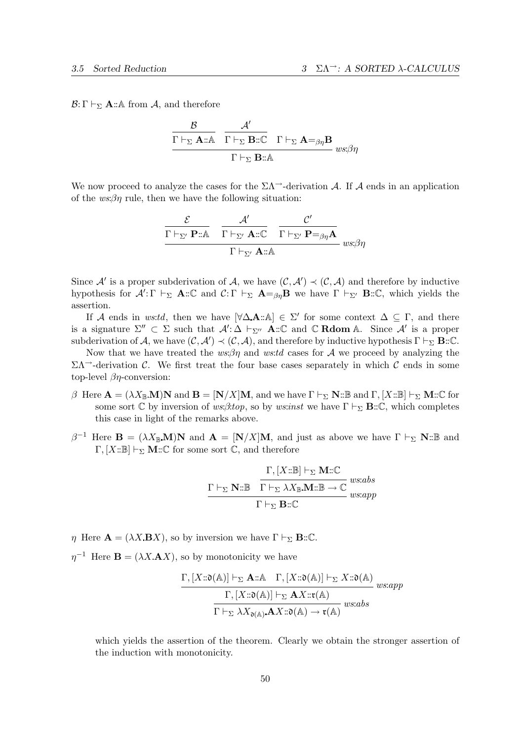$\mathcal{B}: \Gamma \vdash_{\Sigma} \mathbf{A} : A$  from A, and therefore

$$
\frac{\mathcal{B}}{\Gamma \vdash_{\Sigma} \mathbf{A} :: \mathbf{A}} \quad \frac{\mathcal{A}'}{\Gamma \vdash_{\Sigma} \mathbf{B} :: \mathbb{C}} \quad \Gamma \vdash_{\Sigma} \mathbf{A} =_{\beta\eta} \mathbf{B}} \quad \text{us:}\n \beta\eta
$$

We now proceed to analyze the cases for the  $\Sigma\Lambda$ <sup>-1</sup>-derivation A. If A ends in an application of the  $ws:\beta\eta$  rule, then we have the following situation:

$$
\frac{\mathcal{E}}{\frac{\Gamma\vdash_{\Sigma'}\mathbf{P}::\mathbb{A}}{\Gamma\vdash_{\Sigma'}\mathbf{A}::\mathbb{C}}}\frac{\mathcal{L}'}{\Gamma\vdash_{\Sigma'}\mathbf{A}::\mathbb{C}}\frac{\mathcal{C}'}{\Gamma\vdash_{\Sigma'}\mathbf{P}=\beta\eta\mathbf{A}}_{ws;\beta\eta}
$$

Since A' is a proper subderivation of A, we have  $(C, A') \prec (C, A)$  and therefore by inductive hypothesis for  $\mathcal{A}' : \Gamma \vdash_{\Sigma} \mathbf{A} : \mathbb{C}$  and  $\mathcal{C} : \Gamma \vdash_{\Sigma} \mathbf{A} =_{\beta\eta} \mathbf{B}$  we have  $\Gamma \vdash_{\Sigma'} \mathbf{B} : \mathbb{C}$ , which yields the assertion.

If A ends in ws:td, then we have  $[\forall \Delta \mathbf{A} : \mathbb{A}] \in \Sigma'$  for some context  $\Delta \subseteq \Gamma$ , and there is a signature  $\Sigma'' \subset \Sigma$  such that  $\mathcal{A}' : \Delta \vdash_{\Sigma''} \mathbf{A} :: \mathbb{C}$  and  $\mathbb{C}$  Rdom A. Since  $\mathcal{A}'$  is a proper subderivation of A, we have  $(C, A') \prec (C, A)$ , and therefore by inductive hypothesis  $\Gamma \vdash_{\Sigma} \mathbf{B} : \mathbb{C}$ .

Now that we have treated the ws: $\beta\eta$  and ws:td cases for A we proceed by analyzing the  $\Sigma\Lambda$ <sup>-</sup>-derivation C. We first treat the four base cases separately in which C ends in some top-level  $\beta\eta$ -conversion:

- β Here  $\mathbf{A} = (\lambda X_{\mathbb{B}}.\mathbf{M})\mathbf{N}$  and  $\mathbf{B} = [\mathbf{N}/X]\mathbf{M}$ , and we have  $\Gamma \vdash_{\Sigma} \mathbf{N} : \mathbb{B}$  and  $\Gamma, [X : \mathbb{B}] \vdash_{\Sigma} \mathbf{M} : \mathbb{C}$  for some sort C by inversion of  $ws:\beta:top$ , so by  $ws:inst$  we have  $\Gamma \vdash_{\Sigma} \mathbf{B}:\mathbb{C}$ , which completes this case in light of the remarks above.
- $\beta^{-1}$  Here  $\mathbf{B} = (\lambda X_{\mathbb{B}}\mathbf{M})\mathbf{N}$  and  $\mathbf{A} = [\mathbf{N}/X]\mathbf{M}$ , and just as above we have  $\Gamma \vdash_{\Sigma} \mathbf{N}$ :: B and Γ,  $[X:\mathbb{B}] \vdash_{\Sigma} M:\mathbb{C}$  for some sort  $\mathbb{C}$ , and therefore

$$
\frac{\Gamma, [X::\mathbb{B}] \vdash_{\Sigma} \mathbf{M}::\mathbb{C}}{\Gamma \vdash_{\Sigma} \lambda X_{\mathbb{B}}.\mathbf{M}::\mathbb{B} \to \mathbb{C}} \text{ w} s:abs}{\Gamma \vdash_{\Sigma} \mathbf{B}::\mathbb{C}}
$$

η Here  $\mathbf{A} = (\lambda X \mathbf{B} X)$ , so by inversion we have  $\Gamma \vdash_{\Sigma} \mathbf{B} : \mathbb{C}$ .

 $\eta^{-1}$  Here **B** = ( $\lambda X \mathbf{A} X$ ), so by monotonicity we have

$$
\frac{\Gamma, [X::\mathfrak{d}(\mathbb{A})] \vdash_{\Sigma} \mathbf{A::A} \Gamma, [X::\mathfrak{d}(\mathbb{A})] \vdash_{\Sigma} X::\mathfrak{d}(\mathbb{A})}{\Gamma, [X::\mathfrak{d}(\mathbb{A})] \vdash_{\Sigma} \mathbf{A} X::\mathfrak{r}(\mathbb{A})} \text{ws:app}
$$
\n
$$
\frac{\Gamma, [\Sigma:\mathfrak{d}(\mathbb{A})] \vdash_{\Sigma} \mathbf{A} X::\mathfrak{d}(\mathbb{A})}{\Gamma \vdash_{\Sigma} \lambda X_{\mathfrak{d}(\mathbb{A})} \mathbf{A} X::\mathfrak{d}(\mathbb{A}) \to \mathfrak{r}(\mathbb{A})} \text{ws:abs}
$$

which yields the assertion of the theorem. Clearly we obtain the stronger assertion of the induction with monotonicity.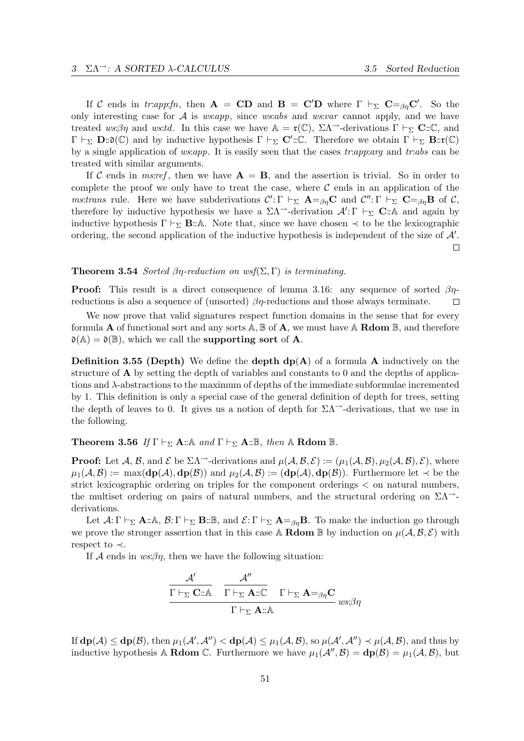If C ends in tr:app:fn, then  $\mathbf{A} = \mathbf{CD}$  and  $\mathbf{B} = \mathbf{C}'\mathbf{D}$  where  $\Gamma \vdash_{\Sigma} \mathbf{C} =_{\beta\eta} \mathbf{C}'$ . So the only interesting case for  $A$  is *ws:app*, since *ws:abs* and *ws:var* cannot apply, and we have treated ws: $\beta\eta$  and ws:td. In this case we have  $\mathbb{A} = \mathfrak{r}(\mathbb{C}), \Sigma \Lambda$ <sup>--</sup>-derivations  $\Gamma \vdash_{\Sigma} \mathbb{C} : \mathbb{C},$  and  $\Gamma \vdash_{\Sigma} \mathbf{D} : \mathfrak{d}(\mathbb{C})$  and by inductive hypothesis  $\Gamma \vdash_{\Sigma} \mathbf{C}' : \mathbb{C}$ . Therefore we obtain  $\Gamma \vdash_{\Sigma} \mathbf{B} : \mathfrak{r}(\mathbb{C})$ by a single application of ws:app. It is easily seen that the cases  $tr:app:arg$  and  $tr:abs$  can be treated with similar arguments.

If C ends in ms:ref, then we have  $A = B$ , and the assertion is trivial. So in order to complete the proof we only have to treat the case, where  $\mathcal C$  ends in an application of the *ms:trans* rule. Here we have subderivations  $\mathcal{C}' : \Gamma \vdash_{\Sigma} \mathbf{A} =_{\beta\eta} \mathbf{C}$  and  $\mathcal{C}'' : \Gamma \vdash_{\Sigma} \mathbf{C} =_{\beta\eta} \mathbf{B}$  of  $\mathcal{C}$ , therefore by inductive hypothesis we have a  $\Sigma\Lambda$ <sup>-</sup>-derivation  $\mathcal{A}' : \Gamma \vdash_{\Sigma} \mathbf{C} : \mathbb{A}$  and again by inductive hypothesis  $\Gamma \vdash_{\Sigma} \mathbf{B} : A$ . Note that, since we have chosen  $\prec$  to be the lexicographic ordering, the second application of the inductive hypothesis is independent of the size of  $A'$ .  $\Box$ 

#### **Theorem 3.54** Sorted  $\beta\eta$ -reduction on wsf( $\Sigma$ , Γ) is terminating.

**Proof:** This result is a direct consequence of lemma 3.16: any sequence of sorted  $\beta\eta$ reductions is also a sequence of (unsorted)  $\beta\eta$ -reductions and those always terminate.  $\Box$ 

We now prove that valid signatures respect function domains in the sense that for every formula **A** of functional sort and any sorts  $\mathbb{A}, \mathbb{B}$  of **A**, we must have  $\mathbb{A}$  **Rdom**  $\mathbb{B}$ , and therefore  $\mathfrak{d}(\mathbb{A}) = \mathfrak{d}(\mathbb{B})$ , which we call the **supporting sort** of **A**.

**Definition 3.55 (Depth)** We define the **depth**  $dp(A)$  of a formula A inductively on the structure of A by setting the depth of variables and constants to 0 and the depths of applications and λ-abstractions to the maximum of depths of the immediate subformulae incremented by 1. This definition is only a special case of the general definition of depth for trees, setting the depth of leaves to 0. It gives us a notion of depth for  $\Sigma\Lambda^{\rightarrow}$ -derivations, that we use in the following.

## **Theorem 3.56** If  $\Gamma \vdash_{\Sigma} \mathbf{A} : \mathbb{A}$  and  $\Gamma \vdash_{\Sigma} \mathbf{A} : \mathbb{B}$ , then  $\mathbb{A}$  Rdom  $\mathbb{B}$ .

**Proof:** Let A, B, and E be  $\Sigma\Lambda$ <sup>-</sup>-derivations and  $\mu(A, \mathcal{B}, \mathcal{E}) := (\mu_1(\mathcal{A}, \mathcal{B}), \mu_2(\mathcal{A}, \mathcal{B}), \mathcal{E})$ , where  $\mu_1(\mathcal{A}, \mathcal{B}) := \max(\mathbf{dp}(\mathcal{A}), \mathbf{dp}(\mathcal{B}))$  and  $\mu_2(\mathcal{A}, \mathcal{B}) := (\mathbf{dp}(\mathcal{A}), \mathbf{dp}(\mathcal{B}))$ . Furthermore let  $\prec$  be the strict lexicographic ordering on triples for the component orderings < on natural numbers, the multiset ordering on pairs of natural numbers, and the structural ordering on  $\Sigma\Lambda$ <sup>--</sup>derivations.

Let  $\mathcal{A}: \Gamma \vdash_{\Sigma} \mathbf{A} : \mathbb{A}, \mathcal{B}: \Gamma \vdash_{\Sigma} \mathbf{B} : \mathbb{B}, \text{ and } \mathcal{E}: \Gamma \vdash_{\Sigma} \mathbf{A} =_{\beta\eta} \mathbf{B}.$  To make the induction go through we prove the stronger assertion that in this case A **Rdom** B by induction on  $\mu(\mathcal{A}, \mathcal{B}, \mathcal{E})$  with respect to ≺.

If  $A$  ends in  $ws \beta \eta$ , then we have the following situation:

$$
\begin{array}{cc}\n\mathcal{A}' & \mathcal{A}'' \\
\hline\n\Gamma \vdash_{\Sigma} \mathbf{C} :: \mathbb{A} & \Gamma \vdash_{\Sigma} \mathbf{A} :: \mathbb{C} & \Gamma \vdash_{\Sigma} \mathbf{A} =_{\beta\eta} \mathbf{C} \\
\hline\n\Gamma \vdash_{\Sigma} \mathbf{A} :: \mathbb{A} & \\
\end{array} \text{us:}\n\beta\eta
$$

If  $dp(\mathcal{A}) \le dp(\mathcal{B})$ , then  $\mu_1(\mathcal{A}', \mathcal{A}'') < dp(\mathcal{A}) \le \mu_1(\mathcal{A}, \mathcal{B})$ , so  $\mu(\mathcal{A}', \mathcal{A}'') \prec \mu(\mathcal{A}, \mathcal{B})$ , and thus by inductive hypothesis A **Rdom** C. Furthermore we have  $\mu_1(\mathcal{A}'', \mathcal{B}) = dp(\mathcal{B}) = \mu_1(\mathcal{A}, \mathcal{B})$ , but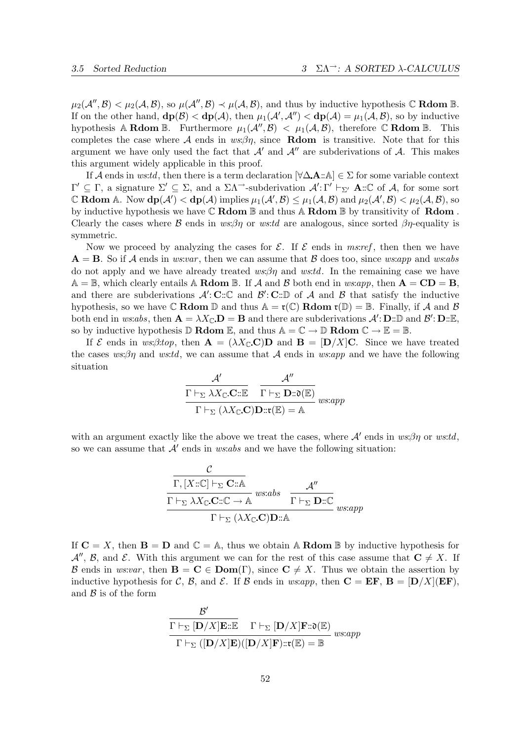$\mu_2(\mathcal{A}'',\mathcal{B}) < \mu_2(\mathcal{A},\mathcal{B}),$  so  $\mu(\mathcal{A}'',\mathcal{B}) \prec \mu(\mathcal{A},\mathcal{B}),$  and thus by inductive hypothesis  $\mathbb C$  **Rdom**  $\mathbb B$ . If on the other hand,  $d\mathbf{p}(\mathcal{B}) < d\mathbf{p}(\mathcal{A})$ , then  $\mu_1(\mathcal{A}', \mathcal{A}'') < d\mathbf{p}(\mathcal{A}) = \mu_1(\mathcal{A}, \mathcal{B})$ , so by inductive hypothesis A Rdom B. Furthermore  $\mu_1(\mathcal{A}'', \mathcal{B}) < \mu_1(\mathcal{A}, \mathcal{B})$ , therefore C Rdom B. This completes the case where  $A$  ends in  $ws:\beta\eta$ , since **Rdom** is transitive. Note that for this argument we have only used the fact that  $A'$  and  $A''$  are subderivations of A. This makes this argument widely applicable in this proof.

If A ends in ws:td, then there is a term declaration  $[\forall \Delta \mathbf{A} : \mathbb{A}] \in \Sigma$  for some variable context  $\Gamma' \subseteq \Gamma$ , a signature  $\Sigma' \subseteq \Sigma$ , and a  $\Sigma \Lambda^{\rightarrow}$ -subderivation  $\mathcal{A}' : \Gamma' \vdash_{\Sigma'} \mathbf{A} : \mathbb{C}$  of  $\mathcal{A}$ , for some sort C Rdom A. Now  $d\mathbf{p}(\mathcal{A}') < d\mathbf{p}(\mathcal{A})$  implies  $\mu_1(\mathcal{A}', \mathcal{B}) \leq \mu_1(\mathcal{A}, \mathcal{B})$  and  $\mu_2(\mathcal{A}', \mathcal{B}) < \mu_2(\mathcal{A}, \mathcal{B})$ , so by inductive hypothesis we have  $\mathbb C$  Rdom  $\mathbb B$  and thus A Rdom  $\mathbb B$  by transitivity of Rdom. Clearly the cases where B ends in  $ws\beta\eta$  or ws:td are analogous, since sorted  $\beta\eta$ -equality is symmetric.

Now we proceed by analyzing the cases for  $\mathcal E$ . If  $\mathcal E$  ends in ms:ref, then then we have  $A = B$ . So if A ends in ws:var, then we can assume that B does too, since ws:app and ws:abs do not apply and we have already treated  $ws:\beta\eta$  and  $ws:td$ . In the remaining case we have  $A = \mathbb{B}$ , which clearly entails A **Rdom**  $\mathbb{B}$ . If A and B both end in ws:app, then  $A = CD = B$ , and there are subderivations  $\mathcal{A}' : \mathbf{C} : \mathbb{C}$  and  $\mathcal{B}' : \mathbf{C} : \mathbb{D}$  of  $\mathcal{A}$  and  $\mathcal{B}$  that satisfy the inductive hypothesis, so we have  $\mathbb C$  Rdom  $\mathbb D$  and thus  $\mathbb A = \mathfrak r(\mathbb C)$  Rdom  $\mathfrak r(\mathbb D) = \mathbb B$ . Finally, if A and B both end in ws:abs, then  $\mathbf{A} = \lambda X_{\mathbb{C}} \cdot \mathbf{D} = \mathbf{B}$  and there are subderivations  $\mathcal{A}' : \mathbf{D} : \mathbb{D}$  and  $\mathcal{B}' : \mathbf{D} : \mathbb{E}$ , so by inductive hypothesis  $\mathbb D$  **Rdom**  $\mathbb E$ , and thus  $\mathbb A = \mathbb C \to \mathbb D$  **Rdom**  $\mathbb C \to \mathbb E = \mathbb B$ .

If  $\mathcal E$  ends in ws:β:top, then  $\mathbf A = (\lambda X \cap \mathbf C)$  and  $\mathbf B = [\mathbf D/X] \mathbf C$ . Since we have treated the cases ws: $\beta\eta$  and ws:td, we can assume that A ends in ws:app and we have the following situation

$$
\frac{\mathcal{A}'}{\Gamma \vdash_{\Sigma} \lambda X_{\mathbb{C}}.\mathbf{C} :: \mathbb{E}} \quad \frac{\mathcal{A}''}{\Gamma \vdash_{\Sigma} \mathbf{D} :: \mathfrak{d}(\mathbb{E})} \over \Gamma \vdash_{\Sigma} (\lambda X_{\mathbb{C}}.\mathbf{C})\mathbf{D} :: \mathfrak{r}(\mathbb{E}) = \mathbb{A}
$$

with an argument exactly like the above we treat the cases, where  $A'$  ends in  $ws:\beta\eta$  or  $ws:td$ , so we can assume that  $A'$  ends in ws:abs and we have the following situation:

$$
\frac{\mathcal{C}}{\Gamma, [X:\mathbb{C}] \vdash_{\Sigma} \mathbf{C}:\mathbb{A}} \underset{\Gamma \vdash_{\Sigma} \lambda X_{\mathbb{C}}.\mathbf{C}:\mathbb{C} \to \mathbb{A}}{\frac{\mathcal{A}'}{\Gamma \vdash_{\Sigma} \lambda X_{\mathbb{C}}.\mathbf{C}:\mathbb{C} \to \mathbb{A}} \text{w}s:abs} \frac{\mathcal{A}''}{\Gamma \vdash_{\Sigma} \mathbf{D}:\mathbb{C}} \underset{w s:app}{\frac{\mathcal{A}''}{\Gamma \vdash_{\Sigma} \lambda X_{\mathbb{C}}.\mathbf{C}:\mathbf{D}:\mathbb{A}}}
$$

If  $C = X$ , then  $B = D$  and  $C = A$ , thus we obtain A **Rdom** B by inductive hypothesis for  $\mathcal{A}''$ ,  $\mathcal{B}$ , and  $\mathcal{E}$ . With this argument we can for the rest of this case assume that  $\mathbf{C} \neq X$ . If B ends in ws:var, then  $\mathbf{B} = \mathbf{C} \in \text{Dom}(\Gamma)$ , since  $\mathbf{C} \neq X$ . Thus we obtain the assertion by inductive hypothesis for C, B, and E. If B ends in ws:app, then  $C = EF$ ,  $B = [D/X](EF)$ , and  $\beta$  is of the form

$$
\frac{\mathcal{B}'}{\Gamma \vdash_{\Sigma} [\mathbf{D}/X] \mathbf{E} : \mathbb{E}} \quad \Gamma \vdash_{\Sigma} [\mathbf{D}/X] \mathbf{F} : \mathfrak{d}(\mathbb{E})}{\Gamma \vdash_{\Sigma} ([\mathbf{D}/X] \mathbf{E})([\mathbf{D}/X] \mathbf{F}) : \mathfrak{r}(\mathbb{E}) = \mathbb{B}} \text{ w} \text{ s} \text{.app}
$$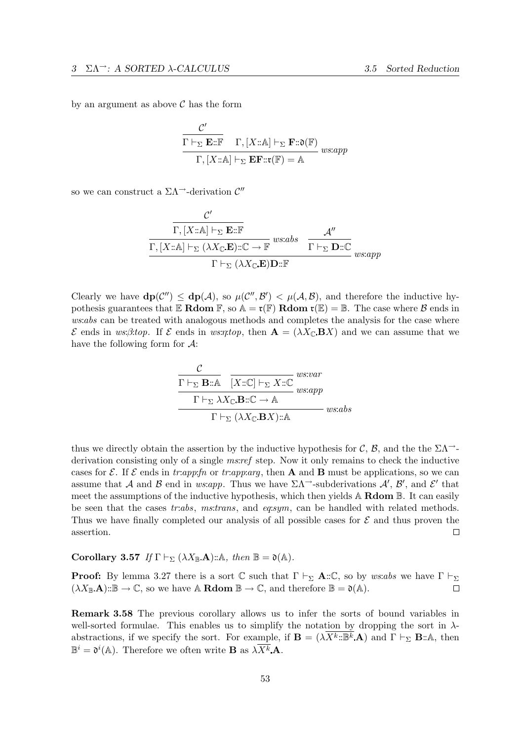by an argument as above  $\mathcal C$  has the form

$$
\frac{\mathcal{C}'}{\Gamma \vdash_{\Sigma} \mathbf{E} : \mathbb{F}} \quad \Gamma, [X : \mathbb{A}] \vdash_{\Sigma} \mathbf{F} : \mathfrak{d}(\mathbb{F})
$$
\n
$$
\Gamma, [X : \mathbb{A}] \vdash_{\Sigma} \mathbf{E} \mathbf{F} : \mathfrak{r}(\mathbb{F}) = \mathbb{A}
$$
\n*ws:app*

so we can construct a  $\Sigma\Lambda$ <sup> $\rightarrow$ </sup>-derivation  $\mathcal{C}''$ 

$$
\frac{\mathcal{C}'}{\Gamma, [X:\mathbb{A}] \vdash_{\Sigma} \mathbf{E}:\mathbb{F}}
$$
\n
$$
\frac{\mathcal{A}''}{\Gamma, [X:\mathbb{A}] \vdash_{\Sigma} (\lambda X_{\mathbb{C}}.\mathbf{E}):\mathbb{C} \to \mathbb{F}} \text{ws:abs} \quad \frac{\mathcal{A}''}{\Gamma \vdash_{\Sigma} \mathbf{D}:\mathbb{C}}}{\Gamma \vdash_{\Sigma} (\lambda X_{\mathbb{C}}.\mathbf{E})\mathbf{D}:\mathbb{F}} \text{ws:app}
$$

Clearly we have  $dp(C'') \le dp(\mathcal{A})$ , so  $\mu(C'', \mathcal{B}') < \mu(\mathcal{A}, \mathcal{B})$ , and therefore the inductive hypothesis guarantees that  $\mathbb E$  Rdom  $\mathbb F$ , so  $\mathbb A = \mathfrak r(\mathbb F)$  Rdom  $\mathfrak r(\mathbb E) = \mathbb B$ . The case where  $\mathcal B$  ends in ws:abs can be treated with analogous methods and completes the analysis for the case where  $\mathcal E$  ends in ws:β:top. If  $\mathcal E$  ends in ws:η:top, then  $\mathbf A = (\lambda X_\mathbb C \cdot \mathbf B X)$  and we can assume that we have the following form for  $\mathcal{A}$ :

$$
\frac{\mathcal{C}}{\Gamma \vdash_{\Sigma} \mathbf{B} : \mathbb{A}} \quad \overline{[X : \mathbb{C}] \vdash_{\Sigma} X : \mathbb{C}} \text{ w} \text{ s} \text{ w} \text{ s} \text{ w} \text{ s} \text{ m} \text{ m} \text{ s} \text{ m} \text{ m} \text{ s} \text{ m} \text{ m} \text{ s} \text{ m} \text{ m} \text{ s} \text{ m} \text{ m} \text{ s} \text{ m} \text{ m} \text{ s} \text{ m} \text{ s} \text{ m} \text{ s} \text{ m} \text{ s} \text{ m} \text{ s} \text{ m} \text{ s} \text{ m} \text{ s} \text{ m} \text{ s} \text{ m} \text{ s} \text{ m} \text{ s} \text{ m} \text{ s} \text{ m} \text{ s} \text{ m} \text{ s} \text{ m} \text{ s} \text{ m} \text{ s} \text{ m} \text{ s} \text{ m} \text{ s} \text{ m} \text{ s} \text{ m} \text{ s} \text{ m} \text{ s} \text{ m} \text{ s} \text{ m} \text{ s} \text{ m} \text{ s} \text{ m} \text{ s} \text{ m} \text{ s} \text{ m} \text{ s} \text{ m} \text{ s} \text{ m} \text{ s} \text{ m} \text{ s} \text{ m} \text{ s} \text{ m} \text{ s} \text{ m} \text{ s} \text{ m} \text{ s} \text{ m} \text{ s} \text{ m} \text{ s} \text{ m} \text{ s} \text{ m} \text{ s} \text{ m} \text{ s} \text{ m} \text{ s} \text{ m} \text{ s} \text{ m} \text{ s} \text{ m} \text{ s} \text{ m} \text{ s} \text{ m} \text{ s} \text{ m} \text{ s} \text{ m} \text{ s} \text{ m} \text{ s} \text{ m} \text{ s} \text{ m} \text{ s} \text{ m} \text{ s} \text{ m} \text{ s} \text{ m} \text{ s} \text{ m} \text{ s} \text{ m} \text{ s} \text{ m} \text{ s} \text{ m} \text{ s} \text{ m} \text{ s} \text{ m} \text{ s} \text{ m} \text{ s}
$$

thus we directly obtain the assertion by the inductive hypothesis for C, B, and the the  $\Sigma\Lambda$ <sup>--</sup>derivation consisting only of a single ms:ref step. Now it only remains to check the inductive cases for E. If E ends in tr:app:fn or tr:app:arg, then A and B must be applications, so we can assume that A and B end in ws:app. Thus we have  $\Sigma \Lambda^{\rightarrow}$ -subderivations  $\mathcal{A}', \mathcal{B}'$ , and  $\mathcal{E}'$  that meet the assumptions of the inductive hypothesis, which then yields  $\mathbb A$  **Rdom**  $\mathbb B$ . It can easily be seen that the cases tr:abs, ms:trans, and eq:sym, can be handled with related methods. Thus we have finally completed our analysis of all possible cases for  $\mathcal E$  and thus proven the assertion.  $\Box$ 

Corollary 3.57 If  $\Gamma \vdash_{\Sigma} (\lambda X_{\mathbb{B}} \mathbf{A}) : A$ , then  $\mathbb{B} = \mathfrak{d}(A)$ .

**Proof:** By lemma 3.27 there is a sort C such that  $\Gamma \vdash_{\Sigma} \mathbf{A} : \mathbb{C}$ , so by ws:abs we have  $\Gamma \vdash_{\Sigma}$  $(\lambda X_{\mathbb{B}}.\mathbf{A}) : \mathbb{B} \to \mathbb{C}$ , so we have  $\mathbb{A}$  **Rdom**  $\mathbb{B} \to \mathbb{C}$ , and therefore  $\mathbb{B} = \mathfrak{d}(\mathbb{A})$ .  $\Box$ 

Remark 3.58 The previous corollary allows us to infer the sorts of bound variables in well-sorted formulae. This enables us to simplify the notation by dropping the sort in  $\lambda$ abstractions, if we specify the sort. For example, if  $\mathbf{B} = (\lambda X^k : \mathbb{B}^k \mathbf{A})$  and  $\Gamma \vdash_{\Sigma} \mathbf{B} : \mathbb{A}$ , then  $\mathbb{B}^i = \mathfrak{d}^i(\mathbb{A})$ . Therefore we often write **B** as  $\lambda \overline{X^k} \mathbf{A}$ .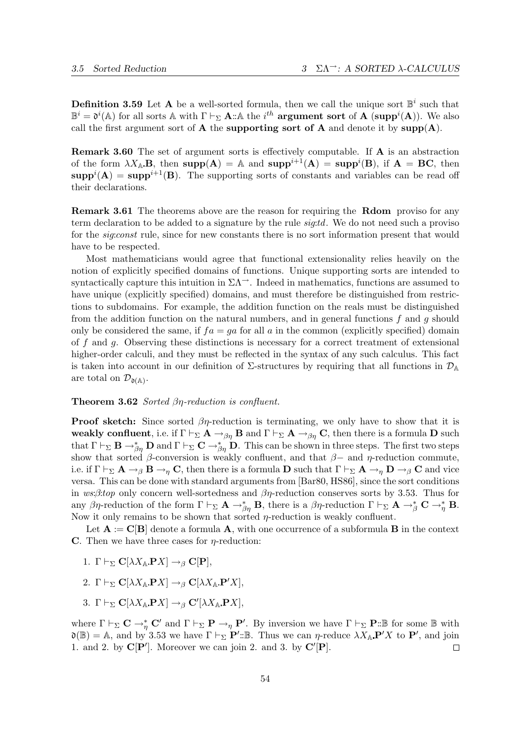**Definition 3.59** Let **A** be a well-sorted formula, then we call the unique sort  $\mathbb{B}^i$  such that  $\mathbb{B}^i = \mathfrak{d}^i(\mathbb{A})$  for all sorts  $\mathbb{A}$  with  $\Gamma \vdash_{\Sigma} \mathbf{A}$ :: A the  $i^{th}$  argument sort of A (supp<sup>i</sup>(A)). We also call the first argument sort of  $A$  the supporting sort of  $A$  and denote it by supp $(A)$ .

Remark 3.60 The set of argument sorts is effectively computable. If A is an abstraction of the form  $\lambda X_{A}$ **B**, then supp $(A) = A$  and supp<sup> $i+1$ </sup> $(A) =$  supp<sup> $i$ </sup> $(B)$ , if  $A = BC$ , then  $\text{supp}^{i}(\mathbf{A}) = \text{supp}^{i+1}(\mathbf{B})$ . The supporting sorts of constants and variables can be read off their declarations.

**Remark 3.61** The theorems above are the reason for requiring the **Rdom** proviso for any term declaration to be added to a signature by the rule signtal. We do not need such a proviso for the *sig:const* rule, since for new constants there is no sort information present that would have to be respected.

Most mathematicians would agree that functional extensionality relies heavily on the notion of explicitly specified domains of functions. Unique supporting sorts are intended to syntactically capture this intuition in  $\Sigma\Lambda^{-}$ . Indeed in mathematics, functions are assumed to have unique (explicitly specified) domains, and must therefore be distinguished from restrictions to subdomains. For example, the addition function on the reals must be distinguished from the addition function on the natural numbers, and in general functions  $f$  and  $g$  should only be considered the same, if  $fa = ga$  for all a in the common (explicitly specified) domain of f and q. Observing these distinctions is necessary for a correct treatment of extensional higher-order calculi, and they must be reflected in the syntax of any such calculus. This fact is taken into account in our definition of  $\Sigma$ -structures by requiring that all functions in  $\mathcal{D}_A$ are total on  $\mathcal{D}_{\mathfrak{d}(\mathbb{A})}$ .

#### Theorem 3.62 Sorted βη-reduction is confluent.

**Proof sketch:** Since sorted  $\beta\eta$ -reduction is terminating, we only have to show that it is weakly confluent, i.e. if  $\Gamma \vdash_{\Sigma} A \to_{\beta\eta} B$  and  $\Gamma \vdash_{\Sigma} A \to_{\beta\eta} C$ , then there is a formula D such that  $\Gamma\vdash_{\Sigma} \mathbf{B} \to_{\beta\eta}^* \mathbf{D}$  and  $\Gamma\vdash_{\Sigma} \mathbf{C} \to_{\beta\eta}^* \mathbf{D}$ . This can be shown in three steps. The first two steps show that sorted  $\beta$ -conversion is weakly confluent, and that  $\beta$ - and  $\eta$ -reduction commute, i.e. if  $\Gamma \vdash_{\Sigma} \mathbf{A} \to_{\beta} \mathbf{B} \to_{\eta} \mathbf{C}$ , then there is a formula **D** such that  $\Gamma \vdash_{\Sigma} \mathbf{A} \to_{\eta} \mathbf{D} \to_{\beta} \mathbf{C}$  and vice versa. This can be done with standard arguments from [Bar80, HS86], since the sort conditions in ws:β:top only concern well-sortedness and  $\beta\eta$ -reduction conserves sorts by 3.53. Thus for any βη-reduction of the form  $\Gamma \vdash_{\Sigma} \mathbf{A} \to_{\beta\eta}^* \mathbf{B}$ , there is a βη-reduction  $\Gamma \vdash_{\Sigma} \mathbf{A} \to_{\beta}^* \mathbf{C} \to_{\eta}^* \mathbf{B}$ . Now it only remains to be shown that sorted  $\eta$ -reduction is weakly confluent.

Let  $A := C[B]$  denote a formula A, with one occurrence of a subformula B in the context C. Then we have three cases for  $\eta$ -reduction:

- 1. Γ  $\vdash_{\Sigma} C[\lambda X_{\mathbb{A}} P X] \rightarrow_{\beta} C[P],$
- 2. Γ  $\vdash_{\Sigma} C[\lambda X_{A} P X] \rightarrow_{\beta} C[\lambda X_{A} P' X],$
- 3. Γ $\vdash_{\Sigma} C[\lambda X_{\mathbb{A}} P X] \rightarrow_{\beta} C'[\lambda X_{\mathbb{A}} P X],$

where  $\Gamma \vdash_{\Sigma} \mathbf{C} \to_{\eta}^* \mathbf{C}'$  and  $\Gamma \vdash_{\Sigma} \mathbf{P} \to_{\eta} \mathbf{P}'$ . By inversion we have  $\Gamma \vdash_{\Sigma} \mathbf{P} : \mathbb{B}$  for some  $\mathbb{B}$  with  $\mathfrak{d}(\mathbb{B}) = \mathbb{A}$ , and by 3.53 we have  $\Gamma \vdash_{\Sigma} \mathbf{P}' : \mathbb{B}$ . Thus we can *η*-reduce  $\lambda X_{\mathbb{A}} \mathbf{P}' X$  to  $\mathbf{P}'$ , and join 1. and 2. by  $\mathbf{C}[\mathbf{P}']$ . Moreover we can join 2. and 3. by  $\mathbf{C}'[\mathbf{P}]$ .  $\Box$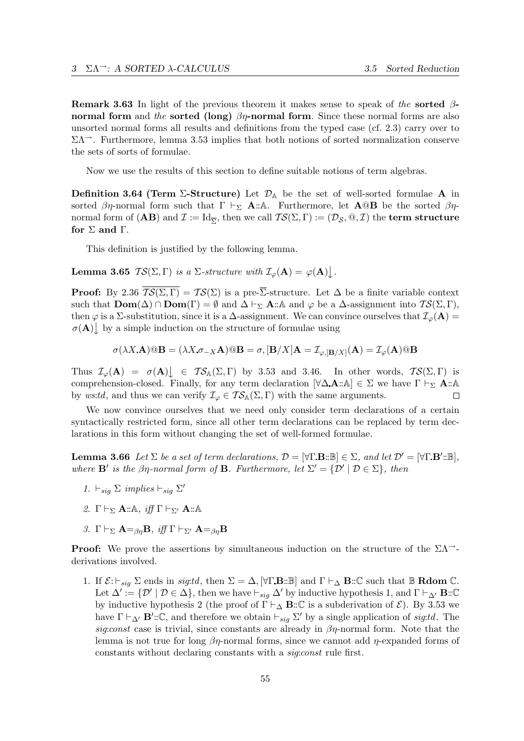**Remark 3.63** In light of the previous theorem it makes sense to speak of the sorted  $\beta$ normal form and the sorted (long)  $\beta\eta$ -normal form. Since these normal forms are also unsorted normal forms all results and definitions from the typed case (cf. 2.3) carry over to  $\Sigma\Lambda$ <sup>--</sup>. Furthermore, lemma 3.53 implies that both notions of sorted normalization conserve the sets of sorts of formulae.

Now we use the results of this section to define suitable notions of term algebras.

**Definition 3.64 (Term Σ-Structure)** Let  $\mathcal{D}_A$  be the set of well-sorted formulae A in sorted  $\beta\eta$ -normal form such that  $\Gamma \vdash_{\Sigma} A : A$ . Furthermore, let  $A @ B$  be the sorted  $\beta\eta$ normal form of  $(\mathbf{A}\mathbf{B})$  and  $\mathcal{I}:=\mathrm{Id}_{\overline{\Sigma}},$  then we call  $\mathcal{TS}(\Sigma,\Gamma):=(\mathcal{D}_\mathcal{S},\mathbb{Q},\mathcal{I})$  the  $\mathbf{term}\;{\bf structure}$ for  $\Sigma$  and  $\Gamma$ .

This definition is justified by the following lemma.

**Lemma 3.65**  $TS(\Sigma, \Gamma)$  is a  $\Sigma$ -structure with  $\mathcal{I}_{\varphi}(\mathbf{A}) = \varphi(\mathbf{A}) \bigcup$ .

**Proof:** By 2.36  $\overline{\mathcal{TS}(\Sigma,\Gamma)} = \mathcal{TS}(\Sigma)$  is a pre- $\overline{\Sigma}$ -structure. Let  $\Delta$  be a finite variable context such that  $\text{Dom}(\Delta) \cap \text{Dom}(\Gamma) = \emptyset$  and  $\Delta \vdash_{\Sigma} \mathbf{A} : \mathbb{A}$  and  $\varphi$  be a  $\Delta$ -assignment into  $\mathcal{TS}(\Sigma, \Gamma)$ , then  $\varphi$  is a ∑-substitution, since it is a  $\Delta$ -assignment. We can convince ourselves that  $\mathcal{I}_{\varphi}(\mathbf{A}) =$  $\sigma(A)$  by a simple induction on the structure of formulae using

$$
\sigma(\lambda X. \mathbf{A}) @ \mathbf{B} = (\lambda X. \sigma_{-X} \mathbf{A}) @ \mathbf{B} = \sigma, [\mathbf{B}/X] \mathbf{A} = \mathcal{I}_{\varphi, [\mathbf{B}/X]}(\mathbf{A}) = \mathcal{I}_{\varphi}(\mathbf{A}) @ \mathbf{B}
$$

Thus  $\mathcal{I}_{\varphi}(\mathbf{A}) = \sigma(\mathbf{A}) \Big|_{\mathcal{I}} \in \mathcal{TS}_{\mathbb{A}}(\Sigma, \Gamma)$  by 3.53 and 3.46. In other words,  $\mathcal{TS}(\Sigma, \Gamma)$  is comprehension-closed. Finally, for any term declaration  $[\forall \Delta \mathbf{A} : \mathbb{A}] \in \Sigma$  we have  $\Gamma \vdash_{\Sigma} \mathbf{A} : \mathbb{A}$ by ws:td, and thus we can verify  $\mathcal{I}_{\varphi} \in \mathcal{TS}_{\mathbb{A}}(\Sigma,\Gamma)$  with the same arguments.  $\Box$ 

We now convince ourselves that we need only consider term declarations of a certain syntactically restricted form, since all other term declarations can be replaced by term declarations in this form without changing the set of well-formed formulae.

**Lemma 3.66** Let  $\Sigma$  be a set of term declarations,  $\mathcal{D} = [\forall \Gamma \cdot \mathbf{B} : \mathbb{B}] \in \Sigma$ , and let  $\mathcal{D}' = [\forall \Gamma \cdot \mathbf{B}' : \mathbb{B}]$ , where  $\mathbf{B}'$  is the  $\beta\eta$ -normal form of **B**. Furthermore, let  $\Sigma' = {\mathcal{D}' \mid \mathcal{D} \in \Sigma}$ , then

- 1.  $\vdash_{sig} \Sigma$  implies  $\vdash_{sig} \Sigma'$
- 2. Γ  $\vdash_{\Sigma}$  **A**::A, iff  $\Gamma \vdash_{\Sigma'}$  **A**::A
- 3. Γ  $\vdash_{\Sigma}$  **A**=<sub>βn</sub>**B**, iff  $\Gamma \vdash_{\Sigma'}$  **A**=<sub>βn</sub>**B**

**Proof:** We prove the assertions by simultaneous induction on the structure of the  $\Sigma\Lambda$ <sup>--</sup>derivations involved.

1. If  $\mathcal{E}: \vdash_{sig} \Sigma$  ends in sig:td, then  $\Sigma = \Delta$ ,  $[\forall \Gamma \cdot \mathbf{B} : \mathbb{B}]$  and  $\Gamma \vdash_{\Delta} \mathbf{B} : \mathbb{C}$  such that  $\mathbb{B}$  **Rdom**  $\mathbb{C}$ . Let  $\Delta' := \{ \mathcal{D}' \mid \mathcal{D} \in \Delta \},\$  then we have  $\vdash_{sig} \Delta'$  by inductive hypothesis 1, and  $\Gamma \vdash_{\Delta'} \mathbf{B}:\mathbb{C}$ by inductive hypothesis 2 (the proof of  $\Gamma \vdash_{\Delta} \mathbf{B} : \mathbb{C}$  is a subderivation of  $\mathcal{E}$ ). By 3.53 we have  $\Gamma \vdash_{\Delta'} \mathbf{B}': \mathbb{C}$ , and therefore we obtain  $\vdash_{sig} \Sigma'$  by a single application of sig:td. The sig:const case is trivial, since constants are already in  $\beta\eta$ -normal form. Note that the lemma is not true for long  $\beta\eta$ -normal forms, since we cannot add  $\eta$ -expanded forms of constants without declaring constants with a sig:const rule first.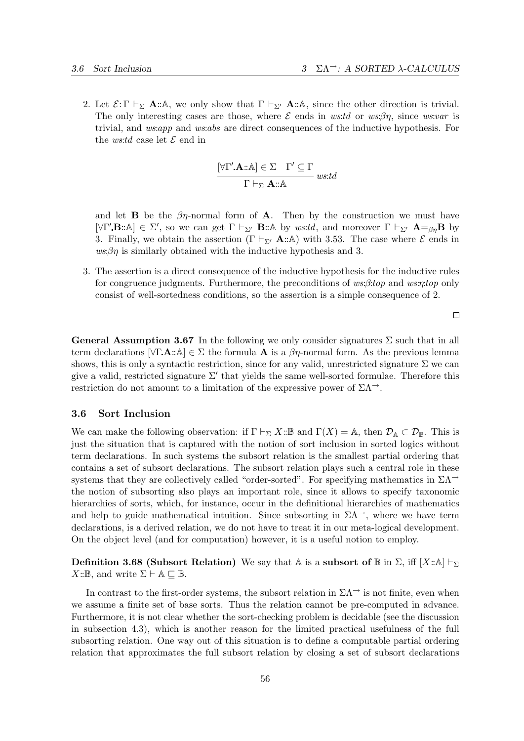2. Let  $\mathcal{E}: \Gamma \vdash_{\Sigma} \mathbf{A} : \mathbb{A}$ , we only show that  $\Gamma \vdash_{\Sigma'} \mathbf{A} : \mathbb{A}$ , since the other direction is trivial. The only interesting cases are those, where  $\mathcal E$  ends in ws:td or ws: $\beta \eta$ , since ws:var is trivial, and *ws:app* and *ws:abs* are direct consequences of the inductive hypothesis. For the *ws:td* case let  $\mathcal E$  end in

$$
\frac{[\forall \Gamma'.\mathbf{A} :: \mathbb{A}] \in \Sigma \quad \Gamma' \subseteq \Gamma}{\Gamma \vdash_{\Sigma} \mathbf{A} :: \mathbb{A}} \ wstd
$$

and let **B** be the  $\beta\eta$ -normal form of **A**. Then by the construction we must have [ $\forall \Gamma'$ **.B**::A]  $\in \Sigma'$ , so we can get  $\Gamma \vdash_{\Sigma'} \mathbf{B}$ ::A by ws:td, and moreover  $\Gamma \vdash_{\Sigma'} \mathbf{A} =_{\beta\eta} \mathbf{B}$  by 3. Finally, we obtain the assertion  $(\Gamma \vdash_{\Sigma'} \mathbf{A} : A)$  with 3.53. The case where  $\mathcal{E}$  ends in  $ws:\beta\eta$  is similarly obtained with the inductive hypothesis and 3.

3. The assertion is a direct consequence of the inductive hypothesis for the inductive rules for congruence judgments. Furthermore, the preconditions of  $ws:\beta:top$  and  $ws:rtop$  only consist of well-sortedness conditions, so the assertion is a simple consequence of 2.

**General Assumption 3.67** In the following we only consider signatures  $\Sigma$  such that in all term declarations  $[\forall \Gamma \mathbf{A} : \▵] \in \Sigma$  the formula  $\mathbf{A}$  is a  $\beta\eta$ -normal form. As the previous lemma shows, this is only a syntactic restriction, since for any valid, unrestricted signature  $\Sigma$  we can give a valid, restricted signature  $\Sigma'$  that yields the same well-sorted formulae. Therefore this restriction do not amount to a limitation of the expressive power of  $\Sigma \Lambda^{\rightarrow}$ .

## 3.6 Sort Inclusion

We can make the following observation: if  $\Gamma \vdash_{\Sigma} X: \mathbb{B}$  and  $\Gamma(X) = \mathbb{A}$ , then  $\mathcal{D}_{\mathbb{A}} \subset \mathcal{D}_{\mathbb{B}}$ . This is just the situation that is captured with the notion of sort inclusion in sorted logics without term declarations. In such systems the subsort relation is the smallest partial ordering that contains a set of subsort declarations. The subsort relation plays such a central role in these systems that they are collectively called "order-sorted". For specifying mathematics in  $\Sigma\Lambda$ <sup>→</sup> the notion of subsorting also plays an important role, since it allows to specify taxonomic hierarchies of sorts, which, for instance, occur in the definitional hierarchies of mathematics and help to guide mathematical intuition. Since subsorting in  $\Sigma\Lambda^{-}$ , where we have term declarations, is a derived relation, we do not have to treat it in our meta-logical development. On the object level (and for computation) however, it is a useful notion to employ.

**Definition 3.68 (Subsort Relation)** We say that A is a subsort of  $\mathbb{B}$  in  $\Sigma$ , iff  $[X:\mathbb{A}] \vdash_{\Sigma}$  $X: \mathbb{B}$ , and write  $\Sigma \vdash A \sqsubseteq \mathbb{B}$ .

In contrast to the first-order systems, the subsort relation in  $\Sigma\Lambda^{\rightarrow}$  is not finite, even when we assume a finite set of base sorts. Thus the relation cannot be pre-computed in advance. Furthermore, it is not clear whether the sort-checking problem is decidable (see the discussion in subsection 4.3), which is another reason for the limited practical usefulness of the full subsorting relation. One way out of this situation is to define a computable partial ordering relation that approximates the full subsort relation by closing a set of subsort declarations

 $\Box$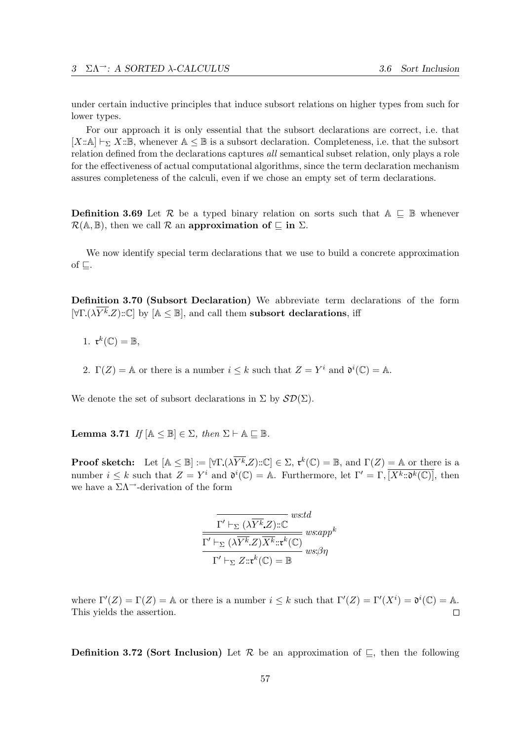under certain inductive principles that induce subsort relations on higher types from such for lower types.

For our approach it is only essential that the subsort declarations are correct, i.e. that  $[X:\mathbb{A}] \vdash_{\Sigma} X:\mathbb{B}$ , whenever  $\mathbb{A} \leq \mathbb{B}$  is a subsort declaration. Completeness, i.e. that the subsort relation defined from the declarations captures all semantical subset relation, only plays a role for the effectiveness of actual computational algorithms, since the term declaration mechanism assures completeness of the calculi, even if we chose an empty set of term declarations.

**Definition 3.69** Let R be a typed binary relation on sorts such that  $A \subseteq B$  whenever  $\mathcal{R}(\mathbb{A},\mathbb{B})$ , then we call  $\mathcal R$  an approximation of  $\subseteq$  in  $\Sigma$ .

We now identify special term declarations that we use to build a concrete approximation of  $\sqsubseteq$ .

Definition 3.70 (Subsort Declaration) We abbreviate term declarations of the form  $[\forall \Gamma (\lambda \overline{Y^k} Z) : \mathbb{C}]$  by  $[\mathbb{A} \leq \mathbb{B}]$ , and call them subsort declarations, iff

- 1.  $\mathfrak{r}^k(\mathbb{C}) = \mathbb{B}$ ,
- 2.  $\Gamma(Z) = \mathbb{A}$  or there is a number  $i \leq k$  such that  $Z = Y^i$  and  $\mathfrak{d}^i(\mathbb{C}) = \mathbb{A}$ .

We denote the set of subsort declarations in  $\Sigma$  by  $\mathcal{SD}(\Sigma)$ .

**Lemma 3.71** If  $[A \leq \mathbb{B}] \in \Sigma$ , then  $\Sigma \vdash A \sqsubseteq \mathbb{B}$ .

**Proof sketch:** Let  $[A \leq \mathbb{B}] := [\forall \Gamma \ (\lambda \overline{Y^k} Z) : \mathbb{C}] \in \Sigma$ ,  $\mathfrak{r}^k(\mathbb{C}) = \mathbb{B}$ , and  $\Gamma(Z) = \mathbb{A}$  or there is a number  $i \leq k$  such that  $Z = Y^i$  and  $\mathfrak{d}^i(\mathbb{C}) = \mathbb{A}$ . Furthermore, let  $\Gamma' = \Gamma$ ,  $\overline{[X^k:\mathfrak{d}^k(\mathbb{C})]}$ , then we have a  $\Sigma\Lambda$ <sup> $\rightarrow$ </sup>-derivation of the form

$$
\frac{\overline{\Gamma' \vdash_{\Sigma} (\lambda \overline{Y^k}.Z) :: \mathbb{C}}^{wstd}}{\Gamma' \vdash_{\Sigma} (\lambda \overline{Y^k}.Z) \overline{X^k} :: \mathfrak{r}^k(\mathbb{C})}^{wstd} wsign^k} \text{ w} \text{m} \text{m} \text{m} \text{m}
$$

where  $\Gamma'(Z) = \Gamma(Z) = \mathbb{A}$  or there is a number  $i \leq k$  such that  $\Gamma'(Z) = \Gamma'(X^i) = \mathfrak{d}^i(\mathbb{C}) = \mathbb{A}$ . This yields the assertion.  $\Box$ 

**Definition 3.72 (Sort Inclusion)** Let  $\mathcal{R}$  be an approximation of  $\subseteq$ , then the following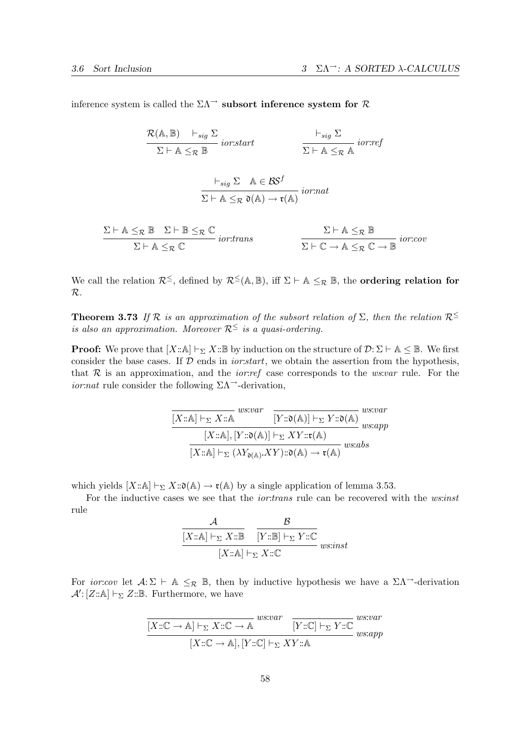inference system is called the  $\Sigma\Lambda^{\rightarrow}$  subsort inference system for  $\mathcal R$ 

 $\mathcal{R}(\mathbb{A}, \mathbb{B}) \vdash_{sig} \Sigma$  $\Sigma \vdash A \leq_{\mathcal{R}} \mathbb{B}$  ior:start  $\vdash_{sig} \Sigma$  $\overline{\Sigma \vdash A \leq_{\mathcal{R}} A}$  ior:ref  $\vdash_{sig} \Sigma \quad \mathbb{A} \in \mathcal{BS}^f$  $\overline{\Sigma \vdash A \leq_{\mathcal{R}} \mathfrak{d}(A) \to \mathfrak{r}(A)}} \text{ *ior:nat* }$ 

$$
\frac{\Sigma \vdash A \leq_{\mathcal{R}} \mathbb{B} \quad \Sigma \vdash \mathbb{B} \leq_{\mathcal{R}} \mathbb{C}}{\Sigma \vdash A \leq_{\mathcal{R}} \mathbb{C} \quad \text{ior:trans}
$$
\n
$$
\frac{\Sigma \vdash A \leq_{\mathcal{R}} \mathbb{B}}{\Sigma \vdash \mathbb{C} \to A \leq_{\mathcal{R}} \mathbb{C} \to \mathbb{B} \quad \text{ior:cov}
$$

We call the relation  $\mathcal{R}^{\leq}$ , defined by  $\mathcal{R}^{\leq}(\mathbb{A}, \mathbb{B})$ , iff  $\Sigma \vdash \mathbb{A} \leq_{\mathcal{R}} \mathbb{B}$ , the **ordering relation for** R.

**Theorem 3.73** If R is an approximation of the subsort relation of  $\Sigma$ , then the relation  $\mathcal{R}^{\leq}$ is also an approximation. Moreover  $\mathcal{R}^{\leq}$  is a quasi-ordering.

**Proof:** We prove that  $[X:\mathbb{A}] \vdash_{\Sigma} X:\mathbb{B}$  by induction on the structure of  $\mathcal{D}: \Sigma \vdash \mathbb{A} \leq \mathbb{B}$ . We first consider the base cases. If  $D$  ends in *ior:start*, we obtain the assertion from the hypothesis, that  $R$  is an approximation, and the *ior:ref* case corresponds to the *ws:var* rule. For the *ior:nat* rule consider the following  $\Sigma\Lambda$ <sup> $\rightarrow$ </sup>-derivation,

$$
\frac{\boxed{[X::\mathbb{A}]\vdash_{\Sigma} X::\mathbb{A}} \quad \boxed{[Y::\mathfrak{d}(\mathbb{A})]\vdash_{\Sigma} Y::\mathfrak{d}(\mathbb{A})} \quad \text{we:var}}{\boxed{[X::\mathbb{A}],[Y::\mathfrak{d}(\mathbb{A})]\vdash_{\Sigma} XY::\mathfrak{r}(\mathbb{A})} \quad \text{we:app}} \quad \text{we:app}
$$
\n
$$
\frac{[X::\mathbb{A}]\vdash_{\Sigma} (\lambda Y_{\mathfrak{d}(\mathbb{A})}.XY): \mathfrak{d}(\mathbb{A}) \to \mathfrak{r}(\mathbb{A})} \quad \text{we:abs}
$$

which yields  $[X:\mathbb{A}] \vdash_{\Sigma} X:\mathfrak{d}(\mathbb{A}) \to \mathfrak{r}(\mathbb{A})$  by a single application of lemma 3.53.

For the inductive cases we see that the *ior:trans* rule can be recovered with the *ws:inst* rule

$$
\frac{\mathcal{A}}{[X::\mathbb{A}]\vdash_{\Sigma} X::\mathbb{B}} \quad \frac{\mathcal{B}}{[Y::\mathbb{B}]\vdash_{\Sigma} Y::\mathbb{C}}}{[X::\mathbb{A}]\vdash_{\Sigma} X::\mathbb{C}}\ wssinst
$$

For *ior:cov* let  $A: \Sigma \vdash A \leq_R \mathbb{B}$ , then by inductive hypothesis we have a  $\Sigma \Lambda$ <sup>-3</sup>-derivation  $\mathcal{A}'$ : [Z::A]  $\vdash_{\Sigma} Z$ ::B. Furthermore, we have

$$
\frac{[X:\mathbb{C}\to\mathbb{A}]\vdash_{\Sigma} X:\mathbb{C}\to\mathbb{A}}{[Y:\mathbb{C}]\vdash_{\Sigma} Y:\mathbb{C}}\xrightarrow{ws:var}\frac{ws:var}{[Y:\mathbb{C}]\vdash_{\Sigma} Y:\mathbb{C}}\xrightarrow{ws:var}{ws:app}
$$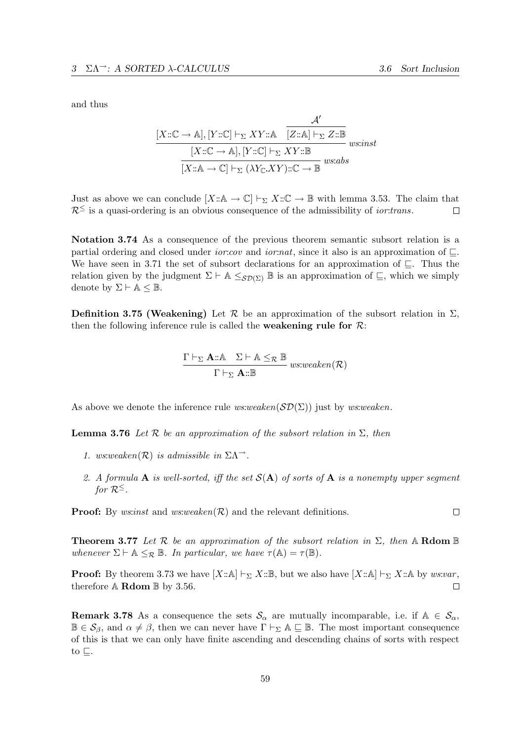and thus

$$
\frac{\mathcal{A}'}{[X::\mathbb{C}\rightarrow\mathbb{A}], [Y::\mathbb{C}] \vdash_{\Sigma} XY::\mathbb{A}} \frac{\mathcal{A}'}{[Z::\mathbb{A}] \vdash_{\Sigma} Z::\mathbb{B}}}{[X::\mathbb{C}\rightarrow\mathbb{A}], [Y::\mathbb{C}] \vdash_{\Sigma} XY::\mathbb{B}} \text{uss:inst
$$

$$
\frac{[X::\mathbb{A}\rightarrow\mathbb{C}] \vdash_{\Sigma} (\lambda Y_{\mathbb{C}}.XY::\mathbb{C}\rightarrow\mathbb{B}} \text{ws:abs}
$$

Just as above we can conclude  $[X:\mathbb{A} \to \mathbb{C}] \vdash_{\Sigma} X:\mathbb{C} \to \mathbb{B}$  with lemma 3.53. The claim that  $\mathcal{R}^{\leq}$  is a quasi-ordering is an obvious consequence of the admissibility of *ior:trans*.  $\Box$ 

Notation 3.74 As a consequence of the previous theorem semantic subsort relation is a partial ordering and closed under *ior:cov* and *ior:nat*, since it also is an approximation of  $\Box$ . We have seen in 3.71 the set of subsort declarations for an approximation of  $\subseteq$ . Thus the relation given by the judgment  $\Sigma \vdash A \leq_{S\mathcal{D}(\Sigma)} \mathbb{B}$  is an approximation of  $\sqsubseteq$ , which we simply denote by  $\Sigma \vdash A \leq \mathbb{B}$ .

Definition 3.75 (Weakening) Let  $\mathcal R$  be an approximation of the subsort relation in  $\Sigma$ , then the following inference rule is called the **weakening rule for**  $\mathcal{R}$ :

$$
\frac{\Gamma \vdash_{\Sigma} A::\mathbb{A} \quad \Sigma \vdash \mathbb{A} \leq_{\mathcal{R}} \mathbb{B}}{\Gamma \vdash_{\Sigma} A::\mathbb{B}} \ ws: weaken(\mathcal{R})
$$

As above we denote the inference rule  $ws:weaken(\mathcal{SD}(\Sigma))$  just by  $ws:weaken$ .

**Lemma 3.76** Let R be an approximation of the subsort relation in  $\Sigma$ , then

- 1. ws:weaken( $\mathcal{R}$ ) is admissible in  $\Sigma \Lambda^{-1}$ .
- 2. A formula **A** is well-sorted, iff the set  $S(A)$  of sorts of **A** is a nonempty upper segment for  $\mathcal{R}^{\leq}$ .

**Proof:** By *ws:inst* and *ws:weaken* $(\mathcal{R})$  and the relevant definitions.

**Theorem 3.77** Let R be an approximation of the subsort relation in  $\Sigma$ , then A Rdom B whenever  $\Sigma \vdash A \leq_{\mathcal{R}} \mathbb{B}$ . In particular, we have  $\tau(A) = \tau(\mathbb{B})$ .

**Proof:** By theorem 3.73 we have  $[X:\mathbb{A}] \vdash_{\Sigma} X:\mathbb{B}$ , but we also have  $[X:\mathbb{A}] \vdash_{\Sigma} X:\mathbb{A}$  by ws:var, therefore  $A$  **Rdom**  $B$  by 3.56.  $\Box$ 

**Remark 3.78** As a consequence the sets  $\mathcal{S}_{\alpha}$  are mutually incomparable, i.e. if  $\mathbb{A} \in \mathcal{S}_{\alpha}$ ,  $\mathbb{B} \in \mathcal{S}_{\beta}$ , and  $\alpha \neq \beta$ , then we can never have  $\Gamma \vdash_{\Sigma} \mathbb{A} \sqsubseteq \mathbb{B}$ . The most important consequence of this is that we can only have finite ascending and descending chains of sorts with respect to  $\sqsubseteq$ .

 $\Box$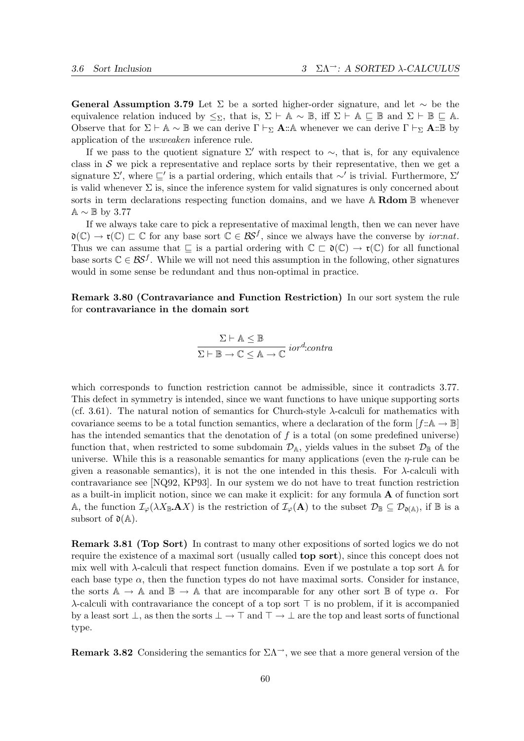General Assumption 3.79 Let  $\Sigma$  be a sorted higher-order signature, and let  $\sim$  be the equivalence relation induced by  $\leq_{\Sigma}$ , that is,  $\Sigma \vdash A \sim \mathbb{B}$ , iff  $\Sigma \vdash A \subseteq \mathbb{B}$  and  $\Sigma \vdash \mathbb{B} \subseteq A$ . Observe that for  $\Sigma \vdash A \sim \mathbb{B}$  we can derive  $\Gamma \vdash_{\Sigma} \mathbf{A} : A$  whenever we can derive  $\Gamma \vdash_{\Sigma} \mathbf{A} : \mathbb{B}$  by application of the ws:weaken inference rule.

If we pass to the quotient signature  $\Sigma'$  with respect to  $\sim$ , that is, for any equivalence class in  $S$  we pick a representative and replace sorts by their representative, then we get a signature  $\Sigma'$ , where  $\sqsubseteq'$  is a partial ordering, which entails that ∼' is trivial. Furthermore,  $\Sigma'$ is valid whenever  $\Sigma$  is, since the inference system for valid signatures is only concerned about sorts in term declarations respecting function domains, and we have  $A$  Rdom  $B$  whenever  $\mathbb{A} \sim \mathbb{B}$  by 3.77

If we always take care to pick a representative of maximal length, then we can never have  $\mathfrak{d}(\mathbb{C}) \to \mathfrak{r}(\mathbb{C}) \sqsubset \mathbb{C}$  for any base sort  $\mathbb{C} \in \mathcal{BS}^f$ , since we always have the converse by *ior:nat*. Thus we can assume that  $\subseteq$  is a partial ordering with  $\mathbb{C} \subset \mathfrak{d}(\mathbb{C}) \to \mathfrak{r}(\mathbb{C})$  for all functional base sorts  $\mathbb{C} \in \mathcal{BS}^f$ . While we will not need this assumption in the following, other signatures would in some sense be redundant and thus non-optimal in practice.

Remark 3.80 (Contravariance and Function Restriction) In our sort system the rule for contravariance in the domain sort

$$
\frac{\Sigma \vdash A \leq \mathbb{B}}{\Sigma \vdash \mathbb{B} \to \mathbb{C} \leq A \to \mathbb{C}} \; \mathit{iord:contra}
$$

which corresponds to function restriction cannot be admissible, since it contradicts 3.77. This defect in symmetry is intended, since we want functions to have unique supporting sorts (cf. 3.61). The natural notion of semantics for Church-style λ-calculi for mathematics with covariance seems to be a total function semantics, where a declaration of the form  $[f:\mathbb{A}\to\mathbb{B}]$ has the intended semantics that the denotation of  $f$  is a total (on some predefined universe) function that, when restricted to some subdomain  $\mathcal{D}_A$ , yields values in the subset  $\mathcal{D}_B$  of the universe. While this is a reasonable semantics for many applications (even the  $\eta$ -rule can be given a reasonable semantics), it is not the one intended in this thesis. For  $\lambda$ -calculi with contravariance see [NQ92, KP93]. In our system we do not have to treat function restriction as a built-in implicit notion, since we can make it explicit: for any formula A of function sort A, the function  $\mathcal{I}_{\varphi}(\lambda X_{\mathbb{B}}.\mathbf{A} X)$  is the restriction of  $\mathcal{I}_{\varphi}(\mathbf{A})$  to the subset  $\mathcal{D}_{\mathbb{B}} \subseteq \mathcal{D}_{\mathfrak{d}(\mathbb{A})}$ , if  $\mathbb{B}$  is a subsort of  $\mathfrak{d}(\mathbb{A})$ .

Remark 3.81 (Top Sort) In contrast to many other expositions of sorted logics we do not require the existence of a maximal sort (usually called top sort), since this concept does not mix well with  $\lambda$ -calculi that respect function domains. Even if we postulate a top sort  $\mathbb A$  for each base type  $\alpha$ , then the function types do not have maximal sorts. Consider for instance, the sorts  $A \rightarrow A$  and  $B \rightarrow A$  that are incomparable for any other sort B of type  $\alpha$ . For  $\lambda$ -calculi with contravariance the concept of a top sort  $\top$  is no problem, if it is accompanied by a least sort  $\bot$ , as then the sorts  $\bot \to \top$  and  $\top \to \bot$  are the top and least sorts of functional type.

**Remark 3.82** Considering the semantics for  $\Sigma\Lambda^{\rightarrow}$ , we see that a more general version of the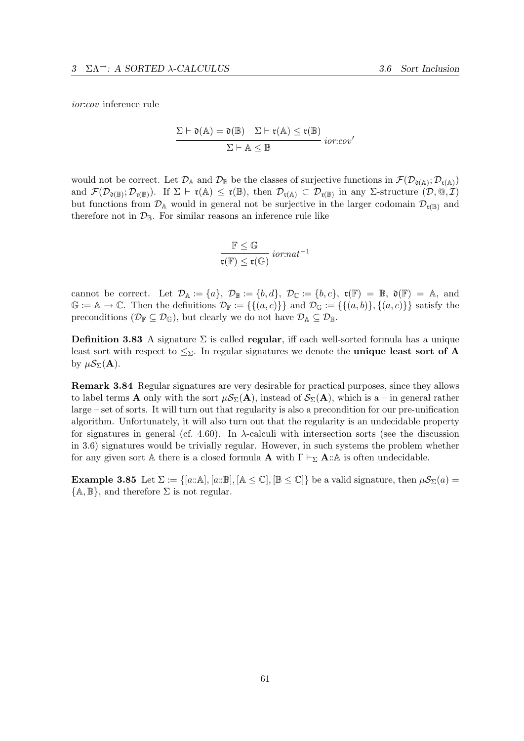ior:cov inference rule

$$
\frac{\Sigma \vdash \mathfrak{d}(\mathbb{A}) = \mathfrak{d}(\mathbb{B}) \quad \Sigma \vdash \mathfrak{r}(\mathbb{A}) \leq \mathfrak{r}(\mathbb{B})}{\Sigma \vdash \mathbb{A} \leq \mathbb{B}} \; \mathit{ior:cov'}
$$

would not be correct. Let  $\mathcal{D}_A$  and  $\mathcal{D}_B$  be the classes of surjective functions in  $\mathcal{F}(\mathcal{D}_{\mathfrak{d}(A)};\mathcal{D}_{\mathfrak{r}(A)})$ and  $\mathcal{F}(\mathcal{D}_{\mathfrak{d}(\mathbb{B})};\mathcal{D}_{\mathfrak{r}(\mathbb{B})})$ . If  $\Sigma \vdash \mathfrak{r}(\mathbb{A}) \leq \mathfrak{r}(\mathbb{B})$ , then  $\mathcal{D}_{\mathfrak{r}(\mathbb{A})} \subset \mathcal{D}_{\mathfrak{r}(\mathbb{B})}$  in any  $\Sigma$ -structure  $(\mathcal{D},\mathbb{Q},\mathcal{I})$ but functions from  $\mathcal{D}_A$  would in general not be surjective in the larger codomain  $\mathcal{D}_{r(B)}$  and therefore not in  $\mathcal{D}_{\mathbb{B}}$ . For similar reasons an inference rule like

$$
\frac{\mathbb{F} \leq \mathbb{G}}{\mathfrak{r}(\mathbb{F}) \leq \mathfrak{r}(\mathbb{G})} i\text{or:} nat^{-1}
$$

cannot be correct. Let  $\mathcal{D}_A := \{a\}, \mathcal{D}_B := \{b, d\}, \mathcal{D}_C := \{b, c\}, \mathfrak{r}(F) = \mathbb{B}, \mathfrak{d}(F) = \mathbb{A}, \text{ and}$  $\mathbb{G} := \mathbb{A} \to \mathbb{C}$ . Then the definitions  $\mathcal{D}_{\mathbb{F}} := \{ \{(a, c)\}\}\$ and  $\mathcal{D}_{\mathbb{G}} := \{ \{(a, b)\}, \{(a, c)\}\}\$  satisfy the preconditions ( $\mathcal{D}_{\mathbb{F}} \subseteq \mathcal{D}_{\mathbb{G}}$ ), but clearly we do not have  $\mathcal{D}_{\mathbb{A}} \subseteq \mathcal{D}_{\mathbb{B}}$ .

**Definition 3.83** A signature  $\Sigma$  is called **regular**, iff each well-sorted formula has a unique least sort with respect to  $\leq_{\Sigma}$ . In regular signatures we denote the **unique least sort of A** by  $\mu \mathcal{S}_{\Sigma}(\mathbf{A})$ .

Remark 3.84 Regular signatures are very desirable for practical purposes, since they allows to label terms **A** only with the sort  $\mu S_{\Sigma}(\mathbf{A})$ , instead of  $S_{\Sigma}(\mathbf{A})$ , which is a – in general rather large – set of sorts. It will turn out that regularity is also a precondition for our pre-unification algorithm. Unfortunately, it will also turn out that the regularity is an undecidable property for signatures in general (cf. 4.60). In  $\lambda$ -calculi with intersection sorts (see the discussion in 3.6) signatures would be trivially regular. However, in such systems the problem whether for any given sort A there is a closed formula **A** with  $\Gamma \vdash_{\Sigma} A : A$  is often undecidable.

**Example 3.85** Let  $\Sigma := \{ [a : \mathbb{A}], [a : \mathbb{B}], [\mathbb{A} \leq \mathbb{C}], [\mathbb{B} \leq \mathbb{C}] \}$  be a valid signature, then  $\mu \mathcal{S}_{\Sigma}(a) =$  $\{\mathbb{A}, \mathbb{B}\},$  and therefore  $\Sigma$  is not regular.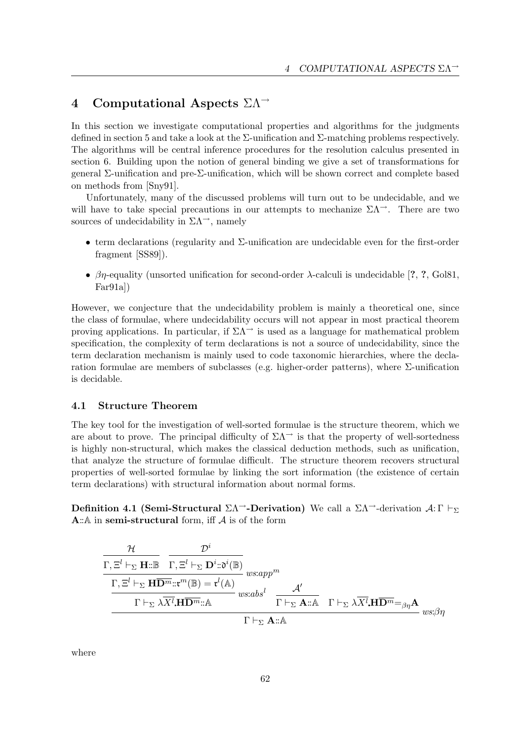## 4 Computational Aspects  $\Sigma\Lambda$ <sup>→</sup>

In this section we investigate computational properties and algorithms for the judgments defined in section 5 and take a look at the  $\Sigma$ -unification and  $\Sigma$ -matching problems respectively. The algorithms will be central inference procedures for the resolution calculus presented in section 6. Building upon the notion of general binding we give a set of transformations for general Σ-unification and pre-Σ-unification, which will be shown correct and complete based on methods from [Sny91].

Unfortunately, many of the discussed problems will turn out to be undecidable, and we will have to take special precautions in our attempts to mechanize  $\Sigma\Lambda^{-}$ . There are two sources of undecidability in  $\Sigma\Lambda^{\rightarrow}$ , namely

- term declarations (regularity and Σ-unification are undecidable even for the first-order fragment [SS89]).
- $\beta\eta$ -equality (unsorted unification for second-order  $\lambda$ -calculi is undecidable [?, ?, Gol81, Far91a])

However, we conjecture that the undecidability problem is mainly a theoretical one, since the class of formulae, where undecidability occurs will not appear in most practical theorem proving applications. In particular, if  $\Sigma\Lambda$ <sup>→</sup> is used as a language for mathematical problem specification, the complexity of term declarations is not a source of undecidability, since the term declaration mechanism is mainly used to code taxonomic hierarchies, where the declaration formulae are members of subclasses (e.g. higher-order patterns), where  $\Sigma$ -unification is decidable.

## 4.1 Structure Theorem

The key tool for the investigation of well-sorted formulae is the structure theorem, which we are about to prove. The principal difficulty of  $\Sigma\Lambda$ <sup> $\rightarrow$ </sup> is that the property of well-sortedness is highly non-structural, which makes the classical deduction methods, such as unification, that analyze the structure of formulae difficult. The structure theorem recovers structural properties of well-sorted formulae by linking the sort information (the existence of certain term declarations) with structural information about normal forms.

Definition 4.1 (Semi-Structural  $\Sigma\Lambda^{\rightarrow}$ -Derivation) We call a  $\Sigma\Lambda^{\rightarrow}$ -derivation  $\mathcal{A}: \Gamma \vdash_{\Sigma}$ A::  $A$  in semi-structural form, iff  $A$  is of the form

$$
\frac{\mathcal{H}}{\Gamma,\Xi^l\vdash_{\Sigma}\mathbf{H}\mathbf{H}\mathbf{B}\quad\Gamma,\Xi^l\vdash_{\Sigma}\mathbf{D}^i\mathbf{B}^i(\mathbb{B})}\n\frac{\Gamma,\Xi^l\vdash_{\Sigma}\mathbf{D}^i\mathbf{B}^i(\mathbb{B})}{\Gamma\vdash_{\Sigma}\lambda\overline{X^l}\mathbf{H}\overline{\mathbf{D}^m}\mathbf{H}\mathbf{B}^m\mathbf{B}}\n\quad \text{we:}\n\text{where}\n\frac{\Gamma,\Xi^l\vdash_{\Sigma}\mathbf{H}\overline{\mathbf{D}^m}\mathbf{H}\mathbf{B}^m}{\Gamma\vdash_{\Sigma}\lambda\overline{X^l}\mathbf{H}\overline{\mathbf{D}^m}\mathbf{B}^m\mathbf{B}^n}\n\quad \text{we:}\n\frac{\mathcal{A}^l}{\Gamma\vdash_{\Sigma}\mathbf{A}\mathbf{B}^n\quad\Gamma\vdash_{\Sigma}\lambda\overline{X^l}\mathbf{H}\overline{\mathbf{D}^m}\mathbf{B}^m\mathbf{B}^n}\n\text{ we:}\n\frac{\partial\mathcal{A}^l}{\partial\mathcal{A}^l}\n\frac{\Gamma\vdash_{\Sigma}\lambda\overline{X^l}\mathbf{H}\overline{\mathbf{D}^m}\mathbf{B}^m}{\Gamma\vdash_{\Sigma}\mathbf{A}\mathbf{B}^n\mathbf{B}^n}\n\frac{\partial\mathcal{A}^l}{\partial\mathcal{A}^l}\n\frac{\partial\mathcal{A}^l}{\partial\mathcal{A}^l}\n\frac{\partial\mathcal{A}^l}{\partial\mathcal{A}^l}\n\frac{\partial\mathcal{A}^l}{\partial\mathcal{A}^l}\n\frac{\partial\mathcal{A}^l}{\partial\mathcal{A}^l}\n\frac{\partial\mathcal{A}^l}{\partial\mathcal{A}^l}\n\frac{\partial\mathcal{A}^l}{\partial\mathcal{A}^l}\n\frac{\partial\mathcal{A}^l}{\partial\mathcal{A}^l}\n\frac{\partial\mathcal{A}^l}{\partial\mathcal{A}^l}\n\frac{\partial\mathcal{A}^l}{\partial\mathcal{A}^l}\n\frac{\partial\mathcal{A}^l}{\partial\mathcal{A}^l}\n\frac{\partial\mathcal{A}
$$

 $\Gamma \vdash_{\Sigma} \mathbf{A} :: \mathbb{A}$ 

where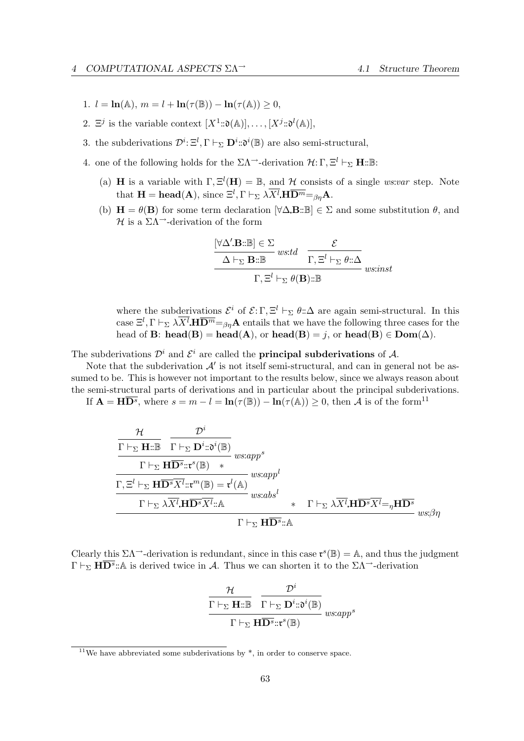- 1.  $l = \ln(\mathbb{A}), m = l + \ln(\tau(\mathbb{B})) \ln(\tau(\mathbb{A})) > 0,$
- 2.  $\Xi^j$  is the variable context  $[X^1::\mathfrak{d}(\mathbb{A})], \ldots, [X^j::\mathfrak{d}^l(\mathbb{A})],$
- 3. the subderivations  $\mathcal{D}^i: \Xi^l, \Gamma \vdash_{\Sigma} \mathbf{D}^i: \mathfrak{d}^i(\mathbb{B})$  are also semi-structural,
- 4. one of the following holds for the  $\Sigma \Lambda$ <sup>-3</sup>-derivation  $\mathcal{H}:\Gamma, \Xi^l \vdash_{\Sigma} \mathbf{H} : \mathbb{B}:$ 
	- (a) **H** is a variable with  $\Gamma$ ,  $\Xi^l(H) = \mathbb{B}$ , and H consists of a single ws:var step. Note that  $\mathbf{H} = \textbf{head}(\mathbf{A}), \text{ since } \Xi^l, \Gamma \vdash_{\Sigma} \lambda \overline{X^l} \mathbf{H} \overline{\mathbf{D}^m} =_{\beta\eta} \mathbf{A}.$
	- (b)  $\mathbf{H} = \theta(\mathbf{B})$  for some term declaration  $[\forall \Delta \mathbf{B} : \mathbb{B}] \in \Sigma$  and some substitution  $\theta$ , and  $H$  is a ΣΛ<sup>→</sup>-derivation of the form

$$
\frac{\begin{aligned}\n[\forall \Delta' \mathbf{B} : \mathbb{B}] &\in \Sigma \\
\hline\n\Delta \vdash_{\Sigma} \mathbf{B} : \mathbb{B} \quad \text{wstd} &\overline{\Gamma, \Xi^l \vdash_{\Sigma} \theta : \Delta} \\
\hline\n\Gamma, \Xi^l \vdash_{\Sigma} \theta(\mathbf{B}) : \mathbb{B} \quad \text{wsinat}\n\end{aligned}
$$

where the subderivations  $\mathcal{E}^i$  of  $\mathcal{E}: \Gamma, \Xi^l \vdash_{\Sigma} \theta : \Delta$  are again semi-structural. In this case  $\Xi^l, \Gamma \vdash_{\Sigma} \lambda \overline{X^l} \mathbf{H} \overline{\mathbf{D}^m} =_{\beta\eta} \mathbf{A}$  entails that we have the following three cases for the head of **B**: head(**B**) = head(**A**), or head(**B**) = j, or head(**B**)  $\in$  **Dom**( $\Delta$ ).

The subderivations  $\mathcal{D}^i$  and  $\mathcal{E}^i$  are called the **principal subderivations** of A.

Note that the subderivation  $A'$  is not itself semi-structural, and can in general not be assumed to be. This is however not important to the results below, since we always reason about the semi-structural parts of derivations and in particular about the principal subderivations.

If  $\mathbf{A} = \mathbf{H} \overline{\mathbf{D}^s}$ , where  $s = m - l = \ln(\tau(\mathbb{B})) - \ln(\tau(\mathbb{A})) \geq 0$ , then A is of the form<sup>11</sup>

$$
\frac{\mathcal{H}}{\Gamma \vdash_{\Sigma} \mathbf{H}::\mathbb{B}} \frac{\mathcal{D}^i}{\Gamma \vdash_{\Sigma} \mathbf{D}^i::\mathfrak{d}^i(\mathbb{B})} \text{ w} \text{ s}:app^s}{\frac{\Gamma \vdash_{\Sigma} \mathbf{H} \overline{\mathbf{D}^s::\mathfrak{r}}^s(\mathbb{B}) *}{\Gamma \vdash_{\Sigma} \mathbf{H} \overline{\mathbf{D}^s} \overline{X^l}::\mathfrak{r}^m(\mathbb{B}) = \mathfrak{r}^l(\mathbb{A})} \text{ w} \text{ s}:app^l}{\frac{\Gamma \vdash_{\Sigma} \lambda \overline{X^l}.\mathbf{H} \overline{\mathbf{D}^s} \overline{X^l}::\mathbb{A}}{\Gamma \vdash_{\Sigma} \lambda \overline{X^l}.\mathbf{H} \overline{\mathbf{D}^s} \overline{X^l} = \eta \mathbf{H} \overline{\mathbf{D}^s}} \text{ w} \text{ s}:ab \text{ s}^l}
$$
\n
$$
\frac{\Gamma \vdash_{\Sigma} \mathbf{H} \overline{\mathbf{D}^s}::\mathbb{A}}{\Gamma \vdash_{\Sigma} \mathbf{H} \overline{\mathbf{D}^s}::\mathbb{A}} \text{ w} \text{ s}:b \eta}
$$

Clearly this  $\Sigma \Lambda^{-}$ -derivation is redundant, since in this case  $\mathfrak{r}^s(\mathbb{B}) = \mathbb{A}$ , and thus the judgment  $\Gamma \vdash_{\Sigma} \mathbf{H} \overline{\mathbf{D}^s}$ ::A is derived twice in A. Thus we can shorten it to the  $\Sigma \Lambda$ <sup>-3</sup>-derivation

$$
\frac{\mathcal{H}}{\frac{\Gamma\vdash_\Sigma\mathbf{H}:\mathbb{B}}{\Gamma\vdash_\Sigma\mathbf{D}^i:\mathfrak{d}^i(\mathbb{B})}}\frac{\mathcal{D}^i}{w:app^s}
$$

$$
\frac{\Gamma\vdash_\Sigma\mathbf{H}\overline{\mathbf{D}^s}::\mathfrak{r}^s(\mathbb{B})}{w:app^s}
$$

 $11$ We have abbreviated some subderivations by  $*$ , in order to conserve space.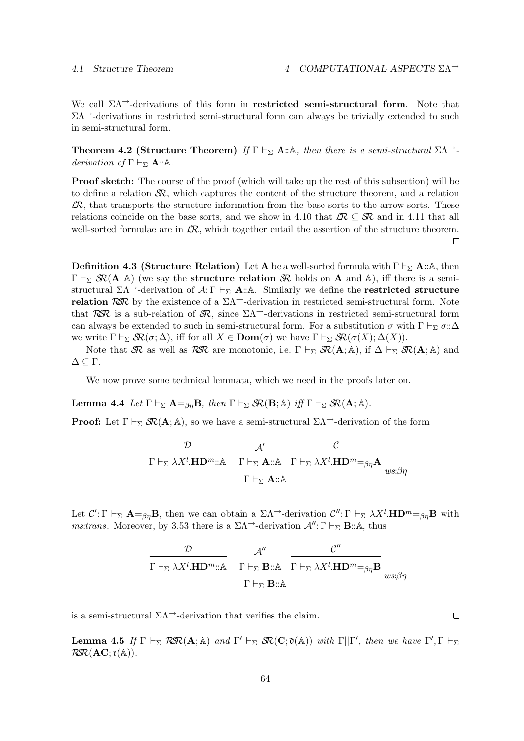We call  $\Sigma\Lambda$ <sup>--</sup>derivations of this form in **restricted semi-structural form**. Note that  $\Sigma\Lambda$ <sup>-</sup>-derivations in restricted semi-structural form can always be trivially extended to such in semi-structural form.

**Theorem 4.2 (Structure Theorem)** If  $\Gamma \vdash_{\Sigma} A : A$ , then there is a semi-structural  $\sum \Lambda \rightarrow$ derivation of  $\Gamma \vdash_{\Sigma} A : A$ .

**Proof sketch:** The course of the proof (which will take up the rest of this subsection) will be to define a relation  $\mathcal{R}$ , which captures the content of the structure theorem, and a relation  $\mathcal{L}R$ , that transports the structure information from the base sorts to the arrow sorts. These relations coincide on the base sorts, and we show in 4.10 that  $\mathcal{LR} \subseteq \mathcal{SR}$  and in 4.11 that all well-sorted formulae are in  $\mathcal{R}$ , which together entail the assertion of the structure theorem.  $\Box$ 

**Definition 4.3 (Structure Relation)** Let **A** be a well-sorted formula with  $\Gamma \vdash_{\Sigma} \mathbf{A} : \mathbb{A}$ , then  $\Gamma \vdash_{\Sigma} \mathcal{R}(A; A)$  (we say the **structure relation**  $\mathcal{R}$  holds on A and A), iff there is a semistructural  $\Sigma \Lambda$ <sup>-</sup>-derivation of  $\mathcal{A}: \Gamma \vdash_{\Sigma} \mathbf{A}$ ::A. Similarly we define the **restricted structure** relation RSR by the existence of a  $\Sigma\Lambda$ <sup>--</sup>-derivation in restricted semi-structural form. Note that RSR is a sub-relation of SR, since  $\Sigma\Lambda$ <sup>-</sup>-derivations in restricted semi-structural form can always be extended to such in semi-structural form. For a substitution  $\sigma$  with  $\Gamma \vdash_{\Sigma} \sigma : \Delta$ we write  $\Gamma \vdash_{\Sigma} \mathcal{R}(\sigma; \Delta)$ , iff for all  $X \in \text{Dom}(\sigma)$  we have  $\Gamma \vdash_{\Sigma} \mathcal{R}(\sigma(X); \Delta(X))$ .

Note that SR as well as RSR are monotonic, i.e.  $\Gamma \vdash_{\Sigma} S\mathcal{R}(\mathbf{A}; \mathbb{A})$ , if  $\Delta \vdash_{\Sigma} S\mathcal{R}(\mathbf{A}; \mathbb{A})$  and  $Δ ⊆ Γ.$ 

We now prove some technical lemmata, which we need in the proofs later on.

**Lemma 4.4** Let  $\Gamma \vdash_{\Sigma} \mathbf{A} =_{\beta n} \mathbf{B}$ , then  $\Gamma \vdash_{\Sigma} \mathcal{S} \mathcal{R}(\mathbf{B}; \mathbb{A})$  iff  $\Gamma \vdash_{\Sigma} \mathcal{S} \mathcal{R}(\mathbf{A}; \mathbb{A})$ .

**Proof:** Let  $\Gamma \vdash_{\Sigma} \mathcal{S}R(\mathbf{A}; \mathbb{A})$ , so we have a semi-structural  $\Sigma \Lambda^{-}$ -derivation of the form

$$
\frac{\mathcal{D}}{\Gamma \vdash_{\Sigma} \lambda \overline{X^{l}}.\mathbf{H} \overline{\mathbf{D}^{m}}::\mathbb{A}} \quad \frac{\mathcal{A}'}{\Gamma \vdash_{\Sigma} \mathbf{A}::\mathbb{A}} \quad \frac{\mathcal{C}}{\Gamma \vdash_{\Sigma} \lambda \overline{X^{l}}.\mathbf{H} \overline{\mathbf{D}^{m}} =_{\beta\eta} \mathbf{A}} \quad \text{us:} \beta\eta
$$

Let  $\mathcal{C}' : \Gamma \vdash_{\Sigma} \mathbf{A} =_{\beta\eta} \mathbf{B}$ , then we can obtain a  $\Sigma \Lambda^{-1}$ -derivation  $\mathcal{C}'' : \Gamma \vdash_{\Sigma} \lambda \overline{X^l} \mathbf{H} \overline{\mathbf{D}^m} =_{\beta\eta} \mathbf{B}$  with ms:trans. Moreover, by 3.53 there is a  $\Sigma\Lambda$ <sup>-3</sup>-derivation  $\mathcal{A}''$ : Γ  $\vdash_{\Sigma}$  **B**:: A, thus

$$
\frac{\mathcal{D}}{\Gamma \vdash_{\Sigma} \lambda \overline{X^{l}} \mathbf{H} \overline{\mathbf{D}^{m}} : \mathbb{A}} \quad \frac{\mathcal{A}''}{\Gamma \vdash_{\Sigma} \mathbf{B} : \mathbb{A}} \quad \frac{\mathcal{C}''}{\Gamma \vdash_{\Sigma} \lambda \overline{X^{l}} \mathbf{H} \overline{\mathbf{D}^{m}} =_{\beta \eta} \mathbf{B}}}{\Gamma \vdash_{\Sigma} \mathbf{B} : \mathbb{A}} \quad \text{us: } \beta \eta
$$

is a semi-structural  $\Sigma\Lambda$ <sup>-3</sup>-derivation that verifies the claim.

**Lemma 4.5** If  $\Gamma \vdash_{\Sigma} \mathcal{R} \mathcal{R}(\mathbf{A}; \mathbb{A})$  and  $\Gamma' \vdash_{\Sigma} \mathcal{S} \mathcal{R}(\mathbf{C}; \mathfrak{d}(\mathbb{A}))$  with  $\Gamma || \Gamma'$ , then we have  $\Gamma', \Gamma \vdash_{\Sigma}$  $RSR(AC; t(A)).$ 

 $\Box$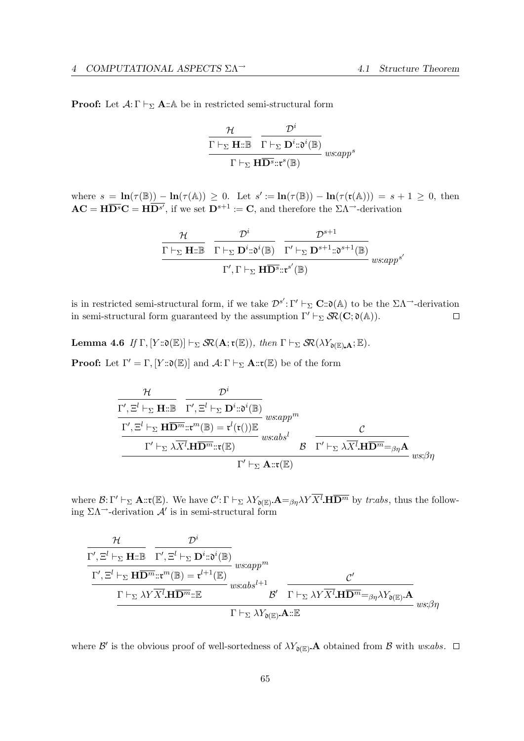**Proof:** Let  $A: \Gamma \vdash_{\Sigma} A: A$  be in restricted semi-structural form

$$
\frac{\mathcal{H}}{\Gamma \vdash_{\Sigma} \mathbf{H} : \mathbb{B}} \frac{\mathcal{D}^i}{\Gamma \vdash_{\Sigma} \mathbf{D}^i : \mathfrak{d}^i(\mathbb{B})} \n_{w s: app^s}
$$
\n
$$
\Gamma \vdash_{\Sigma} \mathbf{H} \overline{\mathbf{D}^s} : \mathfrak{r}^s(\mathbb{B})
$$

where  $s = \ln(\tau(\mathbb{B})) - \ln(\tau(\mathbb{A})) \geq 0$ . Let  $s' := \ln(\tau(\mathbb{B})) - \ln(\tau(\mathfrak{r}(\mathbb{A}))) = s + 1 \geq 0$ , then  $AC = H\overline{D^s}C = H\overline{D^{s'}},$  if we set  $D^{s+1} := C$ , and therefore the  $\Sigma \Lambda^{-1}$ -derivation

$$
\frac{\mathcal{H}}{\Gamma \vdash_{\Sigma} \mathbf{H} \mathpunct{:}\mathbb{B}} \quad \frac{\mathcal{D}^i}{\Gamma \vdash_{\Sigma} \mathbf{D}^i \mathpunct{:}\mathfrak{d}^i(\mathbb{B})} \quad \frac{\mathcal{D}^{s+1}}{\Gamma' \vdash_{\Sigma} \mathbf{D}^{s+1} \mathpunct{:}\mathfrak{d}^{s+1}(\mathbb{B})} } \\\ \frac{\Gamma', \Gamma \vdash_{\Sigma} \mathbf{H} \overline{\mathbf{D}^s \mathpunct{:}\mathfrak{r}^{s'}(\mathbb{B})} }{\Gamma', \Gamma \vdash_{\Sigma} \mathbf{H} \overline{\mathbf{D}^s \mathpunct{:}\mathfrak{r}^{s'}(\mathbb{B})} }
$$

is in restricted semi-structural form, if we take  $\mathcal{D}^{s'} : \Gamma' \vdash_{\Sigma} \mathbf{C} : \mathfrak{d}(\mathbb{A})$  to be the  $\Sigma \Lambda \rightarrow$ -derivation in semi-structural form guaranteed by the assumption  $\Gamma' \vdash_{\Sigma} \mathcal{S}R(C; \mathfrak{d}(A)).$  $\Box$ 

**Lemma 4.6** If  $\Gamma$ ,  $[Y::\mathfrak{d}(\mathbb{E})] \vdash_{\Sigma} \mathcal{SR}(\mathbf{A}; \mathfrak{r}(\mathbb{E}))$ , then  $\Gamma \vdash_{\Sigma} \mathcal{SR}(\lambda Y_{\mathfrak{d}(\mathbb{E})\cdot \mathbf{A}};\mathbb{E})$ .

**Proof:** Let  $\Gamma' = \Gamma$ ,  $[Y::\mathfrak{d}(\mathbb{E})]$  and  $\mathcal{A}:\Gamma \vdash_{\Sigma} \mathbf{A}::\mathfrak{r}(\mathbb{E})$  be of the form

$$
\frac{\mathcal{H}}{\Gamma', \Xi^l \vdash_{\Sigma} \mathbf{H} : \mathbb{B}} \frac{\mathcal{D}^i}{\Gamma', \Xi^l \vdash_{\Sigma} \mathbf{D}^i : \mathfrak{d}^i(\mathbb{B})} \text{ wsign}^m
$$
\n
$$
\frac{\Gamma', \Xi^l \vdash_{\Sigma} \mathbf{H} \overline{\mathbf{D}^m} : \mathfrak{r}^m(\mathbb{B}) = \mathfrak{r}^l(\mathfrak{r}(t)) \mathbb{E}}{\Gamma' \vdash_{\Sigma} \lambda \overline{X^l} \mathbf{H} \overline{\mathbf{D}^m} : \mathfrak{r}(\mathbb{E})} \text{ wsign}^l \mathcal{B} \frac{\mathcal{C}}{\Gamma' \vdash_{\Sigma} \lambda \overline{X^l} \mathbf{H} \overline{\mathbf{D}^m} =_{\beta\eta} \mathbf{A}} \text{ wsign}
$$

where  $\mathcal{B}: \Gamma' \vdash_{\Sigma} \mathbf{A} :: \mathbf{r}(\mathbb{E})$ . We have  $\mathcal{C}' : \Gamma \vdash_{\Sigma} \lambda Y_{\mathfrak{d}(\mathbb{E})} \mathbf{A} =_{\beta\eta} \lambda Y \overline{X^l} \mathbf{H} \overline{\mathbf{D}^m}$  by tr:abs, thus the following  $\Sigma \Lambda$ <sup>-3</sup>-derivation  $\mathcal{A}'$  is in semi-structural form

$$
\frac{\mathcal{H}}{\Gamma', \Xi^l \vdash_{\Sigma} \mathbf{H} : \mathbb{B}} \frac{\mathcal{D}^i}{\Gamma', \Xi^l \vdash_{\Sigma} \mathbf{D}^i : \mathfrak{d}^i(\mathbb{B})} \underset{\Gamma \vdash_{\Sigma} \lambda Y \overline{X^l} \mathbf{H} \overline{\mathbf{D}^m} : \mathbb{B}}{\Gamma', \Xi^l \vdash_{\Sigma} \mathbf{H} \overline{\mathbf{D}^m} : \mathbb{B}^m} \underset{\Gamma \vdash_{\Sigma} \lambda Y \overline{X^l} \mathbf{H} \overline{\mathbf{D}^m} : \mathbb{B}}{\Gamma \vdash_{\Sigma} \lambda Y \overline{X^l} \mathbf{H} \overline{\mathbf{D}^m} : \mathbb{B}} \underset{\Gamma \vdash_{\Sigma} \lambda Y \overline{X^l} \mathbf{A} : \mathbb{B}}{\underbrace{\mathcal{B}'} \frac{\mathcal{C}'}{\Gamma \vdash_{\Sigma} \lambda Y \overline{X^l} \mathbf{H} \overline{\mathbf{D}^m} =_{\beta \eta} \lambda Y_{\mathfrak{d}(\mathbb{B})} \mathbf{A}} \underset{ws; \beta \eta}{\underbrace{\mathcal{B}'}
$$

where  $\mathcal{B}'$  is the obvious proof of well-sortedness of  $\lambda Y_{\mathfrak{d}(E)}$ . A obtained from  $\mathcal B$  with ws:abs.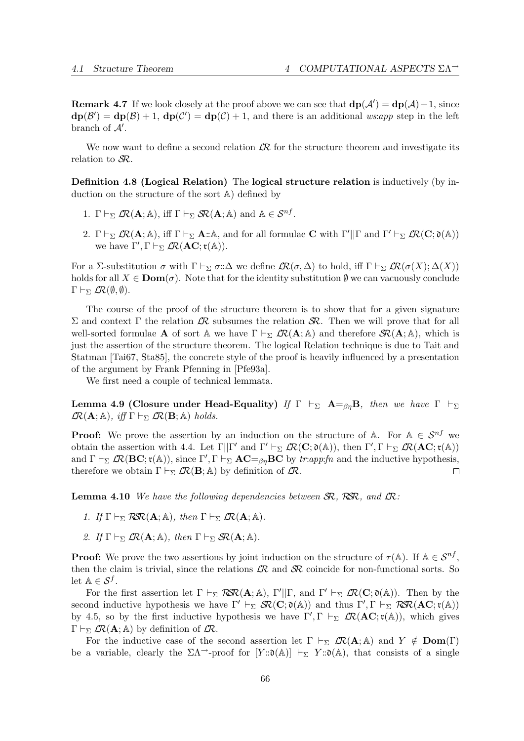**Remark 4.7** If we look closely at the proof above we can see that  $d\mathbf{p}(\mathcal{A}') = d\mathbf{p}(\mathcal{A}) + 1$ , since  $d\mathbf{p}(\mathcal{B}') = d\mathbf{p}(\mathcal{B}) + 1$ ,  $d\mathbf{p}(\mathcal{C}') = d\mathbf{p}(\mathcal{C}) + 1$ , and there is an additional ws:app step in the left branch of  $A'$ .

We now want to define a second relation  $\mathcal{R}$  for the structure theorem and investigate its relation to  $\mathcal{S}R$ .

Definition 4.8 (Logical Relation) The logical structure relation is inductively (by induction on the structure of the sort A) defined by

- 1.  $\Gamma \vdash_{\Sigma} \mathcal{L}\mathcal{R}(\mathbf{A}; \mathbb{A}), \text{ iff } \Gamma \vdash_{\Sigma} \mathcal{S}\mathcal{R}(\mathbf{A}; \mathbb{A}) \text{ and } \mathbb{A} \in \mathcal{S}^{nf}.$
- 2.  $\Gamma \vdash_{\Sigma} \mathcal{L}\mathcal{R}(\mathbf{A}; \mathbb{A}),$  iff  $\Gamma \vdash_{\Sigma} \mathbf{A} : \mathbb{A},$  and for all formulae **C** with  $\Gamma' || \Gamma$  and  $\Gamma' \vdash_{\Sigma} \mathcal{L}\mathcal{R}(\mathbf{C}; \mathfrak{d}(\mathbb{A}))$ we have  $\Gamma', \Gamma \vdash_{\Sigma} \mathcal{L}\mathcal{R}(\mathbf{AC}; \mathfrak{r}(\mathbb{A})).$

For a Σ-substitution  $\sigma$  with  $\Gamma \vdash_{\Sigma} \sigma : \Delta$  we define  $\mathcal{R}(\sigma, \Delta)$  to hold, iff  $\Gamma \vdash_{\Sigma} \mathcal{R}(\sigma(X); \Delta(X))$ holds for all  $X \in \mathbf{Dom}(\sigma)$ . Note that for the identity substitution  $\emptyset$  we can vacuously conclude  $\Gamma \vdash_{\Sigma} \mathcal{R}(\emptyset, \emptyset).$ 

The course of the proof of the structure theorem is to show that for a given signature Σ and context Γ the relation  $\mathcal{R}$  subsumes the relation  $\mathcal{R}$ . Then we will prove that for all well-sorted formulae **A** of sort A we have  $\Gamma \vdash_{\Sigma} \mathcal{R}(\mathbf{A}; \mathbb{A})$  and therefore  $\mathcal{S}\mathcal{R}(\mathbf{A}; \mathbb{A})$ , which is just the assertion of the structure theorem. The logical Relation technique is due to Tait and Statman [Tai67, Sta85], the concrete style of the proof is heavily influenced by a presentation of the argument by Frank Pfenning in [Pfe93a].

We first need a couple of technical lemmata.

Lemma 4.9 (Closure under Head-Equality) If  $\Gamma \vdash_{\Sigma} A = \{ \beta_n B \}$ , then we have  $\Gamma \vdash_{\Sigma}$  $\mathcal{LR}(\mathbf{A}; \mathbb{A}), \; \textit{iff} \; \Gamma \vdash_{\Sigma} \mathcal{LR}(\mathbf{B}; \mathbb{A}) \; \textit{holds}.$ 

**Proof:** We prove the assertion by an induction on the structure of A. For  $A \in S^{nf}$  we obtain the assertion with 4.4. Let  $\Gamma||\Gamma'$  and  $\Gamma' \vdash_{\Sigma} \mathcal{L}\mathcal{R}(\mathbf{C};\mathfrak{d}(\mathbb{A}))$ , then  $\Gamma', \Gamma \vdash_{\Sigma} \mathcal{L}\mathcal{R}(\mathbf{AC};\mathfrak{r}(\mathbb{A}))$ and  $\Gamma \vdash_{\Sigma} \mathcal{R}(\textbf{BC}; \mathfrak{r}(\mathbb{A}))$ , since  $\Gamma', \Gamma \vdash_{\Sigma} \textbf{AC} =_{\beta\eta} \textbf{BC}$  by tr:app:fn and the inductive hypothesis, therefore we obtain  $\Gamma \vdash_{\Sigma} \mathcal{L}\mathcal{R}(\mathbf{B}; \mathbb{A})$  by definition of  $\mathcal{L}\mathcal{R}$ .  $\Box$ 

**Lemma 4.10** We have the following dependencies between  $\mathcal{SR}$ . RSR, and  $\mathcal{LR}$ :

- 1. If  $\Gamma \vdash_{\Sigma} \mathcal{R} \mathcal{R}(\mathbf{A}; \mathbb{A}),$  then  $\Gamma \vdash_{\Sigma} \mathcal{L} \mathcal{R}(\mathbf{A}; \mathbb{A}).$
- 2. If  $\Gamma \vdash_{\Sigma} \mathcal{R}(\mathbf{A}; \mathbb{A}),$  then  $\Gamma \vdash_{\Sigma} \mathcal{S} \mathcal{R}(\mathbf{A}; \mathbb{A}).$

**Proof:** We prove the two assertions by joint induction on the structure of  $\tau(A)$ . If  $A \in S^{nf}$ , then the claim is trivial, since the relations  $\mathcal{R}$  and  $\mathcal{R}$  coincide for non-functional sorts. So let  $\mathbb{A} \in \mathcal{S}^f$ .

For the first assertion let  $\Gamma \vdash_{\Sigma} \mathcal{R} \mathcal{R}(\mathbf{A}; \mathbb{A}), \Gamma' || \Gamma$ , and  $\Gamma' \vdash_{\Sigma} \mathcal{L} \mathcal{R}(\mathbf{C}; \mathfrak{d}(\mathbb{A}))$ . Then by the second inductive hypothesis we have  $\Gamma' \vdash_{\Sigma} \mathcal{R}(\mathbf{C}; \mathfrak{d}(\mathbb{A}))$  and thus  $\Gamma', \Gamma \vdash_{\Sigma} \mathcal{R} \mathcal{R}(\mathbf{AC}; \mathfrak{r}(\mathbb{A}))$ by 4.5, so by the first inductive hypothesis we have  $\Gamma', \Gamma \vdash_{\Sigma} \mathcal{L}R(\mathbf{AC}; \mathfrak{r}(\mathbb{A}))$ , which gives  $\Gamma \vdash_{\Sigma} \mathcal{R}(\mathbf{A}; \mathbb{A})$  by definition of  $\mathcal{R}$ .

For the inductive case of the second assertion let  $\Gamma \vdash_{\Sigma} \mathcal{R}(A; A)$  and  $Y \notin \mathbf{Dom}(\Gamma)$ be a variable, clearly the  $\Sigma\Lambda$ <sup>--</sup>-proof for  $[Y::\mathfrak{d}(\mathbb{A})] \vdash_{\Sigma} Y::\mathfrak{d}(\mathbb{A})$ , that consists of a single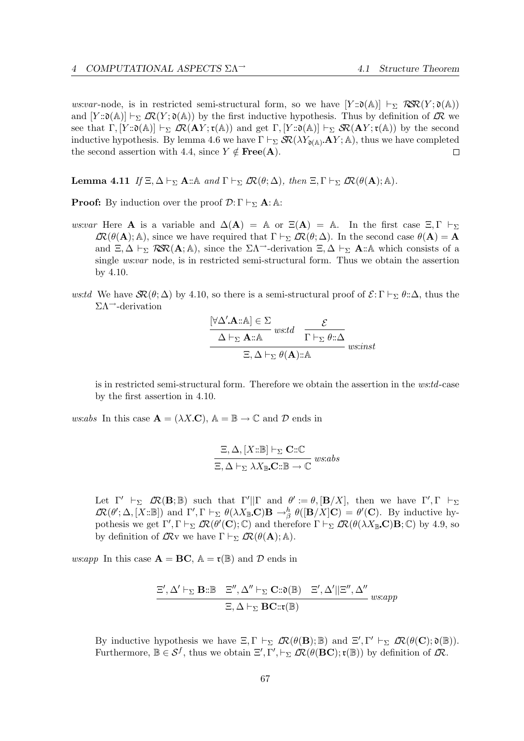ws:var-node, is in restricted semi-structural form, so we have  $[Y:\mathfrak{d}(\mathbb{A})] \vdash_{\Sigma} \mathcal{R} \mathcal{R}(Y;\mathfrak{d}(\mathbb{A}))$ and  $[Y:\mathfrak{d}(A)] \vdash_{\Sigma} \mathcal{R}(Y;\mathfrak{d}(A))$  by the first inductive hypothesis. Thus by definition of  $\mathcal{R}$  we see that  $\Gamma$ ,  $[Y:\mathfrak{d}(\mathbb{A})] \vdash_{\Sigma} \mathcal{R}(\mathbf{A}Y; \mathfrak{r}(\mathbb{A}))$  and get  $\Gamma$ ,  $[Y:\mathfrak{d}(\mathbb{A})] \vdash_{\Sigma} \mathcal{R}(\mathbf{A}Y; \mathfrak{r}(\mathbb{A}))$  by the second inductive hypothesis. By lemma 4.6 we have  $\Gamma \vdash_{\Sigma} \mathcal{R}(\lambda Y_{\mathfrak{d}(\mathbb{A})} \mathbf{A} Y; \mathbb{A})$ , thus we have completed the second assertion with 4.4, since  $Y \notin \text{Free}(A)$ . П

**Lemma 4.11** If  $\Xi, \Delta \vdash_{\Sigma} \mathbf{A} : \mathbb{A}$  and  $\Gamma \vdash_{\Sigma} \mathcal{R}(\theta; \Delta)$ , then  $\Xi, \Gamma \vdash_{\Sigma} \mathcal{R}(\theta(\mathbf{A}); \mathbb{A})$ .

**Proof:** By induction over the proof  $\mathcal{D}:\Gamma \vdash_{\Sigma} \mathbf{A}:\mathbb{A}$ :

- ws:var Here **A** is a variable and  $\Delta(A) = A$  or  $\Xi(A) = A$ . In the first case  $\Xi, \Gamma \vdash_{\Sigma}$  $\mathcal{R}(\theta(\mathbf{A}); \mathbb{A})$ , since we have required that  $\Gamma \vdash_{\Sigma} \mathcal{R}(\theta; \Delta)$ . In the second case  $\theta(\mathbf{A}) = \mathbf{A}$ and  $\Xi$ ,  $\Delta \vdash_{\Sigma} \mathcal{R} \mathcal{R}(\mathbf{A}; \mathbb{A})$ , since the  $\Sigma \Lambda^{-1}$ -derivation  $\Xi$ ,  $\Delta \vdash_{\Sigma} \mathbf{A} : \mathbb{A}$  which consists of a single ws:var node, is in restricted semi-structural form. Thus we obtain the assertion by 4.10.
- ws:td We have  $\mathcal{SR}(\theta; \Delta)$  by 4.10, so there is a semi-structural proof of  $\mathcal{E}: \Gamma \vdash_{\Sigma} \theta : \Delta$ , thus the  $\Sigma \Lambda$ <sup>--</sup>-derivation

$$
\frac{[\forall \Delta' \mathbf{A} :: \mathbb{A}] \in \Sigma \text{ } w: td \quad \mathcal{E} \quad \Delta \vdash_{\Sigma} \mathbf{A} :: \mathbb{A} \text{ } w: td \quad \Gamma \vdash_{\Sigma} \theta :: \Delta} \mathcal{E} \quad \text{ } w: inst
$$

is in restricted semi-structural form. Therefore we obtain the assertion in the ws:td-case by the first assertion in 4.10.

ws:abs In this case  $\mathbf{A} = (\lambda X \mathbf{C})$ ,  $\mathbb{A} = \mathbb{B} \to \mathbb{C}$  and  $\mathcal{D}$  ends in

$$
\frac{\Xi, \Delta, [X::\mathbb{B}] \vdash_{\Sigma} \mathbf{C::\mathbb{C}}}{\Xi, \Delta \vdash_{\Sigma} \lambda X_{\mathbb{B}}.\mathbf{C::\mathbb{B}} \to \mathbb{C}} \text{ wss:abs}
$$

Let  $\Gamma' \vdash_{\Sigma} \mathcal{R}(\mathbf{B}; \mathbb{B})$  such that  $\Gamma' || \Gamma$  and  $\theta' := \theta$ ,  $[\mathbf{B}/X]$ , then we have  $\Gamma', \Gamma \vdash_{\Sigma}$  $\mathcal{LR}(\theta'; \Delta, [X : \mathbb{B}])$  and  $\Gamma', \Gamma \vdash_{\Sigma} \theta(\lambda X_{\mathbb{B}} \mathbf{C}) \mathbf{B} \to_{\beta}^h \theta([\mathbf{B}/X] \mathbf{C}) = \theta'(\mathbf{C})$ . By inductive hypothesis we get  $\Gamma', \Gamma \vdash_{\Sigma} \mathcal{R}(\theta'(\mathbf{C}); \mathbb{C})$  and therefore  $\Gamma \vdash_{\Sigma} \mathcal{R}(\theta(\lambda X_{\mathbb{B}}.\mathbf{C})\mathbf{B}; \mathbb{C})$  by 4.9, so by definition of  $\mathcal{R}v$  we have  $\Gamma \vdash_{\Sigma} \mathcal{R}(\theta(\mathbf{A}); \mathbb{A}).$ 

ws:app In this case  $\mathbf{A} = \mathbf{B}\mathbf{C}$ ,  $\mathbb{A} = \mathfrak{r}(\mathbb{B})$  and  $\mathcal D$  ends in

$$
\frac{\Xi', \Delta' \vdash_{\Sigma} \mathbf{B} : \mathbb{B} \quad \Xi'', \Delta'' \vdash_{\Sigma} \mathbf{C} : \mathfrak{d}(\mathbb{B}) \quad \Xi', \Delta'||\Xi'', \Delta''}{\Xi, \Delta \vdash_{\Sigma} \mathbf{BC} : \mathfrak{r}(\mathbb{B})} \quad \text{as a} \text{p}
$$

By inductive hypothesis we have  $\Xi, \Gamma \vdash_{\Sigma} \mathcal{L}\mathcal{R}(\theta(\mathbf{B}); \mathbb{B})$  and  $\Xi', \Gamma' \vdash_{\Sigma} \mathcal{L}\mathcal{R}(\theta(\mathbf{C}); \mathfrak{d}(\mathbb{B}))$ . Furthermore,  $\mathbb{B} \in \mathcal{S}^f$ , thus we obtain  $\Xi', \Gamma', \vdash_{\Sigma} \mathcal{R}(\theta(\mathbf{BC}); \mathfrak{r}(\mathbb{B}))$  by definition of  $\mathcal{R}$ .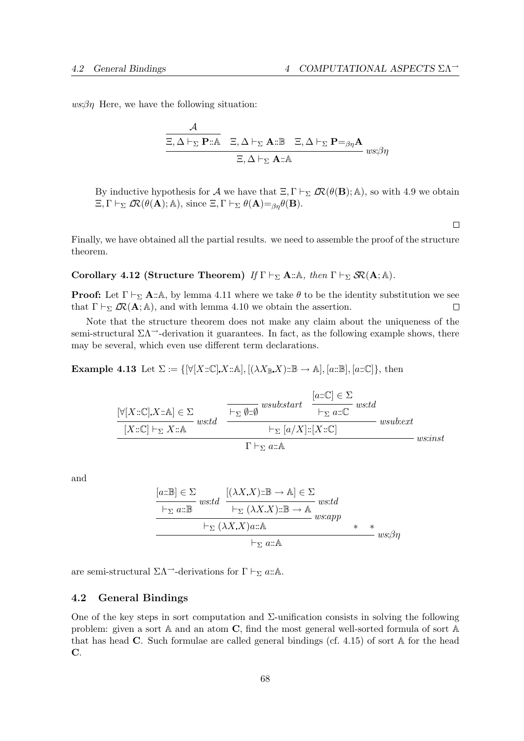$ws:\beta n$  Here, we have the following situation:

$$
\frac{\mathcal{A}}{\Xi, \Delta \vdash_{\Sigma} \mathbf{P} :: \mathbb{A}} \quad \Xi, \Delta \vdash_{\Sigma} \mathbf{A} :: \mathbb{B} \quad \Xi, \Delta \vdash_{\Sigma} \mathbf{P} =_{\beta\eta} \mathbf{A}
$$

$$
\Xi, \Delta \vdash_{\Sigma} \mathbf{A} :: \mathbb{A}
$$

By inductive hypothesis for A we have that  $\Xi, \Gamma \vdash_{\Sigma} \mathcal{R}(\theta(\mathbf{B}); \mathbb{A})$ , so with 4.9 we obtain  $\Xi, \Gamma \vdash_{\Sigma} \mathcal{L}\mathcal{R}(\theta(\mathbf{A}); \mathbb{A}), \text{ since } \Xi, \Gamma \vdash_{\Sigma} \theta(\mathbf{A}) =_{\beta\eta} \theta(\mathbf{B}).$ 

Finally, we have obtained all the partial results. we need to assemble the proof of the structure theorem.

Corollary 4.12 (Structure Theorem) If  $\Gamma \vdash_{\Sigma} A : A$ , then  $\Gamma \vdash_{\Sigma} S R(A; A)$ .

**Proof:** Let  $\Gamma \vdash_{\Sigma} \mathbf{A} : \mathbb{A}$ , by lemma 4.11 where we take  $\theta$  to be the identity substitution we see that  $\Gamma \vdash_{\Sigma} \mathcal{R}(\mathbf{A}; \mathbb{A})$ , and with lemma 4.10 we obtain the assertion.  $\Box$ 

Note that the structure theorem does not make any claim about the uniqueness of the semi-structural  $\Sigma \Lambda^{-1}$ -derivation it guarantees. In fact, as the following example shows, there may be several, which even use different term declarations.

**Example 4.13** Let  $\Sigma := \{ [\forall [X:\mathbb{C}], X:\mathbb{A}], [(\lambda X_{\mathbb{B}}X):\mathbb{B} \to \mathbb{A}], [a:\mathbb{B}], [a:\mathbb{C}]\},\$ then

$$
\frac{\left[\forall [X::\mathbb{C}].X::\mathbb{A}\right] \in \Sigma}{[X::\mathbb{C}] \vdash_{\Sigma} X::\mathbb{A}} \quad \frac{\left[a::\mathbb{C}\right] \in \Sigma}{\left[\vdash_{\Sigma} \emptyset::\emptyset \right]} \quad \text{wsub:start} \quad \frac{\left[a::\mathbb{C}\right] \in \Sigma}{\left[\vdash_{\Sigma} a::\mathbb{C}\right]} \quad \text{wsub:ext}}{\left[\vdash_{\Sigma} [a/X]: [X::\mathbb{C}]\right]} \quad \text{wsub:ext}
$$
\n
$$
\Gamma \vdash_{\Sigma} a::\mathbb{A} \qquad \qquad \text{wsub:start} \quad \frac{\left[a::\mathbb{C}\right] \in \Sigma}{\left[\vdash_{\Sigma} a::\mathbb{A}\right]} \quad \text{wsub:ext}
$$

and

$$
[a::B] \in \Sigma
$$
  
\n
$$
w:td
$$
  
\n
$$
[(\lambda X.X):B \to A] \in \Sigma
$$
  
\n
$$
w:td
$$
  
\n
$$
w:td
$$
  
\n
$$
w:td
$$
  
\n
$$
\downarrow_{\Sigma} (\lambda X.X) ::B \to A
$$
  
\n
$$
w:app
$$
  
\n
$$
w:app
$$
  
\n
$$
w:app
$$
  
\n
$$
w:app
$$
  
\n
$$
w:app
$$
  
\n
$$
w:app
$$
  
\n
$$
w:app
$$
  
\n
$$
w:app
$$
  
\n
$$
w:app
$$

are semi-structural  $\Sigma \Lambda$ <sup>--</sup>-derivations for  $\Gamma \vdash_{\Sigma} a:\mathbb{A}.$ 

## 4.2 General Bindings

One of the key steps in sort computation and  $\Sigma$ -unification consists in solving the following problem: given a sort A and an atom C, find the most general well-sorted formula of sort A that has head  $\bf{C}$ . Such formulae are called general bindings (cf. 4.15) of sort  $\bf{A}$  for the head C.

 $\Box$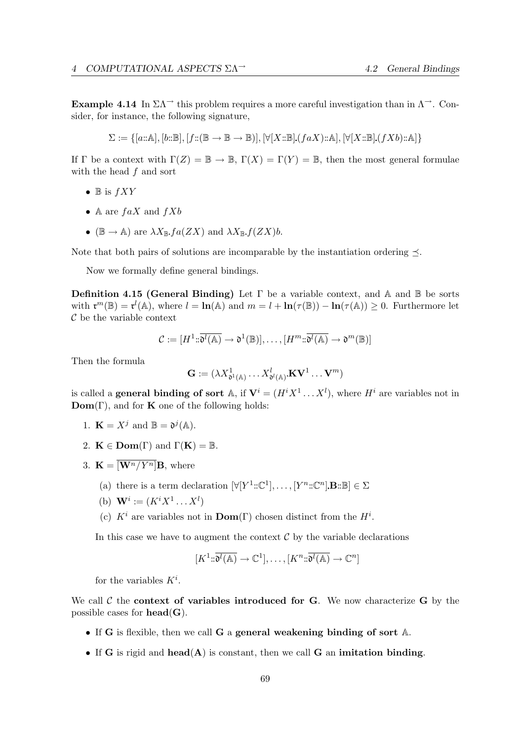**Example 4.14** In  $\Sigma \Lambda$ <sup>→</sup> this problem requires a more careful investigation than in  $\Lambda$ <sup>→</sup>. Consider, for instance, the following signature,

$$
\Sigma := \{ [a : A], [b : B], [f : (B \to B \to B)], [\forall [X : B], (faX) : A], [\forall [X : B], (fXb) : A] \}
$$

If  $\Gamma$  be a context with  $\Gamma(Z) = \mathbb{B} \to \mathbb{B}$ ,  $\Gamma(X) = \Gamma(Y) = \mathbb{B}$ , then the most general formulae with the head  $f$  and sort

- $\mathbb B$  is  $fXY$
- A are  $faX$  and  $fXb$
- ( $\mathbb{B} \to \mathbb{A}$ ) are  $\lambda X_{\mathbb{B}}$   $fa(ZX)$  and  $\lambda X_{\mathbb{B}}$   $f(ZX)b$ .

Note that both pairs of solutions are incomparable by the instantiation ordering  $\preceq$ .

Now we formally define general bindings.

**Definition 4.15 (General Binding)** Let  $\Gamma$  be a variable context, and  $\mathbb A$  and  $\mathbb B$  be sorts with  $\mathbf{r}^m(\mathbb{B}) = \mathbf{r}^l(\mathbb{A})$ , where  $l = \ln(\mathbb{A})$  and  $m = l + \ln(\tau(\mathbb{B})) - \ln(\tau(\mathbb{A})) \geq 0$ . Furthermore let  $\mathcal C$  be the variable context

$$
\mathcal{C} := [H^1 \colon \overline{\mathfrak{d}^l(\mathbb{A})} \to \mathfrak{d}^1(\mathbb{B})], \dots, [H^m \colon \overline{\mathfrak{d}^l(\mathbb{A})} \to \mathfrak{d}^m(\mathbb{B})]
$$

Then the formula

$$
\mathbf{G} := (\lambda X_{\mathfrak{d}^1(\mathbb{A})}^1 \dots X_{\mathfrak{d}^l(\mathbb{A})}^l \mathbf{K} \mathbf{V}^1 \dots \mathbf{V}^m)
$$

is called a **general binding of sort** A, if  $V^i = (H^i X^1 \dots X^l)$ , where  $H^i$  are variables not in  $\mathbf{Dom}(\Gamma)$ , and for **K** one of the following holds:

- 1.  $\mathbf{K} = X^j$  and  $\mathbb{B} = \mathfrak{d}^j(\mathbb{A})$ .
- 2.  $\mathbf{K} \in \text{Dom}(\Gamma)$  and  $\Gamma(\mathbf{K}) = \mathbb{B}$ .
- 3.  $\mathbf{K} = \overline{\left[\mathbf{W}^n / Y^n\right]} \mathbf{B}$ , where
	- (a) there is a term declaration  $[\forall [Y^1::\mathbb{C}^1], \ldots, [Y^n::\mathbb{C}^n] \mathbf{B}::\mathbb{B}] \in \Sigma$
	- (b)  $\mathbf{W}^i := (K^i X^1 \dots X^l)$
	- (c)  $K^i$  are variables not in **Dom**(Γ) chosen distinct from the  $H^i$ .

In this case we have to augment the context  $\mathcal C$  by the variable declarations

$$
[K^1 \colon \overline{\mathfrak{d}^l(\mathbb{A})} \to \mathbb{C}^1], \dots, [K^n \colon \overline{\mathfrak{d}^l(\mathbb{A})} \to \mathbb{C}^n]
$$

for the variables  $K^i$ .

We call  $\mathcal C$  the context of variables introduced for G. We now characterize G by the possible cases for  $head(G)$ .

- If G is flexible, then we call G a general weakening binding of sort  $\mathbb{A}$ .
- If G is rigid and head( $A$ ) is constant, then we call G an imitation binding.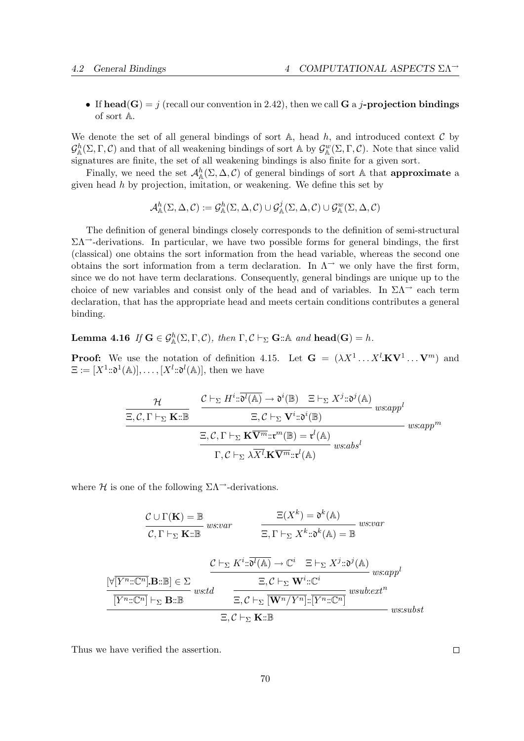• If head(G) = j (recall our convention in 2.42), then we call G a j-projection bindings of sort A.

We denote the set of all general bindings of sort  $A$ , head h, and introduced context  $C$  by  $\mathcal{G}_{\mathbb{A}}^{h}(\Sigma,\Gamma,\mathcal{C})$  and that of all weakening bindings of sort A by  $\mathcal{G}_{\mathbb{A}}^{w}(\Sigma,\Gamma,\mathcal{C})$ . Note that since valid signatures are finite, the set of all weakening bindings is also finite for a given sort.

Finally, we need the set  $\mathcal{A}_{\mathbb{A}}^{h}(\Sigma, \Delta, \mathcal{C})$  of general bindings of sort A that **approximate** a given head  $h$  by projection, imitation, or weakening. We define this set by

$$
\mathcal{A}_{\mathbb{A}}^{h}(\Sigma,\Delta,\mathcal{C}):=\mathcal{G}_{\mathbb{A}}^{h}(\Sigma,\Delta,\mathcal{C})\cup\mathcal{G}_{\mathbb{A}}^{j}(\Sigma,\Delta,\mathcal{C})\cup\mathcal{G}_{\mathbb{A}}^{w}(\Sigma,\Delta,\mathcal{C})
$$

The definition of general bindings closely corresponds to the definition of semi-structural  $\Sigma\Lambda$ <sup>-</sup>-derivations. In particular, we have two possible forms for general bindings, the first (classical) one obtains the sort information from the head variable, whereas the second one obtains the sort information from a term declaration. In  $\Lambda^{\rightarrow}$  we only have the first form, since we do not have term declarations. Consequently, general bindings are unique up to the choice of new variables and consist only of the head and of variables. In  $\Sigma\Lambda^{\rightarrow}$  each term declaration, that has the appropriate head and meets certain conditions contributes a general binding.

**Lemma 4.16** If  $\mathbf{G} \in \mathcal{G}_{\mathbb{A}}^h(\Sigma,\Gamma,\mathcal{C})$ , then  $\Gamma,\mathcal{C} \vdash_{\Sigma} \mathbf{G} : \mathbb{A}$  and  $\mathbf{head}(\mathbf{G}) = h$ .

**Proof:** We use the notation of definition 4.15. Let  $\mathbf{G} = (\lambda X^1 \dots X^l \mathbf{K} \mathbf{V}^1 \dots \mathbf{V}^m)$  and  $\Xi := [X^1 \text{::}\mathfrak{d}^1(\mathbb{A})], \ldots, [X^l \text{::}\mathfrak{d}^l(\mathbb{A})],$  then we have

$$
\frac{\mathcal{H}}{\Xi, \mathcal{C}, \Gamma \vdash_{\Sigma} \mathbf{K} : \mathbb{B}} \quad \frac{\mathcal{C} \vdash_{\Sigma} H^i : \overline{\mathfrak{d}^l(\mathbb{A})} \to \mathfrak{d}^i(\mathbb{B}) \quad \Xi \vdash_{\Sigma} X^j : \mathfrak{d}^j(\mathbb{A})}{\Xi, \mathcal{C} \vdash_{\Sigma} \mathbf{V}^i : \mathfrak{d}^i(\mathbb{B})} \quad \text{ws:app}^l
$$
\n
$$
\frac{\Xi, \mathcal{C}, \Gamma \vdash_{\Sigma} \mathbf{K} \overline{\mathbf{V}^m} : \mathfrak{r}^m(\mathbb{B}) = \mathfrak{r}^l(\mathbb{A})}{\Gamma, \mathcal{C} \vdash_{\Sigma} \lambda \overline{X}^l \cdot \mathbf{K} \overline{\mathbf{V}^m} : \mathfrak{r}^l(\mathbb{A})} \quad \text{ws:abs}^l}
$$

where H is one of the following  $\Sigma\Lambda^{\rightarrow}$ -derivations.

C ∪ Γ(K) = B ws:var C, Γ `<sup>Σ</sup> K::B Ξ(X<sup>k</sup> ) = d k (A) ws:var Ξ, Γ `<sup>Σ</sup> X<sup>k</sup> ::d k (A) = B [∀[Y <sup>n</sup>::Cn] B::B] ∈ Σ ws:td [Y <sup>n</sup>::Cn] `<sup>Σ</sup> B::B C `<sup>Σ</sup> K<sup>i</sup> ::d <sup>l</sup>(A) → C <sup>i</sup> Ξ `<sup>Σ</sup> X<sup>j</sup> ::d j (A) ws:app<sup>l</sup> Ξ, C `<sup>Σ</sup> W<sup>i</sup> ::C i wsub:ext<sup>n</sup> Ξ, C `<sup>Σ</sup> [Wn/Y <sup>n</sup>]::[Y <sup>n</sup>::Cn] ws:subst Ξ, C `<sup>Σ</sup> K::B

Thus we have verified the assertion.

 $\Box$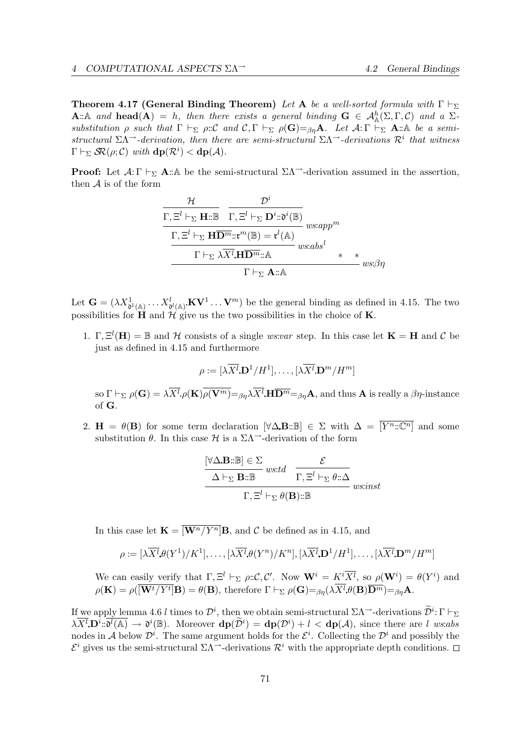**Theorem 4.17 (General Binding Theorem)** Let A be a well-sorted formula with  $\Gamma \vdash_{\Sigma}$ **A**:: A and **head**(**A**) = h, then there exists a general binding  $G \in \mathcal{A}_{\mathbb{A}}^{h}(\Sigma,\Gamma,\mathcal{C})$  and a  $\Sigma$ substitution  $\rho$  such that  $\Gamma \vdash_{\Sigma} \rho : \mathcal{C}$  and  $\mathcal{C}, \Gamma \vdash_{\Sigma} \rho(\mathbf{G}) =_{\beta\eta} \mathbf{A}$ . Let  $\mathcal{A} : \Gamma \vdash_{\Sigma} \mathbf{A} : \mathbb{A}$  be a semistructural  $\Sigma \Lambda$ <sup>→</sup>-derivation, then there are semi-structural  $\Sigma \Lambda$ <sup>→</sup>-derivations  $\mathcal{R}^i$  that witness  $\Gamma \vdash_{\Sigma} \mathcal{S} \mathcal{R}(\rho; \mathcal{C})$  with  $\mathbf{dp}(\mathcal{R}^i) < \mathbf{dp}(\mathcal{A})$ .

**Proof:** Let  $\mathcal{A}: \Gamma \vdash_{\Sigma} \mathbf{A} : \mathbb{A}$  be the semi-structural  $\Sigma \Lambda \rightarrow$ -derivation assumed in the assertion, then  $A$  is of the form

$$
\frac{\mathcal{H}}{\Gamma, \Xi^{l} \vdash_{\Sigma} \mathbf{H} : \mathbb{B} \quad \Gamma, \Xi^{l} \vdash_{\Sigma} \mathbf{D}^{i} : \mathfrak{d}^{i}(\mathbb{B})}} \frac{\Gamma, \Xi^{l} \vdash_{\Sigma} \mathbf{H} \overline{\mathbf{D}^{m}} : \mathfrak{r}^{m}(\mathbb{B}) = \mathfrak{r}^{l}(\mathbb{A})}{\Gamma \vdash_{\Sigma} \lambda \overline{X^{l}} \mathbf{H} \overline{\mathbf{D}^{m}} : \mathbb{A} \qquad \qquad \text{w}s:abs^{l} \qquad \qquad \mathbf{m} \mathbf{B}^{l}} \qquad \qquad \mathbf{m}s:abs^{l} \qquad \qquad \mathbf{m} \mathbf{B}^{l} \qquad \qquad \mathbf{m} \mathbf{B}^{l} \qquad \qquad \mathbf{m} \mathbf{B}^{l} \qquad \qquad \mathbf{m} \mathbf{B}^{l} \qquad \qquad \mathbf{m} \mathbf{B}^{l} \qquad \qquad \mathbf{m} \mathbf{B}^{l} \qquad \qquad \mathbf{m} \mathbf{B}^{l} \qquad \qquad \mathbf{m} \mathbf{B}^{l} \qquad \qquad \mathbf{m} \mathbf{B}^{l} \qquad \qquad \mathbf{m} \mathbf{B}^{l} \qquad \qquad \mathbf{m} \mathbf{B}^{l} \qquad \qquad \mathbf{m} \mathbf{B}^{l} \qquad \qquad \mathbf{m} \mathbf{B}^{l} \qquad \qquad \mathbf{m} \mathbf{B}^{l} \qquad \qquad \mathbf{m} \mathbf{B}^{l} \qquad \qquad \mathbf{m} \mathbf{B}^{l} \qquad \qquad \mathbf{m} \mathbf{B}^{l} \qquad \qquad \mathbf{m} \mathbf{B}^{l} \qquad \qquad \mathbf{m} \mathbf{B}^{l} \qquad \qquad \mathbf{m} \mathbf{B}^{l} \qquad \qquad \mathbf{m} \mathbf{B}^{l} \qquad \qquad \mathbf{m} \mathbf{B}^{l} \qquad \qquad \mathbf{m} \mathbf{B}^{l} \qquad \qquad \mathbf{m} \mathbf{B}^{l} \qquad \qquad \math
$$

Let  $\mathbf{G} = (\lambda X_{\mathfrak{d}^1(\mathbb{A})}^1 \dots X_{\mathfrak{d}^l(\mathbb{A})}^l \mathbf{K} \mathbf{V}^1 \dots \mathbf{V}^m)$  be the general binding as defined in 4.15. The two possibilities for  $\overleftrightarrow{H}$  and  $\overleftrightarrow{\mathcal{H}}$  give us the two possibilities in the choice of **K**.

1.  $\Gamma$ ,  $\Xi^l(H) = \mathbb{B}$  and H consists of a single ws:var step. In this case let  $K = H$  and C be just as defined in 4.15 and furthermore

$$
\rho := [\lambda \overline{X^l} \, \mathbf{D}^1 / H^1], \dots, [\lambda \overline{X^l} \, \mathbf{D}^m / H^m]
$$

so  $\Gamma \vdash_{\Sigma} \rho(\mathbf{G}) = \lambda \overline{X^{l}}.\rho(\mathbf{K}) \overline{\rho(\mathbf{V}^{m})} = \beta \eta \lambda \overline{X^{l}}.\mathbf{H} \overline{\mathbf{D}^{m}} = \beta \eta \mathbf{A},$  and thus **A** is really a  $\beta \eta$ -instance of G.

2.  $H = \theta(B)$  for some term declaration  $[\forall \Delta \mathbf{B} : \mathbb{B}] \in \Sigma$  with  $\Delta = [\overline{Y^n : \mathbb{C}^n}]$  and some substitution  $\theta$ . In this case  $\mathcal{H}$  is a  $\Sigma\Lambda$ <sup>--</sup>-derivation of the form

$$
\frac{\begin{aligned}\n[\forall \Delta \mathbf{B} : \mathbb{B}] &\in \Sigma \\
\hline\n\Delta \vdash_{\Sigma} \mathbf{B} : \mathbb{B} \quad \text{wstd} &\overline{\Gamma, \Xi^l \vdash_{\Sigma} \theta : \Delta} \\
\hline\n\Gamma, \Xi^l \vdash_{\Sigma} \theta(\mathbf{B}) : \mathbb{B} \quad \text{wsinst}\n\end{aligned}
$$

In this case let  $\mathbf{K} = \overline{\left[\mathbf{W}^n / Y^n\right]} \mathbf{B}$ , and C be defined as in 4.15, and

$$
\rho := [\lambda \overline{X^l} \theta(Y^1)/K^1], \dots, [\lambda \overline{X^l} \theta(Y^n)/K^n], [\lambda \overline{X^l} \mathbf{D}^1/H^1], \dots, [\lambda \overline{X^l} \mathbf{D}^m/H^m]
$$

We can easily verify that  $\Gamma, \Xi^l \vdash_{\Sigma} \rho : \mathcal{C}, \mathcal{C}'$ . Now  $\mathbf{W}^i = K^i \overline{X^l}$ , so  $\rho(\mathbf{W}^i) = \theta(Y^i)$  and  $\rho(\mathbf{K}) = \rho(\overline{[\mathbf{W}^t/Y^t]} \mathbf{B}) = \theta(\mathbf{B}), \text{ therefore } \Gamma \vdash_{\Sigma} \rho(\mathbf{G}) =_{\beta\eta} (\lambda X^l \theta(\mathbf{B}) \overline{\mathbf{D}^m}) =_{\beta\eta} \mathbf{A}.$ 

If we apply lemma 4.6 l times to  $\mathcal{D}^i$ , then we obtain semi-structural  $\Sigma\Lambda^{-1}$ -derivations  $\widetilde{\mathcal{D}}^i:\Gamma\vdash_{\Sigma}$  $\lambda \overline{X^l} \mathbf{D}^i : \overline{\mathfrak{d}^l(\mathbb{A})} \to \mathfrak{d}^i(\mathbb{B})$ . Moreover  $\mathbf{dp}(\widetilde{\mathcal{D}}^i) = \mathbf{dp}(\mathcal{D}^i) + l < \mathbf{dp}(\mathcal{A})$ , since there are l ws:abs nodes in A below  $\mathcal{D}^i$ . The same argument holds for the  $\mathcal{E}^i$ . Collecting the  $\mathcal{D}^i$  and possibly the  $\mathcal{E}^i$  gives us the semi-structural  $\Sigma\Lambda$ <sup>-3</sup>-derivations  $\mathcal{R}^i$  with the appropriate depth conditions.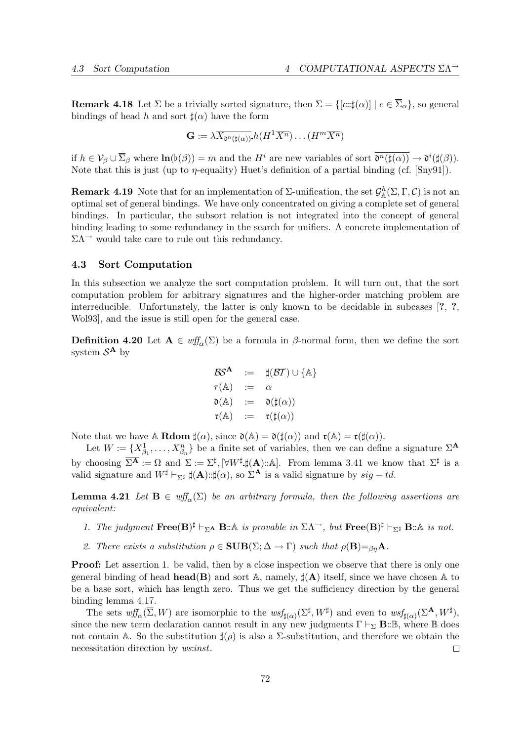**Remark 4.18** Let  $\Sigma$  be a trivially sorted signature, then  $\Sigma = \{ [c:\sharp(\alpha)] \mid c \in \overline{\Sigma}_{\alpha} \}$ , so general bindings of head h and sort  $\sharp(\alpha)$  have the form

$$
\mathbf{G} := \lambda \overline{X_{\mathfrak{d}^n(\sharp(\alpha))}} h(H^1 \overline{X^n}) \dots (H^m \overline{X^n})
$$

if  $h \in V_\beta \cup \overline{\Sigma}_\beta$  where  $\ln(\flat(\beta)) = m$  and the  $H^i$  are new variables of sort  $\overline{\mathfrak{d}^n(\sharp(\alpha))} \to \mathfrak{d}^i(\sharp(\beta))$ . Note that this is just (up to  $\eta$ -equality) Huet's definition of a partial binding (cf. [Sny91]).

**Remark 4.19** Note that for an implementation of  $\Sigma$ -unification, the set  $\mathcal{G}_{\mathbb{A}}^{h}(\Sigma,\Gamma,\mathcal{C})$  is not an optimal set of general bindings. We have only concentrated on giving a complete set of general bindings. In particular, the subsort relation is not integrated into the concept of general binding leading to some redundancy in the search for unifiers. A concrete implementation of  $\Sigma \Lambda$ <sup> $\rightarrow$ </sup> would take care to rule out this redundancy.

## 4.3 Sort Computation

In this subsection we analyze the sort computation problem. It will turn out, that the sort computation problem for arbitrary signatures and the higher-order matching problem are interreducible. Unfortunately, the latter is only known to be decidable in subcases [?, ?, Wol93], and the issue is still open for the general case.

**Definition 4.20** Let  $A \in \text{wff}_{\alpha}(\Sigma)$  be a formula in  $\beta$ -normal form, then we define the sort system  $\mathcal{S}^{\mathbf{A}}$  by

$$
\begin{array}{rcl}\n\mathcal{BS}^{\mathbf{A}} & := & \sharp(\mathcal{BT}) \cup \{\mathbb{A}\} \\
\tau(\mathbb{A}) & := & \alpha \\
\mathfrak{d}(\mathbb{A}) & := & \mathfrak{d}(\sharp(\alpha)) \\
\mathfrak{r}(\mathbb{A}) & := & \mathfrak{r}(\sharp(\alpha))\n\end{array}
$$

Note that we have A **Rdom**  $\sharp(\alpha)$ , since  $\mathfrak{d}(\mathbb{A}) = \mathfrak{d}(\sharp(\alpha))$  and  $\mathfrak{r}(\mathbb{A}) = \mathfrak{r}(\sharp(\alpha))$ .

Let  $W := \{X_{\beta_1}^1, \ldots, X_{\beta_n}^n\}$  be a finite set of variables, then we can define a signature  $\Sigma^{\mathbf{A}}$ by choosing  $\overline{\Sigma^{\mathbf{A}}} := \Omega$  and  $\Sigma := \Sigma^{\sharp}, [\forall W^{\sharp}, \sharp(\mathbf{A}) : \mathbb{A}]$ . From lemma 3.41 we know that  $\Sigma^{\sharp}$  is a valid signature and  $W^{\sharp} \vdash_{\Sigma^{\sharp}} \sharp(\mathbf{A}) : \sharp(\alpha)$ , so  $\Sigma^{\mathbf{A}'}$  is a valid signature by  $sig - td$ .

**Lemma 4.21** Let  $B \in \text{wff}_{\alpha}(\Sigma)$  be an arbitrary formula, then the following assertions are equivalent:

- 1. The judgment  $\textbf{Free}(B)^{\sharp} \vdash_{\Sigma^{\mathbf{A}}} \mathbf{B} : \mathbb{A}$  is provable in  $\Sigma \Lambda^{\rightarrow}$ , but  $\textbf{Free}(B)^{\sharp} \vdash_{\Sigma^{\sharp}} \mathbf{B} : \mathbb{A}$  is not.
- 2. There exists a substitution  $\rho \in \text{SUB}(\Sigma; \Delta \to \Gamma)$  such that  $\rho(\textbf{B}) =_{\beta \eta} \mathbf{A}$ .

**Proof:** Let assertion 1. be valid, then by a close inspection we observe that there is only one general binding of head **head(B)** and sort A, namely,  $\sharp$ (A) itself, since we have chosen A to be a base sort, which has length zero. Thus we get the sufficiency direction by the general binding lemma 4.17.

The sets  $\omega f_{\alpha}(\overline{\Sigma}, W)$  are isomorphic to the  $\omega s f_{\sharp(\alpha)}(\Sigma^{\sharp}, W^{\sharp})$  and even to  $\omega s f_{\sharp(\alpha)}(\Sigma^{\mathbf{A}}, W^{\sharp}),$ since the new term declaration cannot result in any new judgments  $\Gamma \vdash_{\Sigma} \mathbf{B} : \mathbb{B}$ , where  $\mathbb{B}$  does not contain A. So the substitution  $\sharp(\rho)$  is also a Σ-substitution, and therefore we obtain the necessitation direction by *ws:inst*.  $\Box$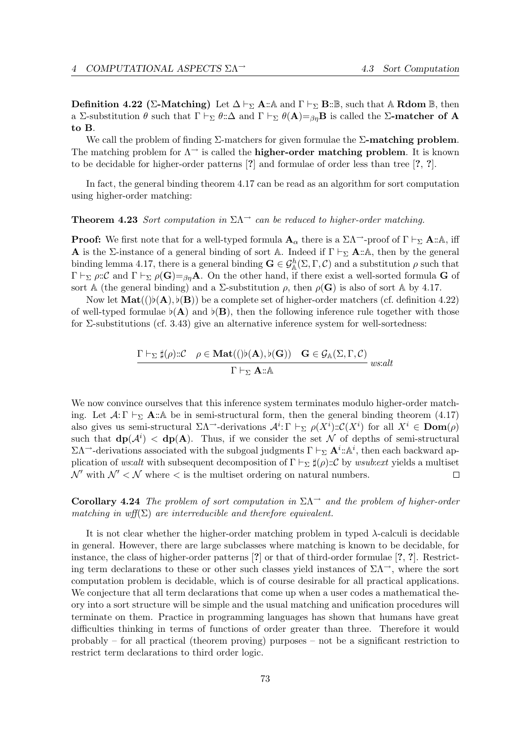**Definition 4.22 (Σ-Matching)** Let  $\Delta \vdash_{\Sigma} \mathbf{A} : \mathbb{A}$  and  $\Gamma \vdash_{\Sigma} \mathbf{B} : \mathbb{B}$ , such that  $\mathbb{A}$  Rdom  $\mathbb{B}$ , then a Σ-substitution  $\theta$  such that  $\Gamma \vdash_{\Sigma} \theta : \Delta$  and  $\Gamma \vdash_{\Sigma} \theta(A)=_{\beta\eta}B$  is called the  $\Sigma$ -matcher of A to B.

We call the problem of finding  $\Sigma$ -matchers for given formulae the  $\Sigma$ -matching problem. The matching problem for  $\Lambda^{\rightarrow}$  is called the **higher-order matching problem**. It is known to be decidable for higher-order patterns [?] and formulae of order less than tree [?, ?].

In fact, the general binding theorem 4.17 can be read as an algorithm for sort computation using higher-order matching:

#### **Theorem 4.23** Sort computation in  $\Sigma\Lambda$ <sup>→</sup> can be reduced to higher-order matching.

**Proof:** We first note that for a well-typed formula  $A_{\alpha}$  there is a  $\Sigma \Lambda^{-1}$ -proof of  $\Gamma \vdash_{\Sigma} A : A$ , iff **A** is the Σ-instance of a general binding of sort A. Indeed if  $\Gamma \vdash_{\Sigma} \mathbf{A} : A$ , then by the general binding lemma 4.17, there is a general binding  $\mathbf{G} \in \mathcal{G}_{\mathbb{A}}^{h}(\Sigma,\Gamma,\mathcal{C})$  and a substitution  $\rho$  such that  $\Gamma \vdash_{\Sigma} \rho:\mathcal{C}$  and  $\Gamma \vdash_{\Sigma} \rho(\mathbf{G})=_{\beta\eta}\mathbf{A}$ . On the other hand, if there exist a well-sorted formula G of sort A (the general binding) and a  $\Sigma$ -substitution  $\rho$ , then  $\rho(\mathbf{G})$  is also of sort A by 4.17.

Now let  $\text{Mat}((b(\mathbf{A}), b(\mathbf{B}))$  be a complete set of higher-order matchers (cf. definition 4.22) of well-typed formulae  $\flat$ (A) and  $\flat$ (B), then the following inference rule together with those for Σ-substitutions (cf. 3.43) give an alternative inference system for well-sortedness:

$$
\frac{\Gamma \vdash_{\Sigma} \sharp(\rho) :: \mathcal{C} \quad \rho \in \mathbf{Mat}((\flat(\mathbf{A}), \flat(\mathbf{G})) \quad \mathbf{G} \in \mathcal{G}_{\mathbb{A}}(\Sigma, \Gamma, \mathcal{C})}{\Gamma \vdash_{\Sigma} \mathbf{A} :: \mathbb{A}} \ \ was: alt}
$$

We now convince ourselves that this inference system terminates modulo higher-order matching. Let  $\mathcal{A}: \Gamma \vdash_{\Sigma} \mathbf{A} : \mathbb{A}$  be in semi-structural form, then the general binding theorem (4.17) also gives us semi-structural  $\Sigma \Lambda^{\rightarrow}$ -derivations  $\mathcal{A}^{i} \colon \Gamma \vdash_{\Sigma} \rho(X^{i}) \colon \mathcal{C}(X^{i})$  for all  $X^{i} \in \text{Dom}(\rho)$ such that  $dp(\mathcal{A}^i) < dp(A)$ . Thus, if we consider the set N of depths of semi-structural  $\Sigma \Lambda$ <sup>--</sup>-derivations associated with the subgoal judgments  $\Gamma \vdash_{\Sigma} \mathbf{A}^i : \mathbb{A}^i$ , then each backward application of ws:alt with subsequent decomposition of  $\Gamma \vdash_{\Sigma} \sharp(\rho) : \mathcal{C}$  by wsub:ext yields a multiset  $\mathcal{N}'$  with  $\mathcal{N}' < \mathcal{N}$  where  $\lt$  is the multiset ordering on natural numbers.  $\Box$ 

Corollary 4.24 The problem of sort computation in  $\Sigma\Lambda^{\rightarrow}$  and the problem of higher-order matching in wff( $\Sigma$ ) are interreducible and therefore equivalent.

It is not clear whether the higher-order matching problem in typed  $\lambda$ -calculi is decidable in general. However, there are large subclasses where matching is known to be decidable, for instance, the class of higher-order patterns [?] or that of third-order formulae [?, ?]. Restricting term declarations to these or other such classes yield instances of  $\Sigma\Lambda^{\rightarrow}$ , where the sort computation problem is decidable, which is of course desirable for all practical applications. We conjecture that all term declarations that come up when a user codes a mathematical theory into a sort structure will be simple and the usual matching and unification procedures will terminate on them. Practice in programming languages has shown that humans have great difficulties thinking in terms of functions of order greater than three. Therefore it would probably – for all practical (theorem proving) purposes – not be a significant restriction to restrict term declarations to third order logic.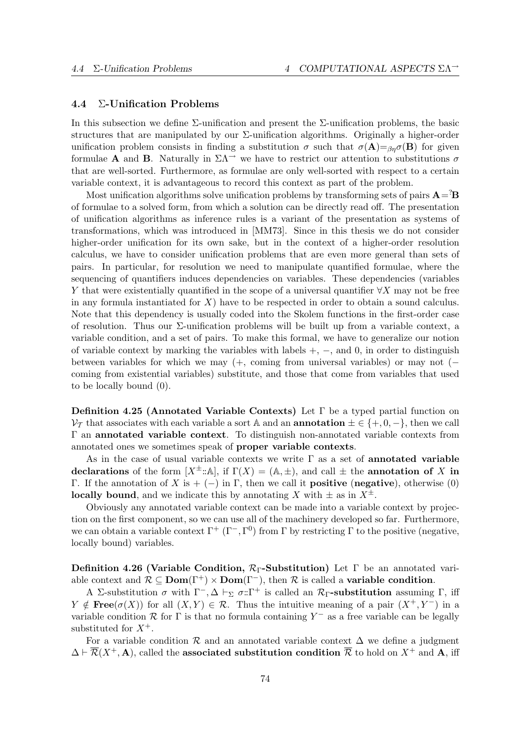# 4.4 Σ-Unification Problems

In this subsection we define  $\Sigma$ -unification and present the  $\Sigma$ -unification problems, the basic structures that are manipulated by our  $\Sigma$ -unification algorithms. Originally a higher-order unification problem consists in finding a substitution  $\sigma$  such that  $\sigma(A)=\beta_0\sigma(B)$  for given formulae **A** and **B**. Naturally in  $\Sigma\Lambda$ <sup> $\rightarrow$ </sup> we have to restrict our attention to substitutions  $\sigma$ that are well-sorted. Furthermore, as formulae are only well-sorted with respect to a certain variable context, it is advantageous to record this context as part of the problem.

Most unification algorithms solve unification problems by transforming sets of pairs  $\mathbf{A} = \mathbf{B}$ of formulae to a solved form, from which a solution can be directly read off. The presentation of unification algorithms as inference rules is a variant of the presentation as systems of transformations, which was introduced in [MM73]. Since in this thesis we do not consider higher-order unification for its own sake, but in the context of a higher-order resolution calculus, we have to consider unification problems that are even more general than sets of pairs. In particular, for resolution we need to manipulate quantified formulae, where the sequencing of quantifiers induces dependencies on variables. These dependencies (variables Y that were existentially quantified in the scope of a universal quantifier  $\forall X$  may not be free in any formula instantiated for  $X$ ) have to be respected in order to obtain a sound calculus. Note that this dependency is usually coded into the Skolem functions in the first-order case of resolution. Thus our Σ-unification problems will be built up from a variable context, a variable condition, and a set of pairs. To make this formal, we have to generalize our notion of variable context by marking the variables with labels  $+, -$ , and 0, in order to distinguish between variables for which we may  $(+, \text{ coming from universal variables})$  or may not  $($ coming from existential variables) substitute, and those that come from variables that used to be locally bound (0).

Definition 4.25 (Annotated Variable Contexts) Let Γ be a typed partial function on  $\mathcal{V}_{\mathcal{T}}$  that associates with each variable a sort A and an **annotation**  $\pm \in \{+,0,-\}$ , then we call Γ an annotated variable context. To distinguish non-annotated variable contexts from annotated ones we sometimes speak of proper variable contexts.

As in the case of usual variable contexts we write  $\Gamma$  as a set of **annotated variable** declarations of the form  $[X^{\pm}:\mathbb{A}],$  if  $\Gamma(X) = (\mathbb{A}, \pm)$ , and call  $\pm$  the annotation of X in Γ. If the annotation of X is + (-) in Γ, then we call it **positive** (negative), otherwise (0) **locally bound**, and we indicate this by annotating X with  $\pm$  as in  $X^{\pm}$ .

Obviously any annotated variable context can be made into a variable context by projection on the first component, so we can use all of the machinery developed so far. Furthermore, we can obtain a variable context  $\Gamma^+$  ( $\Gamma^-$ ,  $\Gamma^0$ ) from Γ by restricting Γ to the positive (negative, locally bound) variables.

Definition 4.26 (Variable Condition,  $\mathcal{R}_{\Gamma}$ -Substitution) Let  $\Gamma$  be an annotated variable context and  $\mathcal{R} \subseteq \text{Dom}(\Gamma^+) \times \text{Dom}(\Gamma^-)$ , then  $\mathcal R$  is called a **variable condition**.

A Σ-substitution  $\sigma$  with  $\Gamma^{-}$ ,  $\Delta \vdash_{\Sigma} \sigma:\Gamma^{+}$  is called an  $\mathcal{R}_{\Gamma}$ -substitution assuming  $\Gamma$ , iff Y  $\notin \textbf{Free}(\sigma(X))$  for all  $(X, Y) \in \mathcal{R}$ . Thus the intuitive meaning of a pair  $(X^+, Y^-)$  in a variable condition  $R$  for  $\Gamma$  is that no formula containing  $Y^-$  as a free variable can be legally substituted for  $X^+$ .

For a variable condition R and an annotated variable context  $\Delta$  we define a judgment  $\Delta \vdash \overline{\mathcal{R}}(X^+, \mathbf{A})$ , called the associated substitution condition  $\overline{\mathcal{R}}$  to hold on  $X^+$  and A, iff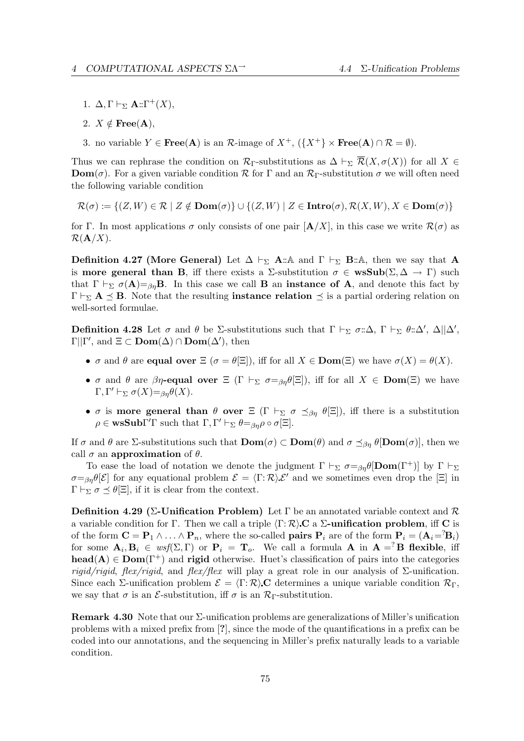- 1.  $\Delta, \Gamma \vdash_{\Sigma} \mathbf{A} :: \Gamma^{+}(X),$
- 2.  $X \notin \text{Free}(A),$
- 3. no variable  $Y \in \textbf{Free}(A)$  is an  $\mathcal{R}\text{-image of } X^+$ ,  $({X^+} \times \textbf{Free}(A) \cap \mathcal{R} = \emptyset)$ .

Thus we can rephrase the condition on  $\mathcal{R}_{\Gamma}$ -substitutions as  $\Delta \vdash_{\Sigma} \overline{\mathcal{R}}(X, \sigma(X))$  for all  $X \in$ **Dom**( $\sigma$ ). For a given variable condition R for  $\Gamma$  and an  $\mathcal{R}_{\Gamma}$ -substitution  $\sigma$  we will often need the following variable condition

$$
\mathcal{R}(\sigma) := \{ (Z, W) \in \mathcal{R} \mid Z \notin \textbf{Dom}(\sigma) \} \cup \{ (Z, W) \mid Z \in \textbf{Intro}(\sigma), \mathcal{R}(X, W), X \in \textbf{Dom}(\sigma) \}
$$

for Γ. In most applications  $\sigma$  only consists of one pair  $[\mathbf{A}/X]$ , in this case we write  $\mathcal{R}(\sigma)$  as  $\mathcal{R}(\mathbf{A}/X)$ .

**Definition 4.27 (More General)** Let  $\Delta \vdash_{\Sigma} A: \mathbb{A}$  and  $\Gamma \vdash_{\Sigma} B: \mathbb{A}$ , then we say that A is **more general than B**, iff there exists a  $\Sigma$ -substitution  $\sigma \in \mathbf{wsSub}(\Sigma, \Delta \to \Gamma)$  such that  $\Gamma \vdash_{\Sigma} \sigma(A)=\beta_{\eta}B$ . In this case we call **B** an **instance of A**, and denote this fact by  $\Gamma \vdash_{\Sigma} \mathbf{A} \preceq \mathbf{B}$ . Note that the resulting **instance relation**  $\preceq$  is a partial ordering relation on well-sorted formulae.

**Definition 4.28** Let  $\sigma$  and  $\theta$  be  $\Sigma$ -substitutions such that  $\Gamma \vdash_{\Sigma} \sigma : \Delta, \Gamma \vdash_{\Sigma} \theta : \Delta', \Delta || \Delta',$  $\Gamma || \Gamma'$ , and  $\Xi \subset \text{Dom}(\Delta) \cap \text{Dom}(\Delta')$ , then

- $\sigma$  and  $\theta$  are **equal over**  $\Xi$  ( $\sigma = \theta[\Xi]$ ), iff for all  $X \in \text{Dom}(\Xi)$  we have  $\sigma(X) = \theta(X)$ .
- σ and θ are  $\beta\eta$ -equal over  $\Xi$  (Γ  $\vdash_{\Sigma}$   $\sigma =_{\beta\eta}\theta[\Xi]$ ), iff for all  $X \in \textbf{Dom}(\Xi)$  we have  $\Gamma, \Gamma' \vdash_{\Sigma} \sigma(X)=_{\beta\eta}\theta(X).$
- σ is more general than  $\theta$  over  $\Xi$  ( $\Gamma \vdash_{\Sigma} \sigma \preceq_{\beta_{n}} \theta[\Xi]$ ), iff there is a substitution  $\rho \in \mathbf{wsSub}\Gamma'\Gamma$  such that  $\Gamma, \Gamma' \vdash_{\Sigma} \theta =_{\beta\eta} \rho \circ \sigma[\Xi].$

If  $\sigma$  and  $\theta$  are  $\Sigma$ -substitutions such that  $\text{Dom}(\sigma) \subset \text{Dom}(\theta)$  and  $\sigma \preceq_{\beta\eta} \theta[\text{Dom}(\sigma)]$ , then we call  $\sigma$  an approximation of  $\theta$ .

To ease the load of notation we denote the judgment  $\Gamma \vdash_{\Sigma} \sigma =_{\beta\eta} \theta$  [Dom( $\Gamma^+$ )] by  $\Gamma \vdash_{\Sigma}$  $\sigma = \beta \eta \theta[\mathcal{E}]$  for any equational problem  $\mathcal{E} = \langle \Gamma : \mathcal{R} \rangle \mathcal{E}'$  and we sometimes even drop the  $[\Xi]$  in  $\Gamma \vdash_{\Sigma} \sigma \preceq \theta[\Xi]$ , if it is clear from the context.

Definition 4.29 (Σ-Unification Problem) Let Γ be an annotated variable context and  $\mathcal R$ a variable condition for Γ. Then we call a triple  $\langle \Gamma : \mathcal{R} \rangle$  C a  $\Sigma$ -unification problem, iff C is of the form  $\mathbf{C} = \mathbf{P}_1 \wedge \ldots \wedge \mathbf{P}_n$ , where the so-called **pairs**  $\mathbf{P}_i$  are of the form  $\mathbf{P}_i = (\mathbf{A}_i = {}^2\mathbf{B}_i)$ for some  $\mathbf{A}_i, \mathbf{B}_i \in \text{wsf}(\Sigma, \Gamma)$  or  $\mathbf{P}_i = \mathbf{T}_o$ . We call a formula  $\mathbf{A}$  in  $\mathbf{A} = \n\begin{bmatrix} \n\mathbf{B} & \n\end{bmatrix}$  flexible, if head(A)  $\in$  Dom( $\Gamma^+$ ) and rigid otherwise. Huet's classification of pairs into the categories rigid/rigid, flex/rigid, and flex/flex will play a great role in our analysis of  $\Sigma$ -unification. Since each Σ-unification problem  $\mathcal{E} = \langle \Gamma : \mathcal{R} \rangle$  C determines a unique variable condition  $\mathcal{R}_{\Gamma}$ , we say that  $\sigma$  is an *E*-substitution, iff  $\sigma$  is an  $\mathcal{R}_{\Gamma}$ -substitution.

**Remark 4.30** Note that our  $\Sigma$ -unification problems are generalizations of Miller's unification problems with a mixed prefix from [?], since the mode of the quantifications in a prefix can be coded into our annotations, and the sequencing in Miller's prefix naturally leads to a variable condition.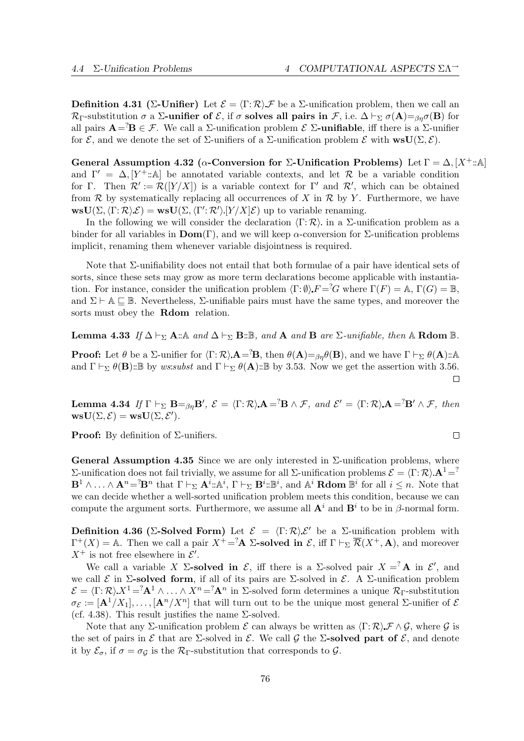**Definition 4.31** (Σ-Unifier) Let  $\mathcal{E} = \langle \Gamma : \mathcal{R} \rangle \mathcal{F}$  be a Σ-unification problem, then we call an  $\mathcal{R}_{\Gamma}$ -substitution  $\sigma$  a  $\Sigma$ -unifier of  $\mathcal{E}$ , if  $\sigma$  solves all pairs in  $\mathcal{F}$ , i.e.  $\Delta \vdash_{\Sigma} \sigma(A)=_{\beta\eta}\sigma(B)$  for all pairs  $\mathbf{A} = \mathbf{B} \in \mathcal{F}$ . We call a  $\Sigma$ -unification problem  $\mathcal{E}$   $\Sigma$ -unifiable, iff there is a  $\Sigma$ -unifier for  $\mathcal{E}$ , and we denote the set of  $\Sigma$ -unifiers of a  $\Sigma$ -unification problem  $\mathcal{E}$  with  $\text{wsU}(\Sigma, \mathcal{E})$ .

General Assumption 4.32 ( $\alpha$ -Conversion for Σ-Unification Problems) Let  $\Gamma = \Delta$ ,  $[X^+:\mathbb{A}]$ and  $\Gamma' = \Delta$ , [Y<sup>+</sup> :: A] be annotated variable contexts, and let R be a variable condition for Γ. Then  $\mathcal{R}' := \mathcal{R}([Y/X])$  is a variable context for Γ' and  $\mathcal{R}'$ , which can be obtained from  $\mathcal R$  by systematically replacing all occurrences of X in  $\mathcal R$  by Y. Furthermore, we have  $\text{wsU}(\Sigma,\langle \Gamma : \mathcal{R} \rangle \mathcal{E}) = \text{wsU}(\Sigma,\langle \Gamma' : \mathcal{R}' \rangle | Y \rangle X | \mathcal{E})$  up to variable renaming.

In the following we will consider the declaration  $\langle \Gamma : \mathcal{R} \rangle$  in a  $\Sigma$ -unification problem as a binder for all variables in  $\text{Dom}(\Gamma)$ , and we will keep  $\alpha$ -conversion for  $\Sigma$ -unification problems implicit, renaming them whenever variable disjointness is required.

Note that Σ-unifiability does not entail that both formulae of a pair have identical sets of sorts, since these sets may grow as more term declarations become applicable with instantiation. For instance, consider the unification problem  $\langle \Gamma : \emptyset \rangle F = G$  where  $\Gamma(F) = \mathbb{A}, \Gamma(G) = \mathbb{B},$ and  $\Sigma \vdash A \sqsubseteq \mathbb{B}$ . Nevertheless,  $\Sigma$ -unifiable pairs must have the same types, and moreover the sorts must obey the **Rdom** relation.

**Lemma 4.33** If  $\Delta \vdash_{\Sigma} \mathbf{A} : \mathbb{A}$  and  $\Delta \vdash_{\Sigma} \mathbf{B} : \mathbb{B}$ , and  $\mathbf{A}$  and  $\mathbf{B}$  are  $\Sigma$ -unifiable, then  $\mathbb{A}$  Rdom  $\mathbb{B}$ .

**Proof:** Let  $\theta$  be a Σ-unifier for  $\langle \Gamma : \mathcal{R} \rangle$   $A = {}^{2}\mathbf{B}$ , then  $\theta(A) = {}_{\beta\eta}\theta(\mathbf{B})$ , and we have  $\Gamma \vdash_{\Sigma} \theta(\mathbf{A}) : A$ and  $\Gamma \vdash_{\Sigma} \theta(\mathbf{B})$ ::B by ws:subst and  $\Gamma \vdash_{\Sigma} \theta(\mathbf{A})$ ::B by 3.53. Now we get the assertion with 3.56.  $\Box$ 

**Lemma 4.34** If  $\Gamma \vdash_{\Sigma} \mathbf{B} =_{\beta\eta} \mathbf{B}'$ ,  $\mathcal{E} = \langle \Gamma : \mathcal{R} \rangle \mathbf{A} = \mathcal{B} \land \mathcal{F}$ , and  $\mathcal{E}' = \langle \Gamma : \mathcal{R} \rangle \mathbf{A} = \mathcal{B}' \land \mathcal{F}$ , then  $\text{wsU}(\Sigma, \mathcal{E}) = \text{wsU}(\Sigma, \mathcal{E}').$ 

**Proof:** By definition of  $\Sigma$ -unifiers.

General Assumption 4.35 Since we are only interested in  $\Sigma$ -unification problems, where Σ-unification does not fail trivially, we assume for all Σ-unification problems  $\mathcal{E} = \langle \Gamma : \mathcal{R} \rangle \mathbf{A}^1 = \langle \Gamma : \mathcal{R} \rangle$  $\mathbf{B}^1 \wedge \ldots \wedge \mathbf{A}^n = {}^?B^n$  that  $\Gamma \vdash_{\Sigma} \mathbf{A}^i : A^i$ ,  $\Gamma \vdash_{\Sigma} \mathbf{B}^i : B^i$ , and  $A^i$  **Rdom**  $B^i$  for all  $i \leq n$ . Note that we can decide whether a well-sorted unification problem meets this condition, because we can compute the argument sorts. Furthermore, we assume all  $A^i$  and  $B^i$  to be in  $\beta$ -normal form.

Definition 4.36 (Σ-Solved Form) Let  $\mathcal{E} = \langle \Gamma : \mathcal{R} \rangle \mathcal{E}'$  be a Σ-unification problem with  $\Gamma^+(X) = \mathbb{A}$ . Then we call a pair  $X^+ = \mathbf{A}$  **2-solved in**  $\mathcal{E}$ , iff  $\Gamma \vdash_{\Sigma} \overline{\mathcal{R}}(X^+, \mathbf{A})$ , and moreover  $X^+$  is not free elsewhere in  $\mathcal{E}'$ .

We call a variable X  $\Sigma$ -solved in  $\mathcal{E}$ , iff there is a  $\Sigma$ -solved pair  $X = \Lambda$  in  $\mathcal{E}'$ , and we call  $\mathcal E$  in  $\Sigma$ -solved form, if all of its pairs are  $\Sigma$ -solved in  $\mathcal E$ . A  $\Sigma$ -unification problem  $\mathcal{E} = \langle \Gamma : \mathcal{R} \rangle X^1 = {}^2\mathbf{A}^1 \wedge \ldots \wedge X^n = {}^2\mathbf{A}^n$  in  $\Sigma$ -solved form determines a unique  $\mathcal{R}_{\Gamma}$ -substitution  $\sigma_{\mathcal{E}} := [\mathbf{A}^1/X_1], \ldots, [\mathbf{A}^n/X^n]$  that will turn out to be the unique most general  $\Sigma$ -unifier of  $\mathcal{E}$ (cf. 4.38). This result justifies the name  $\Sigma$ -solved.

Note that any  $\Sigma$ -unification problem  $\mathcal E$  can always be written as  $\langle \Gamma : \mathcal R \rangle \mathcal F \wedge \mathcal G$ , where  $\mathcal G$  is the set of pairs in  $\mathcal E$  that are  $\Sigma$ -solved in  $\mathcal E$ . We call  $\mathcal G$  the  $\Sigma$ -solved part of  $\mathcal E$ , and denote it by  $\mathcal{E}_{\sigma}$ , if  $\sigma = \sigma_{\mathcal{G}}$  is the  $\mathcal{R}_{\Gamma}$ -substitution that corresponds to  $\mathcal{G}$ .

 $\Box$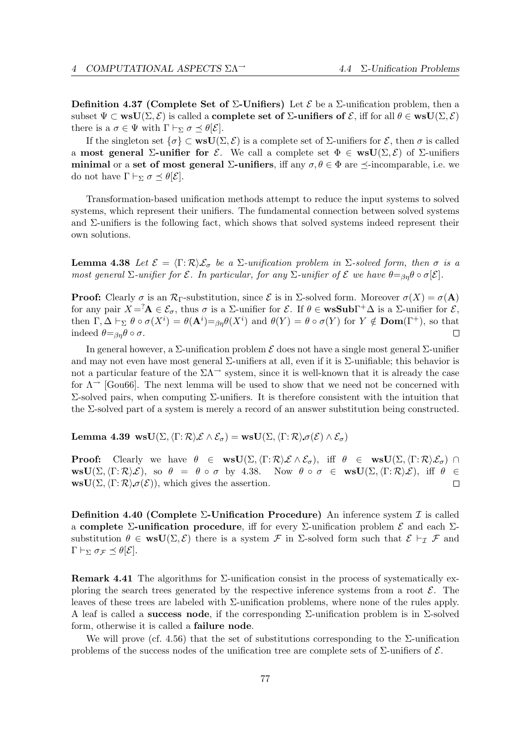Definition 4.37 (Complete Set of  $\Sigma$ -Unifiers) Let  $\mathcal E$  be a  $\Sigma$ -unification problem, then a subset  $\Psi \subset \textbf{wsU}(\Sigma, \mathcal{E})$  is called a **complete set of**  $\Sigma$ **-unifiers of**  $\mathcal{E}$ , iff for all  $\theta \in \textbf{wsU}(\Sigma, \mathcal{E})$ there is a  $\sigma \in \Psi$  with  $\Gamma \vdash_{\Sigma} \sigma \preceq \theta[\mathcal{E}].$ 

If the singleton set  $\{\sigma\} \subset \textbf{wsU}(\Sigma, \mathcal{E})$  is a complete set of  $\Sigma$ -unifiers for  $\mathcal{E}$ , then  $\sigma$  is called a most general  $\Sigma$ -unifier for  $\mathcal{E}$ . We call a complete set  $\Phi \in \text{wsU}(\Sigma, \mathcal{E})$  of  $\Sigma$ -unifiers minimal or a set of most general  $\Sigma$ -unifiers, iff any  $\sigma, \theta \in \Phi$  are  $\prec$ -incomparable, i.e. we do not have  $\Gamma \vdash_{\Sigma} \sigma \preceq \theta[\mathcal{E}].$ 

Transformation-based unification methods attempt to reduce the input systems to solved systems, which represent their unifiers. The fundamental connection between solved systems and  $\Sigma$ -unifiers is the following fact, which shows that solved systems indeed represent their own solutions.

**Lemma 4.38** Let  $\mathcal{E} = \langle \Gamma : \mathcal{R} \rangle \mathcal{E}_{\sigma}$  be a  $\Sigma$ -unification problem in  $\Sigma$ -solved form, then  $\sigma$  is a most general  $\Sigma$ -unifier for  $\mathcal E$ . In particular, for any  $\Sigma$ -unifier of  $\mathcal E$  we have  $\theta = \partial_{\theta} \theta \circ \sigma[\mathcal E]$ .

**Proof:** Clearly  $\sigma$  is an  $\mathcal{R}_{\Gamma}$ -substitution, since  $\mathcal{E}$  is in  $\Sigma$ -solved form. Moreover  $\sigma(X) = \sigma(\mathbf{A})$ for any pair  $X = \mathbf{A} \in \mathcal{E}_{\sigma}$ , thus  $\sigma$  is a  $\Sigma$ -unifier for  $\mathcal{E}$ . If  $\theta \in \mathbf{wsSub}\Gamma^{+}\Delta$  is a  $\Sigma$ -unifier for  $\mathcal{E}$ , then  $\Gamma, \Delta \vdash_{\Sigma} \theta \circ \sigma(X^{i}) = \theta(\mathbf{A}^{i}) = \beta \eta \theta(X^{i})$  and  $\theta(Y) = \theta \circ \sigma(Y)$  for  $Y \notin \mathbf{Dom}(\Gamma^{+})$ , so that indeed  $\theta = \beta_n \theta \circ \sigma$ .  $\Box$ 

In general however, a  $\Sigma$ -unification problem  $\mathcal E$  does not have a single most general  $\Sigma$ -unifier and may not even have most general  $\Sigma$ -unifiers at all, even if it is  $\Sigma$ -unifiable; this behavior is not a particular feature of the  $\Sigma\Lambda^{\rightarrow}$  system, since it is well-known that it is already the case for  $\Lambda^{\rightarrow}$  [Gou66]. The next lemma will be used to show that we need not be concerned with Σ-solved pairs, when computing Σ-unifiers. It is therefore consistent with the intuition that the Σ-solved part of a system is merely a record of an answer substitution being constructed.

Lemma 4.39 wsU $(\Sigma,\langle \Gamma; \mathcal{R} \rangle \mathcal{E} \wedge \mathcal{E}_{\sigma}) = \text{wsU}(\Sigma,\langle \Gamma; \mathcal{R} \rangle \sigma(\mathcal{E}) \wedge \mathcal{E}_{\sigma})$ 

**Proof:** Clearly we have  $\theta \in \text{wsU}(\Sigma, \langle \Gamma : \mathcal{R} \rangle \mathcal{E} \wedge \mathcal{E}_{\sigma})$ , iff  $\theta \in \text{wsU}(\Sigma, \langle \Gamma : \mathcal{R} \rangle \mathcal{E}_{\sigma}) \cap$  $\text{wsU}(\Sigma,\langle \Gamma;\mathcal{R}\rangle\mathcal{E}), \text{ so } \theta = \theta \circ \sigma \text{ by } 4.38.$  Now  $\theta \circ \sigma \in \text{wsU}(\Sigma,\langle \Gamma;\mathcal{R}\rangle\mathcal{E}), \text{ iff } \theta \in$  $\text{wsU}(\Sigma,\langle \Gamma; \mathcal{R} \rangle \sigma(\mathcal{E}))$ , which gives the assertion.  $\Box$ 

Definition 4.40 (Complete  $\Sigma$ -Unification Procedure) An inference system  $\mathcal I$  is called a complete  $\Sigma$ -unification procedure, iff for every  $\Sigma$ -unification problem  $\mathcal E$  and each  $\Sigma$ substitution  $\theta \in \text{wsU}(\Sigma, \mathcal{E})$  there is a system  $\mathcal F$  in  $\Sigma$ -solved form such that  $\mathcal{E} \vdash_{\mathcal{I}} \mathcal F$  and  $Γ ⊢<sub>Σ</sub> σ<sub>Γ</sub>  $\preceq$  θ[E].$ 

Remark 4.41 The algorithms for Σ-unification consist in the process of systematically exploring the search trees generated by the respective inference systems from a root  $\mathcal{E}$ . The leaves of these trees are labeled with Σ-unification problems, where none of the rules apply. A leaf is called a **success node**, if the corresponding  $\Sigma$ -unification problem is in  $\Sigma$ -solved form, otherwise it is called a failure node.

We will prove (cf. 4.56) that the set of substitutions corresponding to the  $\Sigma$ -unification problems of the success nodes of the unification tree are complete sets of  $\Sigma$ -unifiers of  $\mathcal{E}$ .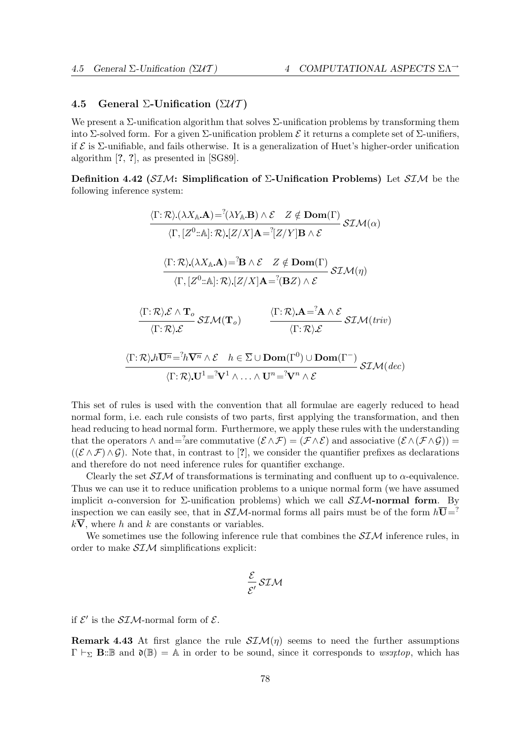# 4.5 General Σ-Unification  $(\Sigma \mathcal{U} \mathcal{T})$

We present a  $\Sigma$ -unification algorithm that solves  $\Sigma$ -unification problems by transforming them into Σ-solved form. For a given Σ-unification problem  $\mathcal E$  it returns a complete set of Σ-unifiers, if  $\mathcal E$  is  $\Sigma$ -unifiable, and fails otherwise. It is a generalization of Huet's higher-order unification algorithm [?, ?], as presented in [SG89].

Definition 4.42 (SIM: Simplification of  $\Sigma$ -Unification Problems) Let SIM be the following inference system:

$$
\frac{\langle \Gamma; \mathcal{R} \rangle (\lambda X_{\mathbb{A}}.\mathbf{A}) =^? (\lambda Y_{\mathbb{A}}.\mathbf{B}) \wedge \mathcal{E} \quad Z \notin \mathbf{Dom}(\Gamma)}{\langle \Gamma, [Z^0::\mathbb{A}]: \mathcal{R} \rangle [Z/X] \mathbf{A} =^? [Z/Y] \mathbf{B} \wedge \mathcal{E}} \quad \mathcal{SIM}(\alpha)
$$
\n
$$
\frac{\langle \Gamma; \mathcal{R} \rangle (\lambda X_{\mathbb{A}}.\mathbf{A}) =^? \mathbf{B} \wedge \mathcal{E} \quad Z \notin \mathbf{Dom}(\Gamma)}{\langle \Gamma, [Z^0::\mathbb{A}]: \mathcal{R} \rangle [Z/X] \mathbf{A} =^? (\mathbf{B}Z) \wedge \mathcal{E}} \quad \mathcal{SIM}(\eta)
$$
\n
$$
\frac{\langle \Gamma; \mathcal{R} \rangle \mathcal{E} \wedge \mathbf{T}_o}{\langle \Gamma; \mathcal{R} \rangle \mathcal{E}} \mathcal{SIM}(\mathbf{T}_o) \qquad \frac{\langle \Gamma; \mathcal{R} \rangle \mathbf{A} =^? \mathbf{A} \wedge \mathcal{E}}{\langle \Gamma; \mathcal{R} \rangle \mathcal{E}} \mathcal{SIM}(triv)
$$
\n
$$
\frac{\langle \Gamma; \mathcal{R} \rangle \mathbf{h} \overline{\mathbf{U}^n} =^? \hbar \overline{\mathbf{V}^n} \wedge \mathcal{E} \quad h \in \overline{\Sigma} \cup \mathbf{Dom}(\Gamma^0) \cup \mathbf{Dom}(\Gamma^-)}{\langle \Gamma; \mathcal{R} \rangle \mathbf{U}^1 =^? \mathbf{V}^1 \wedge \ldots \wedge \mathbf{U}^n =^? \mathbf{V}^n \wedge \mathcal{E}} \mathcal{SIM}(dec)
$$

This set of rules is used with the convention that all formulae are eagerly reduced to head normal form, i.e. each rule consists of two parts, first applying the transformation, and then head reducing to head normal form. Furthermore, we apply these rules with the understanding that the operators  $\wedge$  and=<sup>2</sup>are commutative  $(\mathcal{E} \wedge \mathcal{F}) = (\mathcal{F} \wedge \mathcal{E})$  and associative  $(\mathcal{E} \wedge (\mathcal{F} \wedge \mathcal{G})) =$  $((\mathcal{E} \wedge \mathcal{F}) \wedge \mathcal{G})$ . Note that, in contrast to [?], we consider the quantifier prefixes as declarations and therefore do not need inference rules for quantifier exchange.

Clearly the set  $SIM$  of transformations is terminating and confluent up to  $\alpha$ -equivalence. Thus we can use it to reduce unification problems to a unique normal form (we have assumed implicit  $\alpha$ -conversion for  $\Sigma$ -unification problems) which we call  $\mathcal{SIM}$ -normal form. By inspection we can easily see, that in  $SIM$ -normal forms all pairs must be of the form  $h\overline{U}$ =?  $k\overline{V}$ , where h and k are constants or variables.

We sometimes use the following inference rule that combines the  $SIM$  inference rules, in order to make  $SIM$  simplifications explicit:

$$
\frac{\mathcal{E}}{\mathcal{E}'}\,\mathcal{SIM}
$$

if  $\mathcal{E}'$  is the  $\mathcal{SIM}\text{-normal form of }\mathcal{E}.$ 

**Remark 4.43** At first glance the rule  $\mathcal{SIM}(\eta)$  seems to need the further assumptions  $\Gamma \vdash_{\Sigma} \mathbf{B}:\mathbb{B}$  and  $\mathfrak{d}(\mathbb{B}) = \mathbb{A}$  in order to be sound, since it corresponds to  $\mathit{ws:rtop}$ , which has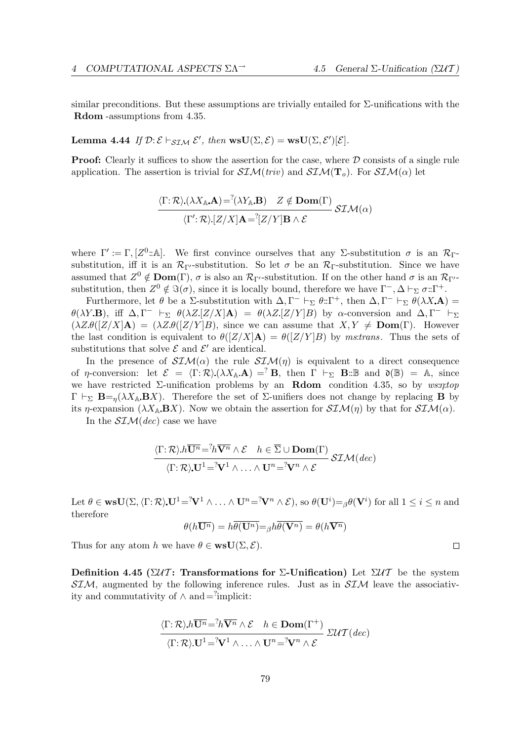similar preconditions. But these assumptions are trivially entailed for  $\Sigma$ -unifications with the Rdom -assumptions from 4.35.

Lemma 4.44 If  $\mathcal{D}: \mathcal{E} \vdash_{\mathcal{SIM}} \mathcal{E}'$ , then  $\text{wsU}(\Sigma, \mathcal{E}) = \text{wsU}(\Sigma, \mathcal{E}')[\mathcal{E}].$ 

**Proof:** Clearly it suffices to show the assertion for the case, where  $D$  consists of a single rule application. The assertion is trivial for  $\mathcal{SIM}(triv)$  and  $\mathcal{SIM}(\mathbf{T}_o)$ . For  $\mathcal{SIM}(\alpha)$  let

$$
\frac{\langle \Gamma; \mathcal{R} \rangle(\lambda X_{\mathbb{A}} \mathbf{A}) = ^{?} (\lambda Y_{\mathbb{A}} \mathbf{B}) \quad Z \notin \mathbf{Dom}(\Gamma)}{\langle \Gamma'; \mathcal{R} \rangle [Z/X] \mathbf{A} = ^{?} [Z/Y] \mathbf{B} \wedge \mathcal{E}} \mathcal{SIM}(\alpha)
$$

where  $\Gamma' := \Gamma, [Z^0:\mathbb{A}]$ . We first convince ourselves that any Σ-substitution  $\sigma$  is an  $\mathcal{R}_{\Gamma}$ substitution, iff it is an  $\mathcal{R}_{\Gamma}$ -substitution. So let  $\sigma$  be an  $\mathcal{R}_{\Gamma}$ -substitution. Since we have assumed that  $Z^0 \notin \text{Dom}(\Gamma)$ ,  $\sigma$  is also an  $\mathcal{R}_{\Gamma'}$ -substitution. If on the other hand  $\sigma$  is an  $\mathcal{R}_{\Gamma'}$ substitution, then  $Z^0 \notin \Im(\sigma)$ , since it is locally bound, therefore we have  $\Gamma^-$ ,  $\Delta \vdash_{\Sigma} \sigma : \Gamma^+$ .

Furthermore, let  $\theta$  be a  $\Sigma$ -substitution with  $\Delta, \Gamma^- \vdash_{\Sigma} \theta : \Gamma^+$ , then  $\Delta, \Gamma^- \vdash_{\Sigma} \theta(\lambda X \cdot \mathbf{A}) =$ θ(λY.B), iff  $\Delta, \Gamma^- \vdash_{\Sigma} \theta(\lambda Z [Z/X] \mathbf{A}) = \theta(\lambda Z [Z/Y] B)$  by α-conversion and  $\Delta, \Gamma^- \vdash_{\Sigma}$  $(\lambda Z \theta([Z/X] \mathbf{A}) = (\lambda Z \theta([Z/Y] B))$ , since we can assume that  $X, Y \neq \mathbf{Dom}(\Gamma)$ . However the last condition is equivalent to  $\theta([Z/X]A) = \theta([Z/Y]B)$  by ms:trans. Thus the sets of substitutions that solve  $\mathcal E$  and  $\mathcal E'$  are identical.

In the presence of  $\mathcal{SIM}(\alpha)$  the rule  $\mathcal{SIM}(\eta)$  is equivalent to a direct consequence of *η*-conversion: let  $\mathcal{E} = \langle \Gamma : \mathcal{R} \rangle (\lambda X_A \mathbf{A}) = {}^{\mathcal{P}} \mathbf{B}$ , then  $\Gamma \vdash_{\Sigma} \mathbf{B} : \mathbb{B}$  and  $\mathfrak{d}(\mathbb{B}) = \mathbb{A}$ , since we have restricted  $\Sigma$ -unification problems by an **Rdom** condition 4.35, so by ws:*n*:top  $\Gamma \vdash_{\Sigma} \mathbf{B} =_{n}(\lambda X_{\mathbb{A}} \mathbf{B} X)$ . Therefore the set of  $\Sigma$ -unifiers does not change by replacing **B** by its  $\eta$ -expansion ( $\lambda X_{\mathbb{A}}$ , **B**X). Now we obtain the assertion for  $\mathcal{SIM}(\eta)$  by that for  $\mathcal{SIM}(\alpha)$ .

In the  $\mathcal{SIM}(dec)$  case we have

$$
\frac{\langle \Gamma; \mathcal{R} \rangle \, h \overline{\mathbf{U}^n} = h \overline{\mathbf{V}^n} \wedge \mathcal{E} \quad h \in \overline{\Sigma} \cup \mathbf{Dom}(\Gamma)}{\langle \Gamma; \mathcal{R} \rangle \, \mathbf{U}^1 = \mathbf{V}^1 \wedge \ldots \wedge \mathbf{U}^n = \mathbf{V}^n \wedge \mathcal{E}} \mathcal{SIM}(dec)
$$

Let  $\theta \in \mathbf{wsU}(\Sigma,\langle \Gamma : \mathcal{R} \rangle) \mathbf{U}^1 = \mathbf{V}^1 \wedge \ldots \wedge \mathbf{U}^n = \mathbf{V}^n \wedge \mathcal{E}$ , so  $\theta(\mathbf{U}^i) = \beta \theta(\mathbf{V}^i)$  for all  $1 \leq i \leq n$  and therefore

$$
\theta(h\overline{\mathbf{U}^n}) = h\overline{\theta(\mathbf{U}^n)} = \beta h\overline{\theta(\mathbf{V}^n)} = \theta(h\overline{\mathbf{V}^n})
$$

Thus for any atom h we have  $\theta \in \text{wsU}(\Sigma, \mathcal{E})$ .

Definition 4.45 (ΣUT: Transformations for Σ-Unification) Let  $\Sigma U$  be the system  $STM$ , augmented by the following inference rules. Just as in  $STM$  leave the associativity and commutativity of  $\wedge$  and = <sup>?</sup>implicit:

$$
\frac{\langle \Gamma; \mathcal{R} \rangle h \overline{\mathbf{U}^n} = {}^?h \overline{\mathbf{V}^n} \wedge \mathcal{E} \quad h \in \textbf{Dom}(\Gamma^+)}{\langle \Gamma; \mathcal{R} \rangle \mathbf{U}^1 = {}^?{\mathbf{V}^1} \wedge \ldots \wedge \mathbf{U}^n = {}^?{\mathbf{V}^n} \wedge \mathcal{E}} \ \Sigma \mathcal{U}\mathcal{T}(dec)
$$

 $\Box$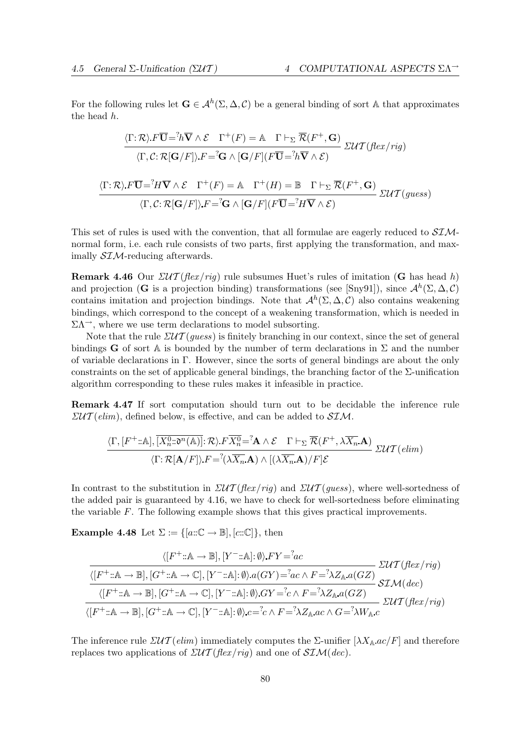For the following rules let  $\mathbf{G} \in \mathcal{A}^h(\Sigma, \Delta, \mathcal{C})$  be a general binding of sort A that approximates the head h.

$$
\frac{\langle \Gamma; \mathcal{R} \rangle F \overline{\mathbf{U}} = {}^{7}h \overline{\mathbf{V}} \wedge \mathcal{E} \Gamma^{+}(F) = \mathbb{A} \Gamma \vdash_{\Sigma} \overline{\mathcal{R}}(F^{+}, \mathbf{G})}{\langle \Gamma, \mathcal{C}: \mathcal{R}[\mathbf{G}/F] \rangle F = {}^{7}G \wedge [\mathbf{G}/F](F \overline{\mathbf{U}} = {}^{7}h \overline{\mathbf{V}} \wedge \mathcal{E})} \Sigma \mathcal{U}\mathcal{T}(flex/rig)
$$
  

$$
\frac{\langle \Gamma; \mathcal{R} \rangle F \overline{\mathbf{U}} = {}^{7}H \overline{\mathbf{V}} \wedge \mathcal{E} \Gamma^{+}(F) = \mathbb{A} \Gamma^{+}(H) = \mathbb{B} \Gamma \vdash_{\Sigma} \overline{\mathcal{R}}(F^{+}, \mathbf{G})}{\langle \Gamma, \mathcal{C}: \mathcal{R}[\mathbf{G}/F] \rangle F = {}^{7}G \wedge [\mathbf{G}/F](F \overline{\mathbf{U}} = {}^{7}H \overline{\mathbf{V}} \wedge \mathcal{E})} \Sigma \mathcal{U}\mathcal{T}(guess)
$$

This set of rules is used with the convention, that all formulae are eagerly reduced to  $SIM$ normal form, i.e. each rule consists of two parts, first applying the transformation, and maximally SIM-reducing afterwards.

**Remark 4.46** Our  $\mathcal{LUT}(flex/ria)$  rule subsumes Huet's rules of imitation (G has head h) and projection (G is a projection binding) transformations (see [Sny91]), since  $\mathcal{A}^h(\Sigma, \Delta, \mathcal{C})$ contains imitation and projection bindings. Note that  $\mathcal{A}^h(\Sigma, \Delta, \mathcal{C})$  also contains weakening bindings, which correspond to the concept of a weakening transformation, which is needed in  $\Sigma \Lambda^{\rightarrow}$ , where we use term declarations to model subsorting.

Note that the rule  $\mathcal{LUT}(guess)$  is finitely branching in our context, since the set of general bindings G of sort A is bounded by the number of term declarations in  $\Sigma$  and the number of variable declarations in Γ. However, since the sorts of general bindings are about the only constraints on the set of applicable general bindings, the branching factor of the  $\Sigma$ -unification algorithm corresponding to these rules makes it infeasible in practice.

Remark 4.47 If sort computation should turn out to be decidable the inference rule  $\mathcal{ZUT}(elim)$ , defined below, is effective, and can be added to  $\mathcal{SIM}$ .

$$
\frac{\langle \Gamma, [F^+::\mathbb{A}], \overline{[X_n^0::0^n(\mathbb{A})]} : \mathcal{R} \rangle \cdot F \overline{X_n^0} = \mathbf{A} \wedge \mathcal{E} \quad \Gamma \vdash_{\Sigma} \overline{\mathcal{R}}(F^+, \lambda \overline{X_n}. \mathbf{A})}{\langle \Gamma : \mathcal{R}[\mathbf{A}/F] \rangle \cdot F = \mathbf{A} \langle \lambda \overline{X_n}. \mathbf{A} \rangle \wedge [(\lambda \overline{X_n}. \mathbf{A})/F] \mathcal{E}} \quad \text{ZUT}\left(\text{elim}\right)
$$

In contrast to the substitution in  $\mathcal{ZUT}(flex/rig)$  and  $\mathcal{ZUT}(guess)$ , where well-sortedness of the added pair is guaranteed by 4.16, we have to check for well-sortedness before eliminating the variable F. The following example shows that this gives practical improvements.

**Example 4.48** Let  $\Sigma := \{ [a:\mathbb{C} \to \mathbb{B}], [c:\mathbb{C}] \}$ , then

$$
\frac{\langle [F^+::\mathbb{A}\to \mathbb{B}], [Y^-::\mathbb{A}]: \emptyset \rangle FY = \hat{a}c}{\langle [F^+::\mathbb{A}\to \mathbb{B}], [G^+::\mathbb{A}\to \mathbb{C}], [Y^-::\mathbb{A}]: \emptyset \rangle a(GY) = \hat{a}c \land F = \hat{c} \lambda Z_{\mathbb{A}} a(GZ)} \frac{\Sigma \mathcal{U}\mathcal{T}(flex/rig)}{\langle [F^+::\mathbb{A}\to \mathbb{B}], [G^+::\mathbb{A}\to \mathbb{C}], [Y^-::\mathbb{A}]: \emptyset \rangle GY = \hat{c} \land F = \hat{c} \lambda Z_{\mathbb{A}} a(GZ)} \frac{\Sigma \mathcal{U}\mathcal{T}(flex/rig)}{\langle [F^+::\mathbb{A}\to \mathbb{B}], [G^+::\mathbb{A}\to \mathbb{C}], [Y^-::\mathbb{A}]: \emptyset \rangle c = \hat{c} \land F = \hat{c} \lambda Z_{\mathbb{A}} ac \land G = \hat{c} \lambda W_{\mathbb{A}} c} \frac{\Sigma \mathcal{U}\mathcal{T}(flex/rig)}{\langle [F^+::\mathbb{A}\to \mathbb{B}], [G^+::\mathbb{A}\to \mathbb{C}], [Y^-::\mathbb{A}]: \emptyset \rangle c = \hat{c} \land F = \hat{c} \lambda Z_{\mathbb{A}} ac \land G = \hat{c} \lambda W_{\mathbb{A}} c}
$$

The inference rule  $\mathcal{ZUT}(elim)$  immediately computes the  $\Sigma$ -unifier  $[\lambda X_{\mathbb{A}}.ac/F]$  and therefore replaces two applications of  $\mathcal{ZUT}(flex/riq)$  and one of  $\mathcal{SIM}(dec)$ .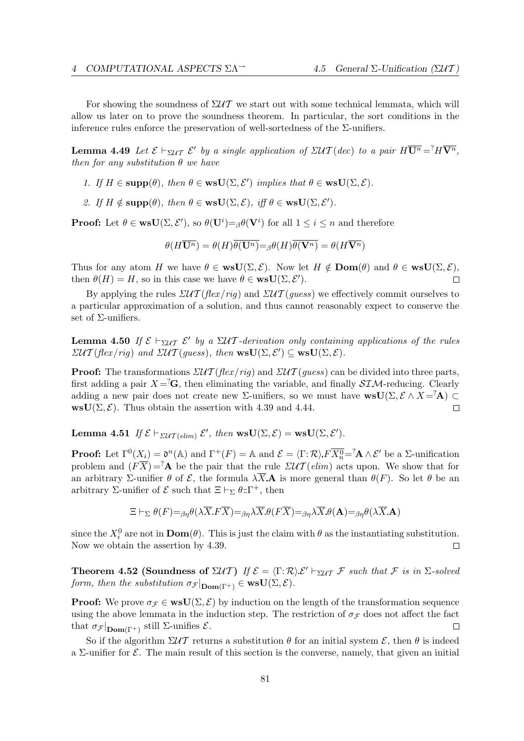For showing the soundness of  $\Sigma \mathcal{U} \mathcal{T}$  we start out with some technical lemmata, which will allow us later on to prove the soundness theorem. In particular, the sort conditions in the inference rules enforce the preservation of well-sortedness of the  $\Sigma$ -unifiers.

**Lemma 4.49** Let  $\mathcal{E} \vdash_{\Sigma \mathcal{U} \mathcal{T}} \mathcal{E}'$  by a single application of  $\Sigma \mathcal{U} \mathcal{T}(dec)$  to a pair  $H\overline{\mathbf{U}^n} = H\overline{\mathbf{V}^n}$ , then for any substitution  $\theta$  we have

- 1. If  $H \in \text{supp}(\theta)$ , then  $\theta \in \text{wsU}(\Sigma, \mathcal{E}')$  implies that  $\theta \in \text{wsU}(\Sigma, \mathcal{E})$ .
- 2. If  $H \notin \text{supp}(\theta)$ , then  $\theta \in \text{wsU}(\Sigma, \mathcal{E})$ , iff  $\theta \in \text{wsU}(\Sigma, \mathcal{E}')$ .

**Proof:** Let  $\theta \in \textbf{wsU}(\Sigma, \mathcal{E}')$ , so  $\theta(\mathbf{U}^i) = \beta \theta(\mathbf{V}^i)$  for all  $1 \leq i \leq n$  and therefore

 $\theta(H\overline{\mathbf{U}^n}) = \theta(H)\overline{\theta(\mathbf{U}^n)} = \beta(H)\overline{\theta(\mathbf{V}^n)} = \theta(H\overline{\mathbf{V}^n})$ 

Thus for any atom H we have  $\theta \in \text{wsU}(\Sigma, \mathcal{E})$ . Now let  $H \notin \text{Dom}(\theta)$  and  $\theta \in \text{wsU}(\Sigma, \mathcal{E})$ , then  $\theta(H) = H$ , so in this case we have  $\theta \in \textbf{wsU}(\Sigma, \mathcal{E}')$ .  $\Box$ 

By applying the rules  $\mathcal{LUT}(\mathit{flex}/\mathit{rig})$  and  $\mathcal{LUT}(\mathit{guess})$  we effectively commit ourselves to a particular approximation of a solution, and thus cannot reasonably expect to conserve the set of  $\Sigma$ -unifiers.

**Lemma 4.50** If  $\mathcal{E} \vdash_{\Sigma \mathcal{U} \mathcal{T}} \mathcal{E}'$  by a  $\Sigma \mathcal{U} \mathcal{T}$ -derivation only containing applications of the rules  $\mathcal{EUT}(\text{flex}/\text{rig})$  and  $\mathcal{ZUT}(\text{guess})$ , then  $\text{wsU}(\Sigma, \mathcal{E}') \subseteq \text{wsU}(\Sigma, \mathcal{E})$ .

**Proof:** The transformations  $\mathcal{ZUT}$  (flex/rig) and  $\mathcal{ZUT}$  (guess) can be divided into three parts, first adding a pair  $X = \mathbf{G}$ , then eliminating the variable, and finally  $\mathcal{SIM}$ -reducing. Clearly adding a new pair does not create new  $\Sigma$ -unifiers, so we must have  $\text{wsU}(\Sigma, \mathcal{E} \wedge X = \mathcal{A}) \subset$  $\text{wsU}(\Sigma, \mathcal{E})$ . Thus obtain the assertion with 4.39 and 4.44.  $\Box$ 

**Lemma 4.51** If  $\mathcal{E} \vdash_{\mathcal{ZUT}(elim)} \mathcal{E}'$ , then  $\text{wsU}(\Sigma, \mathcal{E}) = \text{wsU}(\Sigma, \mathcal{E}').$ 

**Proof:** Let  $\Gamma^0(X_i) = \mathfrak{d}^n(\mathbb{A})$  and  $\Gamma^+(F) = \mathbb{A}$  and  $\mathcal{E} = \langle \Gamma : \mathcal{R} \rangle F \overline{X_n^0} = A \wedge \mathcal{E}'$  be a  $\Sigma$ -unification problem and  $(F\overline{X}) = A$  be the pair that the rule  $\mathcal{EUT}(elim)$  acts upon. We show that for an arbitrary Σ-unifier  $\theta$  of  $\mathcal{E}$ , the formula  $\lambda \overline{X} \mathbf{A}$  is more general than  $\theta(F)$ . So let  $\theta$  be an arbitrary Σ-unifier of  $\mathcal E$  such that  $\Xi \vdash_{\Sigma} \theta : \Gamma^+$ , then

$$
\Xi \vdash_{\Sigma} \theta(F) =_{\beta\eta} \theta(\lambda \overline{X} F \overline{X}) =_{\beta\eta} \lambda \overline{X} \theta(F \overline{X}) =_{\beta\eta} \lambda \overline{X} \theta(\mathbf{A}) =_{\beta\eta} \theta(\lambda \overline{X} \mathbf{A})
$$

since the  $X_i^0$  are not in  $\text{Dom}(\theta)$ . This is just the claim with  $\theta$  as the instantiating substitution. Now we obtain the assertion by 4.39.  $\Box$ 

**Theorem 4.52 (Soundness of**  $\Sigma \mathcal{U} \mathcal{T}$ **)** If  $\mathcal{E} = \langle \Gamma : \mathcal{R} \rangle \mathcal{E}' \vdash_{\Sigma \mathcal{U} \mathcal{T}} \mathcal{F}$  such that  $\mathcal{F}$  is in  $\Sigma$ -solved form, then the substitution  $\sigma_{\mathcal{F}}|_{\text{Dom}(\Gamma^+)} \in \text{wsU}(\Sigma, \mathcal{E}).$ 

**Proof:** We prove  $\sigma_{\mathcal{F}} \in \text{wsU}(\Sigma, \mathcal{E})$  by induction on the length of the transformation sequence using the above lemmata in the induction step. The restriction of  $\sigma_{\mathcal{F}}$  does not affect the fact that  $\sigma_{\mathcal{F}}|_{\text{Dom}(\Gamma^+)}$  still  $\Sigma$ -unifies  $\mathcal{E}$ .  $\Box$ 

So if the algorithm  $\Sigma \mathcal{U} \mathcal{T}$  returns a substitution  $\theta$  for an initial system  $\mathcal{E}$ , then  $\theta$  is indeed a  $\Sigma$ -unifier for  $\mathcal E$ . The main result of this section is the converse, namely, that given an initial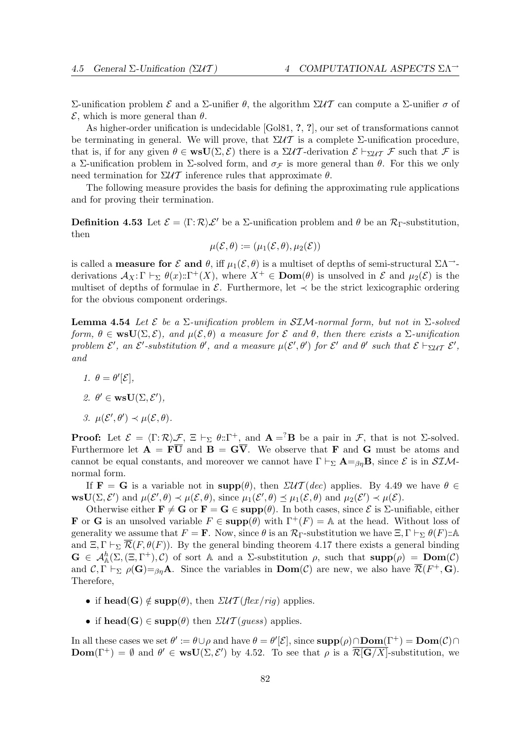Σ-unification problem  $\mathcal E$  and a Σ-unifier  $\theta$ , the algorithm  $\Sigma \mathcal{U} \mathcal{T}$  can compute a Σ-unifier  $\sigma$  of  $\mathcal{E}$ , which is more general than  $\theta$ .

As higher-order unification is undecidable [Gol81, ?, ?], our set of transformations cannot be terminating in general. We will prove, that  $\Sigma \mathcal{U} \mathcal{T}$  is a complete  $\Sigma$ -unification procedure, that is, if for any given  $\theta \in \text{wsU}(\Sigma, \mathcal{E})$  there is a  $\Sigma \mathcal{U} \mathcal{T}$ -derivation  $\mathcal{E} \vdash_{\Sigma \mathcal{U} \mathcal{T}} \mathcal{F}$  such that  $\mathcal{F}$  is a Σ-unification problem in Σ-solved form, and  $\sigma_{\mathcal{F}}$  is more general than  $\theta$ . For this we only need termination for  $\Sigma \mathcal{U} \mathcal{T}$  inference rules that approximate  $\theta$ .

The following measure provides the basis for defining the approximating rule applications and for proving their termination.

**Definition 4.53** Let  $\mathcal{E} = \langle \Gamma : \mathcal{R} \rangle \mathcal{E}'$  be a  $\Sigma$ -unification problem and  $\theta$  be an  $\mathcal{R}_{\Gamma}$ -substitution, then

$$
\mu(\mathcal{E}, \theta) := (\mu_1(\mathcal{E}, \theta), \mu_2(\mathcal{E}))
$$

is called a **measure for**  $\mathcal E$  and  $\theta$ , iff  $\mu_1(\mathcal E, \theta)$  is a multiset of depths of semi-structural  $\Sigma \Lambda$ <sup>-1</sup>derivations  $\mathcal{A}_X:\Gamma \vdash_{\Sigma} \theta(x):\Gamma^+(X)$ , where  $X^+ \in \text{Dom}(\theta)$  is unsolved in  $\mathcal{E}$  and  $\mu_2(\mathcal{E})$  is the multiset of depths of formulae in  $\mathcal{E}$ . Furthermore, let  $\prec$  be the strict lexicographic ordering for the obvious component orderings.

**Lemma 4.54** Let  $\mathcal{E}$  be a  $\Sigma$ -unification problem in SIM-normal form, but not in  $\Sigma$ -solved form,  $\theta \in \text{wsU}(\Sigma, \mathcal{E})$ , and  $\mu(\mathcal{E}, \theta)$  a measure for  $\mathcal E$  and  $\theta$ , then there exists a  $\Sigma$ -unification problem  $\mathcal{E}'$ , an  $\mathcal{E}'$ -substitution  $\theta'$ , and a measure  $\mu(\mathcal{E}', \theta')$  for  $\mathcal{E}'$  and  $\theta'$  such that  $\mathcal{E} \vdash_{\Sigma \mathcal{UT}} \mathcal{E}'$ , and

- 1.  $\theta = \theta'[\mathcal{E}],$
- 2.  $\theta' \in \textbf{wsU}(\Sigma, \mathcal{E}'),$
- 3.  $\mu(\mathcal{E}', \theta') \prec \mu(\mathcal{E}, \theta)$ .

**Proof:** Let  $\mathcal{E} = \langle \Gamma : \mathcal{R} \rangle \mathcal{F}$ ,  $\Xi \vdash_{\Sigma} \theta : \Gamma^+$ , and  $\mathbf{A} = \mathcal{E}$  be a pair in  $\mathcal{F}$ , that is not  $\Sigma$ -solved. Furthermore let  $\mathbf{A} = \mathbf{F}\overline{\mathbf{U}}$  and  $\mathbf{B} = \mathbf{G}\overline{\mathbf{V}}$ . We observe that **F** and **G** must be atoms and cannot be equal constants, and moreover we cannot have  $\Gamma \vdash_{\Sigma} \mathbf{A} =_{\beta\eta} \mathbf{B}$ , since  $\mathcal{E}$  is in  $\mathcal{SIM}$ normal form.

If **F** = **G** is a variable not in  $\text{supp}(\theta)$ , then  $\mathcal{LUT}(dec)$  applies. By 4.49 we have  $\theta \in$  $\text{wsU}(\Sigma, \mathcal{E}')$  and  $\mu(\mathcal{E}', \theta) \prec \mu(\mathcal{E}, \theta)$ , since  $\mu_1(\mathcal{E}', \theta) \preceq \mu_1(\mathcal{E}, \theta)$  and  $\mu_2(\mathcal{E}') \prec \mu(\mathcal{E})$ .

Otherwise either  $\mathbf{F} \neq \mathbf{G}$  or  $\mathbf{F} = \mathbf{G} \in \text{supp}(\theta)$ . In both cases, since  $\mathcal{E}$  is  $\Sigma$ -unifiable, either **F** or **G** is an unsolved variable  $F \in \text{supp}(\theta)$  with  $\Gamma^+(F) = \mathbb{A}$  at the head. Without loss of generality we assume that  $F = \mathbf{F}$ . Now, since  $\theta$  is an  $\mathcal{R}_{\Gamma}$ -substitution we have  $\Xi$ ,  $\Gamma \vdash_{\Sigma} \theta(F)$ :: A and  $\Xi, \Gamma \vdash_{\Sigma} \overline{\mathcal{R}}(F, \theta(F))$ . By the general binding theorem 4.17 there exists a general binding  $\mathbf{G} \in \mathcal{A}_{\mathbb{A}}^{h}(\Sigma, (\Xi, \Gamma^{+}), \mathcal{C})$  of sort  $\mathbb{A}$  and a  $\Sigma$ -substitution  $\rho$ , such that  $\text{supp}(\rho) = \text{Dom}(\mathcal{C})$ and  $\mathcal{C}, \Gamma \vdash_{\Sigma} \rho(\mathbf{G}) =_{\beta\eta} \mathbf{A}$ . Since the variables in  $\text{Dom}(\mathcal{C})$  are new, we also have  $\overline{\mathcal{R}}(F^+, \mathbf{G})$ . Therefore,

- if head(G)  $\notin$  supp( $\theta$ ), then  $\mathcal{ZUT}$  (flex/rig) applies.
- if head(G)  $\in$  supp( $\theta$ ) then  $\mathcal{ZUT}(guess)$  applies.

In all these cases we set  $\theta' := \theta \cup \rho$  and have  $\theta = \theta'[\mathcal{E}]$ , since  $\text{supp}(\rho) \cap \text{Dom}(\Gamma^+) = \text{Dom}(\mathcal{C}) \cap$ **Dom**( $\Gamma^+$ ) =  $\emptyset$  and  $\theta' \in \text{wsU}(\Sigma, \mathcal{E}')$  by 4.52. To see that  $\rho$  is a  $\overline{\mathcal{R}[\mathbf{G}/X]}$ -substitution, we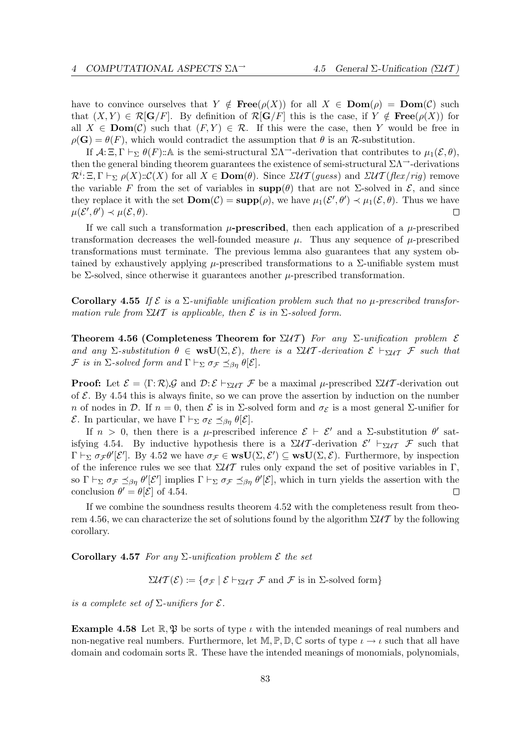have to convince ourselves that  $Y \notin \text{Free}(\rho(X))$  for all  $X \in \text{Dom}(\rho) = \text{Dom}(\mathcal{C})$  such that  $(X, Y) \in \mathcal{R}[\mathbf{G}/F]$ . By definition of  $\mathcal{R}[\mathbf{G}/F]$  this is the case, if  $Y \notin \mathbf{Free}(\rho(X))$  for all  $X \in \text{Dom}(\mathcal{C})$  such that  $(F, Y) \in \mathcal{R}$ . If this were the case, then Y would be free in  $\rho(\mathbf{G}) = \theta(F)$ , which would contradict the assumption that  $\theta$  is an R-substitution.

If  $\mathcal{A}:\Xi, \Gamma \vdash_{\Sigma} \theta(F)$ ::A is the semi-structural  $\Sigma \Lambda^{-}$ -derivation that contributes to  $\mu_1(\mathcal{E}, \theta)$ , then the general binding theorem guarantees the existence of semi-structural  $\Sigma\Lambda$ <sup> $\rightarrow$ </sup>-derivations  $\mathcal{R}^i$ :  $\Xi, \Gamma \vdash_{\Sigma} \rho(X)$ :: $\mathcal{C}(X)$  for all  $X \in \mathbf{Dom}(\theta)$ . Since  $\mathcal{ZUT}(guess)$  and  $\mathcal{ZUT}(flex/rig)$  remove the variable F from the set of variables in  $\text{supp}(\theta)$  that are not Σ-solved in  $\mathcal{E}$ , and since they replace it with the set  $\text{Dom}(\mathcal{C}) = \text{supp}(\rho)$ , we have  $\mu_1(\mathcal{E}', \theta') \prec \mu_1(\mathcal{E}, \theta)$ . Thus we have  $\mu(\mathcal{E}', \theta') \prec \mu(\mathcal{E}, \theta).$  $\Box$ 

If we call such a transformation  $\mu$ -prescribed, then each application of a  $\mu$ -prescribed transformation decreases the well-founded measure  $\mu$ . Thus any sequence of  $\mu$ -prescribed transformations must terminate. The previous lemma also guarantees that any system obtained by exhaustively applying  $\mu$ -prescribed transformations to a  $\Sigma$ -unifiable system must be  $\Sigma$ -solved, since otherwise it guarantees another  $\mu$ -prescribed transformation.

Corollary 4.55 If  $\mathcal E$  is a  $\Sigma$ -unifiable unification problem such that no  $\mu$ -prescribed transformation rule from  $\Sigma \mathcal{U} \mathcal{T}$  is applicable, then  $\mathcal{E}$  is in  $\Sigma$ -solved form.

Theorem 4.56 (Completeness Theorem for  $\Sigma \mathcal{U} \mathcal{T}$ ) For any  $\Sigma$ -unification problem  $\mathcal E$ and any  $\Sigma$ -substitution  $\theta \in \text{wsU}(\Sigma, \mathcal{E})$ , there is a  $\Sigma \mathcal{U} \mathcal{T}$ -derivation  $\mathcal{E} \vdash_{\Sigma \mathcal{U} \mathcal{T}} \mathcal{F}$  such that F is in  $\Sigma$ -solved form and  $\Gamma \vdash_{\Sigma} \sigma_{\mathcal{F}} \preceq_{\beta_{\eta}} \theta[\mathcal{E}].$ 

**Proof:** Let  $\mathcal{E} = \langle \Gamma : \mathcal{R} \rangle \mathcal{G}$  and  $\mathcal{D} : \mathcal{E} \vdash_{\Sigma \mathcal{U} \mathcal{T}} \mathcal{F}$  be a maximal  $\mu$ -prescribed  $\Sigma \mathcal{U} \mathcal{T}$ -derivation out of  $\mathcal{E}$ . By 4.54 this is always finite, so we can prove the assertion by induction on the number n of nodes in D. If  $n = 0$ , then  $\mathcal E$  is in  $\Sigma$ -solved form and  $\sigma_{\mathcal E}$  is a most general  $\Sigma$ -unifier for *E*. In particular, we have Γ  $\vdash_{\Sigma} \sigma_{\mathcal{E}} \preceq_{\beta\eta} \theta[\mathcal{E}].$ 

If  $n > 0$ , then there is a  $\mu$ -prescribed inference  $\mathcal{E} \vdash \mathcal{E}'$  and a  $\Sigma$ -substitution  $\theta'$  satisfying 4.54. By inductive hypothesis there is a  $\Sigma \mathcal{U} \mathcal{T}$ -derivation  $\mathcal{E}' \vdash_{\Sigma \mathcal{U} \mathcal{T}} \mathcal{F}$  such that  $\Gamma \vdash_{\Sigma} \sigma_{\mathcal{F}} \theta'[\mathcal{E}']$ . By 4.52 we have  $\sigma_{\mathcal{F}} \in \mathbf{wsU}(\Sigma, \mathcal{E}') \subseteq \mathbf{wsU}(\Sigma, \mathcal{E})$ . Furthermore, by inspection of the inference rules we see that  $\Sigma \mathcal{U} \mathcal{T}$  rules only expand the set of positive variables in Γ, so  $\Gamma \vdash_{\Sigma} \sigma_{\mathcal{F}} \preceq_{\beta\eta} \theta'[\mathcal{E}']$  implies  $\Gamma \vdash_{\Sigma} \sigma_{\mathcal{F}} \preceq_{\beta\eta} \theta'[\mathcal{E}]$ , which in turn yields the assertion with the conclusion  $\theta' = \theta[\mathcal{E}]$  of 4.54.  $\Box$ 

If we combine the soundness results theorem 4.52 with the completeness result from theorem 4.56, we can characterize the set of solutions found by the algorithm  $\Sigma \mathcal{U} \mathcal{T}$  by the following corollary.

Corollary 4.57 For any  $\Sigma$ -unification problem  $\mathcal E$  the set

 $\Sigma \mathcal{U} \mathcal{T}(\mathcal{E}) := \{ \sigma_{\mathcal{F}} \mid \mathcal{E} \vdash_{\Sigma \mathcal{U} \mathcal{T}} \mathcal{F} \text{ and } \mathcal{F} \text{ is in } \Sigma \text{-solved form} \}$ 

is a complete set of  $\Sigma$ -unifiers for  $\mathcal{E}$ .

**Example 4.58** Let  $\mathbb{R}, \mathfrak{P}$  be sorts of type  $\iota$  with the intended meanings of real numbers and non-negative real numbers. Furthermore, let  $\mathbb{M}, \mathbb{P}, \mathbb{D}, \mathbb{C}$  sorts of type  $\iota \to \iota$  such that all have domain and codomain sorts R. These have the intended meanings of monomials, polynomials,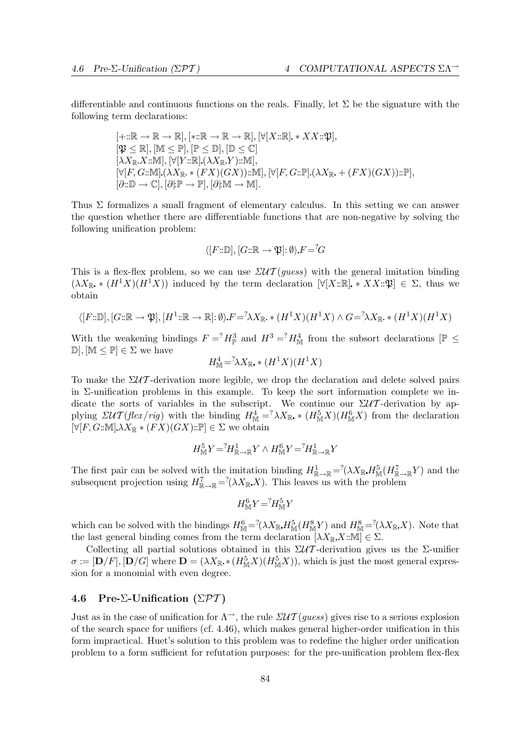differentiable and continuous functions on the reals. Finally, let  $\Sigma$  be the signature with the following term declarations:

$$
[+::\mathbb{R}\to\mathbb{R}\to\mathbb{R}],(*::\mathbb{R}\to\mathbb{R}\to\mathbb{R}],[\forall[X::\mathbb{R}].*XX::\mathfrak{P}],[\mathfrak{P}\leq\mathbb{R}],[\mathbb{M}\leq\mathbb{P}],[\mathbb{P}\leq\mathbb{D}],[\mathbb{D}\leq\mathbb{C}][\lambda X_{\mathbb{R}}X::\mathbb{M}],[\forall[Y::\mathbb{R}].(\lambda X_{\mathbb{R}}Y)::\mathbb{M}],[\forall[F,G::\mathbb{M}].(\lambda X_{\mathbb{R}}*(FX)(GX))::\mathbb{M}],[\forall[F,G::\mathbb{P}].(\lambda X_{\mathbb{R}}+(FX)(GX))::\mathbb{P}],[\partial::\mathbb{D}\to\mathbb{C}],[\partial]{\mathbb{P}}\to\mathbb{P}],[\partial]{\mathbb{M}}\to\mathbb{M}].
$$

Thus  $\Sigma$  formalizes a small fragment of elementary calculus. In this setting we can answer the question whether there are differentiable functions that are non-negative by solving the following unification problem:

$$
\langle [F:\mathbb{D}], [G:\mathbb{R} \to \mathfrak{P}]: \emptyset \rangle F = G
$$

This is a flex-flex problem, so we can use  $\mathcal{LUT}(guess)$  with the general imitation binding  $(\lambda X_{\mathbb{R}} * (H^1 X)(H^1 X))$  induced by the term declaration  $[\forall [X:\mathbb{R}] * X X:\mathfrak{P}] \in \Sigma$ , thus we obtain

$$
\langle [F:\mathbb{D}], [G:\mathbb{R} \to \mathfrak{P}], [H^1:\mathbb{R} \to \mathbb{R}]: \emptyset \rangle F = \langle \lambda X_{\mathbb{R}} * (H^1X)(H^1X) \wedge G = \langle \lambda X_{\mathbb{R}} * (H^1X)(H^1X) \rangle
$$

With the weakening bindings  $F = {}^?H^3_{\mathbb{P}}$  and  $H^3 = {}^?H^4_{\mathbb{M}}$  from the subsort declarations  $[\mathbb{P}] \leq$  $\mathbb{D}, [\mathbb{M} \leq \mathbb{P}] \in \Sigma$  we have

$$
H^4_{\mathbb{M}} = \lambda X_{\mathbb{R}} \cdot (H^1 X)(H^1 X)
$$

To make the  $\Sigma \mathcal{U} \mathcal{T}$ -derivation more legible, we drop the declaration and delete solved pairs in  $\Sigma$ -unification problems in this example. To keep the sort information complete we indicate the sorts of variables in the subscript. We continue our  $\Sigma \mathcal{U} \mathcal{T}$ -derivation by applying  $\mathcal{DUT}(flex/rig)$  with the binding  $H^4_M = \lambda X_{\mathbb{R}} * (H^5_M)(H^6_M X)$  from the declaration  $[\forall [F, G:\mathbb{M}]\lambda X_{\mathbb{R}}\ast (FX)(GX):\mathbb{P}] \in \Sigma$  we obtain

$$
H^5_{\mathbb{M}}Y = ^?H^1_{\mathbb{R} \to \mathbb{R}}Y \wedge H^6_{\mathbb{M}}Y = ^?H^1_{\mathbb{R} \to \mathbb{R}}Y
$$

The first pair can be solved with the imitation binding  $H_{\mathbb{R}\to\mathbb{R}}^1 = (\lambda X_{\mathbb{R}} H_{\mathbb{M}}^5(H_{\mathbb{R}\to\mathbb{R}}^7 Y)$  and the subsequent projection using  $H_{\mathbb{R}\to\mathbb{R}}^7 = (X \times \mathbb{R}^N)$ . This leaves us with the problem

$$
H_{\rm M}^6 Y = H_{\rm M}^5 Y
$$

which can be solved with the bindings  $H_M^6 = {}^2(\lambda X_{\mathbb{R}} H_M^5(H_M^8 Y)$  and  $H_M^8 = {}^2(\lambda X_{\mathbb{R}} X)$ . Note that the last general binding comes from the term declaration  $[\lambda X_{\mathbb{R}} X : \mathbb{M}] \in \Sigma$ .

Collecting all partial solutions obtained in this  $\Sigma \mathcal{U} \mathcal{T}$ -derivation gives us the  $\Sigma$ -unifier  $\sigma := [\mathbf{D}/F], [\mathbf{D}/G]$  where  $\mathbf{D} = (\lambda X_{\mathbb{R}} * (H^5_{\mathbb{M}}X)(H^5_{\mathbb{M}}X)),$  which is just the most general expression for a monomial with even degree.

# 4.6 Pre-Σ-Unification (Σ $\mathcal{PT}$ )

Just as in the case of unification for  $\Lambda^{\rightarrow}$ , the rule  $\mathcal{ZUT}(guess)$  gives rise to a serious explosion of the search space for unifiers (cf. 4.46), which makes general higher-order unification in this form impractical. Huet's solution to this problem was to redefine the higher order unification problem to a form sufficient for refutation purposes: for the pre-unification problem flex-flex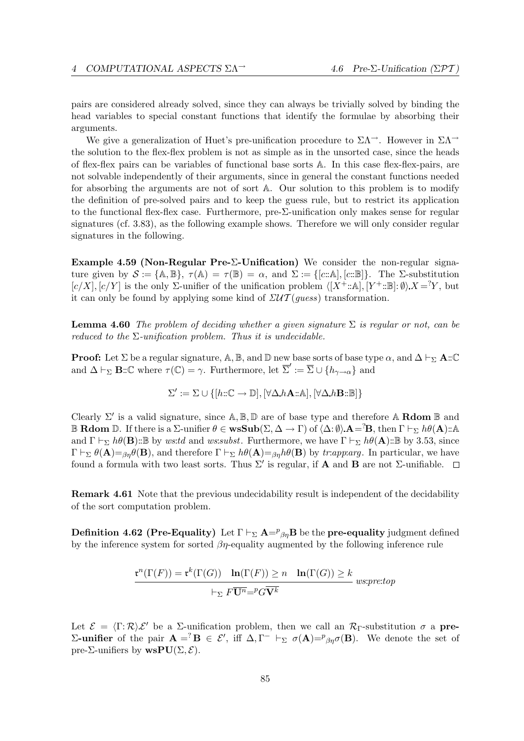pairs are considered already solved, since they can always be trivially solved by binding the head variables to special constant functions that identify the formulae by absorbing their arguments.

We give a generalization of Huet's pre-unification procedure to  $\Sigma\Lambda^{-}$ . However in  $\Sigma\Lambda^{-}$ the solution to the flex-flex problem is not as simple as in the unsorted case, since the heads of flex-flex pairs can be variables of functional base sorts A. In this case flex-flex-pairs, are not solvable independently of their arguments, since in general the constant functions needed for absorbing the arguments are not of sort A. Our solution to this problem is to modify the definition of pre-solved pairs and to keep the guess rule, but to restrict its application to the functional flex-flex case. Furthermore, pre-Σ-unification only makes sense for regular signatures (cf. 3.83), as the following example shows. Therefore we will only consider regular signatures in the following.

Example 4.59 (Non-Regular Pre-Σ-Unification) We consider the non-regular signature given by  $\mathcal{S} := \{ \mathbb{A}, \mathbb{B} \}, \ \tau(\mathbb{A}) = \tau(\mathbb{B}) = \alpha$ , and  $\Sigma := \{ [c : \mathbb{A}], [c : \mathbb{B}] \}.$  The  $\Sigma$ -substitution  $[c/X], [c/Y]$  is the only  $\Sigma$ -unifier of the unification problem  $\langle [X^+:\mathbb{A}], [Y^+:\mathbb{B}]: \emptyset \rangle X = Y$ , but it can only be found by applying some kind of  $\mathcal{LUT}(guess)$  transformation.

**Lemma 4.60** The problem of deciding whether a given signature  $\Sigma$  is regular or not, can be reduced to the  $\Sigma$ -unification problem. Thus it is undecidable.

**Proof:** Let  $\Sigma$  be a regular signature,  $\mathbb{A}, \mathbb{B}$ , and  $\mathbb{D}$  new base sorts of base type  $\alpha$ , and  $\Delta \vdash_{\Sigma} \mathbf{A} : \mathbb{C}$ and  $\Delta \vdash_{\Sigma} \mathbf{B} : \mathbb{C}$  where  $\tau(\mathbb{C}) = \gamma$ . Furthermore, let  $\overline{\Sigma}' := \overline{\Sigma} \cup \{h_{\gamma \to \alpha}\}\$  and

$$
\Sigma' := \Sigma \cup \{ [h::\mathbb{C} \to \mathbb{D}], [\forall \Delta.h\mathbf{A} :: \mathbb{A}], [\forall \Delta.h\mathbf{B} :: \mathbb{B}] \}
$$

Clearly  $\Sigma'$  is a valid signature, since  $\mathbb{A}, \mathbb{B}, \mathbb{D}$  are of base type and therefore  $\mathbb{A}$  Rdom  $\mathbb{B}$  and **B Rdom** D. If there is a  $\Sigma$ -unifier  $\theta \in \mathbf{wsSub}(\Sigma, \Delta \to \Gamma)$  of  $\langle \Delta: \emptyset \rangle$   $\mathbf{A} = \mathbf{B}$ , then  $\Gamma \vdash_{\Sigma} h\theta(\mathbf{A})$ ::A and  $\Gamma \vdash_{\Sigma} h\theta(\mathbf{B})$ ::B by ws:td and ws:subst. Furthermore, we have  $\Gamma \vdash_{\Sigma} h\theta(\mathbf{A})$ ::B by 3.53, since  $\Gamma \vdash_{\Sigma} \theta(\mathbf{A}) =_{\beta\eta} \theta(\mathbf{B})$ , and therefore  $\Gamma \vdash_{\Sigma} h\theta(\mathbf{A}) =_{\beta\eta} h\theta(\mathbf{B})$  by tr:app:arg. In particular, we have found a formula with two least sorts. Thus  $\Sigma'$  is regular, if **A** and **B** are not  $\Sigma$ -unifiable.

Remark 4.61 Note that the previous undecidability result is independent of the decidability of the sort computation problem.

**Definition 4.62 (Pre-Equality)** Let  $\Gamma \vdash_{\Sigma} \mathbf{A} =^p \beta_\eta \mathbf{B}$  be the **pre-equality** judgment defined by the inference system for sorted  $\beta\eta$ -equality augmented by the following inference rule

$$
\frac{\mathfrak{r}^n(\Gamma(F)) = \mathfrak{r}^k(\Gamma(G)) \quad \ln(\Gamma(F)) \ge n \quad \ln(\Gamma(G)) \ge k}{\vdash_{\Sigma} F\overline{\mathbf{U}^n} = {^p}G\overline{\mathbf{V}^k}} \text{ wss:}pre:top
$$

Let  $\mathcal{E} = \langle \Gamma : \mathcal{R} \rangle \mathcal{E}'$  be a  $\Sigma$ -unification problem, then we call an  $\mathcal{R}_{\Gamma}$ -substitution  $\sigma$  a pre-Σ-unifier of the pair **A** =<sup>?</sup>**B** ∈ ε', iff Δ,Γ<sup>-</sup>  $\vdash_Σ$   $\sigma(A)=^p_{βη}σ$ (**B**). We denote the set of pre-Σ-unifiers by  $\mathbf{wsPU}(\Sigma, \mathcal{E})$ .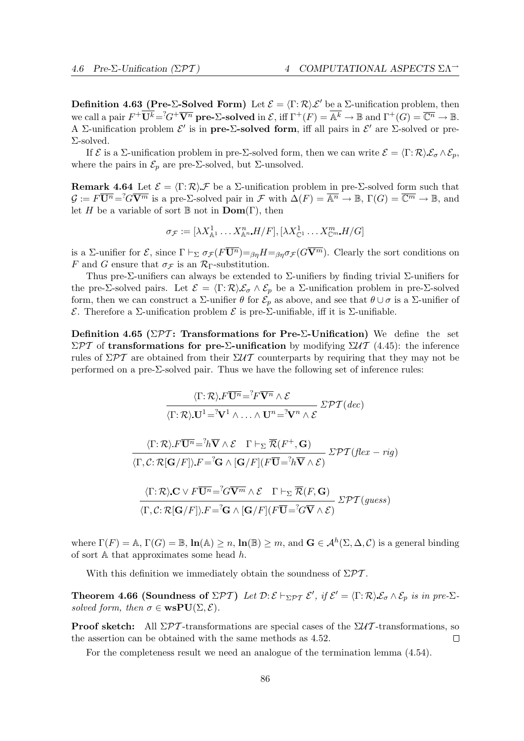$rig)$ 

**Definition 4.63 (Pre-Σ-Solved Form)** Let  $\mathcal{E} = \langle \Gamma : \mathcal{R} \rangle \mathcal{E}'$  be a  $\Sigma$ -unification problem, then we call a pair  $F^+ \overline{U^k} = {}^2G^+ \overline{V^n}$  pre- $\Sigma$ -solved in  $\mathcal{E}$ , iff  $\Gamma^+(F) = \overline{\mathbb{A}^k} \to \mathbb{B}$  and  $\Gamma^+(G) = \overline{\mathbb{C}^n} \to \mathbb{B}$ . A Σ-unification problem  $\mathcal{E}'$  is in pre- $\Sigma$ -solved form, iff all pairs in  $\mathcal{E}'$  are  $\Sigma$ -solved or pre-Σ-solved.

If  $\mathcal E$  is a  $\Sigma$ -unification problem in pre- $\Sigma$ -solved form, then we can write  $\mathcal E = \langle \Gamma : \mathcal R \rangle \mathcal E_{\sigma} \wedge \mathcal E_p$ , where the pairs in  $\mathcal{E}_p$  are pre- $\Sigma$ -solved, but  $\Sigma$ -unsolved.

**Remark 4.64** Let  $\mathcal{E} = \langle \Gamma : \mathcal{R} \rangle \mathcal{F}$  be a  $\Sigma$ -unification problem in pre- $\Sigma$ -solved form such that  $\mathcal{G} := F\overline{\mathbf{U}^n} = G\overline{\mathbf{V}^m}$  is a pre- $\Sigma$ -solved pair in  $\mathcal{F}$  with  $\Delta(F) = \overline{\mathbb{A}^n} \to \mathbb{B}$ ,  $\Gamma(G) = \overline{\mathbb{C}^m} \to \mathbb{B}$ , and let H be a variable of sort  $\mathbb B$  not in  $\text{Dom}(\Gamma)$ , then

$$
\sigma_{\mathcal{F}} := [\lambda X_{\mathbb{A}^1}^1 \dots X_{\mathbb{A}^n}^n \cdot H/F], [\lambda X_{\mathbb{C}^1}^1 \dots X_{\mathbb{C}^m}^m \cdot H/G]
$$

is a Σ-unifier for  $\mathcal{E}$ , since  $\Gamma \vdash_{\Sigma} \sigma_{\mathcal{F}} (F\overline{U^n}) =_{\beta\eta} H =_{\beta\eta} \sigma_{\mathcal{F}} (G\overline{V^m})$ . Clearly the sort conditions on F and G ensure that  $\sigma_{\mathcal{F}}$  is an  $\mathcal{R}_{\Gamma}$ -substitution.

Thus pre-Σ-unifiers can always be extended to Σ-unifiers by finding trivial Σ-unifiers for the pre-Σ-solved pairs. Let  $\mathcal{E} = \langle \Gamma : \mathcal{R} \rangle \mathcal{E}_{\sigma} \wedge \mathcal{E}_{p}$  be a Σ-unification problem in pre-Σ-solved form, then we can construct a  $\Sigma$ -unifier  $\theta$  for  $\mathcal{E}_p$  as above, and see that  $\theta \cup \sigma$  is a  $\Sigma$ -unifier of E. Therefore a Σ-unification problem E is pre-Σ-unifiable, iff it is Σ-unifiable.

Definition 4.65 ( $\Sigma \mathcal{P} \mathcal{T}$ : Transformations for Pre-Σ-Unification) We define the set  $\Sigma$ PT of transformations for pre-Σ-unification by modifying  $\Sigma$ UT (4.45): the inference rules of  $\Sigma \mathcal{PT}$  are obtained from their  $\Sigma \mathcal{UT}$  counterparts by requiring that they may not be performed on a pre- $\Sigma$ -solved pair. Thus we have the following set of inference rules:

$$
\frac{\langle \Gamma; \mathcal{R} \rangle F\overline{\mathbf{U}^n} = {}^2F\overline{\mathbf{V}^n} \wedge \mathcal{E}}{\langle \Gamma; \mathcal{R} \rangle \mathbf{U}^1 = {}^2\mathbf{V}^1 \wedge \ldots \wedge \mathbf{U}^n = {}^2\mathbf{V}^n \wedge \mathcal{E}} \Sigma \mathcal{PT}(dec)
$$
  

$$
\frac{\langle \Gamma; \mathcal{R} \rangle F\overline{\mathbf{U}^n} = {}^2h \overline{\mathbf{V}} \wedge \mathcal{E} \quad \Gamma \vdash_{\Sigma} \overline{\mathcal{R}}(F^+, \mathbf{G})}{\langle \Gamma, \mathcal{C} : \mathcal{R}[\mathbf{G}/F] \rangle F = {}^2\mathbf{G} \wedge [\mathbf{G}/F](F\overline{\mathbf{U}} = {}^2h \overline{\mathbf{V}} \wedge \mathcal{E})} \Sigma \mathcal{PT}(flex -
$$

$$
\frac{\langle \Gamma; \mathcal{R} \rangle \mathbf{C} \vee F \overline{\mathbf{U}^n} = {}^?G \overline{\mathbf{V}^m} \wedge \mathcal{E} \quad \Gamma \vdash_{\Sigma} \overline{\mathcal{R}}(F, \mathbf{G})}{\langle \Gamma, \mathcal{C}: \mathcal{R}[\mathbf{G}/F] \rangle \cdot F = {}^? \mathbf{G} \wedge [\mathbf{G}/F](F \overline{\mathbf{U}} = {}^?G \overline{\mathbf{V}} \wedge \mathcal{E})} \mathcal{LPT}(guess)
$$

where  $\Gamma(F) = \mathbb{A}, \Gamma(G) = \mathbb{B}, \ln(\mathbb{A}) \ge n, \ln(\mathbb{B}) \ge m$ , and  $\mathbf{G} \in \mathcal{A}^h(\Sigma, \Delta, \mathcal{C})$  is a general binding of sort  $A$  that approximates some head  $h$ .

With this definition we immediately obtain the soundness of  $\Sigma \mathcal{P} \mathcal{T}$ .

**Theorem 4.66 (Soundness of**  $\Sigma \mathcal{PT}$ **)** Let  $\mathcal{D}:\mathcal{E}\vdash_{\Sigma\mathcal{PT}}\mathcal{E}'$ , if  $\mathcal{E}'=\langle \Gamma:\mathcal{R}\rangle \mathcal{E}_{\sigma}\wedge \mathcal{E}_{p}$  is in pre- $\Sigma$ solved form, then  $\sigma \in \mathbf{wsPU}(\Sigma, \mathcal{E})$ .

**Proof sketch:** All  $\Sigma \mathcal{PT}$ -transformations are special cases of the  $\Sigma \mathcal{UT}$ -transformations, so the assertion can be obtained with the same methods as 4.52.  $\Box$ 

For the completeness result we need an analogue of the termination lemma (4.54).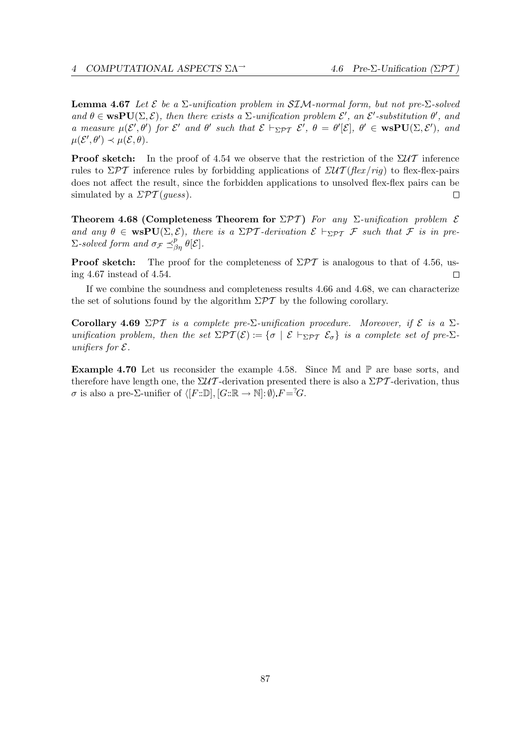**Lemma 4.67** Let  $\mathcal{E}$  be a  $\Sigma$ -unification problem in SIM-normal form, but not pre- $\Sigma$ -solved and  $\theta \in \textbf{wsPU}(\Sigma, \mathcal{E})$ , then there exists a  $\Sigma$ -unification problem  $\mathcal{E}'$ , an  $\mathcal{E}'$ -substitution  $\theta'$ , and a measure  $\mu(\mathcal{E}', \theta')$  for  $\mathcal{E}'$  and  $\theta'$  such that  $\mathcal{E} \vdash_{\Sigma \mathcal{PT}} \mathcal{E}', \theta = \theta'[\mathcal{E}], \theta' \in \mathbf{wsPU}(\Sigma, \mathcal{E}'),$  and  $\mu(\mathcal{E}', \theta') \prec \mu(\mathcal{E}, \theta).$ 

**Proof sketch:** In the proof of 4.54 we observe that the restriction of the  $\Sigma U T$  inference rules to  $\Sigma \mathcal{P} \mathcal{T}$  inference rules by forbidding applications of  $\Sigma \mathcal{U} \mathcal{T}$  (flex/rig) to flex-flex-pairs does not affect the result, since the forbidden applications to unsolved flex-flex pairs can be simulated by a  $\mathcal{EPT}(guess)$ .  $\Box$ 

Theorem 4.68 (Completeness Theorem for  $\Sigma \mathcal{PT}$ ) For any  $\Sigma$ -unification problem  $\mathcal E$ and any  $\theta \in \text{wsPU}(\Sigma, \mathcal{E})$ , there is a  $\Sigma \mathcal{PT}$ -derivation  $\mathcal{E} \vdash_{\Sigma \mathcal{PT}} \mathcal{F}$  such that  $\mathcal F$  is in pre- $\Sigma$ -solved form and  $\sigma_{\mathcal{F}} \preceq^p_{\beta\eta} \theta[\mathcal{E}].$ 

**Proof sketch:** The proof for the completeness of  $\Sigma \mathcal{PT}$  is analogous to that of 4.56, using 4.67 instead of 4.54.  $\Box$ 

If we combine the soundness and completeness results 4.66 and 4.68, we can characterize the set of solutions found by the algorithm  $\Sigma \mathcal{PT}$  by the following corollary.

Corollary 4.69 ΣΡΤ is a complete pre-Σ-unification procedure. Moreover, if  $\mathcal E$  is a Σunification problem, then the set  $\Sigma \mathcal{PT}(\mathcal{E}) := \{ \sigma \mid \mathcal{E} \vdash_{\Sigma \mathcal{PT}} \mathcal{E}_{\sigma} \}$  is a complete set of pre- $\Sigma$ unifiers for  $\mathcal E$ .

**Example 4.70** Let us reconsider the example 4.58. Since  $\mathbb{M}$  and  $\mathbb{P}$  are base sorts, and therefore have length one, the  $\Sigma \mathcal{U} \mathcal{T}$ -derivation presented there is also a  $\Sigma \mathcal{P} \mathcal{T}$ -derivation, thus  $\sigma$  is also a pre-Σ-unifier of  $\langle [F::\mathbb{D}], [G::\mathbb{R} \rightarrow \mathbb{N}]: \emptyset \rangle F = <sup>2</sup>G$ .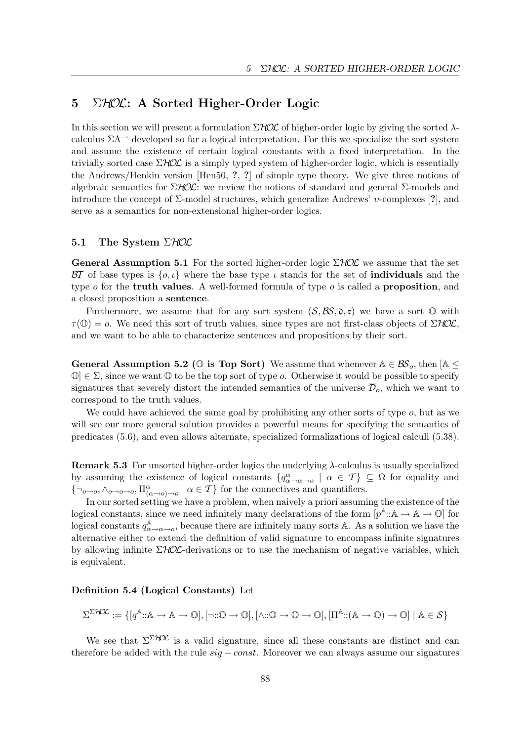# 5  $\Sigma HOL: A Sorted Higher-Order Logic$

In this section we will present a formulation  $\Sigma$ HOC of higher-order logic by giving the sorted  $\lambda$ calculus  $\Sigma\Lambda$ <sup> $\rightarrow$ </sup> developed so far a logical interpretation. For this we specialize the sort system and assume the existence of certain logical constants with a fixed interpretation. In the trivially sorted case  $\Sigma HOL$  is a simply typed system of higher-order logic, which is essentially the Andrews/Henkin version [Hen50, ?, ?] of simple type theory. We give three notions of algebraic semantics for  $\Sigma$ HOL: we review the notions of standard and general  $\Sigma$ -models and introduce the concept of  $\Sigma$ -model structures, which generalize Andrews' *v*-complexes [?], and serve as a semantics for non-extensional higher-order logics.

# 5.1 The System  $\Sigma HOL$

**General Assumption 5.1** For the sorted higher-order logic  $\Sigma HOL$  we assume that the set BT of base types is  $\{o, \iota\}$  where the base type  $\iota$  stands for the set of **individuals** and the type  $o$  for the **truth values**. A well-formed formula of type  $o$  is called a **proposition**, and a closed proposition a sentence.

Furthermore, we assume that for any sort system  $(S, \mathcal{BS}, \mathfrak{d}, \mathfrak{r})$  we have a sort  $\mathbb O$  with  $\tau(\mathbb{O}) = o$ . We need this sort of truth values, since types are not first-class objects of  $\Sigma HOL$ . and we want to be able to characterize sentences and propositions by their sort.

General Assumption 5.2 ( $\mathbb O$  is Top Sort) We assume that whenever  $\mathbb A \in \mathcal{BS}_o$ , then  $[\mathbb A \leq$  $\mathbb{O} \in \Sigma$ , since we want  $\mathbb O$  to be the top sort of type *o*. Otherwise it would be possible to specify signatures that severely distort the intended semantics of the universe  $\overline{\mathcal{D}}_o$ , which we want to correspond to the truth values.

We could have achieved the same goal by prohibiting any other sorts of type  $o$ , but as we will see our more general solution provides a powerful means for specifying the semantics of predicates (5.6), and even allows alternate, specialized formalizations of logical calculi (5.38).

**Remark 5.3** For unsorted higher-order logics the underlying  $\lambda$ -calculus is usually specialized by assuming the existence of logical constants  $\{q^\alpha_{\alpha\to\alpha\to\alpha} \mid \alpha \in \mathcal{T}\}\subseteq\Omega$  for equality and  $\{\neg_{o\to o}, \wedge_{o\to o\to o}, \Pi^{\alpha}_{(\alpha\to o)\to o} \mid \alpha \in \mathcal{T}\}\$  for the connectives and quantifiers.

In our sorted setting we have a problem, when naively a priori assuming the existence of the logical constants, since we need infinitely many declarations of the form  $[p^{\mathbb{A}}:\mathbb{A}\to\mathbb{A}\to\mathbb{O}]$  for logical constants  $q_{\alpha}^{\mathbb{A}}$  $A^{\mathbb{A}}_{\alpha \to \alpha \to o}$ , because there are infinitely many sorts A. As a solution we have the alternative either to extend the definition of valid signature to encompass infinite signatures by allowing infinite  $\Sigma H\mathcal{O}\mathcal{L}$ -derivations or to use the mechanism of negative variables, which is equivalent.

#### Definition 5.4 (Logical Constants) Let

$$
\Sigma^{\Sigma\mathcal{H}\mathcal{X}}:=\{[q^{\mathbb{A}}\text{:}\mathbb{A}\rightarrow \mathbb{A}\rightarrow \mathbb{O}], [\neg\text{:}:\mathbb{O}\rightarrow \mathbb{O}], [\wedge\text{:}:\mathbb{O}\rightarrow \mathbb{O}\rightarrow \mathbb{O}], [\Pi^{\mathbb{A}}\text{:}(\mathbb{A}\rightarrow \mathbb{O})\rightarrow \mathbb{O}] \mid \mathbb{A}\in \mathcal{S}\}
$$

We see that  $\Sigma^{\Sigma\mathcal{HOL}}$  is a valid signature, since all these constants are distinct and can therefore be added with the rule  $sig - const$ . Moreover we can always assume our signatures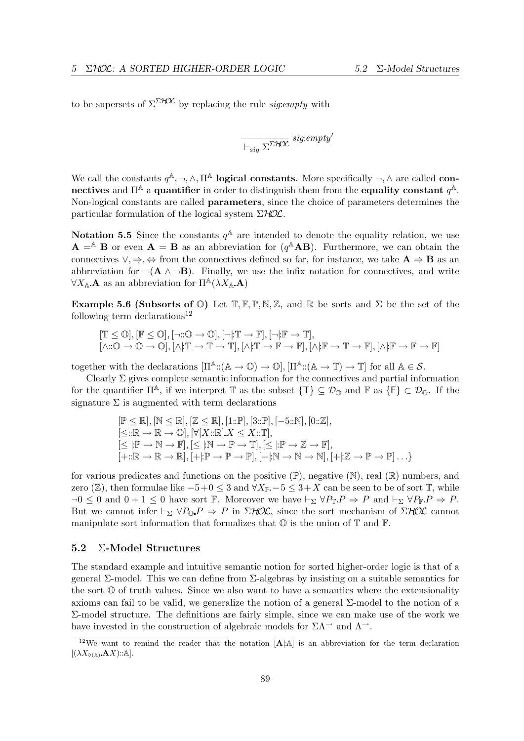to be supersets of  $\Sigma^{\Sigma\mathcal{HOL}}$  by replacing the rule *sig:empty* with

$$
\frac{}{\vdash_{sig}\Sigma^{\Sigma\mathcal{H\!X}}} \mathit{sig:empty'}
$$

We call the constants  $q^{\mathbb{A}}, \neg, \wedge, \Pi^{\mathbb{A}}$  **logical constants**. More specifically  $\neg, \wedge$  are called **con**nectives and  $\Pi^{\mathbb{A}}$  a quantifier in order to distinguish them from the equality constant  $q^{\mathbb{A}}$ . Non-logical constants are called parameters, since the choice of parameters determines the particular formulation of the logical system  $\Sigma HOL$ .

**Notation 5.5** Since the constants  $q^{\mathbb{A}}$  are intended to denote the equality relation, we use  $\mathbf{A} = A \mathbf{B}$  or even  $\mathbf{A} = \mathbf{B}$  as an abbreviation for  $(q^A \mathbf{A} \mathbf{B})$ . Furthermore, we can obtain the connectives  $\vee, \Rightarrow, \Leftrightarrow$  from the connectives defined so far, for instance, we take  $\mathbf{A} \Rightarrow \mathbf{B}$  as an abbreviation for  $\neg$ ( $\bf{A} \wedge \neg \bf{B}$ ). Finally, we use the infix notation for connectives, and write  $\forall X_{\mathbb{A}} \mathbf{A}$  as an abbreviation for  $\Pi^{\mathbb{A}}(\lambda X_{\mathbb{A}} \mathbf{A})$ 

**Example 5.6 (Subsorts of 0)** Let  $\mathbb{T}, \mathbb{F}, \mathbb{P}, \mathbb{N}, \mathbb{Z}$ , and  $\mathbb{R}$  be sorts and  $\Sigma$  be the set of the following term declarations<sup>12</sup>

$$
\begin{array}{l} [\mathbb{T}\leq \mathbb{O}], [\mathbb{F}\leq \mathbb{O}], [\neg::\mathbb{O} \rightarrow \mathbb{O}], [\neg::\mathbb{T} \rightarrow \mathbb{F}], [\neg::\mathbb{F} \rightarrow \mathbb{T}],\\ [\wedge::\mathbb{O} \rightarrow \mathbb{O} \rightarrow \mathbb{O}], [\wedge::\mathbb{T} \rightarrow \mathbb{T} \rightarrow \mathbb{T}], [\wedge::\mathbb{T} \rightarrow \mathbb{F} \rightarrow \mathbb{F}], [\wedge::\mathbb{F} \rightarrow \mathbb{T} \rightarrow \mathbb{F}], [\wedge::\mathbb{F} \rightarrow \mathbb{F} \rightarrow \mathbb{F}]\end{array}
$$

together with the declarations  $[\Pi^{\mathbb{A}}:(\mathbb{A}\to\mathbb{O})\to\mathbb{O}], [\Pi^{\mathbb{A}}:(\mathbb{A}\to\mathbb{T})\to\mathbb{T}]$  for all  $\mathbb{A}\in\mathcal{S}$ .

Clearly  $\Sigma$  gives complete semantic information for the connectives and partial information for the quantifier  $\Pi^{\mathbb{A}}$ , if we interpret  $\mathbb{T}$  as the subset  $\{\mathsf{T}\}\subseteq\mathcal{D}_{\mathbb{O}}$  and  $\mathbb{F}$  as  $\{\mathsf{F}\}\subset\mathcal{D}_{\mathbb{O}}$ . If the signature  $\Sigma$  is augmented with term declarations

$$
[\mathbb{P} \leq \mathbb{R}], [\mathbb{N} \leq \mathbb{R}], [\mathbb{Z} \leq \mathbb{R}], [1::\mathbb{P}], [3::\mathbb{P}], [-5::\mathbb{N}], [0::\mathbb{Z}],
$$
  

$$
[\leq::\mathbb{R} \to \mathbb{R} \to \mathbb{O}], [\forall[X::\mathbb{R}].X \leq X::\mathbb{T}],
$$
  

$$
[\leq |:\mathbb{P} \to \mathbb{N} \to \mathbb{F}], [\leq |:\mathbb{N} \to \mathbb{P} \to \mathbb{T}], [\leq |:\mathbb{P} \to \mathbb{Z} \to \mathbb{F}],
$$
  

$$
[+::\mathbb{R} \to \mathbb{R} \to \mathbb{R}], [+]:\mathbb{P} \to \mathbb{P} \to \mathbb{P}], [+]:\mathbb{N} \to \mathbb{N} \to \mathbb{N}], [+]:\mathbb{Z} \to \mathbb{P} \to \mathbb{P}] \dots
$$

for various predicates and functions on the positive  $(\mathbb{P})$ , negative  $(\mathbb{N})$ , real  $(\mathbb{R})$  numbers, and zero (Z), then formulae like  $-5+0 \leq 3$  and  $\forall X_{\mathbb{P}}$  –  $5 \leq 3+X$  can be seen to be of sort T, while  $\neg 0 \leq 0$  and  $0 + 1 \leq 0$  have sort F. Moreover we have  $\vdash_{\Sigma} \forall P_{\mathbb{T}} P \Rightarrow P$  and  $\vdash_{\Sigma} \forall P_{\mathbb{T}} P \Rightarrow P$ . But we cannot infer  $\vdash_{\Sigma} \forall P_{\mathbb{O}} P \Rightarrow P$  in  $\Sigma HOL$ , since the sort mechanism of  $\Sigma HOL$  cannot manipulate sort information that formalizes that  $\mathbb O$  is the union of  $\mathbb T$  and  $\mathbb F$ .

## 5.2 Σ-Model Structures

The standard example and intuitive semantic notion for sorted higher-order logic is that of a general Σ-model. This we can define from Σ-algebras by insisting on a suitable semantics for the sort  $\mathbb O$  of truth values. Since we also want to have a semantics where the extensionality axioms can fail to be valid, we generalize the notion of a general Σ-model to the notion of a Σ-model structure. The definitions are fairly simple, since we can make use of the work we have invested in the construction of algebraic models for  $\Sigma \Lambda^{\rightarrow}$  and  $\Lambda^{\rightarrow}$ .

<sup>&</sup>lt;sup>12</sup>We want to remind the reader that the notation  $[A \land A]$  is an abbreviation for the term declaration  $[(\lambda X_{\mathfrak{d}(\mathbb{A})} \mathbf{A} X) :: \mathbb{A}].$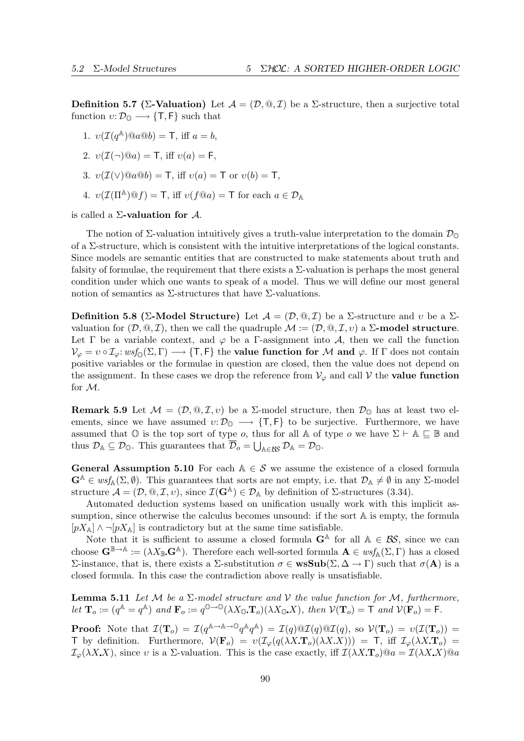**Definition 5.7** (Σ-Valuation) Let  $\mathcal{A} = (\mathcal{D}, \mathbb{Q}, \mathcal{I})$  be a Σ-structure, then a surjective total function  $v: \mathcal{D}_{\mathbb{Q}} \longrightarrow \{\mathsf{T}, \mathsf{F}\}\$  such that

1. 
$$
v(\mathcal{I}(q^{\mathbb{A}}) \otimes a \otimes b) = \mathsf{T}
$$
, iff  $a = b$ ,

2. 
$$
v(\mathcal{I}(\neg)\mathcal{Q}a) = \mathsf{T}
$$
, iff  $v(a) = \mathsf{F}$ ,

- 3.  $v(\mathcal{I}(\vee) \mathbb{Q}a \mathbb{Q}b) = T$ , iff  $v(a) = T$  or  $v(b) = T$ ,
- 4.  $v(\mathcal{I}(\Pi^{\mathbb{A}}) @ f) = \mathsf{T}$ , iff  $v(f @ a) = \mathsf{T}$  for each  $a \in \mathcal{D}_{\mathbb{A}}$

is called a  $\Sigma$ -valuation for  $\mathcal{A}$ .

The notion of  $\Sigma$ -valuation intuitively gives a truth-value interpretation to the domain  $\mathcal{D}_{\mathbb{Q}}$ of a  $\Sigma$ -structure, which is consistent with the intuitive interpretations of the logical constants. Since models are semantic entities that are constructed to make statements about truth and falsity of formulae, the requirement that there exists a  $\Sigma$ -valuation is perhaps the most general condition under which one wants to speak of a model. Thus we will define our most general notion of semantics as  $\Sigma$ -structures that have  $\Sigma$ -valuations.

Definition 5.8 (Σ-Model Structure) Let  $\mathcal{A} = (\mathcal{D}, \mathcal{Q}, \mathcal{I})$  be a  $\Sigma$ -structure and v be a  $\Sigma$ valuation for  $(D, \mathbb{Q}, \mathcal{I})$ , then we call the quadruple  $\mathcal{M} := (\mathcal{D}, \mathbb{Q}, \mathcal{I}, v)$  a  $\Sigma$ -model structure. Let  $\Gamma$  be a variable context, and  $\varphi$  be a  $\Gamma$ -assignment into A, then we call the function  $\mathcal{V}_{\varphi} = v \circ \mathcal{I}_{\varphi}: w \circ f_{\mathcal{D}}(\Sigma, \Gamma) \longrightarrow \{\mathsf{T}, \mathsf{F}\}\$  the **value function for** M and  $\varphi$ . If  $\Gamma$  does not contain positive variables or the formulae in question are closed, then the value does not depend on the assignment. In these cases we drop the reference from  $V_{\varphi}$  and call V the **value function** for M.

**Remark 5.9** Let  $\mathcal{M} = (\mathcal{D}, \mathbb{Q}, \mathcal{I}, v)$  be a  $\Sigma$ -model structure, then  $\mathcal{D}_{\mathbb{Q}}$  has at least two elements, since we have assumed  $v: \mathcal{D}_{\mathbb{O}} \longrightarrow \{\mathsf{T}, \mathsf{F}\}\$  to be surjective. Furthermore, we have assumed that  $\mathbb O$  is the top sort of type *o*, thus for all A of type *o* we have  $\Sigma \vdash A \sqsubseteq \mathbb B$  and thus  $\mathcal{D}_A \subseteq \mathcal{D}_0$ . This guarantees that  $\mathcal{D}_o = \bigcup_{A \in \mathcal{B}S} \mathcal{D}_A = \mathcal{D}_0$ .

**General Assumption 5.10** For each  $A \in \mathcal{S}$  we assume the existence of a closed formula  $\mathbf{G}^{\mathbb{A}} \in \text{wsf}_{\mathbb{A}}(\Sigma,\emptyset)$ . This guarantees that sorts are not empty, i.e. that  $\mathcal{D}_{\mathbb{A}} \neq \emptyset$  in any  $\Sigma$ -model structure  $\mathcal{A} = (\mathcal{D}, \mathbb{Q}, \mathcal{I}, v)$ , since  $\mathcal{I}(\mathbf{G}^{\mathbb{A}}) \in \mathcal{D}_{\mathbb{A}}$  by definition of  $\Sigma$ -structures (3.34).

Automated deduction systems based on unification usually work with this implicit assumption, since otherwise the calculus becomes unsound: if the sort A is empty, the formula  $[pX_A] \wedge \neg [pX_A]$  is contradictory but at the same time satisfiable.

Note that it is sufficient to assume a closed formula  $G^{\mathbb{A}}$  for all  $\mathbb{A} \in \mathcal{BS}$ , since we can choose  $\mathbf{G}^{\mathbb{B}\to\mathbb{A}} := (\lambda X_{\mathbb{B}} \mathbf{G}^{\mathbb{A}})$ . Therefore each well-sorted formula  $\mathbf{A} \in \text{wsf}_{\mathbb{A}}(\Sigma,\Gamma)$  has a closed Σ-instance, that is, there exists a Σ-substitution  $\sigma \in \mathbf{wsSub}(\Sigma, \Delta \to \Gamma)$  such that  $\sigma(\mathbf{A})$  is a closed formula. In this case the contradiction above really is unsatisfiable.

**Lemma 5.11** Let M be a  $\Sigma$ -model structure and V the value function for M, furthermore, let  $\mathbf{T}_o := (q^{\mathbb{A}} = q^{\mathbb{A}})$  and  $\mathbf{F}_o := q^{0 \to 0}(\lambda X_0 \cdot \mathbf{T}_o)(\lambda X_0 \cdot X)$ , then  $\mathcal{V}(\mathbf{T}_o) = \mathbf{T}$  and  $\mathcal{V}(\mathbf{F}_o) = \mathbf{F}$ .

**Proof:** Note that  $\mathcal{I}(\mathbf{T}_o) = \mathcal{I}(q^{\mathbb{A}\to\mathbb{A}\to\mathbb{O}}q^{\mathbb{A}}q^{\mathbb{A}}) = \mathcal{I}(q)\mathbb{Q}\mathcal{I}(q)\mathbb{Q}\mathcal{I}(q)$ , so  $\mathcal{V}(\mathbf{T}_o) = \mathcal{V}(\mathcal{I}(\mathbf{T}_o))$ T by definition. Furthermore,  $\mathcal{V}(\mathbf{F}_o) = v(\mathcal{I}_\varphi(q(\lambda X.\mathbf{T}_o)(\lambda X.X))) = \mathsf{T}$ , iff  $\mathcal{I}_\varphi(\lambda X.\mathbf{T}_o) =$  $\mathcal{I}_{\varphi}(\lambda X X)$ , since v is a  $\Sigma$ -valuation. This is the case exactly, iff  $\mathcal{I}(\lambda X \mathbf{T}_o) @a = \mathcal{I}(\lambda X X) @a$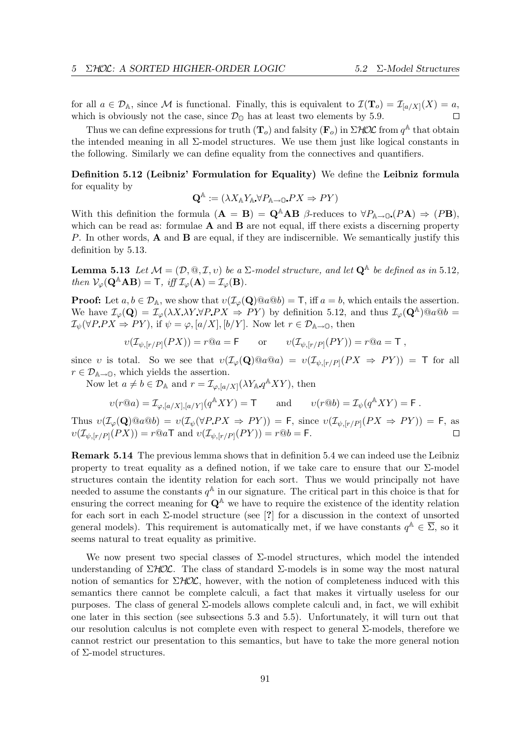for all  $a \in \mathcal{D}_\mathbb{A}$ , since M is functional. Finally, this is equivalent to  $\mathcal{I}(\mathbf{T}_o) = \mathcal{I}_{[a/X]}(X) = a$ , which is obviously not the case, since  $\mathcal{D}_{\mathbb{O}}$  has at least two elements by 5.9.  $\Box$ 

Thus we can define expressions for truth  $(\mathbf{T}_o)$  and falsity  $(\mathbf{F}_o)$  in  $\Sigma$ HOL from  $q^{\mathbb{A}}$  that obtain the intended meaning in all Σ-model structures. We use them just like logical constants in the following. Similarly we can define equality from the connectives and quantifiers.

# Definition 5.12 (Leibniz' Formulation for Equality) We define the Leibniz formula for equality by

$$
\mathbf{Q}^{\mathbb{A}} := (\lambda X_{\mathbb{A}} Y_{\mathbb{A}} \forall P_{\mathbb{A} \to \mathbb{O}} P X \Rightarrow P Y)
$$

With this definition the formula  $(A = B) = Q^A AB$  β-reduces to  $\forall P_{A\rightarrow 0} (P A) \Rightarrow (PB)$ , which can be read as: formulae  $A$  and  $B$  are not equal, iff there exists a discerning property P. In other words, **A** and **B** are equal, if they are indiscernible. We semantically justify this definition by 5.13.

**Lemma 5.13** Let  $M = (\mathcal{D}, \mathbb{Q}, \mathcal{I}, v)$  be a  $\Sigma$ -model structure, and let  $\mathbf{Q}^{\mathbb{A}}$  be defined as in 5.12, then  $\mathcal{V}_{\varphi}(\mathbf{Q}^{\mathbb{A}}\mathbf{A}\mathbf{B}) = \mathsf{T}, \; \text{iff} \; \mathcal{I}_{\varphi}(\mathbf{A}) = \mathcal{I}_{\varphi}(\mathbf{B}).$ 

**Proof:** Let  $a, b \in \mathcal{D}_A$ , we show that  $v(\mathcal{I}_{\varphi}(\mathbf{Q}) \otimes a \otimes b) = \mathbf{T}$ , iff  $a = b$ , which entails the assertion. We have  $\mathcal{I}_{\varphi}(\mathbf{Q}) = \mathcal{I}_{\varphi}(\lambda X \lambda Y \forall P.PX \Rightarrow PY)$  by definition 5.12, and thus  $\mathcal{I}_{\varphi}(\mathbf{Q}^{\mathbb{A}}) @a@b =$  $\mathcal{I}_{\psi}(\forall P.PX \Rightarrow PY),$  if  $\psi = \varphi, [a/X], [b/Y].$  Now let  $r \in \mathcal{D}_{\mathbb{A}\to\mathbb{O}},$  then

$$
v(\mathcal{I}_{\psi,[r/P]}(PX)) = r@a = \mathsf{F} \qquad \text{or} \qquad v(\mathcal{I}_{\psi,[r/P]}(PY)) = r@a = \mathsf{T} ,
$$

since v is total. So we see that  $v(\mathcal{I}_{\varphi}(Q) \otimes a \otimes a) = v(\mathcal{I}_{\psi,[r/P]}(PX \Rightarrow PY)) = \mathsf{T}$  for all  $r \in \mathcal{D}_{\mathbb{A}\to\mathbb{O}}$ , which yields the assertion.

Now let  $a \neq b \in \mathcal{D}_A$  and  $r = \mathcal{I}_{\varphi,[a/X]}(\lambda Y_A q^A XY)$ , then

$$
\upsilon(r@a)=\mathcal{I}_{\varphi,[a/X],[a/Y]}(q^{\mathbb{A}}XY)=\mathsf{T}\qquad\text{and}\qquad\upsilon(r@b)=\mathcal{I}_{\psi}(q^{\mathbb{A}}XY)=\mathsf{F}\ .
$$

Thus  $v(\mathcal{I}_{\varphi}(\mathbf{Q}) \mathbf{Q} a \mathbf{Q} b) = v(\mathcal{I}_{\psi}(\forall P P X \Rightarrow P Y)) = \mathsf{F}$ , since  $v(\mathcal{I}_{\psi, [r/P]}(P X \Rightarrow P Y)) = \mathsf{F}$ , as  $v(\mathcal{I}_{\psi,[r/P]}(PX)) = r@a\mathsf{T}$  and  $v(\mathcal{I}_{\psi,[r/P]}(PY)) = r@b = \mathsf{F}.$ 

Remark 5.14 The previous lemma shows that in definition 5.4 we can indeed use the Leibniz property to treat equality as a defined notion, if we take care to ensure that our  $\Sigma$ -model structures contain the identity relation for each sort. Thus we would principally not have needed to assume the constants  $q^{\mathbb{A}}$  in our signature. The critical part in this choice is that for ensuring the correct meaning for  $\mathbf{Q}^{\mathbb{A}}$  we have to require the existence of the identity relation for each sort in each  $\Sigma$ -model structure (see [?] for a discussion in the context of unsorted general models). This requirement is automatically met, if we have constants  $q^{\mathbb{A}} \in \overline{\Sigma}$ , so it seems natural to treat equality as primitive.

We now present two special classes of  $\Sigma$ -model structures, which model the intended understanding of  $\Sigma HOL$ . The class of standard  $\Sigma$ -models is in some way the most natural notion of semantics for  $\Sigma HOL$ , however, with the notion of completeness induced with this semantics there cannot be complete calculi, a fact that makes it virtually useless for our purposes. The class of general Σ-models allows complete calculi and, in fact, we will exhibit one later in this section (see subsections 5.3 and 5.5). Unfortunately, it will turn out that our resolution calculus is not complete even with respect to general  $\Sigma$ -models, therefore we cannot restrict our presentation to this semantics, but have to take the more general notion of Σ-model structures.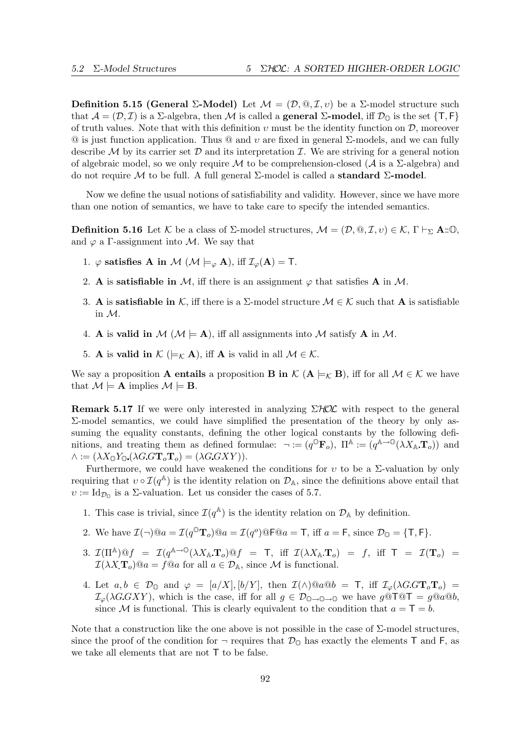Definition 5.15 (General Σ-Model) Let  $\mathcal{M} = (\mathcal{D}, \mathbb{Q}, \mathcal{I}, v)$  be a Σ-model structure such that  $\mathcal{A} = (\mathcal{D}, \mathcal{I})$  is a  $\Sigma$ -algebra, then M is called a **general**  $\Sigma$ **-model**, iff  $\mathcal{D}_0$  is the set  $\{T, F\}$ of truth values. Note that with this definition  $v$  must be the identity function on  $\mathcal{D}$ , moreover  $\Omega$  is just function application. Thus  $\Omega$  and v are fixed in general  $\Sigma$ -models, and we can fully describe  $M$  by its carrier set  $D$  and its interpretation  $\mathcal{I}$ . We are striving for a general notion of algebraic model, so we only require M to be comprehension-closed ( $\mathcal A$  is a  $\Sigma$ -algebra) and do not require M to be full. A full general  $\Sigma$ -model is called a **standard**  $\Sigma$ -model.

Now we define the usual notions of satisfiability and validity. However, since we have more than one notion of semantics, we have to take care to specify the intended semantics.

**Definition 5.16** Let K be a class of  $\Sigma$ -model structures,  $\mathcal{M} = (\mathcal{D}, \mathbb{Q}, \mathcal{I}, v) \in \mathcal{K}, \Gamma \vdash_{\Sigma} \mathbf{A} : \mathbb{Q},$ and  $\varphi$  a Γ-assignment into M. We say that

- 1.  $\varphi$  satisfies A in M (M  $\models_{\varphi}$  A), iff  $\mathcal{I}_{\varphi}(\mathbf{A}) = \mathsf{T}$ .
- 2. A is **satisfiable in** M, iff there is an assignment  $\varphi$  that satisfies A in M.
- 3. A is **satisfiable in** K, iff there is a  $\Sigma$ -model structure  $\mathcal{M} \in \mathcal{K}$  such that A is satisfiable in M.
- 4. A is valid in  $M$  ( $M \models A$ ), iff all assignments into M satisfy A in M.
- 5. A is valid in  $\mathcal{K}$  ( $\models_{\mathcal{K}}$  A), iff A is valid in all  $\mathcal{M} \in \mathcal{K}$ .

We say a proposition **A entails** a proposition **B in**  $\mathcal{K}$  (**A**  $\models_{\mathcal{K}}$  **B**), iff for all  $\mathcal{M} \in \mathcal{K}$  we have that  $\mathcal{M} \models A$  implies  $\mathcal{M} \models B$ .

**Remark 5.17** If we were only interested in analyzing  $\Sigma HOL$  with respect to the general Σ-model semantics, we could have simplified the presentation of the theory by only assuming the equality constants, defining the other logical constants by the following definitions, and treating them as defined formulae:  $\neg := (q^{\mathbb{O}} \mathbf{F}_o)$ ,  $\Pi^{\mathbb{A}} := (q^{\mathbb{A} \to \mathbb{O}}(\lambda X_{\mathbb{A}} \mathbf{T}_o))$  and  $\wedge := (\lambda X_{\mathbb{O}} Y_{\mathbb{O}} (\lambda G G \mathbf{T}_o \mathbf{T}_o) = (\lambda G G X Y)).$ 

Furthermore, we could have weakened the conditions for  $v$  to be a  $\Sigma$ -valuation by only requiring that  $v \circ \mathcal{I}(q^{\mathbb{A}})$  is the identity relation on  $\mathcal{D}_{\mathbb{A}}$ , since the definitions above entail that  $v := \mathrm{Id}_{\mathcal{D}_0}$  is a  $\Sigma$ -valuation. Let us consider the cases of 5.7.

- 1. This case is trivial, since  $\mathcal{I}(q^{\mathbb{A}})$  is the identity relation on  $\mathcal{D}_{\mathbb{A}}$  by definition.
- 2. We have  $\mathcal{I}(\neg)\mathcal{Q}a = \mathcal{I}(q^0\mathbf{T}_o)\mathcal{Q}a = \mathcal{I}(q^o)\mathcal{Q}\mathsf{F}\mathcal{Q}a = \mathsf{T}$ , iff  $a = \mathsf{F}$ , since  $\mathcal{D}_{\mathbb{Q}} = {\mathsf{T}, \mathsf{F}}$ .
- 3.  $\mathcal{I}(\Pi^{\mathbb{A}}) @f = \mathcal{I}(q^{\mathbb{A}\to 0}(\lambda X_{\mathbb{A}} \mathbf{T}_o) @f = \mathsf{T}, \text{ iff } \mathcal{I}(\lambda X_{\mathbb{A}} \mathbf{T}_o) = f, \text{ iff } \mathsf{T} = \mathcal{I}(\mathbf{T}_o) =$  $\mathcal{I}(\lambda X \mathbf{T}_o) @a = f @a$  for all  $a \in \mathcal{D}_A$ , since M is functional.
- 4. Let  $a, b \in \mathcal{D}_0$  and  $\varphi = [a/X], [b/Y],$  then  $\mathcal{I}(\wedge)@a@b = \top$ , iff  $\mathcal{I}_{\varphi}(\wedge G.GT_oT_o)$  $\mathcal{I}_{\varphi}(\lambda G G X Y)$ , which is the case, iff for all  $g \in \mathcal{D}_{\mathbb{O}\to\mathbb{O}\to\mathbb{O}}$  we have  $g\overset{\circ}{\otimes}T \overset{\circ}{\otimes}T = g\overset{\circ}{\otimes}a\overset{\circ}{\otimes}b$ , since M is functional. This is clearly equivalent to the condition that  $a = T = b$ .

Note that a construction like the one above is not possible in the case of  $\Sigma$ -model structures, since the proof of the condition for  $\neg$  requires that  $\mathcal{D}_{\mathbb{Q}}$  has exactly the elements T and F, as we take all elements that are not T to be false.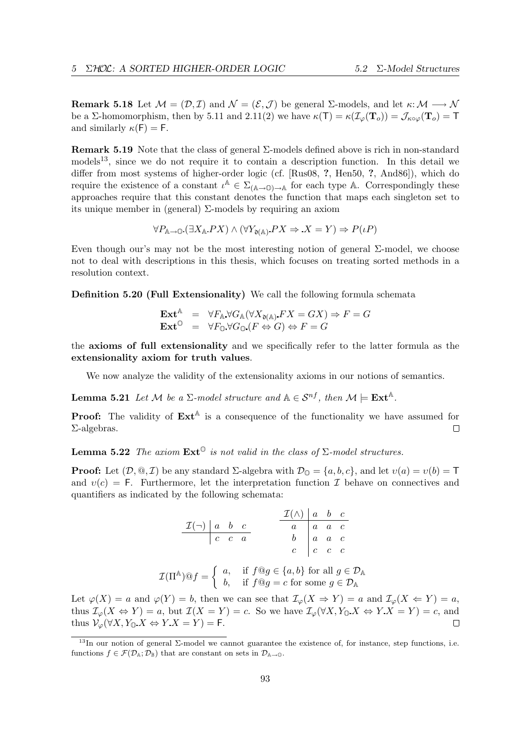**Remark 5.18** Let  $\mathcal{M} = (\mathcal{D}, \mathcal{I})$  and  $\mathcal{N} = (\mathcal{E}, \mathcal{J})$  be general  $\Sigma$ -models, and let  $\kappa : \mathcal{M} \longrightarrow \mathcal{N}$ be a Σ-homomorphism, then by 5.11 and 2.11(2) we have  $\kappa(T) = \kappa(\mathcal{I}_{\varphi}(T_o)) = \mathcal{J}_{\kappa \circ \varphi}(T_o) = T$ and similarly  $\kappa(F) = F$ .

**Remark 5.19** Note that the class of general  $\Sigma$ -models defined above is rich in non-standard models<sup>13</sup>, since we do not require it to contain a description function. In this detail we differ from most systems of higher-order logic (cf. [Rus08, ?, Hen50, ?, And86]), which do require the existence of a constant  $\iota^{\mathbb{A}} \in \Sigma_{(\mathbb{A} \to \mathbb{O}) \to \mathbb{A}}$  for each type A. Correspondingly these approaches require that this constant denotes the function that maps each singleton set to its unique member in (general) Σ-models by requiring an axiom

$$
\forall P_{\mathbb{A}\to\mathbb{O}}\left(\exists X_{\mathbb{A}}\,PX\right)\land\left(\forall Y_{\mathfrak{d}(\mathbb{A})}\,PX\Rightarrow\,X=Y\right)\Rightarrow P(\iota P)
$$

Even though our's may not be the most interesting notion of general Σ-model, we choose not to deal with descriptions in this thesis, which focuses on treating sorted methods in a resolution context.

Definition 5.20 (Full Extensionality) We call the following formula schemata

$$
\begin{array}{rcl}\n\mathbf{Ext}^{\mathbb{A}} & = & \forall F_{\mathbb{A}} \, \forall G_{\mathbb{A}} (\forall X_{\mathfrak{d}(\mathbb{A})} \, FX = GX) \Rightarrow F = G \\
\mathbf{Ext}^{\mathbb{O}} & = & \forall F_{\mathbb{O}} \, \forall G_{\mathbb{O}} \, (F \Leftrightarrow G) \Leftrightarrow F = G\n\end{array}
$$

the axioms of full extensionality and we specifically refer to the latter formula as the extensionality axiom for truth values.

We now analyze the validity of the extensionality axioms in our notions of semantics.

**Lemma 5.21** Let M be a  $\Sigma$ -model structure and  $A \in S^{nf}$ , then  $M \models \mathbf{Ext}^{A}$ .

**Proof:** The validity of  $\text{Ext}^{\mathbb{A}}$  is a consequence of the functionality we have assumed for Σ-algebras.  $\Box$ 

**Lemma 5.22** The axiom  $\text{Ext}^{\mathbb{O}}$  is not valid in the class of  $\Sigma$ -model structures.

**Proof:** Let  $(D, \mathbb{Q}, \mathcal{I})$  be any standard  $\Sigma$ -algebra with  $\mathcal{D}_{\mathbb{Q}} = \{a, b, c\}$ , and let  $v(a) = v(b) = \mathsf{T}$ and  $v(c) = F$ . Furthermore, let the interpretation function I behave on connectives and quantifiers as indicated by the following schemata:

$$
\begin{array}{c|cc}\n\mathcal{I}(\neg) & a & b & c \\
\hline\nc & c & a & b \\
c & c & a & c \\
\end{array}
$$
\n
$$
\begin{array}{c|cc}\n\mathcal{I}(\land) & a & b & c \\
\hline\na & a & a & c \\
b & a & a & c \\
c & c & c\n\end{array}
$$

$$
\mathcal{I}(\Pi^{\mathbb{A}}) @ f = \begin{cases} a, & \text{if } f @ g \in \{a, b\} \text{ for all } g \in \mathcal{D}_{\mathbb{A}} \\ b, & \text{if } f @ g = c \text{ for some } g \in \mathcal{D}_{\mathbb{A}} \end{cases}
$$

Let  $\varphi(X) = a$  and  $\varphi(Y) = b$ , then we can see that  $\mathcal{I}_{\varphi}(X \Rightarrow Y) = a$  and  $\mathcal{I}_{\varphi}(X \Leftarrow Y) = a$ , thus  $\mathcal{I}_{\varphi}(X \Leftrightarrow Y) = a$ , but  $\mathcal{I}(X = Y) = c$ . So we have  $\mathcal{I}_{\varphi}(\forall X, Y_{\mathbb{O}} X \Leftrightarrow Y X = Y) = c$ , and thus  $\mathcal{V}_{\varphi}(\forall X, Y_{\mathbb{O}} X \Leftrightarrow Y X = Y) = \mathsf{F}.$ П

<sup>&</sup>lt;sup>13</sup>In our notion of general  $\Sigma$ -model we cannot guarantee the existence of, for instance, step functions, i.e. functions  $f \in \mathcal{F}(\mathcal{D}_A; \mathcal{D}_B)$  that are constant on sets in  $\mathcal{D}_{A\rightarrow 0}$ .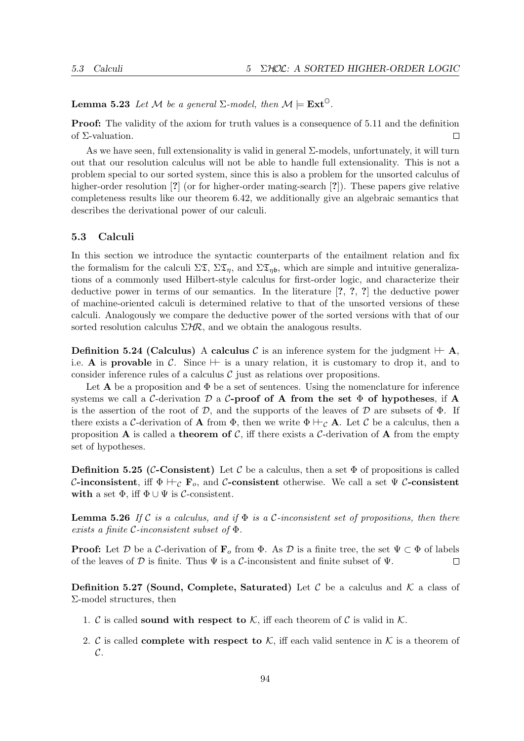**Lemma 5.23** Let M be a general  $\Sigma$ -model, then  $\mathcal{M} \models \text{Ext}^{\mathbb{O}}$ .

**Proof:** The validity of the axiom for truth values is a consequence of 5.11 and the definition of Σ-valuation.  $\Box$ 

As we have seen, full extensionality is valid in general Σ-models, unfortunately, it will turn out that our resolution calculus will not be able to handle full extensionality. This is not a problem special to our sorted system, since this is also a problem for the unsorted calculus of higher-order resolution [?] (or for higher-order mating-search [?]). These papers give relative completeness results like our theorem 6.42, we additionally give an algebraic semantics that describes the derivational power of our calculi.

# 5.3 Calculi

In this section we introduce the syntactic counterparts of the entailment relation and fix the formalism for the calculi  $\Sigma \mathfrak{T}$ ,  $\Sigma \mathfrak{T}_n$ , and  $\Sigma \mathfrak{T}_n$ , which are simple and intuitive generalizations of a commonly used Hilbert-style calculus for first-order logic, and characterize their deductive power in terms of our semantics. In the literature [?, ?, ?] the deductive power of machine-oriented calculi is determined relative to that of the unsorted versions of these calculi. Analogously we compare the deductive power of the sorted versions with that of our sorted resolution calculus  $\Sigma H\mathcal{R}$ , and we obtain the analogous results.

**Definition 5.24 (Calculus)** A calculus C is an inference system for the judgment  $\mathcal{H}$ , i.e. A is provable in C. Since  $\mathcal V$  is a unary relation, it is customary to drop it, and to consider inference rules of a calculus  $\mathcal C$  just as relations over propositions.

Let **A** be a proposition and  $\Phi$  be a set of sentences. Using the nomenclature for inference systems we call a C-derivation D a C-proof of A from the set  $\Phi$  of hypotheses, if A is the assertion of the root of  $\mathcal{D}$ , and the supports of the leaves of  $\mathcal{D}$  are subsets of  $\Phi$ . If there exists a C-derivation of **A** from  $\Phi$ , then we write  $\Phi \vdash_{\mathcal{C}} \mathbf{A}$ . Let C be a calculus, then a proposition **A** is called a **theorem of C**, iff there exists a C-derivation of **A** from the empty set of hypotheses.

**Definition 5.25 (C-Consistent)** Let C be a calculus, then a set  $\Phi$  of propositions is called C-inconsistent, iff  $\Phi \vdash_{\mathcal{C}} \mathbf{F}_o$ , and C-consistent otherwise. We call a set  $\Psi$  C-consistent with a set  $\Phi$ , iff  $\Phi \cup \Psi$  is *C*-consistent.

**Lemma 5.26** If C is a calculus, and if  $\Phi$  is a C-inconsistent set of propositions, then there exists a finite C-inconsistent subset of Φ.

**Proof:** Let D be a C-derivation of  $\mathbf{F}_o$  from  $\Phi$ . As D is a finite tree, the set  $\Psi \subset \Phi$  of labels of the leaves of  $D$  is finite. Thus  $\Psi$  is a C-inconsistent and finite subset of  $\Psi$ .  $\Box$ 

**Definition 5.27 (Sound, Complete, Saturated)** Let C be a calculus and K a class of Σ-model structures, then

- 1. C is called sound with respect to K, iff each theorem of C is valid in K.
- 2. C is called **complete with respect to**  $K$ , iff each valid sentence in  $K$  is a theorem of  $\mathcal{C}.$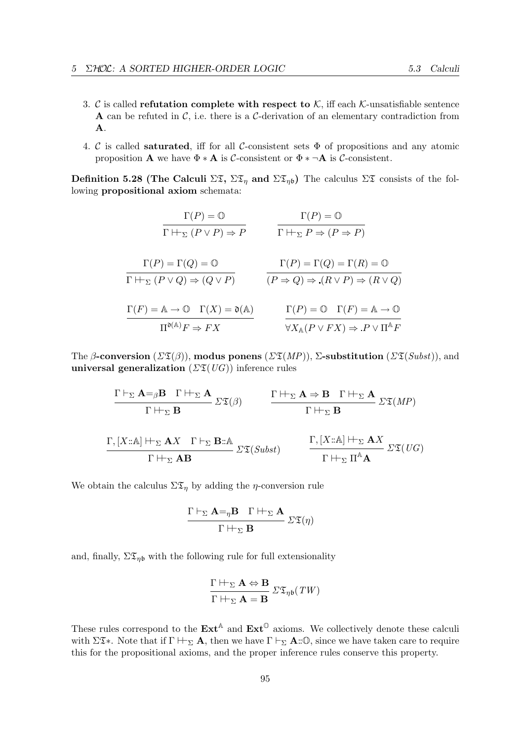- 3. C is called **refutation complete with respect to**  $K$ , iff each  $K$ -unsatisfiable sentence A can be refuted in  $\mathcal{C}$ , i.e. there is a  $\mathcal{C}$ -derivation of an elementary contradiction from A.
- 4. C is called **saturated**, iff for all C-consistent sets  $\Phi$  of propositions and any atomic proposition **A** we have  $\Phi * A$  is C-consistent or  $\Phi * \neg A$  is C-consistent.

Definition 5.28 (The Calculi  $\Sigma \mathfrak{T}$ ,  $\Sigma \mathfrak{T}_n$  and  $\Sigma \mathfrak{T}_{n\mathfrak{b}}$ ) The calculus  $\Sigma \mathfrak{T}$  consists of the following propositional axiom schemata:

$$
\Gamma(P) = \mathbb{O}
$$
\n
$$
\Gamma(\mathbb{P}) = \mathbb{O}
$$
\n
$$
\Gamma(\mathbb{P}) = \mathbb{C}
$$
\n
$$
\Gamma(\mathbb{P}) = \Gamma(Q) = \mathbb{O}
$$
\n
$$
\Gamma(\mathbb{P}) = \Gamma(Q) = \mathbb{O}
$$
\n
$$
\Gamma(\mathbb{P}) = \Gamma(\mathbb{Q}) = \Gamma(\mathbb{R}) = \mathbb{O}
$$
\n
$$
\Gamma(\mathbb{P}) = \Gamma(\mathbb{Q}) = \Gamma(\mathbb{R}) = \mathbb{O}
$$
\n
$$
\Gamma(\mathbb{P}) = \mathbb{O} \quad (\mathbb{P} \Rightarrow \mathbb{Q}) \Rightarrow (\mathbb{R} \vee \mathbb{P}) \Rightarrow (\mathbb{R} \vee \mathbb{Q})
$$
\n
$$
\Gamma(\mathbb{P}) = \mathbb{A} \to \mathbb{O}
$$
\n
$$
\Gamma(\mathbb{P}) = \mathbb{A} \to \mathbb{O}
$$
\n
$$
\Gamma(\mathbb{P}) = \mathbb{O} \quad \Gamma(\mathbb{P}) = \mathbb{A} \to \mathbb{O}
$$
\n
$$
\frac{\Gamma(\mathbb{P}) = \mathbb{O} \quad \Gamma(\mathbb{P}) = \mathbb{A} \to \mathbb{O}}{\mathbb{V}X_{\mathbb{A}}(\mathbb{P} \vee \mathbb{P}X) \Rightarrow \mathbb{P} \vee \Pi^{\mathbb{A}} \mathbb{P}}
$$

The β-conversion  $(\Sigma \mathfrak{T}(\beta))$ , modus ponens  $(\Sigma \mathfrak{T}(MP))$ ,  $\Sigma$ -substitution  $(\Sigma \mathfrak{T}(Subst))$ , and universal generalization  $(\Sigma \mathfrak{T}(UG))$  inference rules

$$
\frac{\Gamma \vdash_{\Sigma} \mathbf{A} =_{\beta} \mathbf{B} \quad \Gamma \vdash_{\Sigma} \mathbf{A}}{\Gamma \vdash_{\Sigma} \mathbf{B}} \quad \Sigma \mathfrak{T}(\beta) \qquad \qquad \frac{\Gamma \vdash_{\Sigma} \mathbf{A} \Rightarrow \mathbf{B} \quad \Gamma \vdash_{\Sigma} \mathbf{A}}{\Gamma \vdash_{\Sigma} \mathbf{B}} \quad \Sigma \mathfrak{T}(MP)
$$
\n
$$
\frac{\Gamma, [X::\mathbb{A}] \vdash_{\Sigma} \mathbf{A} X \quad \Gamma \vdash_{\Sigma} \mathbf{B::\mathbb{A}}}{\Gamma \vdash_{\Sigma} \mathbf{A} \mathbf{B}} \quad \qquad \frac{\Gamma, [X::\mathbb{A}] \vdash_{\Sigma} \mathbf{A} X}{\Gamma \vdash_{\Sigma} \Pi^{\mathbb{A}} \mathbf{A}} \quad \Sigma \mathfrak{T}(UG)
$$

We obtain the calculus  $\Sigma \mathfrak{T}_\eta$  by adding the  $\eta$ -conversion rule

$$
\frac{\Gamma \vdash_{\Sigma} A =_{\eta} B \quad \Gamma \vdash_{\Sigma} A}{\Gamma \vdash_{\Sigma} B} \ \Sigma \mathfrak{T}(\eta)
$$

and, finally,  $\Sigma \mathfrak{T}_{\eta\mathfrak{b}}$  with the following rule for full extensionality

$$
\frac{\Gamma \vdash_{\Sigma} \mathbf{A} \Leftrightarrow \mathbf{B}}{\Gamma \vdash_{\Sigma} \mathbf{A} = \mathbf{B}} \Sigma \mathfrak{T}_{\eta \mathfrak{b}}(TW)
$$

These rules correspond to the  $\text{Ext}^{\mathbb{A}}$  and  $\text{Ext}^{\mathbb{O}}$  axioms. We collectively denote these calculi with  $\Sigma \mathfrak{T}^*$ . Note that if  $\Gamma \vdash_{\Sigma} \mathbf{A}$ , then we have  $\Gamma \vdash_{\Sigma} \mathbf{A} : \mathbb{O}$ , since we have taken care to require this for the propositional axioms, and the proper inference rules conserve this property.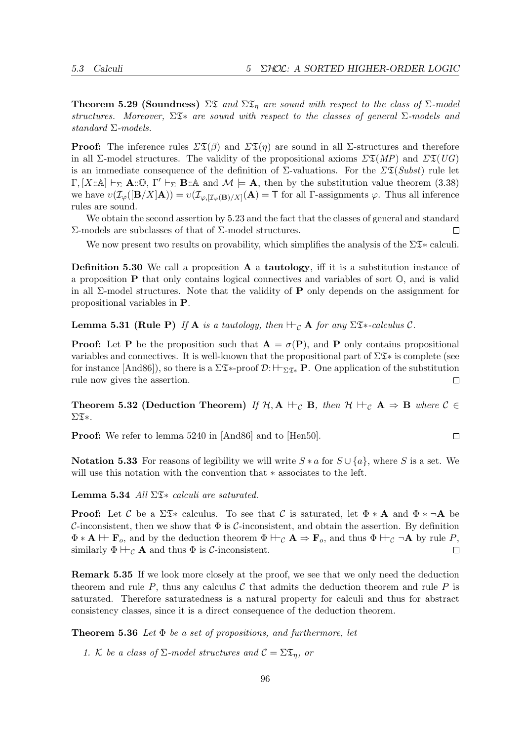**Theorem 5.29 (Soundness)**  $\Sigma \mathfrak{T}$  and  $\Sigma \mathfrak{T}_\eta$  are sound with respect to the class of  $\Sigma$ -model structures. Moreover,  $\Sigma \mathfrak{F}^*$  are sound with respect to the classes of general  $\Sigma$ -models and standard Σ-models.

**Proof:** The inference rules  $\Sigma \mathfrak{T}(\beta)$  and  $\Sigma \mathfrak{T}(\eta)$  are sound in all  $\Sigma$ -structures and therefore in all Σ-model structures. The validity of the propositional axioms  $\Sigma \mathfrak{T}(MP)$  and  $\Sigma \mathfrak{T}(UG)$ is an immediate consequence of the definition of  $\Sigma$ -valuations. For the  $\Sigma \mathfrak{T}(Subst)$  rule let Γ, [X::A]  $\vdash_{\Sigma}$  **A**::①, Γ'  $\vdash_{\Sigma}$  **B**::A and  $\mathcal{M} \models$  **A**, then by the substitution value theorem (3.38) we have  $v(\mathcal{I}_{\varphi}([\mathbf{B}/X]\mathbf{A})) = v(\mathcal{I}_{\varphi,[\mathcal{I}_{\varphi}(\mathbf{B})/X]}(\mathbf{A})) = \mathsf{T}$  for all  $\Gamma$ -assignments  $\varphi$ . Thus all inference rules are sound.

We obtain the second assertion by 5.23 and the fact that the classes of general and standard Σ-models are subclasses of that of Σ-model structures.  $\Box$ 

We now present two results on provability, which simplifies the analysis of the  $\Sigma\mathfrak{T}^*$  calculi.

**Definition 5.30** We call a proposition  $A$  a **tautology**, iff it is a substitution instance of a proposition P that only contains logical connectives and variables of sort O, and is valid in all  $\Sigma$ -model structures. Note that the validity of **P** only depends on the assignment for propositional variables in P.

**Lemma 5.31 (Rule P)** If **A** is a tautology, then  $\vdash_C A$  for any  $\Sigma \mathfrak{X}^*$ -calculus C.

**Proof:** Let **P** be the proposition such that  $A = \sigma(P)$ , and **P** only contains propositional variables and connectives. It is well-known that the propositional part of  $\Sigma \mathfrak{T}^*$  is complete (see for instance  $[And86]$ , so there is a  $\Sigma\mathfrak{F}_{*}$ -proof  $\mathcal{D}: \vdash_{\Sigma\mathfrak{F}_{*}} \mathbf{P}$ . One application of the substitution rule now gives the assertion.  $\Box$ 

**Theorem 5.32 (Deduction Theorem)** If  $H, A \vdash_C B$ , then  $H \vdash_C A \Rightarrow B$  where  $C \in$  $\Sigma\mathfrak{T}$ \*.

Proof: We refer to lemma 5240 in [And86] and to [Hen50].

Notation 5.33 For reasons of legibility we will write  $S * a$  for  $S \cup \{a\}$ , where S is a set. We will use this notation with the convention that ∗ associates to the left.

Lemma 5.34 All  $\Sigma$ <sub>3</sub> calculi are saturated.

**Proof:** Let C be a  $\Sigma \mathfrak{T} *$  calculus. To see that C is saturated, let  $\Phi * A$  and  $\Phi * \neg A$  be C-inconsistent, then we show that  $\Phi$  is C-inconsistent, and obtain the assertion. By definition  $\Phi * A \vdash F_o$ , and by the deduction theorem  $\Phi \vdash_{\mathcal{C}} A \Rightarrow F_o$ , and thus  $\Phi \vdash_{\mathcal{C}} \neg A$  by rule P, similarly  $\Phi \vdash_{\mathcal{C}} \mathbf{A}$  and thus  $\Phi$  is C-inconsistent.  $\Box$ 

Remark 5.35 If we look more closely at the proof, we see that we only need the deduction theorem and rule  $P$ , thus any calculus  $\mathcal C$  that admits the deduction theorem and rule  $P$  is saturated. Therefore saturatedness is a natural property for calculi and thus for abstract consistency classes, since it is a direct consequence of the deduction theorem.

**Theorem 5.36** Let  $\Phi$  be a set of propositions, and furthermore, let

1. K be a class of  $\Sigma$ -model structures and  $\mathcal{C} = \Sigma \mathfrak{T}_\eta$ , or

 $\Box$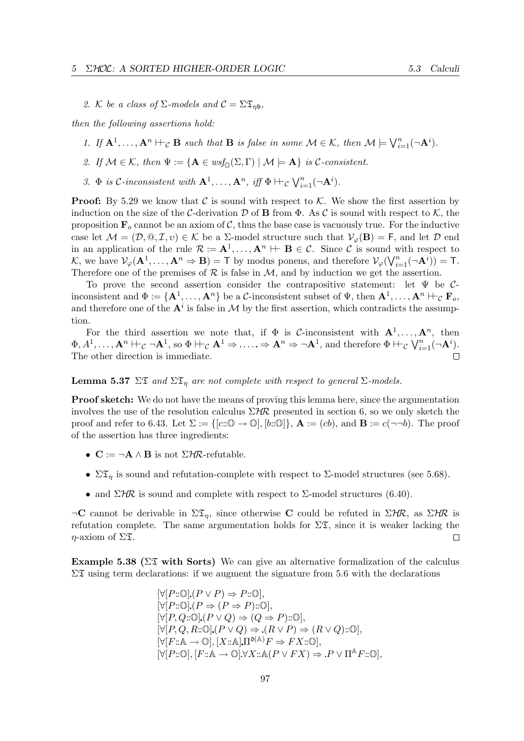2. K be a class of  $\Sigma$ -models and  $C = \Sigma \mathfrak{T}_{n\mathfrak{b}}$ ,

then the following assertions hold:

- 1. If  $\mathbf{A}^1, \ldots, \mathbf{A}^n \vdash_{\mathcal{C}} \mathbf{B}$  such that  $\mathbf{B}$  is false in some  $\mathcal{M} \in \mathcal{K}$ , then  $\mathcal{M} \models \bigvee_{i=1}^n (\neg \mathbf{A}^i)$ .
- 2. If  $\mathcal{M} \in \mathcal{K}$ , then  $\Psi := \{ \mathbf{A} \in \text{wsf}_0(\Sigma, \Gamma) \mid \mathcal{M} \models \mathbf{A} \}$  is C-consistent.
- 3.  $\Phi$  is C-inconsistent with  $\mathbf{A}^1, \ldots, \mathbf{A}^n$ , iff  $\Phi \vdash_{\mathcal{C}} \bigvee_{i=1}^n (\neg \mathbf{A}^i)$ .

**Proof:** By 5.29 we know that C is sound with respect to K. We show the first assertion by induction on the size of the C-derivation D of **B** from  $\Phi$ . As C is sound with respect to K, the proposition  $\mathbf{F}_o$  cannot be an axiom of C, thus the base case is vacuously true. For the inductive case let  $\mathcal{M} = (\mathcal{D}, \mathbb{Q}, \mathcal{I}, v) \in \mathcal{K}$  be a  $\Sigma$ -model structure such that  $\mathcal{V}_{\varphi}(\mathbf{B}) = \mathsf{F}$ , and let  $\mathcal{D}$  end in an application of the rule  $\mathcal{R} := \mathbf{A}^1, \ldots, \mathbf{A}^n \vdash \mathbf{B} \in \mathcal{C}$ . Since C is sound with respect to K, we have  $\mathcal{V}_{\varphi}(\mathbf{A}^1, \dots, \mathbf{A}^n \Rightarrow \mathbf{B}) = \mathsf{T}$  by modus ponens, and therefore  $\mathcal{V}_{\varphi}(\bigvee_{i=1}^n (\neg \mathbf{A}^i)) = \mathsf{T}$ . Therefore one of the premises of  $R$  is false in  $M$ , and by induction we get the assertion.

To prove the second assertion consider the contrapositive statement: let Ψ be Cinconsistent and  $\Phi := {\{A^1,\ldots,A^n\}}$  be a C-inconsistent subset of  $\Psi$ , then  $A^1,\ldots,A^n \vdash_{\mathcal{C}} \mathbf{F}_o$ , and therefore one of the  $A^i$  is false in M by the first assertion, which contradicts the assumption.

For the third assertion we note that, if  $\Phi$  is *C*-inconsistent with  $\mathbf{A}^1, \ldots, \mathbf{A}^n$ , then  $\Phi, A^1, \ldots, \mathbf{A}^n \vdash_{\mathcal{C}} \neg \mathbf{A}^1$ , so  $\Phi \vdash_{\mathcal{C}} \mathbf{A}^1 \Rightarrow \ldots \Rightarrow \mathbf{A}^n \Rightarrow \neg \mathbf{A}^1$ , and therefore  $\Phi \vdash_{\mathcal{C}} \bigvee_{i=1}^n (\neg \mathbf{A}^i)$ . The other direction is immediate.

**Lemma 5.37**  $\Sigma \mathfrak{T}$  and  $\Sigma \mathfrak{T}_n$  are not complete with respect to general  $\Sigma$ -models.

**Proof sketch:** We do not have the means of proving this lemma here, since the argumentation involves the use of the resolution calculus  $\Sigma H\mathcal{R}$  presented in section 6, so we only sketch the proof and refer to 6.43. Let  $\Sigma := \{ [c : \mathbb{O} \to \mathbb{O}], [b : \mathbb{O}] \}, \mathbf{A} := (cb), \text{ and } \mathbf{B} := c(\neg \neg b)$ . The proof of the assertion has three ingredients:

- $\mathbf{C} := \neg \mathbf{A} \wedge \mathbf{B}$  is not  $\Sigma H \mathcal{R}$ -refutable.
- $\Sigma \mathfrak{T}_\eta$  is sound and refutation-complete with respect to  $\Sigma$ -model structures (see 5.68).
- and  $\Sigma$ HR is sound and complete with respect to  $\Sigma$ -model structures (6.40).

 $\neg C$  cannot be derivable in  $\Sigma \mathfrak{X}_\eta$ , since otherwise C could be refuted in  $\Sigma H\mathcal{R}$ , as  $\Sigma H\mathcal{R}$  is refutation complete. The same argumentation holds for  $\Sigma \mathfrak{T}$ , since it is weaker lacking the  $\eta$ -axiom of  $\Sigma \mathfrak{T}$ .  $\Box$ 

Example 5.38 ( $\Sigma \mathfrak{I}$  with Sorts) We can give an alternative formalization of the calculus  $\Sigma \mathfrak{X}$  using term declarations: if we augment the signature from 5.6 with the declarations

$$
[\forall [P::\mathbb{O}](P \lor P) \Rightarrow P::\mathbb{O}],
$$
  
\n
$$
[\forall [P::\mathbb{O}](P \Rightarrow (P \Rightarrow P)::\mathbb{O}],
$$
  
\n
$$
[\forall [P,Q::\mathbb{O}](P \lor Q) \Rightarrow (Q \Rightarrow P)::\mathbb{O}],
$$
  
\n
$$
[\forall [P,Q,R::\mathbb{O}](P \lor Q) \Rightarrow (R \lor P) \Rightarrow (R \lor Q)::\mathbb{O}],
$$
  
\n
$$
[\forall [F::\mathbb{A} \rightarrow \mathbb{O}], [X::\mathbb{A}] \Pi^{\mathbb{O}(\mathbb{A})} F \Rightarrow FX::\mathbb{O}],
$$
  
\n
$$
[\forall [P::\mathbb{O}], [F::\mathbb{A} \rightarrow \mathbb{O}] \forall X::\mathbb{A}(P \lor FX) \Rightarrow P \lor \Pi^{\mathbb{A}}F::\mathbb{O}],
$$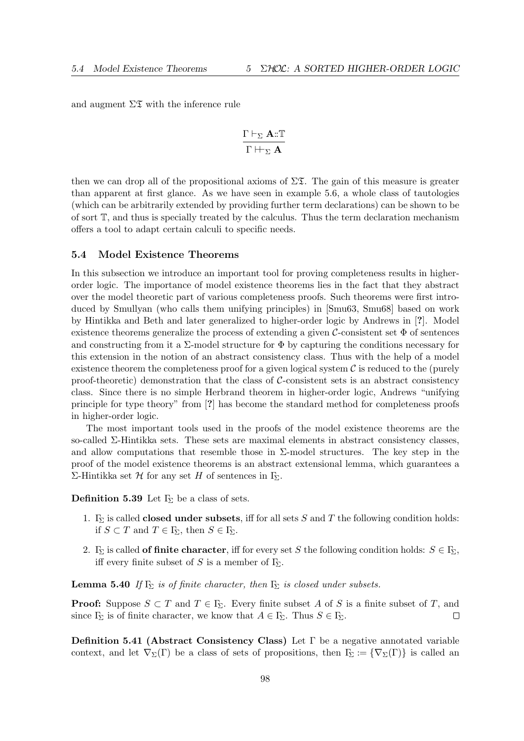and augment  $\Sigma \mathfrak{I}$  with the inference rule

$$
\frac{\Gamma\vdash_\Sigma\mathbf{A}::\mathbb{T}}{\Gamma\vdash_{\Sigma}\mathbf{A}}
$$

then we can drop all of the propositional axioms of  $\Sigma \mathfrak{X}$ . The gain of this measure is greater than apparent at first glance. As we have seen in example 5.6, a whole class of tautologies (which can be arbitrarily extended by providing further term declarations) can be shown to be of sort T, and thus is specially treated by the calculus. Thus the term declaration mechanism offers a tool to adapt certain calculi to specific needs.

#### 5.4 Model Existence Theorems

In this subsection we introduce an important tool for proving completeness results in higherorder logic. The importance of model existence theorems lies in the fact that they abstract over the model theoretic part of various completeness proofs. Such theorems were first introduced by Smullyan (who calls them unifying principles) in [Smu63, Smu68] based on work by Hintikka and Beth and later generalized to higher-order logic by Andrews in [?]. Model existence theorems generalize the process of extending a given  $\mathcal{C}$ -consistent set  $\Phi$  of sentences and constructing from it a  $\Sigma$ -model structure for  $\Phi$  by capturing the conditions necessary for this extension in the notion of an abstract consistency class. Thus with the help of a model existence theorem the completeness proof for a given logical system  $\mathcal C$  is reduced to the (purely proof-theoretic) demonstration that the class of  $C$ -consistent sets is an abstract consistency class. Since there is no simple Herbrand theorem in higher-order logic, Andrews "unifying principle for type theory" from [?] has become the standard method for completeness proofs in higher-order logic.

The most important tools used in the proofs of the model existence theorems are the so-called Σ-Hintikka sets. These sets are maximal elements in abstract consistency classes, and allow computations that resemble those in  $\Sigma$ -model structures. The key step in the proof of the model existence theorems is an abstract extensional lemma, which guarantees a Σ-Hintikka set H for any set H of sentences in Γ<sub>Σ</sub>.

**Definition 5.39** Let  $\Gamma_{\Sigma}$  be a class of sets.

- 1.  $\Gamma_{\Sigma}$  is called **closed under subsets**, iff for all sets S and T the following condition holds: if  $S \subset T$  and  $T \in \Gamma_{\!\Sigma}$ , then  $S \in \Gamma_{\!\Sigma}$ .
- 2. Γ<sub>Σ</sub> is called **of finite character**, iff for every set S the following condition holds:  $S \in \mathbb{F}_2$ , iff every finite subset of S is a member of  $\Gamma_{\!\Sigma}$ .

**Lemma 5.40** If  $\Gamma_{\Sigma}$  is of finite character, then  $\Gamma_{\Sigma}$  is closed under subsets.

**Proof:** Suppose  $S \subset T$  and  $T \in \Gamma_{\Sigma}$ . Every finite subset A of S is a finite subset of T, and since  $\Gamma_{\!\Sigma}$  is of finite character, we know that  $A \in \Gamma_{\!\Sigma}$ . Thus  $S \in \Gamma_{\!\Sigma}$ .  $\Box$ 

Definition 5.41 (Abstract Consistency Class) Let Γ be a negative annotated variable context, and let  $\nabla_{\Sigma}(\Gamma)$  be a class of sets of propositions, then  $\Gamma_{\Sigma} := {\nabla_{\Sigma}(\Gamma)}$  is called an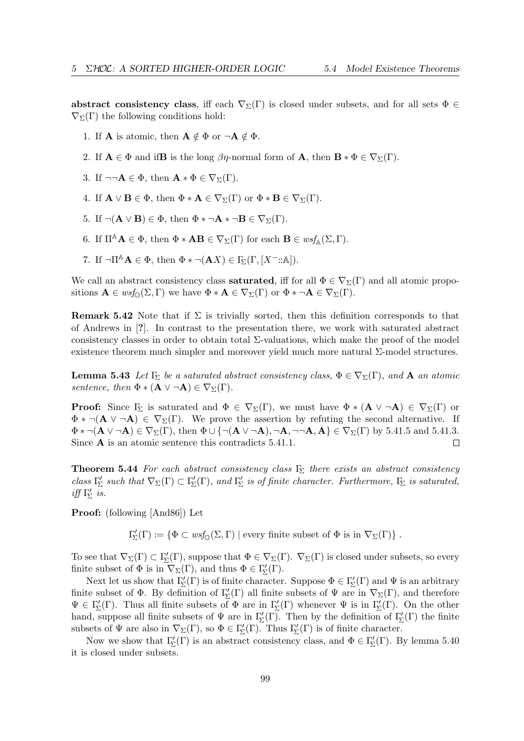abstract consistency class, iff each  $\nabla_{\Sigma}(\Gamma)$  is closed under subsets, and for all sets  $\Phi \in$  $\nabla_{\Sigma}(\Gamma)$  the following conditions hold:

- 1. If **A** is atomic, then  $\mathbf{A} \notin \Phi$  or  $\neg \mathbf{A} \notin \Phi$ .
- 2. If  $\mathbf{A} \in \Phi$  and if B is the long  $\beta\eta$ -normal form of  $\mathbf{A}$ , then  $\mathbf{B} * \Phi \in \nabla_{\Sigma}(\Gamma)$ .
- 3. If  $\neg\neg A \in \Phi$ , then  $\mathbf{A} * \Phi \in \nabla_{\Sigma}(\Gamma)$ .
- 4. If  $\mathbf{A} \vee \mathbf{B} \in \Phi$ , then  $\Phi * \mathbf{A} \in \nabla_{\Sigma}(\Gamma)$  or  $\Phi * \mathbf{B} \in \nabla_{\Sigma}(\Gamma)$ .
- 5. If  $\neg(\mathbf{A} \vee \mathbf{B}) \in \Phi$ , then  $\Phi * \neg \mathbf{A} * \neg \mathbf{B} \in \nabla_{\Sigma}(\Gamma)$ .
- 6. If  $\Pi^{\mathbb{A}}\mathbf{A} \in \Phi$ , then  $\Phi * \mathbf{A}\mathbf{B} \in \nabla_{\Sigma}(\Gamma)$  for each  $\mathbf{B} \in wsf_{\mathbb{A}}(\Sigma, \Gamma)$ .
- 7. If  $\neg \Pi^{\mathbb{A}} \mathbf{A} \in \Phi$ , then  $\Phi * \neg (\mathbf{A}X) \in \Gamma_{\Sigma}(\Gamma, [X^{-}:\mathbb{A}]).$

We call an abstract consistency class **saturated**, iff for all  $\Phi \in \nabla_{\Sigma}(\Gamma)$  and all atomic propositions  $\mathbf{A} \in \text{wsf}_{\mathbb{O}}(\Sigma, \Gamma)$  we have  $\Phi * \mathbf{A} \in \nabla_{\Sigma}(\Gamma)$  or  $\Phi * \neg \mathbf{A} \in \nabla_{\Sigma}(\Gamma)$ .

**Remark 5.42** Note that if  $\Sigma$  is trivially sorted, then this definition corresponds to that of Andrews in [?]. In contrast to the presentation there, we work with saturated abstract consistency classes in order to obtain total  $\Sigma$ -valuations, which make the proof of the model existence theorem much simpler and moreover yield much more natural  $\Sigma$ -model structures.

**Lemma 5.43** Let  $\Gamma_{\Sigma}$  be a saturated abstract consistency class,  $\Phi \in \nabla_{\Sigma}(\Gamma)$ , and **A** an atomic sentence, then  $\Phi * (\mathbf{A} \vee \neg \mathbf{A}) \in \nabla_{\Sigma}(\Gamma)$ .

**Proof:** Since  $\Gamma_{\Sigma}$  is saturated and  $\Phi \in \nabla_{\Sigma}(\Gamma)$ , we must have  $\Phi * (\mathbf{A} \vee \neg \mathbf{A}) \in \nabla_{\Sigma}(\Gamma)$  or  $\Phi * \neg(A \vee \neg A) \in \nabla_{\Sigma}(\Gamma)$ . We prove the assertion by refuting the second alternative. If  $\Phi * \neg (\mathbf{A} \vee \neg \mathbf{A}) \in \nabla_{\Sigma}(\Gamma)$ , then  $\Phi \cup \{\neg (\mathbf{A} \vee \neg \mathbf{A}), \neg \mathbf{A}, \neg \neg \mathbf{A}, \mathbf{A}\} \in \nabla_{\Sigma}(\Gamma)$  by 5.41.5 and 5.41.3. Since A is an atomic sentence this contradicts 5.41.1.  $\Box$ 

**Theorem 5.44** For each abstract consistency class  $\Gamma_{\Sigma}$  there exists an abstract consistency class  $\Gamma'_{\Sigma}$  such that  $\nabla_{\Sigma}(\Gamma) \subset \Gamma'_{\Sigma}(\Gamma)$ , and  $\Gamma'_{\Sigma}$  is of finite character. Furthermore,  $\Gamma_{\Sigma}$  is saturated, iff  $\Gamma'_{\!\Sigma}$  is.

Proof: (following [And86]) Let

 $\Gamma'_{\Sigma}(\Gamma) := \{ \Phi \subset \text{wsf}_{\mathbb{O}}(\Sigma, \Gamma) \mid \text{every finite subset of } \Phi \text{ is in } \nabla_{\Sigma}(\Gamma) \}$ .

To see that  $\nabla_{\Sigma}(\Gamma) \subset \Gamma'_{\Sigma}(\Gamma)$ , suppose that  $\Phi \in \nabla_{\Sigma}(\Gamma)$ .  $\nabla_{\Sigma}(\Gamma)$  is closed under subsets, so every finite subset of  $\Phi$  is in  $\nabla_{\Sigma}(\Gamma)$ , and thus  $\Phi \in \Gamma'_{\Sigma}(\Gamma)$ .

Next let us show that  $\Gamma'_{\Sigma}(\Gamma)$  is of finite character. Suppose  $\Phi \in \Gamma'_{\Sigma}(\Gamma)$  and  $\Psi$  is an arbitrary finite subset of  $\Phi$ . By definition of  $\Gamma'_{\Sigma}(\Gamma)$  all finite subsets of  $\Psi$  are in  $\nabla_{\Sigma}(\Gamma)$ , and therefore  $\Psi \in \Gamma'_{\Sigma}(\Gamma)$ . Thus all finite subsets of  $\Phi$  are in  $\Gamma'_{\Sigma}(\Gamma)$  whenever  $\Psi$  is in  $\Gamma'_{\Sigma}(\Gamma)$ . On the other hand, suppose all finite subsets of  $\Psi$  are in  $\Gamma'_{\Sigma}(\Gamma)$ . Then by the definition of  $\Gamma'_{\Sigma}(\Gamma)$  the finite subsets of  $\Psi$  are also in  $\nabla_{\Sigma}(\Gamma)$ , so  $\Phi \in \Gamma'_{\Sigma}(\Gamma)$ . Thus  $\Gamma'_{\Sigma}(\Gamma)$  is of finite character.

Now we show that  $\Gamma'_{\Sigma}(\Gamma)$  is an abstract consistency class, and  $\Phi \in \Gamma'_{\Sigma}(\Gamma)$ . By lemma 5.40 it is closed under subsets.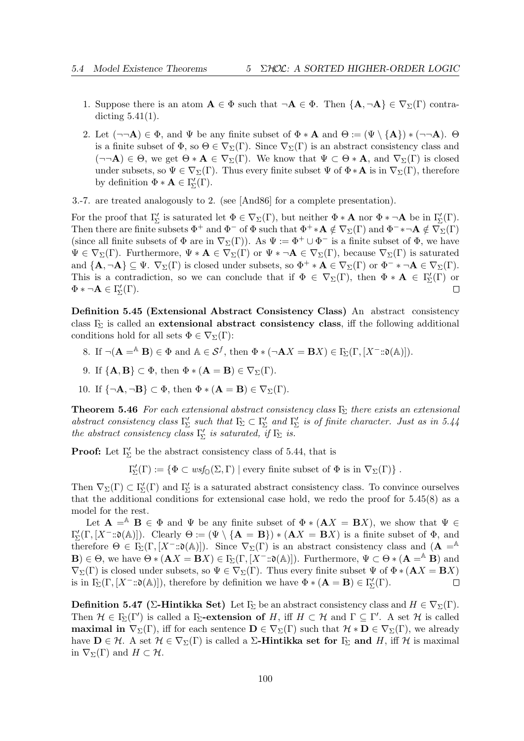- 1. Suppose there is an atom  $A \in \Phi$  such that  $\neg A \in \Phi$ . Then  $\{A, \neg A\} \in \nabla_{\Sigma}(\Gamma)$  contradicting 5.41(1).
- 2. Let  $(\neg\neg A) \in \Phi$ , and  $\Psi$  be any finite subset of  $\Phi * A$  and  $\Theta := (\Psi \setminus \{A\}) * (\neg \neg A)$ .  $\Theta$ is a finite subset of  $\Phi$ , so  $\Theta \in \nabla_{\Sigma}(\Gamma)$ . Since  $\nabla_{\Sigma}(\Gamma)$  is an abstract consistency class and  $(\neg\neg A) \in \Theta$ , we get  $\Theta * A \in \nabla_{\Sigma}(\Gamma)$ . We know that  $\Psi \subset \Theta * A$ , and  $\nabla_{\Sigma}(\Gamma)$  is closed under subsets, so  $\Psi \in \nabla_{\Sigma}(\Gamma)$ . Thus every finite subset  $\Psi$  of  $\Phi * A$  is in  $\nabla_{\Sigma}(\Gamma)$ , therefore by definition  $\Phi * A \in \Gamma'_{\Sigma}(\Gamma)$ .
- 3.-7. are treated analogously to 2. (see [And86] for a complete presentation).

For the proof that  $\Gamma'_{\Sigma}$  is saturated let  $\Phi \in \nabla_{\Sigma}(\Gamma)$ , but neither  $\Phi * A$  nor  $\Phi * \neg A$  be in  $\Gamma'_{\Sigma}(\Gamma)$ . Then there are finite subsets  $\Phi^+$  and  $\Phi^-$  of  $\Phi$  such that  $\Phi^+ * A \notin \nabla_{\Sigma}(\Gamma)$  and  $\Phi^- * \neg A \notin \nabla_{\Sigma}(\Gamma)$ (since all finite subsets of  $\Phi$  are in  $\nabla_{\Sigma}(\Gamma)$ ). As  $\Psi := \Phi^+ \cup \Phi^-$  is a finite subset of  $\Phi$ , we have  $\Psi \in \nabla_{\Sigma}(\Gamma)$ . Furthermore,  $\Psi * A \in \nabla_{\Sigma}(\Gamma)$  or  $\Psi * \neg A \in \nabla_{\Sigma}(\Gamma)$ , because  $\nabla_{\Sigma}(\Gamma)$  is saturated and  $\{A, \neg A\} \subseteq \Psi$ .  $\nabla_{\Sigma}(\Gamma)$  is closed under subsets, so  $\Phi^+ * A \in \nabla_{\Sigma}(\Gamma)$  or  $\Phi^- * \neg A \in \nabla_{\Sigma}(\Gamma)$ . This is a contradiction, so we can conclude that if  $\Phi \in \nabla_{\Sigma}(\Gamma)$ , then  $\Phi * A \in \Gamma'_{\Sigma}(\Gamma)$  or  $\Phi * \neg \mathbf{A} \in \Gamma'_{\Sigma}(\Gamma).$  $\Box$ 

Definition 5.45 (Extensional Abstract Consistency Class) An abstract consistency class  $\Gamma_{\!\Sigma}$  is called an extensional abstract consistency class, iff the following additional conditions hold for all sets  $\Phi \in \nabla_{\Sigma}(\Gamma)$ :

- 8. If  $\neg(\mathbf{A} = A \mathbf{B}) \in \Phi$  and  $A \in \mathcal{S}^f$ , then  $\Phi * (\neg \mathbf{A}X = \mathbf{B}X) \in \Gamma_{\!\Sigma}(\Gamma, [X^- : \mathfrak{d}(A)]).$
- 9. If  $\{A, B\} \subset \Phi$ , then  $\Phi * (A = B) \in \nabla_{\Sigma}(\Gamma)$ .
- 10. If  $\{\neg \mathbf{A}, \neg \mathbf{B}\} \subset \Phi$ , then  $\Phi * (\mathbf{A} = \mathbf{B}) \in \nabla_{\Sigma}(\Gamma)$ .

**Theorem 5.46** For each extensional abstract consistency class  $\Gamma_{\!\Sigma}$  there exists an extensional abstract consistency class  $\Gamma'_{\Sigma}$  such that  $\Gamma_{\Sigma} \subset \Gamma'_{\Sigma}$  and  $\Gamma'_{\Sigma}$  is of finite character. Just as in 5.44 the abstract consistency class  $\Gamma'_{\!\Sigma}$  is saturated, if  $\Gamma_{\!\Sigma}$  is.

**Proof:** Let  $\Gamma'_{\Sigma}$  be the abstract consistency class of 5.44, that is

 $\Gamma'_{\Sigma}(\Gamma) := \{ \Phi \subset \text{wsf}_{\mathbb{O}}(\Sigma, \Gamma) \mid \text{every finite subset of } \Phi \text{ is in } \nabla_{\Sigma}(\Gamma) \}$ .

Then  $\nabla_{\Sigma}(\Gamma) \subset \Gamma'_{\Sigma}(\Gamma)$  and  $\Gamma'_{\Sigma}$  is a saturated abstract consistency class. To convince ourselves that the additional conditions for extensional case hold, we redo the proof for 5.45(8) as a model for the rest.

Let  $\mathbf{A} = A \mathbf{B} \in \Phi$  and  $\Psi$  be any finite subset of  $\Phi * (\mathbf{A}X = \mathbf{B}X)$ , we show that  $\Psi \in \Psi$  $\Gamma'_{\Sigma}(\Gamma,[X^{-}:\mathfrak{d}(\mathbb{A})])$ . Clearly  $\Theta := (\Psi \setminus {\bf{A}} = {\bf{B}}) * ({\bf{A}}X = {\bf{B}}X)$  is a finite subset of  $\Phi$ , and therefore  $\Theta \in \Gamma_{\Sigma}(\Gamma, [X^- : \mathfrak{d}(\mathbb{A})])$ . Since  $\nabla_{\Sigma}(\Gamma)$  is an abstract consistency class and  $(\mathbf{A} = \mathbb{A})$ **B**)  $\in \Theta$ , we have  $\Theta * (AX = BX) \in \Gamma_{\Sigma}(\Gamma, [X^- : \mathfrak{d}(\mathbb{A})])$ . Furthermore,  $\Psi \subset \Theta * (A = A^*B)$  and  $\nabla_{\Sigma}(\Gamma)$  is closed under subsets, so  $\Psi \in \nabla_{\Sigma}(\Gamma)$ . Thus every finite subset  $\Psi$  of  $\Phi * (AX = BX)$ is in  $\Gamma_{\!\Sigma}(\Gamma,[X^-::\mathfrak{d}(\mathbb{A})]),$  therefore by definition we have  $\Phi * (\mathbf{A} = \mathbf{B}) \in \Gamma'_{\!\Sigma}(\Gamma)$ .  $\Box$ 

**Definition 5.47** (Σ-Hintikka Set) Let  $\Gamma_{\Sigma}$  be an abstract consistency class and  $H \in \nabla_{\Sigma}(\Gamma)$ . Then  $\mathcal{H} \in \Gamma_{\Sigma}(\Gamma')$  is called a  $\Gamma_{\Sigma}$ -extension of H, iff  $H \subset \mathcal{H}$  and  $\Gamma \subseteq \Gamma'$ . A set  $\mathcal{H}$  is called **maximal in**  $\nabla_{\Sigma}(\Gamma)$ , iff for each sentence  $\mathbf{D} \in \nabla_{\Sigma}(\Gamma)$  such that  $\mathcal{H} * \mathbf{D} \in \nabla_{\Sigma}(\Gamma)$ , we already have  $\mathbf{D} \in \mathcal{H}$ . A set  $\mathcal{H} \in \nabla_{\Sigma}(\Gamma)$  is called a  $\Sigma$ -Hintikka set for  $\Gamma_{\Sigma}$  and H, iff H is maximal in  $\nabla_{\Sigma}(\Gamma)$  and  $H \subset \mathcal{H}$ .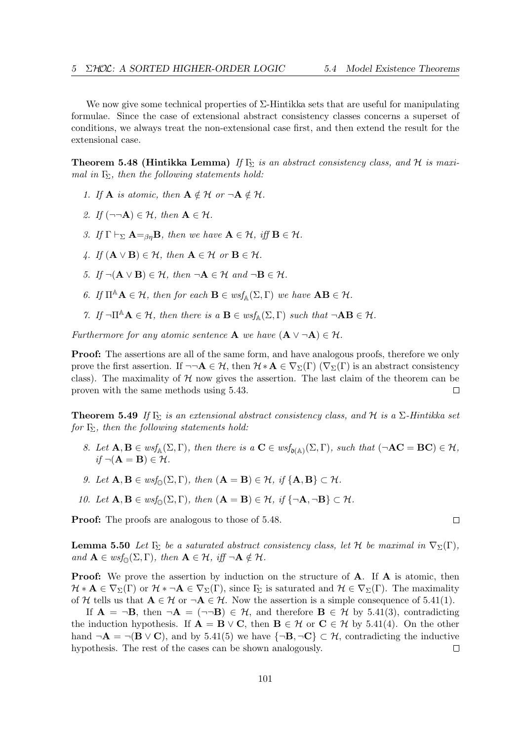We now give some technical properties of  $\Sigma$ -Hintikka sets that are useful for manipulating formulae. Since the case of extensional abstract consistency classes concerns a superset of conditions, we always treat the non-extensional case first, and then extend the result for the extensional case.

**Theorem 5.48 (Hintikka Lemma)** If  $F_{\Sigma}$  is an abstract consistency class, and H is maximal in  $\Gamma_{\!\Sigma}$ , then the following statements hold:

- 1. If **A** is atomic, then  $A \notin \mathcal{H}$  or  $\neg A \notin \mathcal{H}$ .
- 2. If  $(\neg\neg A) \in \mathcal{H}$ , then  $A \in \mathcal{H}$ .
- 3. If  $\Gamma \vdash_{\Sigma} \mathbf{A} =_{\beta n} \mathbf{B}$ , then we have  $\mathbf{A} \in \mathcal{H}$ , iff  $\mathbf{B} \in \mathcal{H}$ .
- 4. If  $(\mathbf{A} \vee \mathbf{B}) \in \mathcal{H}$ , then  $\mathbf{A} \in \mathcal{H}$  or  $\mathbf{B} \in \mathcal{H}$ .
- 5. If  $\neg(\mathbf{A} \vee \mathbf{B}) \in \mathcal{H}$ , then  $\neg \mathbf{A} \in \mathcal{H}$  and  $\neg \mathbf{B} \in \mathcal{H}$ .
- 6. If  $\Pi^{\mathbb{A}}\mathbf{A}\in\mathcal{H}$ , then for each  $\mathbf{B}\in \mathfrak{wsf}_{\mathbb{A}}(\Sigma,\Gamma)$  we have  $\mathbf{A}\mathbf{B}\in\mathcal{H}$ .
- 7. If  $\neg \Pi^{\mathbb{A}}\mathbf{A} \in \mathcal{H}$ , then there is a  $\mathbf{B} \in \text{wsf}_{\mathbb{A}}(\Sigma, \Gamma)$  such that  $\neg \mathbf{A}\mathbf{B} \in \mathcal{H}$ .

Furthermore for any atomic sentence **A** we have  $(A \lor \neg A) \in \mathcal{H}$ .

**Proof:** The assertions are all of the same form, and have analogous proofs, therefore we only prove the first assertion. If  $\neg\neg A \in \mathcal{H}$ , then  $\mathcal{H} * A \in \nabla_{\Sigma}(\Gamma)$  ( $\nabla_{\Sigma}(\Gamma)$  is an abstract consistency class). The maximality of  $H$  now gives the assertion. The last claim of the theorem can be proven with the same methods using 5.43.  $\Box$ 

**Theorem 5.49** If  $\Gamma_{\Sigma}$  is an extensional abstract consistency class, and H is a  $\Sigma$ -Hintikka set for  $\Gamma_{\Sigma}$ , then the following statements hold:

- 8. Let  $\mathbf{A}, \mathbf{B} \in \text{wsf}_{\mathbb{A}}(\Sigma, \Gamma)$ , then there is  $a \mathbf{C} \in \text{wsf}_{\mathfrak{d}(\mathbb{A})}(\Sigma, \Gamma)$ , such that  $(\neg \mathbf{AC} = \mathbf{BC}) \in \mathcal{H}$ ,  $if \neg(A = B) \in \mathcal{H}.$
- 9. Let  $\mathbf{A}, \mathbf{B} \in \text{wsf}_{\mathbb{O}}(\Sigma, \Gamma)$ , then  $(\mathbf{A} = \mathbf{B}) \in \mathcal{H}$ , if  $\{\mathbf{A}, \mathbf{B}\} \subset \mathcal{H}$ .
- 10. Let  $\mathbf{A}, \mathbf{B} \in \text{wsf}_{\odot}(\Sigma, \Gamma)$ , then  $(\mathbf{A} = \mathbf{B}) \in \mathcal{H}$ , if  $\{\neg \mathbf{A}, \neg \mathbf{B}\} \subset \mathcal{H}$ .

**Proof:** The proofs are analogous to those of 5.48.

**Lemma 5.50** Let  $\Gamma_{\Sigma}$  be a saturated abstract consistency class, let H be maximal in  $\nabla_{\Sigma}(\Gamma)$ , and  $\mathbf{A} \in \text{wsf}_{\mathbb{O}}(\Sigma, \Gamma)$ , then  $\mathbf{A} \in \mathcal{H}$ , iff  $\neg \mathbf{A} \notin \mathcal{H}$ .

**Proof:** We prove the assertion by induction on the structure of **A**. If **A** is atomic, then  $\mathcal{H} * A \in \nabla_{\Sigma}(\Gamma)$  or  $\mathcal{H} * \neg A \in \nabla_{\Sigma}(\Gamma)$ , since  $\Gamma_{\Sigma}$  is saturated and  $\mathcal{H} \in \nabla_{\Sigma}(\Gamma)$ . The maximality of H tells us that  $A \in \mathcal{H}$  or  $\neg A \in \mathcal{H}$ . Now the assertion is a simple consequence of 5.41(1).

If  $\mathbf{A} = \neg \mathbf{B}$ , then  $\neg \mathbf{A} = (\neg \neg \mathbf{B}) \in \mathcal{H}$ , and therefore  $\mathbf{B} \in \mathcal{H}$  by 5.41(3), contradicting the induction hypothesis. If  $\mathbf{A} = \mathbf{B} \vee \mathbf{C}$ , then  $\mathbf{B} \in \mathcal{H}$  or  $\mathbf{C} \in \mathcal{H}$  by 5.41(4). On the other hand  $\neg \mathbf{A} = \neg (\mathbf{B} \vee \mathbf{C})$ , and by 5.41(5) we have  $\{\neg \mathbf{B}, \neg \mathbf{C}\} \subset \mathcal{H}$ , contradicting the inductive hypothesis. The rest of the cases can be shown analogously.  $\Box$ 

 $\Box$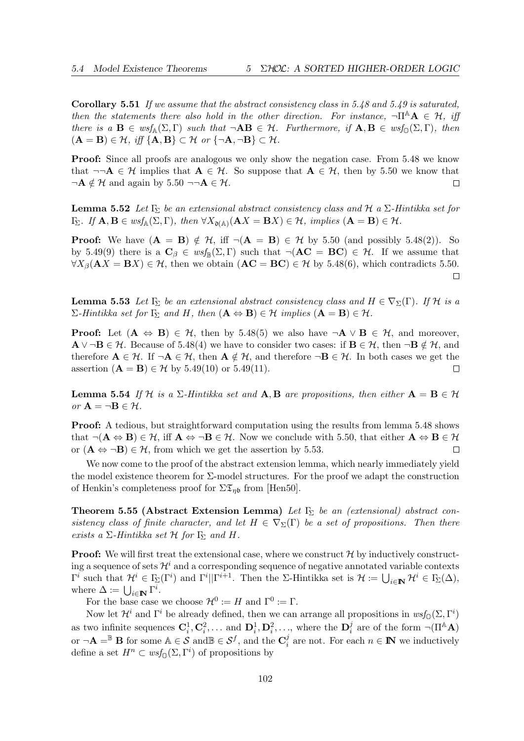**Corollary 5.51** If we assume that the abstract consistency class in 5.48 and 5.49 is saturated, then the statements there also hold in the other direction. For instance,  $\neg \Pi^A \mathbf{A} \in \mathcal{H}$ , iff there is a  $\mathbf{B} \in \mathit{wsf}_{\mathbb{A}}(\Sigma, \Gamma)$  such that  $\neg \mathbf{AB} \in \mathcal{H}$ . Furthermore, if  $\mathbf{A}, \mathbf{B} \in \mathit{wsf}_{\mathbb{O}}(\Sigma, \Gamma)$ , then  $(A = B) \in \mathcal{H}$ , iff  $\{A, B\} \subset \mathcal{H}$  or  $\{\neg A, \neg B\} \subset \mathcal{H}$ .

**Proof:** Since all proofs are analogous we only show the negation case. From 5.48 we know that  $\neg\neg A \in \mathcal{H}$  implies that  $A \in \mathcal{H}$ . So suppose that  $A \in \mathcal{H}$ , then by 5.50 we know that  $\neg \mathbf{A} \notin \mathcal{H}$  and again by 5.50  $\neg \neg \mathbf{A} \in \mathcal{H}$ . П

**Lemma 5.52** Let  $\Gamma_{\Sigma}$  be an extensional abstract consistency class and H a  $\Sigma$ -Hintikka set for  $\Gamma_{\!\Sigma}$ . If  $\mathbf{A}, \mathbf{B} \in \textit{wsf}_{\mathbb{A}}(\Sigma, \Gamma)$ , then  $\forall X_{\mathfrak{d}(\mathbb{A})}(\mathbf{A}X = \mathbf{B}X) \in \mathcal{H}$ , implies  $(\mathbf{A} = \mathbf{B}) \in \mathcal{H}$ .

**Proof:** We have  $(A = B) \notin H$ , iff  $\neg(A = B) \in H$  by 5.50 (and possibly 5.48(2)). So by 5.49(9) there is a  $\mathbf{C}_{\beta} \in \mathit{wsf}_{\mathbb{B}}(\Sigma,\Gamma)$  such that  $\neg(\mathbf{AC} = \mathbf{BC}) \in \mathcal{H}$ . If we assume that  $\forall X_{\beta}(\mathbf{A}X = \mathbf{B}X) \in \mathcal{H}$ , then we obtain  $(\mathbf{A}\mathbf{C} = \mathbf{B}\mathbf{C}) \in \mathcal{H}$  by 5.48(6), which contradicts 5.50.  $\Box$ 

**Lemma 5.53** Let  $\Gamma_{\Sigma}$  be an extensional abstract consistency class and  $H \in \nabla_{\Sigma}(\Gamma)$ . If H is a  $\Sigma$ -Hintikka set for  $\Gamma_{\Sigma}$  and H, then  $(\mathbf{A} \Leftrightarrow \mathbf{B}) \in \mathcal{H}$  implies  $(\mathbf{A} = \mathbf{B}) \in \mathcal{H}$ .

**Proof:** Let  $(A \Leftrightarrow B) \in \mathcal{H}$ , then by 5.48(5) we also have  $\neg A \lor B \in \mathcal{H}$ , and moreover,  $\mathbf{A} \vee \neg \mathbf{B} \in \mathcal{H}$ . Because of 5.48(4) we have to consider two cases: if  $\mathbf{B} \in \mathcal{H}$ , then  $\neg \mathbf{B} \notin \mathcal{H}$ , and therefore  $A \in \mathcal{H}$ . If  $\neg A \in \mathcal{H}$ , then  $A \notin \mathcal{H}$ , and therefore  $\neg B \in \mathcal{H}$ . In both cases we get the assertion  $(\mathbf{A} = \mathbf{B}) \in \mathcal{H}$  by 5.49(10) or 5.49(11). П

**Lemma 5.54** If H is a  $\Sigma$ -Hintikka set and A, B are propositions, then either  $A = B \in H$ or  $\mathbf{A} = \neg \mathbf{B} \in \mathcal{H}$ .

**Proof:** A tedious, but straightforward computation using the results from lemma 5.48 shows that  $\neg(\mathbf{A} \Leftrightarrow \mathbf{B}) \in \mathcal{H}$ , iff  $\mathbf{A} \Leftrightarrow \neg \mathbf{B} \in \mathcal{H}$ . Now we conclude with 5.50, that either  $\mathbf{A} \Leftrightarrow \mathbf{B} \in \mathcal{H}$ or  $(A \Leftrightarrow \neg B) \in \mathcal{H}$ , from which we get the assertion by 5.53.  $\Box$ 

We now come to the proof of the abstract extension lemma, which nearly immediately yield the model existence theorem for Σ-model structures. For the proof we adapt the construction of Henkin's completeness proof for  $\Sigma \mathfrak{T}_{\eta\mathfrak{b}}$  from [Hen50].

**Theorem 5.55 (Abstract Extension Lemma)** Let  $\Gamma_{\Sigma}$  be an (extensional) abstract consistency class of finite character, and let  $H \in \nabla_{\Sigma}(\Gamma)$  be a set of propositions. Then there exists a  $\Sigma$ -Hintikka set  $\mathcal H$  for  $\Gamma_{\!\Sigma}$  and  $H$ .

**Proof:** We will first treat the extensional case, where we construct  $\mathcal{H}$  by inductively constructing a sequence of sets  $\mathcal{H}^i$  and a corresponding sequence of negative annotated variable contexts  $\Gamma^i$  such that  $\mathcal{H}^i \in \Gamma_{\!\Sigma}(\Gamma^i)$  and  $\Gamma^i||\Gamma^{i+1}$ . Then the  $\Sigma$ -Hintikka set is  $\mathcal{H} := \bigcup_{i \in \mathbb{N}} \mathcal{H}^i \in \Gamma_{\!\Sigma}(\Delta)$ , where  $\Delta := \bigcup_{i \in \mathbb{N}} \Gamma^i$ .

For the base case we choose  $\mathcal{H}^0 := H$  and  $\Gamma^0 := \Gamma$ .

Now let  $\mathcal{H}^i$  and  $\Gamma^i$  be already defined, then we can arrange all propositions in  $ws f_{\mathbb{O}}(\Sigma, \Gamma^i)$ as two infinite sequences  $\mathbf{C}_i^1, \mathbf{C}_i^2, \dots$  and  $\mathbf{D}_i^1, \mathbf{D}_i^2, \dots$ , where the  $\mathbf{D}_i^j$  $i$  are of the form  $\neg(\Pi^{\mathbb{A}}\mathbf{A})$ or  $\neg \mathbf{A} = \mathbb{B}$  B for some  $\mathbb{A} \in \mathcal{S}$  and  $\mathbb{B} \in \mathcal{S}^f$ , and the  $\mathbf{C}_i^f$  $i<sub>i</sub>$  are not. For each  $n \in \mathbb{N}$  we inductively define a set  $H^n \subset \text{wsf}_{\mathbb{Q}}(\Sigma, \Gamma^i)$  of propositions by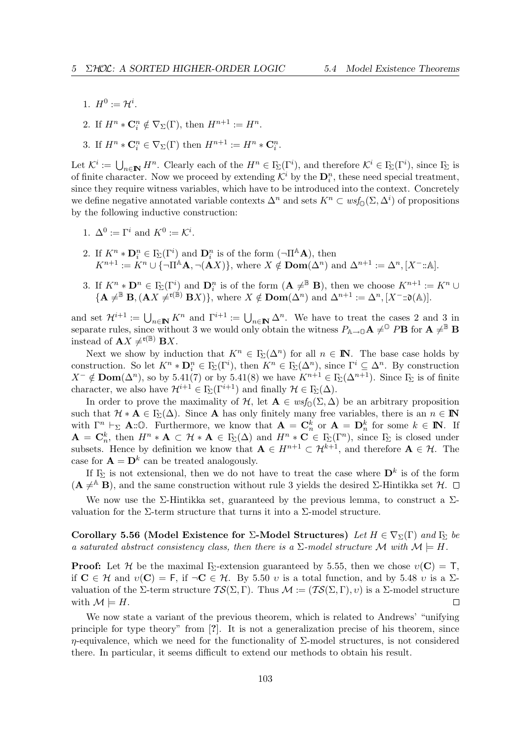1.  $H^0 := \mathcal{H}^i$ .

2. If  $H^n \ast \mathbf{C}_i^n \notin \nabla_\Sigma(\Gamma)$ , then  $H^{n+1} := H^n$ .

3. If  $H^n * \mathbf{C}_i^n \in \nabla_{\Sigma}(\Gamma)$  then  $H^{n+1} := H^n * \mathbf{C}_i^n$ .

Let  $\mathcal{K}^i := \bigcup_{n \in \mathbb{N}} H^n$ . Clearly each of the  $H^n \in \Gamma_{\!\Sigma}(\Gamma^i)$ , and therefore  $\mathcal{K}^i \in \Gamma_{\!\Sigma}(\Gamma^i)$ , since  $\Gamma_{\!\Sigma}$  is of finite character. Now we proceed by extending  $\mathcal{K}^i$  by the  $\mathbf{D}_i^n$ , these need special treatment, since they require witness variables, which have to be introduced into the context. Concretely we define negative annotated variable contexts  $\Delta^n$  and sets  $K^n \subset \text{wsf}_{\mathbb{Q}}(\Sigma, \Delta^i)$  of propositions by the following inductive construction:

- 1.  $\Delta^0 := \Gamma^i$  and  $K^0 := \mathcal{K}^i$ .
- 2. If  $K^n * D_i^n \in \Gamma_\Sigma(\Gamma^i)$  and  $D_i^n$  is of the form  $(\neg \Pi^{\mathbb{A}}\mathbf{A})$ , then  $K^{n+1} := K^n \cup {\overline{\{\nabla \mathbb{R}^n \cup \{\nabla \mathbf{A}, \nabla (\mathbf{A}X)\}\n\}}$ , where  $X \notin \mathbf{Dom}(\Delta^n)$  and  $\Delta^{n+1} := \Delta^n, [X^- : \mathbb{A}].$
- 3. If  $K^n * D^n \in \mathcal{F}_{\Sigma}(\Gamma^i)$  and  $D_i^n$  is of the form  $(\mathbf{A} \neq^{\mathbb{B}} \mathbf{B})$ , then we choose  $K^{n+1} := K^n \cup$  ${ {\bf (A \neq^{\mathbb{B}} B,(AX \neq^{r(\mathbb{B})} BX)}},$  where  $X \notin \textbf{Dom}(\Delta^{n})$  and  $\Delta^{n+1} := \Delta^{n}, [X^{-}:\mathfrak{d}(\mathbb{A})].$

and set  $\mathcal{H}^{i+1} := \bigcup_{n\in\mathbb{N}} K^n$  and  $\Gamma^{i+1} := \bigcup_{n\in\mathbb{N}} \Delta^n$ . We have to treat the cases 2 and 3 in separate rules, since without 3 we would only obtain the witness  $P_{\mathbb{A}\to\mathbb{O}}\mathbf{A} \neq^{\mathbb{O}} P\mathbf{B}$  for  $\mathbf{A} \neq^{\mathbb{B}} \mathbf{B}$ instead of  $\mathbf{A} X \neq^{\mathfrak{r}(\mathbb{B})} \mathbf{B} X$ .

Next we show by induction that  $K^n \in \Gamma_{\Sigma}(\Delta^n)$  for all  $n \in \mathbb{N}$ . The base case holds by construction. So let  $K^n * D_i^n \in \mathcal{F}_{\Sigma}(\Gamma^i)$ , then  $K^n \in \mathcal{F}_{\Sigma}(\Delta^n)$ , since  $\Gamma^i \subseteq \Delta^n$ . By construction  $X^{-} \notin \text{Dom}(\Delta^{n})$ , so by 5.41(7) or by 5.41(8) we have  $K^{n+1} \in \Gamma_{\!\Sigma}(\Delta^{n+1})$ . Since  $\Gamma_{\!\Sigma}$  is of finite character, we also have  $\mathcal{H}^{i+1} \in \Gamma_{\!\Sigma}(\Gamma^{i+1})$  and finally  $\mathcal{H} \in \Gamma_{\!\Sigma}(\Delta)$ .

In order to prove the maximality of H, let  $\mathbf{A} \in wsf_{\mathbb{O}}(\Sigma, \Delta)$  be an arbitrary proposition such that  $\mathcal{H} * \mathbf{A} \in \Gamma_{\Sigma}(\Delta)$ . Since **A** has only finitely many free variables, there is an  $n \in \mathbb{N}$ with  $\Gamma^n \vdash_{\Sigma} \mathbf{A} : \mathbb{O}$ . Furthermore, we know that  $\mathbf{A} = \mathbf{C}_n^k$  or  $\mathbf{A} = \mathbf{D}_n^k$  for some  $k \in \mathbb{N}$ . If  $\mathbf{A} = \mathbf{C}_n^k$ , then  $H^n * \mathbf{A} \subset \mathcal{H} * \mathbf{A} \in \mathbb{I}_{\Sigma}(\Delta)$  and  $H^n * \mathbf{C} \in \mathbb{I}_{\Sigma}(\Gamma^n)$ , since  $\mathbb{I}_{\Sigma}$  is closed under subsets. Hence by definition we know that  $A \in H^{n+1} \subset \mathcal{H}^{k+1}$ , and therefore  $A \in \mathcal{H}$ . The case for  $\mathbf{A} = \mathbf{D}^k$  can be treated analogously.

If  $\Gamma_{\!\Sigma}$  is not extensional, then we do not have to treat the case where  $\mathbf{D}^k$  is of the form  $(A \neq^{\mathbb{A}} B)$ , and the same construction without rule 3 yields the desired Σ-Hintikka set H.  $\Box$ 

We now use the Σ-Hintikka set, guaranteed by the previous lemma, to construct a  $\Sigma$ valuation for the  $\Sigma$ -term structure that turns it into a  $\Sigma$ -model structure.

Corollary 5.56 (Model Existence for Σ-Model Structures) Let  $H \in \nabla_{\Sigma}(\Gamma)$  and  $\Gamma_{\Sigma}$  be a saturated abstract consistency class, then there is a  $\Sigma$ -model structure M with  $\mathcal{M} \models H$ .

**Proof:** Let H be the maximal  $F_{\Sigma}$ -extension guaranteed by 5.55, then we chose  $v(\mathbf{C}) = \mathbf{T}$ , if  $C \in \mathcal{H}$  and  $v(C) = F$ , if  $\neg C \in \mathcal{H}$ . By 5.50 v is a total function, and by 5.48 v is a  $\Sigma$ valuation of the Σ-term structure  $TS(\Sigma, \Gamma)$ . Thus  $\mathcal{M} := (TS(\Sigma, \Gamma), v)$  is a  $\Sigma$ -model structure with  $\mathcal{M} \models H$ .  $\Box$ 

We now state a variant of the previous theorem, which is related to Andrews' "unifying principle for type theory" from [?]. It is not a generalization precise of his theorem, since  $\eta$ -equivalence, which we need for the functionality of  $\Sigma$ -model structures, is not considered there. In particular, it seems difficult to extend our methods to obtain his result.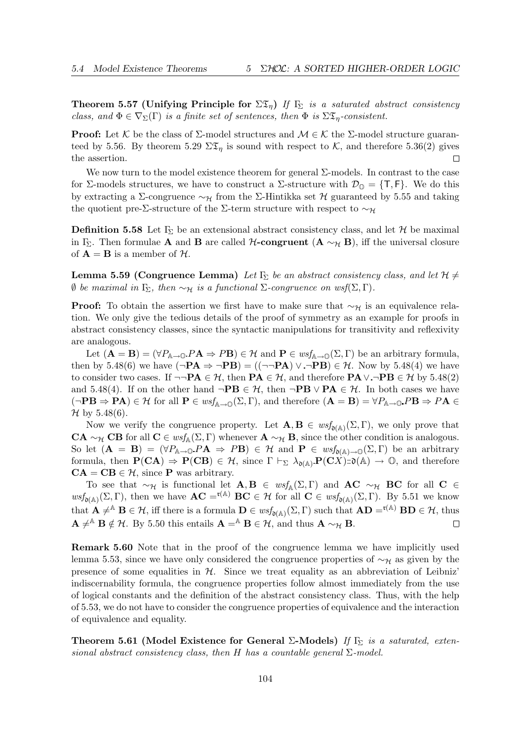Theorem 5.57 (Unifying Principle for  $\Sigma \mathfrak{T}_n$ ) If  $\Gamma_{\Sigma}$  is a saturated abstract consistency class, and  $\Phi \in \nabla_{\Sigma}(\Gamma)$  is a finite set of sentences, then  $\Phi$  is  $\Sigma \mathfrak{T}_n$ -consistent.

**Proof:** Let K be the class of  $\Sigma$ -model structures and  $\mathcal{M} \in \mathcal{K}$  the  $\Sigma$ -model structure guaranteed by 5.56. By theorem 5.29  $\Sigma \mathfrak{T}_n$  is sound with respect to K, and therefore 5.36(2) gives the assertion.  $\Box$ 

We now turn to the model existence theorem for general  $\Sigma$ -models. In contrast to the case for Σ-models structures, we have to construct a Σ-structure with  $\mathcal{D}_{\mathbb{O}} = \{\mathsf{T},\mathsf{F}\}\.$  We do this by extracting a Σ-congruence  $\sim_{\mathcal{H}}$  from the Σ-Hintikka set H guaranteed by 5.55 and taking the quotient pre-Σ-structure of the Σ-term structure with respect to  $\sim_{\mathcal{H}}$ 

**Definition 5.58** Let  $\Gamma_{\Sigma}$  be an extensional abstract consistency class, and let H be maximal in Γ<sub>Σ</sub>. Then formulae **A** and **B** are called *H*-congruent  $(A \sim_H B)$ , iff the universal closure of  $\mathbf{A} = \mathbf{B}$  is a member of  $\mathcal{H}$ .

**Lemma 5.59 (Congruence Lemma)** Let  $\Gamma_{\Sigma}$  be an abstract consistency class, and let  $\mathcal{H} \neq$  $\emptyset$  be maximal in Γ<sub>Σ</sub>, then ∼<sub>H</sub> is a functional Σ-congruence on wsf(Σ,Γ).

**Proof:** To obtain the assertion we first have to make sure that  $\sim_{\mathcal{H}}$  is an equivalence relation. We only give the tedious details of the proof of symmetry as an example for proofs in abstract consistency classes, since the syntactic manipulations for transitivity and reflexivity are analogous.

Let  $(A = B) = (\forall P_{A \to 0} P A \Rightarrow P B) \in \mathcal{H}$  and  $P \in \text{wsf}_{A \to 0}(\Sigma, \Gamma)$  be an arbitrary formula, then by 5.48(6) we have  $(\neg \mathbf{PA} \Rightarrow \neg \mathbf{PB}) = ((\neg \neg \mathbf{PA}) \vee \neg \mathbf{PB}) \in \mathcal{H}$ . Now by 5.48(4) we have to consider two cases. If  $\neg\neg \mathbf{PA} \in \mathcal{H}$ , then  $\mathbf{PA} \in \mathcal{H}$ , and therefore  $\mathbf{PA} \vee \neg \mathbf{PB} \in \mathcal{H}$  by 5.48(2) and 5.48(4). If on the other hand  $\neg PB \in \mathcal{H}$ , then  $\neg PB \vee PA \in \mathcal{H}$ . In both cases we have  $(\neg PB \Rightarrow PA) \in \mathcal{H}$  for all  $P \in wsf_{\mathbb{A} \to \mathbb{O}}(\Sigma, \Gamma)$ , and therefore  $(A = B) = \forall P_{\mathbb{A} \to \mathbb{O}} P B \Rightarrow P A \in \mathbb{A}$  $\mathcal{H}$  by 5.48(6).

Now we verify the congruence property. Let  $\mathbf{A}, \mathbf{B} \in \text{wsf}_{\mathfrak{d}(\mathbb{A})}(\Sigma, \Gamma)$ , we only prove that CA ∼ $\gamma$  CB for all C ∈ wsf<sub>A</sub>( $\Sigma$ , Γ) whenever A ∼ $\gamma$  B, since the other condition is analogous. So let  $(A = B) = (\forall P_{\mathbb{A} \to \mathbb{O}} P A \Rightarrow PB) \in \mathcal{H}$  and  $P \in \text{wsf}_{\mathfrak{d}(\mathbb{A}) \to \mathbb{O}}(\Sigma, \Gamma)$  be an arbitrary formula, then  $\mathbf{P(CA)} \Rightarrow \mathbf{P(CB)} \in \mathcal{H}$ , since  $\Gamma \vdash_{\Sigma} \lambda_{\mathfrak{d}(\mathbb{A})} \mathbf{P(CX)} : \mathfrak{d}(\mathbb{A}) \to \mathbb{O}$ , and therefore  $CA = CB \in \mathcal{H}$ , since P was arbitrary.

To see that  $\sim_{\mathcal{H}}$  is functional let  $\mathbf{A}, \mathbf{B} \in \text{wsf}_{\mathbb{A}}(\Sigma, \Gamma)$  and  $\mathbf{A}\mathbf{C} \sim_{\mathcal{H}} \mathbf{B}\mathbf{C}$  for all  $\mathbf{C} \in$  $wsf_{\mathfrak{d}(\mathbb{A})}(\Sigma,\Gamma)$ , then we have  $AC = f^{(\mathbb{A})} BC \in \mathcal{H}$  for all  $C \in wsf_{\mathfrak{d}(\mathbb{A})}(\Sigma,\Gamma)$ . By 5.51 we know that  $\mathbf{A} \neq^{\mathbb{A}} \mathbf{B} \in \mathcal{H}$ , iff there is a formula  $\mathbf{D} \in \text{wsf}_{\mathfrak{d}(\mathbb{A})}(\Sigma, \Gamma)$  such that  $\mathbf{A}\mathbf{D} =^{\mathfrak{r}(\mathbb{A})} \mathbf{B}\mathbf{D} \in \mathcal{H}$ , thus  $\mathbf{A} \neq^{\mathbb{A}} \mathbf{B} \notin \mathcal{H}$ . By 5.50 this entails  $\mathbf{A} = \mathbb{A} \mathbf{B} \in \mathcal{H}$ , and thus  $\mathbf{A} \sim_{\mathcal{H}} \mathbf{B}$ .  $\Box$ 

Remark 5.60 Note that in the proof of the congruence lemma we have implicitly used lemma 5.53, since we have only considered the congruence properties of  $\sim_{\mathcal{H}}$  as given by the presence of some equalities in  $H$ . Since we treat equality as an abbreviation of Leibniz' indiscernability formula, the congruence properties follow almost immediately from the use of logical constants and the definition of the abstract consistency class. Thus, with the help of 5.53, we do not have to consider the congruence properties of equivalence and the interaction of equivalence and equality.

Theorem 5.61 (Model Existence for General  $\Sigma$ -Models) If  $\Gamma_{\Sigma}$  is a saturated, extensional abstract consistency class, then H has a countable general  $\Sigma$ -model.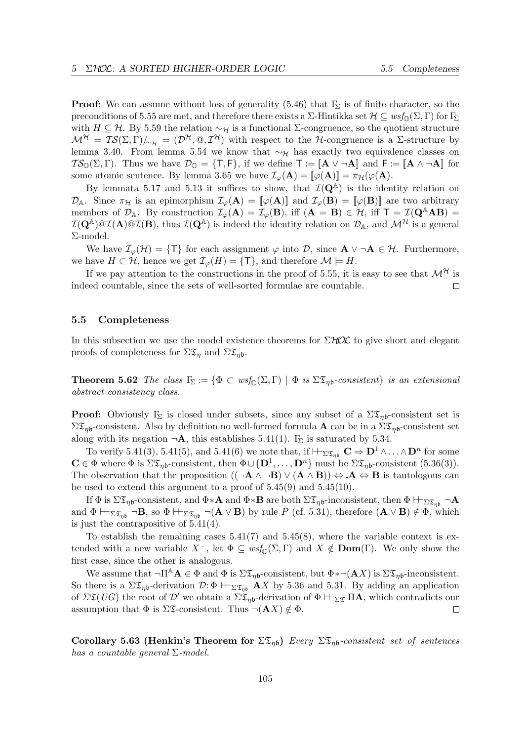**Proof:** We can assume without loss of generality  $(5.46)$  that  $\Gamma$ <sub>Σ</sub> is of finite character, so the preconditions of 5.55 are met, and therefore there exists a  $\Sigma$ -Hintikka set  $\mathcal{H} \subseteq wsf_{\mathbb{O}}(\Sigma,\Gamma)$  for  $\Gamma_{\Sigma}$ with  $H \subseteq \mathcal{H}$ . By 5.59 the relation  $\sim_{\mathcal{H}}$  is a functional  $\Sigma$ -congruence, so the quotient structure  $\mathcal{M}^{\mathcal{H}} = \mathcal{TS}(\Sigma, \Gamma)/_{\sim_{\mathcal{H}}} = (\mathcal{D}^{\mathcal{H}}, \mathbb{Q}, \mathcal{I}^{\mathcal{H}})$  with respect to the H-congruence is a  $\Sigma$ -structure by lemma 3.40. From lemma 5.54 we know that  $\sim_{\mathcal{H}}$  has exactly two equivalence classes on  $\mathcal{TS}_{\mathbb{O}}(\Sigma,\Gamma)$ . Thus we have  $\mathcal{D}_{\mathbb{O}} = \{\mathsf{T},\mathsf{F}\}\)$ , if we define  $\mathsf{T} := \llbracket \mathbf{A} \vee \neg \mathbf{A} \rrbracket$  and  $\mathsf{F} := \llbracket \mathbf{A} \wedge \neg \mathbf{A} \rrbracket$  for some atomic sentence. By lemma 3.65 we have  $\mathcal{I}_{\varphi}(\mathbf{A}) = [\![\varphi(\mathbf{A})]\!] = \pi_{\mathcal{H}}(\varphi(\mathbf{A})).$ 

By lemmata 5.17 and 5.13 it suffices to show, that  $\mathcal{I}(\mathbf{Q}^{\mathbb{A}})$  is the identity relation on  $\mathcal{D}_A$ . Since  $\pi_{\mathcal{H}}$  is an epimorphism  $\mathcal{I}_{\varphi}(\mathbf{A}) = [\varphi(\mathbf{A})]$  and  $\mathcal{I}_{\varphi}(\mathbf{B}) = [\varphi(\mathbf{B})]$  are two arbitrary members of  $\mathcal{D}_A$ . By construction  $\mathcal{I}_{\varphi}(A) = \mathcal{I}_{\varphi}(B)$ , iff  $(A = B) \in \mathcal{H}$ , iff  $T = \mathcal{I}(Q^A AB) =$  $I(Q^{\mathbb{A}})@I(A)@I(B)$ , thus  $I(Q^{\mathbb{A}})$  is indeed the identity relation on  $\mathcal{D}_{\mathbb{A}}$ , and  $\mathcal{M}^{\mathcal{H}}$  is a general Σ-model.

We have  $\mathcal{I}_{\varphi}(\mathcal{H}) = \{\mathsf{T}\}\$  for each assignment  $\varphi$  into  $\mathcal{D}$ , since  $\mathbf{A} \vee \neg \mathbf{A} \in \mathcal{H}$ . Furthermore, we have  $H \subset \mathcal{H}$ , hence we get  $\mathcal{I}_{\varphi}(H) = {\mathsf{T}}$ , and therefore  $\mathcal{M} \models H$ .

If we pay attention to the constructions in the proof of 5.55, it is easy to see that  $\mathcal{M}^{\mathcal{H}}$  is indeed countable, since the sets of well-sorted formulae are countable.  $\Box$ 

#### 5.5 Completeness

In this subsection we use the model existence theorems for  $\Sigma HOL$  to give short and elegant proofs of completeness for  $\Sigma \mathfrak{T}_\eta$  and  $\Sigma \mathfrak{T}_\eta$ .

**Theorem 5.62** The class  $\Gamma_{\Sigma} := \{ \Phi \subset w s f_{\Omega}(\Sigma, \Gamma) \mid \Phi \text{ is } \Sigma \mathfrak{D}_{\eta} \text{ is consistent} \}$  is an extensional abstract consistency class.

**Proof:** Obviously  $\Gamma_{\Sigma}$  is closed under subsets, since any subset of a  $\Sigma \mathfrak{D}_{\eta_{0}}$ -consistent set is  $\Sigma\mathfrak{T}_{n\mathsf{b}}$ -consistent. Also by definition no well-formed formula **A** can be in a  $\Sigma\mathfrak{T}_{n\mathsf{b}}$ -consistent set along with its negation  $\neg A$ , this establishes 5.41(1).  $\Gamma_{\!\Sigma}$  is saturated by 5.34.

To verify 5.41(3), 5.41(5), and 5.41(6) we note that, if  $\vdash_{\Sigma \mathfrak{T}_{\eta\mathfrak{b}}}\mathbb{C} \Rightarrow \mathbb{D}^1 \wedge \ldots \wedge \mathbb{D}^n$  for some  $\mathbf{C} \in \Phi$  where  $\Phi$  is  $\Sigma \mathfrak{T}_{\eta\mathfrak{b}}$ -consistent, then  $\Phi \cup {\{\mathbf{D}^1,\ldots,\mathbf{D}^n\}}$  must be  $\Sigma \mathfrak{T}_{\eta\mathfrak{b}}$ -consistent  $(5.36(3))$ . The observation that the proposition  $((\neg A \land \neg B) \lor (A \land B)) \Leftrightarrow A \Leftrightarrow B$  is tautologous can be used to extend this argument to a proof of  $5.45(9)$  and  $5.45(10)$ .

If  $\Phi$  is  $\Sigma \mathfrak{T}_{\eta\mathfrak{b}}$ -consistent, and  $\Phi * \mathbf{A}$  and  $\Phi * \mathbf{B}$  are both  $\Sigma \mathfrak{T}_{\eta\mathfrak{b}}$ -inconsistent, then  $\Phi \vdash_{\Sigma \mathfrak{T}_{\eta\mathfrak{b}}} \neg \mathbf{A}$ and  $\Phi \vdash_{\Sigma \mathfrak{T}_{\eta\mathfrak{b}}} \neg \mathbf{B}$ , so  $\Phi \vdash_{\Sigma \mathfrak{T}_{\eta\mathfrak{b}}} \neg (\mathbf{A} \lor \mathbf{B})$  by rule P (cf. 5.31), therefore  $(\mathbf{A} \lor \mathbf{B}) \notin \Phi$ , which is just the contrapositive of 5.41(4).

To establish the remaining cases  $5.41(7)$  and  $5.45(8)$ , where the variable context is extended with a new variable  $X^-$ , let  $\Phi \subseteq \mathit{wsf}_{\mathbb{O}}(\Sigma,\Gamma)$  and  $X \notin \text{Dom}(\Gamma)$ . We only show the first case, since the other is analogous.

We assume that  $\neg \Pi^A \mathbf{A} \in \Phi$  and  $\Phi$  is  $\Sigma \mathfrak{T}_{n\mathfrak{b}}$ -consistent, but  $\Phi \ast \neg (\mathbf{A}X)$  is  $\Sigma \mathfrak{T}_{n\mathfrak{b}}$ -inconsistent. So there is a  $\Sigma \mathfrak{T}_{\eta\mathfrak{b}}$ -derivation  $\mathcal{D}:\Phi \vdash_{\Sigma \mathfrak{T}_{\eta\mathfrak{b}}} AX$  by 5.36 and 5.31. By adding an application of  $\Sigma \mathfrak{T}(UG)$  the root of  $\mathcal{D}'$  we obtain a  $\Sigma \mathfrak{T}_{\eta b}$ -derivation of  $\Phi \vdash_{\Sigma \mathfrak{T}} \Pi A$ , which contradicts our assumption that  $\Phi$  is  $\Sigma \mathfrak{S}$ -consistent. Thus  $\neg(\mathbf{A} X) \notin \Phi$ .  $\Box$ 

Corollary 5.63 (Henkin's Theorem for  $\Sigma \mathfrak{T}_{n\mathfrak{b}}$ ) Every  $\Sigma \mathfrak{T}_{n\mathfrak{b}}$ -consistent set of sentences has a countable general  $\Sigma$ -model.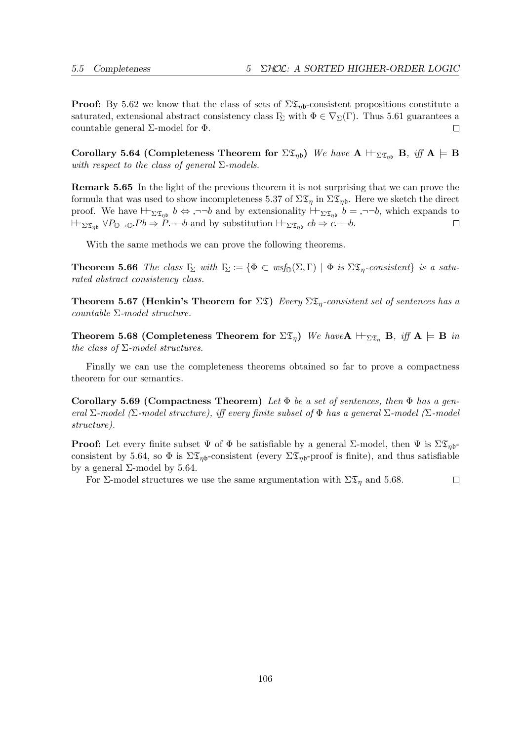$\Box$ 

**Proof:** By 5.62 we know that the class of sets of  $\Sigma \mathfrak{T}_{nb}$ -consistent propositions constitute a saturated, extensional abstract consistency class  $\Gamma_{\!\Sigma}$  with  $\Phi \in \nabla_{\Sigma}(\Gamma)$ . Thus 5.61 guarantees a countable general  $\Sigma$ -model for  $Φ$ .  $\Box$ 

Corollary 5.64 (Completeness Theorem for  $\Sigma \mathfrak{T}_{\eta\mathfrak{b}}$ ) We have  $\mathbf{A} \vdash_{\Sigma \mathfrak{T}_{\eta\mathfrak{b}}} \mathbf{B}$ , iff  $\mathbf{A} \models \mathbf{B}$ with respect to the class of general  $\Sigma$ -models.

Remark 5.65 In the light of the previous theorem it is not surprising that we can prove the formula that was used to show incompleteness 5.37 of  $\Sigma \mathfrak{T}_{\eta}$  in  $\Sigma \mathfrak{T}_{\eta}$ . Here we sketch the direct proof. We have  $\vdash_{\Sigma \mathfrak{T}_{\eta_b}} b \Leftrightarrow \neg\neg b$  and by extensionality  $\vdash_{\Sigma \mathfrak{T}_{\eta_b}} b = \neg \neg b$ , which expands to  $\vdash_{\Sigma \mathfrak{T}_{\eta\mathfrak{b}}} \forall P_{\mathbb{O}\to\mathbb{O}} Pb \Rightarrow P \neg\neg b$  and by substitution  $\vdash_{\Sigma \mathfrak{T}_{\eta\mathfrak{b}}} cb \Rightarrow c \neg\neg b$ .  $\Box$ 

With the same methods we can prove the following theorems.

**Theorem 5.66** The class  $\Gamma_{\Sigma}$  with  $\Gamma_{\Sigma} := \{ \Phi \subset \text{wsf}_{\mathbb{Q}}(\Sigma, \Gamma) \mid \Phi \text{ is } \Sigma \mathfrak{D}_{\eta}$ -consistent} is a saturated abstract consistency class.

**Theorem 5.67 (Henkin's Theorem for**  $\Sigma \mathfrak{T}$ **)** Every  $\Sigma \mathfrak{T}_n$ -consistent set of sentences has a countable Σ-model structure.

Theorem 5.68 (Completeness Theorem for  $\Sigma \mathfrak{T}_\eta$ ) We have  $A \vdash_{\Sigma \mathfrak{T}_\eta} B$ , iff  $A \models B$  in the class of  $\Sigma$ -model structures.

Finally we can use the completeness theorems obtained so far to prove a compactness theorem for our semantics.

Corollary 5.69 (Compactness Theorem) Let  $\Phi$  be a set of sentences, then  $\Phi$  has a general  $\Sigma$ -model ( $\Sigma$ -model structure), iff every finite subset of  $\Phi$  has a general  $\Sigma$ -model ( $\Sigma$ -model structure).

**Proof:** Let every finite subset  $\Psi$  of  $\Phi$  be satisfiable by a general  $\Sigma$ -model, then  $\Psi$  is  $\Sigma \mathcal{I}_{\eta_{0}}$ consistent by 5.64, so  $\Phi$  is  $\Sigma \mathfrak{T}_{\eta\mathfrak{b}}$ -consistent (every  $\Sigma \mathfrak{T}_{\eta\mathfrak{b}}$ -proof is finite), and thus satisfiable by a general  $Σ$ -model by 5.64.

For  $\Sigma$ -model structures we use the same argumentation with  $\Sigma \mathfrak{T}_n$  and 5.68.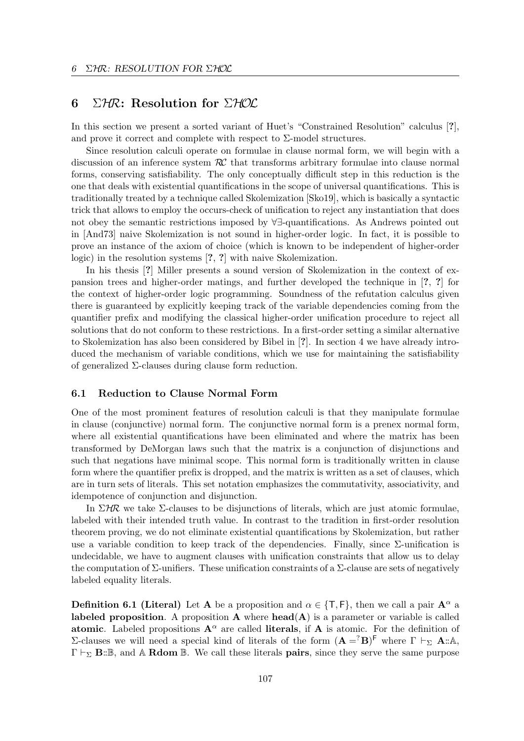## 6 ΣΗR: Resolution for  $\Sigma$ ΗΟΣ

In this section we present a sorted variant of Huet's "Constrained Resolution" calculus [?], and prove it correct and complete with respect to  $\Sigma$ -model structures.

Since resolution calculi operate on formulae in clause normal form, we will begin with a discussion of an inference system  $\mathcal{RC}$  that transforms arbitrary formulae into clause normal forms, conserving satisfiability. The only conceptually difficult step in this reduction is the one that deals with existential quantifications in the scope of universal quantifications. This is traditionally treated by a technique called Skolemization [Sko19], which is basically a syntactic trick that allows to employ the occurs-check of unification to reject any instantiation that does not obey the semantic restrictions imposed by ∀∃-quantifications. As Andrews pointed out in [And73] naive Skolemization is not sound in higher-order logic. In fact, it is possible to prove an instance of the axiom of choice (which is known to be independent of higher-order logic) in the resolution systems [?, ?] with naive Skolemization.

In his thesis [?] Miller presents a sound version of Skolemization in the context of expansion trees and higher-order matings, and further developed the technique in [?, ?] for the context of higher-order logic programming. Soundness of the refutation calculus given there is guaranteed by explicitly keeping track of the variable dependencies coming from the quantifier prefix and modifying the classical higher-order unification procedure to reject all solutions that do not conform to these restrictions. In a first-order setting a similar alternative to Skolemization has also been considered by Bibel in [?]. In section 4 we have already introduced the mechanism of variable conditions, which we use for maintaining the satisfiability of generalized  $\Sigma$ -clauses during clause form reduction.

## 6.1 Reduction to Clause Normal Form

One of the most prominent features of resolution calculi is that they manipulate formulae in clause (conjunctive) normal form. The conjunctive normal form is a prenex normal form, where all existential quantifications have been eliminated and where the matrix has been transformed by DeMorgan laws such that the matrix is a conjunction of disjunctions and such that negations have minimal scope. This normal form is traditionally written in clause form where the quantifier prefix is dropped, and the matrix is written as a set of clauses, which are in turn sets of literals. This set notation emphasizes the commutativity, associativity, and idempotence of conjunction and disjunction.

In  $\Sigma$ HR we take  $\Sigma$ -clauses to be disjunctions of literals, which are just atomic formulae, labeled with their intended truth value. In contrast to the tradition in first-order resolution theorem proving, we do not eliminate existential quantifications by Skolemization, but rather use a variable condition to keep track of the dependencies. Finally, since  $\Sigma$ -unification is undecidable, we have to augment clauses with unification constraints that allow us to delay the computation of  $\Sigma$ -unifiers. These unification constraints of a  $\Sigma$ -clause are sets of negatively labeled equality literals.

**Definition 6.1 (Literal)** Let A be a proposition and  $\alpha \in \{T, F\}$ , then we call a pair  $A^{\alpha}$  a labeled proposition. A proposition  $A$  where  $head(A)$  is a parameter or variable is called atomic. Labeled propositions  $A^{\alpha}$  are called literals, if A is atomic. For the definition of Σ-clauses we will need a special kind of literals of the form  $(**A** = <sup>7</sup>**B**)<sup>F</sup>$  where  $Γ \vdash_{Σ} **A**$ ::A,  $\Gamma \vdash_{\Sigma} \mathbf{B}:\mathbb{B}$ , and A Rdom  $\mathbb{B}$ . We call these literals **pairs**, since they serve the same purpose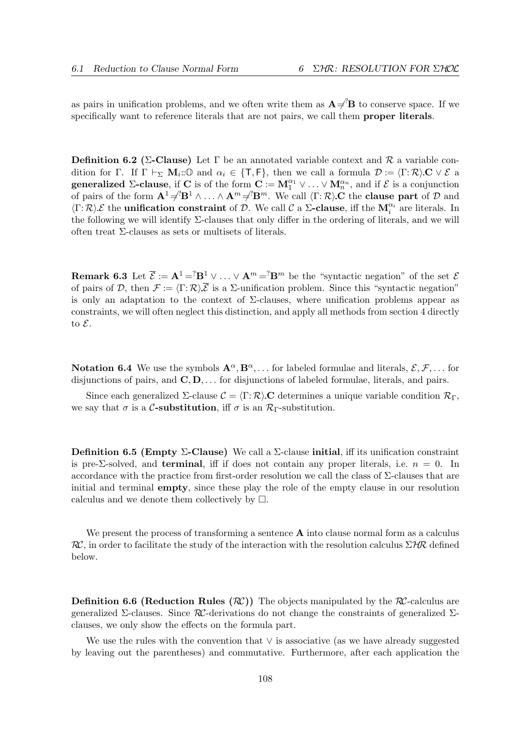as pairs in unification problems, and we often write them as  $A \neq B$  to conserve space. If we specifically want to reference literals that are not pairs, we call them **proper literals**.

**Definition 6.2 (Σ-Clause)** Let  $\Gamma$  be an annotated variable context and  $\mathcal{R}$  a variable condition for Γ. If  $\Gamma \vdash_{\Sigma} M_i: \mathbb{O}$  and  $\alpha_i \in \{\textsf{T},\textsf{F}\}\text{, then we call a formula } \mathcal{D} := \langle \Gamma:\mathcal{R}\rangle \mathbf{C} \vee \mathcal{E}$  a generalized  $\Sigma$ -clause, if C is of the form  $\mathbf{C} := \mathbf{M}_1^{\alpha_1} \vee \ldots \vee \mathbf{M}_n^{\alpha_n}$ , and if  $\mathcal{E}$  is a conjunction of pairs of the form  $\mathbf{A}^1 \neq \mathbf{B}^1 \wedge \ldots \wedge \mathbf{A}^m \neq \mathbf{B}^m$ . We call  $\langle \Gamma : \mathcal{R} \rangle \mathbf{C}$  the **clause part** of  $\mathcal D$  and  $\langle \Gamma : \mathcal{R} \rangle \mathcal{E}$  the **unification constraint** of  $\mathcal{D}$ . We call  $\mathcal{C}$  a  $\Sigma$ -clause, iff the  $\mathbf{M}_i^{\alpha_i}$  are literals. In the following we will identify  $\Sigma$ -clauses that only differ in the ordering of literals, and we will often treat  $\Sigma$ -clauses as sets or multisets of literals.

**Remark 6.3** Let  $\overline{\mathcal{E}} := \mathbf{A}^1 = {}^2\mathbf{B}^1 \vee \ldots \vee \mathbf{A}^m = {}^2\mathbf{B}^m$  be the "syntactic negation" of the set  $\mathcal{E}$ of pairs of D, then  $\mathcal{F} := \langle \Gamma : \mathcal{R} \rangle \overline{\mathcal{E}}$  is a  $\Sigma$ -unification problem. Since this "syntactic negation" is only an adaptation to the context of  $\Sigma$ -clauses, where unification problems appear as constraints, we will often neglect this distinction, and apply all methods from section 4 directly to E.

**Notation 6.4** We use the symbols  $\mathbf{A}^{\alpha}, \mathbf{B}^{\alpha}, \dots$  for labeled formulae and literals,  $\mathcal{E}, \mathcal{F}, \dots$  for disjunctions of pairs, and  $\mathbf{C}, \mathbf{D}, \ldots$  for disjunctions of labeled formulae, literals, and pairs.

Since each generalized Σ-clause  $\mathcal{C} = \langle \Gamma : \mathcal{R} \rangle$  C determines a unique variable condition  $\mathcal{R}_{\Gamma}$ , we say that  $\sigma$  is a C-substitution, iff  $\sigma$  is an  $\mathcal{R}_{\Gamma}$ -substitution.

Definition 6.5 (Empty  $\Sigma$ -Clause) We call a  $\Sigma$ -clause initial, iff its unification constraint is pre-Σ-solved, and **terminal**, iff if does not contain any proper literals, i.e.  $n = 0$ . In accordance with the practice from first-order resolution we call the class of Σ-clauses that are initial and terminal empty, since these play the role of the empty clause in our resolution calculus and we denote them collectively by  $\square$ .

We present the process of transforming a sentence  $A$  into clause normal form as a calculus  $RC$ , in order to facilitate the study of the interaction with the resolution calculus  $\Sigma$ HR defined below.

**Definition 6.6 (Reduction Rules (** $\mathcal{RC}$ **))** The objects manipulated by the  $\mathcal{RC}$ -calculus are generalized Σ-clauses. Since  $\mathcal{RC}$ -derivations do not change the constraints of generalized Σclauses, we only show the effects on the formula part.

We use the rules with the convention that ∨ is associative (as we have already suggested by leaving out the parentheses) and commutative. Furthermore, after each application the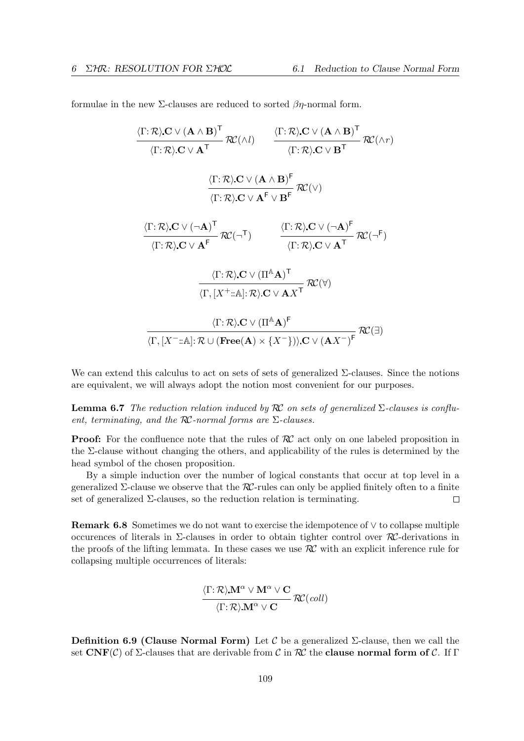formulae in the new  $\Sigma$ -clauses are reduced to sorted  $\beta$ *n*-normal form.

$$
\frac{\langle \Gamma : \mathcal{R} \rangle \mathbf{C} \vee (\mathbf{A} \wedge \mathbf{B})^{\mathsf{T}}}{\langle \Gamma : \mathcal{R} \rangle \mathbf{C} \vee \mathbf{A}^{\mathsf{T}}} \mathcal{RC}(\wedge l) \qquad \frac{\langle \Gamma : \mathcal{R} \rangle \mathbf{C} \vee (\mathbf{A} \wedge \mathbf{B})^{\mathsf{T}}}{\langle \Gamma : \mathcal{R} \rangle \mathbf{C} \vee \mathbf{B}^{\mathsf{T}}} \mathcal{RC}(\wedge r)
$$
\n
$$
\frac{\langle \Gamma : \mathcal{R} \rangle \mathbf{C} \vee (\mathbf{A} \wedge \mathbf{B})^{\mathsf{F}}}{\langle \Gamma : \mathcal{R} \rangle \mathbf{C} \vee \mathbf{A}^{\mathsf{F}}} \mathcal{RC}(\vee)
$$
\n
$$
\frac{\langle \Gamma : \mathcal{R} \rangle \mathbf{C} \vee (\neg \mathbf{A})^{\mathsf{T}}}{\langle \Gamma : \mathcal{R} \rangle \mathbf{C} \vee \mathbf{A}^{\mathsf{F}}} \mathcal{RC}(\neg \mathsf{T}) \qquad \frac{\langle \Gamma : \mathcal{R} \rangle \mathbf{C} \vee (\neg \mathbf{A})^{\mathsf{F}}}{\langle \Gamma : \mathcal{R} \rangle \mathbf{C} \vee \mathbf{A}^{\mathsf{T}}} \mathcal{RC}(\neg \mathsf{F})
$$
\n
$$
\frac{\langle \Gamma : \mathcal{R} \rangle \mathbf{C} \vee (\Pi^{\mathbb{A}} \mathbf{A})^{\mathsf{T}}}{\langle \Gamma, [\mathcal{X}^+ : : \mathbb{A}] : \mathcal{R} \rangle \mathbf{C} \vee (\mathbf{A} \mathbf{A})^{\mathsf{F}}} \mathcal{RC}(\forall)
$$
\n
$$
\frac{\langle \Gamma : \mathcal{R} \rangle \mathbf{C} \vee (\Pi^{\mathbb{A}} \mathbf{A})^{\mathsf{F}}}{\langle \Gamma, [\mathcal{X}^- : : \mathbb{A}] : \mathcal{R} \cup (\mathbf{Free}(\mathbf{A}) \times \{\mathcal{X}^-\}) \rangle \mathbf{C} \vee (\mathbf{A} \mathbf{X}^{-})^{\mathsf{F}}} \mathcal{RC}(\exists)
$$

We can extend this calculus to act on sets of sets of generalized  $\Sigma$ -clauses. Since the notions are equivalent, we will always adopt the notion most convenient for our purposes.

**Lemma 6.7** The reduction relation induced by  $\mathcal{RC}$  on sets of generalized  $\Sigma$ -clauses is confluent, terminating, and the  $R\mathcal{C}$ -normal forms are  $\Sigma$ -clauses.

**Proof:** For the confluence note that the rules of  $\mathcal{RC}$  act only on one labeled proposition in the Σ-clause without changing the others, and applicability of the rules is determined by the head symbol of the chosen proposition.

By a simple induction over the number of logical constants that occur at top level in a generalized  $\Sigma$ -clause we observe that the  $R\mathcal{C}$ -rules can only be applied finitely often to a finite set of generalized  $\Sigma$ -clauses, so the reduction relation is terminating.  $\Box$ 

Remark 6.8 Sometimes we do not want to exercise the idempotence of ∨ to collapse multiple occurences of literals in  $\Sigma$ -clauses in order to obtain tighter control over  $\mathcal{R}$ -derivations in the proofs of the lifting lemmata. In these cases we use  $\mathcal{RC}$  with an explicit inference rule for collapsing multiple occurrences of literals:

$$
\frac{\langle \Gamma; \mathcal{R} \rangle \mathbf{M}^\alpha \vee \mathbf{M}^\alpha \vee \mathbf{C}}{\langle \Gamma; \mathcal{R} \rangle \mathbf{M}^\alpha \vee \mathbf{C}} \, \mathcal{R}\mathcal{C}(coll)
$$

Definition 6.9 (Clause Normal Form) Let  $\mathcal C$  be a generalized  $\Sigma$ -clause, then we call the set  $\text{CNF}(\mathcal{C})$  of  $\Sigma$ -clauses that are derivable from  $\mathcal{C}$  in  $\mathcal{RC}$  the **clause normal form of**  $\mathcal{C}$ . If  $\Gamma$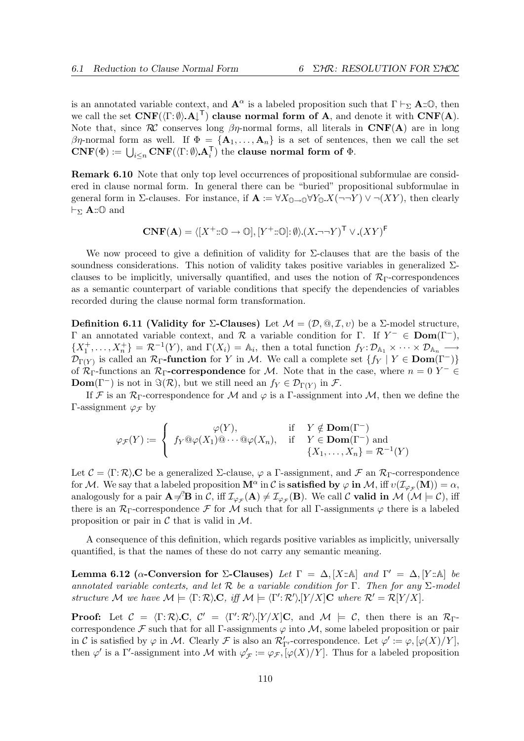is an annotated variable context, and  $\mathbf{A}^{\alpha}$  is a labeled proposition such that  $\Gamma \vdash_{\Sigma} \mathbf{A}:\mathbf{0}$ , then we call the set  $\text{CNF}(\langle \Gamma : \emptyset \rangle \text{ A} | \text{ }^{\mathsf{T}})$  clause normal form of A, and denote it with  $\text{CNF}(A)$ . Note that, since  $\mathcal{R}$  conserves long  $\beta\eta$ -normal forms, all literals in  $\mathbf{CNF}(A)$  are in long βη-normal form as well. If  $\Phi = {\bf{A}_1, ..., A_n}$  is a set of sentences, then we call the set  $\text{CNF}(\Phi) := \bigcup_{i \leq n} \text{CNF}(\langle \Gamma : \emptyset \rangle \mathbf{A}_i^{\mathsf{T}})$  the clause normal form of  $\Phi$ .

Remark 6.10 Note that only top level occurrences of propositional subformulae are considered in clause normal form. In general there can be "buried" propositional subformulae in general form in  $\Sigma$ -clauses. For instance, if  $\mathbf{A} := \forall X_{\mathbb{O}\to\mathbb{O}} \forall Y_{\mathbb{O}} X(\neg\neg Y) \lor \neg (XY)$ , then clearly  $\vdash_{\Sigma} \mathbf{A}$ ::① and

$$
\mathbf{CNF}(\mathbf{A}) = \langle [X^+ \colon \mathbb{O} \to \mathbb{O}], [Y^+ \colon \mathbb{O}] \colon \emptyset \rangle (X \to Y)^{\mathsf{T}} \vee (XY)^{\mathsf{F}}
$$

We now proceed to give a definition of validity for  $\Sigma$ -clauses that are the basis of the soundness considerations. This notion of validity takes positive variables in generalized  $\Sigma$ clauses to be implicitly, universally quantified, and uses the notion of  $\mathcal{R}_{\Gamma}$ -correspondences as a semantic counterpart of variable conditions that specify the dependencies of variables recorded during the clause normal form transformation.

Definition 6.11 (Validity for  $\Sigma$ -Clauses) Let  $\mathcal{M} = (\mathcal{D}, \mathbb{Q}, \mathcal{I}, v)$  be a  $\Sigma$ -model structure, Γ an annotated variable context, and R a variable condition for Γ. If  $Y^-$  ∈ Dom(Γ<sup>−</sup>),  $\{X_1^+,\ldots,X_n^+\} = \mathcal{R}^{-1}(Y)$ , and  $\Gamma(X_i) = \mathbb{A}_i$ , then a total function  $f_Y: \mathcal{D}_{\mathbb{A}_1} \times \cdots \times \mathcal{D}_{\mathbb{A}_n} \longrightarrow$  $\mathcal{D}_{\Gamma(Y)}$  is called an  $\mathcal{R}_{\Gamma}$ -function for Y in M. We call a complete set  $\{f_Y | Y \in \text{Dom}(\Gamma^{-})\}$ of  $\mathcal{R}_{\Gamma}$ -functions an  $\mathcal{R}_{\Gamma}$ -correspondence for M. Note that in the case, where  $n = 0$   $Y^{-} \in$ **Dom**( $\Gamma^-$ ) is not in  $\Im(\mathcal{R})$ , but we still need an  $f_Y \in \mathcal{D}_{\Gamma(Y)}$  in  $\mathcal{F}$ .

If F is an R<sub>Γ</sub>-correspondence for M and  $\varphi$  is a Γ-assignment into M, then we define the Γ-assignment  $\varphi$ <sub>F</sub> by

$$
\varphi_{\mathcal{F}}(Y) := \begin{cases} \varphi(Y), & \text{if } Y \notin \mathbf{Dom}(\Gamma^-) \\ f_Y @ \varphi(X_1) @ \cdots @ \varphi(X_n), & \text{if } Y \in \mathbf{Dom}(\Gamma^-) \text{ and } \\ \{X_1, \ldots, X_n\} = \mathcal{R}^{-1}(Y) \end{cases}
$$

Let  $\mathcal{C} = \langle \Gamma : \mathcal{R} \rangle$  C be a generalized  $\Sigma$ -clause,  $\varphi$  a Γ-assignment, and F an  $\mathcal{R}_{\Gamma}$ -correspondence for M. We say that a labeled proposition  $M^{\alpha}$  in  $\mathcal C$  is **satisfied by**  $\varphi$  in M, iff  $v(\mathcal I_{\varphi_{\mathcal F}}(M)) = \alpha$ , analogously for a pair  $\mathbf{A} \neq^{\prime} \mathbf{B}$  in C, iff  $\mathcal{I}_{\varphi_{\mathcal{F}}}(\mathbf{A}) \neq \mathcal{I}_{\varphi_{\mathcal{F}}}(\mathbf{B})$ . We call C valid in M ( $\mathcal{M} \models \mathcal{C}$ ), iff there is an  $\mathcal{R}_{\Gamma}$ -correspondence F for M such that for all Γ-assignments  $\varphi$  there is a labeled proposition or pair in  $\mathcal C$  that is valid in  $\mathcal M$ .

A consequence of this definition, which regards positive variables as implicitly, universally quantified, is that the names of these do not carry any semantic meaning.

Lemma 6.12 ( $\alpha$ -Conversion for  $\Sigma$ -Clauses) Let  $\Gamma = \Delta$ ,  $[X:\mathbb{A}]$  and  $\Gamma' = \Delta$ ,  $[Y:\mathbb{A}]$  be annotated variable contexts, and let R be a variable condition for Γ. Then for any  $\Sigma$ -model structure M we have  $M \models \langle \Gamma : \mathcal{R} \rangle \mathbf{C}$ , iff  $M \models \langle \Gamma' : \mathcal{R}' \rangle [Y/X] \mathbf{C}$  where  $\mathcal{R}' = \mathcal{R}[Y/X]$ .

**Proof:** Let  $C = \langle \Gamma : \mathcal{R} \rangle \mathbf{C}, C' = \langle \Gamma' : \mathcal{R}' \rangle \cdot [Y/X] \mathbf{C},$  and  $\mathcal{M} \models C$ , then there is an  $\mathcal{R}_{\Gamma}$ correspondence F such that for all Γ-assignments  $\varphi$  into M, some labeled proposition or pair in C is satisfied by  $\varphi$  in M. Clearly F is also an  $\mathcal{R}'_{\Gamma'}$ -correspondence. Let  $\varphi' := \varphi, [\varphi(X)/Y]$ , then  $\varphi'$  is a  $\Gamma'$ -assignment into M with  $\varphi'_{\mathcal{F}} := \varphi_{\mathcal{F}}, [\varphi(X)/Y]$ . Thus for a labeled proposition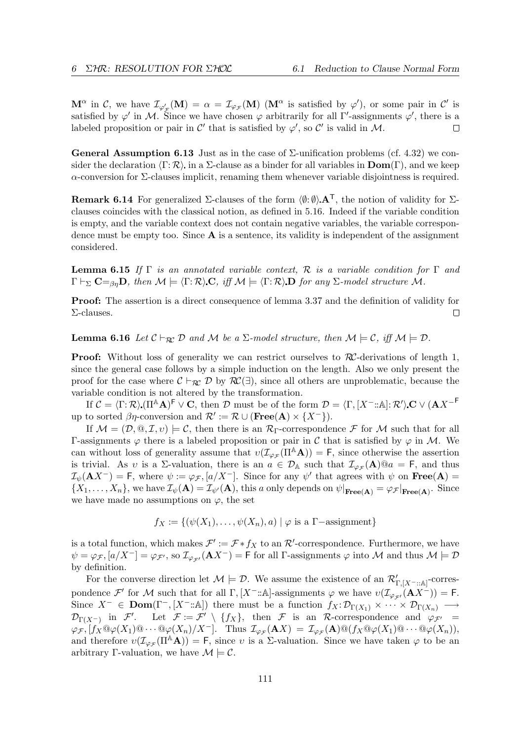$\mathbf{M}^{\alpha}$  in C, we have  $\mathcal{I}_{\varphi_{\mathcal{F}}'}(\mathbf{M}) = \alpha = \mathcal{I}_{\varphi_{\mathcal{F}}}(\mathbf{M})$  ( $\mathbf{M}^{\alpha}$  is satisfied by  $\varphi'$ ), or some pair in C' is satisfied by  $\varphi'$  in M. Since we have chosen  $\varphi$  arbitrarily for all  $\Gamma'$ -assignments  $\varphi'$ , there is a labeled proposition or pair in  $\mathcal{C}'$  that is satisfied by  $\varphi'$ , so  $\mathcal{C}'$  is valid in M.  $\Box$ 

General Assumption 6.13 Just as in the case of  $\Sigma$ -unification problems (cf. 4.32) we consider the declaration  $\langle \Gamma : \mathcal{R} \rangle$  in a  $\Sigma$ -clause as a binder for all variables in  $\text{Dom}(\Gamma)$ , and we keep  $\alpha$ -conversion for  $\Sigma$ -clauses implicit, renaming them whenever variable disjointness is required.

**Remark 6.14** For generalized  $\Sigma$ -clauses of the form  $\langle \emptyset, \emptyset \rangle$ . The notion of validity for  $\Sigma$ clauses coincides with the classical notion, as defined in 5.16. Indeed if the variable condition is empty, and the variable context does not contain negative variables, the variable correspondence must be empty too. Since  $A$  is a sentence, its validity is independent of the assignment considered.

**Lemma 6.15** If  $\Gamma$  is an annotated variable context, R is a variable condition for  $\Gamma$  and  $\Gamma \vdash_{\Sigma} C =_{\beta \eta} D$ , then  $\mathcal{M} \models \langle \Gamma : \mathcal{R} \rangle C$ , iff  $\mathcal{M} \models \langle \Gamma : \mathcal{R} \rangle D$  for any  $\Sigma$ -model structure M.

**Proof:** The assertion is a direct consequence of lemma 3.37 and the definition of validity for Σ-clauses.  $\Box$ 

**Lemma 6.16** Let  $C \vdash_{\mathcal{R}C} D$  and M be a  $\Sigma$ -model structure, then  $\mathcal{M} \models C$ , iff  $\mathcal{M} \models D$ .

**Proof:** Without loss of generality we can restrict ourselves to  $\mathcal{RC}$ -derivations of length 1, since the general case follows by a simple induction on the length. Also we only present the proof for the case where  $\mathcal{C} \vdash_{\mathcal{RC}} \mathcal{D}$  by  $\mathcal{RC}(\exists)$ , since all others are unproblematic, because the variable condition is not altered by the transformation.

If  $\mathcal{C} = \langle \Gamma; \mathcal{R} \rangle$  ( $\Pi^{\mathbb{A}}\mathbf{A}$ )<sup>F</sup>  $\vee$  C, then D must be of the form  $\mathcal{D} = \langle \Gamma, [X^-; \mathbb{A}] : \mathcal{R}' \rangle$  C  $\vee$  ( $\mathbf{A}X^{-\mathsf{F}}$ up to sorted  $\beta\eta$ -conversion and  $\mathcal{R}':=\mathcal{R}\cup(\textbf{Free}(A)\times\{X^-\}).$ 

If  $\mathcal{M} = (\mathcal{D}, \mathbb{Q}, \mathcal{I}, v) \models \mathcal{C}$ , then there is an  $\mathcal{R}_{\Gamma}$ -correspondence  $\mathcal{F}$  for  $\mathcal{M}$  such that for all Γ-assignments  $\varphi$  there is a labeled proposition or pair in C that is satisfied by  $\varphi$  in M. We can without loss of generality assume that  $v(\mathcal{I}_{\varphi_{\mathcal{F}}}(\Pi^{\mathbb{A}}\mathbf{A})) = \mathsf{F}$ , since otherwise the assertion is trivial. As v is a  $\Sigma$ -valuation, there is an  $a \in \mathcal{D}_A$  such that  $\mathcal{I}_{\varphi_{\mathcal{F}}}(A)@a = F$ , and thus  $\mathcal{I}_{\psi}(\mathbf{A} X^{-}) = \mathsf{F}$ , where  $\psi := \varphi_{\mathcal{F}}, [a/X^{-}]$ . Since for any  $\psi'$  that agrees with  $\psi$  on  $\mathbf{Free}(\mathbf{A}) =$  $\{X_1,\ldots,X_n\}$ , we have  $\mathcal{I}_{\psi}(\mathbf{A})=\mathcal{I}_{\psi'}(\mathbf{A})$ , this a only depends on  $\psi|_{\textbf{Free}(\mathbf{A})}=\varphi_{\mathcal{F}}|_{\textbf{Free}(\mathbf{A})}$ . Since we have made no assumptions on  $\varphi$ , the set

$$
f_X := \{ (\psi(X_1), \dots, \psi(X_n), a) \mid \varphi \text{ is a } \Gamma\text{-assignment} \}
$$

is a total function, which makes  $\mathcal{F}' := \mathcal{F} * f_X$  to an  $\mathcal{R}'$ -correspondence. Furthermore, we have  $\psi = \varphi_{\mathcal{F}}, [a/X^-] = \varphi_{\mathcal{F}'},$  so  $\mathcal{I}_{\varphi_{\mathcal{F}'}}(A X^-) = F$  for all  $\Gamma$ -assignments  $\varphi$  into  $\mathcal M$  and thus  $\mathcal M \models \mathcal D$ by definition.

For the converse direction let  $\mathcal{M} \models \mathcal{D}$ . We assume the existence of an  $\mathcal{R}'_{\Gamma, [X^-::\mathbb{A}]}$ -correspondence  $\mathcal{F}'$  for M such that for all  $\Gamma$ ,  $[X^-:\mathbb{A}]$ -assignments  $\varphi$  we have  $v(\mathcal{I}_{\varphi_{\mathcal{F}'}}(AX^-)) = \mathsf{F}$ . Since  $X^- \in \textbf{Dom}(\Gamma^-, [X^-:\mathbb{A}])$  there must be a function  $f_X: \mathcal{D}_{\Gamma(X_1)} \times \cdots \times \mathcal{D}_{\Gamma(X_n)} \longrightarrow$  $\mathcal{D}_{\Gamma(X^-)}$  in F'. Let  $\mathcal{F} := \mathcal{F}' \setminus \{f_X\}$ , then F is an R-correspondence and  $\varphi_{\mathcal{F}'} =$  $\varphi_{\mathcal{F}}, [f_X \mathbb{Q} \varphi(X_1) \mathbb{Q} \cdots \mathbb{Q} \varphi(X_n) / X^-].$  Thus  $\mathcal{I}_{\varphi_{\mathcal{F}}}(\mathbf{A} X) = \mathcal{I}_{\varphi_{\mathcal{F}}}(\mathbf{A}) \mathbb{Q} (f_X \mathbb{Q} \varphi(X_1) \mathbb{Q} \cdots \mathbb{Q} \varphi(X_n)),$ and therefore  $v(\mathcal{I}_{\varphi_{\mathcal{F}}}(\Pi^{\mathbb{A}}\mathbf{A})) = \mathsf{F}$ , since v is a  $\Sigma$ -valuation. Since we have taken  $\varphi$  to be an arbitrary Γ-valuation, we have  $\mathcal{M} \models \mathcal{C}$ .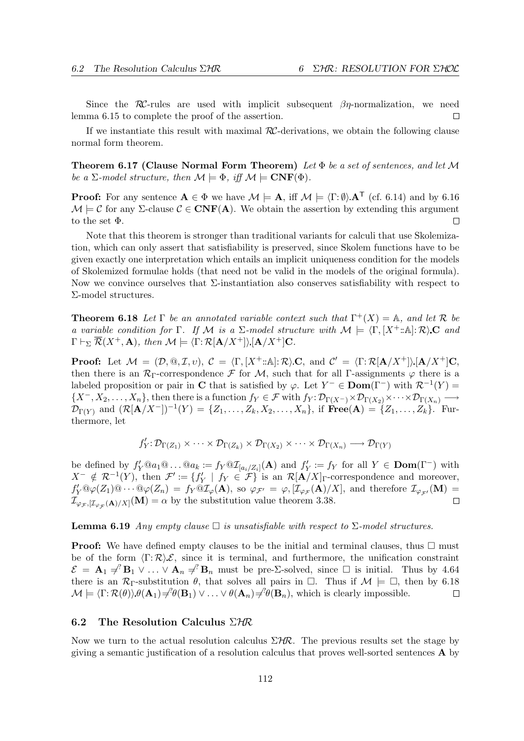Since the RC-rules are used with implicit subsequent  $\beta$ *n*-normalization, we need lemma 6.15 to complete the proof of the assertion.  $\Box$ 

If we instantiate this result with maximal  $RC$ -derivations, we obtain the following clause normal form theorem.

**Theorem 6.17 (Clause Normal Form Theorem)** Let  $\Phi$  be a set of sentences, and let M be a  $\Sigma$ -model structure, then  $\mathcal{M} \models \Phi$ , iff  $\mathcal{M} \models \mathbf{CNF}(\Phi)$ .

**Proof:** For any sentence  $A \in \Phi$  we have  $\mathcal{M} \models A$ , iff  $\mathcal{M} \models \langle \Gamma : \emptyset \rangle A^{\top}$  (cf. 6.14) and by 6.16  $\mathcal{M} \models \mathcal{C}$  for any  $\Sigma$ -clause  $\mathcal{C} \in \mathbf{CNF}(\mathbf{A})$ . We obtain the assertion by extending this argument to the set Φ.  $\Box$ 

Note that this theorem is stronger than traditional variants for calculi that use Skolemization, which can only assert that satisfiability is preserved, since Skolem functions have to be given exactly one interpretation which entails an implicit uniqueness condition for the models of Skolemized formulae holds (that need not be valid in the models of the original formula). Now we convince ourselves that  $\Sigma$ -instantiation also conserves satisfiability with respect to Σ-model structures.

**Theorem 6.18** Let  $\Gamma$  be an annotated variable context such that  $\Gamma^+(X) = \mathbb{A}$ , and let  $\mathcal{R}$  be a variable condition for Γ. If M is a  $\Sigma$ -model structure with  $M \models \langle \Gamma, [X^+ : A] : \mathcal{R} \rangle \mathbf{C}$  and  $\Gamma \vdash_{\Sigma} \overline{\mathcal{R}}(X^+, \mathbf{A}), \text{ then } \mathcal{M} \models \langle \Gamma : \mathcal{R}[\mathbf{A}/X^+] \rangle [\mathbf{A}/X^+] \mathbf{C}.$ 

**Proof:** Let  $\mathcal{M} = (\mathcal{D}, \mathbb{Q}, \mathcal{I}, v), \mathcal{C} = \langle \Gamma, [X^+ : \mathbb{A}] : \mathcal{R} \rangle \mathbf{C}$ , and  $\mathcal{C}' = \langle \Gamma : \mathcal{R}[\mathbf{A}/X^+] \rangle [\mathbf{A}/X^+] \mathbf{C}$ , then there is an  $\mathcal{R}_{\Gamma}$ -correspondence  $\mathcal F$  for  $\mathcal M$ , such that for all Γ-assignments  $\varphi$  there is a labeled proposition or pair in C that is satisfied by  $\varphi$ . Let  $Y^- \in \text{Dom}(\Gamma^-)$  with  $\mathcal{R}^{-1}(Y) =$  $\{X^-, X_2, \ldots, X_n\}$ , then there is a function  $f_Y \in \mathcal{F}$  with  $f_Y : \mathcal{D}_{\Gamma(X^-)} \times \mathcal{D}_{\Gamma(X_2)} \times \cdots \times \mathcal{D}_{\Gamma(X_n)} \longrightarrow$  $\mathcal{D}_{\Gamma(Y)}$  and  $(\mathcal{R}[\mathbf{A}/X^-])^{-1}(Y) = \{Z_1, \ldots, Z_k, X_2, \ldots, X_n\}$ , if  $\text{Free}(\mathbf{A}) = \{Z_1, \ldots, Z_k\}$ . Furthermore, let

$$
f'_Y: \mathcal{D}_{\Gamma(Z_1)} \times \cdots \times \mathcal{D}_{\Gamma(Z_k)} \times \mathcal{D}_{\Gamma(X_2)} \times \cdots \times \mathcal{D}_{\Gamma(X_n)} \longrightarrow \mathcal{D}_{\Gamma(Y)}
$$

be defined by  $f'_Y @a_1 @ \ldots @a_k := f_Y @{\mathcal{I}}_{[a_i/Z_i]}(A)$  and  $f'_Y := f_Y$  for all  $Y \in \text{Dom}(\Gamma^-)$  with  $X^{-} \notin \mathcal{R}^{-1}(Y)$ , then  $\mathcal{F}' := \{f'_Y \mid f_Y \in \mathcal{F}\}$  is an  $\mathcal{R}[\mathbf{A}/X]_{\Gamma}$ -correspondence and moreover,  $f'_Y \mathbb{Q} \varphi(Z_1) \mathbb{Q} \cdots \mathbb{Q} \varphi(Z_n) = f_Y \mathbb{Q} \mathcal{I}_{\varphi}(\mathbf{A}),$  so  $\varphi_{\mathcal{F}'} = \varphi$ ,  $[\mathcal{I}_{\varphi_{\mathcal{F}}}(\mathbf{A})/X]$ , and therefore  $\mathcal{I}_{\varphi_{\mathcal{F}'}}(\mathbf{M}) =$  $\mathcal{I}_{\varphi_{\mathcal{F}},[\mathcal{I}_{\varphi_{\mathcal{F}}}(A)/X]}(M) = \alpha$  by the substitution value theorem 3.38.  $\Box$ 

**Lemma 6.19** Any empty clause  $\Box$  is unsatisfiable with respect to  $\Sigma$ -model structures.

**Proof:** We have defined empty clauses to be the initial and terminal clauses, thus  $\Box$  must be of the form  $\langle \Gamma : \mathcal{R} \rangle \mathcal{E}$ , since it is terminal, and furthermore, the unification constraint  $\mathcal{E} = \mathbf{A}_1 \neq^P \mathbf{B}_1 \vee \ldots \vee \mathbf{A}_n \neq^P \mathbf{B}_n$  must be pre- $\Sigma$ -solved, since  $\square$  is initial. Thus by 4.64 there is an  $\mathcal{R}_{\Gamma}$ -substitution  $\theta$ , that solves all pairs in  $\Box$ . Thus if  $\mathcal{M} \models \Box$ , then by 6.18  $\mathcal{M} \models \langle \Gamma : \mathcal{R}(\theta) \rangle \theta(\mathbf{A}_1) \neq \mathcal{P}(\mathbf{B}_1) \vee \ldots \vee \theta(\mathbf{A}_n) \neq \mathcal{P}(\mathbf{B}_n)$ , which is clearly impossible.  $\Box$ 

## 6.2 The Resolution Calculus  $\Sigma$ HR

Now we turn to the actual resolution calculus  $\Sigma$ HR. The previous results set the stage by giving a semantic justification of a resolution calculus that proves well-sorted sentences A by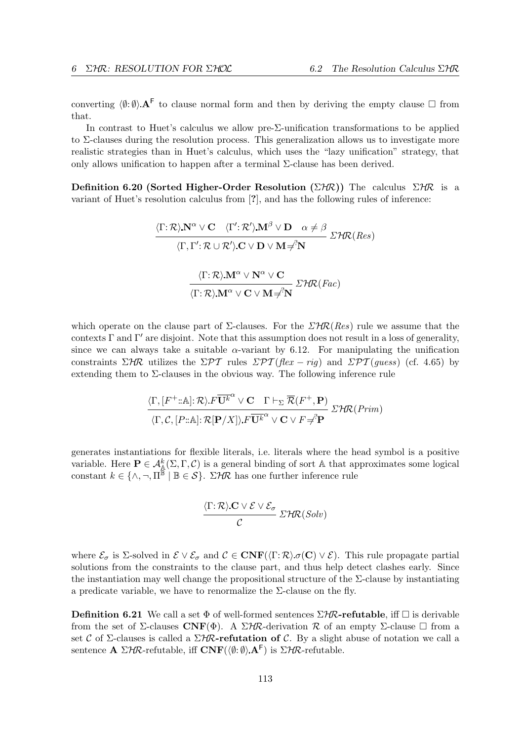converting  $\langle \emptyset: \emptyset \rangle$ . A<sup>F</sup> to clause normal form and then by deriving the empty clause  $\Box$  from that.

In contrast to Huet's calculus we allow pre-Σ-unification transformations to be applied to  $\Sigma$ -clauses during the resolution process. This generalization allows us to investigate more realistic strategies than in Huet's calculus, which uses the "lazy unification" strategy, that only allows unification to happen after a terminal  $\Sigma$ -clause has been derived.

Definition 6.20 (Sorted Higher-Order Resolution ( $\Sigma$ HR)) The calculus  $\Sigma$ HR is a variant of Huet's resolution calculus from [?], and has the following rules of inference:

$$
\frac{\langle \Gamma; \mathcal{R} \rangle \mathbf{N}^{\alpha} \vee \mathbf{C} \quad \langle \Gamma'; \mathcal{R}' \rangle \mathbf{M}^{\beta} \vee \mathbf{D} \quad \alpha \neq \beta}{\langle \Gamma, \Gamma'; \mathcal{R} \cup \mathcal{R}' \rangle \mathbf{C} \vee \mathbf{D} \vee \mathbf{M} \neq \mathbf{N}} \Sigma^{\gamma} \mathcal{R}(\text{Res})
$$
  

$$
\frac{\langle \Gamma; \mathcal{R} \rangle \mathbf{M}^{\alpha} \vee \mathbf{N}^{\alpha} \vee \mathbf{C}}{\langle \Gamma; \mathcal{R} \rangle \mathbf{M}^{\alpha} \vee \mathbf{C} \vee \mathbf{M} \neq \mathbf{N}} \Sigma^{\gamma} \mathcal{R}(\text{Fac})
$$

which operate on the clause part of  $\Sigma$ -clauses. For the  $\Sigma$ HR(Res) rule we assume that the contexts  $\Gamma$  and  $\Gamma'$  are disjoint. Note that this assumption does not result in a loss of generality, since we can always take a suitable  $\alpha$ -variant by 6.12. For manipulating the unification constraints  $\Sigma$ HR utilizes the  $\Sigma$ PT rules  $\Sigma$ PT (flex – rig) and  $\Sigma$ PT (guess) (cf. 4.65) by extending them to  $\Sigma$ -clauses in the obvious way. The following inference rule

$$
\frac{\langle \Gamma, [F^+:\mathbb{A}]: \mathcal{R} \rangle F\overline{\mathbf{U}^k}^{\alpha} \vee \mathbf{C} \quad \Gamma \vdash_{\Sigma} \overline{\mathcal{R}}(F^+, \mathbf{P})}{\langle \Gamma, \mathcal{C}, [P:\mathbb{A}]: \mathcal{R}[\mathbf{P}/X] \rangle F\overline{\mathbf{U}^k}^{\alpha} \vee \mathbf{C} \vee F \neq^2 \mathbf{P}} \Sigma^{\mathcal{H}} \mathcal{R}(Prim)
$$

generates instantiations for flexible literals, i.e. literals where the head symbol is a positive variable. Here  $P \in \mathcal{A}_{\mathbb{A}}^k(\Sigma,\Gamma,\mathcal{C})$  is a general binding of sort A that approximates some logical constant  $k \in \{\wedge, \neg, \Pi^{\widetilde{\mathbb{B}}} \mid \mathbb{B} \in \mathcal{S}\}\$ .  $\Sigma$ HR has one further inference rule

$$
\frac{\langle \Gamma; \mathcal{R} \rangle \mathbf{C} \vee \mathcal{E} \vee \mathcal{E}_{\sigma}}{\mathcal{C}} \mathcal{LHC}(Solv)
$$

where  $\mathcal{E}_{\sigma}$  is Σ-solved in  $\mathcal{E} \vee \mathcal{E}_{\sigma}$  and  $\mathcal{C} \in \mathbf{CNF}(\langle \Gamma : \mathcal{R} \rangle \sigma(\mathbf{C}) \vee \mathcal{E})$ . This rule propagate partial solutions from the constraints to the clause part, and thus help detect clashes early. Since the instantiation may well change the propositional structure of the  $\Sigma$ -clause by instantiating a predicate variable, we have to renormalize the  $\Sigma$ -clause on the fly.

**Definition 6.21** We call a set  $\Phi$  of well-formed sentences  $\Sigma$ HR-refutable, iff  $\Box$  is derivable from the set of Σ-clauses CNF( $\Phi$ ). A  $\Sigma$ HR-derivation R of an empty Σ-clause  $\Box$  from a set C of Σ-clauses is called a  $\Sigma$ HR-refutation of C. By a slight abuse of notation we call a sentence  $\mathbf{A} \Sigma H R$ -refutable, iff  $\mathbf{CNF}(\langle \emptyset; \emptyset \rangle \mathbf{A}^{\mathsf{F}})$  is  $\Sigma H R$ -refutable.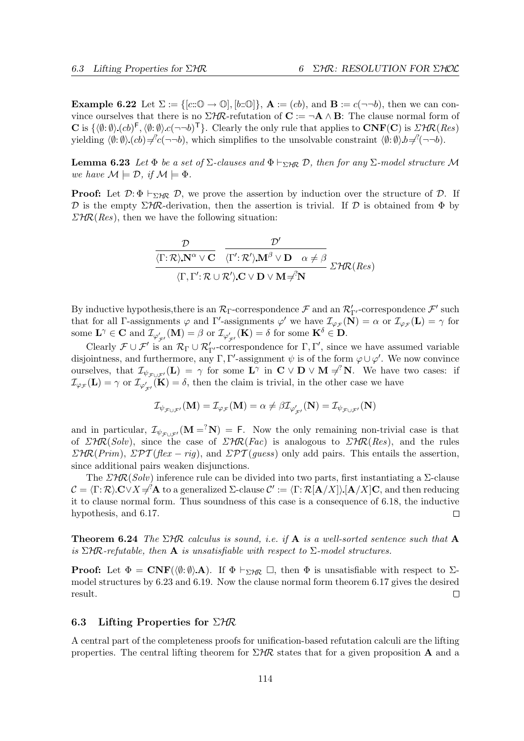**Example 6.22** Let  $\Sigma := \{ [c : \mathbb{O} \to \mathbb{O}], [b : \mathbb{O}] \}, \mathbf{A} := (cb), \text{ and } \mathbf{B} := c(\neg \neg b)$ , then we can convince ourselves that there is no  $\Sigma$ HR-refutation of  $\mathbf{C} := \neg \mathbf{A} \wedge \mathbf{B}$ : The clause normal form of **C** is  $\{\langle \emptyset: \emptyset \rangle \cdot (cb)^{\mathsf{F}}, \langle \emptyset: \emptyset \rangle \cdot c(\neg \neg b)^{\mathsf{T}}\}.$  Clearly the only rule that applies to  $\text{CNF}(\mathbf{C})$  is  $\text{FFR}(Res)$ yielding  $\langle \emptyset: \emptyset \rangle (cb) \neq c'(\neg \neg b)$ , which simplifies to the unsolvable constraint  $\langle \emptyset: \emptyset \rangle b = c'(\neg \neg b)$ .

**Lemma 6.23** Let  $\Phi$  be a set of  $\Sigma$ -clauses and  $\Phi \vdash_{\Sigma \forall R} \mathcal{D}$ , then for any  $\Sigma$ -model structure M we have  $\mathcal{M} \models \mathcal{D}$ , if  $\mathcal{M} \models \Phi$ .

**Proof:** Let  $\mathcal{D}$ :  $\Phi \vdash_{\Sigma} \mathcal{H}$   $\mathcal{D}$ , we prove the assertion by induction over the structure of  $\mathcal{D}$ . If D is the empty  $\Sigma H\mathcal{R}$ -derivation, then the assertion is trivial. If D is obtained from  $\Phi$  by  $\Sigma H \mathcal{R}(Res)$ , then we have the following situation:

$$
\frac{\mathcal{D}}{\langle \Gamma;\mathcal{R}\rangle.\mathbf{N}^{\alpha}\vee\mathbf{C}}\quad \frac{\mathcal{D}'}{\langle \Gamma';\mathcal{R}'\rangle.\mathbf{M}^{\beta}\vee\mathbf{D}\quad \alpha\neq\beta}\, \sum_{\langle \Gamma,\,\Gamma';\,\mathcal{R}\,\cup\,\mathcal{R}'\rangle.\mathbf{C}\,\vee\,\mathbf{D}\,\vee\,\mathbf{M}\neq^2\mathbf{N}}\, \Sigma'\mathcal{H}\mathcal{R}(Res)
$$

By inductive hypothesis, there is an  $\mathcal{R}_{\Gamma}$ -correspondence  $\mathcal F$  and an  $\mathcal{R}'_{\Gamma'}$ -correspondence  $\mathcal F'$  such that for all Γ-assignments  $\varphi$  and Γ'-assignments  $\varphi'$  we have  $\mathcal{I}_{\varphi_{\mathcal{F}}}(\mathbf{N}) = \alpha$  or  $\mathcal{I}_{\varphi_{\mathcal{F}}}(\mathbf{L}) = \gamma$  for some  $\mathbf{L}^{\gamma} \in \mathbf{C}$  and  $\mathcal{I}_{\varphi'_{\mathcal{F}'}}(\mathbf{M}) = \beta$  or  $\mathcal{I}_{\varphi'_{\mathcal{F}'}}(\mathbf{K}) = \delta$  for some  $\mathbf{K}^{\delta} \in \mathbf{D}$ .

Clearly  $\mathcal{F} \cup \mathcal{F}'$  is an  $\mathcal{R}_{\Gamma} \cup \mathcal{R}'_{\Gamma'}$ -correspondence for  $\Gamma, \Gamma'$ , since we have assumed variable disjointness, and furthermore, any Γ, Γ'-assignment  $\psi$  is of the form  $\varphi \cup \varphi'$ . We now convince ourselves, that  $\mathcal{I}_{\psi_{\mathcal{F}\cup\mathcal{F}'}}(\mathbf{L}) = \gamma$  for some  $\mathbf{L}^\gamma$  in  $\mathbf{C} \vee \mathbf{D} \vee \mathbf{M} \neq^? \mathbf{N}$ . We have two cases: if  $\mathcal{I}_{\varphi_{\mathcal{F}}}(\mathbf{L}) = \gamma$  or  $\mathcal{I}_{\varphi'_{\mathcal{F}'}}(\mathbf{K}) = \delta$ , then the claim is trivial, in the other case we have

$$
\mathcal{I}_{\psi_{\mathcal{F}\cup\mathcal{F}'}}(\mathbf{M})=\mathcal{I}_{\varphi_{\mathcal{F}}}(\mathbf{M})=\alpha\neq\beta\mathcal{I}_{\varphi'_{\mathcal{F}'}}(\mathbf{N})=\mathcal{I}_{\psi_{\mathcal{F}\cup\mathcal{F}'}}(\mathbf{N})
$$

and in particular,  $\mathcal{I}_{\psi_{\mathcal{F}\cup\mathcal{F}'}}(\mathbf{M} = N) = F$ . Now the only remaining non-trivial case is that of  $\mathcal{LHR}(Solv)$ , since the case of  $\mathcal{LHR}(Fac)$  is analogous to  $\mathcal{LHR}(Res)$ , and the rules  $\Sigma H \mathcal{R}(Prim)$ ,  $\Sigma \mathcal{PT}(flex - riq)$ , and  $\Sigma \mathcal{PT}(guess)$  only add pairs. This entails the assertion, since additional pairs weaken disjunctions.

The  $\Sigma$ HR(Solv) inference rule can be divided into two parts, first instantiating a  $\Sigma$ -clause  $\mathcal{C} = \langle \Gamma : \mathcal{R} \rangle \mathbf{C} \vee X \neq^? \mathbf{A}$  to a generalized  $\Sigma$ -clause  $\mathcal{C}' := \langle \Gamma : \mathcal{R}[\mathbf{A}/X] \rangle [\mathbf{A}/X] \mathbf{C}$ , and then reducing it to clause normal form. Thus soundness of this case is a consequence of 6.18, the inductive hypothesis, and 6.17.  $\Box$ 

**Theorem 6.24** The  $\Sigma$ HR calculus is sound, i.e. if **A** is a well-sorted sentence such that **A** is  $\Sigma$ HR-refutable, then **A** is unsatisfiable with respect to  $\Sigma$ -model structures.

**Proof:** Let  $\Phi = \text{CNF}(\langle \emptyset; \emptyset \rangle \mathbf{A})$ . If  $\Phi \vdash_{\Sigma \mathcal{H} \mathcal{R}} \Box$ , then  $\Phi$  is unsatisfiable with respect to  $\Sigma$ model structures by 6.23 and 6.19. Now the clause normal form theorem 6.17 gives the desired result.  $\Box$ 

## 6.3 Lifting Properties for  $\Sigma$ HR

A central part of the completeness proofs for unification-based refutation calculi are the lifting properties. The central lifting theorem for  $\Sigma$ HR states that for a given proposition A and a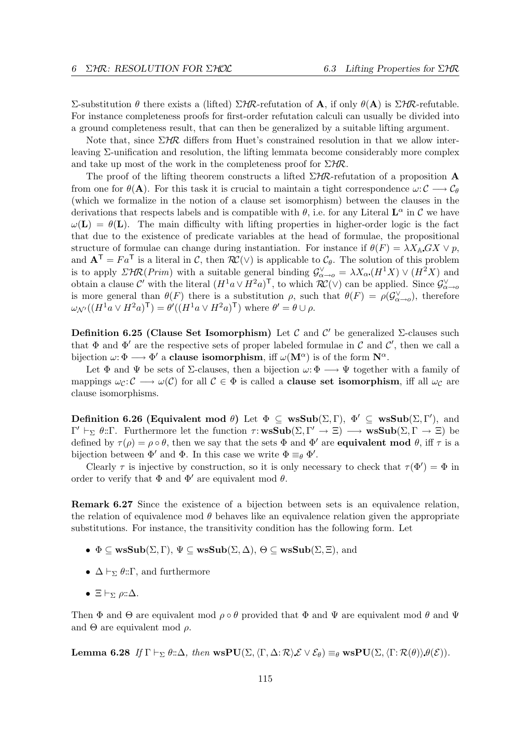Σ-substitution θ there exists a (lifted)  $\Sigma$ HR-refutation of **A**, if only  $\theta$ (**A**) is  $\Sigma$ HR-refutable. For instance completeness proofs for first-order refutation calculi can usually be divided into a ground completeness result, that can then be generalized by a suitable lifting argument.

Note that, since  $\Sigma H\mathcal{R}$  differs from Huet's constrained resolution in that we allow interleaving Σ-unification and resolution, the lifting lemmata become considerably more complex and take up most of the work in the completeness proof for  $\Sigma$ HR.

The proof of the lifting theorem constructs a lifted  $\Sigma H\mathcal{R}$ -refutation of a proposition A from one for  $\theta(\mathbf{A})$ . For this task it is crucial to maintain a tight correspondence  $\omega: \mathcal{C} \longrightarrow \mathcal{C}_{\theta}$ (which we formalize in the notion of a clause set isomorphism) between the clauses in the derivations that respects labels and is compatible with  $\theta$ , i.e. for any Literal  $\mathbf{L}^{\alpha}$  in  $\mathcal{C}$  we have  $\omega(\mathbf{L}) = \theta(\mathbf{L})$ . The main difficulty with lifting properties in higher-order logic is the fact that due to the existence of predicate variables at the head of formulae, the propositional structure of formulae can change during instantiation. For instance if  $\theta(F) = \lambda X_{\mathbb{A}} G X \vee p$ , and  $A^T = Fa^T$  is a literal in C, then  $RC(V)$  is applicable to  $C_\theta$ . The solution of this problem is to apply  $\mathcal{LHR}(Prim)$  with a suitable general binding  $\mathcal{G}^{\vee}_{\alpha\to o} = \lambda X_{\alpha}(H^{1}X) \vee (H^{2}X)$  and obtain a clause C' with the literal  $(H^1a \vee H^2a)^{\mathsf{T}}$ , to which  $\mathcal{RC}(\vee)$  can be applied. Since  $\mathcal{G}_{\alpha\to o}^{\vee}$ is more general than  $\theta(F)$  there is a substitution  $\rho$ , such that  $\theta(F) = \rho(\mathcal{G}^{\vee}_{\alpha\to o})$ , therefore  $\omega_{\mathcal{N}}((H^1a \vee H^2a)^{\mathsf{T}}) = \theta'((H^1a \vee H^2a)^{\mathsf{T}})$  where  $\theta' = \theta \cup \rho$ .

Definition 6.25 (Clause Set Isomorphism) Let  $\mathcal C$  and  $\mathcal C'$  be generalized  $\Sigma$ -clauses such that  $\Phi$  and  $\Phi'$  are the respective sets of proper labeled formulae in C and C', then we call a bijection  $\omega: \Phi \longrightarrow \Phi'$  a **clause isomorphism**, iff  $\omega(M^{\alpha})$  is of the form  $\mathbb{N}^{\alpha}$ .

Let  $\Phi$  and  $\Psi$  be sets of  $\Sigma$ -clauses, then a bijection  $\omega: \Phi \longrightarrow \Psi$  together with a family of mappings  $\omega_c: \mathcal{C} \longrightarrow \omega(\mathcal{C})$  for all  $\mathcal{C} \in \Phi$  is called a **clause set isomorphism**, iff all  $\omega_c$  are clause isomorphisms.

Definition 6.26 (Equivalent mod  $\theta$ ) Let  $\Phi \subseteq \text{wsSub}(\Sigma, \Gamma)$ ,  $\Phi' \subseteq \text{wsSub}(\Sigma, \Gamma')$ , and  $\Gamma' \vdash_{\Sigma} \theta : \Gamma$ . Furthermore let the function  $\tau : \mathbf{wsSub}(\Sigma, \Gamma' \to \Xi) \longrightarrow \mathbf{wsSub}(\Sigma, \Gamma \to \Xi)$  be defined by  $\tau(\rho) = \rho \circ \theta$ , then we say that the sets  $\Phi$  and  $\Phi'$  are **equivalent mod**  $\theta$ , iff  $\tau$  is a bijection between  $\Phi'$  and  $\Phi$ . In this case we write  $\Phi \equiv_{\theta} \Phi'$ .

Clearly  $\tau$  is injective by construction, so it is only necessary to check that  $\tau(\Phi') = \Phi$  in order to verify that  $\Phi$  and  $\Phi'$  are equivalent mod  $\theta$ .

Remark 6.27 Since the existence of a bijection between sets is an equivalence relation, the relation of equivalence mod  $\theta$  behaves like an equivalence relation given the appropriate substitutions. For instance, the transitivity condition has the following form. Let

- $\Phi \subseteq \mathbf{wsSub}(\Sigma, \Gamma), \Psi \subseteq \mathbf{wsSub}(\Sigma, \Delta), \Theta \subseteq \mathbf{wsSub}(\Sigma, \Xi),$  and
- $\Delta \vdash_{\Sigma} \theta :: \Gamma$ , and furthermore
- $\Xi \vdash_{\Sigma} \rho : \Delta$ .

Then  $\Phi$  and  $\Theta$  are equivalent mod  $\rho \circ \theta$  provided that  $\Phi$  and  $\Psi$  are equivalent mod  $\theta$  and  $\Psi$ and  $\Theta$  are equivalent mod  $\rho$ .

Lemma 6.28 If  $\Gamma \vdash_{\Sigma} \theta : \Delta$ , then wsPU( $\Sigma$ ,  $\langle \Gamma, \Delta : \mathcal{R} \rangle \mathcal{E} \vee \mathcal{E}_{\theta}$ )  $\equiv_{\theta}$  wsPU( $\Sigma$ ,  $\langle \Gamma : \mathcal{R}(\theta) \rangle \theta(\mathcal{E})$ ).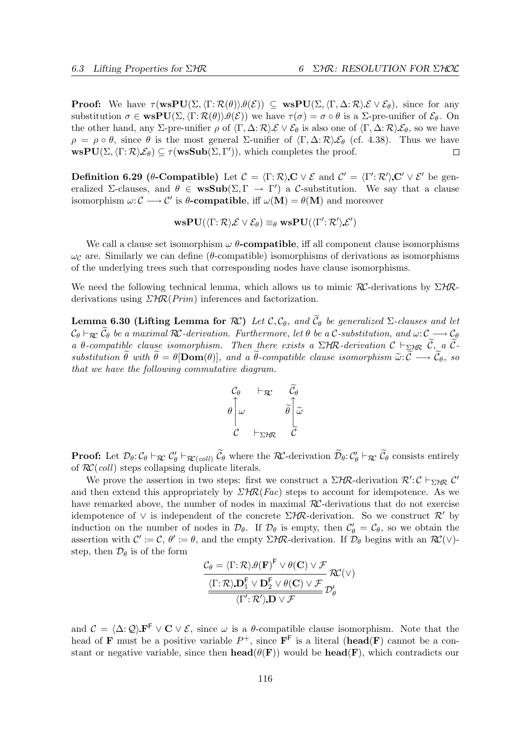**Proof:** We have  $\tau(\mathbf{wsPU}(\Sigma,\langle \Gamma;\mathcal{R}(\theta)\rangle \theta(\mathcal{E})) \subseteq \mathbf{wsPU}(\Sigma,\langle \Gamma,\Delta;\mathcal{R}\rangle \mathcal{E} \vee \mathcal{E}_{\theta})$ , since for any substitution  $\sigma \in \text{wsPU}(\Sigma, \langle \Gamma : \mathcal{R}(\theta) \rangle \theta(\mathcal{E}))$  we have  $\tau(\sigma) = \sigma \circ \theta$  is a  $\Sigma$ -pre-unifier of  $\mathcal{E}_{\theta}$ . On the other hand, any Σ-pre-unifier  $\rho$  of  $\langle \Gamma, \Delta : \mathcal{R} \rangle \mathcal{E} \vee \mathcal{E}_{\theta}$  is also one of  $\langle \Gamma, \Delta : \mathcal{R} \rangle \mathcal{E}_{\theta}$ , so we have  $\rho = \rho \circ \theta$ , since  $\theta$  is the most general Σ-unifier of  $\langle \Gamma, \Delta; \mathcal{R} \rangle \mathcal{E}_{\theta}$  (cf. 4.38). Thus we have  $\text{wsPU}(\Sigma, \langle \Gamma : \mathcal{R} \rangle \mathcal{E}_{\theta}) \subseteq \tau(\text{wsSub}(\Sigma, \Gamma'))$ , which completes the proof.  $\Box$ 

**Definition 6.29 (θ-Compatible)** Let  $\mathcal{C} = \langle \Gamma : \mathcal{R} \rangle \mathbf{C} \vee \mathcal{E}$  and  $\mathcal{C}' = \langle \Gamma' : \mathcal{R}' \rangle \mathbf{C}' \vee \mathcal{E}'$  be generalized Σ-clauses, and  $\theta \in \mathbf{wsSub}(\Sigma, \Gamma \to \Gamma')$  a C-substitution. We say that a clause isomorphism  $\omega: \mathcal{C} \longrightarrow \mathcal{C}'$  is  $\theta$ -compatible, iff  $\omega(\mathbf{M}) = \theta(\mathbf{M})$  and moreover

$$
\mathbf{wsPU}(\langle \Gamma; \mathcal{R} \rangle \mathcal{E} \vee \mathcal{E}_{\theta}) \equiv_{\theta} \mathbf{wsPU}(\langle \Gamma'; \mathcal{R}' \rangle \mathcal{E}')
$$

We call a clause set isomorphism  $\omega$   $\theta$ -compatible, iff all component clause isomorphisms  $\omega_c$  are. Similarly we can define (θ-compatible) isomorphisms of derivations as isomorphisms of the underlying trees such that corresponding nodes have clause isomorphisms.

We need the following technical lemma, which allows us to mimic  $\mathcal{RC}$ -derivations by  $\Sigma$ HRderivations using  $\mathcal{LHR}(Prim)$  inferences and factorization.

Lemma 6.30 (Lifting Lemma for  $\mathcal{RC}$ ) Let  $\mathcal{C}, \mathcal{C}_{\theta}$ , and  $\widetilde{\mathcal{C}}_{\theta}$  be generalized  $\Sigma$ -clauses and let  $C_{\theta} \vdash_{\mathcal{RC}} \widetilde{C}_{\theta}$  be a maximal  $\mathcal{RC}$ -derivation. Furthermore, let  $\theta$  be a  $\mathcal{C}$ -substitution, and  $\omega: \mathcal{C} \longrightarrow \mathcal{C}_{\theta}$ a θ-compatible clause isomorphism. Then there exists a  $\Sigma$ HR-derivation  $\mathcal{C} \vdash_{\Sigma H\mathbb{R}} \widetilde{\mathcal{C}}$ , a  $\widetilde{\mathcal{C}}$ substitution  $\widetilde{\theta}$  with  $\widetilde{\theta} = \theta$ [Dom( $\theta$ )], and a  $\widetilde{\theta}$ -compatible clause isomorphism  $\widetilde{\omega}: \widetilde{\mathcal{C}} \longrightarrow \widetilde{\mathcal{C}}_{\theta}$ , so that we have the following commutative diagram.

$$
\begin{array}{ccc}\nC_{\theta} & \vdash_{\mathcal{R}\mathcal{C}} & \widetilde{C}_{\theta} \\
\theta \Big| \omega & & \widetilde{\theta} \Big| \widetilde{\omega} \\
C & \vdash_{\Sigma \mathcal{H}\mathcal{R}} & \widetilde{C}\n\end{array}
$$

**Proof:** Let  $\mathcal{D}_{\theta}$ :  $\mathcal{C}_{\theta} \vdash_{\mathcal{RC}} \mathcal{C}'_{\theta} \vdash_{\mathcal{RC}(coll)} \widetilde{\mathcal{C}}_{\theta}$  where the  $\mathcal{RC}$ -derivation  $\widetilde{\mathcal{D}}_{\theta}$ :  $\mathcal{C}'_{\theta} \vdash_{\mathcal{RC}} \widetilde{\mathcal{C}}_{\theta}$  consists entirely of  $\mathcal{RC}(coll)$  steps collapsing duplicate literals.

We prove the assertion in two steps: first we construct a  $\Sigma H\mathcal{R}$ -derivation  $\mathcal{R}' : \mathcal{C} \vdash_{\Sigma H\mathcal{R}} \mathcal{C}'$ and then extend this appropriately by  $\mathcal{LHR}(Fac)$  steps to account for idempotence. As we have remarked above, the number of nodes in maximal RC-derivations that do not exercise idempotence of  $\vee$  is independent of the concrete  $\Sigma H\mathcal{R}$ -derivation. So we construct  $\mathcal{R}'$  by induction on the number of nodes in  $\mathcal{D}_{\theta}$ . If  $\mathcal{D}_{\theta}$  is empty, then  $\mathcal{C}'_{\theta} = \mathcal{C}_{\theta}$ , so we obtain the assertion with  $\mathcal{C}' := \mathcal{C}, \theta' := \theta$ , and the empty  $\Sigma H\mathcal{R}$ -derivation. If  $\mathcal{D}_{\theta}$  begins with an  $\mathcal{RC}(\vee)$ step, then  $\mathcal{D}_{\theta}$  is of the form

$$
\mathcal{C}_{\theta} = \langle \Gamma : \mathcal{R} \rangle \theta(\mathbf{F})^{\mathsf{F}} \vee \theta(\mathbf{C}) \vee \mathcal{F} \n\underbrace{\langle \Gamma : \mathcal{R} \rangle \mathbf{D}_{1}^{\mathsf{F}} \vee \mathbf{D}_{2}^{\mathsf{F}} \vee \theta(\mathbf{C}) \vee \mathcal{F}}_{\langle \Gamma' : \mathcal{R}' \rangle \mathbf{D} \vee \mathcal{F}} \mathcal{D}'_{\theta}
$$

and  $\mathcal{C} = \langle \Delta : \mathcal{Q} \rangle \mathbf{F}^{\mathsf{F}} \vee \mathbf{C} \vee \mathcal{E}$ , since  $\omega$  is a  $\theta$ -compatible clause isomorphism. Note that the head of **F** must be a positive variable  $P^+$ , since  $\mathbf{F}^{\mathsf{F}}$  is a literal (head(**F**) cannot be a constant or negative variable, since then  $head(\theta(\mathbf{F}))$  would be  $head(\mathbf{F})$ , which contradicts our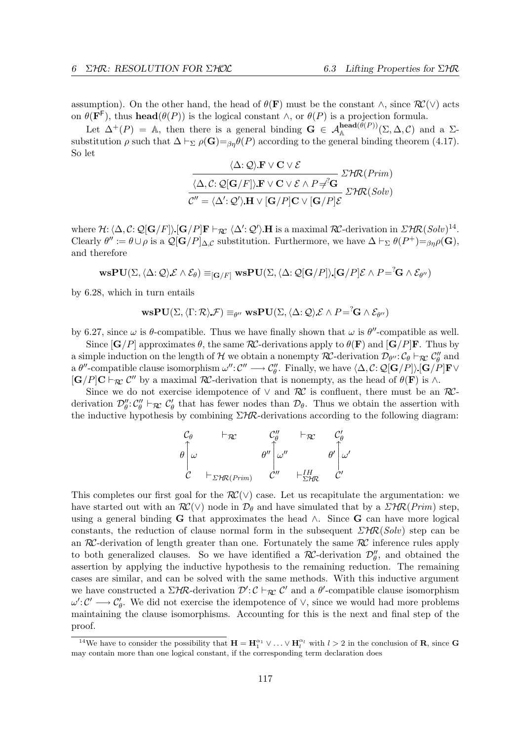assumption). On the other hand, the head of  $\theta(\mathbf{F})$  must be the constant  $\wedge$ , since  $\mathcal{RC}(\vee)$  acts on  $\theta(\mathbf{F}^{\mathsf{F}})$ , thus **head**( $\theta(P)$ ) is the logical constant  $\wedge$ , or  $\theta(P)$  is a projection formula.

Let  $\Delta^+(P) = \mathbb{A}$ , then there is a general binding  $\mathbf{G} \in \mathcal{A}_{\mathbb{A}}^{\mathbf{head}(\theta(P))}(\Sigma, \Delta, \mathcal{C})$  and a  $\Sigma$ substitution  $\rho$  such that  $\Delta \vdash_{\Sigma} \rho(\mathbf{G}) =_{\beta \eta} \theta(P)$  according to the general binding theorem (4.17). So let

$$
\frac{\langle \Delta; \mathcal{Q} \rangle \mathbf{F} \vee \mathbf{C} \vee \mathcal{E}}{\langle \Delta, \mathcal{C}: \mathcal{Q}[\mathbf{G}/F] \rangle \mathbf{F} \vee \mathbf{C} \vee \mathcal{E} \wedge P \neq^T \mathbf{G}} \Sigma^{\mathcal{H}R(Prim)}
$$

$$
\overline{\mathcal{C}'' = \langle \Delta'; \mathcal{Q}' \rangle \mathbf{H} \vee [\mathbf{G}/P] \mathbf{C} \vee [\mathbf{G}/P] \mathcal{E}} \Sigma^{\mathcal{H}R(Solv)}
$$

where  $\mathcal{H}: \langle \Delta, \mathcal{C}: \mathcal{Q}[\mathbf{G}/F] \rangle [\mathbf{G}/P]\mathbf{F} \vdash_{\mathcal{RC}} \langle \Delta'; \mathcal{Q}' \rangle \mathbf{H}$  is a maximal  $\mathcal{RC}\text{-derivation in } \Sigma \mathcal{HR}(Solv)^{14}.$ Clearly  $\theta' := \theta \cup \rho$  is a  $\mathcal{Q}[\mathbf{G}/P]_{\Delta,\mathcal{C}}$  substitution. Furthermore, we have  $\Delta \vdash_{\Sigma} \theta(P^+) =_{\beta\eta}\rho(\mathbf{G}),$ and therefore

$$
\mathbf{wsPU}(\Sigma, \langle \Delta : \mathcal{Q} \rangle \mathcal{E} \wedge \mathcal{E}_{\theta}) \equiv_{[\mathbf{G}/F]} \mathbf{wsPU}(\Sigma, \langle \Delta : \mathcal{Q}[\mathbf{G}/P] \rangle [\mathbf{G}/P] \mathcal{E} \wedge P = \langle \mathbf{G} \wedge \mathcal{E}_{\theta''}\rangle
$$

by 6.28, which in turn entails

$$
\mathbf{wsPU}(\Sigma, \langle \Gamma; \mathcal{R} \rangle \mathcal{F}) \equiv_{\theta''} \mathbf{wsPU}(\Sigma, \langle \Delta; \mathcal{Q} \rangle \mathcal{E} \wedge P = \langle \mathbf{G} \wedge \mathcal{E}_{\theta''} \rangle
$$

by 6.27, since  $\omega$  is  $\theta$ -compatible. Thus we have finally shown that  $\omega$  is  $\theta''$ -compatible as well.

Since  $[\mathbf{G}/P]$  approximates  $\theta$ , the same  $\mathcal{RC}$ -derivations apply to  $\theta(\mathbf{F})$  and  $[\mathbf{G}/P]\mathbf{F}$ . Thus by a simple induction on the length of  $H$  we obtain a nonempty  $RC$ -derivation  $\mathcal{D}_{\theta''}$ :  $\mathcal{C}_{\theta} \vdash_{\mathcal{RC}} \mathcal{C}_{\theta}''$  and a  $\theta''$ -compatible clause isomorphism  $\omega'' : \mathcal{C}'' \longrightarrow \mathcal{C}''_{\theta}$ . Finally, we have  $\langle \Delta, \mathcal{C} : \mathcal{Q}[\mathbf{G}/P] \rangle [\mathbf{G}/P] \mathbf{F} \vee$  $[\mathbf{G}/P]\mathbf{C}\vdash_{\mathcal{RC}} C''$  by a maximal  $\mathcal{RC}$ -derivation that is nonempty, as the head of  $\theta(\mathbf{F})$  is  $\wedge$ .

Since we do not exercise idempotence of  $\vee$  and  $\mathcal{RC}$  is confluent, there must be an  $\mathcal{RC}$ derivation  $\mathcal{D}_{\theta}''$ :  $\mathcal{C}_{\theta}''$   $\vdash_{\mathcal{RC}} \mathcal{C}_{\theta}'$  that has fewer nodes than  $\mathcal{D}_{\theta}$ . Thus we obtain the assertion with the inductive hypothesis by combining  $\Sigma$ HR-derivations according to the following diagram:

$$
\begin{array}{ccc}\nC_{\theta} & \vdash_{\mathcal{R}\mathcal{C}} & C''_{\theta} & \vdash_{\mathcal{R}\mathcal{C}} & C'_{\theta} \\
\theta \Big| \omega & \theta'' \Big| \omega'' & \theta' \Big| \omega' \\
C & \vdash_{\Sigma \mathcal{H}\mathcal{R}(Prim)} & C'' & \vdash_{\Sigma \mathcal{H}\mathcal{R}} & C'\n\end{array}
$$

This completes our first goal for the  $\mathcal{RC}(\vee)$  case. Let us recapitulate the argumentation: we have started out with an  $\mathcal{RC}(\vee)$  node in  $\mathcal{D}_{\theta}$  and have simulated that by a  $\mathcal{LHR}(Prim)$  step, using a general binding G that approximates the head  $\wedge$ . Since G can have more logical constants, the reduction of clause normal form in the subsequent  $\Sigma H \mathcal{R}(Solv)$  step can be an  $RC$ -derivation of length greater than one. Fortunately the same  $RC$  inference rules apply to both generalized clauses. So we have identified a  $\mathcal{RC}$ -derivation  $\mathcal{D}_{\theta}''$ , and obtained the assertion by applying the inductive hypothesis to the remaining reduction. The remaining cases are similar, and can be solved with the same methods. With this inductive argument we have constructed a  $\Sigma H\mathcal{R}$ -derivation  $\mathcal{D}' : \mathcal{C} \vdash_{\mathcal{R}\mathcal{C}} \mathcal{C}'$  and a  $\theta'$ -compatible clause isomorphism  $\omega' : C' \longrightarrow C'_{\theta}$ . We did not exercise the idempotence of  $\vee$ , since we would had more problems maintaining the clause isomorphisms. Accounting for this is the next and final step of the proof.

<sup>&</sup>lt;sup>14</sup>We have to consider the possibility that  $H = H_1^{\alpha_1} \vee \ldots \vee H_l^{\alpha_l}$  with  $l > 2$  in the conclusion of **R**, since **G** may contain more than one logical constant, if the corresponding term declaration does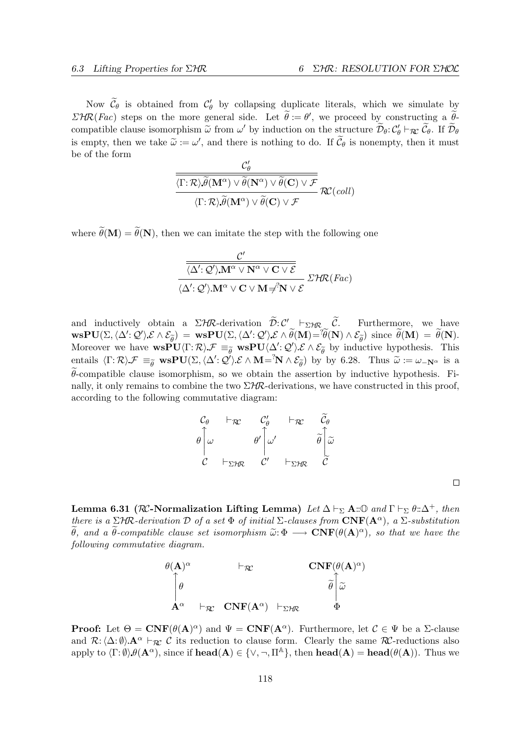$\Box$ 

Now  $\widetilde{\mathcal{C}}_{\theta}$  is obtained from  $\mathcal{C}'_{\theta}$  by collapsing duplicate literals, which we simulate by  $\Sigma H \mathcal{R}(Fac)$  steps on the more general side. Let  $\widetilde{\theta} := \theta'$ , we proceed by constructing a  $\widetilde{\theta}$ compatible clause isomorphism  $\tilde{\omega}$  from  $\omega'$  by induction on the structure  $\tilde{\mathcal{D}}_{\theta}$ :  $\mathcal{C}'_{\theta} \vdash_{\mathcal{R}\mathcal{C}} \tilde{\mathcal{C}}_{\theta}$ . If  $\tilde{\mathcal{D}}_{\theta}$ is empty, then we take  $\tilde{\omega} := \omega'$ , and there is nothing to do. If  $\tilde{\mathcal{C}}_{\theta}$  is nonempty, then it must<br>be of the form be of the form

$$
\frac{\mathcal{C}'_{\theta}}{\langle \Gamma; \mathcal{R} \rangle \widetilde{\theta}(\mathbf{M}^{\alpha}) \vee \widetilde{\theta}(\mathbf{N}^{\alpha}) \vee \widetilde{\theta}(\mathbf{C}) \vee \mathcal{F}} \\ \langle \Gamma; \mathcal{R} \rangle \widetilde{\theta}(\mathbf{M}^{\alpha}) \vee \widetilde{\theta}(\mathbf{C}) \vee \mathcal{F} \mathcal{R}^{\alpha}(\text{coll})
$$

where  $\widetilde{\theta}(\mathbf{M}) = \widetilde{\theta}(\mathbf{N})$ , then we can imitate the step with the following one

$$
\frac{\dfrac{\mathcal{C}'}{\langle \Delta' : \mathcal{Q}' \rangle . \mathbf{M}^\alpha \vee \mathbf{N}^\alpha \vee \mathbf{C} \vee \mathcal{E}}}{\langle \Delta' : \mathcal{Q}' \rangle . \mathbf{M}^\alpha \vee \mathbf{C} \vee \mathbf{M} \neq^? \mathbf{N} \vee \mathcal{E}} \mathcal{I} \mathcal{H} \mathcal{R}(Fac)
$$

and inductively obtain a  $\Sigma H\mathcal{R}$ -derivation  $\widetilde{\mathcal{D}}:\mathcal{C}' \to_{\Sigma H\mathcal{R}} \widetilde{\mathcal{C}}$ . Furthermore, we have  $\text{wsPU}(\Sigma,\langle \Delta';\mathcal{Q}'\rangle\mathcal{E}\wedge\mathcal{E}_{\tilde{\theta}}) = \text{wsPU}(\Sigma,\langle \Delta';\mathcal{Q}'\rangle\mathcal{E}\wedge\tilde{\theta}(M)) = \tilde{\theta}(N)\wedge \mathcal{E}_{\tilde{\theta}}$  since  $\tilde{\theta}(M) = \tilde{\theta}(N)$ . Moreover we have  $\text{wsPU}\langle \Gamma : \mathcal{R} \rangle \mathcal{F} \equiv_{\widetilde{\theta}} \text{wsPU}\langle \Delta' : \mathcal{Q}' \rangle \mathcal{E} \wedge \mathcal{E}_{\widetilde{\theta}}$  by inductive hypothesis. This entails  $\langle \Gamma : \mathcal{R} \rangle \mathcal{F} \equiv_{\widetilde{\theta}} \mathbf{wsPU}(\Sigma, \langle \Delta' : \mathcal{Q}' \rangle \mathcal{E} \wedge \mathbf{M} = \mathcal{N} \wedge \mathcal{E}_{\widetilde{\theta}})$  by by 6.28. Thus  $\widetilde{\omega} := \omega_{-\mathbf{N}^{\alpha}}$  is a  $\theta$ -compatible clause isomorphism, so we obtain the assertion by inductive hypothesis. Finally, it only remains to combine the two  $\Sigma$ HR-derivations, we have constructed in this proof, according to the following commutative diagram:

$$
\begin{array}{ccc}\nC_{\theta} & \vdash_{\mathcal{R}\mathcal{C}} & C'_{\theta} & \vdash_{\mathcal{R}\mathcal{C}} & \widetilde{C}_{\theta} \\
\theta \Big| \omega & \theta' \Big| \omega' & \widetilde{\theta} \Big| \widetilde{\omega} \\
C & \vdash_{\Sigma \mathcal{H}\mathcal{R}} & C' & \vdash_{\Sigma \mathcal{H}\mathcal{R}} & \widetilde{C}\n\end{array}
$$

Lemma 6.31 ( $\mathcal{R}$ -Normalization Lifting Lemma) Let  $\Delta \vdash_{\Sigma} A:\mathbb{O}$  and  $\Gamma \vdash_{\Sigma} \theta:\Delta^+$ , then there is a  $\Sigma$ HR-derivation D of a set  $\Phi$  of initial  $\Sigma$ -clauses from  $\mathbf{CNF}(\mathbf{A}^{\alpha})$ , a  $\Sigma$ -substitution  $\widetilde{\theta}$ , and a  $\widetilde{\theta}$ -compatible clause set isomorphism  $\widetilde{\omega}: \Phi \longrightarrow \mathbf{CNF}(\theta(\mathbf{A})^{\alpha})$ , so that we have the following commutative diagram following commutative diagram.

$$
\begin{array}{ccc}\n\theta(\mathbf{A})^{\alpha} & \vDash_{\mathcal{R}} & \mathbf{CNF}(\theta(\mathbf{A})^{\alpha}) \\
\theta & & \widetilde{\theta} \downarrow \widetilde{\omega} \\
\mathbf{A}^{\alpha} & \vDash_{\mathcal{R}} & \mathbf{CNF}(\mathbf{A}^{\alpha}) & \vDash_{\Sigma\mathcal{H}\mathcal{R}} & \Phi\n\end{array}
$$

**Proof:** Let  $\Theta = \text{CNF}(\theta(\mathbf{A})^{\alpha})$  and  $\Psi = \text{CNF}(\mathbf{A}^{\alpha})$ . Furthermore, let  $C \in \Psi$  be a  $\Sigma$ -clause and  $\mathcal{R}: \langle \Delta:\emptyset \rangle \mathbf{A}^{\alpha} \vdash_{\mathcal{R}\mathcal{C}} \mathcal{C}$  its reduction to clause form. Clearly the same  $\mathcal{R}\mathcal{C}$ -reductions also apply to  $\langle \Gamma : \emptyset \rangle \theta(\mathbf{A}^{\alpha})$ , since if **head** $(\mathbf{A}) \in \{ \vee, \neg, \Pi^{\mathbb{A}} \}$ , then **head** $(\mathbf{A}) = \mathbf{head}(\theta(\mathbf{A}))$ . Thus we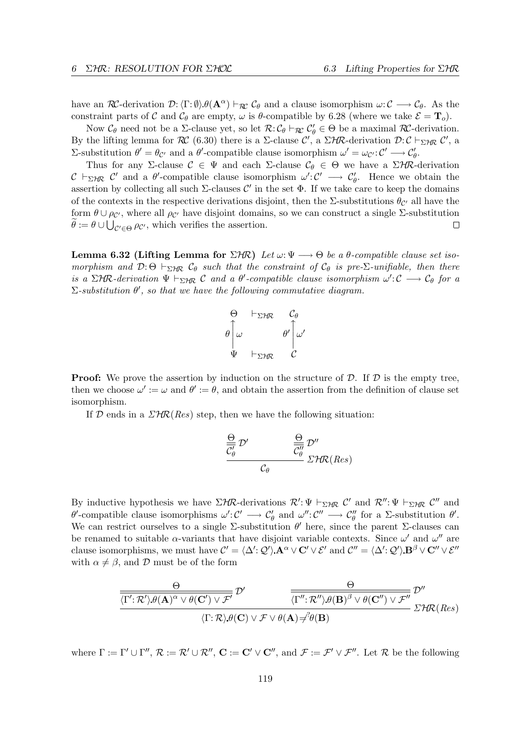have an RC-derivation  $\mathcal{D}: \langle \Gamma : \emptyset \rangle \theta(\mathbf{A}^{\alpha}) \vdash_{\mathcal{R}\mathcal{C}} \mathcal{C}_{\theta}$  and a clause isomorphism  $\omega : \mathcal{C} \longrightarrow \mathcal{C}_{\theta}$ . As the constraint parts of C and  $C_{\theta}$  are empty,  $\omega$  is  $\theta$ -compatible by 6.28 (where we take  $\mathcal{E} = \mathbf{T}_o$ ).

Now  $\mathcal{C}_{\theta}$  need not be a  $\Sigma$ -clause yet, so let  $\mathcal{R}: \mathcal{C}_{\theta} \vdash_{\mathcal{R}\mathcal{C}} \mathcal{C}'_{\theta} \in \Theta$  be a maximal  $\mathcal{R}\mathcal{C}$ -derivation. By the lifting lemma for  $\mathcal{RC}(6.30)$  there is a  $\Sigma$ -clause  $\mathcal{C}'$ , a  $\Sigma$ HR-derivation  $\mathcal{D}:\mathcal{C}\vdash_{\Sigma}$ HR  $\mathcal{C}'$ , a Σ-substitution  $θ' = θ_{C'}$  and a  $θ'$ -compatible clause isomorphism  $ω' = ω_{C'} : C' \longrightarrow C'_{θ}$ .

Thus for any Σ-clause  $\mathcal{C} \in \Psi$  and each Σ-clause  $\mathcal{C}_{\theta} \in \Theta$  we have a  $\Sigma$ HR-derivation  $C \vdash_{\Sigma} \mathcal{H} \mathcal{C}'$  and a  $\theta'$ -compatible clause isomorphism  $\omega' : C' \longrightarrow C'_{\theta}$ . Hence we obtain the assertion by collecting all such  $\Sigma$ -clauses  $\mathcal{C}'$  in the set  $\Phi$ . If we take care to keep the domains of the contexts in the respective derivations disjoint, then the  $\Sigma$ -substitutions  $\theta_{\mathcal{C}'}$  all have the form  $\theta \cup \rho_{\mathcal{C}}$ , where all  $\rho_{\mathcal{C}}$  have disjoint domains, so we can construct a single  $\Sigma$ -substitution  $\theta := \theta \cup \bigcup_{\mathcal{C}' \in \Theta} \rho_{\mathcal{C}'},$  which verifies the assertion.  $\Box$ 

Lemma 6.32 (Lifting Lemma for  $\Sigma H\mathcal{R}$ ) Let  $\omega: \Psi \longrightarrow \Theta$  be a  $\theta$ -compatible clause set isomorphism and  $\mathcal{D}$ : Θ  $\vdash_{\Sigma}$   $\mathcal{C}_{\theta}$  such that the constraint of  $\mathcal{C}_{\theta}$  is pre- $\Sigma$ -unifiable, then there is a  $\Sigma$ HR-derivation  $\Psi \vdash_{\Sigma H\mathcal{R}} C$  and a  $\theta'$ -compatible clause isomorphism  $\omega' : C \longrightarrow C_{\theta}$  for a  $\Sigma$ -substitution  $\theta'$ , so that we have the following commutative diagram.



**Proof:** We prove the assertion by induction on the structure of  $\mathcal{D}$ . If  $\mathcal{D}$  is the empty tree, then we choose  $\omega' := \omega$  and  $\theta' := \theta$ , and obtain the assertion from the definition of clause set isomorphism.

If  $D$  ends in a  $\mathcal{LHR}(Res)$  step, then we have the following situation:

$$
\frac{\frac{\Theta}{C_{\theta}'} \mathcal{D}'}{C_{\theta}} \frac{\frac{\Theta}{C_{\theta}''} \mathcal{D}''}{\sum_{\theta} \mathcal{H} \mathcal{R}(Res)}
$$

By inductive hypothesis we have  $\Sigma H\mathcal{R}$ -derivations  $\mathcal{R}' : \Psi \vdash_{\Sigma H\mathcal{R}} C'$  and  $\mathcal{R}'' : \Psi \vdash_{\Sigma H\mathcal{R}} C''$  and  $\theta'$ -compatible clause isomorphisms  $\omega' : \mathcal{C}' \longrightarrow \mathcal{C}'_{\theta}$  and  $\omega'' : \mathcal{C}'' \longrightarrow \mathcal{C}''_{\theta}$  for a  $\Sigma$ -substitution  $\theta'$ . We can restrict ourselves to a single  $\Sigma$ -substitution  $\theta'$  here, since the parent  $\Sigma$ -clauses can be renamed to suitable  $\alpha$ -variants that have disjoint variable contexts. Since  $\omega'$  and  $\omega''$  are clause isomorphisms, we must have  $\mathcal{C}' = \langle \Delta' : \mathcal{Q}' \rangle \mathbf{A}^{\alpha} \vee \mathbf{C}' \vee \mathcal{E}'$  and  $\mathcal{C}'' = \langle \Delta' : \mathcal{Q}' \rangle \mathbf{B}^{\beta} \vee \mathbf{C}'' \vee \mathcal{E}''$ with  $\alpha \neq \beta$ , and D must be of the form

$$
\frac{\Theta}{\langle \Gamma': \mathcal{R}' \rangle \theta(\mathbf{A})^{\alpha} \vee \theta(\mathbf{C}') \vee \mathcal{F}'} \mathcal{D}' \frac{\Theta}{\langle \Gamma'' : \mathcal{R}'' \rangle \theta(\mathbf{B})^{\beta} \vee \theta(\mathbf{C}'') \vee \mathcal{F}''} \mathcal{D}''}{\langle \Gamma : \mathcal{R} \rangle \theta(\mathbf{C}) \vee \mathcal{F} \vee \theta(\mathbf{A}) \neq^{\beta} \theta(\mathbf{B})} \mathcal{D}'
$$

where  $\Gamma := \Gamma' \cup \Gamma'', \mathcal{R} := \mathcal{R}' \cup \mathcal{R}'', \mathbf{C} := \mathbf{C}' \vee \mathbf{C}'', \text{ and } \mathcal{F} := \mathcal{F}' \vee \mathcal{F}'''.$  Let  $\mathcal{R}$  be the following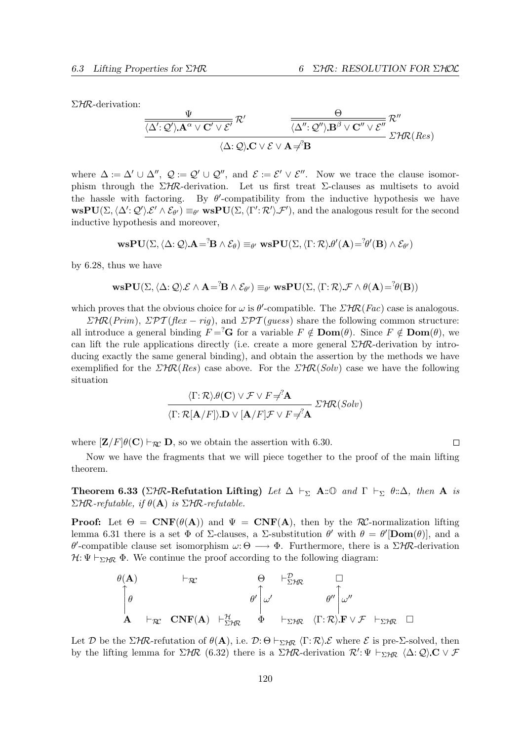ΣHR-derivation:

$$
\frac{\frac{\Psi}{\langle \Delta': \mathcal{Q}' \rangle \mathbf{.A}^{\alpha} \vee \mathbf{C}' \vee \mathcal{E}'} \mathcal{R}'}{\frac{\langle \Delta': \mathcal{Q}' \rangle \mathbf{.B}^{\beta} \vee \mathbf{C}'' \vee \mathcal{E}''}{\langle \Delta': \mathcal{Q} \rangle \mathbf{.C} \vee \mathcal{E} \vee \mathbf{.A} \neq \mathbf{B}}} \mathcal{R}''}
$$
  
  $\mathcal{L}H\mathcal{R}(Res)$ 

where  $\Delta := \Delta' \cup \Delta'', \ Q := \mathcal{Q}' \cup \mathcal{Q}'$ , and  $\mathcal{E} := \mathcal{E}' \vee \mathcal{E}''$ . Now we trace the clause isomorphism through the  $\Sigma H\mathcal{R}$ -derivation. Let us first treat  $\Sigma$ -clauses as multisets to avoid the hassle with factoring. By  $\theta'$ -compatibility from the inductive hypothesis we have  $\text{wsPU}(\Sigma,\langle \Delta';\mathcal{Q}'\rangle\mathcal{E}'\wedge \mathcal{E}_{\theta'})\equiv_{\theta'} \text{wsPU}(\Sigma,\langle \Gamma';\mathcal{R}'\rangle\mathcal{F}'),$  and the analogous result for the second inductive hypothesis and moreover,

$$
\mathbf{w}\mathbf{s}\mathbf{P}\mathbf{U}(\Sigma, \langle \Delta; \mathcal{Q} \rangle\mathbf{A} = {}^{?}\!\mathbf{B} \wedge \mathcal{E}_{\theta}) \equiv_{\theta'} \mathbf{w}\mathbf{s}\mathbf{P}\mathbf{U}(\Sigma, \langle \Gamma; \mathcal{R} \rangle\theta'(\mathbf{A}) = {}^{?}\!\theta'(\mathbf{B}) \wedge \mathcal{E}_{\theta'})
$$

by 6.28, thus we have

$$
\mathbf{w}\mathbf{s}\mathbf{P}\mathbf{U}(\Sigma, \langle \Delta; \mathcal{Q} \rangle \mathcal{E} \wedge \mathbf{A} = \mathbf{B} \wedge \mathcal{E}_{\theta'}) \equiv_{\theta'} \mathbf{w}\mathbf{s}\mathbf{P}\mathbf{U}(\Sigma, \langle \Gamma; \mathcal{R} \rangle \mathcal{F} \wedge \theta(\mathbf{A}) = \mathbf{B}^2(\mathbf{B}))
$$

which proves that the obvious choice for  $\omega$  is  $\theta'$ -compatible. The  $\mathcal{LHR}(Fac)$  case is analogous.

 $\Sigma$ HR(Prim),  $\Sigma$ PT(flex – rig), and  $\Sigma$ PT(quess) share the following common structure: all introduce a general binding  $F = \nvert^2 \mathbf{G}$  for a variable  $F \notin \textbf{Dom}(\theta)$ . Since  $F \notin \textbf{Dom}(\theta)$ , we can lift the rule applications directly (i.e. create a more general  $\Sigma$ HR-derivation by introducing exactly the same general binding), and obtain the assertion by the methods we have exemplified for the  $\mathcal{LHR}(Res)$  case above. For the  $\mathcal{LHR}(Solv)$  case we have the following situation

$$
\frac{\langle \Gamma; \mathcal{R} \rangle \theta(\mathbf{C}) \vee \mathcal{F} \vee F \neq^? \mathbf{A}}{\langle \Gamma; \mathcal{R}[\mathbf{A}/F] \rangle \mathbf{D} \vee [\mathbf{A}/F] \mathcal{F} \vee F \neq^? \mathbf{A}} \Sigma \mathcal{H} \mathcal{R}(Solv)
$$

where  $[\mathbf{Z}/F]\theta(\mathbf{C}) \vdash_{\mathcal{R}\mathcal{C}} \mathbf{D}$ , so we obtain the assertion with 6.30.

$$
\Box
$$

Now we have the fragments that we will piece together to the proof of the main lifting theorem.

**Theorem 6.33** (ΣHR-Refutation Lifting) Let  $\Delta \vdash_{\Sigma}$  A::  $\Box$  and  $\Gamma \vdash_{\Sigma} \theta$ ::  $\Delta$ , then A is  $\Sigma$ HR-refutable, if  $\theta$ (**A**) is  $\Sigma$ HR-refutable.

**Proof:** Let  $\Theta = \text{CNF}(\theta(\mathbf{A}))$  and  $\Psi = \text{CNF}(\mathbf{A})$ , then by the  $\mathcal{RC}$ -normalization lifting lemma 6.31 there is a set  $\Phi$  of  $\Sigma$ -clauses, a  $\Sigma$ -substitution  $\theta'$  with  $\theta = \theta'[\mathbf{Dom}(\theta)]$ , and a θ'-compatible clause set isomorphism  $ω$ : Θ → Φ. Furthermore, there is a ΣΗR-derivation  $\mathcal{H}: \Psi \vdash_{\Sigma} \mathcal{H}$   $\Phi$ . We continue the proof according to the following diagram:

$$
\begin{array}{ccc}\n\theta(\mathbf{A}) & \vdash_{\mathcal{R}\mathcal{C}} & \Theta & \vdash_{\Sigma\mathcal{H}\mathcal{R}}^{\mathcal{D}} & \Box \\
\theta & \vdash_{\mathcal{R}\mathcal{C}} & \mathbf{CNF}(\mathbf{A}) & \vdash_{\Sigma\mathcal{H}\mathcal{R}}^{\mathcal{H}} & \Phi & \vdash_{\Sigma\mathcal{H}\mathcal{R}} & \langle\Gamma;\mathcal{R}\rangle.\mathbf{F}\lor\mathcal{F} & \vdash_{\Sigma\mathcal{H}\mathcal{R}} & \Box\n\end{array}
$$

Let D be the  $\Sigma H\mathcal{R}$ -refutation of  $\theta(\mathbf{A})$ , i.e.  $\mathcal{D}:\Theta \vdash_{\Sigma H\mathcal{R}} \langle \Gamma;\mathcal{R}\rangle \mathcal{E}$  where  $\mathcal{E}$  is pre- $\Sigma$ -solved, then by the lifting lemma for  $\Sigma$ HR (6.32) there is a  $\Sigma$ HR-derivation  $\mathcal{R}' : \Psi \vdash_{\Sigma\mathcal{H}\mathcal{R}} \langle \Delta: \mathcal{Q} \rangle$ .  $\mathbf{C} \vee \mathcal{F}$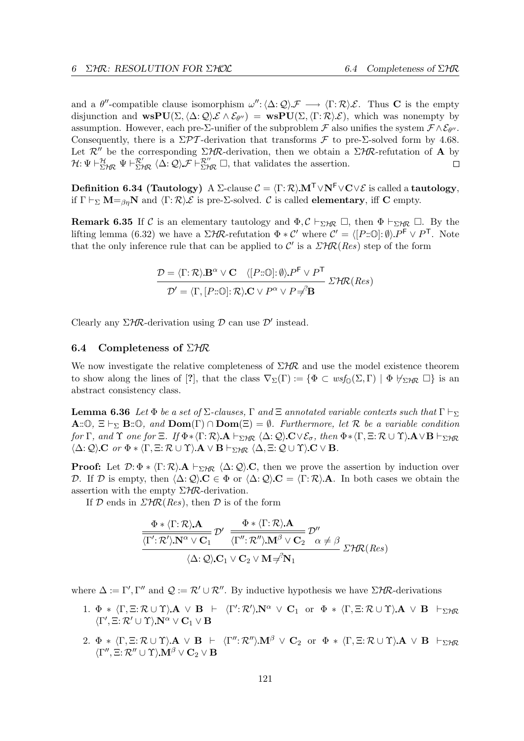and a  $\theta''$ -compatible clause isomorphism  $\omega'': \langle \Delta : \mathcal{Q} \rangle \mathcal{F} \longrightarrow \langle \Gamma : \mathcal{R} \rangle \mathcal{E}$ . Thus **C** is the empty disjunction and  $\text{wsPU}(\Sigma,\langle \Delta:\mathcal{Q}\rangle\mathcal{E}\wedge\mathcal{E}_{\theta''}) = \text{wsPU}(\Sigma,\langle \Gamma:\mathcal{R}\rangle\mathcal{E}),$  which was nonempty by assumption. However, each pre- $\Sigma$ -unifier of the subproblem  $\mathcal F$  also unifies the system  $\mathcal F \wedge \mathcal E_{\theta''}$ . Consequently, there is a  $\Sigma \mathcal{PT}$ -derivation that transforms  $\mathcal F$  to pre- $\Sigma$ -solved form by 4.68. Let  $\mathcal{R}''$  be the corresponding  $\Sigma H\mathcal{R}$ -derivation, then we obtain a  $\Sigma H\mathcal{R}$ -refutation of A by  $\mathcal{H}: \Psi \vdash^{\mathcal{H}}_{\Sigma \mathcal{H} \mathcal{R}} \Psi \vdash^{\mathcal{R}'}_{\Sigma \mathcal{H} \mathcal{R}} \langle \Delta : \mathcal{Q} \rangle \mathcal{F} \vdash^{\mathcal{R}''}_{\Sigma \mathcal{H} \mathcal{R}} \Box$ , that validates the assertion.  $\Box$ 

Definition 6.34 (Tautology) A Σ-clause  $\mathcal{C} = \langle \Gamma : \mathcal{R} \rangle \mathbf{M}^T \vee \mathbf{N}^F \vee \mathbf{C} \vee \mathcal{E}$  is called a tautology, if  $\Gamma \vdash_{\Sigma} M =_{\beta\eta} N$  and  $\langle \Gamma : \mathcal{R} \rangle \mathcal{E}$  is pre-Σ-solved. C is called **elementary**, iff **C** empty.

**Remark 6.35** If C is an elementary tautology and  $\Phi$ ,  $C \vdash_{\Sigma} H_R \Box$ , then  $\Phi \vdash_{\Sigma} H_R \Box$ . By the lifting lemma (6.32) we have a  $\Sigma$ HR-refutation  $\Phi * C'$  where  $C' = \langle [P:\mathbb{O}]: \emptyset \rangle P^{\mathsf{F}} \vee P^{\mathsf{T}}$ . Note that the only inference rule that can be applied to  $\mathcal{C}'$  is a  $\mathcal{LHR}(Res)$  step of the form

$$
\mathcal{D} = \langle \Gamma; \mathcal{R} \rangle \mathbf{B}^{\alpha} \vee \mathbf{C} \quad \langle [P:\mathbb{O}]: \emptyset \rangle P^{\mathsf{F}} \vee P^{\mathsf{T}}
$$

$$
\mathcal{D}' = \langle \Gamma, [P:\mathbb{O}]: \mathcal{R} \rangle \mathbf{C} \vee P^{\alpha} \vee P \neq \mathbf{B}
$$

$$
\mathcal{D}' = \langle \Gamma, [P:\mathbb{O}]: \mathcal{R} \rangle \mathbf{C} \vee P^{\alpha} \vee P \neq \mathbf{B}
$$

Clearly any  $\Sigma$ HR-derivation using  $D$  can use  $D'$  instead.

#### 6.4 Completeness of  $\Sigma$ HR

We now investigate the relative completeness of  $\Sigma$ HR and use the model existence theorem to show along the lines of [?], that the class  $\nabla_{\Sigma}(\Gamma) := {\Phi \subset wsf_{\Omega}(\Sigma, \Gamma) \mid \Phi \not\vdash_{\Sigma} \Pi \Gamma}$  is an abstract consistency class.

**Lemma 6.36** Let  $\Phi$  be a set of  $\Sigma$ -clauses,  $\Gamma$  and  $\Xi$  annotated variable contexts such that  $\Gamma \vdash_{\Sigma}$  $\mathbf{A}:\mathbb{O}, \Xi \vdash_{\Sigma} \mathbf{B}:\mathbb{O}, \text{ and } \mathbf{Dom}(\Gamma) \cap \mathbf{Dom}(\Xi) = \emptyset.$  Furthermore, let R be a variable condition for Γ, and Υ one for Ξ. If  $\Phi * \langle \Gamma : \mathcal{R} \rangle \mathbf{A} \vdash_{\Sigma \mathcal{H} \mathcal{R}} \langle \Delta : \mathcal{Q} \rangle \mathbf{C} \vee \mathcal{E}_{\sigma}$ , then  $\Phi * \langle \Gamma, \Xi : \mathcal{R} \cup \Upsilon \rangle \mathbf{A} \vee \mathbf{B} \vdash_{\Sigma \mathcal{H} \mathcal{R}}$  $\langle \Delta; \mathcal{Q} \rangle$  C or  $\Phi * \langle \Gamma, \Xi; \mathcal{R} \cup \Upsilon \rangle$   $A \vee B \vdash_{\Sigma \mathcal{HR}} \langle \Delta, \Xi; \mathcal{Q} \cup \Upsilon \rangle$  C  $\vee$  B.

**Proof:** Let  $\mathcal{D}: \Phi * \langle \Gamma : \mathcal{R} \rangle \mathbf{A} \vdash_{\Sigma \mathcal{H}\mathcal{R}} \langle \Delta : \mathcal{Q} \rangle \mathbf{C}$ , then we prove the assertion by induction over D. If D is empty, then  $\langle \Delta: \mathcal{Q} \rangle$  C  $\in \Phi$  or  $\langle \Delta: \mathcal{Q} \rangle$  C =  $\langle \Gamma: \mathcal{R} \rangle$  A. In both cases we obtain the assertion with the empty  $\Sigma$ *HR*-derivation.

If D ends in  $\mathcal{LHR}(Res)$ , then D is of the form

$$
\frac{\frac{\Phi * \langle \Gamma : \mathcal{R} \rangle \mathbf{A}}{\langle \Gamma' : \mathcal{R}' \rangle \mathbf{N}^{\alpha} \vee \mathbf{C}_{1}} \mathcal{D}' \quad \frac{\Phi * \langle \Gamma : \mathcal{R} \rangle \mathbf{A}}{\langle \Gamma'' : \mathcal{R}'' \rangle \mathbf{M}^{\beta} \vee \mathbf{C}_{2}} \mathcal{D}''}{\langle \Delta : \mathcal{Q} \rangle \mathbf{C}_{1} \vee \mathbf{C}_{2} \vee \mathbf{M} \neq \mathbf{N}_{1}} \mathcal{E}^{\mathcal{H}}(\text{Res})
$$

where  $\Delta := \Gamma', \Gamma''$  and  $\mathcal{Q} := \mathcal{R}' \cup \mathcal{R}''$ . By inductive hypothesis we have  $\Sigma$ HR-derivations

- 1.  $\Phi * \langle \Gamma, \Xi : \mathcal{R} \cup \Upsilon \rangle$   $A \vee B \vdash \langle \Gamma' : \mathcal{R}' \rangle$   $N^{\alpha} \vee C_1$  or  $\Phi * \langle \Gamma, \Xi : \mathcal{R} \cup \Upsilon \rangle$   $A \vee B \vdash_{\Sigma \mathcal{H} \mathcal{R}}$  $\left\langle \Gamma',\Xi\!:\!{\cal R}'\cup\Upsilon\right\rangle \mathbf{N}^\alpha\vee\mathbf{C}_1\vee\mathbf{B}$
- 2.  $\Phi * \langle \Gamma, \Xi : \mathcal{R} \cup \Upsilon \rangle$ .  $\mathbf{A} \vee \mathbf{B} \vdash \langle \Gamma'' : \mathcal{R}'' \rangle \mathbf{M}^{\beta} \vee \mathbf{C}_2$  or  $\Phi * \langle \Gamma, \Xi : \mathcal{R} \cup \Upsilon \rangle$ .  $\mathbf{A} \vee \mathbf{B} \vdash_{\Sigma \mathcal{H} \mathcal{R}}$  $\langle \Gamma'',\Xi\mathpunct{:}\mathcal{R}''\cup \Upsilon\rangle{\bf M}^\beta \vee {\bf C}_2 \vee {\bf B}$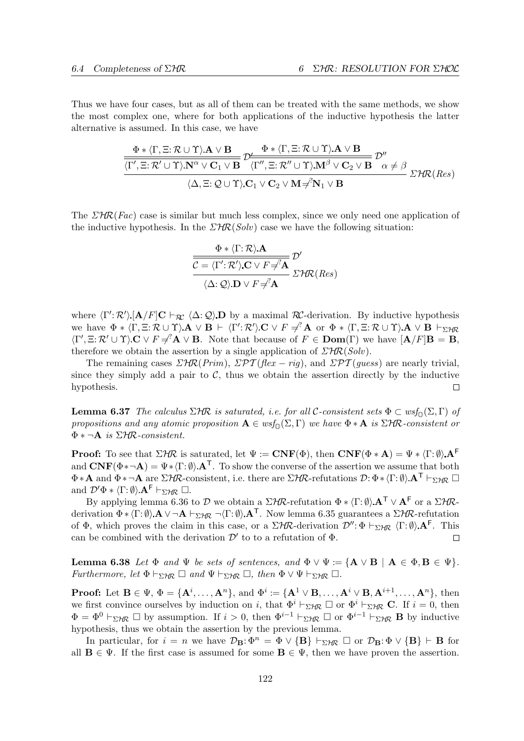Thus we have four cases, but as all of them can be treated with the same methods, we show the most complex one, where for both applications of the inductive hypothesis the latter alternative is assumed. In this case, we have

$$
\frac{\Phi * \langle \Gamma, \Xi : \mathcal{R} \cup \Upsilon \rangle \mathbf{A} \vee \mathbf{B}}{\langle \Gamma', \Xi : \mathcal{R}' \cup \Upsilon \rangle \mathbf{N}^{\alpha} \vee \mathbf{C}_{1} \vee \mathbf{B}} \mathcal{D}' \frac{\Phi * \langle \Gamma, \Xi : \mathcal{R} \cup \Upsilon \rangle \mathbf{A} \vee \mathbf{B}}{\langle \Gamma'', \Xi : \mathcal{R}'' \cup \Upsilon \rangle \mathbf{M}^{\beta} \vee \mathbf{C}_{2} \vee \mathbf{B}} \mathcal{D}''}{\langle \Delta, \Xi : \mathcal{Q} \cup \Upsilon \rangle \mathbf{C}_{1} \vee \mathbf{C}_{2} \vee \mathbf{M} \neq \mathbf{N}_{1} \vee \mathbf{B}} \mathcal{D}' \mathcal{D} \mathcal{D} \mathcal{D} \mathcal{D} \mathcal{D} \mathcal{D} \mathcal{D} \mathcal{D} \mathcal{D} \mathcal{D}}
$$

The  $\Sigma H\mathcal{R}(Fac)$  case is similar but much less complex, since we only need one application of the inductive hypothesis. In the  $\mathcal{LHR}(Solv)$  case we have the following situation:

$$
\frac{\Phi * \langle \Gamma; \mathcal{R} \rangle \mathbf{A}}{\mathcal{C} = \langle \Gamma'; \mathcal{R}' \rangle \mathbf{C} \vee F \neq A} \mathcal{D}'
$$

$$
\frac{\langle \Delta; \mathcal{Q} \rangle \mathbf{D} \vee F \neq A}{\mathcal{C} \mathcal{C} \mathcal{D} \vee F \neq A} \mathcal{D}' \mathcal{R}(\text{Res})
$$

where  $\langle \Gamma' : \mathcal{R}' \rangle$  [A/F]C  $\vdash_{\mathcal{RC}} \langle \Delta : \mathcal{Q} \rangle$  D by a maximal  $\mathcal{RC}$ -derivation. By inductive hypothesis we have  $\Phi * \langle \Gamma, \Xi : \mathcal{R} \cup \Upsilon \rangle \mathbf{A} \vee \mathbf{B} \vdash \langle \Gamma' : \mathcal{R}' \rangle \mathbf{C} \vee F \neq^? \mathbf{A}$  or  $\Phi * \langle \Gamma, \Xi : \mathcal{R} \cup \Upsilon \rangle \mathbf{A} \vee \mathbf{B} \vdash_{\Sigma \mathcal{H} \mathcal{R}}$  $\langle \Gamma', \Xi \colon \mathcal{R}' \cup \Upsilon \rangle$   $\mathbf{C} \vee F \neq^? \mathbf{A} \vee \mathbf{B}$ . Note that because of  $F \in \mathbf{Dom}(\Gamma)$  we have  $[\mathbf{A}/F] \mathbf{B} = \mathbf{B}$ , therefore we obtain the assertion by a single application of  $\mathcal{LHR}(Solv)$ .

The remaining cases  $\mathcal{LHR}(Prim)$ ,  $\mathcal{LPT}(flex - rig)$ , and  $\mathcal{LPT}(guess)$  are nearly trivial, since they simply add a pair to  $\mathcal{C}$ , thus we obtain the assertion directly by the inductive hypothesis. П

**Lemma 6.37** The calculus  $\Sigma$ HR is saturated, i.e. for all C-consistent sets  $\Phi \subset wsf_0(\Sigma,\Gamma)$  of propositions and any atomic proposition  $A \in wsf_0(\Sigma, \Gamma)$  we have  $\Phi * A$  is  $\Sigma H\mathcal{R}$ -consistent or  $\Phi * \neg A$  is  $\Sigma$ HR-consistent.

**Proof:** To see that  $\Sigma$ HR is saturated, let  $\Psi := \mathbf{CNF}(\Phi)$ , then  $\mathbf{CNF}(\Phi * \mathbf{A}) = \Psi * \langle \Gamma : \emptyset \rangle \mathbf{A}^{\mathsf{F}}$ and  $\mathbf{CNF}(\Phi*\neg \mathbf{A}) = \Psi*\langle \Gamma:\emptyset \rangle \mathbf{A}^{\mathsf{T}}$ . To show the converse of the assertion we assume that both  $\Phi * A$  and  $\Phi * \neg A$  are  $\Sigma H \mathcal{R}$ -consistent, i.e. there are  $\Sigma H \mathcal{R}$ -refutations  $\mathcal{D}: \Phi * \langle \Gamma : \emptyset \rangle A^{\mathsf{T}} \vdash_{\Sigma H \mathcal{R}} \square$ and  $\mathcal{D}'\Phi * \langle \Gamma : \emptyset \rangle \mathbf{A}^{\mathsf{F}} \vdash_{\Sigma \mathcal{H}\mathcal{R}} \Box$ .

By applying lemma 6.36 to D we obtain a  $\Sigma H\mathcal{R}$ -refutation  $\Phi * \langle \Gamma : \emptyset \rangle \mathbf{A}^{\mathsf{T}} \vee \mathbf{A}^{\mathsf{F}}$  or a  $\Sigma H\mathcal{R}$ derivation  $\Phi * \langle \Gamma : \emptyset \rangle$   $A \vee \neg A \vdash_{\Sigma \mathcal{H} \mathcal{R}} \neg \langle \Gamma : \emptyset \rangle A^{\top}$ . Now lemma 6.35 guarantees a  $\Sigma \mathcal{H} \mathcal{R}$ -refutation of  $\Phi$ , which proves the claim in this case, or a  $\Sigma$ HR-derivation  $\mathcal{D}''$ :  $\Phi \vdash_{\Sigma H\mathcal{R}} \langle \Gamma : \emptyset \rangle$ . A<sup>F</sup>. This can be combined with the derivation  $\mathcal{D}'$  to to a refutation of  $\Phi$ . П

Lemma 6.38 Let  $\Phi$  and  $\Psi$  be sets of sentences, and  $\Phi \vee \Psi := {\bf A} \vee {\bf B} \mid {\bf A} \in \Phi, {\bf B} \in \Psi$ . Furthermore, let  $\Phi \vdash_{\Sigma \mathcal{H}\mathcal{R}} \Box$  and  $\Psi \vdash_{\Sigma \mathcal{H}\mathcal{R}} \Box$ , then  $\Phi \vee \Psi \vdash_{\Sigma \mathcal{H}\mathcal{R}} \Box$ .

**Proof:** Let  $\mathbf{B} \in \Psi$ ,  $\Phi = {\mathbf{A}^i, \dots, \mathbf{A}^n}$ , and  $\Phi^i := {\mathbf{A}^1 \vee \mathbf{B}, \dots, \mathbf{A}^i \vee \mathbf{B}, \mathbf{A}^{i+1}, \dots, \mathbf{A}^n}$ , then we first convince ourselves by induction on i, that  $\Phi^i \vdash_{\Sigma} H_R \Box$  or  $\Phi^i \vdash_{\Sigma} H_R \mathbf{C}$ . If  $i = 0$ , then  $\Phi = \Phi^0 \vdash_{\Sigma} H\mathbb{R} \square$  by assumption. If  $i > 0$ , then  $\Phi^{i-1} \vdash_{\Sigma} H\mathbb{R} \square$  or  $\Phi^{i-1} \vdash_{\Sigma} H\mathbb{R} \square$  by inductive hypothesis, thus we obtain the assertion by the previous lemma.

In particular, for  $i = n$  we have  $\mathcal{D}_B: \Phi^n = \Phi \vee \{B\} \vdash_{\Sigma \mathcal{H} \mathcal{R}} \Box$  or  $\mathcal{D}_B: \Phi \vee \{B\} \vdash B$  for all  $\mathbf{B} \in \Psi$ . If the first case is assumed for some  $\mathbf{B} \in \Psi$ , then we have proven the assertion.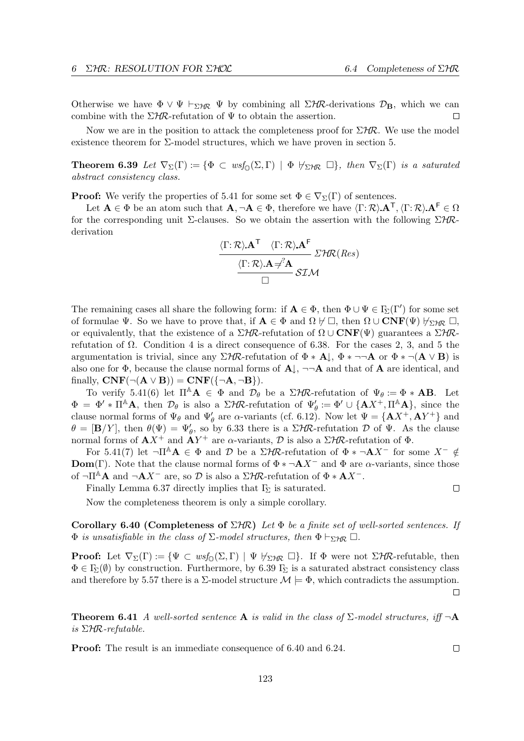Otherwise we have  $\Phi \vee \Psi \vdash_{\Sigma} \mathcal{H} \Psi$  by combining all  $\Sigma \mathcal{H} \mathcal{R}$ -derivations  $\mathcal{D}_{\mathbf{B}}$ , which we can combine with the  $\Sigma H\mathcal{R}$ -refutation of  $\Psi$  to obtain the assertion.  $\Box$ 

Now we are in the position to attack the completeness proof for  $\Sigma H\mathcal{R}$ . We use the model existence theorem for  $\Sigma$ -model structures, which we have proven in section 5.

**Theorem 6.39** Let  $\nabla_{\Sigma}(\Gamma) := {\Phi \subset wsf_{\Omega}(\Sigma, \Gamma) \mid \Phi \nrightarrow{\tau_{\Sigma}} \Box}, then \nabla_{\Sigma}(\Gamma) is a saturated$ abstract consistency class.

**Proof:** We verify the properties of 5.41 for some set  $\Phi \in \nabla_{\Sigma}(\Gamma)$  of sentences.

Let  $A \in \Phi$  be an atom such that  $A, \neg A \in \Phi$ , therefore we have  $\langle \Gamma : \mathcal{R} \rangle \cdot A^{\mathsf{T}}, \langle \Gamma : \mathcal{R} \rangle \cdot A^{\mathsf{F}} \in \Omega$ for the corresponding unit  $\Sigma$ -clauses. So we obtain the assertion with the following  $\Sigma$ HRderivation

$$
\frac{\langle \Gamma : \mathcal{R} \rangle . \mathbf{A}^{\mathsf{T}} \quad \langle \Gamma : \mathcal{R} \rangle . \mathbf{A}^{\mathsf{F}}}{\langle \Gamma : \mathcal{R} \rangle . \mathbf{A} \neq^{\gamma} \mathbf{A}} \mathcal{Z} \mathcal{H} \mathcal{R} (Res)
$$

The remaining cases all share the following form: if  $\mathbf{A} \in \Phi$ , then  $\Phi \cup \Psi \in \Gamma_{\!\Sigma}(\Gamma')$  for some set of formulae  $\Psi$ . So we have to prove that, if  $\mathbf{A} \in \Phi$  and  $\Omega \not\vdash \Box$ , then  $\Omega \cup \mathbf{CNF}(\Psi) \not\vdash_{\Sigma \mathcal{HR}} \Box$ , or equivalently, that the existence of a  $\Sigma H\mathcal{R}$ -refutation of  $\Omega \cup \mathbf{CNF}(\Psi)$  guarantees a  $\Sigma H\mathcal{R}$ refutation of  $\Omega$ . Condition 4 is a direct consequence of 6.38. For the cases 2, 3, and 5 the argumentation is trivial, since any  $\Sigma$ HR-refutation of  $\Phi * \mathbf{A}$ ,  $\Phi * \neg \neg \mathbf{A}$  or  $\Phi * \neg (\mathbf{A} \vee \mathbf{B})$  is also one for  $\Phi$ , because the clause normal forms of  $\mathbf{A}$ ,  $\neg\neg\mathbf{A}$  and that of  $\mathbf{A}$  are identical, and finally,  $CNF(\neg(A \lor B)) = CNF(\{\neg A, \neg B\}).$ 

To verify 5.41(6) let  $\Pi^A A \in \Phi$  and  $\mathcal{D}_{\theta}$  be a  $\Sigma H\mathcal{R}$ -refutation of  $\Psi_{\theta} := \Phi * AB$ . Let  $\Phi = \Phi' * \Pi^{\mathbb{A}} A$ , then  $\mathcal{D}_{\theta}$  is also a  $\Sigma H\mathcal{R}$ -refutation of  $\Psi'_{\theta} := \Phi' \cup \{AX^+, \Pi^{\mathbb{A}} A\}$ , since the clause normal forms of  $\Psi_{\theta}$  and  $\Psi'_{\theta}$  are  $\alpha$ -variants (cf. 6.12). Now let  $\Psi = {\bf{A}}X^+, A Y^+$  and  $\theta = [\mathbf{B}/Y]$ , then  $\theta(\Psi) = \Psi_{\theta}'$ , so by 6.33 there is a  $\Sigma H\mathcal{R}$ -refutation  $\mathcal{D}$  of  $\Psi$ . As the clause normal forms of  $AX^+$  and  $AY^+$  are  $\alpha$ -variants,  $\mathcal D$  is also a  $\Sigma H\mathcal R$ -refutation of  $\Phi$ .

For 5.41(7) let  $\neg \Pi^{\mathbb{A}} \mathbf{A} \in \Phi$  and D be a  $\Sigma H\mathcal{R}$ -refutation of  $\Phi * \neg \mathbf{A} X^-$  for some  $X^- \notin \mathcal{R}$ **Dom**(Γ). Note that the clause normal forms of  $\Phi * \neg AX^-$  and  $\Phi$  are  $\alpha$ -variants, since those of  $\neg \Pi^A \mathbf{A}$  and  $\neg \mathbf{A} X^-$  are, so  $\mathcal{D}$  is also a  $\Sigma \mathcal{H} \mathcal{R}$ -refutation of  $\Phi * \mathbf{A} X^-$ .

Finally Lemma 6.37 directly implies that  $\Gamma_{\!\Sigma}$  is saturated.

Now the completeness theorem is only a simple corollary.

Corollary 6.40 (Completeness of  $\Sigma H\mathcal{R}$ ) Let  $\Phi$  be a finite set of well-sorted sentences. If  $\Phi$  is unsatisfiable in the class of  $\Sigma$ -model structures, then  $\Phi \vdash_{\Sigma} \mathcal{H} \mathbb{R}$ .

**Proof:** Let  $\nabla_{\Sigma}(\Gamma) := \{ \Psi \subset \text{wsf}_{\mathbb{O}}(\Sigma, \Gamma) \mid \Psi \nleftrightarrow_{\Sigma \mathcal{H} \mathcal{R}} \square \}.$  If  $\Phi$  were not  $\Sigma \mathcal{H} \mathcal{R}$ -refutable, then  $\Phi \in \Gamma_{\Sigma}(\emptyset)$  by construction. Furthermore, by 6.39  $\Gamma_{\Sigma}$  is a saturated abstract consistency class and therefore by 5.57 there is a  $\Sigma$ -model structure  $\mathcal{M} \models \Phi$ , which contradicts the assumption.  $\Box$ 

**Theorem 6.41** A well-sorted sentence A is valid in the class of  $\Sigma$ -model structures, iff  $\neg$ A is  $\Sigma$ HR-refutable.

Proof: The result is an immediate consequence of 6.40 and 6.24.

 $\Box$ 

 $\Box$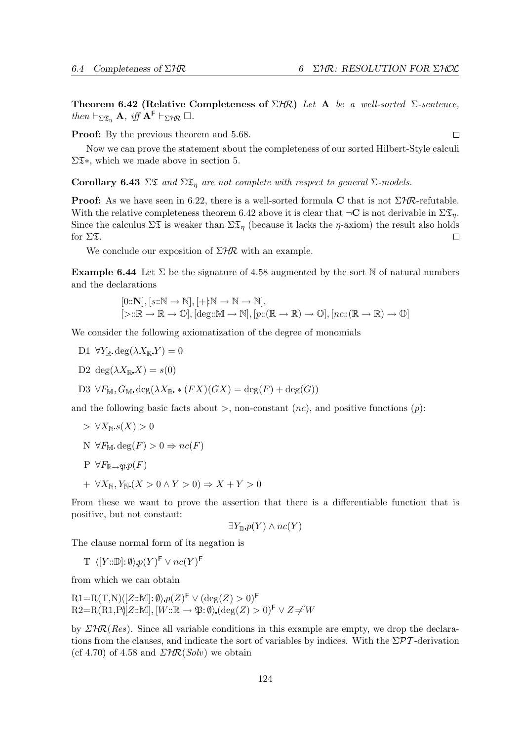Theorem 6.42 (Relative Completeness of  $\Sigma H\mathcal{R}$ ) Let A be a well-sorted  $\Sigma$ -sentence, then  $\vdash_{\Sigma \mathfrak{T}_n} \mathbf{A}$ , iff  $\mathbf{A}^{\mathsf{F}} \vdash_{\Sigma \mathcal{H} \mathcal{R}} \Box$ .

Proof: By the previous theorem and  $5.68$ .

 $\Box$ 

Now we can prove the statement about the completeness of our sorted Hilbert-Style calculi  $\Sigma\mathfrak{T}^*$ , which we made above in section 5.

Corollary 6.43  $\Sigma \mathfrak{D}$  and  $\Sigma \mathfrak{D}_n$  are not complete with respect to general  $\Sigma$ -models.

**Proof:** As we have seen in 6.22, there is a well-sorted formula C that is not  $\Sigma$ HR-refutable. With the relative completeness theorem 6.42 above it is clear that  $\neg \mathbf{C}$  is not derivable in  $\Sigma \mathfrak{T}_n$ . Since the calculus  $\Sigma \mathfrak{X}$  is weaker than  $\Sigma \mathfrak{X}_n$  (because it lacks the  $\eta$ -axiom) the result also holds for  $\Sigma \mathfrak{T}$ .  $\Box$ 

We conclude our exposition of  $\Sigma H\mathcal{R}$  with an example.

**Example 6.44** Let  $\Sigma$  be the signature of 4.58 augmented by the sort N of natural numbers and the declarations

$$
\begin{array}{l}[0::\mathbf{N}], [s::\mathbb{N} \to \mathbb{N}], [+!\mathbb{N} \to \mathbb{N} \to \mathbb{N}],\\ [\geq::\mathbb{R} \to \mathbb{R} \to \mathbb{O}], [\text{deg}::\mathbb{M} \to \mathbb{N}], [p::(\mathbb{R} \to \mathbb{R}) \to \mathbb{O}], [nc::(\mathbb{R} \to \mathbb{R}) \to \mathbb{O}] \end{array}
$$

We consider the following axiomatization of the degree of monomials

- D1  $\forall Y_{\mathbb{R}} \deg(\lambda X_{\mathbb{R}} Y) = 0$
- D2 deg( $\lambda X_{\mathbb{R}} X$ ) = s(0)

D3 
$$
\forall F_{\mathbb{M}}
$$
,  $G_{\mathbb{M}}$  deg( $\lambda X_{\mathbb{R}}$  \*  $(FX)(GX) = deg(F) + deg(G)$ )

and the following basic facts about  $>$ , non-constant  $(nc)$ , and positive functions  $(p)$ :

$$
\Rightarrow \forall X_{\mathbb{N}} s(X) > 0
$$
  
N  $\forall F_{\mathbb{M}} \deg(F) > 0 \Rightarrow nc(F)$   
P  $\forall F_{\mathbb{R} \to \mathfrak{P}} p(F)$   
+  $\forall X_{\mathbb{N}}, Y_{\mathbb{N}} (X > 0 \land Y > 0) \Rightarrow X + Y > 0$ 

From these we want to prove the assertion that there is a differentiable function that is positive, but not constant:

$$
\exists Y_{\mathbb{D}}\, p(Y) \land nc(Y)
$$

The clause normal form of its negation is

$$
\mathrm{T} \ \ \langle [Y::\mathbb{D}]:\emptyset\rangle \ p(Y)^{\mathsf{F}} \vee nc(Y)^{\mathsf{F}}
$$

from which we can obtain

$$
R1=R(T,N)\langle [Z:\mathbb{M}]:\emptyset\rangle p(Z)^{\mathsf{F}} \vee (\deg(Z) > 0)^{\mathsf{F}}
$$
  

$$
R2=R(R1,P)\langle [Z:\mathbb{M}], [W:\mathbb{R} \to \mathfrak{P}:\emptyset\rangle (\deg(Z) > 0)^{\mathsf{F}} \vee Z \neq^?W
$$

by  $\mathcal{LHR}(Res)$ . Since all variable conditions in this example are empty, we drop the declarations from the clauses, and indicate the sort of variables by indices. With the  $\Sigma \mathcal{PT}$ -derivation (cf 4.70) of 4.58 and  $\mathcal{LHR}(Solv)$  we obtain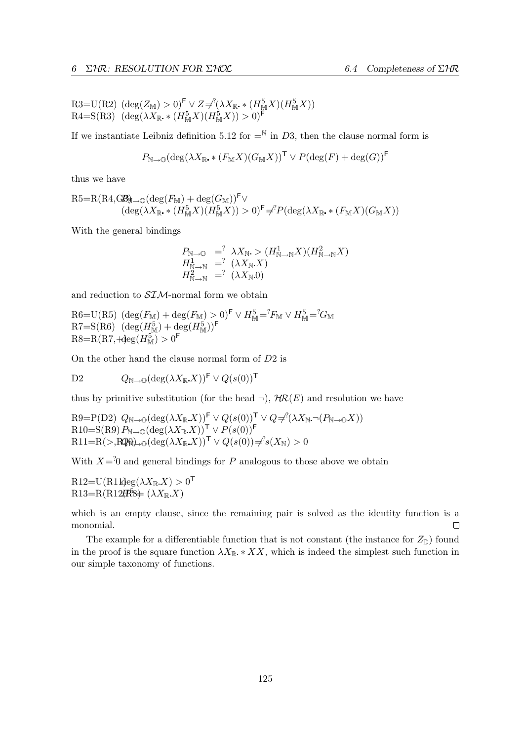$R3=U(R2) \left(\deg(Z_{\mathbb{M}})>0\right)^{\mathsf{F}} \vee Z \neq^? (\lambda X_{\mathbb{R}} \cdot * (H_{\mathbb{M}}^{5} X)(H_{\mathbb{M}}^{5} X))$  $R4 = S(R3)$   $(\deg(\lambda X_{\mathbb{R}} \cdot (H_M^5 X)(H_M^5 X)) > 0)^{\mathsf{F}}$ 

If we instantiate Leibniz definition 5.12 for  $=^{\mathbb{N}}$  in D3, then the clause normal form is

$$
P_{\mathbb{N}\to\mathbb{O}}(\deg(\lambda X_{\mathbb{R}}\cdot (F_{\mathbb{M}}X)(G_{\mathbb{M}}X))^{\mathsf{T}}\vee P(\deg(F) + \deg(G))^{\mathsf{F}}
$$

thus we have

$$
R5=R(R4,\text{GB})_{\text{max}}(\deg(F_{\text{M}})+\deg(G_{\text{M}}))^{\text{F}} \vee (\deg(\lambda X_{\mathbb{R}} \cdot * (H_{\text{M}}^{5}X)(H_{\text{M}}^{5}X)) > 0)^{\text{F}} \neq {}^{2}P(\deg(\lambda X_{\mathbb{R}} \cdot * (F_{\text{M}}X)(G_{\text{M}}X))
$$

With the general bindings

$$
P_{\mathbb{N}\to\mathbb{O}} = \lambda X_{\mathbb{N}} > (H_{\mathbb{N}\to\mathbb{N}}^1 X)(H_{\mathbb{N}\to\mathbb{N}}^2 X)
$$
  
\n
$$
H_{\mathbb{N}\to\mathbb{N}}^1 = \lambda^2 (X_{\mathbb{N}} X)
$$
  
\n
$$
H_{\mathbb{N}\to\mathbb{N}}^2 = \lambda^2 (X_{\mathbb{N}} X_0)
$$

and reduction to  $SIM$ -normal form we obtain

 $R6=U(R5)$   $(\deg(F_M) + \deg(F_M) > 0)^{\mathsf{F}} \vee H_M^5 = {}^2F_M \vee H_M^5 = {}^2G_M$  $R7 = S(R6)$   $(\deg(H_M^5) + \deg(H_M^5))^F$  $R8=R(R7, +\text{deg}(H_M^5)>0^F)$ 

On the other hand the clause normal form of D2 is

D2 
$$
Q_{\mathbb{N}\to\mathbb{O}}(\deg(\lambda X_{\mathbb{R}}X))^{\mathsf{F}} \vee Q(s(0))^{\mathsf{T}}
$$

thus by primitive substitution (for the head  $\neg$ ),  $H\mathcal{R}(E)$  and resolution we have

 $R9 = P(D2)$   $Q_{\mathbb{N} \to \mathbb{O}}(\deg(\lambda X_{\mathbb{R}} X))^{\mathsf{F}} \vee Q(s(0))^{\mathsf{T}} \vee Q \neq^? (\lambda X_{\mathbb{N}} \neg (P_{\mathbb{N} \to \mathbb{O}} X))$  $\mathrm{R10}{=}\mathrm{S}(\mathrm{R9})\mathit{P}_{\mathbb{N}\rightarrow\mathbb{O}}(\deg(\lambda X_{\mathbb{R}}.X))^{\mathsf{T}}\vee\mathit{P}(s(0))^{\mathsf{F}}$  $\text{R11}=\text{R}(>,\text{RQR})_{\rightarrow 0}(\text{deg}(\lambda X_{\mathbb{R}} X))^{\mathsf{T}}\vee Q(s(0))\neq s(X_{\mathbb{N}})>0$ 

With  $X = \{0\}$  and general bindings for P analogous to those above we obtain

 $R12=U(R11deg(\lambda X_{\mathbb{R}} X)>0^{\mathsf{T}}$  $R13=R(R12R8\text{m})\ (\lambda X_{\mathbb{R}} X)$ 

which is an empty clause, since the remaining pair is solved as the identity function is a monomial.  $\Box$ 

The example for a differentiable function that is not constant (the instance for  $Z_{\mathbb{D}}$ ) found in the proof is the square function  $\lambda X_{\mathbb{R}} * X X$ , which is indeed the simplest such function in our simple taxonomy of functions.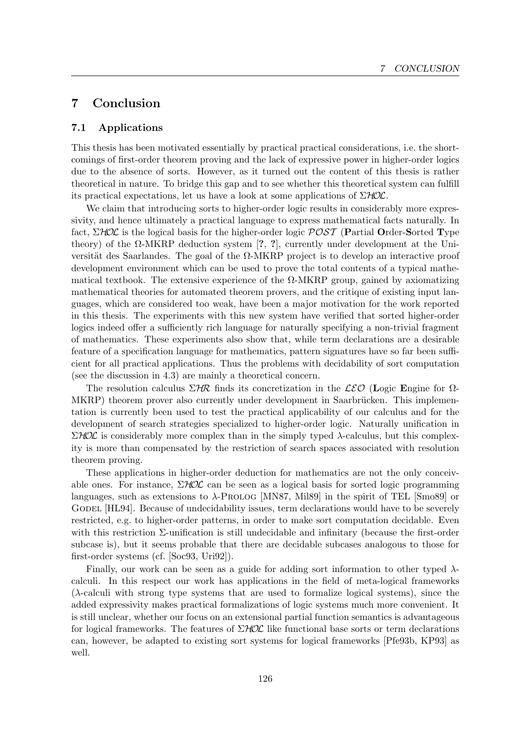# 7 Conclusion

## 7.1 Applications

This thesis has been motivated essentially by practical practical considerations, i.e. the shortcomings of first-order theorem proving and the lack of expressive power in higher-order logics due to the absence of sorts. However, as it turned out the content of this thesis is rather theoretical in nature. To bridge this gap and to see whether this theoretical system can fulfill its practical expectations, let us have a look at some applications of  $\Sigma HOL$ .

We claim that introducing sorts to higher-order logic results in considerably more expressivity, and hence ultimately a practical language to express mathematical facts naturally. In fact,  $\Sigma HOL$  is the logical basis for the higher-order logic  $POST$  (Partial Order-Sorted Type theory) of the Ω-MKRP deduction system [?, ?], currently under development at the Universität des Saarlandes. The goal of the  $\Omega$ -MKRP project is to develop an interactive proof development environment which can be used to prove the total contents of a typical mathematical textbook. The extensive experience of the  $\Omega$ -MKRP group, gained by axiomatizing mathematical theories for automated theorem provers, and the critique of existing input languages, which are considered too weak, have been a major motivation for the work reported in this thesis. The experiments with this new system have verified that sorted higher-order logics indeed offer a sufficiently rich language for naturally specifying a non-trivial fragment of mathematics. These experiments also show that, while term declarations are a desirable feature of a specification language for mathematics, pattern signatures have so far been sufficient for all practical applications. Thus the problems with decidability of sort computation (see the discussion in 4.3) are mainly a theoretical concern.

The resolution calculus  $\Sigma$ HR finds its concretization in the LEO (Logic Engine for  $\Omega$ -MKRP) theorem prover also currently under development in Saarbrücken. This implementation is currently been used to test the practical applicability of our calculus and for the development of search strategies specialized to higher-order logic. Naturally unification in  $\Sigma HOL$  is considerably more complex than in the simply typed  $\lambda$ -calculus, but this complexity is more than compensated by the restriction of search spaces associated with resolution theorem proving.

These applications in higher-order deduction for mathematics are not the only conceivable ones. For instance,  $\Sigma HOL$  can be seen as a logical basis for sorted logic programming languages, such as extensions to  $\lambda$ -Prolog [MN87, Mil89] in the spirit of TEL [Smo89] or GODEL [HL94]. Because of undecidability issues, term declarations would have to be severely restricted, e.g. to higher-order patterns, in order to make sort computation decidable. Even with this restriction Σ-unification is still undecidable and infinitary (because the first-order subcase is), but it seems probable that there are decidable subcases analogous to those for first-order systems (cf. [Soc93, Uri92]).

Finally, our work can be seen as a guide for adding sort information to other typed  $\lambda$ calculi. In this respect our work has applications in the field of meta-logical frameworks (λ-calculi with strong type systems that are used to formalize logical systems), since the added expressivity makes practical formalizations of logic systems much more convenient. It is still unclear, whether our focus on an extensional partial function semantics is advantageous for logical frameworks. The features of  $\Sigma HOL$  like functional base sorts or term declarations can, however, be adapted to existing sort systems for logical frameworks [Pfe93b, KP93] as well.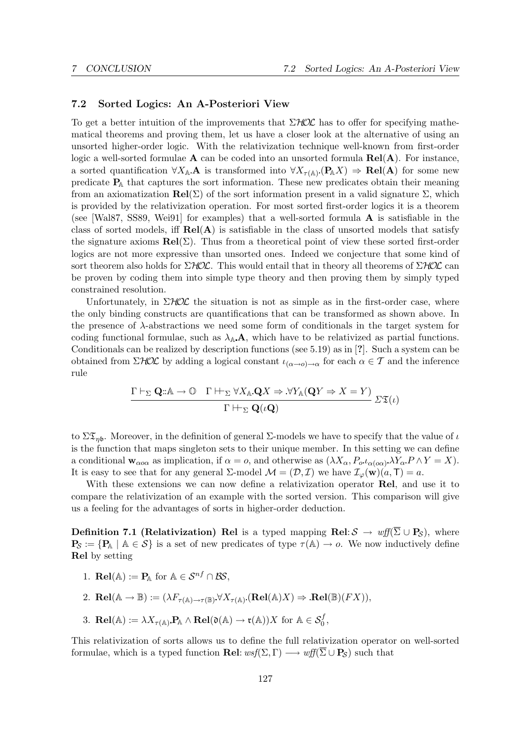## 7.2 Sorted Logics: An A-Posteriori View

To get a better intuition of the improvements that  $\Sigma HOL$  has to offer for specifying mathematical theorems and proving them, let us have a closer look at the alternative of using an unsorted higher-order logic. With the relativization technique well-known from first-order logic a well-sorted formulae  $\bf{A}$  can be coded into an unsorted formula  $\bf{Rel}(\bf{A})$ . For instance, a sorted quantification  $\forall X_{\mathbb{A}}.\mathbf{A}$  is transformed into  $\forall X_{\tau(\mathbb{A})}(\mathbf{P}_{\mathbb{A}}X) \Rightarrow \mathbf{Rel}(\mathbf{A})$  for some new predicate  $P_{\mathbb{A}}$  that captures the sort information. These new predicates obtain their meaning from an axiomatization  $\text{Rel}(\Sigma)$  of the sort information present in a valid signature  $\Sigma$ , which is provided by the relativization operation. For most sorted first-order logics it is a theorem (see [Wal87, SS89, Wei91] for examples) that a well-sorted formula A is satisfiable in the class of sorted models, iff  $\text{Rel}(A)$  is satisfiable in the class of unsorted models that satisfy the signature axioms  $\textbf{Rel}(\Sigma)$ . Thus from a theoretical point of view these sorted first-order logics are not more expressive than unsorted ones. Indeed we conjecture that some kind of sort theorem also holds for  $\Sigma HOL$ . This would entail that in theory all theorems of  $\Sigma HOL$  can be proven by coding them into simple type theory and then proving them by simply typed constrained resolution.

Unfortunately, in  $\Sigma HOL$  the situation is not as simple as in the first-order case, where the only binding constructs are quantifications that can be transformed as shown above. In the presence of λ-abstractions we need some form of conditionals in the target system for coding functional formulae, such as  $\lambda_{\mathbb{A}}\mathbf{A}$ , which have to be relativized as partial functions. Conditionals can be realized by description functions (see 5.19) as in [?]. Such a system can be obtained from  $\Sigma HOL$  by adding a logical constant  $\iota_{(\alpha\to\rho)\to\alpha}$  for each  $\alpha\in\mathcal{T}$  and the inference rule

$$
\frac{\Gamma \vdash_{\Sigma} \mathbf{Q} : \mathbb{A} \to \mathbb{O} \quad \Gamma \vdash_{\Sigma} \forall X_{\mathbb{A}} \mathbf{Q} X \Rightarrow \forall Y_{\mathbb{A}} (\mathbf{Q} Y \Rightarrow X = Y)}{\Gamma \vdash_{\Sigma} \mathbf{Q}(\iota \mathbf{Q})} \ \Sigma \mathfrak{T}(\iota)
$$

to  $\Sigma \mathfrak{T}_{nb}$ . Moreover, in the definition of general  $\Sigma$ -models we have to specify that the value of  $\iota$ is the function that maps singleton sets to their unique member. In this setting we can define a conditional  $\mathbf{w}_{\alpha o\alpha}$  as implication, if  $\alpha = o$ , and otherwise as  $(\lambda X_{\alpha}, P_o \iota_{\alpha (o\alpha)} \lambda Y_{\alpha} P \wedge Y = X)$ . It is easy to see that for any general  $\Sigma$ -model  $\mathcal{M} = (\mathcal{D}, \mathcal{I})$  we have  $\mathcal{I}_{\varphi}(\mathbf{w})(a, \mathsf{T}) = a$ .

With these extensions we can now define a relativization operator **Rel**, and use it to compare the relativization of an example with the sorted version. This comparison will give us a feeling for the advantages of sorts in higher-order deduction.

**Definition 7.1 (Relativization) Rel** is a typed mapping Rel:  $S \to wf(\overline{\Sigma} \cup P_S)$ , where  $P_{\mathcal{S}} := \{P_{\mathbb{A}} \mid \mathbb{A} \in \mathcal{S}\}\$ is a set of new predicates of type  $\tau(\mathbb{A}) \to o$ . We now inductively define Rel by setting

- 1. **Rel**(A) :=  $P_{\mathbb{A}}$  for  $\mathbb{A} \in \mathcal{S}^{nf} \cap \mathcal{BS}$ ,
- 2. **Rel**( $\mathbb{A} \to \mathbb{B}$ ) :=  $(\lambda F_{\tau(\mathbb{A}) \to \tau(\mathbb{B})} \forall X_{\tau(\mathbb{A})} (\text{Rel}(\mathbb{A})X) \Rightarrow \text{Rel}(\mathbb{B})(FX)),$
- 3. **Rel**( $\mathbb{A}$ ) :=  $\lambda X_{\tau(\mathbb{A})}$ **P**<sub>A</sub>  $\wedge$  **Rel**( $\mathfrak{d}(\mathbb{A}) \to \mathfrak{r}(\mathbb{A}))X$  for  $\mathbb{A} \in \mathcal{S}_0^f$ ,

This relativization of sorts allows us to define the full relativization operator on well-sorted formulae, which is a typed function **Rel:**  $wsf(\Sigma, \Gamma) \longrightarrow wf(\overline{\Sigma} \cup \mathbf{P}_S)$  such that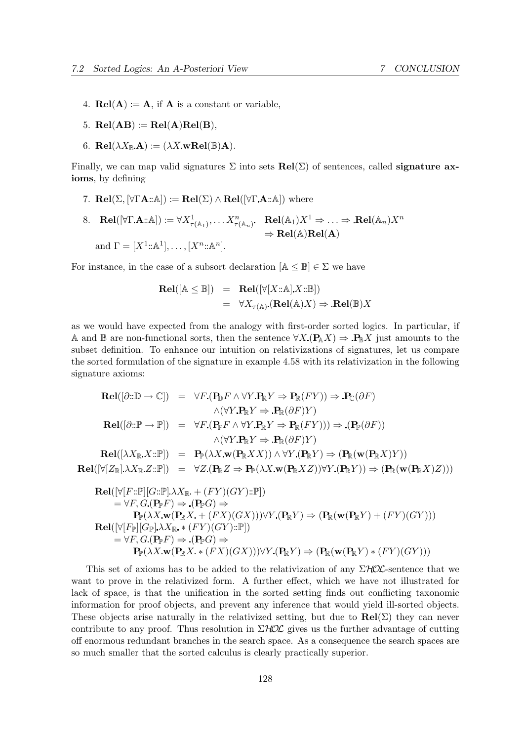- 4.  $\text{Rel}(A) := A$ , if A is a constant or variable.
- 5.  $\text{Rel}(AB) := \text{Rel}(A)\text{Rel}(B),$
- 6.  $\mathbf{Rel}(\lambda X_{\mathbb{R}}\mathbf{A}) := (\lambda \overline{X}\mathbf{wRel}(\mathbb{B})\mathbf{A}).$

Finally, we can map valid signatures  $\Sigma$  into sets  $\text{Rel}(\Sigma)$  of sentences, called signature axioms, by defining

- 7. **Rel**( $\Sigma$ ,  $[\forall \Gamma \mathbf{A} : \mathbb{A}]$ ) := **Rel**( $\Sigma$ )  $\land$  **Rel**( $[\forall \Gamma \mathbf{A} : \mathbb{A}]$ ) where
- $8. \quad \textbf{Rel}([\forall \Gamma \mathbf{A} : \land]) := \forall X^1_{\tau(\mathbb{A}_1)}, \dots X^n_{\tau(\mathbb{A}_n)}. \quad \textbf{Rel}(\mathbb{A}_1)X^1 \Rightarrow \dots \Rightarrow \textbf{Rel}(\mathbb{A}_n)X^n$  $\Rightarrow$  Rel(A)Rel(A) and  $\Gamma = [X^1 : \mathbb{A}^1], \ldots, [X^n : \mathbb{A}^n].$

For instance, in the case of a subsort declaration  $[A \leq \mathbb{B}] \in \Sigma$  we have

$$
\begin{array}{rcl}\n\mathbf{Rel}([\mathbb{A} \leq \mathbb{B}]) & = & \mathbf{Rel}([\forall [X \because \mathbb{A}].X \because \mathbb{B}]) \\
& = & \forall X_{\tau(\mathbb{A})}.(\mathbf{Rel}(\mathbb{A})X) \Rightarrow \mathbf{Rel}(\mathbb{B})X\n\end{array}
$$

as we would have expected from the analogy with first-order sorted logics. In particular, if A and B are non-functional sorts, then the sentence  $\forall X \, (\mathbf{P}_{\mathbb{A}} X) \Rightarrow \mathbf{P}_{\mathbb{B}} X$  just amounts to the subset definition. To enhance our intuition on relativizations of signatures, let us compare the sorted formulation of the signature in example 4.58 with its relativization in the following signature axioms:

$$
\begin{array}{rcl}\n\textbf{Rel}([\partial::\mathbb{D}\rightarrow\mathbb{C}]) & = & \forall F.(\mathbf{P}_{\mathbb{D}}F \wedge \forall Y. \mathbf{P}_{\mathbb{R}}Y \Rightarrow \mathbf{P}_{\mathbb{R}}(FY)) \Rightarrow \mathbf{P}_{\mathbb{C}}(\partial F) \\
& \wedge (\forall Y. \mathbf{P}_{\mathbb{R}}Y \Rightarrow \mathbf{P}_{\mathbb{R}}(\partial F)Y) \\
\textbf{Rel}([\partial::\mathbb{P}\rightarrow\mathbb{P}]) & = & \forall F.(\mathbf{P}_{\mathbb{P}}F \wedge \forall Y. \mathbf{P}_{\mathbb{R}}Y \Rightarrow \mathbf{P}_{\mathbb{R}}(FY))) \Rightarrow (\mathbf{P}_{\mathbb{P}}(\partial F)) \\
& \wedge (\forall Y. \mathbf{P}_{\mathbb{R}}Y \Rightarrow \mathbf{P}_{\mathbb{R}}(\partial F)Y) \\
\textbf{Rel}([\lambda X_{\mathbb{R}}X::\mathbb{P}]) & = & \mathbf{P}_{\mathbb{P}}(\lambda X. \mathbf{w}(\mathbf{P}_{\mathbb{R}}XX)) \wedge \forall Y.(\mathbf{P}_{\mathbb{R}}Y) \Rightarrow (\mathbf{P}_{\mathbb{R}}(\mathbf{w}(\mathbf{P}_{\mathbb{R}}X)Y)) \\
\textbf{Rel}([\forall [Z_{\mathbb{R}}]\lambda X_{\mathbb{R}}Z::\mathbb{P}]) & = & \forall Z.(\mathbf{P}_{\mathbb{R}}Z \Rightarrow \mathbf{P}_{\mathbb{P}}(\lambda X. \mathbf{w}(\mathbf{P}_{\mathbb{R}}XZ)) \forall Y.(\mathbf{P}_{\mathbb{R}}Y)) \Rightarrow (\mathbf{P}_{\mathbb{R}}(\mathbf{w}(\mathbf{P}_{\mathbb{R}}X)Z))) \\
\textbf{Rel}([\forall [F::\mathbb{P}][G::\mathbb{P}]\lambda X_{\mathbb{R}} + (FY)(GY):\mathbb{P}]) \\
& = & \forall F. G.(\mathbf{P}_{\mathbb{P}}F) \Rightarrow (\mathbf{P}_{\mathbb{P}}G) \Rightarrow \\
& \mathbf{P}_{\mathbb{P}}(\lambda X. \mathbf{w}(\mathbf{P}_{\mathbb{R}}X + (FX)(GX))) \forall Y.(\mathbf{P}_{\mathbb{R}}Y) \Rightarrow (\mathbf{P}_{\mathbb{R}}(\mathbf{w}(\mathbf
$$

This set of axioms has to be added to the relativization of any  $\Sigma HOL$ -sentence that we want to prove in the relativized form. A further effect, which we have not illustrated for lack of space, is that the unification in the sorted setting finds out conflicting taxonomic information for proof objects, and prevent any inference that would yield ill-sorted objects. These objects arise naturally in the relativized setting, but due to  $\text{Rel}(\Sigma)$  they can never contribute to any proof. Thus resolution in  $\Sigma$ HOC gives us the further advantage of cutting off enormous redundant branches in the search space. As a consequence the search spaces are so much smaller that the sorted calculus is clearly practically superior.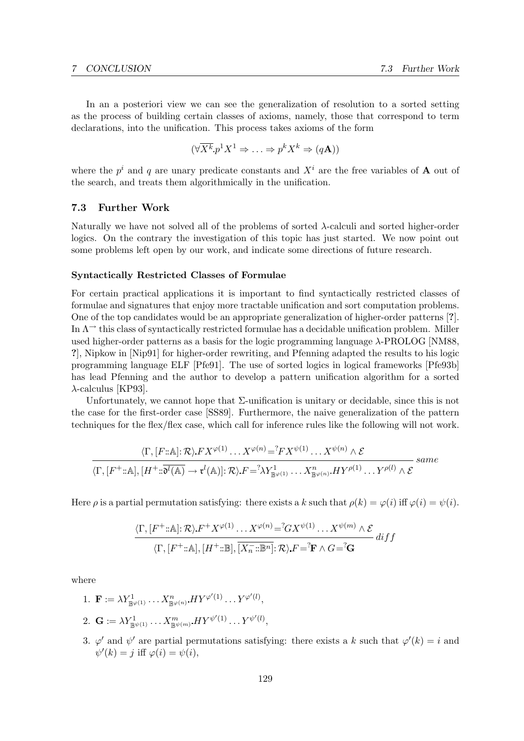In an a posteriori view we can see the generalization of resolution to a sorted setting as the process of building certain classes of axioms, namely, those that correspond to term declarations, into the unification. This process takes axioms of the form

$$
(\forall \overline{X^k} \ p^1 X^1 \Rightarrow \ldots \Rightarrow p^k X^k \Rightarrow (q\mathbf{A}))
$$

where the  $p^i$  and q are unary predicate constants and  $X^i$  are the free variables of **A** out of the search, and treats them algorithmically in the unification.

## 7.3 Further Work

Naturally we have not solved all of the problems of sorted λ-calculi and sorted higher-order logics. On the contrary the investigation of this topic has just started. We now point out some problems left open by our work, and indicate some directions of future research.

#### Syntactically Restricted Classes of Formulae

For certain practical applications it is important to find syntactically restricted classes of formulae and signatures that enjoy more tractable unification and sort computation problems. One of the top candidates would be an appropriate generalization of higher-order patterns [?]. In  $\Lambda$ <sup> $\rightarrow$ </sup> this class of syntactically restricted formulae has a decidable unification problem. Miller used higher-order patterns as a basis for the logic programming language  $\lambda$ -PROLOG [NM88, ?], Nipkow in [Nip91] for higher-order rewriting, and Pfenning adapted the results to his logic programming language ELF [Pfe91]. The use of sorted logics in logical frameworks [Pfe93b] has lead Pfenning and the author to develop a pattern unification algorithm for a sorted  $\lambda$ -calculus [KP93].

Unfortunately, we cannot hope that Σ-unification is unitary or decidable, since this is not the case for the first-order case [SS89]. Furthermore, the naive generalization of the pattern techniques for the flex/flex case, which call for inference rules like the following will not work.

$$
\frac{\langle \Gamma, [F::\mathbb{A}]: \mathcal{R} \rangle FX^{\varphi(1)} \dots X^{\varphi(n)} = ^?FX^{\psi(1)} \dots X^{\psi(n)} \wedge \mathcal{E}}{\langle \Gamma, [F^+::\mathbb{A}], [H^+::\overline{\mathfrak{d}^l(\mathbb{A})} \to \mathfrak{r}^l(\mathbb{A})]: \mathcal{R} \rangle.F = ^?X^1_{\mathbb{B}^{\varphi(1)}} \dots X^n_{\mathbb{B}^{\varphi(n)}} HY^{\rho(1)} \dots Y^{\rho(l)} \wedge \mathcal{E}} \text{ same}
$$

Here  $\rho$  is a partial permutation satisfying: there exists a k such that  $\rho(k) = \varphi(i)$  iff  $\varphi(i) = \psi(i)$ .

$$
\frac{\langle \Gamma, [F^+::\mathbb{A}]: \mathcal{R} \rangle \cdot F^+ \cdot X^{\varphi(1)} \cdot \ldots X^{\varphi(n)} = {}^?G X^{\psi(1)} \cdot \ldots X^{\psi(m)} \wedge \mathcal{E}}{\langle \Gamma, [F^+::\mathbb{A}], [H^+::\mathbb{B}], \overline{[X_n^-::\mathbb{B}^n]}}: \mathcal{R} \rangle \cdot F = {}^?F \wedge G = {}^?G
$$

where

- 1.  $\mathbf{F} := \lambda Y_{\mathbb{B}^{\varphi(1)}}^1 \dots X_{\mathbb{B}^{\varphi(n)}}^n H Y^{\varphi'(1)} \dots Y^{\varphi'(l)},$ 2.  $\mathbf{G} := \lambda Y_{\mathbb{B}^{\psi(1)}}^1 \dots X_{\mathbb{B}^{\psi(m)}}^m H Y^{\psi'(1)} \dots Y^{\psi'(l)},$
- 3.  $\varphi'$  and  $\psi'$  are partial permutations satisfying: there exists a k such that  $\varphi'(k) = i$  and  $\psi'(k) = j$  iff  $\varphi(i) = \psi(i)$ ,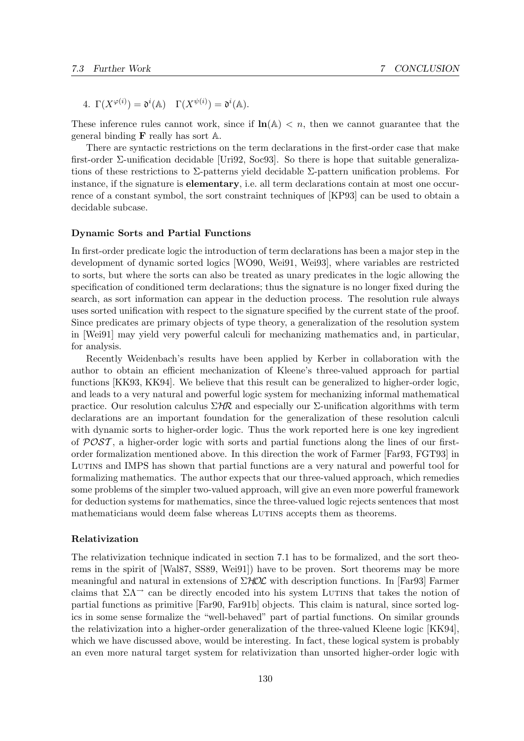4.  $\Gamma(X^{\varphi(i)}) = \mathfrak{d}^i(\mathbb{A}) \quad \Gamma(X^{\psi(i)}) = \mathfrak{d}^i(\mathbb{A}).$ 

These inference rules cannot work, since if  $\ln(A) < n$ , then we cannot guarantee that the general binding  $\bf{F}$  really has sort  $\mathbb{A}$ .

There are syntactic restrictions on the term declarations in the first-order case that make first-order  $\Sigma$ -unification decidable [Uri92, Soc93]. So there is hope that suitable generalizations of these restrictions to  $\Sigma$ -patterns yield decidable  $\Sigma$ -pattern unification problems. For instance, if the signature is **elementary**, i.e. all term declarations contain at most one occurrence of a constant symbol, the sort constraint techniques of [KP93] can be used to obtain a decidable subcase.

#### Dynamic Sorts and Partial Functions

In first-order predicate logic the introduction of term declarations has been a major step in the development of dynamic sorted logics [WO90, Wei91, Wei93], where variables are restricted to sorts, but where the sorts can also be treated as unary predicates in the logic allowing the specification of conditioned term declarations; thus the signature is no longer fixed during the search, as sort information can appear in the deduction process. The resolution rule always uses sorted unification with respect to the signature specified by the current state of the proof. Since predicates are primary objects of type theory, a generalization of the resolution system in [Wei91] may yield very powerful calculi for mechanizing mathematics and, in particular, for analysis.

Recently Weidenbach's results have been applied by Kerber in collaboration with the author to obtain an efficient mechanization of Kleene's three-valued approach for partial functions [KK93, KK94]. We believe that this result can be generalized to higher-order logic, and leads to a very natural and powerful logic system for mechanizing informal mathematical practice. Our resolution calculus  $\Sigma H\mathcal{R}$  and especially our  $\Sigma$ -unification algorithms with term declarations are an important foundation for the generalization of these resolution calculi with dynamic sorts to higher-order logic. Thus the work reported here is one key ingredient of  $POST$ , a higher-order logic with sorts and partial functions along the lines of our firstorder formalization mentioned above. In this direction the work of Farmer [Far93, FGT93] in LUTINS and IMPS has shown that partial functions are a very natural and powerful tool for formalizing mathematics. The author expects that our three-valued approach, which remedies some problems of the simpler two-valued approach, will give an even more powerful framework for deduction systems for mathematics, since the three-valued logic rejects sentences that most mathematicians would deem false whereas LUTINS accepts them as theorems.

## Relativization

The relativization technique indicated in section 7.1 has to be formalized, and the sort theorems in the spirit of [Wal87, SS89, Wei91]) have to be proven. Sort theorems may be more meaningful and natural in extensions of  $\Sigma HOL$  with description functions. In [Far93] Farmer claims that  $\Sigma\Lambda$ <sup>→</sup> can be directly encoded into his system LUTINS that takes the notion of partial functions as primitive [Far90, Far91b] objects. This claim is natural, since sorted logics in some sense formalize the "well-behaved" part of partial functions. On similar grounds the relativization into a higher-order generalization of the three-valued Kleene logic [KK94], which we have discussed above, would be interesting. In fact, these logical system is probably an even more natural target system for relativization than unsorted higher-order logic with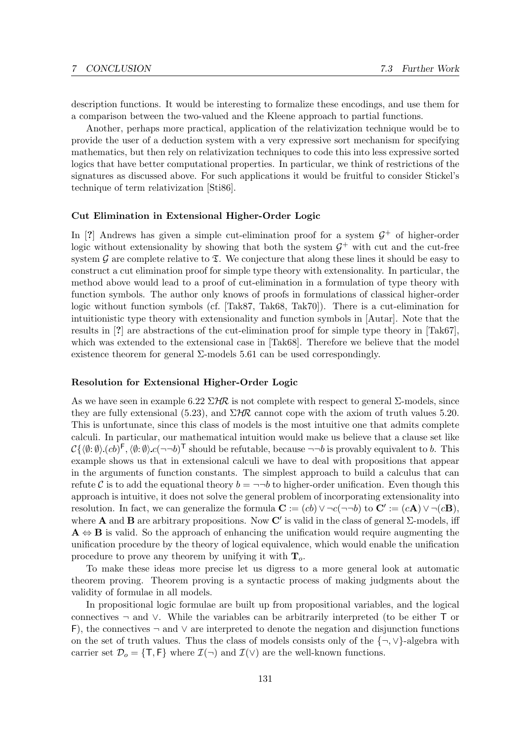description functions. It would be interesting to formalize these encodings, and use them for a comparison between the two-valued and the Kleene approach to partial functions.

Another, perhaps more practical, application of the relativization technique would be to provide the user of a deduction system with a very expressive sort mechanism for specifying mathematics, but then rely on relativization techniques to code this into less expressive sorted logics that have better computational properties. In particular, we think of restrictions of the signatures as discussed above. For such applications it would be fruitful to consider Stickel's technique of term relativization [Sti86].

## Cut Elimination in Extensional Higher-Order Logic

In [?] Andrews has given a simple cut-elimination proof for a system  $G^+$  of higher-order logic without extensionality by showing that both the system  $\mathcal{G}^+$  with cut and the cut-free system G are complete relative to  $\Sigma$ . We conjecture that along these lines it should be easy to construct a cut elimination proof for simple type theory with extensionality. In particular, the method above would lead to a proof of cut-elimination in a formulation of type theory with function symbols. The author only knows of proofs in formulations of classical higher-order logic without function symbols (cf. [Tak87, Tak68, Tak70]). There is a cut-elimination for intuitionistic type theory with extensionality and function symbols in [Autar]. Note that the results in [?] are abstractions of the cut-elimination proof for simple type theory in [Tak67], which was extended to the extensional case in [Tak68]. Therefore we believe that the model existence theorem for general  $\Sigma$ -models 5.61 can be used correspondingly.

#### Resolution for Extensional Higher-Order Logic

As we have seen in example 6.22  $\Sigma$ HR is not complete with respect to general  $\Sigma$ -models, since they are fully extensional (5.23), and  $\Sigma H\mathcal{R}$  cannot cope with the axiom of truth values 5.20. This is unfortunate, since this class of models is the most intuitive one that admits complete calculi. In particular, our mathematical intuition would make us believe that a clause set like  $C\{\langle \emptyset: \emptyset \rangle (cb)^{\mathsf{F}}, \langle \emptyset: \emptyset \rangle c(\neg \neg b)^{\mathsf{T}}\}$  should be refutable, because  $\neg \neg b$  is provably equivalent to b. This example shows us that in extensional calculi we have to deal with propositions that appear in the arguments of function constants. The simplest approach to build a calculus that can refute C is to add the equational theory  $b = \neg \neg b$  to higher-order unification. Even though this approach is intuitive, it does not solve the general problem of incorporating extensionality into resolution. In fact, we can generalize the formula  $\mathbf{C} := (cb) \vee \neg c(\neg \neg b)$  to  $\mathbf{C}' := (c\mathbf{A}) \vee \neg (c\mathbf{B})$ , where **A** and **B** are arbitrary propositions. Now C' is valid in the class of general  $\Sigma$ -models, iff  $A \Leftrightarrow B$  is valid. So the approach of enhancing the unification would require augmenting the unification procedure by the theory of logical equivalence, which would enable the unification procedure to prove any theorem by unifying it with  $\mathbf{T}_o$ .

To make these ideas more precise let us digress to a more general look at automatic theorem proving. Theorem proving is a syntactic process of making judgments about the validity of formulae in all models.

In propositional logic formulae are built up from propositional variables, and the logical connectives ¬ and ∨. While the variables can be arbitrarily interpreted (to be either T or F), the connectives  $\neg$  and  $\vee$  are interpreted to denote the negation and disjunction functions on the set of truth values. Thus the class of models consists only of the {¬,∨}-algebra with carrier set  $\mathcal{D}_o = \{\mathsf{T}, \mathsf{F}\}\$  where  $\mathcal{I}(\neg)$  and  $\mathcal{I}(\vee)$  are the well-known functions.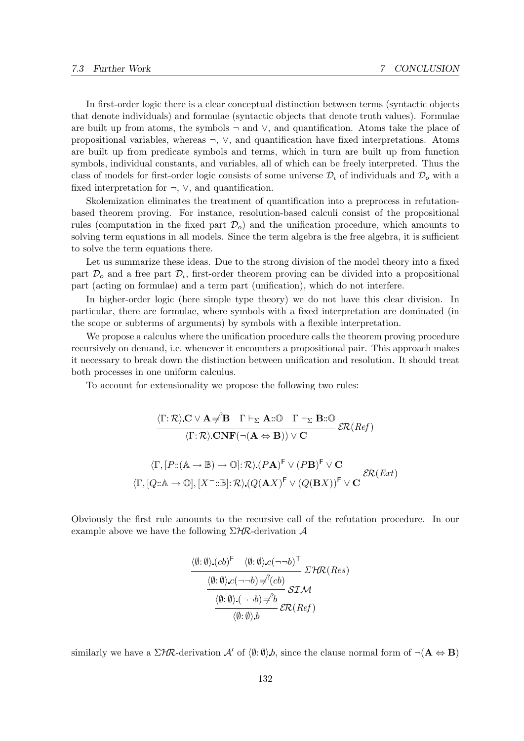In first-order logic there is a clear conceptual distinction between terms (syntactic objects that denote individuals) and formulae (syntactic objects that denote truth values). Formulae are built up from atoms, the symbols  $\neg$  and  $\vee$ , and quantification. Atoms take the place of propositional variables, whereas ¬, ∨, and quantification have fixed interpretations. Atoms are built up from predicate symbols and terms, which in turn are built up from function symbols, individual constants, and variables, all of which can be freely interpreted. Thus the class of models for first-order logic consists of some universe  $\mathcal{D}_{\iota}$  of individuals and  $\mathcal{D}_{o}$  with a fixed interpretation for  $\neg$ ,  $\vee$ , and quantification.

Skolemization eliminates the treatment of quantification into a preprocess in refutationbased theorem proving. For instance, resolution-based calculi consist of the propositional rules (computation in the fixed part  $\mathcal{D}_o$ ) and the unification procedure, which amounts to solving term equations in all models. Since the term algebra is the free algebra, it is sufficient to solve the term equations there.

Let us summarize these ideas. Due to the strong division of the model theory into a fixed part  $\mathcal{D}_o$  and a free part  $\mathcal{D}_i$ , first-order theorem proving can be divided into a propositional part (acting on formulae) and a term part (unification), which do not interfere.

In higher-order logic (here simple type theory) we do not have this clear division. In particular, there are formulae, where symbols with a fixed interpretation are dominated (in the scope or subterms of arguments) by symbols with a flexible interpretation.

We propose a calculus where the unification procedure calls the theorem proving procedure recursively on demand, i.e. whenever it encounters a propositional pair. This approach makes it necessary to break down the distinction between unification and resolution. It should treat both processes in one uniform calculus.

To account for extensionality we propose the following two rules:

$$
\frac{\langle \Gamma; \mathcal{R} \rangle \mathbf{C} \vee \mathbf{A} \neq \mathbf{B} \quad \Gamma \vdash_{\Sigma} \mathbf{A} : \mathbb{O} \quad \Gamma \vdash_{\Sigma} \mathbf{B} : \mathbb{O}}{\langle \Gamma; \mathcal{R} \rangle \mathbf{C}\mathbf{N}\mathbf{F}(\neg(\mathbf{A} \Leftrightarrow \mathbf{B})) \vee \mathbf{C}} \mathcal{ER}(Ref)
$$
\n
$$
\frac{\langle \Gamma, [P: (\mathbb{A} \to \mathbb{B}) \to \mathbb{O}] : \mathcal{R} \rangle (P\mathbf{A})^{\mathsf{F}} \vee (P\mathbf{B})^{\mathsf{F}} \vee \mathbf{C}}{\langle \Gamma, [Q: \mathbb{A} \to \mathbb{O}], [X^- : \mathbb{B}] : \mathcal{R} \rangle (Q(\mathbf{A}X)^{\mathsf{F}} \vee (Q(\mathbf{B}X))^{\mathsf{F}} \vee \mathbf{C}} \mathcal{ER}(Ext)
$$

Obviously the first rule amounts to the recursive call of the refutation procedure. In our example above we have the following  $\Sigma H\mathcal{R}$ -derivation  $\mathcal A$ 

$$
\frac{\langle \emptyset : \emptyset \rangle (cb)^{\mathsf{F}} \quad \langle \emptyset : \emptyset \rangle c (\neg \neg b)^{\mathsf{T}}}{\langle \emptyset : \emptyset \rangle c (\neg \neg b) \neq^? (cb)} \Sigma \mathcal{HR}(Res)
$$
  

$$
\frac{\langle \emptyset : \emptyset \rangle c (\neg \neg b) \neq^? b}{\langle \emptyset : \emptyset \rangle b} \Sigma \mathcal{LR}(Ref)
$$

similarly we have a  $\Sigma$ HR-derivation A' of  $\langle \emptyset: \emptyset \rangle$ , since the clause normal form of  $\neg (\mathbf{A} \Leftrightarrow \mathbf{B})$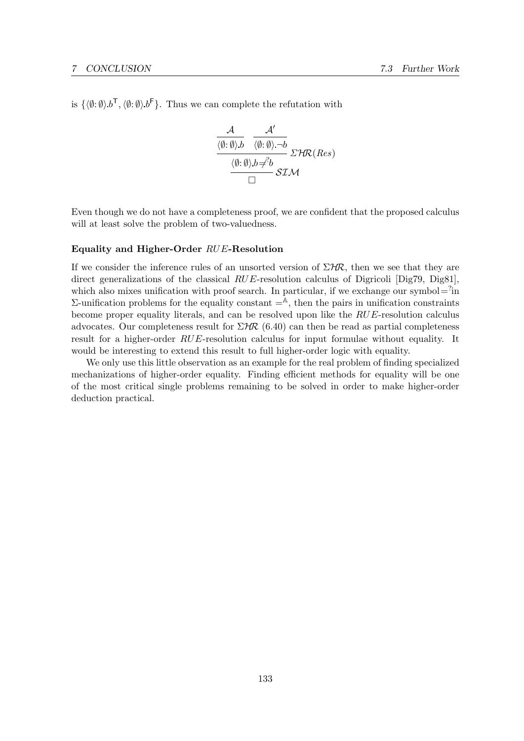is  $\{\langle \emptyset: \emptyset \rangle \cdot b^{\mathsf{T}}, \langle \emptyset: \emptyset \rangle \cdot b^{\mathsf{F}}\}.$  Thus we can complete the refutation with

$$
\frac{\mathcal{A}}{\frac{\langle \emptyset : \emptyset \rangle b}{\langle \emptyset : \emptyset \rangle - b}} \frac{\mathcal{A}'}{\langle \emptyset : \emptyset \rangle - b} \mathcal{LHR}(Res)
$$
\n
$$
\frac{\langle \emptyset : \emptyset \rangle b \neq b}{\Box} \mathcal{SLM}
$$

Even though we do not have a completeness proof, we are confident that the proposed calculus will at least solve the problem of two-valuedness.

#### Equality and Higher-Order RUE-Resolution

If we consider the inference rules of an unsorted version of  $\Sigma H\mathcal{R}$ , then we see that they are direct generalizations of the classical RUE-resolution calculus of Digricoli [Dig79, Dig81], which also mixes unification with proof search. In particular, if we exchange our symbol= $\hat{i}$ in  $Σ$ -unification problems for the equality constant  $=$ <sup> $A$ </sup>, then the pairs in unification constraints become proper equality literals, and can be resolved upon like the RUE-resolution calculus advocates. Our completeness result for  $\Sigma$ HR (6.40) can then be read as partial completeness result for a higher-order RUE-resolution calculus for input formulae without equality. It would be interesting to extend this result to full higher-order logic with equality.

We only use this little observation as an example for the real problem of finding specialized mechanizations of higher-order equality. Finding efficient methods for equality will be one of the most critical single problems remaining to be solved in order to make higher-order deduction practical.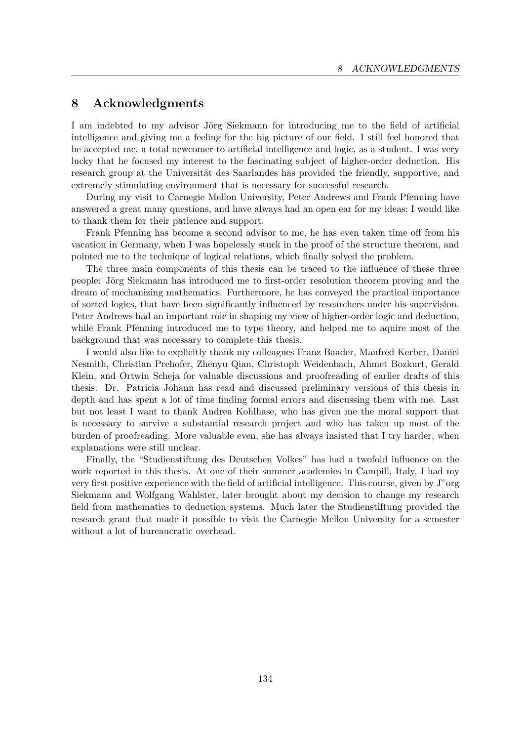# 8 Acknowledgments

I am indebted to my advisor Jörg Siekmann for introducing me to the field of artificial intelligence and giving me a feeling for the big picture of our field. I still feel honored that he accepted me, a total newcomer to artificial intelligence and logic, as a student. I was very lucky that he focused my interest to the fascinating subject of higher-order deduction. His research group at the Universität des Saarlandes has provided the friendly, supportive, and extremely stimulating environment that is necessary for successful research.

During my visit to Carnegie Mellon University, Peter Andrews and Frank Pfenning have answered a great many questions, and have always had an open ear for my ideas; I would like to thank them for their patience and support.

Frank Pfenning has become a second advisor to me, he has even taken time off from his vacation in Germany, when I was hopelessly stuck in the proof of the structure theorem, and pointed me to the technique of logical relations, which finally solved the problem.

The three main components of this thesis can be traced to the influence of these three people: Jörg Siekmann has introduced me to first-order resolution theorem proving and the dream of mechanizing mathematics. Furthermore, he has conveyed the practical importance of sorted logics, that have been significantly influenced by researchers under his supervision. Peter Andrews had an important role in shaping my view of higher-order logic and deduction, while Frank Pfenning introduced me to type theory, and helped me to aquire most of the background that was necessary to complete this thesis.

I would also like to explicitly thank my colleagues Franz Baader, Manfred Kerber, Daniel Nesmith, Christian Prehofer, Zhenyu Qian, Christoph Weidenbach, Ahmet Bozkurt, Gerald Klein, and Ortwin Scheja for valuable discussions and proofreading of earlier drafts of this thesis. Dr. Patricia Johann has read and discussed preliminary versions of this thesis in depth and has spent a lot of time finding formal errors and discussing them with me. Last but not least I want to thank Andrea Kohlhase, who has given me the moral support that is necessary to survive a substantial research project and who has taken up most of the burden of proofreading. More valuable even, she has always insisted that I try harder, when explanations were still unclear.

Finally, the "Studienstiftung des Deutschen Volkes" has had a twofold influence on the work reported in this thesis. At one of their summer academies in Campill, Italy, I had my very first positive experience with the field of artificial intelligence. This course, given by J"org Siekmann and Wolfgang Wahlster, later brought about my decision to change my research field from mathematics to deduction systems. Much later the Studienstiftung provided the research grant that made it possible to visit the Carnegie Mellon University for a semester without a lot of bureaucratic overhead.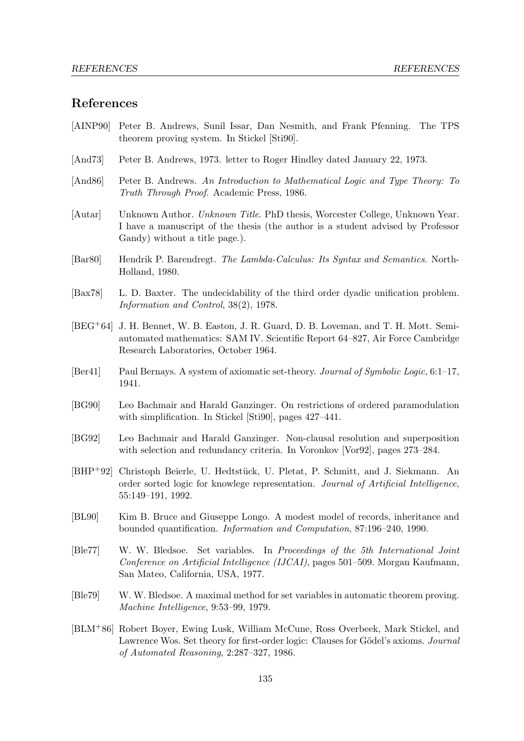## References

- [AINP90] Peter B. Andrews, Sunil Issar, Dan Nesmith, and Frank Pfenning. The TPS theorem proving system. In Stickel [Sti90].
- [And73] Peter B. Andrews, 1973. letter to Roger Hindley dated January 22, 1973.
- [And86] Peter B. Andrews. An Introduction to Mathematical Logic and Type Theory: To Truth Through Proof. Academic Press, 1986.
- [Autar] Unknown Author. Unknown Title. PhD thesis, Worcester College, Unknown Year. I have a manuscript of the thesis (the author is a student advised by Professor Gandy) without a title page.).
- [Bar80] Hendrik P. Barendregt. The Lambda-Calculus: Its Syntax and Semantics. North-Holland, 1980.
- [Bax78] L. D. Baxter. The undecidability of the third order dyadic unification problem. Information and Control, 38(2), 1978.
- [BEG+64] J. H. Bennet, W. B. Easton, J. R. Guard, D. B. Loveman, and T. H. Mott. Semiautomated mathematics: SAM IV. Scientific Report 64–827, Air Force Cambridge Research Laboratories, October 1964.
- [Ber41] Paul Bernays. A system of axiomatic set-theory. Journal of Symbolic Logic, 6:1-17, 1941.
- [BG90] Leo Bachmair and Harald Ganzinger. On restrictions of ordered paramodulation with simplification. In Stickel [Sti90], pages 427–441.
- [BG92] Leo Bachmair and Harald Ganzinger. Non-clausal resolution and superposition with selection and redundancy criteria. In Voronkov [Vor92], pages 273–284.
- [BHP<sup>+</sup>92] Christoph Beierle, U. Hedtstück, U. Pletat, P. Schmitt, and J. Siekmann. An order sorted logic for knowlege representation. Journal of Artificial Intelligence, 55:149–191, 1992.
- [BL90] Kim B. Bruce and Giuseppe Longo. A modest model of records, inheritance and bounded quantification. Information and Computation, 87:196–240, 1990.
- [Ble77] W. W. Bledsoe. Set variables. In Proceedings of the 5th International Joint Conference on Artificial Intelligence (IJCAI), pages 501–509. Morgan Kaufmann, San Mateo, California, USA, 1977.
- [Ble79] W. W. Bledsoe. A maximal method for set variables in automatic theorem proving. Machine Intelligence, 9:53–99, 1979.
- [BLM+86] Robert Boyer, Ewing Lusk, William McCune, Ross Overbeek, Mark Stickel, and Lawrence Wos. Set theory for first-order logic: Clauses for Gödel's axioms. Journal of Automated Reasoning, 2:287–327, 1986.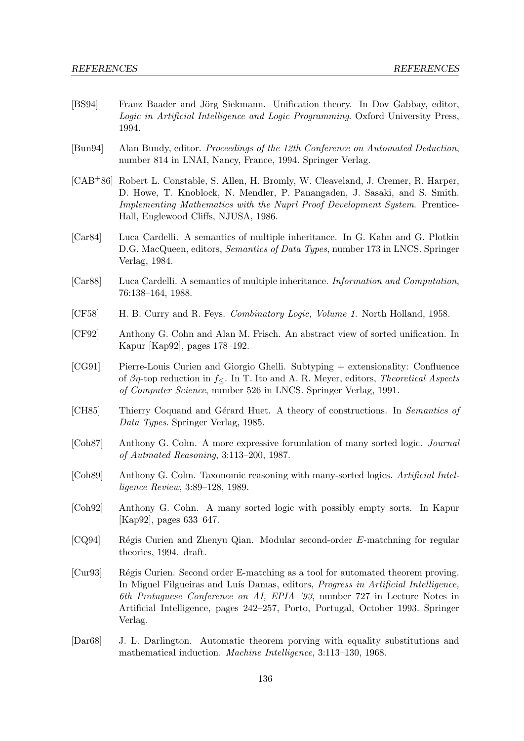- [BS94] Franz Baader and Jörg Siekmann. Unification theory. In Dov Gabbay, editor, Logic in Artificial Intelligence and Logic Programming. Oxford University Press, 1994.
- [Bun94] Alan Bundy, editor. Proceedings of the 12th Conference on Automated Deduction, number 814 in LNAI, Nancy, France, 1994. Springer Verlag.
- [CAB+86] Robert L. Constable, S. Allen, H. Bromly, W. Cleaveland, J. Cremer, R. Harper, D. Howe, T. Knoblock, N. Mendler, P. Panangaden, J. Sasaki, and S. Smith. Implementing Mathematics with the Nuprl Proof Development System. Prentice-Hall, Englewood Cliffs, NJUSA, 1986.
- [Car84] Luca Cardelli. A semantics of multiple inheritance. In G. Kahn and G. Plotkin D.G. MacQueen, editors, *Semantics of Data Types*, number 173 in LNCS. Springer Verlag, 1984.
- [Car88] Luca Cardelli. A semantics of multiple inheritance. Information and Computation, 76:138–164, 1988.
- [CF58] H. B. Curry and R. Feys. Combinatory Logic, Volume 1. North Holland, 1958.
- [CF92] Anthony G. Cohn and Alan M. Frisch. An abstract view of sorted unification. In Kapur [Kap92], pages 178–192.
- [CG91] Pierre-Louis Curien and Giorgio Ghelli. Subtyping + extensionality: Confluence of  $\beta\eta$ -top reduction in  $f_{\leq}$ . In T. Ito and A. R. Meyer, editors, Theoretical Aspects of Computer Science, number 526 in LNCS. Springer Verlag, 1991.
- [CH85] Thierry Coquand and Gérard Huet. A theory of constructions. In Semantics of Data Types. Springer Verlag, 1985.
- [Coh87] Anthony G. Cohn. A more expressive forumlation of many sorted logic. Journal of Autmated Reasoning, 3:113–200, 1987.
- [Coh89] Anthony G. Cohn. Taxonomic reasoning with many-sorted logics. Artificial Intelligence Review, 3:89–128, 1989.
- [Coh92] Anthony G. Cohn. A many sorted logic with possibly empty sorts. In Kapur [Kap92], pages 633–647.
- [CQ94] Régis Curien and Zhenyu Qian. Modular second-order E-matchning for regular theories, 1994. draft.
- [Cur93] Régis Curien. Second order E-matching as a tool for automated theorem proving. In Miguel Filgueiras and Luís Damas, editors, *Progress in Artificial Intelligence*, 6th Protuguese Conference on AI, EPIA '93, number 727 in Lecture Notes in Artificial Intelligence, pages 242–257, Porto, Portugal, October 1993. Springer Verlag.
- [Dar68] J. L. Darlington. Automatic theorem porving with equality substitutions and mathematical induction. Machine Intelligence, 3:113–130, 1968.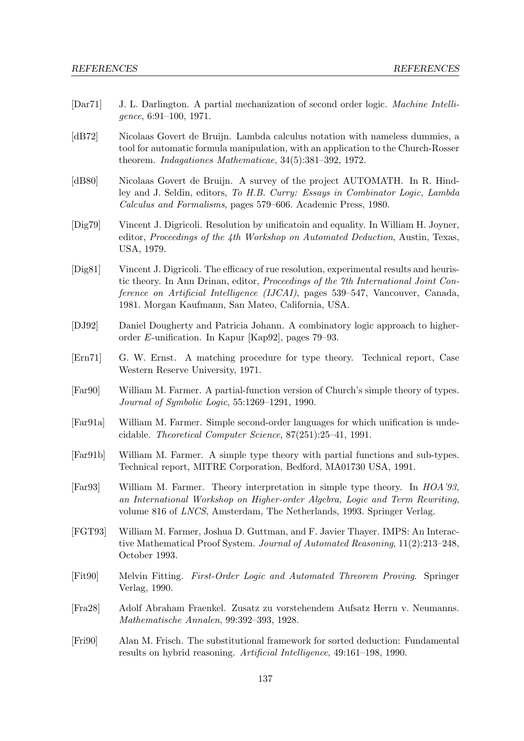- [Dar71] J. L. Darlington. A partial mechanization of second order logic. Machine Intelligence, 6:91–100, 1971.
- [dB72] Nicolaas Govert de Bruijn. Lambda calculus notation with nameless dummies, a tool for automatic formula manipulation, with an application to the Church-Rosser theorem. Indagationes Mathematicae, 34(5):381–392, 1972.
- [dB80] Nicolaas Govert de Bruijn. A survey of the project AUTOMATH. In R. Hindley and J. Seldin, editors, To H.B. Curry: Essays in Combinator Logic, Lambda Calculus and Formalisms, pages 579–606. Academic Press, 1980.
- [Dig79] Vincent J. Digricoli. Resolution by unificatoin and equality. In William H. Joyner, editor, Proceedings of the 4th Workshop on Automated Deduction, Austin, Texas, USA, 1979.
- [Dig81] Vincent J. Digricoli. The efficacy of rue resolution, experimental results and heuristic theory. In Ann Drinan, editor, Proceedings of the 7th International Joint Conference on Artificial Intelligence (IJCAI), pages 539–547, Vancouver, Canada, 1981. Morgan Kaufmann, San Mateo, California, USA.
- [DJ92] Daniel Dougherty and Patricia Johann. A combinatory logic approach to higherorder E-unification. In Kapur [Kap92], pages 79–93.
- [Ern71] G. W. Ernst. A matching procedure for type theory. Technical report, Case Western Reserve University, 1971.
- [Far90] William M. Farmer. A partial-function version of Church's simple theory of types. Journal of Symbolic Logic, 55:1269–1291, 1990.
- [Far91a] William M. Farmer. Simple second-order languages for which unification is undecidable. Theoretical Computer Science, 87(251):25–41, 1991.
- [Far91b] William M. Farmer. A simple type theory with partial functions and sub-types. Technical report, MITRE Corporation, Bedford, MA01730 USA, 1991.
- [Far93] William M. Farmer. Theory interpretation in simple type theory. In HOA'93, an International Workshop on Higher-order Algebra, Logic and Term Rewriting, volume 816 of LNCS, Amsterdam, The Netherlands, 1993. Springer Verlag.
- [FGT93] William M. Farmer, Joshua D. Guttman, and F. Javier Thayer. IMPS: An Interactive Mathematical Proof System. Journal of Automated Reasoning, 11(2):213–248, October 1993.
- [Fit90] Melvin Fitting. First-Order Logic and Automated Threorem Proving. Springer Verlag, 1990.
- [Fra28] Adolf Abraham Fraenkel. Zusatz zu vorstehendem Aufsatz Herrn v. Neumanns. Mathematische Annalen, 99:392–393, 1928.
- [Fri90] Alan M. Frisch. The substitutional framework for sorted deduction: Fundamental results on hybrid reasoning. Artificial Intelligence, 49:161–198, 1990.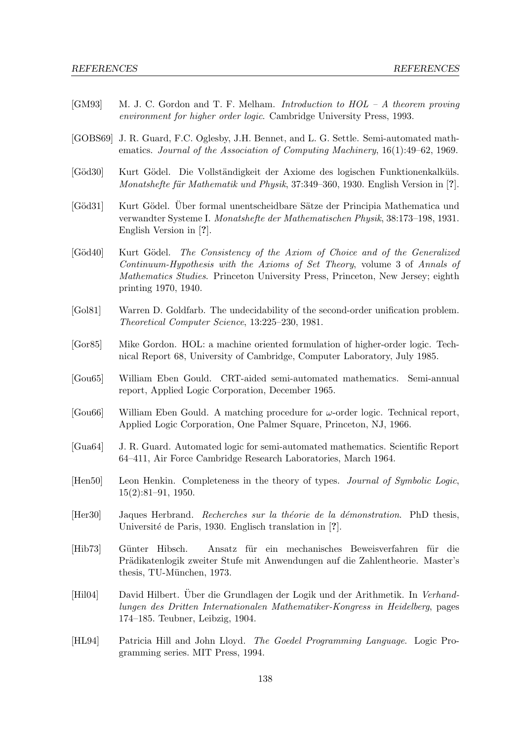- [GM93] M. J. C. Gordon and T. F. Melham. Introduction to HOL A theorem proving environment for higher order logic. Cambridge University Press, 1993.
- [GOBS69] J. R. Guard, F.C. Oglesby, J.H. Bennet, and L. G. Settle. Semi-automated mathematics. Journal of the Association of Computing Machinery, 16(1):49–62, 1969.
- [Göd30] Kurt Gödel. Die Vollständigkeit der Axiome des logischen Funktionenkalküls. Monatshefte für Mathematik und Physik, 37:349–360, 1930. English Version in [?].
- [Göd31] Kurt Gödel. Über formal unentscheidbare Sätze der Principia Mathematica und verwandter Systeme I. Monatshefte der Mathematischen Physik, 38:173–198, 1931. English Version in [?].
- [Göd40] Kurt Gödel. The Consistency of the Axiom of Choice and of the Generalized Continuum-Hypothesis with the Axioms of Set Theory, volume 3 of Annals of Mathematics Studies. Princeton University Press, Princeton, New Jersey; eighth printing 1970, 1940.
- [Gol81] Warren D. Goldfarb. The undecidability of the second-order unification problem. Theoretical Computer Science, 13:225–230, 1981.
- [Gor85] Mike Gordon. HOL: a machine oriented formulation of higher-order logic. Technical Report 68, University of Cambridge, Computer Laboratory, July 1985.
- [Gou65] William Eben Gould. CRT-aided semi-automated mathematics. Semi-annual report, Applied Logic Corporation, December 1965.
- $[Good6]$  William Eben Gould. A matching procedure for  $\omega$ -order logic. Technical report, Applied Logic Corporation, One Palmer Square, Princeton, NJ, 1966.
- [Gua64] J. R. Guard. Automated logic for semi-automated mathematics. Scientific Report 64–411, Air Force Cambridge Research Laboratories, March 1964.
- [Hen50] Leon Henkin. Completeness in the theory of types. Journal of Symbolic Logic, 15(2):81–91, 1950.
- [Her30] Jaques Herbrand. Recherches sur la théorie de la démonstration. PhD thesis, Université de Paris, 1930. Englisch translation in [?].
- [Hib73] G¨unter Hibsch. Ansatz f¨ur ein mechanisches Beweisverfahren f¨ur die Prädikatenlogik zweiter Stufe mit Anwendungen auf die Zahlentheorie. Master's thesis, TU-München, 1973.
- [Hil04] David Hilbert. Über die Grundlagen der Logik und der Arithmetik. In Verhandlungen des Dritten Internationalen Mathematiker-Kongress in Heidelberg, pages 174–185. Teubner, Leibzig, 1904.
- [HL94] Patricia Hill and John Lloyd. The Goedel Programming Language. Logic Programming series. MIT Press, 1994.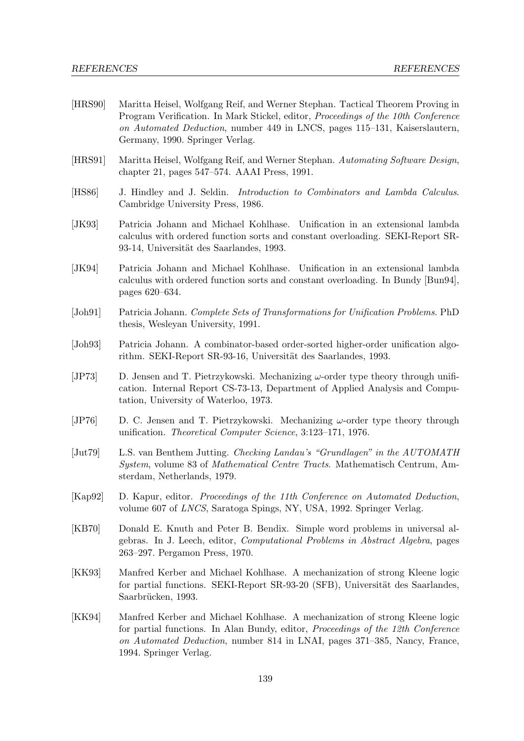- [HRS90] Maritta Heisel, Wolfgang Reif, and Werner Stephan. Tactical Theorem Proving in Program Verification. In Mark Stickel, editor, Proceedings of the 10th Conference on Automated Deduction, number 449 in LNCS, pages 115–131, Kaiserslautern, Germany, 1990. Springer Verlag.
- [HRS91] Maritta Heisel, Wolfgang Reif, and Werner Stephan. Automating Software Design, chapter 21, pages 547–574. AAAI Press, 1991.
- [HS86] J. Hindley and J. Seldin. Introduction to Combinators and Lambda Calculus. Cambridge University Press, 1986.
- [JK93] Patricia Johann and Michael Kohlhase. Unification in an extensional lambda calculus with ordered function sorts and constant overloading. SEKI-Report SR-93-14, Universität des Saarlandes, 1993.
- [JK94] Patricia Johann and Michael Kohlhase. Unification in an extensional lambda calculus with ordered function sorts and constant overloading. In Bundy [Bun94], pages 620–634.
- [Joh91] Patricia Johann. Complete Sets of Transformations for Unification Problems. PhD thesis, Wesleyan University, 1991.
- [Joh93] Patricia Johann. A combinator-based order-sorted higher-order unification algorithm. SEKI-Report SR-93-16, Universität des Saarlandes, 1993.
- [JP73] D. Jensen and T. Pietrzykowski. Mechanizing  $\omega$ -order type theory through unification. Internal Report CS-73-13, Department of Applied Analysis and Computation, University of Waterloo, 1973.
- [JP76] D. C. Jensen and T. Pietrzykowski. Mechanizing  $\omega$ -order type theory through unification. Theoretical Computer Science, 3:123–171, 1976.
- [Jut79] L.S. van Benthem Jutting. Checking Landau's "Grundlagen" in the AUTOMATH System, volume 83 of Mathematical Centre Tracts. Mathematisch Centrum, Amsterdam, Netherlands, 1979.
- [Kap92] D. Kapur, editor. Proceedings of the 11th Conference on Automated Deduction, volume 607 of LNCS, Saratoga Spings, NY, USA, 1992. Springer Verlag.
- [KB70] Donald E. Knuth and Peter B. Bendix. Simple word problems in universal algebras. In J. Leech, editor, Computational Problems in Abstract Algebra, pages 263–297. Pergamon Press, 1970.
- [KK93] Manfred Kerber and Michael Kohlhase. A mechanization of strong Kleene logic for partial functions. SEKI-Report SR-93-20 (SFB), Universität des Saarlandes, Saarbrücken, 1993.
- [KK94] Manfred Kerber and Michael Kohlhase. A mechanization of strong Kleene logic for partial functions. In Alan Bundy, editor, Proceedings of the 12th Conference on Automated Deduction, number 814 in LNAI, pages 371–385, Nancy, France, 1994. Springer Verlag.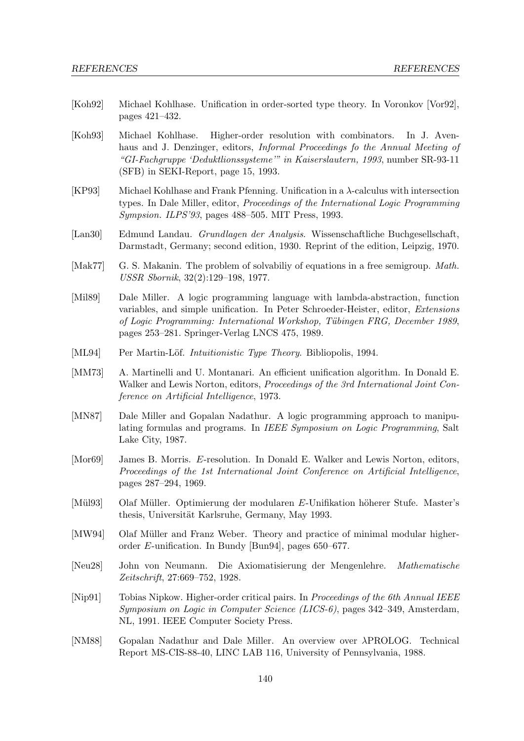- [Koh92] Michael Kohlhase. Unification in order-sorted type theory. In Voronkov [Vor92], pages 421–432.
- [Koh93] Michael Kohlhase. Higher-order resolution with combinators. In J. Avenhaus and J. Denzinger, editors, *Informal Proceedings fo the Annual Meeting of* "GI-Fachgruppe 'Deduktlionssysteme'" in Kaiserslautern, 1993, number SR-93-11 (SFB) in SEKI-Report, page 15, 1993.
- [KP93] Michael Kohlhase and Frank Pfenning. Unification in a  $\lambda$ -calculus with intersection types. In Dale Miller, editor, Proceedings of the International Logic Programming Sympsion. ILPS'93, pages 488–505. MIT Press, 1993.
- [Lan30] Edmund Landau. Grundlagen der Analysis. Wissenschaftliche Buchgesellschaft, Darmstadt, Germany; second edition, 1930. Reprint of the edition, Leipzig, 1970.
- [Mak77] G. S. Makanin. The problem of solvabiliy of equations in a free semigroup. *Math.* USSR Sbornik, 32(2):129–198, 1977.
- [Mil89] Dale Miller. A logic programming language with lambda-abstraction, function variables, and simple unification. In Peter Schroeder-Heister, editor, Extensions of Logic Programming: International Workshop, Tübingen FRG, December 1989, pages 253–281. Springer-Verlag LNCS 475, 1989.
- [ML94] Per Martin-Löf. *Intuitionistic Type Theory*. Bibliopolis, 1994.
- [MM73] A. Martinelli and U. Montanari. An efficient unification algorithm. In Donald E. Walker and Lewis Norton, editors, *Proceedings of the 3rd International Joint Con*ference on Artificial Intelligence, 1973.
- [MN87] Dale Miller and Gopalan Nadathur. A logic programming approach to manipulating formulas and programs. In IEEE Symposium on Logic Programming, Salt Lake City, 1987.
- [Mor69] James B. Morris. E-resolution. In Donald E. Walker and Lewis Norton, editors, Proceedings of the 1st International Joint Conference on Artificial Intelligence, pages 287–294, 1969.
- [Mül93] Olaf Müller. Optimierung der modularen E-Unifikation höherer Stufe. Master's thesis, Universität Karlsruhe, Germany, May 1993.
- [MW94] Olaf Müller and Franz Weber. Theory and practice of minimal modular higherorder E-unification. In Bundy [Bun94], pages 650–677.
- [Neu28] John von Neumann. Die Axiomatisierung der Mengenlehre. Mathematische Zeitschrift, 27:669–752, 1928.
- [Nip91] Tobias Nipkow. Higher-order critical pairs. In *Proceedings of the 6th Annual IEEE* Symposium on Logic in Computer Science (LICS-6), pages 342–349, Amsterdam, NL, 1991. IEEE Computer Society Press.
- [NM88] Gopalan Nadathur and Dale Miller. An overview over λPROLOG. Technical Report MS-CIS-88-40, LINC LAB 116, University of Pennsylvania, 1988.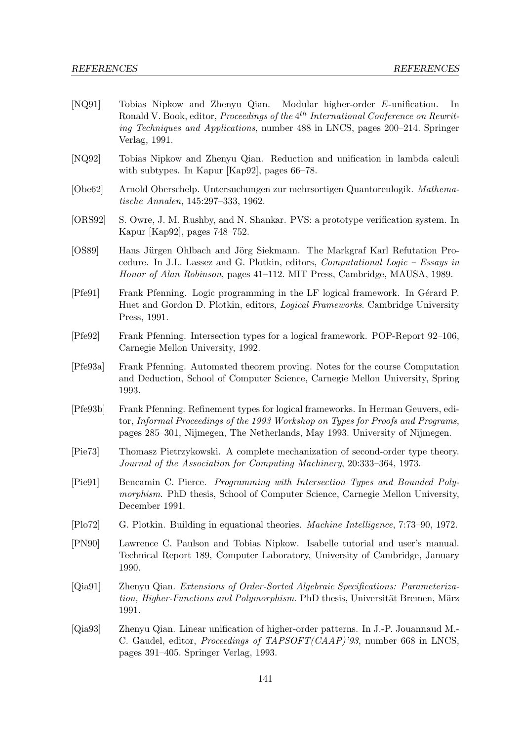- [NQ91] Tobias Nipkow and Zhenyu Qian. Modular higher-order E-unification. In Ronald V. Book, editor, *Proceedings of the* 4<sup>th</sup> International Conference on Rewriting Techniques and Applications, number 488 in LNCS, pages 200–214. Springer Verlag, 1991.
- [NQ92] Tobias Nipkow and Zhenyu Qian. Reduction and unification in lambda calculi with subtypes. In Kapur [Kap92], pages 66–78.
- [Obe62] Arnold Oberschelp. Untersuchungen zur mehrsortigen Quantorenlogik. Mathematische Annalen, 145:297–333, 1962.
- [ORS92] S. Owre, J. M. Rushby, and N. Shankar. PVS: a prototype verification system. In Kapur [Kap92], pages 748–752.
- [OS89] Hans Jürgen Ohlbach and Jörg Siekmann. The Markgraf Karl Refutation Procedure. In J.L. Lassez and G. Plotkin, editors, Computational Logic – Essays in Honor of Alan Robinson, pages 41–112. MIT Press, Cambridge, MAUSA, 1989.
- [Pfe91] Frank Pfenning. Logic programming in the LF logical framework. In Gérard P. Huet and Gordon D. Plotkin, editors, Logical Frameworks. Cambridge University Press, 1991.
- [Pfe92] Frank Pfenning. Intersection types for a logical framework. POP-Report 92–106, Carnegie Mellon University, 1992.
- [Pfe93a] Frank Pfenning. Automated theorem proving. Notes for the course Computation and Deduction, School of Computer Science, Carnegie Mellon University, Spring 1993.
- [Pfe93b] Frank Pfenning. Refinement types for logical frameworks. In Herman Geuvers, editor, Informal Proceedings of the 1993 Workshop on Types for Proofs and Programs, pages 285–301, Nijmegen, The Netherlands, May 1993. University of Nijmegen.
- [Pie73] Thomasz Pietrzykowski. A complete mechanization of second-order type theory. Journal of the Association for Computing Machinery, 20:333–364, 1973.
- [Pie91] Bencamin C. Pierce. Programming with Intersection Types and Bounded Polymorphism. PhD thesis, School of Computer Science, Carnegie Mellon University, December 1991.
- [Plo72] G. Plotkin. Building in equational theories. Machine Intelligence, 7:73–90, 1972.
- [PN90] Lawrence C. Paulson and Tobias Nipkow. Isabelle tutorial and user's manual. Technical Report 189, Computer Laboratory, University of Cambridge, January 1990.
- [Qia91] Zhenyu Qian. Extensions of Order-Sorted Algebraic Specifications: Parameterization, Higher-Functions and Polymorphism. PhD thesis, Universität Bremen, März 1991.
- [Qia93] Zhenyu Qian. Linear unification of higher-order patterns. In J.-P. Jouannaud M.- C. Gaudel, editor, Proceedings of TAPSOFT(CAAP)'93, number 668 in LNCS, pages 391–405. Springer Verlag, 1993.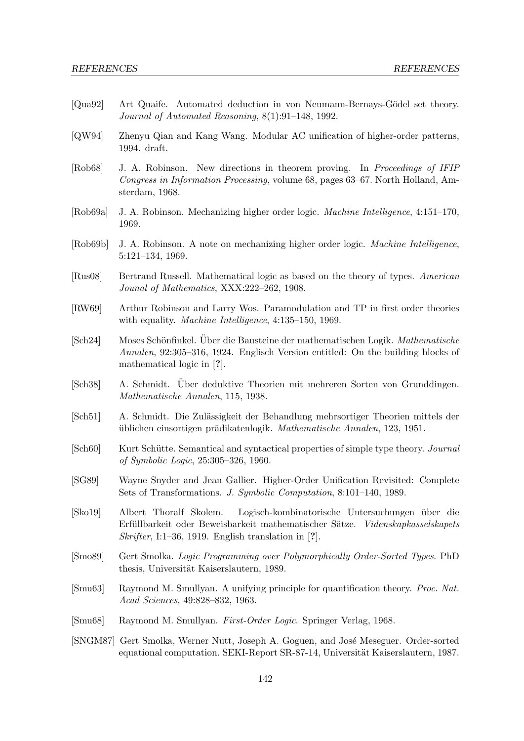- [Qua92] Art Quaife. Automated deduction in von Neumann-Bernays-Gödel set theory. Journal of Automated Reasoning, 8(1):91–148, 1992.
- [QW94] Zhenyu Qian and Kang Wang. Modular AC unification of higher-order patterns, 1994. draft.
- [Rob68] J. A. Robinson. New directions in theorem proving. In Proceedings of IFIP Congress in Information Processing, volume 68, pages 63–67. North Holland, Amsterdam, 1968.
- [Rob69a] J. A. Robinson. Mechanizing higher order logic. Machine Intelligence, 4:151–170, 1969.
- [Rob69b] J. A. Robinson. A note on mechanizing higher order logic. Machine Intelligence, 5:121–134, 1969.
- [Rus08] Bertrand Russell. Mathematical logic as based on the theory of types. American Jounal of Mathematics, XXX:222–262, 1908.
- [RW69] Arthur Robinson and Larry Wos. Paramodulation and TP in first order theories with equality. *Machine Intelligence*, 4:135–150, 1969.
- [Sch24] Moses Schönfinkel. Über die Bausteine der mathematischen Logik. Mathematische Annalen, 92:305–316, 1924. Englisch Version entitled: On the building blocks of mathematical logic in [?].
- [Sch38] A. Schmidt. Über deduktive Theorien mit mehreren Sorten von Grunddingen. Mathematische Annalen, 115, 1938.
- [Sch51] A. Schmidt. Die Zulässigkeit der Behandlung mehrsortiger Theorien mittels der üblichen einsortigen prädikatenlogik. Mathematische Annalen, 123, 1951.
- [Sch60] Kurt Schütte. Semantical and syntactical properties of simple type theory. *Journal* of Symbolic Logic, 25:305–326, 1960.
- [SG89] Wayne Snyder and Jean Gallier. Higher-Order Unification Revisited: Complete Sets of Transformations. J. Symbolic Computation, 8:101–140, 1989.
- [Sko19] Albert Thoralf Skolem. Logisch-kombinatorische Untersuchungen ¨uber die Erfüllbarkeit oder Beweisbarkeit mathematischer Sätze. Videnskapkasselskapets Skrifter, I:1–36, 1919. English translation in [?].
- [Smo89] Gert Smolka. Logic Programming over Polymorphically Order-Sorted Types. PhD thesis, Universität Kaiserslautern, 1989.
- [Smu63] Raymond M. Smullyan. A unifying principle for quantification theory. Proc. Nat. Acad Sciences, 49:828–832, 1963.
- [Smu68] Raymond M. Smullyan. First-Order Logic. Springer Verlag, 1968.
- [SNGM87] Gert Smolka, Werner Nutt, Joseph A. Goguen, and Jos´e Meseguer. Order-sorted equational computation. SEKI-Report SR-87-14, Universität Kaiserslautern, 1987.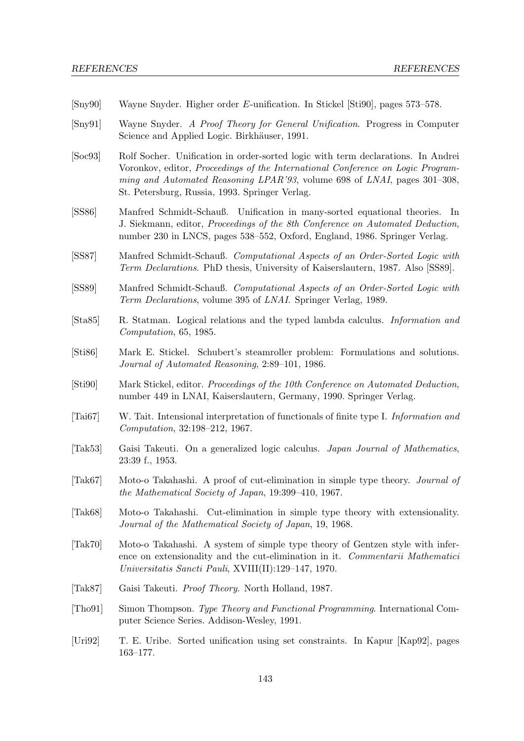| $\left[\text{Sny90}\right]$   | Wayne Snyder. Higher order E-unification. In Stickel [Sti90], pages 573–578.                                                                                                                                                                                                                             |
|-------------------------------|----------------------------------------------------------------------------------------------------------------------------------------------------------------------------------------------------------------------------------------------------------------------------------------------------------|
| $\left[\text{Sny91}\right]$   | Wayne Snyder. A Proof Theory for General Unification. Progress in Computer<br>Science and Applied Logic. Birkhäuser, 1991.                                                                                                                                                                               |
| [Soc93]                       | Rolf Socher. Unification in order-sorted logic with term declarations. In Andrei<br>Voronkov, editor, <i>Proceedings of the International Conference on Logic Program-</i><br>ming and Automated Reasoning LPAR'93, volume 698 of LNAI, pages 301–308,<br>St. Petersburg, Russia, 1993. Springer Verlag. |
| [SS86]                        | Manfred Schmidt-Schauß. Unification in many-sorted equational theories. In<br>J. Siekmann, editor, Proceedings of the 8th Conference on Automated Deduction,<br>number 230 in LNCS, pages 538–552, Oxford, England, 1986. Springer Verlag.                                                               |
| [SS87]                        | Manfred Schmidt-Schauß. Computational Aspects of an Order-Sorted Logic with<br>Term Declarations. PhD thesis, University of Kaiserslautern, 1987. Also [SS89].                                                                                                                                           |
| [SS89]                        | Manfred Schmidt-Schauß. Computational Aspects of an Order-Sorted Logic with<br>Term Declarations, volume 395 of LNAI. Springer Verlag, 1989.                                                                                                                                                             |
| [Sta85]                       | R. Statman. Logical relations and the typed lambda calculus. <i>Information and</i><br>Computation, 65, 1985.                                                                                                                                                                                            |
| [Sti86]                       | Mark E. Stickel. Schubert's steamroller problem: Formulations and solutions.<br>Journal of Automated Reasoning, 2:89-101, 1986.                                                                                                                                                                          |
| [Sti90]                       | Mark Stickel, editor. Proceedings of the 10th Conference on Automated Deduction,<br>number 449 in LNAI, Kaiserslautern, Germany, 1990. Springer Verlag.                                                                                                                                                  |
| $\lceil \text{Tail}67 \rceil$ | W. Tait. Intensional interpretation of functionals of finite type I. Information and<br>Computation, 32:198-212, 1967.                                                                                                                                                                                   |
| [Tak53]                       | Gaisi Takeuti. On a generalized logic calculus. Japan Journal of Mathematics,<br>23:39 f., 1953.                                                                                                                                                                                                         |
| [Tak67]                       | Moto-o Takahashi. A proof of cut-elimination in simple type theory. Journal of<br>the Mathematical Society of Japan, 19:399-410, 1967.                                                                                                                                                                   |
| [Tak68]                       | Moto-o Takahashi. Cut-elimination in simple type theory with extensionality.<br>Journal of the Mathematical Society of Japan, 19, 1968.                                                                                                                                                                  |
| [Tak70]                       | Moto-o Takahashi. A system of simple type theory of Gentzen style with infer-<br>ence on extensionality and the cut-elimination in it. Commentarii Mathematici<br>Universitatis Sancti Pauli, XVIII(II):129-147, 1970.                                                                                   |
| [Tak87]                       | Gaisi Takeuti. <i>Proof Theory</i> . North Holland, 1987.                                                                                                                                                                                                                                                |
| [Tho91]                       | Simon Thompson. Type Theory and Functional Programming. International Com-<br>puter Science Series. Addison-Wesley, 1991.                                                                                                                                                                                |
| [Uri92]                       | T. E. Uribe. Sorted unification using set constraints. In Kapur [Kap92], pages<br>$163 - 177.$                                                                                                                                                                                                           |
|                               |                                                                                                                                                                                                                                                                                                          |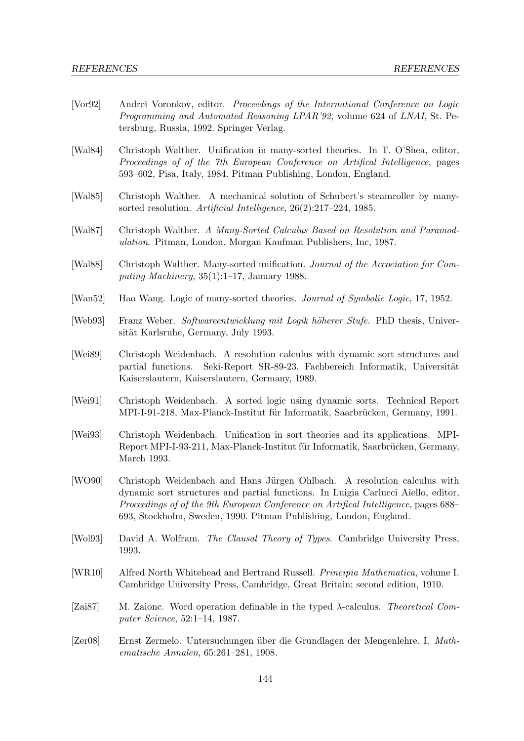- [Vor92] Andrei Voronkov, editor. Proceedings of the International Conference on Logic Programming and Automated Reasoning LPAR'92, volume 624 of LNAI, St. Petersburg, Russia, 1992. Springer Verlag.
- [Wal84] Christoph Walther. Unification in many-sorted theories. In T. O'Shea, editor, Proceedings of of the 7th European Conference on Artifical Intelligence, pages 593–602, Pisa, Italy, 1984. Pitman Publishing, London, England.
- [Wal85] Christoph Walther. A mechanical solution of Schubert's steamroller by manysorted resolution. Artificial Intelligence, 26(2):217–224, 1985.
- [Wal87] Christoph Walther. A Many-Sorted Calculus Based on Resolution and Paramodulation. Pitman, London. Morgan Kaufman Publishers, Inc, 1987.
- [Wal88] Christoph Walther. Many-sorted unification. Journal of the Accociation for Computing Machinery, 35(1):1–17, January 1988.
- [Wan52] Hao Wang. Logic of many-sorted theories. Journal of Symbolic Logic, 17, 1952.
- [Web93] Franz Weber. Softwareentwicklung mit Logik höherer Stufe. PhD thesis, Universität Karlsruhe, Germany, July 1993.
- [Wei89] Christoph Weidenbach. A resolution calculus with dynamic sort structures and partial functions. Seki-Report SR-89-23, Fachbereich Informatik, Universität Kaiserslautern, Kaiserslautern, Germany, 1989.
- [Wei91] Christoph Weidenbach. A sorted logic using dynamic sorts. Technical Report MPI-I-91-218, Max-Planck-Institut für Informatik, Saarbrücken, Germany, 1991.
- [Wei93] Christoph Weidenbach. Unification in sort theories and its applications. MPI-Report MPI-I-93-211, Max-Planck-Institut für Informatik, Saarbrücken, Germany, March 1993.
- [WO90] Christoph Weidenbach and Hans Jürgen Ohlbach. A resolution calculus with dynamic sort structures and partial functions. In Luigia Carlucci Aiello, editor, Proceedings of of the 9th European Conference on Artifical Intelligence, pages 688– 693, Stockholm, Sweden, 1990. Pitman Publishing, London, England.
- [Wol93] David A. Wolfram. The Clausal Theory of Types. Cambridge University Press, 1993.
- [WR10] Alfred North Whitehead and Bertrand Russell. Principia Mathematica, volume I. Cambridge University Press, Cambridge, Great Britain; second edition, 1910.
- [Zai87] M. Zaionc. Word operation definable in the typed  $\lambda$ -calculus. Theoretical Computer Science, 52:1–14, 1987.
- [Zer08] Ernst Zermelo. Untersuchungen ¨uber die Grundlagen der Mengenlehre. I. Mathematische Annalen, 65:261–281, 1908.